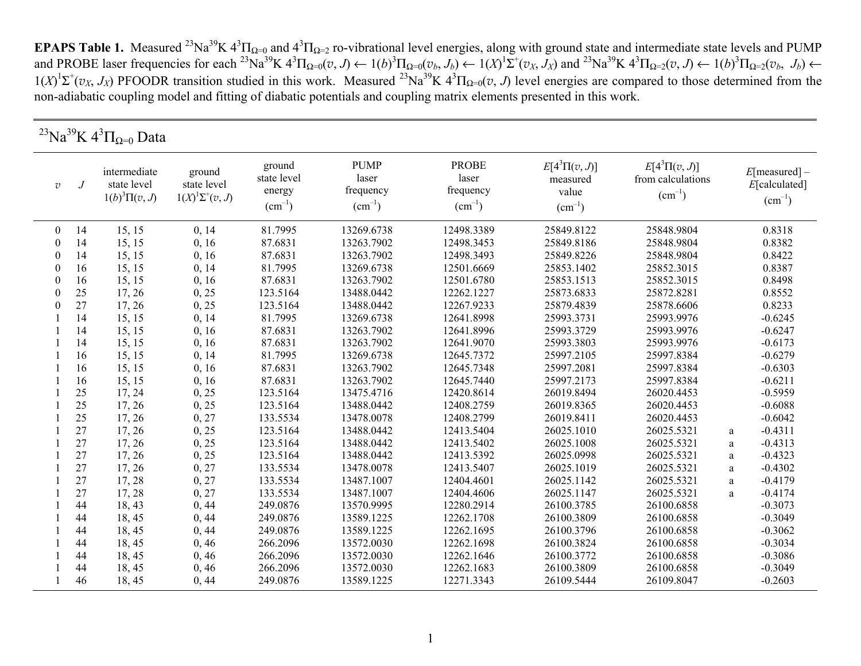**EPAPS Table 1.** Measured <sup>23</sup>Na<sup>39</sup>K  $4^3\Pi_{\Omega=0}$  and  $4^3\Pi_{\Omega=2}$  ro-vibrational level energies, along with ground state and intermediate state levels and PUMP and PROBE laser frequencies for each <sup>23</sup>Na<sup>39</sup>K  $4^3\Pi_{\Omega=0}(v, J) \leftarrow 1(b)^3\Pi_{\Omega=0}(v_b, J_b) \leftarrow 1(X)^1\Sigma^+(v_X, J_X)$  and <sup>23</sup>Na<sup>39</sup>K  $4^3\Pi_{\Omega=2}(v, J) \leftarrow 1(b)^3\Pi_{\Omega=2}(v_b, J_b) \leftarrow 1(B)^3\Pi_{\Omega=2}(v_b, J_b)$  $1(X)^{1}\Sigma^{+}(v_{X}, J_{X})$  PFOODR transition studied in this work. Measured <sup>23</sup>Na<sup>39</sup>K  $4^{3}\Pi_{\Omega=0}(v, J)$  level energies are compared to those determined from the non-adiabatic coupling model and fitting of diabatic potentials and coupling matrix elements presented in this work.

|                | $^{23}{\rm Na}^{39}{\rm K}$ $4^3\Pi_{\Omega=0}$ Data |                                                  |                                                     |                                                |                                                  |                                                   |                                                      |                                                      |   |                                             |  |
|----------------|------------------------------------------------------|--------------------------------------------------|-----------------------------------------------------|------------------------------------------------|--------------------------------------------------|---------------------------------------------------|------------------------------------------------------|------------------------------------------------------|---|---------------------------------------------|--|
| $\overline{v}$ | .J                                                   | intermediate<br>state level<br>$1(b)^3\Pi(v, J)$ | ground<br>state level<br>$1(X)^{1}\Sigma^{+}(v, J)$ | ground<br>state level<br>energy<br>$(cm^{-1})$ | <b>PUMP</b><br>laser<br>frequency<br>$(cm^{-1})$ | <b>PROBE</b><br>laser<br>frequency<br>$(cm^{-1})$ | $E[4^3\Pi(v,J)]$<br>measured<br>value<br>$(cm^{-1})$ | $E[4^3\Pi(v,J)]$<br>from calculations<br>$(cm^{-1})$ |   | E[measured]<br>E[calculated]<br>$(cm^{-1})$ |  |
| $\overline{0}$ | 14                                                   | 15, 15                                           | 0, 14                                               | 81.7995                                        | 13269.6738                                       | 12498.3389                                        | 25849.8122                                           | 25848.9804                                           |   | 0.8318                                      |  |
| $\theta$       | 14                                                   | 15, 15                                           | 0, 16                                               | 87.6831                                        | 13263.7902                                       | 12498.3453                                        | 25849.8186                                           | 25848.9804                                           |   | 0.8382                                      |  |
| $\theta$       | 14                                                   | 15, 15                                           | 0, 16                                               | 87.6831                                        | 13263.7902                                       | 12498.3493                                        | 25849.8226                                           | 25848.9804                                           |   | 0.8422                                      |  |
| 0              | 16                                                   | 15, 15                                           | 0, 14                                               | 81.7995                                        | 13269.6738                                       | 12501.6669                                        | 25853.1402                                           | 25852.3015                                           |   | 0.8387                                      |  |
| $\Omega$       | 16                                                   | 15, 15                                           | 0, 16                                               | 87.6831                                        | 13263.7902                                       | 12501.6780                                        | 25853.1513                                           | 25852.3015                                           |   | 0.8498                                      |  |
| 0              | 25                                                   | 17, 26                                           | 0, 25                                               | 123.5164                                       | 13488.0442                                       | 12262.1227                                        | 25873.6833                                           | 25872.8281                                           |   | 0.8552                                      |  |
| 0              | 27                                                   | 17, 26                                           | 0, 25                                               | 123.5164                                       | 13488.0442                                       | 12267.9233                                        | 25879.4839                                           | 25878.6606                                           |   | 0.8233                                      |  |
|                | 14                                                   | 15, 15                                           | 0, 14                                               | 81.7995                                        | 13269.6738                                       | 12641.8998                                        | 25993.3731                                           | 25993.9976                                           |   | $-0.6245$                                   |  |
|                | 14                                                   | 15, 15                                           | 0, 16                                               | 87.6831                                        | 13263.7902                                       | 12641.8996                                        | 25993.3729                                           | 25993.9976                                           |   | $-0.6247$                                   |  |
|                | 14                                                   | 15, 15                                           | 0, 16                                               | 87.6831                                        | 13263.7902                                       | 12641.9070                                        | 25993.3803                                           | 25993.9976                                           |   | $-0.6173$                                   |  |
|                | 16                                                   | 15, 15                                           | 0, 14                                               | 81.7995                                        | 13269.6738                                       | 12645.7372                                        | 25997.2105                                           | 25997.8384                                           |   | $-0.6279$                                   |  |
|                | 16                                                   | 15, 15                                           | 0, 16                                               | 87.6831                                        | 13263.7902                                       | 12645.7348                                        | 25997.2081                                           | 25997.8384                                           |   | $-0.6303$                                   |  |
|                | 16                                                   | 15, 15                                           | 0, 16                                               | 87.6831                                        | 13263.7902                                       | 12645.7440                                        | 25997.2173                                           | 25997.8384                                           |   | $-0.6211$                                   |  |
|                | 25                                                   | 17, 24                                           | 0, 25                                               | 123.5164                                       | 13475.4716                                       | 12420.8614                                        | 26019.8494                                           | 26020.4453                                           |   | $-0.5959$                                   |  |
|                | 25                                                   | 17, 26                                           | 0, 25                                               | 123.5164                                       | 13488.0442                                       | 12408.2759                                        | 26019.8365                                           | 26020.4453                                           |   | $-0.6088$                                   |  |
|                | 25                                                   | 17, 26                                           | 0, 27                                               | 133.5534                                       | 13478.0078                                       | 12408.2799                                        | 26019.8411                                           | 26020.4453                                           |   | $-0.6042$                                   |  |
|                | 27                                                   | 17, 26                                           | 0, 25                                               | 123.5164                                       | 13488.0442                                       | 12413.5404                                        | 26025.1010                                           | 26025.5321                                           | a | $-0.4311$                                   |  |
|                | 27                                                   | 17, 26                                           | 0, 25                                               | 123.5164                                       | 13488.0442                                       | 12413.5402                                        | 26025.1008                                           | 26025.5321                                           | a | $-0.4313$                                   |  |
|                | 27                                                   | 17, 26                                           | 0, 25                                               | 123.5164                                       | 13488.0442                                       | 12413.5392                                        | 26025.0998                                           | 26025.5321                                           | a | $-0.4323$                                   |  |
|                | 27                                                   | 17, 26                                           | 0, 27                                               | 133.5534                                       | 13478.0078                                       | 12413.5407                                        | 26025.1019                                           | 26025.5321                                           | a | $-0.4302$                                   |  |
|                | 27                                                   | 17,28                                            | 0, 27                                               | 133.5534                                       | 13487.1007                                       | 12404.4601                                        | 26025.1142                                           | 26025.5321                                           | a | $-0.4179$                                   |  |
|                | 27                                                   | 17,28                                            | 0, 27                                               | 133.5534                                       | 13487.1007                                       | 12404.4606                                        | 26025.1147                                           | 26025.5321                                           | a | $-0.4174$                                   |  |
|                | 44                                                   | 18,43                                            | 0, 44                                               | 249.0876                                       | 13570.9995                                       | 12280.2914                                        | 26100.3785                                           | 26100.6858                                           |   | $-0.3073$                                   |  |
|                | 44                                                   | 18, 45                                           | 0, 44                                               | 249.0876                                       | 13589.1225                                       | 12262.1708                                        | 26100.3809                                           | 26100.6858                                           |   | $-0.3049$                                   |  |
|                | 44                                                   | 18, 45                                           | 0, 44                                               | 249.0876                                       | 13589.1225                                       | 12262.1695                                        | 26100.3796                                           | 26100.6858                                           |   | $-0.3062$                                   |  |
|                | 44                                                   | 18,45                                            | 0, 46                                               | 266.2096                                       | 13572.0030                                       | 12262.1698                                        | 26100.3824                                           | 26100.6858                                           |   | $-0.3034$                                   |  |
|                | 44                                                   | 18,45                                            | 0, 46                                               | 266.2096                                       | 13572.0030                                       | 12262.1646                                        | 26100.3772                                           | 26100.6858                                           |   | $-0.3086$                                   |  |
|                | 44                                                   | 18, 45                                           | 0, 46                                               | 266.2096                                       | 13572.0030                                       | 12262.1683                                        | 26100.3809                                           | 26100.6858                                           |   | $-0.3049$                                   |  |
|                | 46                                                   | 18,45                                            | 0, 44                                               | 249.0876                                       | 13589.1225                                       | 12271.3343                                        | 26109.5444                                           | 26109.8047                                           |   | $-0.2603$                                   |  |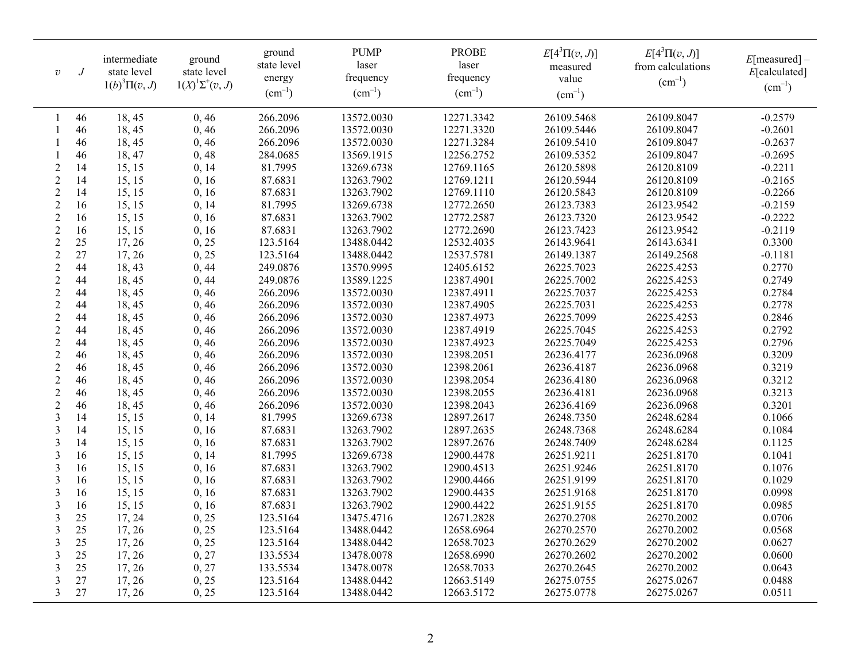| $\overline{v}$ | $\overline{J}$ | intermediate<br>state level<br>$1(b)^3\Pi(v, J)$ | ground<br>state level<br>$1(X)^{1}\Sigma^{+}(v, J)$ | ground<br>state level<br>energy<br>$(cm^{-1})$ | <b>PUMP</b><br>laser<br>frequency<br>$(cm^{-1})$ | <b>PROBE</b><br>laser<br>frequency<br>$(cm^{-1})$ | $E[4^3\Pi(v,J)]$<br>measured<br>value<br>$(cm^{-1})$ | $E[4^3\Pi(v,J)]$<br>from calculations<br>$\text{(cm}^{-1})$ | E[measured]<br>E[calculated]<br>$(cm^{-1})$ |
|----------------|----------------|--------------------------------------------------|-----------------------------------------------------|------------------------------------------------|--------------------------------------------------|---------------------------------------------------|------------------------------------------------------|-------------------------------------------------------------|---------------------------------------------|
|                | 46             | 18,45                                            | 0, 46                                               | 266.2096                                       | 13572.0030                                       | 12271.3342                                        | 26109.5468                                           | 26109.8047                                                  | $-0.2579$                                   |
|                | 46             | 18,45                                            | 0, 46                                               | 266.2096                                       | 13572.0030                                       | 12271.3320                                        | 26109.5446                                           | 26109.8047                                                  | $-0.2601$                                   |
|                | 46             | 18,45                                            | 0, 46                                               | 266.2096                                       | 13572.0030                                       | 12271.3284                                        | 26109.5410                                           | 26109.8047                                                  | $-0.2637$                                   |
|                | 46             | 18, 47                                           | 0, 48                                               | 284.0685                                       | 13569.1915                                       | 12256.2752                                        | 26109.5352                                           | 26109.8047                                                  | $-0.2695$                                   |
| $\overline{2}$ | 14             | 15, 15                                           | 0, 14                                               | 81.7995                                        | 13269.6738                                       | 12769.1165                                        | 26120.5898                                           | 26120.8109                                                  | $-0.2211$                                   |
| $\overline{2}$ | 14             | 15, 15                                           | 0, 16                                               | 87.6831                                        | 13263.7902                                       | 12769.1211                                        | 26120.5944                                           | 26120.8109                                                  | $-0.2165$                                   |
| $\overline{2}$ | 14             | 15, 15                                           | 0, 16                                               | 87.6831                                        | 13263.7902                                       | 12769.1110                                        | 26120.5843                                           | 26120.8109                                                  | $-0.2266$                                   |
| $\overline{2}$ | 16             | 15, 15                                           | 0, 14                                               | 81.7995                                        | 13269.6738                                       | 12772.2650                                        | 26123.7383                                           | 26123.9542                                                  | $-0.2159$                                   |
| $\overline{2}$ | 16             | 15, 15                                           | 0, 16                                               | 87.6831                                        | 13263.7902                                       | 12772.2587                                        | 26123.7320                                           | 26123.9542                                                  | $-0.2222$                                   |
| $\overline{2}$ | 16             | 15, 15                                           | 0, 16                                               | 87.6831                                        | 13263.7902                                       | 12772.2690                                        | 26123.7423                                           | 26123.9542                                                  | $-0.2119$                                   |
| $\overline{2}$ | 25             | 17, 26                                           | 0, 25                                               | 123.5164                                       | 13488.0442                                       | 12532.4035                                        | 26143.9641                                           | 26143.6341                                                  | 0.3300                                      |
| $\overline{2}$ | 27             | 17, 26                                           | 0, 25                                               | 123.5164                                       | 13488.0442                                       | 12537.5781                                        | 26149.1387                                           | 26149.2568                                                  | $-0.1181$                                   |
| $\overline{2}$ | 44             | 18,43                                            | 0,44                                                | 249.0876                                       | 13570.9995                                       | 12405.6152                                        | 26225.7023                                           | 26225.4253                                                  | 0.2770                                      |
| $\sqrt{2}$     | 44             | 18,45                                            | 0, 44                                               | 249.0876                                       | 13589.1225                                       | 12387.4901                                        | 26225.7002                                           | 26225.4253                                                  | 0.2749                                      |
| $\overline{2}$ | 44             | 18,45                                            | 0, 46                                               | 266.2096                                       | 13572.0030                                       | 12387.4911                                        | 26225.7037                                           | 26225.4253                                                  | 0.2784                                      |
| $\overline{2}$ | 44             | 18,45                                            | 0, 46                                               | 266.2096                                       | 13572.0030                                       | 12387.4905                                        | 26225.7031                                           | 26225.4253                                                  | 0.2778                                      |
| $\overline{2}$ | 44             | 18,45                                            | 0, 46                                               | 266.2096                                       | 13572.0030                                       | 12387.4973                                        | 26225.7099                                           | 26225.4253                                                  | 0.2846                                      |
| $\overline{2}$ | 44             | 18,45                                            | 0, 46                                               | 266.2096                                       | 13572.0030                                       | 12387.4919                                        | 26225.7045                                           | 26225.4253                                                  | 0.2792                                      |
| $\overline{2}$ | 44             | 18,45                                            | 0, 46                                               | 266.2096                                       | 13572.0030                                       | 12387.4923                                        | 26225.7049                                           | 26225.4253                                                  | 0.2796                                      |
| $\overline{2}$ | 46             | 18,45                                            | 0, 46                                               | 266.2096                                       | 13572.0030                                       | 12398.2051                                        | 26236.4177                                           | 26236.0968                                                  | 0.3209                                      |
| $\overline{2}$ | 46             | 18,45                                            | 0, 46                                               | 266.2096                                       | 13572.0030                                       | 12398.2061                                        | 26236.4187                                           | 26236.0968                                                  | 0.3219                                      |
| $\overline{2}$ | 46             | 18,45                                            | 0, 46                                               | 266.2096                                       | 13572.0030                                       | 12398.2054                                        | 26236.4180                                           | 26236.0968                                                  | 0.3212                                      |
| $\overline{2}$ | 46             | 18,45                                            | 0, 46                                               | 266.2096                                       | 13572.0030                                       | 12398.2055                                        | 26236.4181                                           | 26236.0968                                                  | 0.3213                                      |
| $\overline{2}$ | 46             | 18,45                                            | 0, 46                                               | 266.2096                                       | 13572.0030                                       | 12398.2043                                        | 26236.4169                                           | 26236.0968                                                  | 0.3201                                      |
| 3              | 14             | 15, 15                                           | 0, 14                                               | 81.7995                                        | 13269.6738                                       | 12897.2617                                        | 26248.7350                                           | 26248.6284                                                  | 0.1066                                      |
| 3              | 14             | 15, 15                                           | 0, 16                                               | 87.6831                                        | 13263.7902                                       | 12897.2635                                        | 26248.7368                                           | 26248.6284                                                  | 0.1084                                      |
| 3              | 14             | 15, 15                                           | 0, 16                                               | 87.6831                                        | 13263.7902                                       | 12897.2676                                        | 26248.7409                                           | 26248.6284                                                  | 0.1125                                      |
| 3              | 16             | 15, 15                                           | 0, 14                                               | 81.7995                                        | 13269.6738                                       | 12900.4478                                        | 26251.9211                                           | 26251.8170                                                  | 0.1041                                      |
| 3              | 16             | 15, 15                                           | 0, 16                                               | 87.6831                                        | 13263.7902                                       | 12900.4513                                        | 26251.9246                                           | 26251.8170                                                  | 0.1076                                      |
| 3              | 16             | 15, 15                                           | 0, 16                                               | 87.6831                                        | 13263.7902                                       | 12900.4466                                        | 26251.9199                                           | 26251.8170                                                  | 0.1029                                      |
| 3              | 16             | 15, 15                                           | 0, 16                                               | 87.6831                                        | 13263.7902                                       | 12900.4435                                        | 26251.9168                                           | 26251.8170                                                  | 0.0998                                      |
| 3              | 16             | 15, 15                                           | 0, 16                                               | 87.6831                                        | 13263.7902                                       | 12900.4422                                        | 26251.9155                                           | 26251.8170                                                  | 0.0985                                      |
| 3              | 25             | 17, 24                                           | 0, 25                                               | 123.5164                                       | 13475.4716                                       | 12671.2828                                        | 26270.2708                                           | 26270.2002                                                  | 0.0706                                      |
| 3              | 25             | 17, 26                                           | 0, 25                                               | 123.5164                                       | 13488.0442                                       | 12658.6964                                        | 26270.2570                                           | 26270.2002                                                  | 0.0568                                      |
| 3              | 25             | 17, 26                                           | 0, 25                                               | 123.5164                                       | 13488.0442                                       | 12658.7023                                        | 26270.2629                                           | 26270.2002                                                  | 0.0627                                      |
| 3              | 25             | 17, 26                                           | 0, 27                                               | 133.5534                                       | 13478.0078                                       | 12658.6990                                        | 26270.2602                                           | 26270.2002                                                  | 0.0600                                      |
| 3              | 25             | 17, 26                                           | 0, 27                                               | 133.5534                                       | 13478.0078                                       | 12658.7033                                        | 26270.2645                                           | 26270.2002                                                  | 0.0643                                      |
| 3              | 27             | 17, 26                                           | 0, 25                                               | 123.5164                                       | 13488.0442                                       | 12663.5149                                        | 26275.0755                                           | 26275.0267                                                  | 0.0488                                      |
| 3              | 27             | 17, 26                                           | 0, 25                                               | 123.5164                                       | 13488.0442                                       | 12663.5172                                        | 26275.0778                                           | 26275.0267                                                  | 0.0511                                      |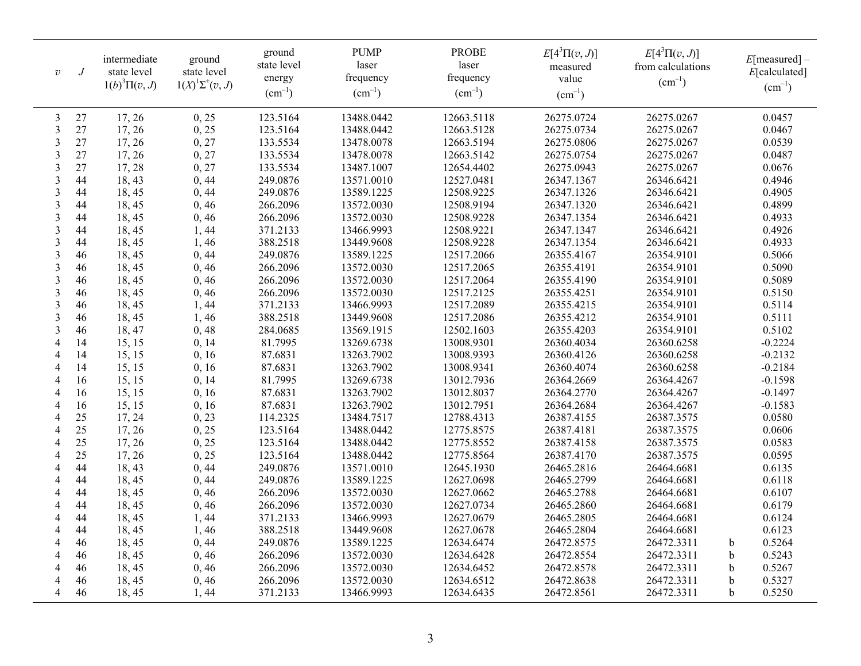| $\overline{v}$           | $\overline{J}$ | intermediate<br>state level<br>$1(b)^3\Pi(v, J)$ | ground<br>state level<br>$1(X)^{1}\Sigma^{+}(v, J)$ | ground<br>state level<br>energy<br>$(cm^{-1})$ | <b>PUMP</b><br>laser<br>frequency<br>$(cm^{-1})$ | <b>PROBE</b><br>laser<br>frequency<br>$(cm^{-1})$ | $E[4^3\Pi(v,J)]$<br>measured<br>value<br>$(cm^{-1})$ | $E[4^3\Pi(v, J)]$<br>from calculations<br>$\text{(cm}^{-1})$ | E[measured]<br>E[calculated]<br>$(cm^{-1})$ |
|--------------------------|----------------|--------------------------------------------------|-----------------------------------------------------|------------------------------------------------|--------------------------------------------------|---------------------------------------------------|------------------------------------------------------|--------------------------------------------------------------|---------------------------------------------|
| 3                        | 27             | 17, 26                                           | 0, 25                                               | 123.5164                                       | 13488.0442                                       | 12663.5118                                        | 26275.0724                                           | 26275.0267                                                   | 0.0457                                      |
| 3                        | 27             | 17, 26                                           | 0, 25                                               | 123.5164                                       | 13488.0442                                       | 12663.5128                                        | 26275.0734                                           | 26275.0267                                                   | 0.0467                                      |
| 3                        | 27             | 17,26                                            | 0, 27                                               | 133.5534                                       | 13478.0078                                       | 12663.5194                                        | 26275.0806                                           | 26275.0267                                                   | 0.0539                                      |
| 3                        | 27             | 17, 26                                           | 0, 27                                               | 133.5534                                       | 13478.0078                                       | 12663.5142                                        | 26275.0754                                           | 26275.0267                                                   | 0.0487                                      |
| $\mathfrak{Z}$           | 27             | 17,28                                            | 0, 27                                               | 133.5534                                       | 13487.1007                                       | 12654.4402                                        | 26275.0943                                           | 26275.0267                                                   | 0.0676                                      |
| 3                        | 44             | 18,43                                            | 0, 44                                               | 249.0876                                       | 13571.0010                                       | 12527.0481                                        | 26347.1367                                           | 26346.6421                                                   | 0.4946                                      |
| $\mathfrak{Z}$           | 44             | 18, 45                                           | 0, 44                                               | 249.0876                                       | 13589.1225                                       | 12508.9225                                        | 26347.1326                                           | 26346.6421                                                   | 0.4905                                      |
| $\mathfrak{Z}$           | 44             | 18,45                                            | 0, 46                                               | 266.2096                                       | 13572.0030                                       | 12508.9194                                        | 26347.1320                                           | 26346.6421                                                   | 0.4899                                      |
| 3                        | 44             | 18,45                                            | 0, 46                                               | 266.2096                                       | 13572.0030                                       | 12508.9228                                        | 26347.1354                                           | 26346.6421                                                   | 0.4933                                      |
| 3                        | 44             | 18, 45                                           | 1,44                                                | 371.2133                                       | 13466.9993                                       | 12508.9221                                        | 26347.1347                                           | 26346.6421                                                   | 0.4926                                      |
| $\overline{3}$           | 44             | 18,45                                            | 1,46                                                | 388.2518                                       | 13449.9608                                       | 12508.9228                                        | 26347.1354                                           | 26346.6421                                                   | 0.4933                                      |
| 3                        | 46             | 18,45                                            | 0, 44                                               | 249.0876                                       | 13589.1225                                       | 12517.2066                                        | 26355.4167                                           | 26354.9101                                                   | 0.5066                                      |
| 3                        | 46             | 18,45                                            | 0, 46                                               | 266.2096                                       | 13572.0030                                       | 12517.2065                                        | 26355.4191                                           | 26354.9101                                                   | 0.5090                                      |
| $\mathfrak{Z}$           | 46             | 18, 45                                           | 0, 46                                               | 266.2096                                       | 13572.0030                                       | 12517.2064                                        | 26355.4190                                           | 26354.9101                                                   | 0.5089                                      |
| $\mathfrak{Z}$           | 46             | 18,45                                            | 0, 46                                               | 266.2096                                       | 13572.0030                                       | 12517.2125                                        | 26355.4251                                           | 26354.9101                                                   | 0.5150                                      |
| 3                        | 46             | 18, 45                                           | 1,44                                                | 371.2133                                       | 13466.9993                                       | 12517.2089                                        | 26355.4215                                           | 26354.9101                                                   | 0.5114                                      |
| $\mathfrak{Z}$           | 46             | 18, 45                                           | 1,46                                                | 388.2518                                       | 13449.9608                                       | 12517.2086                                        | 26355.4212                                           | 26354.9101                                                   | 0.5111                                      |
| 3                        | 46             | 18, 47                                           | 0, 48                                               | 284.0685                                       | 13569.1915                                       | 12502.1603                                        | 26355.4203                                           | 26354.9101                                                   | 0.5102                                      |
| $\overline{4}$           | 14             | 15, 15                                           | 0, 14                                               | 81.7995                                        | 13269.6738                                       | 13008.9301                                        | 26360.4034                                           | 26360.6258                                                   | $-0.2224$                                   |
| $\overline{4}$           | 14             | 15, 15                                           | 0, 16                                               | 87.6831                                        | 13263.7902                                       | 13008.9393                                        | 26360.4126                                           | 26360.6258                                                   | $-0.2132$                                   |
| 4                        | 14             | 15, 15                                           | 0, 16                                               | 87.6831                                        | 13263.7902                                       | 13008.9341                                        | 26360.4074                                           | 26360.6258                                                   | $-0.2184$                                   |
| $\overline{4}$           | 16             | 15, 15                                           | 0, 14                                               | 81.7995                                        | 13269.6738                                       | 13012.7936                                        | 26364.2669                                           | 26364.4267                                                   | $-0.1598$                                   |
| $\overline{4}$           | 16             | 15, 15                                           | 0, 16                                               | 87.6831                                        | 13263.7902                                       | 13012.8037                                        | 26364.2770                                           | 26364.4267                                                   | $-0.1497$                                   |
| $\overline{4}$           | 16             | 15, 15                                           | 0, 16                                               | 87.6831                                        | 13263.7902                                       | 13012.7951                                        | 26364.2684                                           | 26364.4267                                                   | $-0.1583$                                   |
| $\overline{4}$           | 25             | 17, 24                                           | 0, 23                                               | 114.2325                                       | 13484.7517                                       | 12788.4313                                        | 26387.4155                                           | 26387.3575                                                   | 0.0580                                      |
| $\overline{4}$           | 25             | 17, 26                                           | 0, 25                                               | 123.5164                                       | 13488.0442                                       | 12775.8575                                        | 26387.4181                                           | 26387.3575                                                   | 0.0606                                      |
| $\overline{4}$           | 25             | 17, 26                                           | 0, 25                                               | 123.5164                                       | 13488.0442                                       | 12775.8552                                        | 26387.4158                                           | 26387.3575                                                   | 0.0583                                      |
| $\overline{4}$           | 25             | 17, 26                                           | 0, 25                                               | 123.5164                                       | 13488.0442                                       | 12775.8564                                        | 26387.4170                                           | 26387.3575                                                   | 0.0595                                      |
| $\overline{4}$           | 44             | 18, 43                                           | 0, 44                                               | 249.0876                                       | 13571.0010                                       | 12645.1930                                        | 26465.2816                                           | 26464.6681                                                   | 0.6135                                      |
| $\overline{\mathcal{A}}$ | 44             | 18,45                                            | 0, 44                                               | 249.0876                                       | 13589.1225                                       | 12627.0698                                        | 26465.2799                                           | 26464.6681                                                   | 0.6118                                      |
| $\overline{\mathcal{A}}$ | 44             | 18,45                                            | 0, 46                                               | 266.2096                                       | 13572.0030                                       | 12627.0662                                        | 26465.2788                                           | 26464.6681                                                   | 0.6107                                      |
| 4                        | 44             | 18,45                                            | 0, 46                                               | 266.2096                                       | 13572.0030                                       | 12627.0734                                        | 26465.2860                                           | 26464.6681                                                   | 0.6179                                      |
| 4                        | 44             | 18,45                                            | 1,44                                                | 371.2133                                       | 13466.9993                                       | 12627.0679                                        | 26465.2805                                           | 26464.6681                                                   | 0.6124                                      |
| 4                        | 44             | 18, 45                                           | 1,46                                                | 388.2518                                       | 13449.9608                                       | 12627.0678                                        | 26465.2804                                           | 26464.6681                                                   | 0.6123                                      |
| $\overline{4}$           | 46             | 18, 45                                           | 0, 44                                               | 249.0876                                       | 13589.1225                                       | 12634.6474                                        | 26472.8575                                           | 26472.3311                                                   | 0.5264<br>b                                 |
| $\overline{\mathcal{A}}$ | 46             | 18,45                                            | 0, 46                                               | 266.2096                                       | 13572.0030                                       | 12634.6428                                        | 26472.8554                                           | 26472.3311                                                   | 0.5243<br>b                                 |
| 4                        | 46             | 18, 45                                           | 0, 46                                               | 266.2096                                       | 13572.0030                                       | 12634.6452                                        | 26472.8578                                           | 26472.3311                                                   | 0.5267<br>b                                 |
| $\overline{4}$           | 46             | 18,45                                            | 0, 46                                               | 266.2096                                       | 13572.0030                                       | 12634.6512                                        | 26472.8638                                           | 26472.3311                                                   | 0.5327<br>$\mathbf b$                       |
| $\overline{4}$           | 46             | 18,45                                            | 1,44                                                | 371.2133                                       | 13466.9993                                       | 12634.6435                                        | 26472.8561                                           | 26472.3311                                                   | 0.5250<br>$\mathbf b$                       |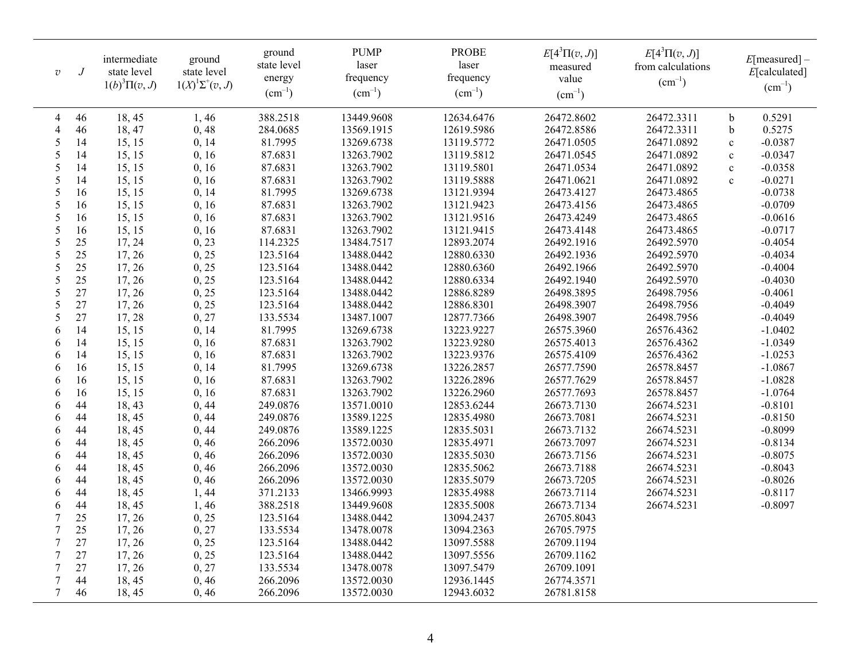| $\mho$          | $\boldsymbol{J}$ | intermediate<br>state level<br>$1(b)^3\Pi(v, J)$ | ground<br>state level<br>$1(X)^{1}\Sigma^{+}(v, J)$ | ground<br>state level<br>energy<br>$(cm^{-1})$ | <b>PUMP</b><br>laser<br>frequency<br>$(cm^{-1})$ | <b>PROBE</b><br>laser<br>frequency<br>$\text{(cm}^{-1})$ | $E[4^3\Pi(v,J)]$<br>measured<br>value<br>$(cm^{-1})$ | $E[4^3\Pi(v,J)]$<br>from calculations<br>$(cm^{-1})$ |              | E[measured]<br>E[calculated]<br>$(cm^{-1})$ |
|-----------------|------------------|--------------------------------------------------|-----------------------------------------------------|------------------------------------------------|--------------------------------------------------|----------------------------------------------------------|------------------------------------------------------|------------------------------------------------------|--------------|---------------------------------------------|
| 4               | 46               | 18,45                                            | 1,46                                                | 388.2518                                       | 13449.9608                                       | 12634.6476                                               | 26472.8602                                           | 26472.3311                                           | b            | 0.5291                                      |
| $\overline{4}$  | 46               | 18, 47                                           | 0,48                                                | 284.0685                                       | 13569.1915                                       | 12619.5986                                               | 26472.8586                                           | 26472.3311                                           | $\mathbf b$  | 0.5275                                      |
| 5               | 14               | 15, 15                                           | 0, 14                                               | 81.7995                                        | 13269.6738                                       | 13119.5772                                               | 26471.0505                                           | 26471.0892                                           | $\mathbf c$  | $-0.0387$                                   |
| 5               | 14               | 15, 15                                           | 0, 16                                               | 87.6831                                        | 13263.7902                                       | 13119.5812                                               | 26471.0545                                           | 26471.0892                                           | $\mathbf c$  | $-0.0347$                                   |
| $\sqrt{5}$      | 14               | 15, 15                                           | 0, 16                                               | 87.6831                                        | 13263.7902                                       | 13119.5801                                               | 26471.0534                                           | 26471.0892                                           | $\mathbf{c}$ | $-0.0358$                                   |
| 5               | 14               | 15, 15                                           | 0, 16                                               | 87.6831                                        | 13263.7902                                       | 13119.5888                                               | 26471.0621                                           | 26471.0892                                           | $\mathbf{c}$ | $-0.0271$                                   |
| 5               | 16               | 15, 15                                           | 0, 14                                               | 81.7995                                        | 13269.6738                                       | 13121.9394                                               | 26473.4127                                           | 26473.4865                                           |              | $-0.0738$                                   |
| 5               | 16               | 15, 15                                           | 0, 16                                               | 87.6831                                        | 13263.7902                                       | 13121.9423                                               | 26473.4156                                           | 26473.4865                                           |              | $-0.0709$                                   |
| 5               | 16               | 15, 15                                           | 0, 16                                               | 87.6831                                        | 13263.7902                                       | 13121.9516                                               | 26473.4249                                           | 26473.4865                                           |              | $-0.0616$                                   |
| 5               | 16               | 15, 15                                           | 0, 16                                               | 87.6831                                        | 13263.7902                                       | 13121.9415                                               | 26473.4148                                           | 26473.4865                                           |              | $-0.0717$                                   |
| 5               | 25               | 17, 24                                           | 0, 23                                               | 114.2325                                       | 13484.7517                                       | 12893.2074                                               | 26492.1916                                           | 26492.5970                                           |              | $-0.4054$                                   |
| 5               | 25               | 17, 26                                           | 0, 25                                               | 123.5164                                       | 13488.0442                                       | 12880.6330                                               | 26492.1936                                           | 26492.5970                                           |              | $-0.4034$                                   |
| 5               | 25               | 17, 26                                           | 0, 25                                               | 123.5164                                       | 13488.0442                                       | 12880.6360                                               | 26492.1966                                           | 26492.5970                                           |              | $-0.4004$                                   |
| 5               | 25               | 17, 26                                           | 0, 25                                               | 123.5164                                       | 13488.0442                                       | 12880.6334                                               | 26492.1940                                           | 26492.5970                                           |              | $-0.4030$                                   |
| 5               | 27               | 17, 26                                           | 0, 25                                               | 123.5164                                       | 13488.0442                                       | 12886.8289                                               | 26498.3895                                           | 26498.7956                                           |              | $-0.4061$                                   |
| 5               | 27               | 17, 26                                           | 0, 25                                               | 123.5164                                       | 13488.0442                                       | 12886.8301                                               | 26498.3907                                           | 26498.7956                                           |              | $-0.4049$                                   |
| 5               | 27               | 17,28                                            | 0, 27                                               | 133.5534                                       | 13487.1007                                       | 12877.7366                                               | 26498.3907                                           | 26498.7956                                           |              | $-0.4049$                                   |
| 6               | 14               | 15, 15                                           | 0, 14                                               | 81.7995                                        | 13269.6738                                       | 13223.9227                                               | 26575.3960                                           | 26576.4362                                           |              | $-1.0402$                                   |
| 6               | 14               | 15, 15                                           | 0, 16                                               | 87.6831                                        | 13263.7902                                       | 13223.9280                                               | 26575.4013                                           | 26576.4362                                           |              | $-1.0349$                                   |
| 6               | 14               | 15, 15                                           | 0, 16                                               | 87.6831                                        | 13263.7902                                       | 13223.9376                                               | 26575.4109                                           | 26576.4362                                           |              | $-1.0253$                                   |
| 6               | 16               | 15, 15                                           | 0, 14                                               | 81.7995                                        | 13269.6738                                       | 13226.2857                                               | 26577.7590                                           | 26578.8457                                           |              | $-1.0867$                                   |
| 6               | 16               | 15, 15                                           | 0, 16                                               | 87.6831                                        | 13263.7902                                       | 13226.2896                                               | 26577.7629                                           | 26578.8457                                           |              | $-1.0828$                                   |
| 6               | 16               | 15, 15                                           | 0, 16                                               | 87.6831                                        | 13263.7902                                       | 13226.2960                                               | 26577.7693                                           | 26578.8457                                           |              | $-1.0764$                                   |
| 6               | 44               | 18,43                                            | 0, 44                                               | 249.0876                                       | 13571.0010                                       | 12853.6244                                               | 26673.7130                                           | 26674.5231                                           |              | $-0.8101$                                   |
| 6               | 44               | 18, 45                                           | 0, 44                                               | 249.0876                                       | 13589.1225                                       | 12835.4980                                               | 26673.7081                                           | 26674.5231                                           |              | $-0.8150$                                   |
| 6               | 44               | 18,45                                            | 0, 44                                               | 249.0876                                       | 13589.1225                                       | 12835.5031                                               | 26673.7132                                           | 26674.5231                                           |              | $-0.8099$                                   |
| 6               | 44               | 18,45                                            | 0, 46                                               | 266.2096                                       | 13572.0030                                       | 12835.4971                                               | 26673.7097                                           | 26674.5231                                           |              | $-0.8134$                                   |
| 6               | 44               | 18, 45                                           | 0, 46                                               | 266.2096                                       | 13572.0030                                       | 12835.5030                                               | 26673.7156                                           | 26674.5231                                           |              | $-0.8075$                                   |
| 6               | 44               | 18,45                                            | 0, 46                                               | 266.2096                                       | 13572.0030                                       | 12835.5062                                               | 26673.7188                                           | 26674.5231                                           |              | $-0.8043$                                   |
| 6               | 44               | 18,45                                            | 0, 46                                               | 266.2096                                       | 13572.0030                                       | 12835.5079                                               | 26673.7205                                           | 26674.5231                                           |              | $-0.8026$                                   |
| 6               | 44               | 18, 45                                           | 1,44                                                | 371.2133                                       | 13466.9993                                       | 12835.4988                                               | 26673.7114                                           | 26674.5231                                           |              | $-0.8117$                                   |
| 6               | 44               | 18,45                                            | 1,46                                                | 388.2518                                       | 13449.9608                                       | 12835.5008                                               | 26673.7134                                           | 26674.5231                                           |              | $-0.8097$                                   |
| 7               | 25               | 17, 26                                           | 0, 25                                               | 123.5164                                       | 13488.0442                                       | 13094.2437                                               | 26705.8043                                           |                                                      |              |                                             |
| $\overline{7}$  | 25               | 17, 26                                           | 0, 27                                               | 133.5534                                       | 13478.0078                                       | 13094.2363                                               | 26705.7975                                           |                                                      |              |                                             |
| 7               | 27               | 17, 26                                           | 0, 25                                               | 123.5164                                       | 13488.0442                                       | 13097.5588                                               | 26709.1194                                           |                                                      |              |                                             |
| $7\phantom{.0}$ | 27               | 17, 26                                           | 0, 25                                               | 123.5164                                       | 13488.0442                                       | 13097.5556                                               | 26709.1162                                           |                                                      |              |                                             |
| $\overline{7}$  | 27               | 17, 26                                           | 0, 27                                               | 133.5534                                       | 13478.0078                                       | 13097.5479                                               | 26709.1091                                           |                                                      |              |                                             |
| $\tau$          | 44               | 18, 45                                           | 0, 46                                               | 266.2096                                       | 13572.0030                                       | 12936.1445                                               | 26774.3571                                           |                                                      |              |                                             |
| 7               | 46               | 18, 45                                           | 0, 46                                               | 266.2096                                       | 13572.0030                                       | 12943.6032                                               | 26781.8158                                           |                                                      |              |                                             |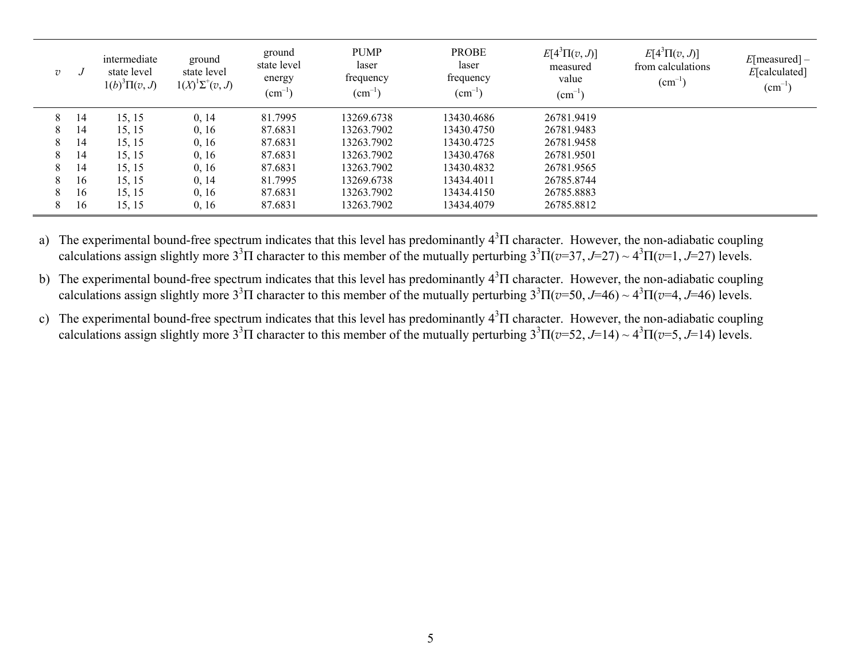| $\overline{v}$ |    | intermediate<br>state level<br>$1(b)^3\Pi(v, J)$ | ground<br>state level<br>$1(X)^{1}\Sigma^{+}(v, J)$ | ground<br>state level<br>energy<br>$\rm (cm^{-1})$ | <b>PUMP</b><br>laser<br>frequency<br>$\text{cm}^{-1}$ | <b>PROBE</b><br>laser<br>frequency<br>$\text{(cm}^{-1})$ | $E[4^3\Pi(v,J)]$<br>measured<br>value<br>$(cm^{-1})$ | $E[4^3\Pi(v,J)]$<br>from calculations<br>$\rm (cm^{-1}$ | E[measured]<br>E[calculated]<br>$\text{cm}^{-1}$ |
|----------------|----|--------------------------------------------------|-----------------------------------------------------|----------------------------------------------------|-------------------------------------------------------|----------------------------------------------------------|------------------------------------------------------|---------------------------------------------------------|--------------------------------------------------|
| 8              | 14 | 15, 15                                           | 0, 14                                               | 81.7995                                            | 13269.6738                                            | 13430.4686                                               | 26781.9419                                           |                                                         |                                                  |
| 8              | 14 | 15, 15                                           | 0, 16                                               | 87.6831                                            | 13263.7902                                            | 13430.4750                                               | 26781.9483                                           |                                                         |                                                  |
| 8              | 14 | 15, 15                                           | 0, 16                                               | 87.6831                                            | 13263.7902                                            | 13430.4725                                               | 26781.9458                                           |                                                         |                                                  |
| 8              | 14 | 15, 15                                           | 0, 16                                               | 87.6831                                            | 13263.7902                                            | 13430.4768                                               | 26781.9501                                           |                                                         |                                                  |
| 8              | 14 | 15, 15                                           | 0, 16                                               | 87.6831                                            | 13263.7902                                            | 13430.4832                                               | 26781.9565                                           |                                                         |                                                  |
| 8              | 16 | 15, 15                                           | 0, 14                                               | 81.7995                                            | 13269.6738                                            | 13434.4011                                               | 26785.8744                                           |                                                         |                                                  |
| 8              | 16 | 15, 15                                           | 0, 16                                               | 87.6831                                            | 13263.7902                                            | 13434.4150                                               | 26785.8883                                           |                                                         |                                                  |
| 8              | 16 | 15, 15                                           | 0, 16                                               | 87.6831                                            | 13263.7902                                            | 13434.4079                                               | 26785.8812                                           |                                                         |                                                  |

a) The experimental bound-free spectrum indicates that this level has predominantly  $4<sup>3</sup>\Pi$  character. However, the non-adiabatic coupling calculations assign slightly more  $3^{3}\Pi$  character to this member of the mutually perturbing  $3^{3}\Pi(v=37, J=27) \sim 4^{3}\Pi(v=1, J=27)$  levels.

b) The experimental bound-free spectrum indicates that this level has predominantly 4<sup>3</sup>Π character. However, the non-adiabatic coupling calculations assign slightly more  $3^{3}$ Π character to this member of the mutually perturbing  $3^{3}$ Π( $v=50$ ,  $J=46$ )  $\sim 4^{3}$ Π( $v=4$ ,  $J=46$ ) levels.

c) The experimental bound-free spectrum indicates that this level has predominantly  $4<sup>3</sup>\Pi$  character. However, the non-adiabatic coupling calculations assign slightly more  $3^{3}$ Π character to this member of the mutually perturbing  $3^{3}$ Π(*v*=52, *J*=14) ~  $4^{3}$ Π(*v*=5, *J*=14) levels.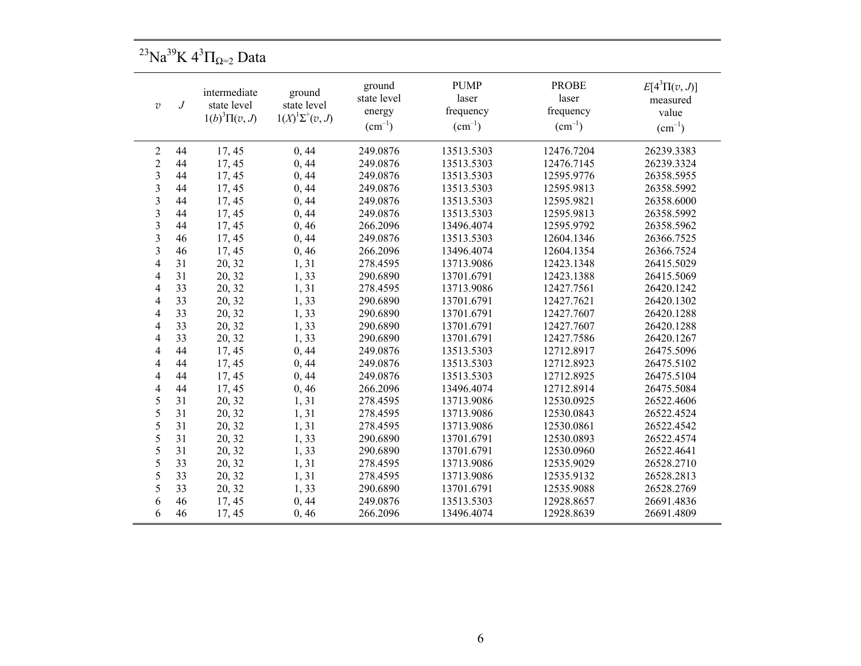<sup>23</sup>Na<sup>39</sup>K 4<sup>3</sup> $\Pi$ <sub>Ω=2</sub> Data

| $\overline{v}$          | intermediate<br>state level<br>$\boldsymbol{J}$<br>$1(b)^3\Pi(v, J)$ |        | ground<br>state level<br>$1(X)^{1}\Sigma^{+}(v, J)$ | ground<br>state level<br>energy<br>$(cm^{-1})$ | <b>PUMP</b><br>laser<br>frequency<br>$(cm^{-1})$ | <b>PROBE</b><br>laser<br>frequency<br>$(cm^{-1})$ | $E[4^3\Pi(v,J)]$<br>measured<br>value<br>$(cm^{-1})$ |
|-------------------------|----------------------------------------------------------------------|--------|-----------------------------------------------------|------------------------------------------------|--------------------------------------------------|---------------------------------------------------|------------------------------------------------------|
| $\overline{2}$          | 44                                                                   | 17, 45 | 0, 44                                               | 249.0876                                       | 13513.5303                                       | 12476.7204                                        | 26239.3383                                           |
| $\overline{c}$          | 44                                                                   | 17, 45 | 0, 44                                               | 249.0876                                       | 13513.5303                                       | 12476.7145                                        | 26239.3324                                           |
| 3                       | 44                                                                   | 17, 45 | 0, 44                                               | 249.0876                                       | 13513.5303                                       | 12595.9776                                        | 26358.5955                                           |
| 3                       | 44                                                                   | 17, 45 | 0, 44                                               | 249.0876                                       | 13513.5303                                       | 12595.9813                                        | 26358.5992                                           |
| 3                       | 44                                                                   | 17, 45 | 0, 44                                               | 249.0876                                       | 13513.5303                                       | 12595.9821                                        | 26358.6000                                           |
| 3                       | 44                                                                   | 17, 45 | 0, 44                                               | 249.0876                                       | 13513.5303                                       | 12595.9813                                        | 26358.5992                                           |
| $\overline{\mathbf{3}}$ | 44                                                                   | 17, 45 | 0, 46                                               | 266.2096                                       | 13496.4074                                       | 12595.9792                                        | 26358.5962                                           |
| $\overline{3}$          | 46                                                                   | 17, 45 | 0,44                                                | 249.0876                                       | 13513.5303                                       | 12604.1346                                        | 26366.7525                                           |
| 3                       | 46                                                                   | 17, 45 | 0, 46                                               | 266.2096                                       | 13496.4074                                       | 12604.1354                                        | 26366.7524                                           |
| $\overline{4}$          | 31                                                                   | 20, 32 | 1,31                                                | 278.4595                                       | 13713.9086                                       | 12423.1348                                        | 26415.5029                                           |
| $\overline{4}$          | 31                                                                   | 20, 32 | 1,33                                                | 290.6890                                       | 13701.6791                                       | 12423.1388                                        | 26415.5069                                           |
| 4                       | 33                                                                   | 20, 32 | 1,31                                                | 278.4595                                       | 13713.9086                                       | 12427.7561                                        | 26420.1242                                           |
| 4                       | 33                                                                   | 20, 32 | 1,33                                                | 290.6890                                       | 13701.6791                                       | 12427.7621                                        | 26420.1302                                           |
| $\overline{4}$          | 33                                                                   | 20, 32 | 1,33                                                | 290.6890                                       | 13701.6791                                       | 12427.7607                                        | 26420.1288                                           |
| $\overline{4}$          | 33                                                                   | 20, 32 | 1,33                                                | 290.6890                                       | 13701.6791                                       | 12427.7607                                        | 26420.1288                                           |
| 4                       | 33                                                                   | 20, 32 | 1,33                                                | 290.6890                                       | 13701.6791                                       | 12427.7586                                        | 26420.1267                                           |
| 4                       | 44                                                                   | 17, 45 | 0, 44                                               | 249.0876                                       | 13513.5303                                       | 12712.8917                                        | 26475.5096                                           |
| 4                       | 44                                                                   | 17, 45 | 0, 44                                               | 249.0876                                       | 13513.5303                                       | 12712.8923                                        | 26475.5102                                           |
| 4                       | 44                                                                   | 17, 45 | 0,44                                                | 249.0876                                       | 13513.5303                                       | 12712.8925                                        | 26475.5104                                           |
| $\overline{4}$          | 44                                                                   | 17, 45 | 0, 46                                               | 266.2096                                       | 13496.4074                                       | 12712.8914                                        | 26475.5084                                           |
| 5                       | 31                                                                   | 20, 32 | 1,31                                                | 278.4595                                       | 13713.9086                                       | 12530.0925                                        | 26522.4606                                           |
| 5                       | 31                                                                   | 20, 32 | 1,31                                                | 278.4595                                       | 13713.9086                                       | 12530.0843                                        | 26522.4524                                           |
| 5                       | 31                                                                   | 20, 32 | 1,31                                                | 278.4595                                       | 13713.9086                                       | 12530.0861                                        | 26522.4542                                           |
| 5                       | 31                                                                   | 20, 32 | 1,33                                                | 290.6890                                       | 13701.6791                                       | 12530.0893                                        | 26522.4574                                           |
| 5                       | 31                                                                   | 20, 32 | 1,33                                                | 290.6890                                       | 13701.6791                                       | 12530.0960                                        | 26522.4641                                           |
| 5                       | 33                                                                   | 20, 32 | 1,31                                                | 278.4595                                       | 13713.9086                                       | 12535.9029                                        | 26528.2710                                           |
| 5                       | 33                                                                   | 20, 32 | 1,31                                                | 278.4595                                       | 13713.9086                                       | 12535.9132                                        | 26528.2813                                           |
| 5                       | 33                                                                   | 20, 32 | 1,33                                                | 290.6890                                       | 13701.6791                                       | 12535.9088                                        | 26528.2769                                           |
| 6                       | 46                                                                   | 17, 45 | 0, 44                                               | 249.0876                                       | 13513.5303                                       | 12928.8657                                        | 26691.4836                                           |
| 6                       | 46                                                                   | 17, 45 | 0, 46                                               | 266.2096                                       | 13496.4074                                       | 12928.8639                                        | 26691.4809                                           |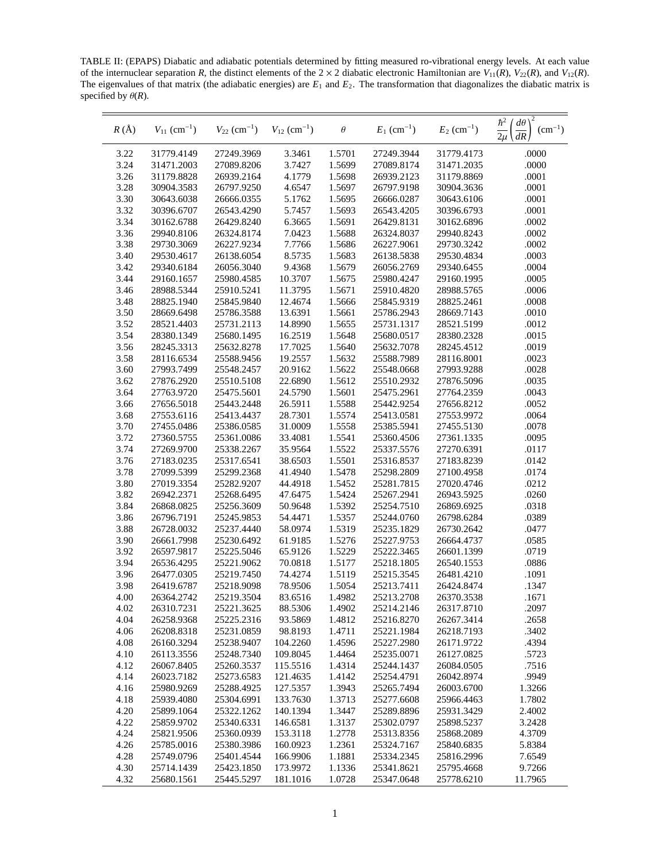TABLE II: (EPAPS) Diabatic and adiabatic potentials determined by fitting measured ro-vibrational energy levels. At each value of the internuclear separation *R*, the distinct elements of the  $2 \times 2$  diabatic electronic Hamiltonian are  $V_{11}(R)$ ,  $V_{22}(R)$ , and  $V_{12}(R)$ . The eigenvalues of that matrix (the adiabatic energies) are *E*<sup>1</sup> and *E*2. The transformation that diagonalizes the diabatic matrix is specified by  $\theta(R)$ .

| $R(\AA)$     | $V_{11}$ (cm <sup>-1</sup> ) | $V_{22}$ (cm <sup>-1</sup> ) | $V_{12}$ (cm <sup>-1</sup> ) | $\theta$         | $E_1$ (cm <sup>-1</sup> ) | $E_2$ (cm <sup>-1</sup> ) | $\hbar^2$<br>$d\theta$<br>$(cm^{-1})$<br>$\overline{2\mu}$<br>dR |
|--------------|------------------------------|------------------------------|------------------------------|------------------|---------------------------|---------------------------|------------------------------------------------------------------|
| 3.22         | 31779.4149                   | 27249.3969                   | 3.3461                       | 1.5701           | 27249.3944                | 31779.4173                | .0000                                                            |
| 3.24         | 31471.2003                   | 27089.8206                   | 3.7427                       | 1.5699           | 27089.8174                | 31471.2035                | .0000                                                            |
| 3.26         | 31179.8828                   | 26939.2164                   | 4.1779                       | 1.5698           | 26939.2123                | 31179.8869                | .0001                                                            |
| 3.28         | 30904.3583                   | 26797.9250                   | 4.6547                       | 1.5697           | 26797.9198                | 30904.3636                | .0001                                                            |
| 3.30         | 30643.6038                   | 26666.0355                   | 5.1762                       | 1.5695           | 26666.0287                | 30643.6106                | .0001                                                            |
| 3.32         | 30396.6707                   | 26543.4290                   | 5.7457                       | 1.5693           | 26543.4205                | 30396.6793                | .0001                                                            |
| 3.34         | 30162.6788                   | 26429.8240                   | 6.3665                       | 1.5691           | 26429.8131                | 30162.6896                | .0002                                                            |
| 3.36         | 29940.8106                   | 26324.8174                   | 7.0423                       | 1.5688           | 26324.8037                | 29940.8243                | .0002                                                            |
| 3.38         | 29730.3069                   | 26227.9234                   | 7.7766                       | 1.5686           | 26227.9061                | 29730.3242                | .0002                                                            |
| 3.40         | 29530.4617                   | 26138.6054                   | 8.5735                       | 1.5683           | 26138.5838                | 29530.4834                | .0003                                                            |
| 3.42         | 29340.6184                   | 26056.3040                   | 9.4368                       | 1.5679           | 26056.2769                | 29340.6455                | .0004                                                            |
| 3.44         | 29160.1657                   | 25980.4585                   | 10.3707                      | 1.5675           | 25980.4247                | 29160.1995                | .0005                                                            |
| 3.46         | 28988.5344                   | 25910.5241                   | 11.3795                      | 1.5671           | 25910.4820                | 28988.5765                | .0006                                                            |
| 3.48         | 28825.1940                   | 25845.9840                   | 12.4674                      | 1.5666           | 25845.9319                | 28825.2461                | .0008                                                            |
| 3.50         | 28669.6498                   | 25786.3588                   | 13.6391                      | 1.5661           | 25786.2943                | 28669.7143                | .0010                                                            |
| 3.52         | 28521.4403                   | 25731.2113                   | 14.8990                      | 1.5655           | 25731.1317                | 28521.5199                | .0012                                                            |
| 3.54         | 28380.1349                   | 25680.1495                   | 16.2519                      | 1.5648           | 25680.0517                | 28380.2328                | .0015                                                            |
| 3.56         | 28245.3313                   | 25632.8278                   | 17.7025                      | 1.5640           | 25632.7078                | 28245.4512                | .0019                                                            |
| 3.58         | 28116.6534                   | 25588.9456                   | 19.2557                      | 1.5632           | 25588.7989                | 28116.8001                | .0023                                                            |
| 3.60         | 27993.7499                   | 25548.2457                   | 20.9162                      | 1.5622           | 25548.0668                | 27993.9288                | .0028                                                            |
| 3.62         | 27876.2920                   | 25510.5108                   | 22.6890                      | 1.5612           | 25510.2932                | 27876.5096                | .0035                                                            |
| 3.64         | 27763.9720                   | 25475.5601                   | 24.5790                      | 1.5601           | 25475.2961                | 27764.2359                | .0043                                                            |
| 3.66         | 27656.5018                   | 25443.2448                   | 26.5911                      | 1.5588           | 25442.9254                | 27656.8212                | .0052                                                            |
| 3.68         | 27553.6116                   | 25413.4437                   | 28.7301                      | 1.5574           | 25413.0581                | 27553.9972                | .0064                                                            |
| 3.70         | 27455.0486                   | 25386.0585                   | 31.0009                      | 1.5558           | 25385.5941                | 27455.5130                | .0078                                                            |
| 3.72         | 27360.5755                   | 25361.0086                   | 33.4081                      | 1.5541           | 25360.4506                | 27361.1335                | .0095                                                            |
| 3.74         | 27269.9700                   | 25338.2267                   | 35.9564                      | 1.5522           | 25337.5576                | 27270.6391                | .0117                                                            |
| 3.76         | 27183.0235                   | 25317.6541                   | 38.6503                      | 1.5501           | 25316.8537                | 27183.8239                | .0142                                                            |
| 3.78         | 27099.5399                   | 25299.2368                   | 41.4940                      | 1.5478           | 25298.2809                | 27100.4958                | .0174                                                            |
| 3.80         | 27019.3354                   | 25282.9207                   | 44.4918                      | 1.5452           | 25281.7815                | 27020.4746                | .0212                                                            |
| 3.82         | 26942.2371                   | 25268.6495                   | 47.6475                      | 1.5424           | 25267.2941                | 26943.5925                | .0260                                                            |
| 3.84         | 26868.0825                   | 25256.3609                   | 50.9648                      | 1.5392           | 25254.7510                | 26869.6925                | .0318                                                            |
| 3.86         | 26796.7191                   | 25245.9853                   | 54.4471                      | 1.5357           | 25244.0760                | 26798.6284                | .0389                                                            |
| 3.88         | 26728.0032                   | 25237.4440                   | 58.0974                      | 1.5319           | 25235.1829                | 26730.2642                | .0477                                                            |
| 3.90         | 26661.7998                   | 25230.6492                   | 61.9185                      | 1.5276           | 25227.9753                | 26664.4737                | .0585                                                            |
| 3.92         | 26597.9817                   | 25225.5046                   | 65.9126                      | 1.5229           | 25222.3465                | 26601.1399                | .0719                                                            |
| 3.94         | 26536.4295                   | 25221.9062                   | 70.0818                      | 1.5177           | 25218.1805                | 26540.1553                | .0886                                                            |
| 3.96<br>3.98 | 26477.0305                   | 25219.7450                   | 74.4274                      | 1.5119           | 25215.3545<br>25213.7411  | 26481.4210                | .1091                                                            |
| 4.00         | 26419.6787                   | 25218.9098<br>25219.3504     | 78.9506<br>83.6516           | 1.5054<br>1.4982 | 25213.2708                | 26424.8474<br>26370.3538  | .1347<br>.1671                                                   |
| 4.02         | 26364.2742                   | 25221.3625                   | 88.5306                      | 1.4902           |                           | 26317.8710                | .2097                                                            |
| 4.04         | 26310.7231<br>26258.9368     | 25225.2316                   | 93.5869                      | 1.4812           | 25214.2146<br>25216.8270  | 26267.3414                | .2658                                                            |
| 4.06         | 26208.8318                   | 25231.0859                   | 98.8193                      | 1.4711           | 25221.1984                | 26218.7193                | .3402                                                            |
| 4.08         | 26160.3294                   | 25238.9407                   | 104.2260                     | 1.4596           | 25227.2980                | 26171.9722                | .4394                                                            |
| 4.10         | 26113.3556                   | 25248.7340                   | 109.8045                     | 1.4464           | 25235.0071                | 26127.0825                | .5723                                                            |
| 4.12         | 26067.8405                   | 25260.3537                   | 115.5516                     | 1.4314           | 25244.1437                | 26084.0505                | .7516                                                            |
| 4.14         | 26023.7182                   | 25273.6583                   | 121.4635                     | 1.4142           | 25254.4791                | 26042.8974                | .9949                                                            |
| 4.16         | 25980.9269                   | 25288.4925                   | 127.5357                     | 1.3943           | 25265.7494                | 26003.6700                | 1.3266                                                           |
| 4.18         | 25939.4080                   | 25304.6991                   | 133.7630                     | 1.3713           | 25277.6608                | 25966.4463                | 1.7802                                                           |
| 4.20         | 25899.1064                   | 25322.1262                   | 140.1394                     | 1.3447           | 25289.8896                | 25931.3429                | 2.4002                                                           |
| 4.22         | 25859.9702                   | 25340.6331                   | 146.6581                     | 1.3137           | 25302.0797                | 25898.5237                | 3.2428                                                           |
| 4.24         | 25821.9506                   | 25360.0939                   | 153.3118                     | 1.2778           | 25313.8356                | 25868.2089                | 4.3709                                                           |
| 4.26         | 25785.0016                   | 25380.3986                   | 160.0923                     | 1.2361           | 25324.7167                | 25840.6835                | 5.8384                                                           |
| 4.28         | 25749.0796                   | 25401.4544                   | 166.9906                     | 1.1881           | 25334.2345                | 25816.2996                | 7.6549                                                           |
| 4.30         | 25714.1439                   | 25423.1850                   | 173.9972                     | 1.1336           | 25341.8621                | 25795.4668                | 9.7266                                                           |
| 4.32         | 25680.1561                   | 25445.5297                   | 181.1016                     | 1.0728           | 25347.0648                | 25778.6210                | 11.7965                                                          |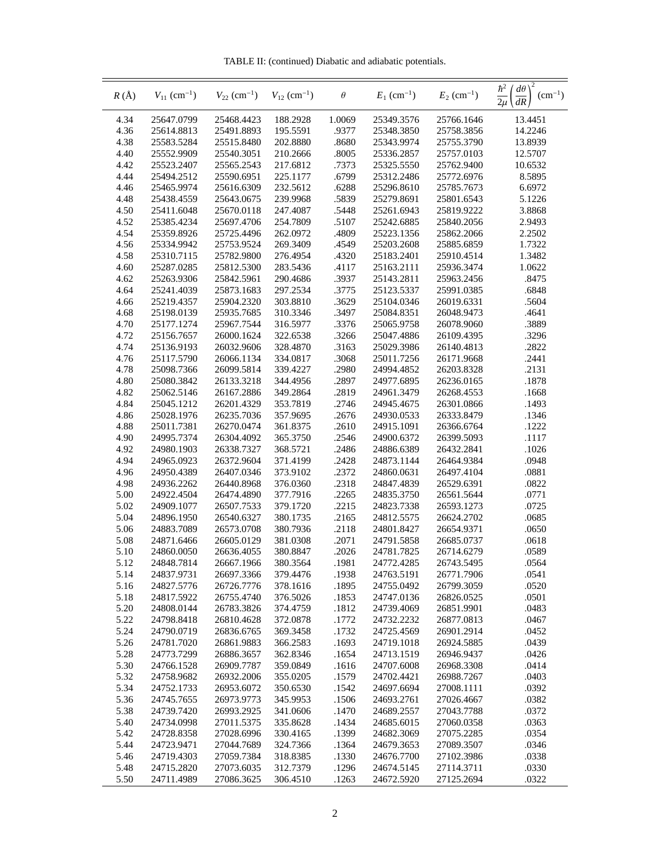TABLE II: (continued) Diabatic and adiabatic potentials.

| $R(\AA)$     | $V_{11}$ (cm <sup>-1</sup> ) | $V_{22}$ (cm <sup>-1</sup> ) | $V_{12}$ (cm <sup>-1</sup> ) | $\theta$       | $E_1$ (cm <sup>-1</sup> ) | $E_2$ (cm <sup>-1</sup> ) | $\hbar^2$<br>$d\theta$<br>$(cm^{-1})$<br>dR |
|--------------|------------------------------|------------------------------|------------------------------|----------------|---------------------------|---------------------------|---------------------------------------------|
| 4.34         | 25647.0799                   | 25468.4423                   | 188.2928                     | 1.0069         | 25349.3576                | 25766.1646                | 13.4451                                     |
| 4.36         | 25614.8813                   | 25491.8893                   | 195.5591                     | .9377          | 25348.3850                | 25758.3856                | 14.2246                                     |
| 4.38         | 25583.5284                   | 25515.8480                   | 202.8880                     | .8680          | 25343.9974                | 25755.3790                | 13.8939                                     |
| 4.40         | 25552.9909                   | 25540.3051                   | 210.2666                     | .8005          | 25336.2857                | 25757.0103                | 12.5707                                     |
| 4.42         | 25523.2407                   | 25565.2543                   | 217.6812                     | .7373          | 25325.5550                | 25762.9400                | 10.6532                                     |
| 4.44         | 25494.2512                   | 25590.6951                   | 225.1177                     | .6799          | 25312.2486                | 25772.6976                | 8.5895                                      |
| 4.46         | 25465.9974                   | 25616.6309                   | 232.5612                     | .6288          | 25296.8610                | 25785.7673                | 6.6972                                      |
| 4.48         | 25438.4559                   | 25643.0675                   | 239.9968                     | .5839          | 25279.8691                | 25801.6543                | 5.1226                                      |
| 4.50         | 25411.6048                   | 25670.0118                   | 247.4087                     | .5448          | 25261.6943                | 25819.9222                | 3.8868                                      |
| 4.52         | 25385.4234                   | 25697.4706                   | 254.7809                     | .5107          | 25242.6885                | 25840.2056                | 2.9493                                      |
| 4.54         | 25359.8926                   | 25725.4496                   | 262.0972                     | .4809          | 25223.1356                | 25862.2066                | 2.2502                                      |
| 4.56         | 25334.9942                   | 25753.9524                   | 269.3409                     | .4549          | 25203.2608                | 25885.6859                | 1.7322                                      |
| 4.58         | 25310.7115                   | 25782.9800                   | 276.4954                     | .4320          | 25183.2401                | 25910.4514                | 1.3482                                      |
| 4.60         | 25287.0285                   | 25812.5300                   | 283.5436                     | .4117          | 25163.2111                | 25936.3474                | 1.0622                                      |
| 4.62         | 25263.9306                   | 25842.5961                   | 290.4686                     | .3937          | 25143.2811                | 25963.2456                | .8475                                       |
| 4.64         | 25241.4039                   | 25873.1683                   | 297.2534                     | .3775          | 25123.5337                | 25991.0385                | .6848                                       |
| 4.66         | 25219.4357                   | 25904.2320                   | 303.8810                     | .3629          | 25104.0346                | 26019.6331                | .5604                                       |
| 4.68         | 25198.0139                   | 25935.7685                   | 310.3346                     | .3497          | 25084.8351                | 26048.9473                | .4641                                       |
| 4.70         | 25177.1274                   | 25967.7544                   | 316.5977                     | .3376          | 25065.9758                | 26078.9060                | .3889                                       |
| 4.72         | 25156.7657                   | 26000.1624                   | 322.6538                     | .3266          | 25047.4886                | 26109.4395                | .3296                                       |
| 4.74         | 25136.9193                   | 26032.9606                   | 328.4870                     | .3163          | 25029.3986                | 26140.4813                | .2822                                       |
| 4.76         | 25117.5790                   | 26066.1134                   | 334.0817                     | .3068          | 25011.7256                | 26171.9668                | .2441                                       |
| 4.78         | 25098.7366                   | 26099.5814                   | 339.4227                     | .2980          | 24994.4852                | 26203.8328                | .2131                                       |
| 4.80         | 25080.3842                   | 26133.3218                   | 344.4956                     | .2897          | 24977.6895                | 26236.0165                | .1878                                       |
| 4.82         | 25062.5146                   | 26167.2886                   | 349.2864                     | .2819          | 24961.3479                | 26268.4553                | .1668                                       |
| 4.84         | 25045.1212                   | 26201.4329                   | 353.7819                     | .2746          | 24945.4675                | 26301.0866                | .1493                                       |
| 4.86         | 25028.1976                   | 26235.7036                   | 357.9695                     | .2676          | 24930.0533                | 26333.8479                | .1346                                       |
| 4.88         | 25011.7381                   | 26270.0474                   | 361.8375                     | .2610          | 24915.1091                | 26366.6764                | .1222                                       |
| 4.90         | 24995.7374                   | 26304.4092                   | 365.3750                     | .2546          | 24900.6372                | 26399.5093                | .1117                                       |
| 4.92<br>4.94 | 24980.1903<br>24965.0923     | 26338.7327<br>26372.9604     | 368.5721<br>371.4199         | .2486<br>.2428 | 24886.6389<br>24873.1144  | 26432.2841<br>26464.9384  | .1026<br>.0948                              |
| 4.96         | 24950.4389                   | 26407.0346                   | 373.9102                     | .2372          | 24860.0631                | 26497.4104                | .0881                                       |
| 4.98         | 24936.2262                   | 26440.8968                   | 376.0360                     | .2318          | 24847.4839                | 26529.6391                | .0822                                       |
| 5.00         | 24922.4504                   | 26474.4890                   | 377.7916                     | .2265          | 24835.3750                | 26561.5644                | .0771                                       |
| 5.02         | 24909.1077                   | 26507.7533                   | 379.1720                     | .2215          | 24823.7338                | 26593.1273                | .0725                                       |
| 5.04         | 24896.1950                   | 26540.6327                   | 380.1735                     | .2165          | 24812.5575                | 26624.2702                | .0685                                       |
| 5.06         | 24883.7089                   | 26573.0708                   | 380.7936                     | .2118          | 24801.8427                | 26654.9371                | .0650                                       |
| 5.08         | 24871.6466                   | 26605.0129                   | 381.0308                     | .2071          | 24791.5858                | 26685.0737                | .0618                                       |
| 5.10         | 24860.0050                   | 26636.4055                   | 380.8847                     | .2026          | 24781.7825                | 26714.6279                | .0589                                       |
| 5.12         | 24848.7814                   | 26667.1966                   | 380.3564                     | .1981          | 24772.4285                | 26743.5495                | .0564                                       |
| 5.14         | 24837.9731                   | 26697.3366                   | 379.4476                     | .1938          | 24763.5191                | 26771.7906                | .0541                                       |
| 5.16         | 24827.5776                   | 26726.7776                   | 378.1616                     | .1895          | 24755.0492                | 26799.3059                | .0520                                       |
| 5.18         | 24817.5922                   | 26755.4740                   | 376.5026                     | .1853          | 24747.0136                | 26826.0525                | .0501                                       |
| 5.20         | 24808.0144                   | 26783.3826                   | 374.4759                     | .1812          | 24739.4069                | 26851.9901                | .0483                                       |
| 5.22         | 24798.8418                   | 26810.4628                   | 372.0878                     | .1772          | 24732.2232                | 26877.0813                | .0467                                       |
| 5.24         | 24790.0719                   | 26836.6765                   | 369.3458                     | .1732          | 24725.4569                | 26901.2914                | .0452                                       |
| 5.26         | 24781.7020                   | 26861.9883                   | 366.2583                     | .1693          | 24719.1018                | 26924.5885                | .0439                                       |
| 5.28         | 24773.7299                   | 26886.3657                   | 362.8346                     | .1654          | 24713.1519                | 26946.9437                | .0426                                       |
| 5.30         | 24766.1528                   | 26909.7787                   | 359.0849                     | .1616          | 24707.6008                | 26968.3308                | .0414                                       |
| 5.32         | 24758.9682                   | 26932.2006                   | 355.0205                     | .1579          | 24702.4421                | 26988.7267                | .0403                                       |
| 5.34         | 24752.1733                   | 26953.6072                   | 350.6530                     | .1542          | 24697.6694                | 27008.1111                | .0392                                       |
| 5.36         | 24745.7655                   | 26973.9773                   | 345.9953                     | .1506          | 24693.2761                | 27026.4667                | .0382                                       |
| 5.38         | 24739.7420                   | 26993.2925                   | 341.0606                     | .1470          | 24689.2557                | 27043.7788                | .0372                                       |
| 5.40         | 24734.0998                   | 27011.5375                   | 335.8628                     | .1434          | 24685.6015                | 27060.0358                | .0363                                       |
| 5.42         | 24728.8358                   | 27028.6996                   | 330.4165                     | .1399          | 24682.3069                | 27075.2285                | .0354                                       |
| 5.44         | 24723.9471                   | 27044.7689                   | 324.7366                     | .1364          | 24679.3653                | 27089.3507                | .0346                                       |
| 5.46         | 24719.4303                   | 27059.7384                   | 318.8385                     | .1330          | 24676.7700                | 27102.3986                | .0338                                       |
| 5.48         | 24715.2820                   | 27073.6035                   | 312.7379                     | .1296          | 24674.5145                | 27114.3711                | .0330                                       |
| 5.50         | 24711.4989                   | 27086.3625                   | 306.4510                     | .1263          | 24672.5920                | 27125.2694                | .0322                                       |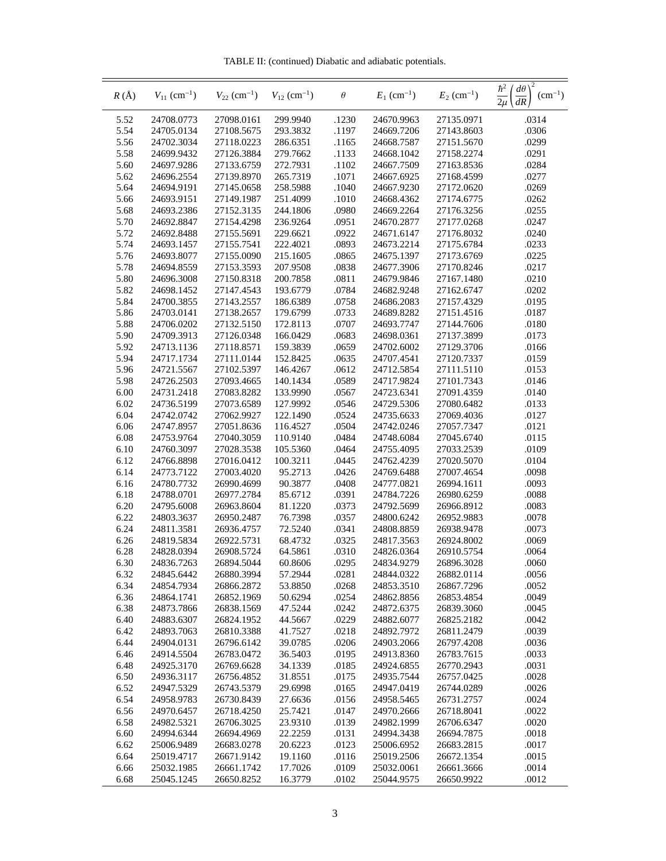TABLE II: (continued) Diabatic and adiabatic potentials.

| $R(\AA)$     | $V_{11}$ (cm <sup>-1</sup> ) | $V_{22}$ (cm <sup>-1</sup> ) | $V_{12}$ (cm <sup>-1</sup> ) | $\theta$       | $E_1$ (cm <sup>-1</sup> ) | $E_2$ (cm <sup>-1</sup> ) | 2<br>$\frac{\hbar^2}{2\mu}$<br>$'d\theta$<br>$(cm^{-1})$ |
|--------------|------------------------------|------------------------------|------------------------------|----------------|---------------------------|---------------------------|----------------------------------------------------------|
| 5.52         | 24708.0773                   | 27098.0161                   | 299.9940                     | .1230          | 24670.9963                | 27135.0971                | .0314                                                    |
| 5.54         | 24705.0134                   | 27108.5675                   | 293.3832                     | .1197          | 24669.7206                | 27143.8603                | .0306                                                    |
| 5.56         | 24702.3034                   | 27118.0223                   | 286.6351                     | .1165          | 24668.7587                | 27151.5670                | .0299                                                    |
| 5.58         | 24699.9432                   | 27126.3884                   | 279.7662                     | .1133          | 24668.1042                | 27158.2274                | .0291                                                    |
| 5.60         | 24697.9286                   | 27133.6759                   | 272.7931                     | .1102          | 24667.7509                | 27163.8536                | .0284                                                    |
| 5.62         | 24696.2554                   | 27139.8970                   | 265.7319                     | .1071          | 24667.6925                | 27168.4599                | .0277                                                    |
| 5.64         | 24694.9191                   | 27145.0658                   | 258.5988                     | .1040          | 24667.9230                | 27172.0620                | .0269                                                    |
| 5.66         | 24693.9151                   | 27149.1987                   | 251.4099                     | .1010          | 24668.4362                | 27174.6775                | .0262                                                    |
| 5.68         | 24693.2386                   | 27152.3135                   | 244.1806                     | .0980          | 24669.2264                | 27176.3256                | .0255                                                    |
| 5.70         | 24692.8847                   | 27154.4298                   | 236.9264                     | .0951          | 24670.2877                | 27177.0268                | .0247                                                    |
| 5.72         | 24692.8488                   | 27155.5691                   | 229.6621                     | .0922          | 24671.6147                | 27176.8032                | .0240                                                    |
| 5.74         | 24693.1457                   | 27155.7541                   | 222.4021                     | .0893          | 24673.2214                | 27175.6784                | .0233                                                    |
| 5.76         | 24693.8077                   | 27155.0090                   | 215.1605                     | .0865          | 24675.1397                | 27173.6769                | .0225                                                    |
| 5.78         | 24694.8559                   | 27153.3593                   | 207.9508                     | .0838          | 24677.3906                | 27170.8246                | .0217                                                    |
| 5.80         | 24696.3008                   | 27150.8318                   | 200.7858                     | .0811          | 24679.9846                | 27167.1480                | .0210                                                    |
| 5.82         | 24698.1452                   | 27147.4543                   | 193.6779                     | .0784          | 24682.9248                | 27162.6747                | .0202                                                    |
| 5.84         | 24700.3855                   | 27143.2557                   | 186.6389                     | .0758          | 24686.2083                | 27157.4329                | .0195                                                    |
| 5.86         | 24703.0141                   | 27138.2657                   | 179.6799                     | .0733          | 24689.8282                | 27151.4516                | .0187                                                    |
| 5.88         | 24706.0202                   | 27132.5150                   | 172.8113                     | .0707          | 24693.7747                | 27144.7606                | .0180                                                    |
| 5.90         | 24709.3913                   | 27126.0348                   | 166.0429                     | .0683          | 24698.0361                | 27137.3899                | .0173                                                    |
| 5.92         | 24713.1136                   | 27118.8571                   | 159.3839                     | .0659          | 24702.6002                | 27129.3706                | .0166                                                    |
| 5.94         | 24717.1734                   | 27111.0144                   | 152.8425                     | .0635          | 24707.4541                | 27120.7337                | .0159                                                    |
| 5.96         | 24721.5567                   | 27102.5397                   | 146.4267                     | .0612          | 24712.5854                | 27111.5110                | .0153                                                    |
| 5.98         | 24726.2503                   | 27093.4665                   | 140.1434                     | .0589          | 24717.9824                | 27101.7343                | .0146                                                    |
| 6.00         | 24731.2418                   | 27083.8282                   | 133.9990                     | .0567          | 24723.6341                | 27091.4359                | .0140                                                    |
| 6.02         | 24736.5199                   | 27073.6589                   | 127.9992                     | .0546          | 24729.5306                | 27080.6482                | .0133                                                    |
| 6.04         | 24742.0742                   | 27062.9927                   | 122.1490                     | .0524          | 24735.6633                | 27069.4036                | .0127                                                    |
| 6.06         | 24747.8957                   | 27051.8636                   | 116.4527                     | .0504          | 24742.0246                | 27057.7347                | .0121                                                    |
| 6.08         | 24753.9764                   | 27040.3059                   | 110.9140                     | .0484          | 24748.6084                | 27045.6740                | .0115                                                    |
| 6.10         | 24760.3097                   | 27028.3538                   | 105.5360                     | .0464          | 24755.4095                | 27033.2539                | .0109                                                    |
| 6.12         | 24766.8898                   | 27016.0412                   | 100.3211<br>95.2713          | .0445          | 24762.4239                | 27020.5070                | .0104                                                    |
| 6.14<br>6.16 | 24773.7122<br>24780.7732     | 27003.4020<br>26990.4699     | 90.3877                      | .0426<br>.0408 | 24769.6488<br>24777.0821  | 27007.4654<br>26994.1611  | .0098<br>.0093                                           |
| 6.18         | 24788.0701                   | 26977.2784                   | 85.6712                      | .0391          | 24784.7226                | 26980.6259                | .0088                                                    |
| 6.20         | 24795.6008                   | 26963.8604                   | 81.1220                      | .0373          | 24792.5699                | 26966.8912                | .0083                                                    |
| 6.22         | 24803.3637                   | 26950.2487                   | 76.7398                      | .0357          | 24800.6242                | 26952.9883                | .0078                                                    |
| 6.24         | 24811.3581                   | 26936.4757                   | 72.5240                      | .0341          | 24808.8859                | 26938.9478                | .0073                                                    |
| 6.26         | 24819.5834                   | 26922.5731                   | 68.4732                      | .0325          | 24817.3563                | 26924.8002                | .0069                                                    |
| 6.28         | 24828.0394                   | 26908.5724                   | 64.5861                      | .0310          | 24826.0364                | 26910.5754                | .0064                                                    |
| 6.30         | 24836.7263                   | 26894.5044                   | 60.8606                      | .0295          | 24834.9279                | 26896.3028                | .0060                                                    |
| 6.32         | 24845.6442                   | 26880.3994                   | 57.2944                      | .0281          | 24844.0322                | 26882.0114                | .0056                                                    |
| 6.34         | 24854.7934                   | 26866.2872                   | 53.8850                      | .0268          | 24853.3510                | 26867.7296                | .0052                                                    |
| 6.36         | 24864.1741                   | 26852.1969                   | 50.6294                      | .0254          | 24862.8856                | 26853.4854                | .0049                                                    |
| 6.38         | 24873.7866                   | 26838.1569                   | 47.5244                      | .0242          | 24872.6375                | 26839.3060                | .0045                                                    |
| 6.40         | 24883.6307                   | 26824.1952                   | 44.5667                      | .0229          | 24882.6077                | 26825.2182                | .0042                                                    |
| 6.42         | 24893.7063                   | 26810.3388                   | 41.7527                      | .0218          | 24892.7972                | 26811.2479                | .0039                                                    |
| 6.44         | 24904.0131                   | 26796.6142                   | 39.0785                      | .0206          | 24903.2066                | 26797.4208                | .0036                                                    |
| 6.46         | 24914.5504                   | 26783.0472                   | 36.5403                      | .0195          | 24913.8360                | 26783.7615                | .0033                                                    |
| 6.48         | 24925.3170                   | 26769.6628                   | 34.1339                      | .0185          | 24924.6855                | 26770.2943                | .0031                                                    |
| 6.50         | 24936.3117                   | 26756.4852                   | 31.8551                      | .0175          | 24935.7544                | 26757.0425                | .0028                                                    |
| 6.52         | 24947.5329                   | 26743.5379                   | 29.6998                      | .0165          | 24947.0419                | 26744.0289                | .0026                                                    |
| 6.54         | 24958.9783                   | 26730.8439                   | 27.6636                      | .0156          | 24958.5465                | 26731.2757                | .0024                                                    |
| 6.56         | 24970.6457                   | 26718.4250                   | 25.7421                      | .0147          | 24970.2666                | 26718.8041                | .0022                                                    |
| 6.58         | 24982.5321                   | 26706.3025                   | 23.9310                      | .0139          | 24982.1999                | 26706.6347                | .0020                                                    |
| 6.60         | 24994.6344                   | 26694.4969                   | 22.2259                      | .0131          | 24994.3438                | 26694.7875                | .0018                                                    |
| 6.62         | 25006.9489                   | 26683.0278                   | 20.6223                      | .0123          | 25006.6952                | 26683.2815                | .0017                                                    |
| 6.64         | 25019.4717                   | 26671.9142                   | 19.1160                      | .0116          | 25019.2506                | 26672.1354                | .0015                                                    |
| 6.66         | 25032.1985                   | 26661.1742                   | 17.7026                      | .0109          | 25032.0061                | 26661.3666                | .0014                                                    |
| 6.68         | 25045.1245                   | 26650.8252                   | 16.3779                      | .0102          | 25044.9575                | 26650.9922                | .0012                                                    |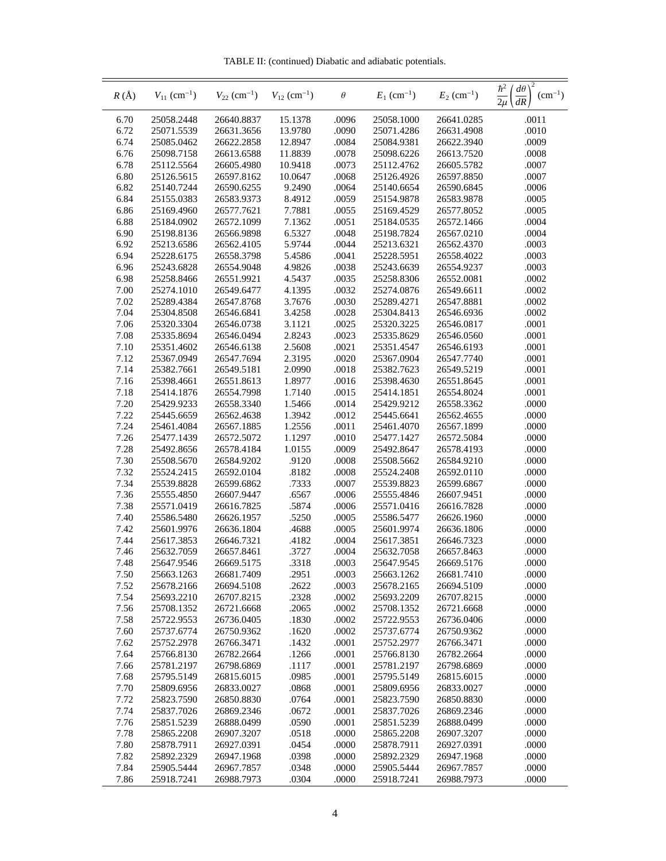TABLE II: (continued) Diabatic and adiabatic potentials.

| $R(\AA)$     | $V_{11}$ (cm <sup>-1</sup> ) | $V_{22}$ (cm <sup>-1</sup> ) | $V_{12}$ (cm <sup>-1</sup> ) | $\theta$       | $E_1$ (cm <sup>-1</sup> ) | $E_2$ (cm <sup>-1</sup> ) | $\frac{\hbar^2}{2\mu}$<br>$^{\prime}$ d $\theta$<br>$(cm^{-1})$<br>dR |
|--------------|------------------------------|------------------------------|------------------------------|----------------|---------------------------|---------------------------|-----------------------------------------------------------------------|
| 6.70         | 25058.2448                   | 26640.8837                   | 15.1378                      | .0096          | 25058.1000                | 26641.0285                | .0011                                                                 |
| 6.72         | 25071.5539                   | 26631.3656                   | 13.9780                      | .0090          | 25071.4286                | 26631.4908                | .0010                                                                 |
| 6.74         | 25085.0462                   | 26622.2858                   | 12.8947                      | .0084          | 25084.9381                | 26622.3940                | .0009                                                                 |
| 6.76         | 25098.7158                   | 26613.6588                   | 11.8839                      | .0078          | 25098.6226                | 26613.7520                | .0008                                                                 |
| 6.78         | 25112.5564                   | 26605.4980                   | 10.9418                      | .0073          | 25112.4762                | 26605.5782                | .0007                                                                 |
| 6.80         | 25126.5615                   | 26597.8162                   | 10.0647                      | .0068          | 25126.4926                | 26597.8850                | .0007                                                                 |
| 6.82         | 25140.7244                   | 26590.6255                   | 9.2490                       | .0064          | 25140.6654                | 26590.6845                | .0006                                                                 |
| 6.84         | 25155.0383                   | 26583.9373                   | 8.4912                       | .0059          | 25154.9878                | 26583.9878                | .0005                                                                 |
| 6.86         | 25169.4960                   | 26577.7621                   | 7.7881                       | .0055          | 25169.4529                | 26577.8052                | .0005                                                                 |
| 6.88         | 25184.0902                   | 26572.1099                   | 7.1362                       | .0051          | 25184.0535                | 26572.1466                | .0004                                                                 |
| 6.90         | 25198.8136                   | 26566.9898                   | 6.5327                       | .0048          | 25198.7824                | 26567.0210                | .0004                                                                 |
| 6.92         | 25213.6586                   | 26562.4105                   | 5.9744                       | .0044          | 25213.6321                | 26562.4370                | .0003                                                                 |
| 6.94         | 25228.6175                   | 26558.3798                   | 5.4586                       | .0041          | 25228.5951                | 26558.4022                | .0003                                                                 |
| 6.96         | 25243.6828                   | 26554.9048                   | 4.9826                       | .0038          | 25243.6639                | 26554.9237                | .0003                                                                 |
| 6.98         | 25258.8466                   | 26551.9921                   | 4.5437                       | .0035          | 25258.8306                | 26552.0081                | .0002                                                                 |
| 7.00         | 25274.1010                   | 26549.6477                   | 4.1395                       | .0032          | 25274.0876                | 26549.6611                | .0002                                                                 |
| 7.02         | 25289.4384                   | 26547.8768                   | 3.7676                       | .0030          | 25289.4271                | 26547.8881<br>26546.6936  | .0002                                                                 |
| 7.04         | 25304.8508<br>25320.3304     | 26546.6841<br>26546.0738     | 3.4258                       | .0028          | 25304.8413<br>25320.3225  | 26546.0817                | .0002                                                                 |
| 7.06<br>7.08 | 25335.8694                   | 26546.0494                   | 3.1121<br>2.8243             | .0025<br>.0023 | 25335.8629                | 26546.0560                | .0001<br>.0001                                                        |
| 7.10         | 25351.4602                   | 26546.6138                   | 2.5608                       | .0021          | 25351.4547                | 26546.6193                | .0001                                                                 |
| 7.12         | 25367.0949                   | 26547.7694                   | 2.3195                       | .0020          | 25367.0904                | 26547.7740                | .0001                                                                 |
| 7.14         | 25382.7661                   | 26549.5181                   | 2.0990                       | .0018          | 25382.7623                | 26549.5219                | .0001                                                                 |
| 7.16         | 25398.4661                   | 26551.8613                   | 1.8977                       | .0016          | 25398.4630                | 26551.8645                | .0001                                                                 |
| 7.18         | 25414.1876                   | 26554.7998                   | 1.7140                       | .0015          | 25414.1851                | 26554.8024                | .0001                                                                 |
| 7.20         | 25429.9233                   | 26558.3340                   | 1.5466                       | .0014          | 25429.9212                | 26558.3362                | .0000                                                                 |
| 7.22         | 25445.6659                   | 26562.4638                   | 1.3942                       | .0012          | 25445.6641                | 26562.4655                | .0000                                                                 |
| 7.24         | 25461.4084                   | 26567.1885                   | 1.2556                       | .0011          | 25461.4070                | 26567.1899                | .0000                                                                 |
| 7.26         | 25477.1439                   | 26572.5072                   | 1.1297                       | .0010          | 25477.1427                | 26572.5084                | .0000                                                                 |
| 7.28         | 25492.8656                   | 26578.4184                   | 1.0155                       | .0009          | 25492.8647                | 26578.4193                | .0000                                                                 |
| 7.30         | 25508.5670                   | 26584.9202                   | .9120                        | .0008          | 25508.5662                | 26584.9210                | .0000                                                                 |
| 7.32         | 25524.2415                   | 26592.0104                   | .8182                        | .0008          | 25524.2408                | 26592.0110                | .0000                                                                 |
| 7.34         | 25539.8828                   | 26599.6862                   | .7333                        | .0007          | 25539.8823                | 26599.6867                | .0000                                                                 |
| 7.36         | 25555.4850                   | 26607.9447                   | .6567                        | .0006          | 25555.4846                | 26607.9451                | .0000                                                                 |
| 7.38         | 25571.0419                   | 26616.7825                   | .5874                        | .0006          | 25571.0416                | 26616.7828                | .0000                                                                 |
| 7.40         | 25586.5480                   | 26626.1957                   | .5250                        | .0005          | 25586.5477                | 26626.1960                | .0000                                                                 |
| 7.42         | 25601.9976                   | 26636.1804                   | .4688                        | .0005          | 25601.9974                | 26636.1806                | .0000                                                                 |
| 7.44         | 25617.3853                   | 26646.7321                   | .4182                        | .0004          | 25617.3851                | 26646.7323                | .0000                                                                 |
| 7.46         | 25632.7059                   | 26657.8461                   | .3727                        | .0004          | 25632.7058                | 26657.8463                | .0000                                                                 |
| 7.48         | 25647.9546                   | 26669.5175                   | .3318                        | .0003          | 25647.9545                | 26669.5176                | .0000                                                                 |
| 7.50         | 25663.1263                   | 26681.7409                   | .2951                        | .0003          | 25663.1262                | 26681.7410                | .0000                                                                 |
| 7.52         | 25678.2166                   | 26694.5108                   | .2622                        | .0003          | 25678.2165                | 26694.5109                | .0000                                                                 |
| 7.54         | 25693.2210                   | 26707.8215                   | .2328                        | .0002          | 25693.2209                | 26707.8215                | .0000                                                                 |
| 7.56         | 25708.1352                   | 26721.6668                   | .2065                        | .0002          | 25708.1352                | 26721.6668                | .0000                                                                 |
| 7.58<br>7.60 | 25722.9553<br>25737.6774     | 26736.0405<br>26750.9362     | .1830<br>.1620               | .0002<br>.0002 | 25722.9553<br>25737.6774  | 26736.0406<br>26750.9362  | .0000<br>.0000                                                        |
| 7.62         | 25752.2978                   | 26766.3471                   | .1432                        | .0001          | 25752.2977                | 26766.3471                | .0000                                                                 |
| 7.64         | 25766.8130                   | 26782.2664                   | .1266                        | .0001          | 25766.8130                | 26782.2664                | .0000                                                                 |
| 7.66         | 25781.2197                   | 26798.6869                   | .1117                        | .0001          | 25781.2197                | 26798.6869                | .0000                                                                 |
| 7.68         | 25795.5149                   | 26815.6015                   | .0985                        | .0001          | 25795.5149                | 26815.6015                | .0000                                                                 |
| 7.70         | 25809.6956                   | 26833.0027                   | .0868                        | .0001          | 25809.6956                | 26833.0027                | .0000                                                                 |
| 7.72         | 25823.7590                   | 26850.8830                   | .0764                        | .0001          | 25823.7590                | 26850.8830                | .0000                                                                 |
| 7.74         | 25837.7026                   | 26869.2346                   | .0672                        | .0001          | 25837.7026                | 26869.2346                | .0000                                                                 |
| 7.76         | 25851.5239                   | 26888.0499                   | .0590                        | .0001          | 25851.5239                | 26888.0499                | .0000                                                                 |
| 7.78         | 25865.2208                   | 26907.3207                   | .0518                        | .0000          | 25865.2208                | 26907.3207                | .0000                                                                 |
| 7.80         | 25878.7911                   | 26927.0391                   | .0454                        | .0000          | 25878.7911                | 26927.0391                | .0000                                                                 |
| 7.82         | 25892.2329                   | 26947.1968                   | .0398                        | .0000          | 25892.2329                | 26947.1968                | .0000                                                                 |
| 7.84         | 25905.5444                   | 26967.7857                   | .0348                        | .0000          | 25905.5444                | 26967.7857                | .0000                                                                 |
| 7.86         | 25918.7241                   | 26988.7973                   | .0304                        | .0000          | 25918.7241                | 26988.7973                | .0000                                                                 |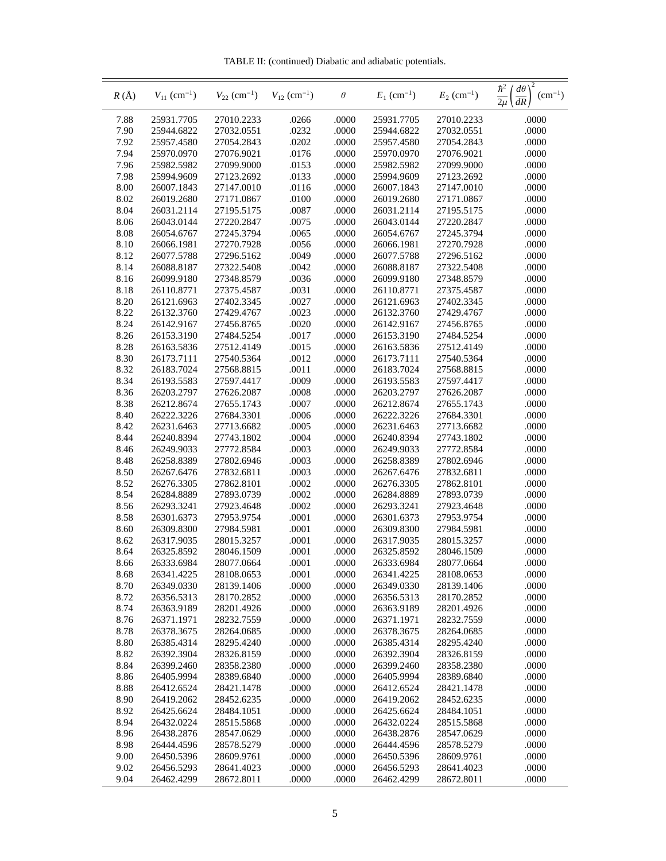TABLE II: (continued) Diabatic and adiabatic potentials.

| $R(\AA)$     | $V_{11}$ (cm <sup>-1</sup> ) | $V_{22}$ (cm <sup>-1</sup> ) | $V_{12}$ (cm <sup>-1</sup> ) | $\theta$       | $E_1$ (cm <sup>-1</sup> ) | $E_2$ (cm <sup>-1</sup> ) | $\frac{\hbar^2}{2\mu}$<br>$d\theta$<br>$(cm^{-1})$<br>dR |
|--------------|------------------------------|------------------------------|------------------------------|----------------|---------------------------|---------------------------|----------------------------------------------------------|
| 7.88         | 25931.7705                   | 27010.2233                   | .0266                        | .0000          | 25931.7705                | 27010.2233                | .0000                                                    |
| 7.90         | 25944.6822                   | 27032.0551                   | .0232                        | .0000          | 25944.6822                | 27032.0551                | .0000                                                    |
| 7.92         | 25957.4580                   | 27054.2843                   | .0202                        | .0000          | 25957.4580                | 27054.2843                | .0000                                                    |
| 7.94         | 25970.0970                   | 27076.9021                   | .0176                        | .0000          | 25970.0970                | 27076.9021                | .0000                                                    |
| 7.96         | 25982.5982                   | 27099.9000                   | .0153                        | .0000          | 25982.5982                | 27099.9000                | .0000                                                    |
| 7.98         | 25994.9609                   | 27123.2692                   | .0133                        | .0000          | 25994.9609                | 27123.2692                | .0000                                                    |
| 8.00         | 26007.1843                   | 27147.0010                   | .0116                        | .0000          | 26007.1843                | 27147.0010                | .0000                                                    |
| 8.02         | 26019.2680                   | 27171.0867                   | .0100                        | .0000          | 26019.2680                | 27171.0867                | .0000                                                    |
| 8.04         | 26031.2114                   | 27195.5175                   | .0087                        | .0000          | 26031.2114                | 27195.5175                | .0000                                                    |
| 8.06         | 26043.0144                   | 27220.2847                   | .0075                        | .0000          | 26043.0144                | 27220.2847                | .0000                                                    |
| 8.08         | 26054.6767                   | 27245.3794                   | .0065                        | .0000          | 26054.6767                | 27245.3794                | .0000                                                    |
| 8.10         | 26066.1981                   | 27270.7928                   | .0056                        | .0000          | 26066.1981                | 27270.7928                | .0000                                                    |
| 8.12         | 26077.5788                   | 27296.5162                   | .0049                        | .0000          | 26077.5788                | 27296.5162                | .0000                                                    |
| 8.14         | 26088.8187                   | 27322.5408                   | .0042                        | .0000          | 26088.8187                | 27322.5408                | .0000                                                    |
| 8.16         | 26099.9180                   | 27348.8579                   | .0036                        | .0000          | 26099.9180                | 27348.8579                | .0000                                                    |
| 8.18         | 26110.8771                   | 27375.4587                   | .0031                        | .0000          | 26110.8771                | 27375.4587                | .0000                                                    |
| 8.20         | 26121.6963                   | 27402.3345                   | .0027                        | $.0000$        | 26121.6963                | 27402.3345                | .0000                                                    |
| 8.22<br>8.24 | 26132.3760                   | 27429.4767<br>27456.8765     | .0023                        | .0000<br>.0000 | 26132.3760<br>26142.9167  | 27429.4767<br>27456.8765  | .0000<br>.0000                                           |
| 8.26         | 26142.9167<br>26153.3190     | 27484.5254                   | .0020<br>.0017               | .0000          | 26153.3190                | 27484.5254                | .0000                                                    |
| 8.28         | 26163.5836                   | 27512.4149                   | .0015                        | .0000          | 26163.5836                | 27512.4149                | .0000                                                    |
| 8.30         | 26173.7111                   | 27540.5364                   | .0012                        | .0000          | 26173.7111                | 27540.5364                | .0000                                                    |
| 8.32         | 26183.7024                   | 27568.8815                   | .0011                        | .0000          | 26183.7024                | 27568.8815                | .0000                                                    |
| 8.34         | 26193.5583                   | 27597.4417                   | .0009                        | .0000          | 26193.5583                | 27597.4417                | .0000                                                    |
| 8.36         | 26203.2797                   | 27626.2087                   | .0008                        | .0000          | 26203.2797                | 27626.2087                | .0000                                                    |
| 8.38         | 26212.8674                   | 27655.1743                   | .0007                        | .0000          | 26212.8674                | 27655.1743                | .0000                                                    |
| 8.40         | 26222.3226                   | 27684.3301                   | .0006                        | .0000          | 26222.3226                | 27684.3301                | .0000                                                    |
| 8.42         | 26231.6463                   | 27713.6682                   | .0005                        | .0000          | 26231.6463                | 27713.6682                | .0000                                                    |
| 8.44         | 26240.8394                   | 27743.1802                   | .0004                        | .0000          | 26240.8394                | 27743.1802                | .0000                                                    |
| 8.46         | 26249.9033                   | 27772.8584                   | .0003                        | .0000          | 26249.9033                | 27772.8584                | .0000                                                    |
| 8.48         | 26258.8389                   | 27802.6946                   | .0003                        | .0000          | 26258.8389                | 27802.6946                | .0000                                                    |
| 8.50         | 26267.6476                   | 27832.6811                   | .0003                        | .0000          | 26267.6476                | 27832.6811                | .0000                                                    |
| 8.52         | 26276.3305                   | 27862.8101                   | .0002                        | .0000          | 26276.3305                | 27862.8101                | .0000                                                    |
| 8.54         | 26284.8889                   | 27893.0739                   | .0002                        | .0000          | 26284.8889                | 27893.0739                | .0000                                                    |
| 8.56         | 26293.3241                   | 27923.4648                   | .0002                        | .0000          | 26293.3241                | 27923.4648                | .0000                                                    |
| 8.58         | 26301.6373                   | 27953.9754                   | .0001                        | .0000          | 26301.6373                | 27953.9754                | .0000                                                    |
| 8.60         | 26309.8300                   | 27984.5981                   | .0001                        | .0000          | 26309.8300                | 27984.5981                | .0000                                                    |
| 8.62         | 26317.9035                   | 28015.3257                   | .0001                        | .0000          | 26317.9035                | 28015.3257                | .0000                                                    |
| 8.64         | 26325.8592                   | 28046.1509                   | .0001                        | .0000          | 26325.8592                | 28046.1509                | .0000                                                    |
| 8.66         | 26333.6984                   | 28077.0664                   | .0001                        | .0000          | 26333.6984                | 28077.0664                | .0000                                                    |
| 8.68         | 26341.4225                   | 28108.0653                   | .0001                        | .0000          | 26341.4225                | 28108.0653                | .0000                                                    |
| 8.70         | 26349.0330                   | 28139.1406                   | .0000                        | .0000          | 26349.0330                | 28139.1406                | .0000                                                    |
| 8.72         | 26356.5313                   | 28170.2852                   | .0000                        | .0000          | 26356.5313                | 28170.2852                | .0000                                                    |
| 8.74         | 26363.9189                   | 28201.4926                   | .0000                        | .0000          | 26363.9189                | 28201.4926                | .0000                                                    |
| 8.76         | 26371.1971                   | 28232.7559                   | .0000                        | .0000          | 26371.1971                | 28232.7559                | .0000                                                    |
| 8.78         | 26378.3675                   | 28264.0685<br>28295.4240     | .0000                        | .0000          | 26378.3675<br>26385.4314  | 28264.0685<br>28295.4240  | .0000                                                    |
| 8.80<br>8.82 | 26385.4314<br>26392.3904     | 28326.8159                   | .0000<br>.0000               | .0000<br>.0000 | 26392.3904                | 28326.8159                | .0000<br>.0000                                           |
| 8.84         | 26399.2460                   | 28358.2380                   | .0000                        | .0000          | 26399.2460                | 28358.2380                | .0000                                                    |
| 8.86         | 26405.9994                   | 28389.6840                   | .0000                        | .0000          | 26405.9994                | 28389.6840                | .0000                                                    |
| 8.88         | 26412.6524                   | 28421.1478                   | .0000                        | .0000          | 26412.6524                | 28421.1478                | .0000                                                    |
| 8.90         | 26419.2062                   | 28452.6235                   | .0000                        | .0000          | 26419.2062                | 28452.6235                | .0000                                                    |
| 8.92         | 26425.6624                   | 28484.1051                   | .0000                        | .0000          | 26425.6624                | 28484.1051                | .0000                                                    |
| 8.94         | 26432.0224                   | 28515.5868                   | .0000                        | .0000          | 26432.0224                | 28515.5868                | .0000                                                    |
| 8.96         | 26438.2876                   | 28547.0629                   | .0000                        | .0000          | 26438.2876                | 28547.0629                | .0000                                                    |
| 8.98         | 26444.4596                   | 28578.5279                   | .0000                        | .0000          | 26444.4596                | 28578.5279                | .0000                                                    |
| 9.00         | 26450.5396                   | 28609.9761                   | .0000                        | .0000          | 26450.5396                | 28609.9761                | .0000                                                    |
| 9.02         | 26456.5293                   | 28641.4023                   | .0000                        | .0000          | 26456.5293                | 28641.4023                | .0000                                                    |
| 9.04         | 26462.4299                   | 28672.8011                   | .0000                        | .0000          | 26462.4299                | 28672.8011                | .0000                                                    |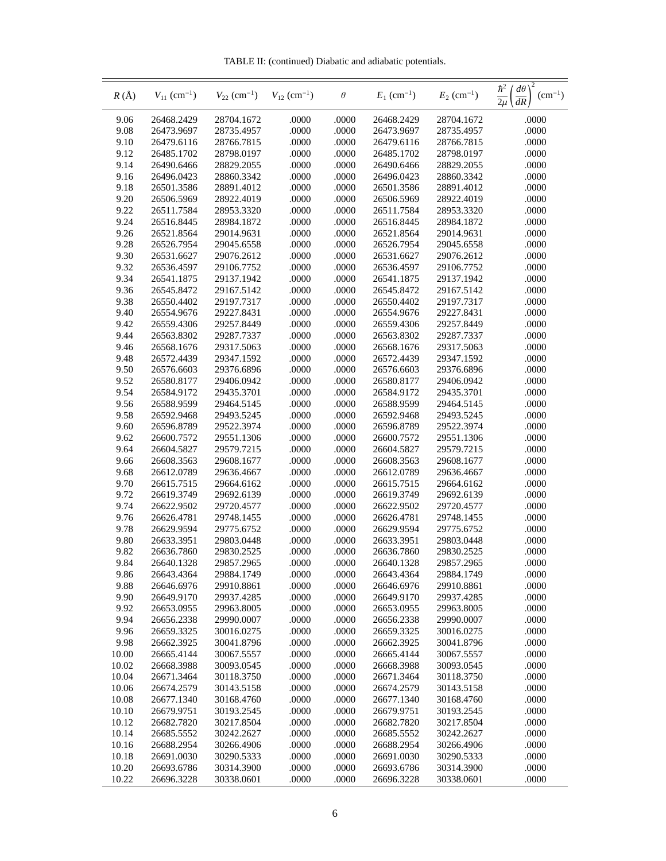TABLE II: (continued) Diabatic and adiabatic potentials.

| $R(\AA)$     | $V_{11}$ (cm <sup>-1</sup> ) | $V_{22}$ (cm <sup>-1</sup> ) | $V_{12}$ (cm <sup>-1</sup> ) | $\theta$       | $E_1$ (cm <sup>-1</sup> ) | $E_2$ (cm <sup>-1</sup> ) | $rac{\hbar^2}{2\mu}$<br>$d\theta$<br>$(cm^{-1})$<br>dR |
|--------------|------------------------------|------------------------------|------------------------------|----------------|---------------------------|---------------------------|--------------------------------------------------------|
| 9.06         | 26468.2429                   | 28704.1672                   | .0000                        | .0000          | 26468.2429                | 28704.1672                | .0000                                                  |
| 9.08         | 26473.9697                   | 28735.4957                   | .0000                        | .0000          | 26473.9697                | 28735.4957                | .0000                                                  |
| 9.10         | 26479.6116                   | 28766.7815                   | .0000                        | .0000          | 26479.6116                | 28766.7815                | .0000                                                  |
| 9.12         | 26485.1702                   | 28798.0197                   | .0000                        | .0000          | 26485.1702                | 28798.0197                | .0000                                                  |
| 9.14         | 26490.6466                   | 28829.2055                   | .0000                        | .0000          | 26490.6466                | 28829.2055                | .0000                                                  |
| 9.16         | 26496.0423                   | 28860.3342                   | .0000                        | .0000          | 26496.0423                | 28860.3342                | .0000                                                  |
| 9.18         | 26501.3586                   | 28891.4012                   | .0000                        | .0000          | 26501.3586                | 28891.4012                | .0000                                                  |
| 9.20         | 26506.5969                   | 28922.4019                   | .0000                        | .0000          | 26506.5969                | 28922.4019                | .0000                                                  |
| 9.22         | 26511.7584                   | 28953.3320                   | .0000                        | .0000          | 26511.7584                | 28953.3320                | .0000                                                  |
| 9.24         | 26516.8445                   | 28984.1872                   | .0000                        | .0000          | 26516.8445                | 28984.1872                | .0000                                                  |
| 9.26         | 26521.8564                   | 29014.9631                   | .0000                        | .0000          | 26521.8564                | 29014.9631                | .0000                                                  |
| 9.28         | 26526.7954                   | 29045.6558                   | .0000                        | .0000          | 26526.7954                | 29045.6558                | .0000                                                  |
| 9.30         | 26531.6627                   | 29076.2612                   | .0000                        | .0000          | 26531.6627                | 29076.2612                | .0000                                                  |
| 9.32         | 26536.4597                   | 29106.7752                   | .0000                        | .0000          | 26536.4597                | 29106.7752                | .0000                                                  |
| 9.34         | 26541.1875                   | 29137.1942                   | .0000                        | .0000          | 26541.1875                | 29137.1942                | .0000                                                  |
| 9.36         | 26545.8472                   | 29167.5142                   | .0000                        | .0000          | 26545.8472                | 29167.5142                | .0000                                                  |
| 9.38         | 26550.4402                   | 29197.7317                   | .0000                        | .0000          | 26550.4402                | 29197.7317                | .0000                                                  |
| 9.40         | 26554.9676                   | 29227.8431                   | .0000                        | .0000          | 26554.9676                | 29227.8431                | .0000                                                  |
| 9.42         | 26559.4306                   | 29257.8449                   | .0000                        | .0000          | 26559.4306                | 29257.8449                | .0000                                                  |
| 9.44         | 26563.8302                   | 29287.7337                   | .0000                        | .0000          | 26563.8302                | 29287.7337                | .0000                                                  |
| 9.46         | 26568.1676                   | 29317.5063                   | .0000                        | .0000          | 26568.1676                | 29317.5063                | .0000                                                  |
| 9.48         | 26572.4439                   | 29347.1592                   | .0000                        | .0000          | 26572.4439                | 29347.1592                | .0000                                                  |
| 9.50         | 26576.6603                   | 29376.6896                   | .0000                        | .0000          | 26576.6603                | 29376.6896                | .0000                                                  |
| 9.52         | 26580.8177                   | 29406.0942                   | .0000                        | .0000          | 26580.8177                | 29406.0942                | .0000                                                  |
| 9.54         | 26584.9172                   | 29435.3701                   | .0000                        | .0000          | 26584.9172                | 29435.3701                | .0000                                                  |
| 9.56         | 26588.9599                   | 29464.5145                   | .0000                        | .0000          | 26588.9599                | 29464.5145                | .0000                                                  |
| 9.58         | 26592.9468                   | 29493.5245                   | .0000                        | .0000          | 26592.9468                | 29493.5245                | .0000                                                  |
| 9.60         | 26596.8789                   | 29522.3974                   | .0000                        | .0000          | 26596.8789                | 29522.3974                | .0000                                                  |
| 9.62         | 26600.7572                   | 29551.1306                   | .0000                        | .0000          | 26600.7572                | 29551.1306                | .0000                                                  |
| 9.64         | 26604.5827                   | 29579.7215                   | .0000                        | .0000          | 26604.5827                | 29579.7215                | .0000                                                  |
| 9.66         | 26608.3563                   | 29608.1677                   | .0000                        | .0000          | 26608.3563                | 29608.1677                | .0000                                                  |
| 9.68         | 26612.0789                   | 29636.4667                   | .0000                        | .0000          | 26612.0789                | 29636.4667                | .0000                                                  |
| 9.70         | 26615.7515                   | 29664.6162                   | .0000                        | .0000          | 26615.7515                | 29664.6162                | .0000                                                  |
| 9.72         | 26619.3749                   | 29692.6139                   | .0000                        | .0000          | 26619.3749                | 29692.6139                | .0000                                                  |
| 9.74<br>9.76 | 26622.9502                   | 29720.4577                   | .0000                        | .0000          | 26622.9502                | 29720.4577                | .0000                                                  |
|              | 26626.4781<br>26629.9594     | 29748.1455                   | .0000                        | .0000          | 26626.4781<br>26629.9594  | 29748.1455<br>29775.6752  | .0000                                                  |
| 9.78<br>9.80 | 26633.3951                   | 29775.6752<br>29803.0448     | .0000<br>.0000               | .0000<br>.0000 | 26633.3951                | 29803.0448                | .0000<br>.0000                                         |
| 9.82         | 26636.7860                   | 29830.2525                   | .0000                        | .0000          | 26636.7860                | 29830.2525                | .0000                                                  |
| 9.84         | 26640.1328                   | 29857.2965                   | .0000                        | .0000          | 26640.1328                | 29857.2965                | .0000                                                  |
| 9.86         | 26643.4364                   | 29884.1749                   | .0000                        | .0000          | 26643.4364                | 29884.1749                | .0000                                                  |
| 9.88         | 26646.6976                   | 29910.8861                   | .0000                        | .0000          | 26646.6976                | 29910.8861                | .0000                                                  |
| 9.90         | 26649.9170                   | 29937.4285                   | .0000                        | .0000          | 26649.9170                | 29937.4285                | .0000                                                  |
| 9.92         | 26653.0955                   | 29963.8005                   | .0000                        | .0000          | 26653.0955                | 29963.8005                | .0000                                                  |
| 9.94         | 26656.2338                   | 29990.0007                   | .0000                        | .0000          | 26656.2338                | 29990.0007                | .0000                                                  |
| 9.96         | 26659.3325                   | 30016.0275                   | .0000                        | .0000          | 26659.3325                | 30016.0275                | .0000                                                  |
| 9.98         | 26662.3925                   | 30041.8796                   | .0000                        | .0000          | 26662.3925                | 30041.8796                | .0000                                                  |
| 10.00        | 26665.4144                   | 30067.5557                   | .0000                        | .0000          | 26665.4144                | 30067.5557                | .0000                                                  |
| 10.02        | 26668.3988                   | 30093.0545                   | .0000                        | .0000          | 26668.3988                | 30093.0545                | .0000                                                  |
| 10.04        | 26671.3464                   | 30118.3750                   | .0000                        | .0000          | 26671.3464                | 30118.3750                | .0000                                                  |
| 10.06        | 26674.2579                   | 30143.5158                   | .0000                        | .0000          | 26674.2579                | 30143.5158                | .0000                                                  |
| 10.08        | 26677.1340                   | 30168.4760                   | .0000                        | .0000          | 26677.1340                | 30168.4760                | .0000                                                  |
| 10.10        | 26679.9751                   | 30193.2545                   | .0000                        | .0000          | 26679.9751                | 30193.2545                | .0000                                                  |
| 10.12        | 26682.7820                   | 30217.8504                   | .0000                        | .0000          | 26682.7820                | 30217.8504                | .0000                                                  |
| 10.14        | 26685.5552                   | 30242.2627                   | .0000                        | .0000          | 26685.5552                | 30242.2627                | .0000                                                  |
| 10.16        | 26688.2954                   | 30266.4906                   | .0000                        | .0000          | 26688.2954                | 30266.4906                | .0000                                                  |
| 10.18        | 26691.0030                   | 30290.5333                   | .0000                        | .0000          | 26691.0030                | 30290.5333                | .0000                                                  |
| 10.20        | 26693.6786                   | 30314.3900                   | .0000                        | .0000          | 26693.6786                | 30314.3900                | .0000                                                  |
| 10.22        | 26696.3228                   | 30338.0601                   | .0000                        | .0000          | 26696.3228                | 30338.0601                | .0000                                                  |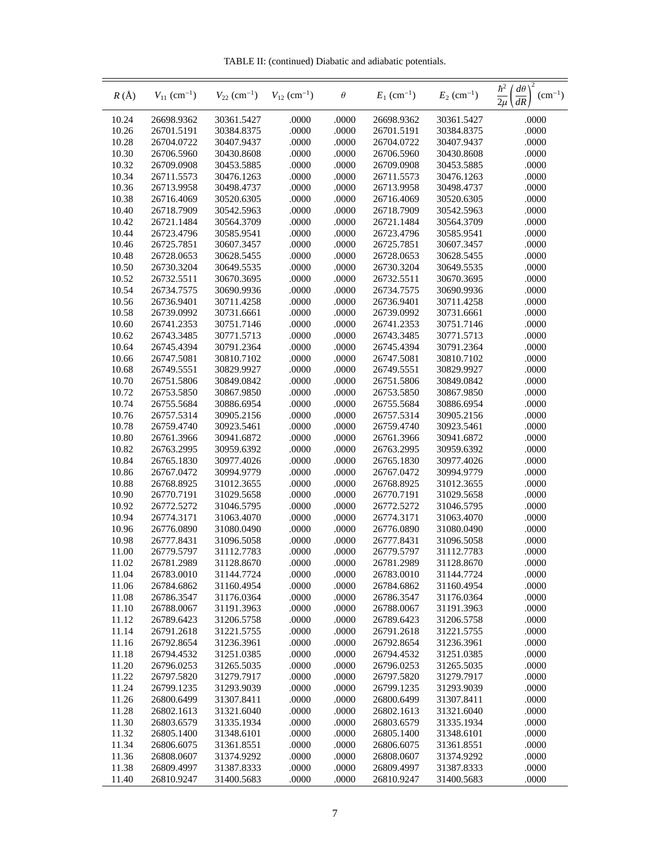TABLE II: (continued) Diabatic and adiabatic potentials.

| $R(\AA)$       | $V_{11}$ (cm <sup>-1</sup> ) | $V_{22}$ (cm <sup>-1</sup> ) | $V_{12}$ (cm <sup>-1</sup> ) | $\theta$       | $E_1$ (cm <sup>-1</sup> ) | $E_2$ (cm <sup>-1</sup> ) | $\frac{\hbar^2}{2\mu}$<br>$d\theta$<br>$(cm^{-1})$<br>dR |
|----------------|------------------------------|------------------------------|------------------------------|----------------|---------------------------|---------------------------|----------------------------------------------------------|
| 10.24          | 26698.9362                   | 30361.5427                   | .0000                        | .0000          | 26698.9362                | 30361.5427                | .0000                                                    |
| 10.26          | 26701.5191                   | 30384.8375                   | .0000                        | .0000          | 26701.5191                | 30384.8375                | .0000                                                    |
| 10.28          | 26704.0722                   | 30407.9437                   | .0000                        | .0000          | 26704.0722                | 30407.9437                | .0000                                                    |
| 10.30          | 26706.5960                   | 30430.8608                   | .0000                        | .0000          | 26706.5960                | 30430.8608                | .0000                                                    |
| 10.32          | 26709.0908                   | 30453.5885                   | .0000                        | .0000          | 26709.0908                | 30453.5885                | .0000                                                    |
| 10.34          | 26711.5573                   | 30476.1263                   | .0000                        | .0000          | 26711.5573                | 30476.1263                | .0000                                                    |
| 10.36          | 26713.9958                   | 30498.4737                   | .0000                        | .0000          | 26713.9958                | 30498.4737                | .0000                                                    |
| 10.38          | 26716.4069                   | 30520.6305                   | .0000                        | .0000          | 26716.4069                | 30520.6305                | .0000                                                    |
| 10.40          | 26718.7909                   | 30542.5963                   | .0000                        | .0000          | 26718.7909                | 30542.5963                | .0000                                                    |
| 10.42          | 26721.1484                   | 30564.3709                   | .0000                        | .0000          | 26721.1484                | 30564.3709                | .0000                                                    |
| 10.44          | 26723.4796                   | 30585.9541                   | .0000                        | .0000          | 26723.4796                | 30585.9541                | .0000                                                    |
| 10.46          | 26725.7851                   | 30607.3457                   | .0000                        | .0000          | 26725.7851                | 30607.3457                | .0000                                                    |
| 10.48          | 26728.0653                   | 30628.5455                   | .0000                        | .0000          | 26728.0653                | 30628.5455                | .0000                                                    |
| 10.50          | 26730.3204<br>26732.5511     | 30649.5535                   | .0000                        | .0000          | 26730.3204                | 30649.5535                | .0000                                                    |
| 10.52          |                              | 30670.3695                   | .0000                        | .0000          | 26732.5511                | 30670.3695<br>30690.9936  | .0000                                                    |
| 10.54<br>10.56 | 26734.7575<br>26736.9401     | 30690.9936<br>30711.4258     | .0000<br>.0000               | .0000<br>.0000 | 26734.7575<br>26736.9401  | 30711.4258                | .0000<br>.0000                                           |
| 10.58          | 26739.0992                   | 30731.6661                   | .0000                        | .0000          | 26739.0992                | 30731.6661                | .0000                                                    |
| 10.60          | 26741.2353                   | 30751.7146                   | .0000                        | .0000          | 26741.2353                | 30751.7146                | .0000                                                    |
| 10.62          | 26743.3485                   | 30771.5713                   | .0000                        | .0000          | 26743.3485                | 30771.5713                | .0000                                                    |
| 10.64          | 26745.4394                   | 30791.2364                   | .0000                        | .0000          | 26745.4394                | 30791.2364                | .0000                                                    |
| 10.66          | 26747.5081                   | 30810.7102                   | .0000                        | .0000          | 26747.5081                | 30810.7102                | .0000                                                    |
| 10.68          | 26749.5551                   | 30829.9927                   | .0000                        | .0000          | 26749.5551                | 30829.9927                | .0000                                                    |
| 10.70          | 26751.5806                   | 30849.0842                   | .0000                        | .0000          | 26751.5806                | 30849.0842                | .0000                                                    |
| 10.72          | 26753.5850                   | 30867.9850                   | .0000                        | .0000          | 26753.5850                | 30867.9850                | .0000                                                    |
| 10.74          | 26755.5684                   | 30886.6954                   | .0000                        | .0000          | 26755.5684                | 30886.6954                | .0000                                                    |
| 10.76          | 26757.5314                   | 30905.2156                   | .0000                        | .0000          | 26757.5314                | 30905.2156                | .0000                                                    |
| 10.78          | 26759.4740                   | 30923.5461                   | .0000                        | .0000          | 26759.4740                | 30923.5461                | .0000                                                    |
| 10.80          | 26761.3966                   | 30941.6872                   | .0000                        | .0000          | 26761.3966                | 30941.6872                | .0000                                                    |
| 10.82          | 26763.2995                   | 30959.6392                   | .0000                        | .0000          | 26763.2995                | 30959.6392                | .0000                                                    |
| 10.84          | 26765.1830                   | 30977.4026                   | .0000                        | .0000          | 26765.1830                | 30977.4026                | .0000                                                    |
| 10.86          | 26767.0472                   | 30994.9779                   | .0000                        | .0000          | 26767.0472                | 30994.9779                | .0000                                                    |
| 10.88          | 26768.8925                   | 31012.3655                   | .0000                        | .0000          | 26768.8925                | 31012.3655                | .0000                                                    |
| 10.90          | 26770.7191                   | 31029.5658                   | .0000                        | .0000          | 26770.7191                | 31029.5658                | .0000                                                    |
| 10.92          | 26772.5272                   | 31046.5795                   | .0000                        | .0000          | 26772.5272                | 31046.5795                | .0000                                                    |
| 10.94          | 26774.3171                   | 31063.4070                   | .0000                        | .0000          | 26774.3171                | 31063.4070                | .0000                                                    |
| 10.96          | 26776.0890                   | 31080.0490                   | .0000                        | .0000          | 26776.0890                | 31080.0490                | .0000                                                    |
| 10.98          | 26777.8431                   | 31096.5058                   | .0000                        | .0000          | 26777.8431                | 31096.5058                | .0000                                                    |
| 11.00          | 26779.5797                   | 31112.7783                   | .0000                        | .0000          | 26779.5797                | 31112.7783                | .0000                                                    |
| 11.02          | 26781.2989                   | 31128.8670                   | .0000                        | .0000          | 26781.2989                | 31128.8670                | .0000                                                    |
| 11.04          | 26783.0010                   | 31144.7724                   | .0000                        | .0000          | 26783.0010                | 31144.7724                | .0000                                                    |
| 11.06          | 26784.6862                   | 31160.4954                   | .0000                        | .0000          | 26784.6862                | 31160.4954                | .0000                                                    |
| 11.08<br>11.10 | 26786.3547<br>26788.0067     | 31176.0364<br>31191.3963     | .0000<br>.0000               | .0000<br>.0000 | 26786.3547<br>26788.0067  | 31176.0364<br>31191.3963  | .0000<br>.0000                                           |
| 11.12          | 26789.6423                   | 31206.5758                   | .0000                        | .0000          | 26789.6423                | 31206.5758                | .0000                                                    |
| 11.14          | 26791.2618                   | 31221.5755                   | .0000                        | .0000          | 26791.2618                | 31221.5755                | .0000                                                    |
| 11.16          | 26792.8654                   | 31236.3961                   | .0000                        | .0000          | 26792.8654                | 31236.3961                | .0000                                                    |
| 11.18          | 26794.4532                   | 31251.0385                   | .0000                        | .0000          | 26794.4532                | 31251.0385                | .0000                                                    |
| 11.20          | 26796.0253                   | 31265.5035                   | .0000                        | .0000          | 26796.0253                | 31265.5035                | .0000                                                    |
| 11.22          | 26797.5820                   | 31279.7917                   | .0000                        | .0000          | 26797.5820                | 31279.7917                | .0000                                                    |
| 11.24          | 26799.1235                   | 31293.9039                   | .0000                        | .0000          | 26799.1235                | 31293.9039                | .0000                                                    |
| 11.26          | 26800.6499                   | 31307.8411                   | .0000                        | .0000          | 26800.6499                | 31307.8411                | .0000                                                    |
| 11.28          | 26802.1613                   | 31321.6040                   | .0000                        | .0000          | 26802.1613                | 31321.6040                | .0000                                                    |
| 11.30          | 26803.6579                   | 31335.1934                   | .0000                        | .0000          | 26803.6579                | 31335.1934                | .0000                                                    |
| 11.32          | 26805.1400                   | 31348.6101                   | .0000                        | .0000          | 26805.1400                | 31348.6101                | .0000                                                    |
| 11.34          | 26806.6075                   | 31361.8551                   | .0000                        | .0000          | 26806.6075                | 31361.8551                | .0000                                                    |
| 11.36          | 26808.0607                   | 31374.9292                   | .0000                        | .0000          | 26808.0607                | 31374.9292                | .0000                                                    |
| 11.38          | 26809.4997                   | 31387.8333                   | .0000                        | .0000          | 26809.4997                | 31387.8333                | .0000                                                    |
| 11.40          | 26810.9247                   | 31400.5683                   | .0000                        | .0000          | 26810.9247                | 31400.5683                | .0000                                                    |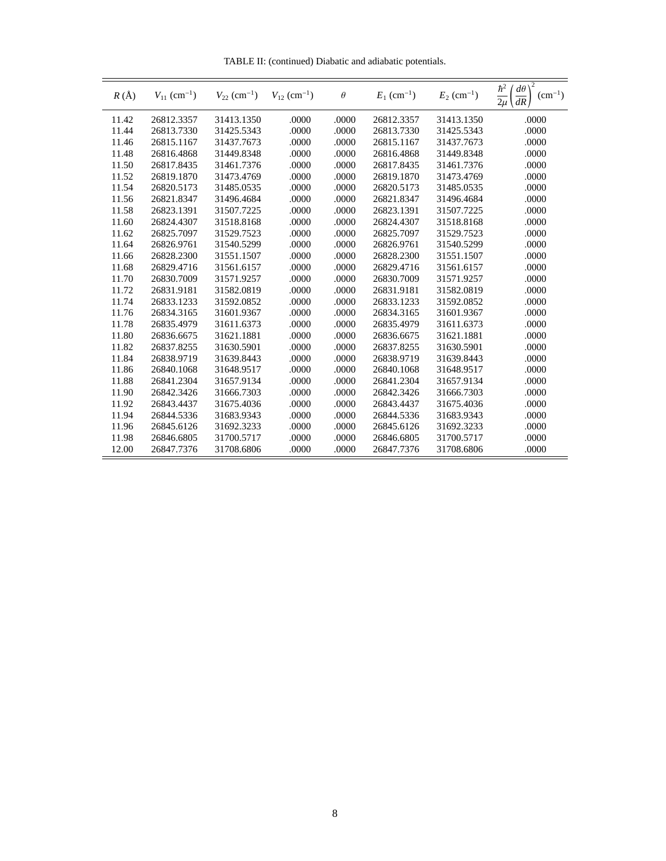TABLE II: (continued) Diabatic and adiabatic potentials.

| $R(\AA)$ | $V_{11}$ (cm <sup>-1</sup> ) | $V_{22}$ (cm <sup>-1</sup> ) | $V_{12}$ (cm <sup>-1</sup> ) | $\theta$ | $E_1$ (cm <sup>-1</sup> ) | $E_2$ (cm <sup>-1</sup> ) | 2<br>$\hbar^2$<br>$d\theta$<br>$(cm^{-1})$<br>$\overline{2\mu}$<br>dR |
|----------|------------------------------|------------------------------|------------------------------|----------|---------------------------|---------------------------|-----------------------------------------------------------------------|
| 11.42    | 26812.3357                   | 31413.1350                   | .0000                        | .0000    | 26812.3357                | 31413.1350                | .0000                                                                 |
| 11.44    | 26813.7330                   | 31425.5343                   | .0000                        | .0000    | 26813.7330                | 31425.5343                | .0000                                                                 |
| 11.46    | 26815.1167                   | 31437.7673                   | .0000                        | .0000    | 26815.1167                | 31437.7673                | .0000                                                                 |
| 11.48    | 26816.4868                   | 31449.8348                   | .0000                        | .0000    | 26816.4868                | 31449.8348                | .0000                                                                 |
| 11.50    | 26817.8435                   | 31461.7376                   | .0000                        | .0000    | 26817.8435                | 31461.7376                | .0000                                                                 |
| 11.52    | 26819.1870                   | 31473.4769                   | .0000                        | .0000    | 26819.1870                | 31473.4769                | .0000                                                                 |
| 11.54    | 26820.5173                   | 31485.0535                   | .0000                        | .0000    | 26820.5173                | 31485.0535                | .0000                                                                 |
| 11.56    | 26821.8347                   | 31496.4684                   | .0000                        | .0000    | 26821.8347                | 31496.4684                | .0000                                                                 |
| 11.58    | 26823.1391                   | 31507.7225                   | .0000                        | .0000    | 26823.1391                | 31507.7225                | .0000                                                                 |
| 11.60    | 26824.4307                   | 31518.8168                   | .0000                        | .0000    | 26824.4307                | 31518.8168                | .0000                                                                 |
| 11.62    | 26825.7097                   | 31529.7523                   | .0000                        | .0000    | 26825.7097                | 31529.7523                | .0000                                                                 |
| 11.64    | 26826.9761                   | 31540.5299                   | .0000                        | .0000    | 26826.9761                | 31540.5299                | .0000                                                                 |
| 11.66    | 26828.2300                   | 31551.1507                   | .0000                        | .0000    | 26828.2300                | 31551.1507                | .0000                                                                 |
| 11.68    | 26829.4716                   | 31561.6157                   | .0000                        | .0000    | 26829.4716                | 31561.6157                | .0000                                                                 |
| 11.70    | 26830.7009                   | 31571.9257                   | .0000                        | .0000    | 26830.7009                | 31571.9257                | .0000                                                                 |
| 11.72    | 26831.9181                   | 31582.0819                   | .0000                        | .0000    | 26831.9181                | 31582.0819                | .0000                                                                 |
| 11.74    | 26833.1233                   | 31592.0852                   | .0000                        | .0000    | 26833.1233                | 31592.0852                | .0000                                                                 |
| 11.76    | 26834.3165                   | 31601.9367                   | .0000                        | .0000    | 26834.3165                | 31601.9367                | .0000                                                                 |
| 11.78    | 26835.4979                   | 31611.6373                   | .0000                        | .0000    | 26835.4979                | 31611.6373                | .0000                                                                 |
| 11.80    | 26836.6675                   | 31621.1881                   | .0000                        | .0000    | 26836.6675                | 31621.1881                | .0000                                                                 |
| 11.82    | 26837.8255                   | 31630.5901                   | .0000                        | .0000    | 26837.8255                | 31630.5901                | .0000                                                                 |
| 11.84    | 26838.9719                   | 31639.8443                   | .0000                        | .0000    | 26838.9719                | 31639.8443                | .0000                                                                 |
| 11.86    | 26840.1068                   | 31648.9517                   | .0000                        | .0000    | 26840.1068                | 31648.9517                | .0000                                                                 |
| 11.88    | 26841.2304                   | 31657.9134                   | .0000                        | .0000    | 26841.2304                | 31657.9134                | .0000                                                                 |
| 11.90    | 26842.3426                   | 31666.7303                   | .0000                        | .0000    | 26842.3426                | 31666.7303                | .0000                                                                 |
| 11.92    | 26843.4437                   | 31675.4036                   | .0000                        | .0000    | 26843.4437                | 31675.4036                | .0000                                                                 |
| 11.94    | 26844.5336                   | 31683.9343                   | .0000                        | .0000    | 26844.5336                | 31683.9343                | .0000                                                                 |
| 11.96    | 26845.6126                   | 31692.3233                   | .0000                        | .0000    | 26845.6126                | 31692.3233                | .0000                                                                 |
| 11.98    | 26846.6805                   | 31700.5717                   | .0000                        | .0000    | 26846.6805                | 31700.5717                | .0000                                                                 |
| 12.00    | 26847.7376                   | 31708.6806                   | .0000                        | .0000    | 26847.7376                | 31708.6806                | .0000                                                                 |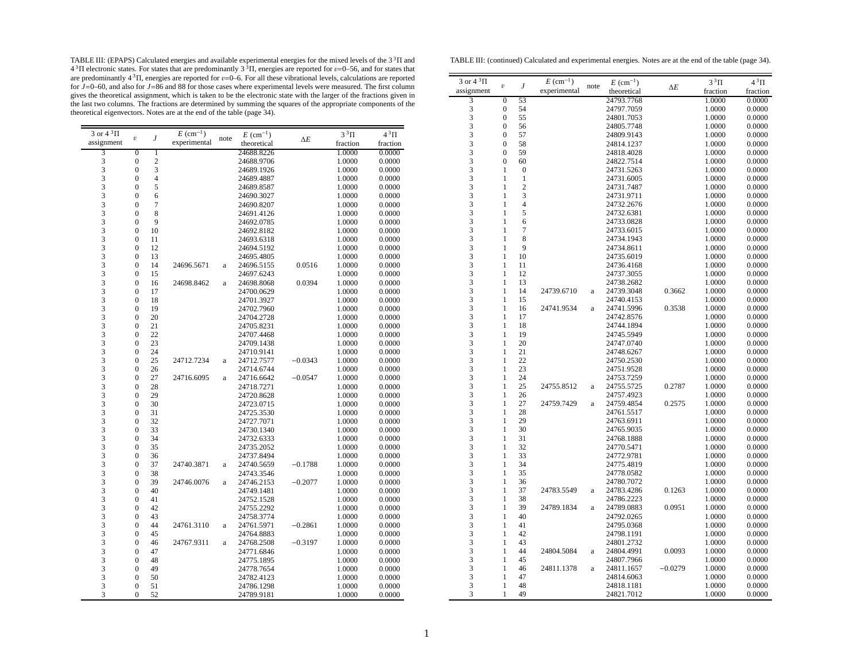TABLE III: (EPAPS) Calculated energies and available experimental energies for the mixed levels of the  $3^3\Pi$  and  $4^3\Pi$  electronic states. For states that are predominantly  $3^3\Pi$ , energies are reported for  $\nu$ =0–56, are predominantly  $4\,^3\Pi$ , energies are reported for  $v=0-6$ . For all these vibrational levels, calculations are reported<br>for  $J=0-60$ , and also for  $J=86$  and 88 for those cases where experimental levels were measured. gives the theoretical assignment, which is taken to be the electronic state with the larger of the fractions given in the last two columns. The fractions are determined by summing the squares of the appropriate components of the theoretical eigenvectors. Notes are at the end of the table (page 34).

| 3 or $4 \sqrt[3]{11}$                      |                  |                | $E~(\text{cm}^{-1})$ |              | $E~(\text{cm}^{-1})$ |            | $3^3\Pi$ | $4^3\Pi$ |
|--------------------------------------------|------------------|----------------|----------------------|--------------|----------------------|------------|----------|----------|
| assignment                                 | $\boldsymbol{v}$ | J              | experimental         | note         | theoretical          | $\Delta E$ | fraction | fraction |
| 3                                          | $\overline{0}$   | 1              |                      |              | 24688.8226           |            | 1.0000   | 0.0000   |
| 3                                          | $\boldsymbol{0}$ | $\overline{c}$ |                      |              | 24688.9706           |            | 1.0000   | 0.0000   |
| 3                                          | $\boldsymbol{0}$ | 3              |                      |              | 24689.1926           |            | 1.0000   | 0.0000   |
|                                            | $\mathbf{0}$     | $\overline{4}$ |                      |              | 24689.4887           |            | 1.0000   | 0.0000   |
|                                            | $\mathbf{0}$     | 5              |                      |              | 24689.8587           |            | 1.0000   | 0.0000   |
|                                            | $\mathbf{0}$     | 6              |                      |              | 24690.3027           |            | 1.0000   | 0.0000   |
| 33333                                      | $\mathbf{0}$     | 7              |                      |              | 24690.8207           |            | 1.0000   | 0.0000   |
|                                            | $\boldsymbol{0}$ | 8              |                      |              | 24691.4126           |            | 1.0000   | 0.0000   |
|                                            | $\overline{0}$   | 9              |                      |              | 24692.0785           |            | 1.0000   | 0.0000   |
| 3                                          | $\mathbf{0}$     | 10             |                      |              | 24692.8182           |            | 1.0000   | 0.0000   |
| $\overline{\mathbf{3}}$                    | $\mathbf{0}$     | 11             |                      |              | 24693.6318           |            | 1.0000   | 0.0000   |
|                                            | $\mathbf{0}$     | 12             |                      |              | 24694.5192           |            | 1.0000   | 0.0000   |
|                                            | $\mathbf{0}$     | 13             |                      |              | 24695.4805           |            | 1.0000   | 0.0000   |
| $\begin{array}{c} 3 \\ 3 \\ 3 \end{array}$ | $\boldsymbol{0}$ | 14             | 24696.5671           | a            | 24696.5155           | 0.0516     | 1.0000   | 0.0000   |
|                                            | $\overline{0}$   | 15             |                      |              | 24697.6243           |            | 1.0000   | 0.0000   |
|                                            | $\mathbf{0}$     | 16             | 24698.8462           | $\rm{a}$     | 24698.8068           | 0.0394     | 1.0000   | 0.0000   |
| $\frac{3}{3}$                              | $\mathbf{0}$     | 17             |                      |              | 24700.0629           |            | 1.0000   | 0.0000   |
| 3                                          | $\mathbf{0}$     | 18             |                      |              | 24701.3927           |            | 1.0000   | 0.0000   |
|                                            | $\mathbf{0}$     | 19             |                      |              | 24702.7960           |            | 1.0000   | 0.0000   |
| $\frac{3}{3}$                              | $\boldsymbol{0}$ | 20             |                      |              | 24704.2728           |            | 1.0000   | 0.0000   |
| 3                                          | $\mathbf{0}$     | 21             |                      |              | 24705.8231           |            | 1.0000   | 0.0000   |
|                                            | $\mathbf{0}$     | 22             |                      |              | 24707.4468           |            | 1.0000   | 0.0000   |
| $\frac{3}{3}$                              | $\mathbf{0}$     | 23             |                      |              | 24709.1438           |            | 1.0000   | 0.0000   |
| 3                                          | $\mathbf{0}$     | 24             |                      |              | 24710.9141           |            | 1.0000   | 0.0000   |
|                                            | $\boldsymbol{0}$ | 25             | 24712.7234           | a            | 24712.7577           | $-0.0343$  | 1.0000   | 0.0000   |
| $\frac{3}{3}$                              | $\mathbf{0}$     | 26             |                      |              | 24714.6744           |            | 1.0000   | 0.0000   |
| 3                                          | $\mathbf{0}$     | 27             | 24716.6095           | $\rm{a}$     | 24716.6642           | $-0.0547$  | 1.0000   | 0.0000   |
|                                            | $\mathbf{0}$     | 28             |                      |              | 24718.7271           |            | 1.0000   | 0.0000   |
| $\frac{3}{3}$                              | $\boldsymbol{0}$ | 29             |                      |              | 24720.8628           |            | 1.0000   | 0.0000   |
| 3                                          | $\boldsymbol{0}$ | 30             |                      |              | 24723.0715           |            | 1.0000   | 0.0000   |
|                                            | $\overline{0}$   | 31             |                      |              | 24725.3530           |            | 1.0000   | 0.0000   |
| $\frac{3}{3}$                              | $\mathbf{0}$     | 32             |                      |              | 24727.7071           |            | 1.0000   | 0.0000   |
|                                            | $\mathbf{0}$     | 33             |                      |              | 24730.1340           |            | 1.0000   | 0.0000   |
| $\frac{3}{3}$                              | $\mathbf{0}$     | 34             |                      |              | 24732.6333           |            | 1.0000   | 0.0000   |
| 3                                          | $\boldsymbol{0}$ | 35             |                      |              | 24735.2052           |            | 1.0000   | 0.0000   |
|                                            | $\boldsymbol{0}$ | 36             |                      |              | 24737.8494           |            | 1.0000   | 0.0000   |
| $\begin{array}{c} 3 \\ 3 \\ 3 \end{array}$ | $\overline{0}$   | 37             | 24740.3871           | a            | 24740.5659           | $-0.1788$  | 1.0000   | 0.0000   |
|                                            | $\mathbf{0}$     | 38             |                      |              | 24743.3546           |            | 1.0000   | 0.0000   |
| 3                                          | $\mathbf{0}$     | 39             | 24746.0076           | $\rm{a}$     | 24746.2153           | $-0.2077$  | 1.0000   | 0.0000   |
|                                            | $\mathbf{0}$     | 40             |                      |              | 24749.1481           |            | 1.0000   | 0.0000   |
| $\frac{3}{3}$                              | $\boldsymbol{0}$ | 41             |                      |              | 24752.1528           |            | 1.0000   | 0.0000   |
| 3                                          | $\boldsymbol{0}$ | 42             |                      |              | 24755.2292           |            | 1.0000   | 0.0000   |
| 3                                          | $\mathbf{0}$     | 43             |                      |              | 24758.3774           |            | 1.0000   | 0.0000   |
| 3                                          | $\mathbf{0}$     | 44             | 24761.3110           | $\mathbf{a}$ | 24761.5971           | $-0.2861$  | 1.0000   | 0.0000   |
|                                            | $\mathbf{0}$     | 45             |                      |              | 24764.8883           |            | 1.0000   | 0.0000   |
| $\frac{3}{3}$                              | $\mathbf{0}$     | 46             | 24767.9311           | $\rm{a}$     | 24768.2508           | $-0.3197$  | 1.0000   | 0.0000   |
|                                            | $\boldsymbol{0}$ | 47             |                      |              | 24771.6846           |            | 1.0000   | 0.0000   |
| $\frac{3}{3}$                              | $\overline{0}$   | 48             |                      |              | 24775.1895           |            | 1.0000   | 0.0000   |
| 3                                          | $\mathbf{0}$     | 49             |                      |              | 24778.7654           |            | 1.0000   | 0.0000   |
| 3                                          | $\mathbf{0}$     | 50             |                      |              | 24782.4123           |            | 1.0000   | 0.0000   |
| 3                                          | $\mathbf{0}$     | 51             |                      |              | 24786.1298           |            | 1.0000   | 0.0000   |
| 3                                          | $\overline{0}$   | 52             |                      |              | 24789.9181           |            | 1.0000   | 0.0000   |
|                                            |                  |                |                      |              |                      |            |          |          |

TABLE III: (continued) Calculated and experimental energies. Notes are at the end of the table (page 34).

| 3 or $4^3\Pi$                              | $\dot{U}$         | $\boldsymbol{J}$ | $E~(\text{cm}^{-1})$ | note         | $E~(\text{cm}^{-1})$     | $\Delta E$ | $3^3\Pi$         | 4 <sup>3</sup> Π |
|--------------------------------------------|-------------------|------------------|----------------------|--------------|--------------------------|------------|------------------|------------------|
| assignment                                 |                   |                  | experimental         |              | theoretical              |            | fraction         | fraction         |
| $\overline{\mathbf{3}}$                    | $\overline{0}$    | 53               |                      |              | 24793.7768               |            | 1.0000           | 0.0000           |
| $\begin{array}{c} 3 \\ 3 \\ 3 \end{array}$ | $\boldsymbol{0}$  | 54               |                      |              | 24797.7059               |            | 1.0000           | 0.0000           |
|                                            | $\mathbf{0}$      | 55               |                      |              | 24801.7053               |            | 1.0000           | 0.0000           |
|                                            | $\boldsymbol{0}$  | 56               |                      |              | 24805.7748               |            | 1.0000           | 0.0000           |
| 3                                          | $\overline{0}$    | 57               |                      |              | 24809.9143               |            | 1.0000           | 0.0000           |
| 3                                          | $\boldsymbol{0}$  | 58               |                      |              | 24814.1237               |            | 1.0000           | 0.0000           |
| 3                                          | $\overline{0}$    | 59               |                      |              | 24818.4028               |            | 1.0000           | 0.0000           |
| 3                                          | $\mathbf{0}$      | 60               |                      |              | 24822.7514               |            | 1.0000           | 0.0000           |
| 3                                          | $\mathbf{1}$      | $\boldsymbol{0}$ |                      |              | 24731.5263               |            | 1.0000           | 0.0000           |
| 3                                          | 1                 | $\mathbf{1}$     |                      |              | 24731.6005               |            | 1.0000           | 0.0000           |
|                                            | 1                 | $\overline{c}$   |                      |              | 24731.7487               |            | 1.0000           | 0.0000           |
| $\frac{3}{3}$                              | 1                 | 3                |                      |              | 24731.9711               |            | 1.0000           | 0.0000           |
|                                            | 1                 | $\overline{4}$   |                      |              | 24732.2676               |            | 1.0000           | 0.0000           |
| $\frac{3}{3}$                              | 1                 | 5                |                      |              | 24732.6381               |            | 1.0000           | 0.0000           |
| 3                                          | 1                 | 6                |                      |              | 24733.0828               |            | 1.0000           | 0.0000           |
| 3                                          | 1                 | 7                |                      |              | 24733.6015               |            | 1.0000           | 0.0000           |
| 3                                          | 1                 | 8                |                      |              | 24734.1943               |            | 1.0000           | 0.0000           |
| $\overline{\mathbf{3}}$                    | 1                 | 9                |                      |              | 24734.8611               |            | 1.0000           | 0.0000           |
| 3                                          | 1                 | 10               |                      |              | 24735.6019               |            | 1.0000           | 0.0000           |
| 3                                          | 1                 | 11               |                      |              | 24736.4168               |            | 1.0000           | 0.0000           |
| $\overline{3}$                             | 1                 | 12               |                      |              | 24737.3055               |            | 1.0000           | 0.0000           |
| $\overline{3}$                             | 1                 | 13               |                      |              | 24738.2682               |            | 1.0000           | 0.0000           |
| 3                                          | 1                 | 14               | 24739.6710           | a            | 24739.3048               | 0.3662     | 1.0000           | 0.0000           |
| 3                                          | 1                 | 15               |                      |              | 24740.4153               |            | 1.0000           | 0.0000           |
|                                            | 1                 | 16               | 24741.9534           | $\rm{a}$     | 24741.5996               | 0.3538     | 1.0000           | 0.0000           |
| $\frac{3}{3}$                              | 1                 | 17               |                      |              | 24742.8576               |            | 1.0000           | 0.0000           |
| 3                                          | 1                 | 18               |                      |              | 24744.1894               |            | 1.0000           | 0.0000           |
| 3                                          | $\mathbf{1}$      | 19               |                      |              | 24745.5949               |            | 1.0000           | 0.0000           |
| 3                                          | 1                 | 20               |                      |              | 24747.0740               |            | 1.0000           | 0.0000           |
| $\overline{3}$                             | 1                 | 21               |                      |              | 24748.6267               |            | 1.0000           | 0.0000           |
| 3                                          | 1                 | 22               |                      |              | 24750.2530               |            | 1.0000           | 0.0000           |
| 3                                          | $\mathbf{1}$      | 23               |                      |              | 24751.9528               |            | 1.0000           | 0.0000           |
| $\overline{\mathbf{3}}$                    | 1                 | 24               |                      |              | 24753.7259               |            | 1.0000           | 0.0000           |
|                                            | 1                 | 25               | 24755.8512           | $\rm{a}$     | 24755.5725               | 0.2787     | 1.0000           | 0.0000           |
| $\frac{3}{3}$                              | 1                 | 26               |                      |              |                          |            |                  |                  |
| 3                                          | $\mathbf{1}$      | 27               | 24759.7429           |              | 24757.4923<br>24759.4854 | 0.2575     | 1.0000<br>1.0000 | 0.0000           |
| 3                                          | $\mathbf{1}$      | 28               |                      | a            | 24761.5517               |            | 1.0000           | 0.0000<br>0.0000 |
| 3                                          | 1                 | 29               |                      |              |                          |            |                  |                  |
| 3                                          | $\mathbf{1}$      | 30               |                      |              | 24763.6911               |            | 1.0000           | 0.0000           |
| 3                                          |                   | 31               |                      |              | 24765.9035               |            | 1.0000           | 0.0000           |
|                                            | 1<br>$\mathbf{1}$ |                  |                      |              | 24768.1888               |            | 1.0000           | 0.0000           |
| $\overline{\mathbf{3}}$<br>3               |                   | 32               |                      |              | 24770.5471               |            | 1.0000           | 0.0000           |
| $\overline{3}$                             | 1                 | 33               |                      |              | 24772.9781               |            | 1.0000           | 0.0000           |
| $\overline{3}$                             | 1<br>1            | 34<br>35         |                      |              | 24775.4819               |            | 1.0000           | 0.0000           |
|                                            |                   |                  |                      |              | 24778.0582               |            | 1.0000           | 0.0000           |
| 3                                          | $\mathbf{1}$      | 36               |                      |              | 24780.7072               |            | 1.0000           | 0.0000           |
| 3                                          | 1                 | 37               | 24783.5549           | $\mathbf{a}$ | 24783.4286               | 0.1263     | 1.0000           | 0.0000           |
| 3                                          | 1                 | 38               |                      |              | 24786.2223               |            | 1.0000           | 0.0000           |
| $\frac{3}{3}$                              | $\mathbf{1}$      | 39               | 24789.1834           | $\mathbf{a}$ | 24789.0883               | 0.0951     | 1.0000           | 0.0000           |
|                                            | 1                 | 40               |                      |              | 24792.0265               |            | 1.0000           | 0.0000           |
| $\frac{3}{3}$                              | 1                 | 41               |                      |              | 24795.0368               |            | 1.0000           | 0.0000           |
|                                            | 1                 | 42               |                      |              | 24798.1191               |            | 1.0000           | 0.0000           |
| $\frac{3}{3}$                              | 1                 | 43               |                      |              | 24801.2732               |            | 1.0000           | 0.0000           |
|                                            | 1                 | 44               | 24804.5084           | a            | 24804.4991               | 0.0093     | 1.0000           | 0.0000           |
| 3                                          | 1                 | 45               |                      |              | 24807.7966               |            | 1.0000           | 0.0000           |
| $\overline{\mathbf{3}}$                    | 1                 | 46               | 24811.1378           | $\mathbf{a}$ | 24811.1657               | $-0.0279$  | 1.0000           | 0.0000           |
| 3                                          | 1                 | 47               |                      |              | 24814.6063               |            | 1.0000           | 0.0000           |
| 3                                          | 1                 | 48               |                      |              | 24818.1181               |            | 1.0000           | 0.0000           |
| 3                                          | 1                 | 49               |                      |              | 24821.7012               |            | 1.0000           | 0.0000           |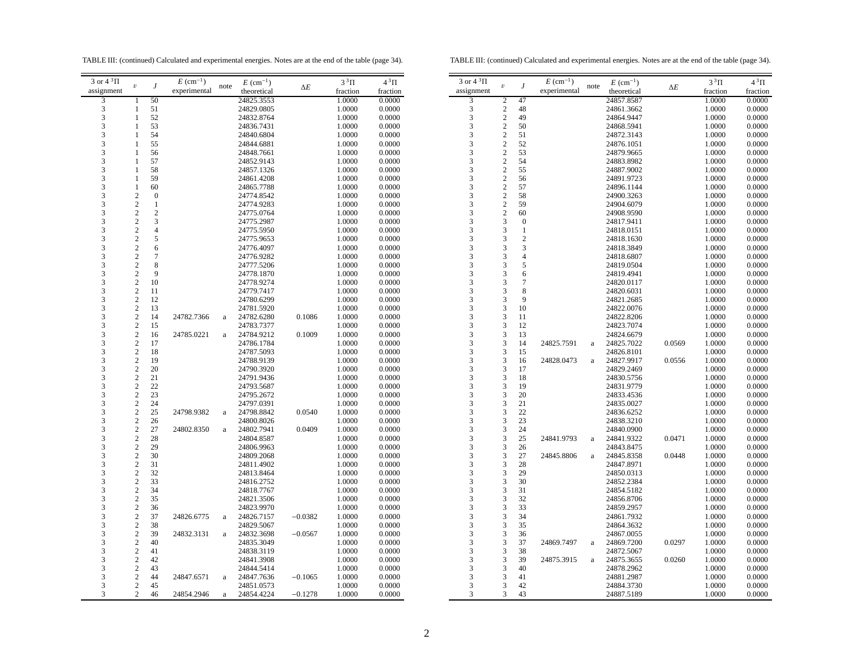TABLE III: (continued) Calculated and experimental energies. Notes are at the end of the table (page 34).

TABLE III: (continued) Calculated and experimental energies. Notes are at the end of the table (page 34).

| 3 or $4^3\Pi$ | $\boldsymbol{v}$        | $\boldsymbol{J}$ | $E~(\text{cm}^{-1})$ | note     | $E~(\text{cm}^{-1})$ |            | $3^3\Pi$ | $4^3\Pi$ | $3$ or |
|---------------|-------------------------|------------------|----------------------|----------|----------------------|------------|----------|----------|--------|
| assignment    |                         |                  | experimental         |          | theoretical          | $\Delta E$ | fraction | fraction | assig  |
| 3             | 1                       | 50               |                      |          | 24825.3553           |            | 1.0000   | 0.0000   |        |
| $\frac{3}{3}$ | 1                       | 51               |                      |          | 24829.0805           |            | 1.0000   | 0.0000   |        |
|               | $\mathbf{1}$            | 52               |                      |          | 24832.8764           |            | 1.0000   | 0.0000   |        |
| 3             | 1                       | 53               |                      |          | 24836.7431           |            | 1.0000   | 0.0000   |        |
| 3             | 1                       | 54               |                      |          | 24840.6804           |            | 1.0000   | 0.0000   |        |
| 3             | $\mathbf{1}$            | 55               |                      |          | 24844.6881           |            | 1.0000   | 0.0000   |        |
| 3             | 1                       | 56               |                      |          | 24848.7661           |            | 1.0000   | 0.0000   |        |
| 3             | 1                       | 57               |                      |          | 24852.9143           |            | 1.0000   | 0.0000   |        |
| 3             | 1                       | 58               |                      |          | 24857.1326           |            | 1.0000   | 0.0000   |        |
| 3             | 1                       | 59               |                      |          | 24861.4208           |            | 1.0000   | 0.0000   |        |
| $\frac{3}{3}$ | 1                       | 60               |                      |          | 24865.7788           |            | 1.0000   | 0.0000   |        |
|               | $\overline{c}$          | $\mathbf{0}$     |                      |          | 24774.8542           |            | 1.0000   | 0.0000   |        |
| 3             | $\overline{c}$          | $\mathbf{1}$     |                      |          | 24774.9283           |            | 1.0000   | 0.0000   |        |
| 3             | $\sqrt{2}$              | $\overline{c}$   |                      |          | 24775.0764           |            | 1.0000   | 0.0000   |        |
| 3             | $\sqrt{2}$              | 3                |                      |          | 24775.2987           |            | 1.0000   | 0.0000   |        |
| 3             | $\sqrt{2}$              | $\overline{4}$   |                      |          | 24775.5950           |            | 1.0000   | 0.0000   |        |
| 3             | $\overline{c}$          | 5                |                      |          | 24775.9653           |            | 1.0000   | 0.0000   |        |
| 3             | $\overline{c}$          | 6                |                      |          | 24776.4097           |            | 1.0000   | 0.0000   |        |
| 3             | $\overline{c}$          | $\overline{7}$   |                      |          | 24776.9282           |            | 1.0000   | 0.0000   |        |
| $\frac{3}{3}$ | $\overline{c}$          | 8                |                      |          | 24777.5206           |            | 1.0000   | 0.0000   |        |
|               | $\overline{c}$          | 9                |                      |          | 24778.1870           |            | 1.0000   | 0.0000   |        |
|               | $\overline{c}$          | 10               |                      |          | 24778.9274           |            | 1.0000   | 0.0000   |        |
| $\frac{3}{3}$ | $\sqrt{2}$              | 11               |                      |          | 24779.7417           |            | 1.0000   | 0.0000   |        |
| 3             | $\sqrt{2}$              | 12               |                      |          | 24780.6299           |            | 1.0000   | 0.0000   |        |
| 3             | $\sqrt{2}$              | 13               |                      |          | 24781.5920           |            | 1.0000   | 0.0000   |        |
| 3             | $\overline{c}$          | 14               | 24782.7366           | $\rm{a}$ | 24782.6280           | 0.1086     | 1.0000   | 0.0000   |        |
| 3             | $\overline{c}$          | 15               |                      |          | 24783.7377           |            | 1.0000   | 0.0000   |        |
| 3             | $\sqrt{2}$              | 16               | 24785.0221           | $\rm{a}$ | 24784.9212           | 0.1009     | 1.0000   | 0.0000   |        |
|               | $\sqrt{2}$              | 17               |                      |          | 24786.1784           |            | 1.0000   | 0.0000   |        |
| $\frac{3}{3}$ | $\overline{c}$          | 18               |                      |          | 24787.5093           |            | 1.0000   | 0.0000   |        |
|               | $\sqrt{2}$              | 19               |                      |          | 24788.9139           |            | 1.0000   | 0.0000   |        |
| $\frac{3}{3}$ | $\sqrt{2}$              | 20               |                      |          | 24790.3920           |            | 1.0000   | 0.0000   |        |
| $\frac{3}{3}$ | $\sqrt{2}$              | 21               |                      |          | 24791.9436           |            | 1.0000   | 0.0000   |        |
|               | $\sqrt{2}$              | 22               |                      |          | 24793.5687           |            | 1.0000   | 0.0000   |        |
| 3             | $\overline{c}$          | 23               |                      |          | 24795.2672           |            | 1.0000   | 0.0000   |        |
| 3             | $\overline{c}$          | 24               |                      |          | 24797.0391           |            | 1.0000   | 0.0000   |        |
| 3             | $\overline{c}$          | 25               | 24798.9382           | $\rm{a}$ | 24798.8842           | 0.0540     | 1.0000   | 0.0000   |        |
| 3             | $\sqrt{2}$              | 26               |                      |          | 24800.8026           |            | 1.0000   | 0.0000   |        |
| 3             | $\overline{c}$          | 27               | 24802.8350           | $\rm{a}$ | 24802.7941           | 0.0409     | 1.0000   | 0.0000   |        |
| 3             | $\overline{c}$          | 28               |                      |          | 24804.8587           |            | 1.0000   | 0.0000   |        |
|               | $\sqrt{2}$              | 29               |                      |          | 24806.9963           |            | 1.0000   | 0.0000   |        |
| $\frac{3}{3}$ | $\sqrt{2}$              | 30               |                      |          | 24809.2068           |            | 1.0000   | 0.0000   |        |
|               | $\overline{c}$          | 31               |                      |          | 24811.4902           |            | 1.0000   | 0.0000   |        |
| 3             | $\overline{c}$          | 32               |                      |          | 24813.8464           |            | 1.0000   | 0.0000   |        |
| 3             | $\boldsymbol{2}$        | 33               |                      |          | 24816.2752           |            | 1.0000   | 0.0000   |        |
| 3             | $\overline{c}$          | 34               |                      |          | 24818.7767           |            | 1.0000   | 0.0000   |        |
| 3             | $\sqrt{2}$              | 35               |                      |          | 24821.3506           |            | 1.0000   | 0.0000   |        |
| 3             | $\overline{c}$          | 36               |                      |          | 24823.9970           |            | 1.0000   | 0.0000   |        |
| 3             | $\overline{c}$          | 37               | 24826.6775           | $\rm{a}$ | 24826.7157           | $-0.0382$  | 1.0000   | 0.0000   |        |
| 3             | $\sqrt{2}$              | 38               |                      |          | 24829.5067           |            | 1.0000   | 0.0000   |        |
| 3             | $\sqrt{2}$              | 39               | 24832.3131           | $\rm{a}$ | 24832.3698           | $-0.0567$  | 1.0000   | 0.0000   |        |
| 3             | $\sqrt{2}$              | 40               |                      |          | 24835.3049           |            | 1.0000   | 0.0000   |        |
| 3             | $\overline{c}$          | 41               |                      |          | 24838.3119           |            | 1.0000   | 0.0000   |        |
| 3             | $\overline{\mathbf{c}}$ | 42               |                      |          | 24841.3908           |            | 1.0000   | 0.0000   |        |
| 3             | $\sqrt{2}$              | 43               |                      |          | 24844.5414           |            | 1.0000   | 0.0000   |        |
| 3             | $\overline{c}$          | 44               | 24847.6571           | a        | 24847.7636           | $-0.1065$  | 1.0000   | 0.0000   |        |
| 3             | $\overline{c}$          | 45               |                      |          | 24851.0573           |            | 1.0000   | 0.0000   |        |
| 3             | $\overline{c}$          | 46               | 24854.2946           | a        | 24854.4224           | $-0.1278$  | 1.0000   | 0.0000   |        |
|               |                         |                  |                      |          |                      |            |          |          |        |

| 3 or $4^3\Pi$                                   | $\boldsymbol{\mathit{v}}$ | J              | $E~(\text{cm}^{-1})$ | note     | $E~(\text{cm}^{-1})$ | $\Delta E$ | $3^3\Pi$ | $4^3\Pi$ |
|-------------------------------------------------|---------------------------|----------------|----------------------|----------|----------------------|------------|----------|----------|
| assignment                                      |                           |                | experimental         |          | theoretical          |            | fraction | fraction |
| 3                                               | $\overline{2}$            | 47             |                      |          | 24857.8587           |            | 1.0000   | 0.0000   |
| $\begin{array}{c} 3 \\ 3 \\ 3 \end{array}$      | $\overline{c}$            | 48             |                      |          | 24861.3662           |            | 1.0000   | 0.0000   |
|                                                 | $\overline{c}$            | 49             |                      |          | 24864.9447           |            | 1.0000   | 0.0000   |
|                                                 | $\overline{c}$            | 50             |                      |          | 24868.5941           |            | 1.0000   | 0.0000   |
| 3                                               | $\overline{c}$            | 51             |                      |          | 24872.3143           |            | 1.0000   | 0.0000   |
| $\frac{3}{3}$                                   | $\overline{c}$            | 52             |                      |          | 24876.1051           |            | 1.0000   | 0.0000   |
|                                                 | $\overline{c}$            | 53             |                      |          | 24879.9665           |            | 1.0000   | 0.0000   |
| 3                                               | $\overline{c}$            | 54             |                      |          | 24883.8982           |            | 1.0000   | 0.0000   |
| 3                                               | $\overline{c}$            | 55             |                      |          | 24887.9002           |            | 1.0000   | 0.0000   |
|                                                 | $\overline{c}$            | 56             |                      |          | 24891.9723           |            | 1.0000   | 0.0000   |
| $\begin{array}{c} 3 \\ 3 \\ 3 \\ 3 \end{array}$ | $\overline{c}$            | 57             |                      |          | 24896.1144           |            | 1.0000   | 0.0000   |
|                                                 | $\overline{c}$            | 58             |                      |          | 24900.3263           |            | 1.0000   | 0.0000   |
|                                                 | $\overline{c}$            | 59             |                      |          | 24904.6079           |            | 1.0000   | 0.0000   |
|                                                 | $\overline{c}$            | 60             |                      |          | 24908.9590           |            | 1.0000   | 0.0000   |
| 3                                               | 3                         | $\mathbf{0}$   |                      |          | 24817.9411           |            | 1.0000   | 0.0000   |
| 3                                               | 3                         | $\mathbf{1}$   |                      |          | 24818.0151           |            | 1.0000   | 0.0000   |
| 3                                               | 3                         | $\overline{c}$ |                      |          | 24818.1630           |            | 1.0000   | 0.0000   |
| 3                                               | 3                         | 3              |                      |          | 24818.3849           |            | 1.0000   | 0.0000   |
|                                                 | 3                         | $\overline{4}$ |                      |          | 24818.6807           |            | 1.0000   | 0.0000   |
|                                                 | 3                         | 5              |                      |          | 24819.0504           |            | 1.0000   | 0.0000   |
| $\begin{array}{c} 3 \\ 3 \\ 3 \end{array}$      | 3                         | 6              |                      |          | 24819.4941           |            | 1.0000   | 0.0000   |
|                                                 | 3                         | $\tau$         |                      |          | 24820.0117           |            | 1.0000   | 0.0000   |
| 3                                               | 3                         | 8              |                      |          | 24820.6031           |            | 1.0000   | 0.0000   |
| $\overline{\mathbf{3}}$                         | 3                         | 9              |                      |          | 24821.2685           |            | 1.0000   | 0.0000   |
| 3                                               | 3                         | 10             |                      |          | 24822.0076           |            | 1.0000   | 0.0000   |
| $\overline{3}$                                  | 3                         | 11             |                      |          | 24822.8206           |            | 1.0000   | 0.0000   |
| 3                                               | 3                         | 12             |                      |          | 24823.7074           |            | 1.0000   | 0.0000   |
|                                                 | 3                         | 13             |                      |          | 24824.6679           |            | 1.0000   | 0.0000   |
| $\begin{array}{c} 3 \\ 3 \\ 3 \end{array}$      | 3                         | 14             | 24825.7591           | a        | 24825.7022           | 0.0569     | 1.0000   | 0.0000   |
|                                                 | 3                         | 15             |                      |          | 24826.8101           |            | 1.0000   | 0.0000   |
| 3                                               | 3                         | 16             | 24828.0473           | $\rm{a}$ | 24827.9917           | 0.0556     | 1.0000   | 0.0000   |
| 3                                               | 3                         | 17             |                      |          | 24829.2469           |            | 1.0000   | 0.0000   |
| 3                                               | 3                         | 18             |                      |          | 24830.5756           |            | 1.0000   | 0.0000   |
|                                                 | 3                         | 19             |                      |          | 24831.9779           |            | 1.0000   | 0.0000   |
| $\begin{array}{c} 3 \\ 3 \\ 3 \end{array}$      | 3                         | 20             |                      |          | 24833.4536           |            | 1.0000   | 0.0000   |
|                                                 | 3                         | 21             |                      |          | 24835.0027           |            | 1.0000   | 0.0000   |
| $\overline{3}$                                  | 3                         | 22             |                      |          | 24836.6252           |            | 1.0000   | 0.0000   |
| 3                                               | 3                         | 23             |                      |          | 24838.3210           |            | 1.0000   | 0.0000   |
| 3                                               | 3                         | 24             |                      |          | 24840.0900           |            | 1.0000   | 0.0000   |
| 3                                               | 3                         | 25             | 24841.9793           | $\rm{a}$ | 24841.9322           | 0.0471     | 1.0000   | 0.0000   |
| $\overline{\mathbf{3}}$                         | 3                         | 26             |                      |          | 24843.8475           |            | 1.0000   | 0.0000   |
|                                                 | 3                         | 27             | 24845.8806           | a        | 24845.8358           | 0.0448     | 1.0000   | 0.0000   |
| $\begin{array}{c} 3 \\ 3 \\ 3 \end{array}$      | 3                         | 28             |                      |          | 24847.8971           |            | 1.0000   | 0.0000   |
|                                                 | 3                         | 29             |                      |          | 24850.0313           |            | 1.0000   | 0.0000   |
| $\frac{3}{3}$                                   | 3                         | 30             |                      |          | 24852.2384           |            | 1.0000   | 0.0000   |
|                                                 | 3                         | 31             |                      |          | 24854.5182           |            | 1.0000   | 0.0000   |
| 3                                               | 3                         | 32             |                      |          | 24856.8706           |            | 1.0000   | 0.0000   |
| 3                                               | 3                         | 33             |                      |          | 24859.2957           |            | 1.0000   | 0.0000   |
|                                                 | 3                         | 34             |                      |          | 24861.7932           |            | 1.0000   | 0.0000   |
| $\begin{array}{c} 3 \\ 3 \\ 3 \end{array}$      | 3                         | 35             |                      |          | 24864.3632           |            | 1.0000   | 0.0000   |
|                                                 | 3                         | 36             |                      |          | 24867.0055           |            | 1.0000   | 0.0000   |
|                                                 | 3                         | 37             | 24869.7497           | a        | 24869.7200           | 0.0297     | 1.0000   | 0.0000   |
|                                                 | 3                         | 38             |                      |          | 24872.5067           |            | 1.0000   | 0.0000   |
|                                                 | 3                         | 39             | 24875.3915           | a        | 24875.3655           | 0.0260     | 1.0000   | 0.0000   |
| $\begin{array}{c} 3 \\ 3 \\ 3 \end{array}$      | 3                         | 40             |                      |          | 24878.2962           |            | 1.0000   | 0.0000   |
| 3                                               | 3                         | 41             |                      |          | 24881.2987           |            | 1.0000   | 0.0000   |
| 3                                               | 3                         | 42             |                      |          | 24884.3730           |            | 1.0000   | 0.0000   |
| 3                                               | 3                         | 43             |                      |          | 24887.5189           |            | 1.0000   | 0.0000   |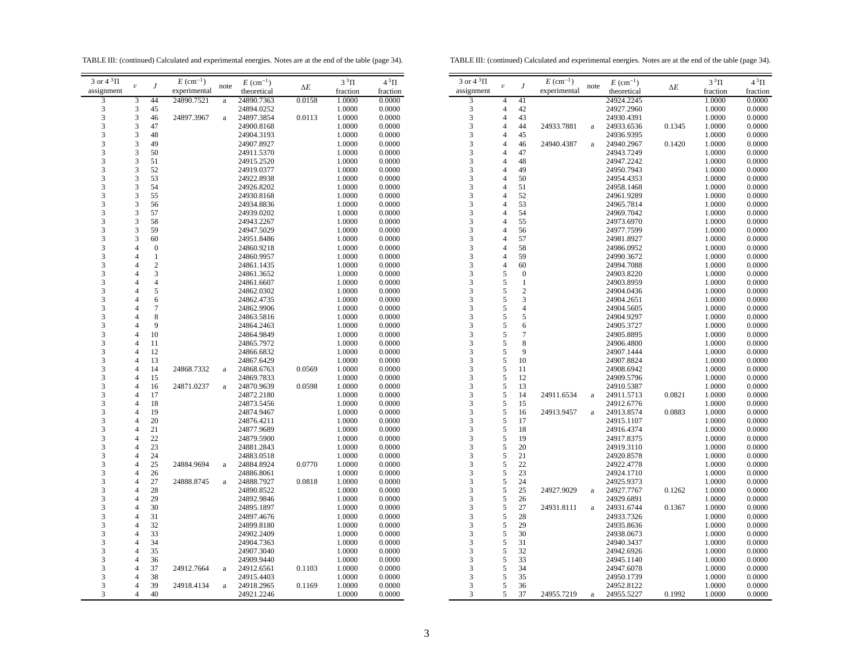TABLE III: (continued) Calculated and experimental energies. Notes are at the end of the table (page 34).

TABLE III: (continued) Calculated and experimental energies. Notes are at the end of the table (page 34).

| 3 or $4^3\Pi$ |                                            |                  | $E~(\text{cm}^{-1})$ |              | $E~(\text{cm}^{-1})$ |            | $3^3\Pi$ | $4^3\Pi$ |  |
|---------------|--------------------------------------------|------------------|----------------------|--------------|----------------------|------------|----------|----------|--|
| assignment    | $\boldsymbol{\upsilon}$                    | $\boldsymbol{J}$ | experimental         | note         | theoretical          | $\Delta E$ | fraction | fraction |  |
| 3             | 3                                          | 44               | 24890.7521           | $\rm{a}$     | 24890.7363           | 0.0158     | 1.0000   | 0.0000   |  |
| 3             |                                            | 45               |                      |              | 24894.0252           |            | 1.0000   | 0.0000   |  |
| 3             | $\begin{array}{c} 3 \\ 3 \\ 3 \end{array}$ | 46               | 24897.3967           | $\rm{a}$     | 24897.3854           | 0.0113     | 1.0000   | 0.0000   |  |
| 3             |                                            | 47               |                      |              | 24900.8168           |            | 1.0000   | 0.0000   |  |
| 3             | 3                                          | 48               |                      |              | 24904.3193           |            | 1.0000   | 0.0000   |  |
| 3             | 3                                          | 49               |                      |              | 24907.8927           |            | 1.0000   | 0.0000   |  |
| 3             | 3                                          | 50               |                      |              | 24911.5370           |            | 1.0000   | 0.0000   |  |
| 3             | 3                                          | 51               |                      |              | 24915.2520           |            | 1.0000   | 0.0000   |  |
| 3             | 3                                          | 52               |                      |              | 24919.0377           |            | 1.0000   | 0.0000   |  |
| 3             | 3                                          | 53               |                      |              | 24922.8938           |            | 1.0000   | 0.0000   |  |
| 3             | $\frac{3}{3}$                              | 54               |                      |              | 24926.8202           |            | 1.0000   | 0.0000   |  |
| 3             |                                            | 55               |                      |              | 24930.8168           |            | 1.0000   | 0.0000   |  |
| 3             | 3                                          | 56               |                      |              | 24934.8836           |            | 1.0000   | 0.0000   |  |
| 3             | $\overline{\mathbf{3}}$                    | 57               |                      |              | 24939.0202           |            | 1.0000   | 0.0000   |  |
| 3             | 3                                          | 58               |                      |              | 24943.2267           |            | 1.0000   | 0.0000   |  |
| 3             | 3                                          | 59               |                      |              | 24947.5029           |            | 1.0000   | 0.0000   |  |
| 3             | 3                                          | 60               |                      |              | 24951.8486           |            | 1.0000   | 0.0000   |  |
| 3             | $\overline{4}$                             | $\boldsymbol{0}$ |                      |              | 24860.9218           |            | 1.0000   | 0.0000   |  |
| 3             | $\overline{4}$                             | $\mathbf{1}$     |                      |              | 24860.9957           |            | 1.0000   | 0.0000   |  |
| 3             | $\overline{4}$                             | $\overline{c}$   |                      |              | 24861.1435           |            | 1.0000   | 0.0000   |  |
| 3             | 4                                          | 3                |                      |              | 24861.3652           |            | 1.0000   | 0.0000   |  |
| 3             | $\overline{4}$                             | $\overline{4}$   |                      |              | 24861.6607           |            | 1.0000   | 0.0000   |  |
| 3             | 4                                          | 5                |                      |              | 24862.0302           |            | 1.0000   | 0.0000   |  |
| 3             | 4                                          | 6                |                      |              | 24862.4735           |            | 1.0000   | 0.0000   |  |
| 3             | 4                                          | $\boldsymbol{7}$ |                      |              | 24862.9906           |            | 1.0000   | 0.0000   |  |
| 3             | $\overline{4}$                             | 8                |                      |              | 24863.5816           |            | 1.0000   | 0.0000   |  |
| 3             | $\overline{4}$                             | 9                |                      |              | 24864.2463           |            | 1.0000   | 0.0000   |  |
| 3             | $\overline{4}$                             | 10               |                      |              | 24864.9849           |            | 1.0000   | 0.0000   |  |
| 3             | $\overline{4}$                             | 11               |                      |              | 24865.7972           |            | 1.0000   | 0.0000   |  |
| 3             | $\overline{4}$                             | 12               |                      |              | 24866.6832           |            | 1.0000   | 0.0000   |  |
| 3             | $\overline{4}$                             | 13               |                      |              | 24867.6429           |            | 1.0000   | 0.0000   |  |
| 3             | $\overline{4}$                             | 14               | 24868.7332           | a            | 24868.6763           | 0.0569     | 1.0000   | 0.0000   |  |
| 3             | $\overline{4}$                             | 15               |                      |              | 24869.7833           |            | 1.0000   | 0.0000   |  |
| 3             | 4                                          | 16               | 24871.0237           | $\rm{a}$     | 24870.9639           | 0.0598     | 1.0000   | 0.0000   |  |
| 3             | $\overline{4}$                             | 17               |                      |              | 24872.2180           |            | 1.0000   | 0.0000   |  |
| 3             | $\overline{4}$                             | 18               |                      |              | 24873.5456           |            | 1.0000   | 0.0000   |  |
| 3             | $\overline{4}$                             | 19               |                      |              | 24874.9467           |            | 1.0000   | 0.0000   |  |
| 3             | $\overline{4}$                             | 20               |                      |              | 24876.4211           |            | 1.0000   | 0.0000   |  |
| 3             | 4                                          | 21               |                      |              | 24877.9689           |            | 1.0000   | 0.0000   |  |
| 3             | 4                                          | 22               |                      |              | 24879.5900           |            | 1.0000   | 0.0000   |  |
| 3             | 4                                          | 23               |                      |              | 24881.2843           |            | 1.0000   | 0.0000   |  |
| 3             | $\overline{4}$                             | 24               |                      |              | 24883.0518           |            | 1.0000   | 0.0000   |  |
| 3             | 4                                          | 25               | 24884.9694           | a            | 24884.8924           | 0.0770     | 1.0000   | 0.0000   |  |
| 3             | $\overline{4}$                             | 26               |                      |              | 24886.8061           |            | 1.0000   | 0.0000   |  |
| 3             | $\overline{\mathcal{L}}$                   | 27               | 24888.8745           | $\rm{a}$     | 24888.7927           | 0.0818     | 1.0000   | 0.0000   |  |
| 3             | 4                                          | 28               |                      |              | 24890.8522           |            | 1.0000   | 0.0000   |  |
| 3             | 4                                          | 29               |                      |              | 24892.9846           |            | 1.0000   | 0.0000   |  |
| 3             | $\overline{4}$                             | 30               |                      |              | 24895.1897           |            | 1.0000   | 0.0000   |  |
| 3             | 4                                          | 31               |                      |              | 24897.4676           |            | 1.0000   | 0.0000   |  |
| 3             | 4                                          | 32               |                      |              | 24899.8180           |            | 1.0000   | 0.0000   |  |
| 3             | $\overline{4}$                             | 33               |                      |              | 24902.2409           |            | 1.0000   | 0.0000   |  |
| 3             | $\overline{4}$                             | 34               |                      |              | 24904.7363           |            | 1.0000   | 0.0000   |  |
| 3             | $\overline{4}$                             | 35               |                      |              | 24907.3040           |            | 1.0000   | 0.0000   |  |
| 3             | 4                                          | 36               |                      |              | 24909.9440           |            | 1.0000   | 0.0000   |  |
| 3             | $\overline{4}$                             | 37               | 24912.7664           | $\rm{a}$     | 24912.6561           | 0.1103     | 1.0000   | 0.0000   |  |
| 3             | 4                                          | 38               |                      |              | 24915.4403           |            | 1.0000   | 0.0000   |  |
| 3             | $\overline{4}$                             | 39               | 24918.4134           | $\mathbf{a}$ | 24918.2965           | 0.1169     | 1.0000   | 0.0000   |  |
| 3             | 4                                          | 40               |                      |              | 24921.2246           |            | 1.0000   | 0.0000   |  |

| $3$ or $4~^3\Pi$                           | $\boldsymbol{\mathit{v}}$ | J                | $E~(\text{cm}^{-1})$ | note     | $E~(\text{cm}^{-1})$ |            | $3^3\Pi$ | $4^3\Pi$ |
|--------------------------------------------|---------------------------|------------------|----------------------|----------|----------------------|------------|----------|----------|
| assignment                                 |                           |                  | experimental         |          | theoretical          | $\Delta E$ | fraction | fraction |
| $\overline{\mathbf{3}}$                    | 4                         | 41               |                      |          | 24924.2245           |            | 1.0000   | 0.0000   |
| 3                                          | 4                         | 42               |                      |          | 24927.2960           |            | 1.0000   | 0.0000   |
| $\overline{\mathbf{3}}$                    | $\overline{\mathcal{L}}$  | 43               |                      |          | 24930.4391           |            | 1.0000   | 0.0000   |
| 3                                          | $\overline{\mathcal{L}}$  | 44               | 24933.7881           | a        | 24933.6536           | 0.1345     | 1.0000   | 0.0000   |
| 3                                          | 4                         | 45               |                      |          | 24936.9395           |            | 1.0000   | 0.0000   |
| 3                                          | $\overline{\mathcal{L}}$  | 46               | 24940.4387           | $\rm{a}$ | 24940.2967           | 0.1420     | 1.0000   | 0.0000   |
| 3                                          | $\overline{4}$            | 47               |                      |          | 24943.7249           |            | 1.0000   | 0.0000   |
| $\overline{3}$                             | 4                         | 48               |                      |          | 24947.2242           |            | 1.0000   | 0.0000   |
| 3                                          | $\overline{\mathcal{L}}$  | 49               |                      |          |                      |            |          |          |
| 3                                          | $\overline{4}$            | 50               |                      |          | 24950.7943           |            | 1.0000   | 0.0000   |
| 3                                          | $\overline{4}$            |                  |                      |          | 24954.4353           |            | 1.0000   | 0.0000   |
|                                            |                           | 51<br>52         |                      |          | 24958.1468           |            | 1.0000   | 0.0000   |
| 3                                          | $\overline{4}$            |                  |                      |          | 24961.9289           |            | 1.0000   | 0.0000   |
| 3                                          | $\overline{4}$            | 53               |                      |          | 24965.7814           |            | 1.0000   | 0.0000   |
| 3                                          | $\overline{4}$            | 54               |                      |          | 24969.7042           |            | 1.0000   | 0.0000   |
| 3                                          | $\overline{\mathcal{L}}$  | 55               |                      |          | 24973.6970           |            | 1.0000   | 0.0000   |
| $\frac{3}{3}$                              | $\overline{4}$            | 56               |                      |          | 24977.7599           |            | 1.0000   | 0.0000   |
|                                            | 4                         | 57               |                      |          | 24981.8927           |            | 1.0000   | 0.0000   |
| 3                                          | $\overline{\mathcal{L}}$  | 58               |                      |          | 24986.0952           |            | 1.0000   | 0.0000   |
| $\overline{\mathbf{3}}$                    | $\overline{4}$            | 59               |                      |          | 24990.3672           |            | 1.0000   | 0.0000   |
| 3                                          | $\overline{4}$            | 60               |                      |          | 24994.7088           |            | 1.0000   | 0.0000   |
| 3                                          | 5                         | $\boldsymbol{0}$ |                      |          | 24903.8220           |            | 1.0000   | 0.0000   |
| 3                                          | 5                         | $\mathbf{1}$     |                      |          | 24903.8959           |            | 1.0000   | 0.0000   |
| $\overline{\mathbf{3}}$                    | 5                         | $\overline{c}$   |                      |          | 24904.0436           |            | 1.0000   | 0.0000   |
| 3                                          | 5                         | 3                |                      |          | 24904.2651           |            | 1.0000   | 0.0000   |
|                                            | 5                         | $\overline{4}$   |                      |          | 24904.5605           |            | 1.0000   | 0.0000   |
| $\frac{3}{3}$                              | $\overline{5}$            | 5                |                      |          | 24904.9297           |            | 1.0000   | 0.0000   |
| 3                                          | 5                         | 6                |                      |          | 24905.3727           |            | 1.0000   | 0.0000   |
| 3                                          | 5                         | 7                |                      |          | 24905.8895           |            | 1.0000   | 0.0000   |
| $\overline{\mathbf{3}}$                    | 5                         | 8                |                      |          | 24906.4800           |            | 1.0000   | 0.0000   |
| 3                                          | 5                         | 9                |                      |          | 24907.1444           |            | 1.0000   | 0.0000   |
| 3                                          | 5                         | 10               |                      |          | 24907.8824           |            | 1.0000   | 0.0000   |
| 3                                          | 5                         | 11               |                      |          | 24908.6942           |            | 1.0000   | 0.0000   |
| $\overline{\mathbf{3}}$                    | 5                         | 12               |                      |          | 24909.5796           |            | 1.0000   | 0.0000   |
|                                            | 5                         | 13               |                      |          | 24910.5387           |            | 1.0000   | 0.0000   |
| $\frac{3}{3}$                              | 5                         | 14               | 24911.6534           | a        | 24911.5713           | 0.0821     | 1.0000   | 0.0000   |
| 3                                          | 5                         | 15               |                      |          | 24912.6776           |            | 1.0000   | 0.0000   |
| 3                                          | 5                         | 16               | 24913.9457           |          | 24913.8574           | 0.0883     | 1.0000   | 0.0000   |
| $\overline{3}$                             | 5                         | 17               |                      | a        |                      |            |          |          |
| 3                                          | 5                         | 18               |                      |          | 24915.1107           |            | 1.0000   | 0.0000   |
|                                            |                           |                  |                      |          | 24916.4374           |            | 1.0000   | 0.0000   |
| 3                                          | 5                         | 19               |                      |          | 24917.8375           |            | 1.0000   | 0.0000   |
| 3                                          | 5                         | 20               |                      |          | 24919.3110           |            | 1.0000   | 0.0000   |
| 3                                          | 5                         | 21               |                      |          | 24920.8578           |            | 1.0000   | 0.0000   |
| $\overline{\mathbf{3}}$                    | 5                         | 22               |                      |          | 24922.4778           |            | 1.0000   | 0.0000   |
| 3                                          | 5                         | 23               |                      |          | 24924.1710           |            | 1.0000   | 0.0000   |
| 3                                          | 5                         | 24               |                      |          | 24925.9373           |            | 1.0000   | 0.0000   |
| 3                                          | 5                         | 25               | 24927.9029           | a        | 24927.7767           | 0.1262     | 1.0000   | 0.0000   |
| $\overline{\mathbf{3}}$                    | 5                         | 26               |                      |          | 24929.6891           |            | 1.0000   | 0.0000   |
| $\overline{\mathbf{3}}$                    | 5                         | 27               | 24931.8111           | $\rm{a}$ | 24931.6744           | 0.1367     | 1.0000   | 0.0000   |
| $\overline{\mathbf{3}}$                    | 5                         | 28               |                      |          | 24933.7326           |            | 1.0000   | 0.0000   |
| 3                                          | 5                         | 29               |                      |          | 24935.8636           |            | 1.0000   | 0.0000   |
| 3                                          | 5                         | 30               |                      |          | 24938.0673           |            | 1.0000   | 0.0000   |
| 3                                          | 5                         | 31               |                      |          | 24940.3437           |            | 1.0000   | 0.0000   |
| 3                                          | 5                         | 32               |                      |          | 24942.6926           |            | 1.0000   | 0.0000   |
|                                            | 5                         | 33               |                      |          | 24945.1140           |            | 1.0000   | 0.0000   |
| $\begin{array}{c} 3 \\ 3 \\ 3 \end{array}$ | $\overline{5}$            | 34               |                      |          | 24947.6078           |            | 1.0000   | 0.0000   |
|                                            | 5                         | 35               |                      |          | 24950.1739           |            | 1.0000   | 0.0000   |
| $\overline{3}$                             | 5                         | 36               |                      |          | 24952.8122           |            | 1.0000   | 0.0000   |
| 3                                          | 5                         | 37               | 24955.7219           | a        | 24955.5227           | 0.1992     | 1.0000   | 0.0000   |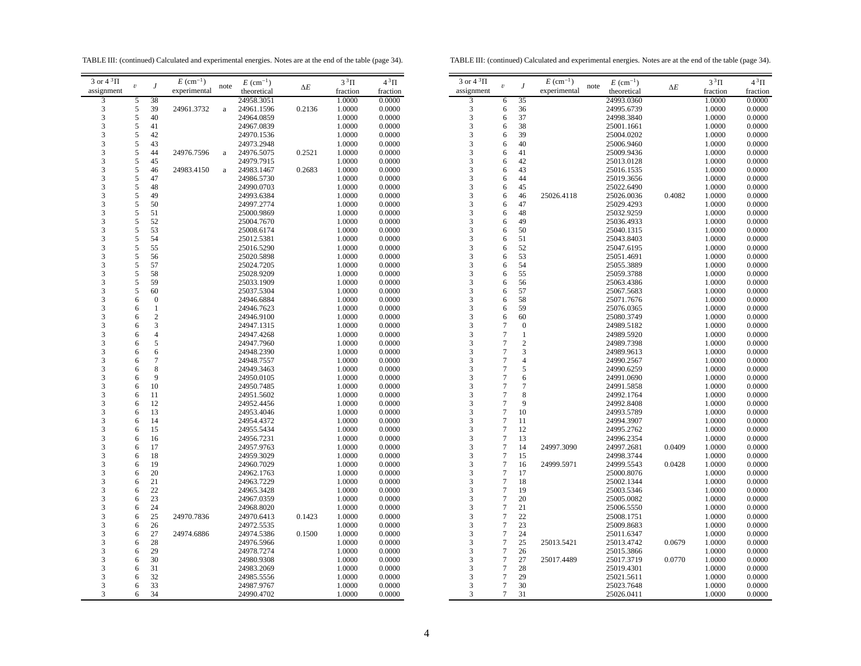TABLE III: (continued) Calculated and experimental energies. Notes are at the end of the table (page 34).

TABLE III: (continued) Calculated and experimental energies. Notes are at the end of the table (page 34).

| $3$ or $43$ $\Pi$ |            |                  | $E~(\text{cm}^{-1})$ |          | $E~(\text{cm}^{-1})$ |            | $3\,{}^{3}\Pi$   | $4^3\Pi$         | $3$ or $4~^3\Pi$ |                                      |                  | $\cal E$ |
|-------------------|------------|------------------|----------------------|----------|----------------------|------------|------------------|------------------|------------------|--------------------------------------|------------------|----------|
| assignment        | $\upsilon$ | J                | experimental         | note     | theoretical          | $\Delta E$ | fraction         | fraction         | assignment       | $\boldsymbol{\upsilon}$              | J                | expe     |
| 3                 | 5          | 38               |                      |          | 24958.3051           |            | 1.0000           | 0.0000           | 3                | 6                                    | 35               |          |
| 3                 | 5          | 39               | 24961.3732           | a        | 24961.1596           | 0.2136     | 1.0000           | 0.0000           | 3                | 6                                    | 36               |          |
| 3                 | 5          | 40               |                      |          | 24964.0859           |            | 1.0000           | 0.0000           | 3                | 6                                    | 37               |          |
| 3                 | 5          | 41               |                      |          | 24967.0839           |            | 1.0000           | 0.0000           | 3                | 6                                    | 38               |          |
| 3                 | 5          | 42               |                      |          | 24970.1536           |            | 1.0000           | 0.0000           | 3                | 6                                    | 39               |          |
| 3                 | 5          | 43               |                      |          | 24973.2948           |            | 1.0000           | 0.0000           | 3                | 6                                    | 40               |          |
| 3                 | 5          | 44               | 24976.7596           | a        | 24976.5075           | 0.2521     | 1.0000           | 0.0000           | 3                | 6                                    | 41               |          |
| 3                 | 5          | 45               |                      |          | 24979.7915           |            | 1.0000           | 0.0000           | 3                | 6                                    | 42               |          |
| 3                 | 5          | 46               | 24983.4150           | $\rm{a}$ | 24983.1467           | 0.2683     | 1.0000           | 0.0000           | 3                | 6                                    | 43               |          |
| 3                 | 5          | 47               |                      |          | 24986.5730           |            | 1.0000           | 0.0000           | 3                | 6                                    | 44               |          |
| 3                 | 5          | 48               |                      |          | 24990.0703           |            | 1.0000           | 0.0000           | 3                | 6                                    | 45               |          |
| 3                 | 5          | 49               |                      |          | 24993.6384           |            | 1.0000           | 0.0000           | 3                | 6                                    | 46               | 250      |
| 3                 | 5          | 50               |                      |          | 24997.2774           |            | 1.0000           | 0.0000           | 3                | 6                                    | 47               |          |
| 3                 | 5          | 51               |                      |          | 25000.9869           |            | 1.0000           | 0.0000           | 3                | 6                                    | 48               |          |
| 3                 | 5          | 52               |                      |          | 25004.7670           |            | 1.0000           | 0.0000           | 3                | 6                                    | 49               |          |
| 3                 | 5          | 53               |                      |          | 25008.6174           |            | 1.0000           | 0.0000           | 3                | 6                                    | 50               |          |
| 3                 | 5          | 54               |                      |          | 25012.5381           |            | 1.0000           | 0.0000           | 3                | 6                                    | 51               |          |
| 3                 | 5          | 55               |                      |          | 25016.5290           |            | 1.0000           | 0.0000           | 3                | 6                                    | 52               |          |
| 3                 | 5          | 56               |                      |          | 25020.5898           |            | 1.0000           | 0.0000           | 3                | 6                                    | 53               |          |
| 3                 | 5          | 57               |                      |          | 25024.7205           |            | 1.0000           | 0.0000           | 3                | 6                                    | 54               |          |
| 3                 | 5          | 58               |                      |          | 25028.9209           |            | 1.0000           | 0.0000           | 3                | 6                                    | 55               |          |
| 3                 | 5          | 59               |                      |          | 25033.1909           |            | 1.0000           | 0.0000           | 3                | 6                                    | 56               |          |
| 3                 | 5          | 60               |                      |          | 25037.5304           |            | 1.0000           | 0.0000           | 3                | 6                                    | 57               |          |
| 3                 | 6          | $\boldsymbol{0}$ |                      |          | 24946.6884           |            | 1.0000           | 0.0000           | 3                | 6                                    | 58               |          |
| 3                 | 6          | $\mathbf{1}$     |                      |          | 24946.7623           |            | 1.0000           | 0.0000           | 3                | 6                                    | 59               |          |
| 3                 | 6          | $\overline{c}$   |                      |          | 24946.9100           |            | 1.0000           | 0.0000           | 3                | 6                                    | 60               |          |
| 3                 | 6          | 3                |                      |          | 24947.1315           |            | $1.0000\,$       | 0.0000           | 3                | $\boldsymbol{7}$                     | $\boldsymbol{0}$ |          |
| 3                 | 6          | $\overline{4}$   |                      |          | 24947.4268           |            | 1.0000           | 0.0000           | 3                | $\tau$                               | $\mathbf{1}$     |          |
| 3                 | 6          | 5                |                      |          | 24947.7960           |            | 1.0000           | 0.0000           | 3                | $\tau$                               | $\overline{2}$   |          |
| 3                 | 6          | 6                |                      |          | 24948.2390           |            | 1.0000           | 0.0000           | 3                | $\tau$                               | 3                |          |
| 3                 | 6          | $\tau$           |                      |          | 24948.7557           |            | 1.0000           | 0.0000           | 3                | 7                                    | $\overline{4}$   |          |
| 3                 | 6          | $\,$ 8 $\,$      |                      |          | 24949.3463           |            | 1.0000           | 0.0000           | 3                | $\boldsymbol{7}$                     | 5                |          |
| 3                 | 6          | 9                |                      |          | 24950.0105           |            | 1.0000           | 0.0000           | 3                | $\tau$                               | 6                |          |
| 3                 | 6          | 10               |                      |          | 24950.7485           |            | 1.0000           | 0.0000           | 3                | $\tau$                               | $\tau$           |          |
| 3                 | 6          | 11               |                      |          | 24951.5602           |            |                  | 0.0000           | 3                | $\overline{\mathcal{I}}$             | 8                |          |
| 3                 | 6          | 12               |                      |          | 24952.4456           |            | 1.0000<br>1.0000 | 0.0000           | 3                | $\overline{7}$                       | 9                |          |
| 3                 |            | 13               |                      |          |                      |            |                  |                  | 3                | $\tau$                               | 10               |          |
| 3                 | 6          | 14               |                      |          | 24953.4046           |            | 1.0000           | 0.0000           | 3                | $\tau$                               | 11               |          |
| 3                 | 6          | 15               |                      |          | 24954.4372           |            | 1.0000           | 0.0000<br>0.0000 | 3                | $\boldsymbol{7}$                     | 12               |          |
|                   | 6          |                  |                      |          | 24955.5434           |            | 1.0000           |                  |                  |                                      |                  |          |
| 3<br>3            | 6          | 16<br>17         |                      |          | 24956.7231           |            | 1.0000           | 0.0000           | 3<br>3           | $\boldsymbol{7}$<br>$\boldsymbol{7}$ | 13<br>14         | 249      |
| 3                 | 6          |                  |                      |          | 24957.9763           |            | 1.0000           | 0.0000           | 3                | $\boldsymbol{7}$                     |                  |          |
| 3                 | 6          | 18<br>19         |                      |          | 24959.3029           |            | 1.0000           | 0.0000<br>0.0000 | 3                | $\sqrt{ }$                           | 15<br>16         | 249      |
| 3                 | 6          | 20               |                      |          | 24960.7029           |            | 1.0000           |                  | 3                | $\overline{7}$                       | 17               |          |
|                   | 6          |                  |                      |          | 24962.1763           |            | 1.0000           | 0.0000           | 3                |                                      |                  |          |
| 3                 | 6          | 21               |                      |          | 24963.7229           |            | 1.0000           | 0.0000           |                  | $\boldsymbol{7}$                     | 18               |          |
| 3                 | 6          | 22               |                      |          | 24965.3428           |            | 1.0000           | 0.0000           | 3                | $\tau$                               | 19               |          |
| 3                 | 6          | 23               |                      |          | 24967.0359           |            | 1.0000           | 0.0000           | 3                | $\boldsymbol{7}$                     | 20               |          |
| 3                 | 6          | 24               |                      |          | 24968.8020           |            | 1.0000           | 0.0000           | 3                | $\tau$                               | 21               |          |
| 3                 | 6          | 25               | 24970.7836           |          | 24970.6413           | 0.1423     | 1.0000           | 0.0000           | 3                | $\tau$                               | 22               |          |
| 3                 | 6          | 26               |                      |          | 24972.5535           |            | 1.0000           | 0.0000           | 3                | $\boldsymbol{7}$                     | 23               |          |
| 3                 | 6          | 27               | 24974.6886           |          | 24974.5386           | 0.1500     | 1.0000           | 0.0000           | 3                | $\boldsymbol{7}$                     | 24               |          |
| 3                 | 6          | 28               |                      |          | 24976.5966           |            | 1.0000           | 0.0000           | 3                | $\boldsymbol{7}$                     | 25               | 250      |
| 3                 | 6          | 29               |                      |          | 24978.7274           |            | 1.0000           | 0.0000           | 3                | $\boldsymbol{7}$                     | 26               |          |
| 3                 | 6          | 30               |                      |          | 24980.9308           |            | 1.0000           | 0.0000           | 3                | $\boldsymbol{7}$                     | 27               | 250      |
| 3                 | 6          | 31               |                      |          | 24983.2069           |            | 1.0000           | 0.0000           | 3                | $\boldsymbol{7}$                     | 28               |          |
| 3                 | 6          | 32               |                      |          | 24985.5556           |            | 1.0000           | 0.0000           | 3                | $\tau$                               | 29               |          |
| 3                 | 6          | 33               |                      |          | 24987.9767           |            | 1.0000           | 0.0000           | 3                | $\boldsymbol{7}$                     | 30               |          |
| 3                 | 6          | 34               |                      |          | 24990.4702           |            | 1.0000           | 0.0000           | 3                | $\tau$                               | 31               |          |
|                   |            |                  |                      |          |                      |            |                  |                  |                  |                                      |                  |          |

| 3 or $4^3\Pi$ |                         |                | $E~(\text{cm}^{-1})$ | $E~(\text{cm}^{-1})$ |            | $3^3\Pi$ | $4^3\Pi$ |
|---------------|-------------------------|----------------|----------------------|----------------------|------------|----------|----------|
| assignment    | $\boldsymbol{\upsilon}$ | J              | experimental         | note<br>theoretical  | $\Delta E$ | fraction | fraction |
| 3             | 6                       | 35             |                      | 24993.0360           |            | 1.0000   | 0.0000   |
| 3             | 6                       | 36             |                      | 24995.6739           |            | 1.0000   | 0.0000   |
| 3             | 6                       | 37             |                      | 24998.3840           |            | 1.0000   | 0.0000   |
| 3             | 6                       | 38             |                      | 25001.1661           |            | 1.0000   | 0.0000   |
| 3             | 6                       | 39             |                      | 25004.0202           |            | 1.0000   | 0.0000   |
| 3             | 6                       | 40             |                      | 25006.9460           |            | 1.0000   | 0.0000   |
| 3             | 6                       | 41             |                      | 25009.9436           |            | 1.0000   | 0.0000   |
| 3             | 6                       | 42             |                      | 25013.0128           |            | 1.0000   | 0.0000   |
| 3             | 6                       | 43             |                      | 25016.1535           |            | 1.0000   | 0.0000   |
| 3             | 6                       | 44             |                      | 25019.3656           |            | 1.0000   | 0.0000   |
| 3             | 6                       | 45             |                      | 25022.6490           |            | 1.0000   | 0.0000   |
| 3             | 6                       | 46             | 25026.4118           | 25026.0036           | 0.4082     | 1.0000   | 0.0000   |
| 3             | 6                       | 47             |                      | 25029.4293           |            | 1.0000   | 0.0000   |
| 3             | 6                       | 48             |                      | 25032.9259           |            | 1.0000   | 0.0000   |
| 3             | 6                       | 49             |                      | 25036.4933           |            | 1.0000   | 0.0000   |
| 3             | 6                       | 50             |                      | 25040.1315           |            | 1.0000   | 0.0000   |
| 3             | 6                       | 51             |                      | 25043.8403           |            | 1.0000   | 0.0000   |
| 3             | 6                       | 52             |                      | 25047.6195           |            | 1.0000   | 0.0000   |
| 3             | 6                       | 53             |                      | 25051.4691           |            | 1.0000   | 0.0000   |
| 3             | 6                       | 54             |                      | 25055.3889           |            | 1.0000   | 0.0000   |
| 3             | 6                       | 55             |                      | 25059.3788           |            | 1.0000   | 0.0000   |
| 3             | 6                       | 56             |                      | 25063.4386           |            | 1.0000   | 0.0000   |
| 3             | 6                       | 57             |                      | 25067.5683           |            | 1.0000   | 0.0000   |
| 3             | 6                       | 58             |                      | 25071.7676           |            | 1.0000   | 0.0000   |
| 3             | 6                       | 59             |                      | 25076.0365           |            | 1.0000   | 0.0000   |
| 3             | 6                       | 60             |                      | 25080.3749           |            | 1.0000   | 0.0000   |
| 3             | 7                       | $\mathbf{0}$   |                      | 24989.5182           |            | 1.0000   | 0.0000   |
| 3             | 7                       | $\mathbf{1}$   |                      | 24989.5920           |            | 1.0000   | 0.0000   |
| 3             | 7                       | $\overline{c}$ |                      | 24989.7398           |            | 1.0000   | 0.0000   |
| 3             | 7                       | 3              |                      | 24989.9613           |            | 1.0000   | 0.0000   |
| 3             | $\overline{7}$          | $\overline{4}$ |                      | 24990.2567           |            | 1.0000   | 0.0000   |
| 3             | $\overline{7}$          | 5              |                      | 24990.6259           |            | 1.0000   | 0.0000   |
| 3             | 7                       | 6              |                      | 24991.0690           |            | 1.0000   | 0.0000   |
| 3             | $\overline{7}$          | $\overline{7}$ |                      | 24991.5858           |            | 1.0000   | 0.0000   |
| 3             | $\overline{7}$          | 8              |                      | 24992.1764           |            | 1.0000   | 0.0000   |
| 3             | $\overline{7}$          | 9              |                      | 24992.8408           |            | 1.0000   | 0.0000   |
| 3             | 7                       | 10             |                      | 24993.5789           |            | 1.0000   | 0.0000   |
| 3             | $\overline{7}$          | 11             |                      | 24994.3907           |            | 1.0000   | 0.0000   |
| 3             | 7                       | 12             |                      | 24995.2762           |            | 1.0000   | 0.0000   |
| 3             | 7                       | 13             |                      | 24996.2354           |            | 1.0000   | 0.0000   |
| 3             | $\overline{7}$          | 14             | 24997.3090           | 24997.2681           | 0.0409     | 1.0000   | 0.0000   |
| 3             | 7                       | 15             |                      | 24998.3744           |            | 1.0000   | 0.0000   |
| 3             | $\boldsymbol{7}$        | 16             | 24999.5971           | 24999.5543           | 0.0428     | 1.0000   | 0.0000   |
| 3             | 7                       | 17             |                      | 25000.8076           |            | 1.0000   | 0.0000   |
| 3             | $\overline{7}$          | 18             |                      | 25002.1344           |            | 1.0000   | 0.0000   |
| 3             | 7                       | 19             |                      | 25003.5346           |            | 1.0000   | 0.0000   |
| 3             | 7                       | 20             |                      | 25005.0082           |            | 1.0000   | 0.0000   |
| 3             | 7                       | 21             |                      | 25006.5550           |            | 1.0000   | 0.0000   |
| 3             | $\overline{7}$          | 22             |                      | 25008.1751           |            | 1.0000   | 0.0000   |
| 3             | 7                       | 23             |                      | 25009.8683           |            | 1.0000   | 0.0000   |
| 3             | 7                       | 24             |                      | 25011.6347           |            | 1.0000   | 0.0000   |
| 3             | $\overline{7}$          | 25             | 25013.5421           | 25013.4742           | 0.0679     | 1.0000   | 0.0000   |
| 3             | $\overline{7}$          | 26             |                      | 25015.3866           |            | 1.0000   | 0.0000   |
| 3             | $\overline{7}$          | 27             | 25017.4489           | 25017.3719           | 0.0770     | 1.0000   | 0.0000   |
| 3             | 7                       | 28             |                      | 25019.4301           |            | 1.0000   | 0.0000   |
| 3             | 7                       | 29             |                      | 25021.5611           |            | 1.0000   | 0.0000   |
| 3             | 7                       | 30             |                      | 25023.7648           |            | 1.0000   | 0.0000   |
| 3             | $\overline{7}$          | 31             |                      | 25026.0411           |            | 1.0000   | 0.0000   |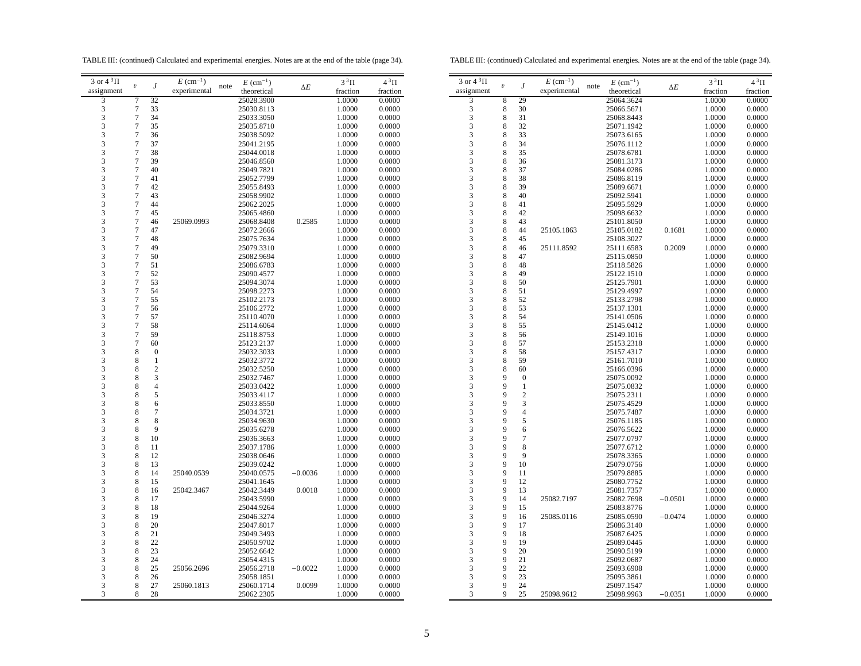TABLE III: (continued) Calculated and experimental energies. Notes are at the end of the table (page 34).

TABLE III: (continued) Calculated and experimental energies. Notes are at the end of the table (page 34).

| $3$ or $43$ $\Pi$       | $\boldsymbol{\upsilon}$  | J                       | $E~(\text{cm}^{-1})$ | note | $E~(\text{cm}^{-1})$ |            | $3^3\Pi$ | $4\,{}^{3}\Pi$ | $3$ or $4$              |
|-------------------------|--------------------------|-------------------------|----------------------|------|----------------------|------------|----------|----------------|-------------------------|
| assignment              |                          |                         | experimental         |      | theoretical          | $\Delta E$ | fraction | fraction       | assignn                 |
| 3                       | 7                        | 32                      |                      |      | 25028.3900           |            | 1.0000   | 0.0000         | 3                       |
| 3                       | $\tau$                   | 33                      |                      |      | 25030.8113           |            | 1.0000   | 0.0000         | $\overline{\mathbf{3}}$ |
| 3                       | $\overline{7}$           | 34                      |                      |      | 25033.3050           |            | 1.0000   | 0.0000         | 3                       |
| 3                       | $\tau$                   | 35                      |                      |      | 25035.8710           |            | 1.0000   | 0.0000         | 3                       |
| 3                       | $\sqrt{ }$               | 36                      |                      |      | 25038.5092           |            | 1.0000   | 0.0000         | 3                       |
| 3                       | $\tau$                   | 37                      |                      |      | 25041.2195           |            | 1.0000   | 0.0000         | 3                       |
| $\overline{\mathbf{3}}$ | $\sqrt{ }$               | 38                      |                      |      | 25044.0018           |            | 1.0000   | 0.0000         | 3                       |
| 3                       | $\sqrt{ }$               | 39                      |                      |      | 25046.8560           |            | 1.0000   | 0.0000         | 3                       |
| 3                       | $\tau$                   | 40                      |                      |      | 25049.7821           |            | 1.0000   | 0.0000         | 3                       |
| 3                       | $\boldsymbol{7}$         | 41                      |                      |      | 25052.7799           |            | 1.0000   | 0.0000         | 3                       |
| 3                       | $\overline{7}$           | 42                      |                      |      | 25055.8493           |            | 1.0000   | 0.0000         | 3                       |
| 3                       | $\boldsymbol{7}$         | 43                      |                      |      | 25058.9902           |            | 1.0000   | 0.0000         | 3                       |
| 3                       | $\tau$                   | 44                      |                      |      | 25062.2025           |            | 1.0000   | 0.0000         | 3                       |
| 3                       | $\sqrt{ }$               | 45                      |                      |      | 25065.4860           |            | 1.0000   | 0.0000         | 3                       |
| 3                       | $\boldsymbol{7}$         | 46                      | 25069.0993           |      | 25068.8408           | 0.2585     | 1.0000   | 0.0000         | 3                       |
| 3                       | $\tau$                   | 47                      |                      |      | 25072.2666           |            | 1.0000   | 0.0000         | 3                       |
| 3                       | $\sqrt{ }$               | 48                      |                      |      | 25075.7634           |            | 1.0000   | 0.0000         | 3                       |
| 3                       | $\sqrt{ }$               | 49                      |                      |      | 25079.3310           |            | 1.0000   | 0.0000         | 3                       |
| 3                       | $\boldsymbol{7}$         | 50                      |                      |      | 25082.9694           |            | 1.0000   | 0.0000         | 3                       |
| 3                       | $\sqrt{ }$               | 51                      |                      |      | 25086.6783           |            | 1.0000   | 0.0000         | 3                       |
| 3                       | $\overline{7}$           | 52                      |                      |      | 25090.4577           |            |          |                | 3                       |
|                         | $\sqrt{ }$               |                         |                      |      |                      |            | 1.0000   | 0.0000         |                         |
| 3                       | $\overline{\mathcal{I}}$ | 53                      |                      |      | 25094.3074           |            | 1.0000   | 0.0000         | 3                       |
| 3                       |                          | 54                      |                      |      | 25098.2273           |            | 1.0000   | 0.0000         | 3                       |
| 3                       | $\boldsymbol{7}$         | 55                      |                      |      | 25102.2173           |            | 1.0000   | 0.0000         | 3                       |
| 3                       | $\tau$                   | 56                      |                      |      | 25106.2772           |            | 1.0000   | 0.0000         | 3                       |
| 3                       | $\tau$                   | 57                      |                      |      | 25110.4070           |            | 1.0000   | 0.0000         | 3                       |
| 3                       | $\tau$                   | 58                      |                      |      | 25114.6064           |            | 1.0000   | 0.0000         | 3                       |
| 3                       | $\sqrt{ }$               | 59                      |                      |      | 25118.8753           |            | 1.0000   | 0.0000         | 3                       |
| 3                       | $\overline{7}$           | 60                      |                      |      | 25123.2137           |            | 1.0000   | 0.0000         | 3                       |
| 3                       | 8                        | $\boldsymbol{0}$        |                      |      | 25032.3033           |            | 1.0000   | 0.0000         | 3                       |
| 3                       | 8                        | $\mathbf{1}$            |                      |      | 25032.3772           |            | 1.0000   | 0.0000         | 3                       |
| 3                       | 8                        | $\overline{\mathbf{c}}$ |                      |      | 25032.5250           |            | 1.0000   | 0.0000         | 3                       |
| 3                       | 8                        | 3                       |                      |      | 25032.7467           |            | 1.0000   | 0.0000         | 3                       |
| 3                       | 8                        | $\overline{4}$          |                      |      | 25033.0422           |            | 1.0000   | 0.0000         | 3                       |
| 3                       | 8                        | 5                       |                      |      | 25033.4117           |            | 1.0000   | 0.0000         | 3                       |
| 3                       | 8                        | 6                       |                      |      | 25033.8550           |            | 1.0000   | 0.0000         | 3                       |
| 3                       | 8                        | $\boldsymbol{7}$        |                      |      | 25034.3721           |            | 1.0000   | 0.0000         | 3                       |
| 3                       | 8                        | 8                       |                      |      | 25034.9630           |            | 1.0000   | 0.0000         | 3                       |
| 3                       | 8                        | 9                       |                      |      | 25035.6278           |            | 1.0000   | 0.0000         | 3                       |
| 3                       | 8                        | 10                      |                      |      | 25036.3663           |            | 1.0000   | 0.0000         | 3                       |
| 3                       | 8                        | 11                      |                      |      | 25037.1786           |            | 1.0000   | 0.0000         | 3                       |
| 3                       | 8                        | 12                      |                      |      | 25038.0646           |            | 1.0000   | 0.0000         | 3                       |
| 3                       | 8                        | 13                      |                      |      | 25039.0242           |            | 1.0000   | 0.0000         | 3                       |
| 3                       | 8                        | 14                      | 25040.0539           |      | 25040.0575           | $-0.0036$  | 1.0000   | 0.0000         | 3                       |
| 3                       | 8                        | 15                      |                      |      | 25041.1645           |            | 1.0000   | 0.0000         | 3                       |
| 3                       | 8                        | 16                      | 25042.3467           |      | 25042.3449           | 0.0018     | 1.0000   | 0.0000         | 3                       |
| 3                       | 8                        | 17                      |                      |      | 25043.5990           |            | 1.0000   | 0.0000         | 3                       |
| 3                       | 8                        | 18                      |                      |      | 25044.9264           |            | 1.0000   | 0.0000         | 3                       |
| 3                       | 8                        | 19                      |                      |      | 25046.3274           |            | 1.0000   | 0.0000         | 3                       |
| 3                       | 8                        | 20                      |                      |      | 25047.8017           |            | 1.0000   | 0.0000         | 3                       |
| 3                       | 8                        | 21                      |                      |      | 25049.3493           |            | 1.0000   | 0.0000         | 3                       |
| 3                       | 8                        | 22                      |                      |      | 25050.9702           |            | 1.0000   | 0.0000         | 3                       |
| 3                       | 8                        | 23                      |                      |      | 25052.6642           |            | 1.0000   | 0.0000         | 3                       |
| 3                       | 8                        | 24                      |                      |      | 25054.4315           |            | 1.0000   | 0.0000         | 3                       |
| 3                       | 8                        | 25                      | 25056.2696           |      | 25056.2718           | $-0.0022$  | 1.0000   | 0.0000         | 3                       |
| 3                       | 8                        | 26                      |                      |      | 25058.1851           |            | 1.0000   | 0.0000         | 3                       |
| 3                       | 8                        | 27                      | 25060.1813           |      | 25060.1714           | 0.0099     | 1.0000   | 0.0000         | 3                       |
| 3                       | 8                        | 28                      |                      |      | 25062.2305           |            | 1.0000   | 0.0000         | 3                       |
|                         |                          |                         |                      |      |                      |            |          |                |                         |

| 3 or $4^3\Pi$           | $\boldsymbol{\mathit{v}}$ | J                | $E~(\text{cm}^{-1})$ | $E~(\text{cm}^{-1})$<br>note | $\Delta E$ | $3^3\Pi$ | $4^3\Pi$ |
|-------------------------|---------------------------|------------------|----------------------|------------------------------|------------|----------|----------|
| assignment              |                           |                  | experimental         | theoretical                  |            | fraction | fraction |
| $\overline{\mathbf{3}}$ | 8                         | 29               |                      | 25064.3624                   |            | 1.0000   | 0.0000   |
|                         | 8                         | 30               |                      | 25066.5671                   |            | 1.0000   | 0.0000   |
| $\frac{3}{3}$           | 8                         | 31               |                      | 25068.8443                   |            | 1.0000   | 0.0000   |
| 3                       | 8                         | 32               |                      | 25071.1942                   |            | 1.0000   | 0.0000   |
| 3                       | 8                         | 33               |                      | 25073.6165                   |            | 1.0000   | 0.0000   |
| 3                       | 8                         | 34               |                      | 25076.1112                   |            | 1.0000   | 0.0000   |
| 3                       | 8                         | 35               |                      | 25078.6781                   |            | 1.0000   | 0.0000   |
| 3                       | 8                         | 36               |                      | 25081.3173                   |            | 1.0000   | 0.0000   |
| 3                       | 8                         | 37               |                      | 25084.0286                   |            | 1.0000   | 0.0000   |
| 3                       | 8                         | 38               |                      | 25086.8119                   |            | 1.0000   | 0.0000   |
| 3                       | 8                         | 39               |                      | 25089.6671                   |            | 1.0000   | 0.0000   |
| 3                       | 8                         | 40               |                      | 25092.5941                   |            | 1.0000   | 0.0000   |
| 3                       | 8                         | 41               |                      | 25095.5929                   |            | 1.0000   | 0.0000   |
| 3                       | 8                         | 42               |                      | 25098.6632                   |            | 1.0000   | 0.0000   |
| 3                       | 8                         | 43               |                      | 25101.8050                   |            | 1.0000   | 0.0000   |
| 3                       | 8                         | 44               | 25105.1863           | 25105.0182                   | 0.1681     | 1.0000   | 0.0000   |
| 3                       | 8                         | 45               |                      | 25108.3027                   |            | 1.0000   | 0.0000   |
| 3                       | 8                         | 46               |                      |                              | 0.2009     | 1.0000   | 0.0000   |
| 3                       | 8                         | 47               | 25111.8592           | 25111.6583<br>25115.0850     |            |          | 0.0000   |
| 3                       | 8                         | 48               |                      |                              |            | 1.0000   |          |
|                         |                           |                  |                      | 25118.5826                   |            | 1.0000   | 0.0000   |
| 3                       | 8                         | 49               |                      | 25122.1510                   |            | 1.0000   | 0.0000   |
| 3                       | 8                         | 50               |                      | 25125.7901                   |            | 1.0000   | 0.0000   |
| 3                       | 8                         | 51               |                      | 25129.4997                   |            | 1.0000   | 0.0000   |
| 3                       | 8                         | 52               |                      | 25133.2798                   |            | 1.0000   | 0.0000   |
| 3                       | 8                         | 53               |                      | 25137.1301                   |            | 1.0000   | 0.0000   |
| 3                       | 8                         | 54               |                      | 25141.0506                   |            | 1.0000   | 0.0000   |
| 3                       | 8                         | 55               |                      | 25145.0412                   |            | 1.0000   | 0.0000   |
| 3                       | 8                         | 56               |                      | 25149.1016                   |            | 1.0000   | 0.0000   |
| $\overline{\mathbf{3}}$ | 8                         | 57               |                      | 25153.2318                   |            | 1.0000   | 0.0000   |
| 3                       | 8                         | 58               |                      | 25157.4317                   |            | 1.0000   | 0.0000   |
| 3                       | 8                         | 59               |                      | 25161.7010                   |            | 1.0000   | 0.0000   |
| 3                       | 8                         | 60               |                      | 25166.0396                   |            | 1.0000   | 0.0000   |
| 3                       | 9                         | $\boldsymbol{0}$ |                      | 25075.0092                   |            | 1.0000   | 0.0000   |
| 3                       | 9                         | $\mathbf{1}$     |                      | 25075.0832                   |            | 1.0000   | 0.0000   |
| 3                       | 9                         | $\overline{c}$   |                      | 25075.2311                   |            | 1.0000   | 0.0000   |
| 3                       | 9                         | 3                |                      | 25075.4529                   |            | 1.0000   | 0.0000   |
| 3                       | 9                         | $\overline{4}$   |                      | 25075.7487                   |            | 1.0000   | 0.0000   |
| 3                       | 9                         | 5                |                      | 25076.1185                   |            | 1.0000   | 0.0000   |
| 3                       | 9                         | 6                |                      | 25076.5622                   |            | 1.0000   | 0.0000   |
| 3                       | 9                         | $\overline{7}$   |                      | 25077.0797                   |            | 1.0000   | 0.0000   |
| 3                       | 9                         | 8                |                      | 25077.6712                   |            | 1.0000   | 0.0000   |
| 3                       | 9                         | 9                |                      | 25078.3365                   |            | 1.0000   | 0.0000   |
| 3                       | 9                         | 10               |                      | 25079.0756                   |            | 1.0000   | 0.0000   |
| 3                       | 9                         | 11               |                      | 25079.8885                   |            | 1.0000   | 0.0000   |
| 3                       | 9                         | 12               |                      | 25080.7752                   |            | 1.0000   | 0.0000   |
| 3                       | 9                         | 13               |                      | 25081.7357                   |            | 1.0000   | 0.0000   |
| 3                       | 9                         | 14               | 25082.7197           | 25082.7698                   | $-0.0501$  | 1.0000   | 0.0000   |
| 3                       | 9                         | 15               |                      | 25083.8776                   |            | 1.0000   | 0.0000   |
| 3                       | 9                         | 16               | 25085.0116           | 25085.0590                   | $-0.0474$  | 1.0000   | 0.0000   |
| 3                       | 9                         | 17               |                      | 25086.3140                   |            | 1.0000   | 0.0000   |
| 3                       | 9                         | 18               |                      | 25087.6425                   |            | 1.0000   | 0.0000   |
| 3                       | 9                         | 19               |                      | 25089.0445                   |            | 1.0000   | 0.0000   |
| 3                       | 9                         | 20               |                      | 25090.5199                   |            | 1.0000   | 0.0000   |
| 3                       | 9                         | 21               |                      | 25092.0687                   |            | 1.0000   | 0.0000   |
| 3                       | 9                         | 22               |                      | 25093.6908                   |            | 1.0000   | 0.0000   |
| 3                       | 9                         | 23               |                      | 25095.3861                   |            | 1.0000   | 0.0000   |
| 3                       | 9                         | 24               |                      | 25097.1547                   |            | 1.0000   | 0.0000   |
| 3                       | 9                         | 25               | 25098.9612           | 25098.9963                   | $-0.0351$  | 1.0000   | 0.0000   |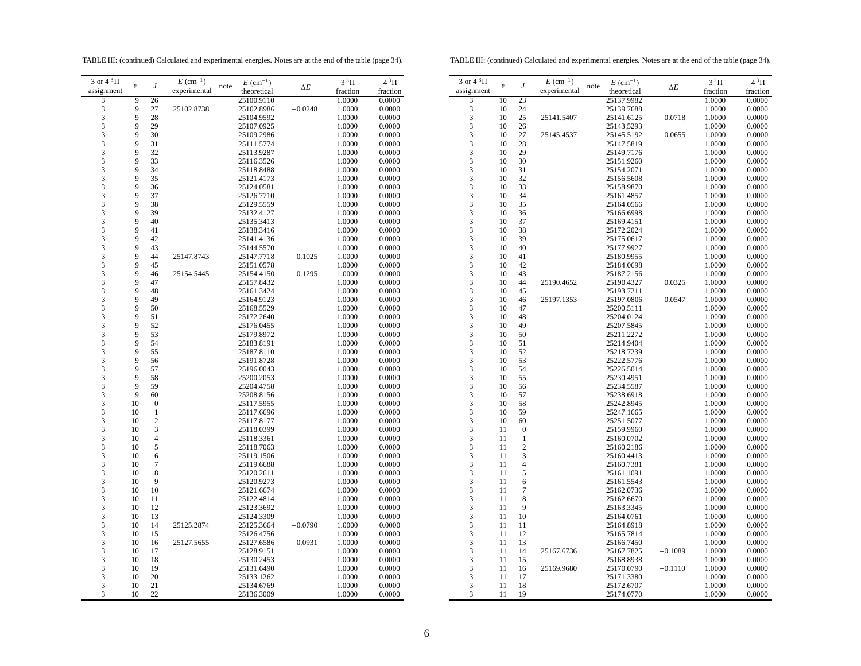TABLE III: (continued) Calculated and experimental energies. Notes are at the end of the table (page 34).

TABLE III: (continued) Calculated and experimental energies. Notes are at the end of the table (page 34).

| 3 or $4^3\Pi$ |                         |                  | $E~(\text{cm}^{-1})$ |      | $E~(\text{cm}^{-1})$ |            | $3^3\Pi$ | $4^3\Pi$ | $3$ or $4\overline{3}$ T |
|---------------|-------------------------|------------------|----------------------|------|----------------------|------------|----------|----------|--------------------------|
| assignment    | $\boldsymbol{\upsilon}$ | $\boldsymbol{J}$ | experimental         | note | theoretical          | $\Delta E$ | fraction | fraction | assignme                 |
| 3             | 9                       | 26               |                      |      | 25100.9110           |            | 1.0000   | 0.0000   | 3                        |
| 3             | 9                       | 27               | 25102.8738           |      | 25102.8986           | $-0.0248$  | 1.0000   | 0.0000   | 3                        |
| 3             | 9                       | 28               |                      |      | 25104.9592           |            | 1.0000   | 0.0000   | 3                        |
| 3             | 9                       | 29               |                      |      | 25107.0925           |            | 1.0000   | 0.0000   | 3                        |
| 3             | 9                       | 30               |                      |      | 25109.2986           |            | 1.0000   | 0.0000   | 3                        |
| 3             | 9                       | 31               |                      |      | 25111.5774           |            | 1.0000   | 0.0000   | 3                        |
|               | 9                       |                  |                      |      |                      |            |          |          |                          |
| 3<br>3        | 9                       | 32               |                      |      | 25113.9287           |            | 1.0000   | 0.0000   | 3<br>3                   |
|               |                         | 33               |                      |      | 25116.3526           |            | 1.0000   | 0.0000   |                          |
| 3             | 9                       | 34               |                      |      | 25118.8488           |            | 1.0000   | 0.0000   | 3                        |
| 3             | 9                       | 35               |                      |      | 25121.4173           |            | 1.0000   | 0.0000   | 3                        |
| 3             | 9                       | 36               |                      |      | 25124.0581           |            | 1.0000   | 0.0000   | 3                        |
| 3             | 9                       | 37               |                      |      | 25126.7710           |            | 1.0000   | 0.0000   | 3                        |
| 3             | 9                       | 38               |                      |      | 25129.5559           |            | 1.0000   | 0.0000   | 3                        |
| 3             | 9                       | 39               |                      |      | 25132.4127           |            | 1.0000   | 0.0000   | 3                        |
| 3             | 9                       | 40               |                      |      | 25135.3413           |            | 1.0000   | 0.0000   | 3                        |
| 3             | 9                       | 41               |                      |      | 25138.3416           |            | 1.0000   | 0.0000   | 3                        |
| 3             | 9                       | 42               |                      |      | 25141.4136           |            | 1.0000   | 0.0000   | 3                        |
| 3             | 9                       | 43               |                      |      | 25144.5570           |            | 1.0000   | 0.0000   | 3                        |
| 3             | 9                       | 44               | 25147.8743           |      | 25147.7718           | 0.1025     | 1.0000   | 0.0000   | 3                        |
| 3             | 9                       | 45               |                      |      | 25151.0578           |            | 1.0000   | 0.0000   | 3                        |
| 3             | 9                       | 46               | 25154.5445           |      | 25154.4150           | 0.1295     | 1.0000   | 0.0000   | 3                        |
| 3             | 9                       | 47               |                      |      | 25157.8432           |            | 1.0000   | 0.0000   | 3                        |
| 3             | 9                       | 48               |                      |      | 25161.3424           |            | 1.0000   | 0.0000   | 3                        |
| 3             | 9                       | 49               |                      |      | 25164.9123           |            | 1.0000   | 0.0000   | 3                        |
| 3             | 9                       | 50               |                      |      | 25168.5529           |            | 1.0000   | 0.0000   | 3                        |
| 3             | 9                       | 51               |                      |      | 25172.2640           |            | 1.0000   | 0.0000   | 3                        |
| 3             | 9                       | 52               |                      |      | 25176.0455           |            | 1.0000   | 0.0000   | 3                        |
| 3             | 9                       | 53               |                      |      | 25179.8972           |            | 1.0000   | 0.0000   | 3                        |
| 3             | 9                       | 54               |                      |      | 25183.8191           |            | 1.0000   | 0.0000   | 3                        |
| 3             | 9                       | 55               |                      |      | 25187.8110           |            | 1.0000   | 0.0000   | 3                        |
| 3             | 9                       | 56               |                      |      | 25191.8728           |            | 1.0000   | 0.0000   | 3                        |
| 3             | 9                       | 57               |                      |      | 25196.0043           |            | 1.0000   | 0.0000   | 3                        |
|               | 9                       |                  |                      |      |                      |            |          |          |                          |
| 3             |                         | 58               |                      |      | 25200.2053           |            | 1.0000   | 0.0000   | 3                        |
| 3             | 9                       | 59               |                      |      | 25204.4758           |            | 1.0000   | 0.0000   | 3                        |
| 3             | 9                       | 60               |                      |      | 25208.8156           |            | 1.0000   | 0.0000   | 3                        |
| 3             | 10                      | $\boldsymbol{0}$ |                      |      | 25117.5955           |            | 1.0000   | 0.0000   | 3                        |
| 3             | 10                      | $\mathbf{1}$     |                      |      | 25117.6696           |            | 1.0000   | 0.0000   | 3                        |
| 3             | 10                      | $\boldsymbol{2}$ |                      |      | 25117.8177           |            | 1.0000   | 0.0000   | 3                        |
| 3             | 10                      | 3                |                      |      | 25118.0399           |            | 1.0000   | 0.0000   | 3                        |
| 3             | 10                      | $\overline{4}$   |                      |      | 25118.3361           |            | 1.0000   | 0.0000   | 3                        |
| 3             | 10                      | 5                |                      |      | 25118.7063           |            | 1.0000   | 0.0000   | 3                        |
| 3             | 10                      | 6                |                      |      | 25119.1506           |            | 1.0000   | 0.0000   | 3                        |
| 3             | 10                      | $\boldsymbol{7}$ |                      |      | 25119.6688           |            | 1.0000   | 0.0000   | 3                        |
| 3             | 10                      | 8                |                      |      | 25120.2611           |            | 1.0000   | 0.0000   | 3                        |
| 3             | 10                      | 9                |                      |      | 25120.9273           |            | 1.0000   | 0.0000   | 3                        |
| 3             | 10                      | 10               |                      |      | 25121.6674           |            | 1.0000   | 0.0000   | 3                        |
| 3             | 10                      | 11               |                      |      | 25122.4814           |            | 1.0000   | 0.0000   | 3                        |
| 3             | 10                      | 12               |                      |      | 25123.3692           |            | 1.0000   | 0.0000   | 3                        |
| 3             | 10                      | 13               |                      |      | 25124.3309           |            | 1.0000   | 0.0000   | 3                        |
| 3             | 10                      | 14               | 25125.2874           |      | 25125.3664           | $-0.0790$  | 1.0000   | 0.0000   | 3                        |
| 3             | 10                      | 15               |                      |      | 25126.4756           |            | 1.0000   | 0.0000   | 3                        |
| 3             | 10                      | 16               | 25127.5655           |      | 25127.6586           | $-0.0931$  | 1.0000   | 0.0000   | 3                        |
| 3             | 10                      | 17               |                      |      | 25128.9151           |            | 1.0000   | 0.0000   | 3                        |
| 3             | 10                      | 18               |                      |      | 25130.2453           |            | 1.0000   | 0.0000   | 3                        |
| 3             | 10                      | 19               |                      |      |                      |            |          |          | 3                        |
|               |                         |                  |                      |      | 25131.6490           |            | 1.0000   | 0.0000   |                          |
| 3             | 10                      | 20               |                      |      | 25133.1262           |            | 1.0000   | 0.0000   | 3                        |
| 3             | 10                      | 21               |                      |      | 25134.6769           |            | 1.0000   | 0.0000   | 3                        |
| 3             | 10                      | 22               |                      |      | 25136.3009           |            | 1.0000   | 0.0000   | 3                        |
|               |                         |                  |                      |      |                      |            |          |          |                          |

| 3 or $4^3\Pi$                                   | $\dot{U}$ | J                       | $E~(\text{cm}^{-1})$ | $E~(\text{cm}^{-1})$<br>note | $\Delta E$ | $3^3\Pi$ | $4^3\Pi$ |
|-------------------------------------------------|-----------|-------------------------|----------------------|------------------------------|------------|----------|----------|
| assignment                                      |           |                         | experimental         | theoretical                  |            | fraction | fraction |
| 3                                               | 10        | 23                      |                      | 25137.9982                   |            | 1.0000   | 0.0000   |
| $\begin{array}{c} 3 \\ 3 \\ 3 \end{array}$      | 10        | 24                      |                      | 25139.7688                   |            | 1.0000   | 0.0000   |
|                                                 | 10        | 25                      | 25141.5407           | 25141.6125                   | $-0.0718$  | 1.0000   | 0.0000   |
|                                                 | 10        | 26                      |                      | 25143.5293                   |            | 1.0000   | 0.0000   |
| $\begin{array}{c} 3 \\ 3 \\ 3 \end{array}$      | 10        | 27                      | 25145.4537           | 25145.5192                   | $-0.0655$  | 1.0000   | 0.0000   |
|                                                 | 10        | 28                      |                      | 25147.5819                   |            | 1.0000   | 0.0000   |
|                                                 | 10        | 29                      |                      | 25149.7176                   |            | 1.0000   | 0.0000   |
|                                                 | 10        | 30                      |                      | 25151.9260                   |            | 1.0000   | 0.0000   |
| 3                                               | 10        | 31                      |                      | 25154.2071                   |            | 1.0000   | 0.0000   |
| 3                                               | 10        | 32                      |                      | 25156.5608                   |            | 1.0000   | 0.0000   |
| $\overline{3}$                                  | 10        | 33                      |                      | 25158.9870                   |            | 1.0000   | 0.0000   |
| $\overline{\mathbf{3}}$                         | 10        | 34                      |                      | 25161.4857                   |            | 1.0000   | 0.0000   |
| 3                                               | 10        | 35                      |                      | 25164.0566                   |            | 1.0000   | 0.0000   |
|                                                 | 10        | 36                      |                      | 25166.6998                   |            | 1.0000   | 0.0000   |
| $\begin{array}{c} 3 \\ 3 \\ 3 \\ 3 \end{array}$ | 10        | 37                      |                      | 25169.4151                   |            | 1.0000   | 0.0000   |
|                                                 | 10        | 38                      |                      | 25172.2024                   |            | 1.0000   | 0.0000   |
|                                                 | 10        | 39                      |                      | 25175.0617                   |            | 1.0000   | 0.0000   |
|                                                 | 10        | 40                      |                      | 25177.9927                   |            | 1.0000   | 0.0000   |
| 3                                               | 10        | 41                      |                      | 25180.9955                   |            | 1.0000   | 0.0000   |
| 3                                               | 10        | 42                      |                      | 25184.0698                   |            | 1.0000   | 0.0000   |
| $\frac{3}{3}$                                   | 10        | 43                      |                      | 25187.2156                   |            | 1.0000   | 0.0000   |
|                                                 | 10        | 44                      | 25190.4652           | 25190.4327                   | 0.0325     | 1.0000   | 0.0000   |
|                                                 | 10        | 45                      |                      | 25193.7211                   |            | 1.0000   | 0.0000   |
| $\overline{\mathbf{3}}$                         | 10        | 46                      | 25197.1353           | 25197.0806                   | 0.0547     | 1.0000   | 0.0000   |
|                                                 | 10        | 47                      |                      | 25200.5111                   |            | 1.0000   | 0.0000   |
| $\begin{array}{c} 3 \\ 3 \\ 3 \end{array}$      | 10        | 48                      |                      | 25204.0124                   |            | 1.0000   | 0.0000   |
|                                                 | 10        | 49                      |                      | 25207.5845                   |            | 1.0000   | 0.0000   |
| 3                                               | 10        | 50                      |                      | 25211.2272                   |            | 1.0000   | 0.0000   |
| $\begin{array}{c} 3 \\ 3 \\ 3 \end{array}$      | 10        | 51                      |                      | 25214.9404                   |            | 1.0000   | 0.0000   |
|                                                 | 10        | 52                      |                      | 25218.7239                   |            | 1.0000   | 0.0000   |
|                                                 | 10        | 53                      |                      | 25222.5776                   |            | 1.0000   | 0.0000   |
|                                                 | 10        | 54                      |                      | 25226.5014                   |            | 1.0000   | 0.0000   |
| $\frac{3}{3}$                                   | 10        | 55                      |                      | 25230.4951                   |            | 1.0000   | 0.0000   |
|                                                 | 10        | 56                      |                      | 25234.5587                   |            | 1.0000   | 0.0000   |
| 3                                               | 10        | 57                      |                      | 25238.6918                   |            | 1.0000   | 0.0000   |
| 3                                               | 10        | 58                      |                      | 25242.8945                   |            | 1.0000   | 0.0000   |
| 3                                               | 10        | 59                      |                      | 25247.1665                   |            | 1.0000   | 0.0000   |
|                                                 | 10        | 60                      |                      | 25251.5077                   |            | 1.0000   | 0.0000   |
|                                                 | 11        | $\mathbf{0}$            |                      | 25159.9960                   |            | 1.0000   | 0.0000   |
| $\begin{array}{c} 3 \\ 3 \\ 3 \end{array}$      | 11        | $\mathbf{1}$            |                      | 25160.0702                   |            | 1.0000   | 0.0000   |
|                                                 | 11        | $\overline{c}$          |                      | 25160.2186                   |            | 1.0000   | 0.0000   |
| $\begin{array}{c} 3 \\ 3 \\ 3 \end{array}$      | 11        | $\overline{\mathbf{3}}$ |                      | 25160.4413                   |            | 1.0000   | 0.0000   |
|                                                 | 11        | $\overline{4}$          |                      | 25160.7381                   |            | 1.0000   | 0.0000   |
|                                                 | 11        | 5                       |                      | 25161.1091                   |            | 1.0000   | 0.0000   |
| 3                                               | 11        | 6                       |                      | 25161.5543                   |            | 1.0000   | 0.0000   |
| $\overline{\mathbf{3}}$                         | 11        | $\overline{7}$          |                      | 25162.0736                   |            | 1.0000   | 0.0000   |
| 3                                               | 11        | 8                       |                      | 25162.6670                   |            | 1.0000   | 0.0000   |
| $\frac{3}{3}$                                   | 11        | 9                       |                      | 25163.3345                   |            | 1.0000   | 0.0000   |
|                                                 | 11        | 10                      |                      | 25164.0761                   |            | 1.0000   | 0.0000   |
|                                                 | 11        | 11                      |                      | 25164.8918                   |            | 1.0000   | 0.0000   |
| $\overline{3}$                                  | 11        | 12                      |                      | 25165.7814                   |            | 1.0000   | 0.0000   |
| $\begin{array}{c} 3 \\ 3 \\ 3 \end{array}$      | 11        | 13                      |                      | 25166.7450                   |            | 1.0000   | 0.0000   |
|                                                 | 11        | 14                      | 25167.6736           | 25167.7825                   | $-0.1089$  | 1.0000   | 0.0000   |
|                                                 | 11        | 15                      |                      | 25168.8938                   |            | 1.0000   | 0.0000   |
| $\overline{\mathbf{3}}$                         | 11        | 16                      | 25169.9680           | 25170.0790                   | $-0.1110$  | 1.0000   | 0.0000   |
| 3                                               | 11        | 17                      |                      | 25171.3380                   |            | 1.0000   | 0.0000   |
| 3                                               | 11        | 18                      |                      | 25172.6707                   |            | 1.0000   | 0.0000   |
| 3                                               | 11        | 19                      |                      | 25174.0770                   |            | 1.0000   | 0.0000   |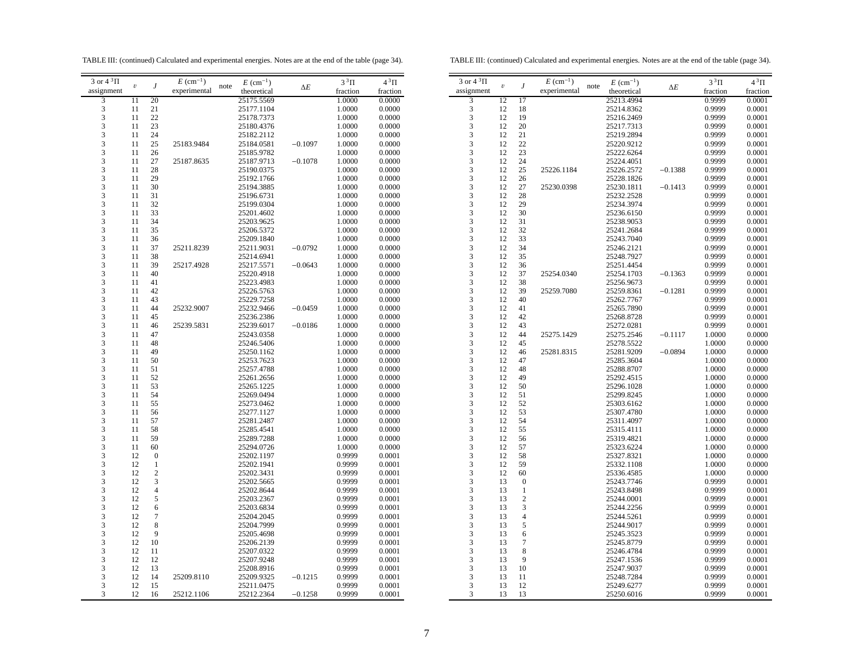TABLE III: (continued) Calculated and experimental energies. Notes are at the end of the table (page 34).

TABLE III: (continued) Calculated and experimental energies. Notes are at the end of the table (page 34).

| experimental<br>theoretical<br>fraction<br>fraction<br>3<br>20<br>25175.5569<br>1.0000<br>0.0000<br>11<br>$\frac{3}{3}$<br>1.0000<br>11<br>21<br>25177.1104<br>0.0000<br>11<br>22<br>25178.7373<br>1.0000<br>0.0000<br>3<br>11<br>23<br>25180.4376<br>1.0000<br>0.0000<br>3<br>11<br>24<br>25182.2112<br>1.0000<br>0.0000<br>3<br>11<br>25<br>25183.9484<br>25184.0581<br>$-0.1097$<br>1.0000<br>0.0000<br>3<br>25185.9782<br>1.0000<br>11<br>26<br>0.0000<br>3<br>11<br>27<br>25187.8635<br>25187.9713<br>$-0.1078$<br>0.0000<br>1.0000<br>3<br>11<br>28<br>25190.0375<br>1.0000<br>0.0000<br>3<br>29<br>11<br>25192.1766<br>1.0000<br>0.0000<br>$\frac{3}{3}$<br>30<br>1.0000<br>11<br>25194.3885<br>0.0000<br>11<br>31<br>25196.6731<br>1.0000<br>0.0000<br>3<br>11<br>32<br>25199.0304<br>1.0000<br>0.0000<br>3<br>33<br>11<br>25201.4602<br>1.0000<br>0.0000<br>3<br>11<br>34<br>25203.9625<br>1.0000<br>0.0000<br>3<br>35<br>11<br>25206.5372<br>1.0000<br>0.0000<br>3<br>11<br>36<br>25209.1840<br>1.0000<br>0.0000<br>3<br>37<br>11<br>25211.8239<br>25211.9031<br>$-0.0792$<br>1.0000<br>0.0000<br>3<br>38<br>11<br>25214.6941<br>1.0000<br>0.0000<br>3<br>39<br>11<br>25217.4928<br>25217.5571<br>$-0.0643$<br>1.0000<br>0.0000<br>3<br>40<br>11<br>25220.4918<br>1.0000<br>0.0000<br>3<br>11<br>41<br>25223.4983<br>1.0000<br>0.0000<br>3<br>42<br>11<br>25226.5763<br>1.0000<br>0.0000<br>3<br>11<br>43<br>25229.7258<br>1.0000<br>0.0000<br>3<br>11<br>44<br>25232.9466<br>25232.9007<br>$-0.0459$<br>1.0000<br>0.0000<br>3<br>11<br>45<br>25236.2386<br>1.0000<br>0.0000<br>3<br>11<br>46<br>25239.5831<br>25239.6017<br>$-0.0186$<br>1.0000<br>0.0000<br>3<br>47<br>11<br>25243.0358<br>1.0000<br>0.0000<br>3<br>11<br>48<br>25246.5406<br>1.0000<br>0.0000<br>3<br>49<br>11<br>25250.1162<br>1.0000<br>0.0000<br>3<br>50<br>25253.7623<br>11<br>1.0000<br>0.0000<br>3<br>11<br>51<br>25257.4788<br>1.0000<br>0.0000<br>3<br>52<br>11<br>25261.2656<br>1.0000<br>0.0000<br>3<br>53<br>11<br>25265.1225<br>1.0000<br>0.0000<br>3<br>54<br>1.0000<br>11<br>25269.0494<br>0.0000<br>3<br>11<br>55<br>25273.0462<br>1.0000<br>0.0000<br>$\frac{3}{3}$<br>11<br>56<br>25277.1127<br>1.0000<br>0.0000<br>11<br>57<br>25281.2487<br>1.0000<br>0.0000<br>3<br>11<br>58<br>25285.4541<br>1.0000<br>0.0000<br>3<br>11<br>59<br>25289.7288<br>1.0000<br>0.0000<br>3<br>11<br>60<br>25294.0726<br>1.0000<br>0.0000<br>3<br>12<br>$\boldsymbol{0}$<br>25202.1197<br>0.9999<br>0.0001<br>3<br>12<br>$\,1$<br>25202.1941<br>0.9999<br>0.0001<br>3<br>12<br>$\mathbf{2}$<br>25202.3431<br>0.9999<br>0.0001<br>3<br>3<br>12<br>25202.5665<br>0.9999<br>0.0001<br>$\overline{\mathbf{3}}$<br>12<br>$\overline{4}$<br>25202.8644<br>0.9999<br>0.0001<br>3<br>12<br>5<br>25203.2367<br>0.9999<br>0.0001<br>$\begin{array}{c} 3 \\ 3 \\ 3 \end{array}$<br>12<br>6<br>25203.6834<br>0.9999<br>0.0001<br>7<br>12<br>0.9999<br>25204.2045<br>0.0001<br>12<br>8<br>25204.7999<br>0.9999<br>0.0001<br>3<br>9<br>12<br>0.9999<br>0.0001<br>25205.4698<br>3<br>12<br>10<br>25206.2139<br>0.9999<br>0.0001<br>3<br>12<br>11<br>25207.0322<br>0.9999<br>0.0001<br>3<br>12<br>12<br>25207.9248<br>0.9999<br>0.0001<br>3<br>12<br>13<br>25208.8916<br>0.9999<br>0.0001<br>3<br>12<br>14<br>25209.8110<br>25209.9325<br>$-0.1215$<br>0.9999<br>0.0001<br>3<br>12<br>15<br>25211.0475<br>0.0001<br>0.9999 | 3 or $4\sqrt[3]{1}$ | $\boldsymbol{\upsilon}$ |    | $E~(\text{cm}^{-1})$ | note | $E~(\text{cm}^{-1})$ |            | $3^3\Pi$ | $4^3\Pi$ |
|----------------------------------------------------------------------------------------------------------------------------------------------------------------------------------------------------------------------------------------------------------------------------------------------------------------------------------------------------------------------------------------------------------------------------------------------------------------------------------------------------------------------------------------------------------------------------------------------------------------------------------------------------------------------------------------------------------------------------------------------------------------------------------------------------------------------------------------------------------------------------------------------------------------------------------------------------------------------------------------------------------------------------------------------------------------------------------------------------------------------------------------------------------------------------------------------------------------------------------------------------------------------------------------------------------------------------------------------------------------------------------------------------------------------------------------------------------------------------------------------------------------------------------------------------------------------------------------------------------------------------------------------------------------------------------------------------------------------------------------------------------------------------------------------------------------------------------------------------------------------------------------------------------------------------------------------------------------------------------------------------------------------------------------------------------------------------------------------------------------------------------------------------------------------------------------------------------------------------------------------------------------------------------------------------------------------------------------------------------------------------------------------------------------------------------------------------------------------------------------------------------------------------------------------------------------------------------------------------------------------------------------------------------------------------------------------------------------------------------------------------------------------------------------------------------------------------------------------------------------------------------------------------------------------------------------------------------------------------------------------------------------------------------------------------------------------------------------------------------------------------------------------------------------------------------------------------------------------------------------------------------------------------------------------------------------------------------------------------------------------------------------|---------------------|-------------------------|----|----------------------|------|----------------------|------------|----------|----------|
|                                                                                                                                                                                                                                                                                                                                                                                                                                                                                                                                                                                                                                                                                                                                                                                                                                                                                                                                                                                                                                                                                                                                                                                                                                                                                                                                                                                                                                                                                                                                                                                                                                                                                                                                                                                                                                                                                                                                                                                                                                                                                                                                                                                                                                                                                                                                                                                                                                                                                                                                                                                                                                                                                                                                                                                                                                                                                                                                                                                                                                                                                                                                                                                                                                                                                                                                                                                        | assignment          |                         | J  |                      |      |                      | $\Delta E$ |          |          |
|                                                                                                                                                                                                                                                                                                                                                                                                                                                                                                                                                                                                                                                                                                                                                                                                                                                                                                                                                                                                                                                                                                                                                                                                                                                                                                                                                                                                                                                                                                                                                                                                                                                                                                                                                                                                                                                                                                                                                                                                                                                                                                                                                                                                                                                                                                                                                                                                                                                                                                                                                                                                                                                                                                                                                                                                                                                                                                                                                                                                                                                                                                                                                                                                                                                                                                                                                                                        |                     |                         |    |                      |      |                      |            |          |          |
|                                                                                                                                                                                                                                                                                                                                                                                                                                                                                                                                                                                                                                                                                                                                                                                                                                                                                                                                                                                                                                                                                                                                                                                                                                                                                                                                                                                                                                                                                                                                                                                                                                                                                                                                                                                                                                                                                                                                                                                                                                                                                                                                                                                                                                                                                                                                                                                                                                                                                                                                                                                                                                                                                                                                                                                                                                                                                                                                                                                                                                                                                                                                                                                                                                                                                                                                                                                        |                     |                         |    |                      |      |                      |            |          |          |
|                                                                                                                                                                                                                                                                                                                                                                                                                                                                                                                                                                                                                                                                                                                                                                                                                                                                                                                                                                                                                                                                                                                                                                                                                                                                                                                                                                                                                                                                                                                                                                                                                                                                                                                                                                                                                                                                                                                                                                                                                                                                                                                                                                                                                                                                                                                                                                                                                                                                                                                                                                                                                                                                                                                                                                                                                                                                                                                                                                                                                                                                                                                                                                                                                                                                                                                                                                                        |                     |                         |    |                      |      |                      |            |          |          |
|                                                                                                                                                                                                                                                                                                                                                                                                                                                                                                                                                                                                                                                                                                                                                                                                                                                                                                                                                                                                                                                                                                                                                                                                                                                                                                                                                                                                                                                                                                                                                                                                                                                                                                                                                                                                                                                                                                                                                                                                                                                                                                                                                                                                                                                                                                                                                                                                                                                                                                                                                                                                                                                                                                                                                                                                                                                                                                                                                                                                                                                                                                                                                                                                                                                                                                                                                                                        |                     |                         |    |                      |      |                      |            |          |          |
|                                                                                                                                                                                                                                                                                                                                                                                                                                                                                                                                                                                                                                                                                                                                                                                                                                                                                                                                                                                                                                                                                                                                                                                                                                                                                                                                                                                                                                                                                                                                                                                                                                                                                                                                                                                                                                                                                                                                                                                                                                                                                                                                                                                                                                                                                                                                                                                                                                                                                                                                                                                                                                                                                                                                                                                                                                                                                                                                                                                                                                                                                                                                                                                                                                                                                                                                                                                        |                     |                         |    |                      |      |                      |            |          |          |
|                                                                                                                                                                                                                                                                                                                                                                                                                                                                                                                                                                                                                                                                                                                                                                                                                                                                                                                                                                                                                                                                                                                                                                                                                                                                                                                                                                                                                                                                                                                                                                                                                                                                                                                                                                                                                                                                                                                                                                                                                                                                                                                                                                                                                                                                                                                                                                                                                                                                                                                                                                                                                                                                                                                                                                                                                                                                                                                                                                                                                                                                                                                                                                                                                                                                                                                                                                                        |                     |                         |    |                      |      |                      |            |          |          |
|                                                                                                                                                                                                                                                                                                                                                                                                                                                                                                                                                                                                                                                                                                                                                                                                                                                                                                                                                                                                                                                                                                                                                                                                                                                                                                                                                                                                                                                                                                                                                                                                                                                                                                                                                                                                                                                                                                                                                                                                                                                                                                                                                                                                                                                                                                                                                                                                                                                                                                                                                                                                                                                                                                                                                                                                                                                                                                                                                                                                                                                                                                                                                                                                                                                                                                                                                                                        |                     |                         |    |                      |      |                      |            |          |          |
|                                                                                                                                                                                                                                                                                                                                                                                                                                                                                                                                                                                                                                                                                                                                                                                                                                                                                                                                                                                                                                                                                                                                                                                                                                                                                                                                                                                                                                                                                                                                                                                                                                                                                                                                                                                                                                                                                                                                                                                                                                                                                                                                                                                                                                                                                                                                                                                                                                                                                                                                                                                                                                                                                                                                                                                                                                                                                                                                                                                                                                                                                                                                                                                                                                                                                                                                                                                        |                     |                         |    |                      |      |                      |            |          |          |
|                                                                                                                                                                                                                                                                                                                                                                                                                                                                                                                                                                                                                                                                                                                                                                                                                                                                                                                                                                                                                                                                                                                                                                                                                                                                                                                                                                                                                                                                                                                                                                                                                                                                                                                                                                                                                                                                                                                                                                                                                                                                                                                                                                                                                                                                                                                                                                                                                                                                                                                                                                                                                                                                                                                                                                                                                                                                                                                                                                                                                                                                                                                                                                                                                                                                                                                                                                                        |                     |                         |    |                      |      |                      |            |          |          |
|                                                                                                                                                                                                                                                                                                                                                                                                                                                                                                                                                                                                                                                                                                                                                                                                                                                                                                                                                                                                                                                                                                                                                                                                                                                                                                                                                                                                                                                                                                                                                                                                                                                                                                                                                                                                                                                                                                                                                                                                                                                                                                                                                                                                                                                                                                                                                                                                                                                                                                                                                                                                                                                                                                                                                                                                                                                                                                                                                                                                                                                                                                                                                                                                                                                                                                                                                                                        |                     |                         |    |                      |      |                      |            |          |          |
|                                                                                                                                                                                                                                                                                                                                                                                                                                                                                                                                                                                                                                                                                                                                                                                                                                                                                                                                                                                                                                                                                                                                                                                                                                                                                                                                                                                                                                                                                                                                                                                                                                                                                                                                                                                                                                                                                                                                                                                                                                                                                                                                                                                                                                                                                                                                                                                                                                                                                                                                                                                                                                                                                                                                                                                                                                                                                                                                                                                                                                                                                                                                                                                                                                                                                                                                                                                        |                     |                         |    |                      |      |                      |            |          |          |
|                                                                                                                                                                                                                                                                                                                                                                                                                                                                                                                                                                                                                                                                                                                                                                                                                                                                                                                                                                                                                                                                                                                                                                                                                                                                                                                                                                                                                                                                                                                                                                                                                                                                                                                                                                                                                                                                                                                                                                                                                                                                                                                                                                                                                                                                                                                                                                                                                                                                                                                                                                                                                                                                                                                                                                                                                                                                                                                                                                                                                                                                                                                                                                                                                                                                                                                                                                                        |                     |                         |    |                      |      |                      |            |          |          |
|                                                                                                                                                                                                                                                                                                                                                                                                                                                                                                                                                                                                                                                                                                                                                                                                                                                                                                                                                                                                                                                                                                                                                                                                                                                                                                                                                                                                                                                                                                                                                                                                                                                                                                                                                                                                                                                                                                                                                                                                                                                                                                                                                                                                                                                                                                                                                                                                                                                                                                                                                                                                                                                                                                                                                                                                                                                                                                                                                                                                                                                                                                                                                                                                                                                                                                                                                                                        |                     |                         |    |                      |      |                      |            |          |          |
|                                                                                                                                                                                                                                                                                                                                                                                                                                                                                                                                                                                                                                                                                                                                                                                                                                                                                                                                                                                                                                                                                                                                                                                                                                                                                                                                                                                                                                                                                                                                                                                                                                                                                                                                                                                                                                                                                                                                                                                                                                                                                                                                                                                                                                                                                                                                                                                                                                                                                                                                                                                                                                                                                                                                                                                                                                                                                                                                                                                                                                                                                                                                                                                                                                                                                                                                                                                        |                     |                         |    |                      |      |                      |            |          |          |
|                                                                                                                                                                                                                                                                                                                                                                                                                                                                                                                                                                                                                                                                                                                                                                                                                                                                                                                                                                                                                                                                                                                                                                                                                                                                                                                                                                                                                                                                                                                                                                                                                                                                                                                                                                                                                                                                                                                                                                                                                                                                                                                                                                                                                                                                                                                                                                                                                                                                                                                                                                                                                                                                                                                                                                                                                                                                                                                                                                                                                                                                                                                                                                                                                                                                                                                                                                                        |                     |                         |    |                      |      |                      |            |          |          |
|                                                                                                                                                                                                                                                                                                                                                                                                                                                                                                                                                                                                                                                                                                                                                                                                                                                                                                                                                                                                                                                                                                                                                                                                                                                                                                                                                                                                                                                                                                                                                                                                                                                                                                                                                                                                                                                                                                                                                                                                                                                                                                                                                                                                                                                                                                                                                                                                                                                                                                                                                                                                                                                                                                                                                                                                                                                                                                                                                                                                                                                                                                                                                                                                                                                                                                                                                                                        |                     |                         |    |                      |      |                      |            |          |          |
|                                                                                                                                                                                                                                                                                                                                                                                                                                                                                                                                                                                                                                                                                                                                                                                                                                                                                                                                                                                                                                                                                                                                                                                                                                                                                                                                                                                                                                                                                                                                                                                                                                                                                                                                                                                                                                                                                                                                                                                                                                                                                                                                                                                                                                                                                                                                                                                                                                                                                                                                                                                                                                                                                                                                                                                                                                                                                                                                                                                                                                                                                                                                                                                                                                                                                                                                                                                        |                     |                         |    |                      |      |                      |            |          |          |
|                                                                                                                                                                                                                                                                                                                                                                                                                                                                                                                                                                                                                                                                                                                                                                                                                                                                                                                                                                                                                                                                                                                                                                                                                                                                                                                                                                                                                                                                                                                                                                                                                                                                                                                                                                                                                                                                                                                                                                                                                                                                                                                                                                                                                                                                                                                                                                                                                                                                                                                                                                                                                                                                                                                                                                                                                                                                                                                                                                                                                                                                                                                                                                                                                                                                                                                                                                                        |                     |                         |    |                      |      |                      |            |          |          |
|                                                                                                                                                                                                                                                                                                                                                                                                                                                                                                                                                                                                                                                                                                                                                                                                                                                                                                                                                                                                                                                                                                                                                                                                                                                                                                                                                                                                                                                                                                                                                                                                                                                                                                                                                                                                                                                                                                                                                                                                                                                                                                                                                                                                                                                                                                                                                                                                                                                                                                                                                                                                                                                                                                                                                                                                                                                                                                                                                                                                                                                                                                                                                                                                                                                                                                                                                                                        |                     |                         |    |                      |      |                      |            |          |          |
|                                                                                                                                                                                                                                                                                                                                                                                                                                                                                                                                                                                                                                                                                                                                                                                                                                                                                                                                                                                                                                                                                                                                                                                                                                                                                                                                                                                                                                                                                                                                                                                                                                                                                                                                                                                                                                                                                                                                                                                                                                                                                                                                                                                                                                                                                                                                                                                                                                                                                                                                                                                                                                                                                                                                                                                                                                                                                                                                                                                                                                                                                                                                                                                                                                                                                                                                                                                        |                     |                         |    |                      |      |                      |            |          |          |
|                                                                                                                                                                                                                                                                                                                                                                                                                                                                                                                                                                                                                                                                                                                                                                                                                                                                                                                                                                                                                                                                                                                                                                                                                                                                                                                                                                                                                                                                                                                                                                                                                                                                                                                                                                                                                                                                                                                                                                                                                                                                                                                                                                                                                                                                                                                                                                                                                                                                                                                                                                                                                                                                                                                                                                                                                                                                                                                                                                                                                                                                                                                                                                                                                                                                                                                                                                                        |                     |                         |    |                      |      |                      |            |          |          |
|                                                                                                                                                                                                                                                                                                                                                                                                                                                                                                                                                                                                                                                                                                                                                                                                                                                                                                                                                                                                                                                                                                                                                                                                                                                                                                                                                                                                                                                                                                                                                                                                                                                                                                                                                                                                                                                                                                                                                                                                                                                                                                                                                                                                                                                                                                                                                                                                                                                                                                                                                                                                                                                                                                                                                                                                                                                                                                                                                                                                                                                                                                                                                                                                                                                                                                                                                                                        |                     |                         |    |                      |      |                      |            |          |          |
|                                                                                                                                                                                                                                                                                                                                                                                                                                                                                                                                                                                                                                                                                                                                                                                                                                                                                                                                                                                                                                                                                                                                                                                                                                                                                                                                                                                                                                                                                                                                                                                                                                                                                                                                                                                                                                                                                                                                                                                                                                                                                                                                                                                                                                                                                                                                                                                                                                                                                                                                                                                                                                                                                                                                                                                                                                                                                                                                                                                                                                                                                                                                                                                                                                                                                                                                                                                        |                     |                         |    |                      |      |                      |            |          |          |
|                                                                                                                                                                                                                                                                                                                                                                                                                                                                                                                                                                                                                                                                                                                                                                                                                                                                                                                                                                                                                                                                                                                                                                                                                                                                                                                                                                                                                                                                                                                                                                                                                                                                                                                                                                                                                                                                                                                                                                                                                                                                                                                                                                                                                                                                                                                                                                                                                                                                                                                                                                                                                                                                                                                                                                                                                                                                                                                                                                                                                                                                                                                                                                                                                                                                                                                                                                                        |                     |                         |    |                      |      |                      |            |          |          |
|                                                                                                                                                                                                                                                                                                                                                                                                                                                                                                                                                                                                                                                                                                                                                                                                                                                                                                                                                                                                                                                                                                                                                                                                                                                                                                                                                                                                                                                                                                                                                                                                                                                                                                                                                                                                                                                                                                                                                                                                                                                                                                                                                                                                                                                                                                                                                                                                                                                                                                                                                                                                                                                                                                                                                                                                                                                                                                                                                                                                                                                                                                                                                                                                                                                                                                                                                                                        |                     |                         |    |                      |      |                      |            |          |          |
|                                                                                                                                                                                                                                                                                                                                                                                                                                                                                                                                                                                                                                                                                                                                                                                                                                                                                                                                                                                                                                                                                                                                                                                                                                                                                                                                                                                                                                                                                                                                                                                                                                                                                                                                                                                                                                                                                                                                                                                                                                                                                                                                                                                                                                                                                                                                                                                                                                                                                                                                                                                                                                                                                                                                                                                                                                                                                                                                                                                                                                                                                                                                                                                                                                                                                                                                                                                        |                     |                         |    |                      |      |                      |            |          |          |
|                                                                                                                                                                                                                                                                                                                                                                                                                                                                                                                                                                                                                                                                                                                                                                                                                                                                                                                                                                                                                                                                                                                                                                                                                                                                                                                                                                                                                                                                                                                                                                                                                                                                                                                                                                                                                                                                                                                                                                                                                                                                                                                                                                                                                                                                                                                                                                                                                                                                                                                                                                                                                                                                                                                                                                                                                                                                                                                                                                                                                                                                                                                                                                                                                                                                                                                                                                                        |                     |                         |    |                      |      |                      |            |          |          |
|                                                                                                                                                                                                                                                                                                                                                                                                                                                                                                                                                                                                                                                                                                                                                                                                                                                                                                                                                                                                                                                                                                                                                                                                                                                                                                                                                                                                                                                                                                                                                                                                                                                                                                                                                                                                                                                                                                                                                                                                                                                                                                                                                                                                                                                                                                                                                                                                                                                                                                                                                                                                                                                                                                                                                                                                                                                                                                                                                                                                                                                                                                                                                                                                                                                                                                                                                                                        |                     |                         |    |                      |      |                      |            |          |          |
|                                                                                                                                                                                                                                                                                                                                                                                                                                                                                                                                                                                                                                                                                                                                                                                                                                                                                                                                                                                                                                                                                                                                                                                                                                                                                                                                                                                                                                                                                                                                                                                                                                                                                                                                                                                                                                                                                                                                                                                                                                                                                                                                                                                                                                                                                                                                                                                                                                                                                                                                                                                                                                                                                                                                                                                                                                                                                                                                                                                                                                                                                                                                                                                                                                                                                                                                                                                        |                     |                         |    |                      |      |                      |            |          |          |
|                                                                                                                                                                                                                                                                                                                                                                                                                                                                                                                                                                                                                                                                                                                                                                                                                                                                                                                                                                                                                                                                                                                                                                                                                                                                                                                                                                                                                                                                                                                                                                                                                                                                                                                                                                                                                                                                                                                                                                                                                                                                                                                                                                                                                                                                                                                                                                                                                                                                                                                                                                                                                                                                                                                                                                                                                                                                                                                                                                                                                                                                                                                                                                                                                                                                                                                                                                                        |                     |                         |    |                      |      |                      |            |          |          |
|                                                                                                                                                                                                                                                                                                                                                                                                                                                                                                                                                                                                                                                                                                                                                                                                                                                                                                                                                                                                                                                                                                                                                                                                                                                                                                                                                                                                                                                                                                                                                                                                                                                                                                                                                                                                                                                                                                                                                                                                                                                                                                                                                                                                                                                                                                                                                                                                                                                                                                                                                                                                                                                                                                                                                                                                                                                                                                                                                                                                                                                                                                                                                                                                                                                                                                                                                                                        |                     |                         |    |                      |      |                      |            |          |          |
|                                                                                                                                                                                                                                                                                                                                                                                                                                                                                                                                                                                                                                                                                                                                                                                                                                                                                                                                                                                                                                                                                                                                                                                                                                                                                                                                                                                                                                                                                                                                                                                                                                                                                                                                                                                                                                                                                                                                                                                                                                                                                                                                                                                                                                                                                                                                                                                                                                                                                                                                                                                                                                                                                                                                                                                                                                                                                                                                                                                                                                                                                                                                                                                                                                                                                                                                                                                        |                     |                         |    |                      |      |                      |            |          |          |
|                                                                                                                                                                                                                                                                                                                                                                                                                                                                                                                                                                                                                                                                                                                                                                                                                                                                                                                                                                                                                                                                                                                                                                                                                                                                                                                                                                                                                                                                                                                                                                                                                                                                                                                                                                                                                                                                                                                                                                                                                                                                                                                                                                                                                                                                                                                                                                                                                                                                                                                                                                                                                                                                                                                                                                                                                                                                                                                                                                                                                                                                                                                                                                                                                                                                                                                                                                                        |                     |                         |    |                      |      |                      |            |          |          |
|                                                                                                                                                                                                                                                                                                                                                                                                                                                                                                                                                                                                                                                                                                                                                                                                                                                                                                                                                                                                                                                                                                                                                                                                                                                                                                                                                                                                                                                                                                                                                                                                                                                                                                                                                                                                                                                                                                                                                                                                                                                                                                                                                                                                                                                                                                                                                                                                                                                                                                                                                                                                                                                                                                                                                                                                                                                                                                                                                                                                                                                                                                                                                                                                                                                                                                                                                                                        |                     |                         |    |                      |      |                      |            |          |          |
|                                                                                                                                                                                                                                                                                                                                                                                                                                                                                                                                                                                                                                                                                                                                                                                                                                                                                                                                                                                                                                                                                                                                                                                                                                                                                                                                                                                                                                                                                                                                                                                                                                                                                                                                                                                                                                                                                                                                                                                                                                                                                                                                                                                                                                                                                                                                                                                                                                                                                                                                                                                                                                                                                                                                                                                                                                                                                                                                                                                                                                                                                                                                                                                                                                                                                                                                                                                        |                     |                         |    |                      |      |                      |            |          |          |
|                                                                                                                                                                                                                                                                                                                                                                                                                                                                                                                                                                                                                                                                                                                                                                                                                                                                                                                                                                                                                                                                                                                                                                                                                                                                                                                                                                                                                                                                                                                                                                                                                                                                                                                                                                                                                                                                                                                                                                                                                                                                                                                                                                                                                                                                                                                                                                                                                                                                                                                                                                                                                                                                                                                                                                                                                                                                                                                                                                                                                                                                                                                                                                                                                                                                                                                                                                                        |                     |                         |    |                      |      |                      |            |          |          |
|                                                                                                                                                                                                                                                                                                                                                                                                                                                                                                                                                                                                                                                                                                                                                                                                                                                                                                                                                                                                                                                                                                                                                                                                                                                                                                                                                                                                                                                                                                                                                                                                                                                                                                                                                                                                                                                                                                                                                                                                                                                                                                                                                                                                                                                                                                                                                                                                                                                                                                                                                                                                                                                                                                                                                                                                                                                                                                                                                                                                                                                                                                                                                                                                                                                                                                                                                                                        |                     |                         |    |                      |      |                      |            |          |          |
|                                                                                                                                                                                                                                                                                                                                                                                                                                                                                                                                                                                                                                                                                                                                                                                                                                                                                                                                                                                                                                                                                                                                                                                                                                                                                                                                                                                                                                                                                                                                                                                                                                                                                                                                                                                                                                                                                                                                                                                                                                                                                                                                                                                                                                                                                                                                                                                                                                                                                                                                                                                                                                                                                                                                                                                                                                                                                                                                                                                                                                                                                                                                                                                                                                                                                                                                                                                        |                     |                         |    |                      |      |                      |            |          |          |
|                                                                                                                                                                                                                                                                                                                                                                                                                                                                                                                                                                                                                                                                                                                                                                                                                                                                                                                                                                                                                                                                                                                                                                                                                                                                                                                                                                                                                                                                                                                                                                                                                                                                                                                                                                                                                                                                                                                                                                                                                                                                                                                                                                                                                                                                                                                                                                                                                                                                                                                                                                                                                                                                                                                                                                                                                                                                                                                                                                                                                                                                                                                                                                                                                                                                                                                                                                                        |                     |                         |    |                      |      |                      |            |          |          |
|                                                                                                                                                                                                                                                                                                                                                                                                                                                                                                                                                                                                                                                                                                                                                                                                                                                                                                                                                                                                                                                                                                                                                                                                                                                                                                                                                                                                                                                                                                                                                                                                                                                                                                                                                                                                                                                                                                                                                                                                                                                                                                                                                                                                                                                                                                                                                                                                                                                                                                                                                                                                                                                                                                                                                                                                                                                                                                                                                                                                                                                                                                                                                                                                                                                                                                                                                                                        |                     |                         |    |                      |      |                      |            |          |          |
|                                                                                                                                                                                                                                                                                                                                                                                                                                                                                                                                                                                                                                                                                                                                                                                                                                                                                                                                                                                                                                                                                                                                                                                                                                                                                                                                                                                                                                                                                                                                                                                                                                                                                                                                                                                                                                                                                                                                                                                                                                                                                                                                                                                                                                                                                                                                                                                                                                                                                                                                                                                                                                                                                                                                                                                                                                                                                                                                                                                                                                                                                                                                                                                                                                                                                                                                                                                        |                     |                         |    |                      |      |                      |            |          |          |
|                                                                                                                                                                                                                                                                                                                                                                                                                                                                                                                                                                                                                                                                                                                                                                                                                                                                                                                                                                                                                                                                                                                                                                                                                                                                                                                                                                                                                                                                                                                                                                                                                                                                                                                                                                                                                                                                                                                                                                                                                                                                                                                                                                                                                                                                                                                                                                                                                                                                                                                                                                                                                                                                                                                                                                                                                                                                                                                                                                                                                                                                                                                                                                                                                                                                                                                                                                                        |                     |                         |    |                      |      |                      |            |          |          |
|                                                                                                                                                                                                                                                                                                                                                                                                                                                                                                                                                                                                                                                                                                                                                                                                                                                                                                                                                                                                                                                                                                                                                                                                                                                                                                                                                                                                                                                                                                                                                                                                                                                                                                                                                                                                                                                                                                                                                                                                                                                                                                                                                                                                                                                                                                                                                                                                                                                                                                                                                                                                                                                                                                                                                                                                                                                                                                                                                                                                                                                                                                                                                                                                                                                                                                                                                                                        |                     |                         |    |                      |      |                      |            |          |          |
|                                                                                                                                                                                                                                                                                                                                                                                                                                                                                                                                                                                                                                                                                                                                                                                                                                                                                                                                                                                                                                                                                                                                                                                                                                                                                                                                                                                                                                                                                                                                                                                                                                                                                                                                                                                                                                                                                                                                                                                                                                                                                                                                                                                                                                                                                                                                                                                                                                                                                                                                                                                                                                                                                                                                                                                                                                                                                                                                                                                                                                                                                                                                                                                                                                                                                                                                                                                        |                     |                         |    |                      |      |                      |            |          |          |
|                                                                                                                                                                                                                                                                                                                                                                                                                                                                                                                                                                                                                                                                                                                                                                                                                                                                                                                                                                                                                                                                                                                                                                                                                                                                                                                                                                                                                                                                                                                                                                                                                                                                                                                                                                                                                                                                                                                                                                                                                                                                                                                                                                                                                                                                                                                                                                                                                                                                                                                                                                                                                                                                                                                                                                                                                                                                                                                                                                                                                                                                                                                                                                                                                                                                                                                                                                                        |                     |                         |    |                      |      |                      |            |          |          |
|                                                                                                                                                                                                                                                                                                                                                                                                                                                                                                                                                                                                                                                                                                                                                                                                                                                                                                                                                                                                                                                                                                                                                                                                                                                                                                                                                                                                                                                                                                                                                                                                                                                                                                                                                                                                                                                                                                                                                                                                                                                                                                                                                                                                                                                                                                                                                                                                                                                                                                                                                                                                                                                                                                                                                                                                                                                                                                                                                                                                                                                                                                                                                                                                                                                                                                                                                                                        |                     |                         |    |                      |      |                      |            |          |          |
|                                                                                                                                                                                                                                                                                                                                                                                                                                                                                                                                                                                                                                                                                                                                                                                                                                                                                                                                                                                                                                                                                                                                                                                                                                                                                                                                                                                                                                                                                                                                                                                                                                                                                                                                                                                                                                                                                                                                                                                                                                                                                                                                                                                                                                                                                                                                                                                                                                                                                                                                                                                                                                                                                                                                                                                                                                                                                                                                                                                                                                                                                                                                                                                                                                                                                                                                                                                        |                     |                         |    |                      |      |                      |            |          |          |
|                                                                                                                                                                                                                                                                                                                                                                                                                                                                                                                                                                                                                                                                                                                                                                                                                                                                                                                                                                                                                                                                                                                                                                                                                                                                                                                                                                                                                                                                                                                                                                                                                                                                                                                                                                                                                                                                                                                                                                                                                                                                                                                                                                                                                                                                                                                                                                                                                                                                                                                                                                                                                                                                                                                                                                                                                                                                                                                                                                                                                                                                                                                                                                                                                                                                                                                                                                                        |                     |                         |    |                      |      |                      |            |          |          |
|                                                                                                                                                                                                                                                                                                                                                                                                                                                                                                                                                                                                                                                                                                                                                                                                                                                                                                                                                                                                                                                                                                                                                                                                                                                                                                                                                                                                                                                                                                                                                                                                                                                                                                                                                                                                                                                                                                                                                                                                                                                                                                                                                                                                                                                                                                                                                                                                                                                                                                                                                                                                                                                                                                                                                                                                                                                                                                                                                                                                                                                                                                                                                                                                                                                                                                                                                                                        |                     |                         |    |                      |      |                      |            |          |          |
|                                                                                                                                                                                                                                                                                                                                                                                                                                                                                                                                                                                                                                                                                                                                                                                                                                                                                                                                                                                                                                                                                                                                                                                                                                                                                                                                                                                                                                                                                                                                                                                                                                                                                                                                                                                                                                                                                                                                                                                                                                                                                                                                                                                                                                                                                                                                                                                                                                                                                                                                                                                                                                                                                                                                                                                                                                                                                                                                                                                                                                                                                                                                                                                                                                                                                                                                                                                        |                     |                         |    |                      |      |                      |            |          |          |
|                                                                                                                                                                                                                                                                                                                                                                                                                                                                                                                                                                                                                                                                                                                                                                                                                                                                                                                                                                                                                                                                                                                                                                                                                                                                                                                                                                                                                                                                                                                                                                                                                                                                                                                                                                                                                                                                                                                                                                                                                                                                                                                                                                                                                                                                                                                                                                                                                                                                                                                                                                                                                                                                                                                                                                                                                                                                                                                                                                                                                                                                                                                                                                                                                                                                                                                                                                                        |                     |                         |    |                      |      |                      |            |          |          |
|                                                                                                                                                                                                                                                                                                                                                                                                                                                                                                                                                                                                                                                                                                                                                                                                                                                                                                                                                                                                                                                                                                                                                                                                                                                                                                                                                                                                                                                                                                                                                                                                                                                                                                                                                                                                                                                                                                                                                                                                                                                                                                                                                                                                                                                                                                                                                                                                                                                                                                                                                                                                                                                                                                                                                                                                                                                                                                                                                                                                                                                                                                                                                                                                                                                                                                                                                                                        |                     |                         |    |                      |      |                      |            |          |          |
|                                                                                                                                                                                                                                                                                                                                                                                                                                                                                                                                                                                                                                                                                                                                                                                                                                                                                                                                                                                                                                                                                                                                                                                                                                                                                                                                                                                                                                                                                                                                                                                                                                                                                                                                                                                                                                                                                                                                                                                                                                                                                                                                                                                                                                                                                                                                                                                                                                                                                                                                                                                                                                                                                                                                                                                                                                                                                                                                                                                                                                                                                                                                                                                                                                                                                                                                                                                        |                     |                         |    |                      |      |                      |            |          |          |
|                                                                                                                                                                                                                                                                                                                                                                                                                                                                                                                                                                                                                                                                                                                                                                                                                                                                                                                                                                                                                                                                                                                                                                                                                                                                                                                                                                                                                                                                                                                                                                                                                                                                                                                                                                                                                                                                                                                                                                                                                                                                                                                                                                                                                                                                                                                                                                                                                                                                                                                                                                                                                                                                                                                                                                                                                                                                                                                                                                                                                                                                                                                                                                                                                                                                                                                                                                                        |                     |                         |    |                      |      |                      |            |          |          |
|                                                                                                                                                                                                                                                                                                                                                                                                                                                                                                                                                                                                                                                                                                                                                                                                                                                                                                                                                                                                                                                                                                                                                                                                                                                                                                                                                                                                                                                                                                                                                                                                                                                                                                                                                                                                                                                                                                                                                                                                                                                                                                                                                                                                                                                                                                                                                                                                                                                                                                                                                                                                                                                                                                                                                                                                                                                                                                                                                                                                                                                                                                                                                                                                                                                                                                                                                                                        |                     |                         |    |                      |      |                      |            |          |          |
|                                                                                                                                                                                                                                                                                                                                                                                                                                                                                                                                                                                                                                                                                                                                                                                                                                                                                                                                                                                                                                                                                                                                                                                                                                                                                                                                                                                                                                                                                                                                                                                                                                                                                                                                                                                                                                                                                                                                                                                                                                                                                                                                                                                                                                                                                                                                                                                                                                                                                                                                                                                                                                                                                                                                                                                                                                                                                                                                                                                                                                                                                                                                                                                                                                                                                                                                                                                        |                     |                         |    |                      |      |                      |            |          |          |
|                                                                                                                                                                                                                                                                                                                                                                                                                                                                                                                                                                                                                                                                                                                                                                                                                                                                                                                                                                                                                                                                                                                                                                                                                                                                                                                                                                                                                                                                                                                                                                                                                                                                                                                                                                                                                                                                                                                                                                                                                                                                                                                                                                                                                                                                                                                                                                                                                                                                                                                                                                                                                                                                                                                                                                                                                                                                                                                                                                                                                                                                                                                                                                                                                                                                                                                                                                                        |                     |                         |    |                      |      |                      |            |          |          |
|                                                                                                                                                                                                                                                                                                                                                                                                                                                                                                                                                                                                                                                                                                                                                                                                                                                                                                                                                                                                                                                                                                                                                                                                                                                                                                                                                                                                                                                                                                                                                                                                                                                                                                                                                                                                                                                                                                                                                                                                                                                                                                                                                                                                                                                                                                                                                                                                                                                                                                                                                                                                                                                                                                                                                                                                                                                                                                                                                                                                                                                                                                                                                                                                                                                                                                                                                                                        |                     |                         |    |                      |      |                      |            |          |          |
|                                                                                                                                                                                                                                                                                                                                                                                                                                                                                                                                                                                                                                                                                                                                                                                                                                                                                                                                                                                                                                                                                                                                                                                                                                                                                                                                                                                                                                                                                                                                                                                                                                                                                                                                                                                                                                                                                                                                                                                                                                                                                                                                                                                                                                                                                                                                                                                                                                                                                                                                                                                                                                                                                                                                                                                                                                                                                                                                                                                                                                                                                                                                                                                                                                                                                                                                                                                        |                     |                         |    |                      |      |                      |            |          |          |
|                                                                                                                                                                                                                                                                                                                                                                                                                                                                                                                                                                                                                                                                                                                                                                                                                                                                                                                                                                                                                                                                                                                                                                                                                                                                                                                                                                                                                                                                                                                                                                                                                                                                                                                                                                                                                                                                                                                                                                                                                                                                                                                                                                                                                                                                                                                                                                                                                                                                                                                                                                                                                                                                                                                                                                                                                                                                                                                                                                                                                                                                                                                                                                                                                                                                                                                                                                                        | 3                   | 12                      | 16 | 25212.1106           |      | 25212.2364           | $-0.1258$  | 0.9999   | 0.0001   |

| 3 or $4^3\Pi$                                   | $\boldsymbol{v}$ |                  | $E~(\text{cm}^{-1})$ | $E~(\text{cm}^{-1})$<br>note |            | $3^3\Pi$         | $4^3\Pi$ |
|-------------------------------------------------|------------------|------------------|----------------------|------------------------------|------------|------------------|----------|
| assignment                                      |                  | J                | experimental         | theoretical                  | $\Delta E$ | fraction         | fraction |
| 3                                               | 12               | 17               |                      | 25213.4994                   |            | 0.9999           | 0.0001   |
| 3                                               | 12               | 18               |                      | 25214.8362                   |            | 0.9999           | 0.0001   |
| $\overline{\mathbf{3}}$                         | 12               | 19               |                      | 25216.2469                   |            | 0.9999           | 0.0001   |
| 3                                               | 12               | 20               |                      | 25217.7313                   |            | 0.9999           | 0.0001   |
| 3                                               | 12               | 21               |                      | 25219.2894                   |            | 0.9999           | 0.0001   |
|                                                 | 12               | 22               |                      | 25220.9212                   |            | 0.9999           | 0.0001   |
| $\begin{array}{c} 3 \\ 3 \\ 3 \end{array}$      | 12               | 23               |                      | 25222.6264                   |            | 0.9999           | 0.0001   |
|                                                 | 12               | 24               |                      | 25224.4051                   |            | 0.9999           | 0.0001   |
| 3                                               | 12               | 25               | 25226.1184           | 25226.2572                   | $-0.1388$  | 0.9999           | 0.0001   |
| 3                                               | 12               | 26               |                      | 25228.1826                   |            | 0.9999           | 0.0001   |
|                                                 | 12               | 27               | 25230.0398           | 25230.1811                   | $-0.1413$  | 0.9999           | 0.0001   |
| $\frac{3}{3}$                                   | 12               | 28               |                      | 25232.2528                   |            | 0.9999           | 0.0001   |
| 3                                               | 12               | 29               |                      | 25234.3974                   |            | 0.9999           | 0.0001   |
| 3                                               | 12               | 30               |                      | 25236.6150                   |            | 0.9999           | 0.0001   |
| 3                                               | 12               | 31               |                      | 25238.9053                   |            | 0.9999           | 0.0001   |
|                                                 | 12               | 32               |                      |                              |            |                  |          |
|                                                 | 12               | 33               |                      | 25241.2684<br>25243.7040     |            | 0.9999<br>0.9999 | 0.0001   |
| $\begin{array}{c} 3 \\ 3 \\ 3 \end{array}$      |                  |                  |                      |                              |            |                  | 0.0001   |
| $\overline{\mathbf{3}}$                         | 12<br>12         | 34<br>35         |                      | 25246.2121                   |            | 0.9999           | 0.0001   |
| 3                                               | 12               |                  |                      | 25248.7927                   |            | 0.9999           | 0.0001   |
|                                                 |                  | 36               |                      | 25251.4454                   |            | 0.9999           | 0.0001   |
| 3                                               | 12               | 37               | 25254.0340           | 25254.1703                   | $-0.1363$  | 0.9999           | 0.0001   |
| 3                                               | 12               | 38               |                      | 25256.9673                   |            | 0.9999           | 0.0001   |
| $\frac{3}{3}$                                   | 12               | 39               | 25259.7080           | 25259.8361                   | $-0.1281$  | 0.9999           | 0.0001   |
|                                                 | 12               | 40               |                      | 25262.7767                   |            | 0.9999           | 0.0001   |
| $\begin{array}{c} 3 \\ 3 \\ 3 \end{array}$      | 12               | 41               |                      | 25265.7890                   |            | 0.9999           | 0.0001   |
|                                                 | 12               | 42               |                      | 25268.8728                   |            | 0.9999           | 0.0001   |
|                                                 | 12               | 43               |                      | 25272.0281                   |            | 0.9999           | 0.0001   |
| 3                                               | 12               | 44               | 25275.1429           | 25275.2546                   | $-0.1117$  | 1.0000           | 0.0000   |
| $\overline{\mathbf{3}}$                         | 12               | 45               |                      | 25278.5522                   |            | 1.0000           | 0.0000   |
| $\overline{\mathbf{3}}$                         | 12               | 46               | 25281.8315           | 25281.9209                   | $-0.0894$  | 1.0000           | 0.0000   |
| 3                                               | 12               | 47               |                      | 25285.3604                   |            | 1.0000           | 0.0000   |
| 3                                               | 12               | 48               |                      | 25288.8707                   |            | 1.0000           | 0.0000   |
|                                                 | 12               | 49               |                      | 25292.4515                   |            | 1.0000           | 0.0000   |
| $\begin{array}{c} 3 \\ 3 \\ 3 \\ 3 \end{array}$ | 12               | 50               |                      | 25296.1028                   |            | 1.0000           | 0.0000   |
|                                                 | 12               | 51               |                      | 25299.8245                   |            | 1.0000           | 0.0000   |
|                                                 | 12               | 52               |                      | 25303.6162                   |            | 1.0000           | 0.0000   |
| 3                                               | 12               | 53               |                      | 25307.4780                   |            | 1.0000           | 0.0000   |
| $\overline{\mathbf{3}}$                         | 12               | 54               |                      | 25311.4097                   |            | 1.0000           | 0.0000   |
| 3                                               | 12               | 55               |                      | 25315.4111                   |            | 1.0000           | 0.0000   |
| 3                                               | 12               | 56               |                      | 25319.4821                   |            | 1.0000           | 0.0000   |
| 3                                               | 12               | 57               |                      | 25323.6224                   |            | 1.0000           | 0.0000   |
| $\begin{array}{c} 3 \\ 3 \\ 3 \end{array}$      | 12               | 58               |                      | 25327.8321                   |            | 1.0000           | 0.0000   |
|                                                 | 12               | 59               |                      | 25332.1108                   |            | 1.0000           | 0.0000   |
|                                                 | 12               | 60               |                      | 25336.4585                   |            | 1.0000           | 0.0000   |
| $\overline{\mathbf{3}}$                         | 13               | $\boldsymbol{0}$ |                      | 25243.7746                   |            | 0.9999           | 0.0001   |
| $\overline{\mathbf{3}}$                         | 13               | $\mathbf{1}$     |                      | 25243.8498                   |            | 0.9999           | 0.0001   |
| $\overline{\mathbf{3}}$                         | 13               | $\overline{c}$   |                      | 25244.0001                   |            | 0.9999           | 0.0001   |
| 3                                               | 13               | 3                |                      | 25244.2256                   |            | 0.9999           | 0.0001   |
| $\overline{\mathbf{3}}$                         | 13               | 4                |                      | 25244.5261                   |            | 0.9999           | 0.0001   |
| 3                                               | 13               | 5                |                      | 25244.9017                   |            | 0.9999           | 0.0001   |
| 3                                               | 13               | 6                |                      | 25245.3523                   |            | 0.9999           | 0.0001   |
| $\begin{array}{c} 3 \\ 3 \\ 3 \end{array}$      | 13               | 7                |                      | 25245.8779                   |            | 0.9999           | 0.0001   |
|                                                 | 13               | 8                |                      | 25246.4784                   |            | 0.9999           | 0.0001   |
|                                                 | 13               | 9                |                      | 25247.1536                   |            | 0.9999           | 0.0001   |
| $\overline{3}$                                  | 13               | 10               |                      | 25247.9037                   |            | 0.9999           | 0.0001   |
| $\overline{\mathbf{3}}$                         | 13               | 11               |                      | 25248.7284                   |            | 0.9999           | 0.0001   |
| 3                                               | 13               | 12               |                      | 25249.6277                   |            | 0.9999           | 0.0001   |
| 3                                               | 13               | 13               |                      | 25250.6016                   |            | 0.9999           | 0.0001   |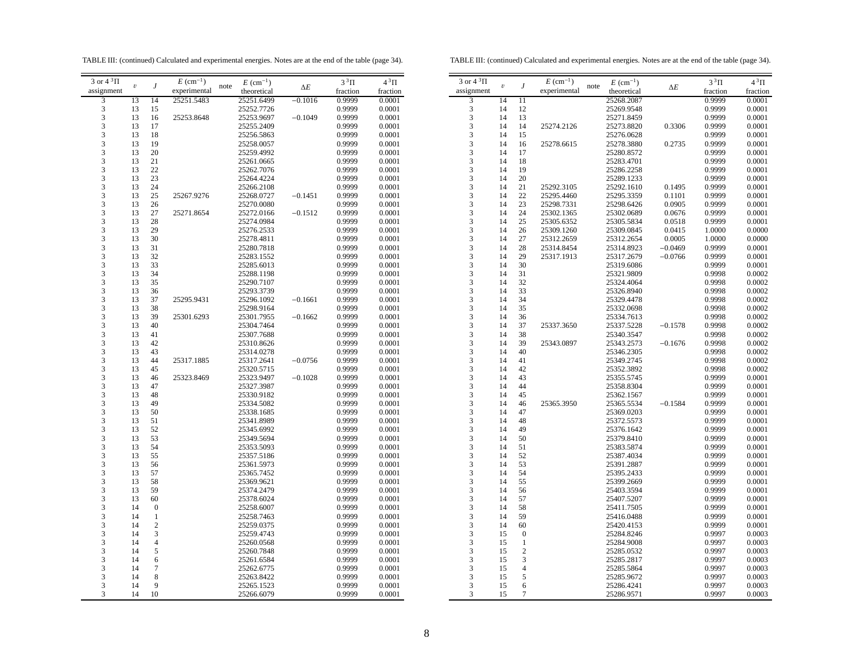TABLE III: (continued) Calculated and experimental energies. Notes are at the end of the table (page 34).

TABLE III: (continued) Calculated and experimental energies. Notes are at the end of the table (page 34).

| 3 or $4^3\Pi$           |                         |                  | $E~(\text{cm}^{-1})$ |      | $E~(\text{cm}^{-1})$ |            | $3^3\Pi$ | $4^3\Pi$ |  |
|-------------------------|-------------------------|------------------|----------------------|------|----------------------|------------|----------|----------|--|
| assignment              | $\boldsymbol{\upsilon}$ | J                | experimental         | note | theoretical          | $\Delta E$ | fraction | fraction |  |
| 3                       | 13                      | 14               | 25251.5483           |      | 25251.6499           | $-0.1016$  | 0.9999   | 0.0001   |  |
| 3                       | 13                      | 15               |                      |      | 25252.7726           |            | 0.9999   | 0.0001   |  |
| $\overline{\mathbf{3}}$ | 13                      | 16               | 25253.8648           |      | 25253.9697           | $-0.1049$  | 0.9999   | 0.0001   |  |
| 3                       | 13                      | 17               |                      |      | 25255.2409           |            | 0.9999   | 0.0001   |  |
| 3                       | 13                      | 18               |                      |      | 25256.5863           |            | 0.9999   | 0.0001   |  |
| 3                       | 13                      | 19               |                      |      | 25258.0057           |            | 0.9999   | 0.0001   |  |
| 3                       | 13                      | 20               |                      |      | 25259.4992           |            | 0.9999   | 0.0001   |  |
| 3                       | 13                      | 21               |                      |      | 25261.0665           |            | 0.9999   | 0.0001   |  |
| 3                       | 13                      | 22               |                      |      | 25262.7076           |            | 0.9999   | 0.0001   |  |
| 3                       | 13                      | 23               |                      |      | 25264.4224           |            | 0.9999   | 0.0001   |  |
| 3                       | 13                      | 24               |                      |      | 25266.2108           |            | 0.9999   | 0.0001   |  |
| 3                       | 13                      | 25               | 25267.9276           |      | 25268.0727           | $-0.1451$  | 0.9999   | 0.0001   |  |
| 3                       | 13                      | 26               |                      |      | 25270.0080           |            | 0.9999   | 0.0001   |  |
| 3                       | 13                      | 27               | 25271.8654           |      | 25272.0166           | $-0.1512$  | 0.9999   | 0.0001   |  |
| 3                       | 13                      | 28               |                      |      | 25274.0984           |            | 0.9999   | 0.0001   |  |
| 3                       | 13                      | 29               |                      |      | 25276.2533           |            | 0.9999   | 0.0001   |  |
| 3                       | 13                      | 30               |                      |      | 25278.4811           |            | 0.9999   | 0.0001   |  |
| 3                       | 13                      | 31               |                      |      | 25280.7818           |            | 0.9999   | 0.0001   |  |
| 3                       | 13                      | 32               |                      |      | 25283.1552           |            | 0.9999   | 0.0001   |  |
| 3                       | 13                      | 33               |                      |      | 25285.6013           |            | 0.9999   | 0.0001   |  |
| 3                       | 13                      | 34               |                      |      | 25288.1198           |            | 0.9999   | 0.0001   |  |
| 3                       | 13                      | 35               |                      |      | 25290.7107           |            | 0.9999   | 0.0001   |  |
| 3                       | 13                      | 36               |                      |      | 25293.3739           |            | 0.9999   | 0.0001   |  |
| 3                       | 13                      | 37               | 25295.9431           |      | 25296.1092           | $-0.1661$  | 0.9999   | 0.0001   |  |
| 3                       | 13                      | 38               |                      |      | 25298.9164           |            | 0.9999   | 0.0001   |  |
| 3                       | 13                      | 39               | 25301.6293           |      | 25301.7955           | $-0.1662$  | 0.9999   | 0.0001   |  |
| 3                       | 13                      | 40               |                      |      | 25304.7464           |            | 0.9999   | 0.0001   |  |
| 3                       | 13                      | 41               |                      |      | 25307.7688           |            | 0.9999   | 0.0001   |  |
| 3                       | 13                      | 42               |                      |      | 25310.8626           |            | 0.9999   | 0.0001   |  |
| 3                       | 13                      | 43               |                      |      | 25314.0278           |            | 0.9999   | 0.0001   |  |
| 3                       | 13                      | 44               | 25317.1885           |      | 25317.2641           | $-0.0756$  | 0.9999   | 0.0001   |  |
| 3                       | 13                      | 45               |                      |      | 25320.5715           |            | 0.9999   | 0.0001   |  |
| 3                       | 13                      | 46               | 25323.8469           |      | 25323.9497           | $-0.1028$  | 0.9999   | 0.0001   |  |
| 3                       | 13                      | 47               |                      |      | 25327.3987           |            | 0.9999   | 0.0001   |  |
| 3                       | 13                      | 48               |                      |      | 25330.9182           |            | 0.9999   | 0.0001   |  |
| 3                       | 13                      | 49               |                      |      | 25334.5082           |            | 0.9999   | 0.0001   |  |
| 3                       | 13                      | 50               |                      |      | 25338.1685           |            | 0.9999   | 0.0001   |  |
| 3                       | 13                      | 51               |                      |      | 25341.8989           |            | 0.9999   | 0.0001   |  |
| 3                       | 13                      | 52               |                      |      | 25345.6992           |            | 0.9999   | 0.0001   |  |
| 3                       | 13                      | 53               |                      |      | 25349.5694           |            | 0.9999   | 0.0001   |  |
| 3                       | 13                      | 54               |                      |      | 25353.5093           |            | 0.9999   | 0.0001   |  |
| 3                       | 13                      | 55               |                      |      | 25357.5186           |            | 0.9999   | 0.0001   |  |
| 3                       | 13                      | 56               |                      |      | 25361.5973           |            | 0.9999   | 0.0001   |  |
| 3                       | 13                      | 57               |                      |      | 25365.7452           |            | 0.9999   | 0.0001   |  |
| 3                       | 13                      | 58               |                      |      | 25369.9621           |            | 0.9999   | 0.0001   |  |
| 3                       | 13                      | 59               |                      |      | 25374.2479           |            | 0.9999   | 0.0001   |  |
| 3                       | 13                      | 60               |                      |      | 25378.6024           |            | 0.9999   | 0.0001   |  |
| 3                       | 14                      | $\boldsymbol{0}$ |                      |      | 25258.6007           |            | 0.9999   | 0.0001   |  |
| 3                       | 14                      | $\mathbf{1}$     |                      |      | 25258.7463           |            | 0.9999   | 0.0001   |  |
| 3                       | 14                      | $\boldsymbol{2}$ |                      |      | 25259.0375           |            | 0.9999   | 0.0001   |  |
| 3                       | 14                      | 3                |                      |      | 25259.4743           |            | 0.9999   | 0.0001   |  |
| 3                       | 14                      | $\overline{4}$   |                      |      | 25260.0568           |            | 0.9999   | 0.0001   |  |
| 3                       | 14                      | 5                |                      |      | 25260.7848           |            | 0.9999   | 0.0001   |  |
| 3                       | 14                      | 6                |                      |      | 25261.6584           |            | 0.9999   | 0.0001   |  |
| 3                       | 14                      | 7                |                      |      | 25262.6775           |            | 0.9999   | 0.0001   |  |
| 3                       | 14                      | 8                |                      |      | 25263.8422           |            | 0.9999   | 0.0001   |  |
| 3                       | 14                      | 9                |                      |      | 25265.1523           |            | 0.9999   | 0.0001   |  |
| 3                       | 14                      | 10               |                      |      | 25266.6079           |            | 0.9999   | 0.0001   |  |
|                         |                         |                  |                      |      |                      |            |          |          |  |

| 3 or $4\sqrt[3]{1}$ | $\boldsymbol{v}$ |                  | $E~(\text{cm}^{-1})$ | $E~(\text{cm}^{-1})$<br>note |            | $3^3\Pi$ | $4^3\Pi$ |
|---------------------|------------------|------------------|----------------------|------------------------------|------------|----------|----------|
| assignment          |                  | J                | experimental         | theoretical                  | $\Delta E$ | fraction | fraction |
| 3                   | 14               | $\overline{11}$  |                      | 25268.2087                   |            | 0.9999   | 0.0001   |
| 3                   | 14               | 12               |                      | 25269.9548                   |            | 0.9999   | 0.0001   |
| 3                   | 14               | 13               |                      | 25271.8459                   |            | 0.9999   | 0.0001   |
| 3                   | 14               | 14               | 25274.2126           | 25273.8820                   | 0.3306     | 0.9999   | 0.0001   |
| 3                   | 14               | 15               |                      | 25276.0628                   |            | 0.9999   | 0.0001   |
| 3                   | 14               | 16               | 25278.6615           |                              | 0.2735     | 0.9999   | 0.0001   |
|                     |                  |                  |                      | 25278.3880                   |            |          |          |
| 3<br>3              | 14               | 17               |                      | 25280.8572                   |            | 0.9999   | 0.0001   |
|                     | 14               | 18               |                      | 25283.4701                   |            | 0.9999   | 0.0001   |
| 3                   | 14               | 19               |                      | 25286.2258                   |            | 0.9999   | 0.0001   |
| 3                   | 14               | 20               |                      | 25289.1233                   |            | 0.9999   | 0.0001   |
| 3                   | 14               | 21               | 25292.3105           | 25292.1610                   | 0.1495     | 0.9999   | 0.0001   |
| 3                   | 14               | 22               | 25295.4460           | 25295.3359                   | 0.1101     | 0.9999   | 0.0001   |
| 3                   | 14               | 23               | 25298.7331           | 25298.6426                   | 0.0905     | 0.9999   | 0.0001   |
| 3                   | 14               | 24               | 25302.1365           | 25302.0689                   | 0.0676     | 0.9999   | 0.0001   |
| 3                   | 14               | 25               | 25305.6352           | 25305.5834                   | 0.0518     | 0.9999   | 0.0001   |
| 3                   | 14               | 26               | 25309.1260           | 25309.0845                   | 0.0415     | 1.0000   | 0.0000   |
| 3                   | 14               | 27               | 25312.2659           | 25312.2654                   | 0.0005     | 1.0000   | 0.0000   |
| 3                   | 14               | 28               | 25314.8454           | 25314.8923                   | $-0.0469$  | 0.9999   | 0.0001   |
| 3                   | 14               | 29               | 25317.1913           | 25317.2679                   | $-0.0766$  | 0.9999   | 0.0001   |
| 3                   | 14               | 30               |                      | 25319.6086                   |            | 0.9999   | 0.0001   |
| 3                   | 14               | 31               |                      | 25321.9809                   |            | 0.9998   | 0.0002   |
| 3                   | 14               | 32               |                      | 25324.4064                   |            | 0.9998   | 0.0002   |
| 3                   | 14               | 33               |                      | 25326.8940                   |            | 0.9998   | 0.0002   |
| 3                   | 14               | 34               |                      | 25329.4478                   |            | 0.9998   | 0.0002   |
| 3                   | 14               | 35               |                      | 25332.0698                   |            | 0.9998   | 0.0002   |
| 3                   | 14               | 36               |                      | 25334.7613                   |            | 0.9998   | 0.0002   |
| 3                   | 14               | 37               | 25337.3650           | 25337.5228                   | $-0.1578$  | 0.9998   | 0.0002   |
| 3                   | 14               | 38               |                      | 25340.3547                   |            | 0.9998   | 0.0002   |
| 3                   | 14               | 39               | 25343.0897           | 25343.2573                   | $-0.1676$  | 0.9998   | 0.0002   |
| 3                   | 14               | 40               |                      | 25346.2305                   |            | 0.9998   | 0.0002   |
| 3                   | 14               | 41               |                      | 25349.2745                   |            | 0.9998   | 0.0002   |
| 3                   | 14               | 42               |                      | 25352.3892                   |            | 0.9998   | 0.0002   |
| 3                   | 14               | 43               |                      | 25355.5745                   |            | 0.9999   | 0.0001   |
| 3                   | 14               | 44               |                      | 25358.8304                   |            | 0.9999   | 0.0001   |
| 3                   | 14               | 45               |                      | 25362.1567                   |            | 0.9999   | 0.0001   |
| 3                   | 14               | 46               |                      |                              |            |          |          |
|                     |                  |                  | 25365.3950           | 25365.5534                   | $-0.1584$  | 0.9999   | 0.0001   |
| 3                   | 14               | 47               |                      | 25369.0203                   |            | 0.9999   | 0.0001   |
| 3<br>$\overline{3}$ | 14               | 48               |                      | 25372.5573                   |            | 0.9999   | 0.0001   |
|                     | 14               | 49               |                      | 25376.1642                   |            | 0.9999   | 0.0001   |
| 3                   | 14               | 50               |                      | 25379.8410                   |            | 0.9999   | 0.0001   |
| 3                   | 14               | 51               |                      | 25383.5874                   |            | 0.9999   | 0.0001   |
| 3                   | 14               | 52               |                      | 25387.4034                   |            | 0.9999   | 0.0001   |
| 3                   | 14               | 53               |                      | 25391.2887                   |            | 0.9999   | 0.0001   |
| 3                   | 14               | 54               |                      | 25395.2433                   |            | 0.9999   | 0.0001   |
| 3                   | 14               | 55               |                      | 25399.2669                   |            | 0.9999   | 0.0001   |
| 3                   | 14               | 56               |                      | 25403.3594                   |            | 0.9999   | 0.0001   |
| 3                   | 14               | 57               |                      | 25407.5207                   |            | 0.9999   | 0.0001   |
| 3                   | 14               | 58               |                      | 25411.7505                   |            | 0.9999   | 0.0001   |
| 3                   | 14               | 59               |                      | 25416.0488                   |            | 0.9999   | 0.0001   |
| 3                   | 14               | 60               |                      | 25420.4153                   |            | 0.9999   | 0.0001   |
| 3                   | 15               | $\boldsymbol{0}$ |                      | 25284.8246                   |            | 0.9997   | 0.0003   |
| 3                   | 15               | $\mathbf{1}$     |                      | 25284.9008                   |            | 0.9997   | 0.0003   |
| 3                   | 15               | $\overline{c}$   |                      | 25285.0532                   |            | 0.9997   | 0.0003   |
| 3                   | 15               | 3                |                      | 25285.2817                   |            | 0.9997   | 0.0003   |
| 3                   | 15               | 4                |                      | 25285.5864                   |            | 0.9997   | 0.0003   |
| 3                   | 15               | 5                |                      | 25285.9672                   |            | 0.9997   | 0.0003   |
| 3                   | 15               | 6                |                      | 25286.4241                   |            | 0.9997   | 0.0003   |
| 3                   | 15               | $\overline{7}$   |                      | 25286.9571                   |            | 0.9997   | 0.0003   |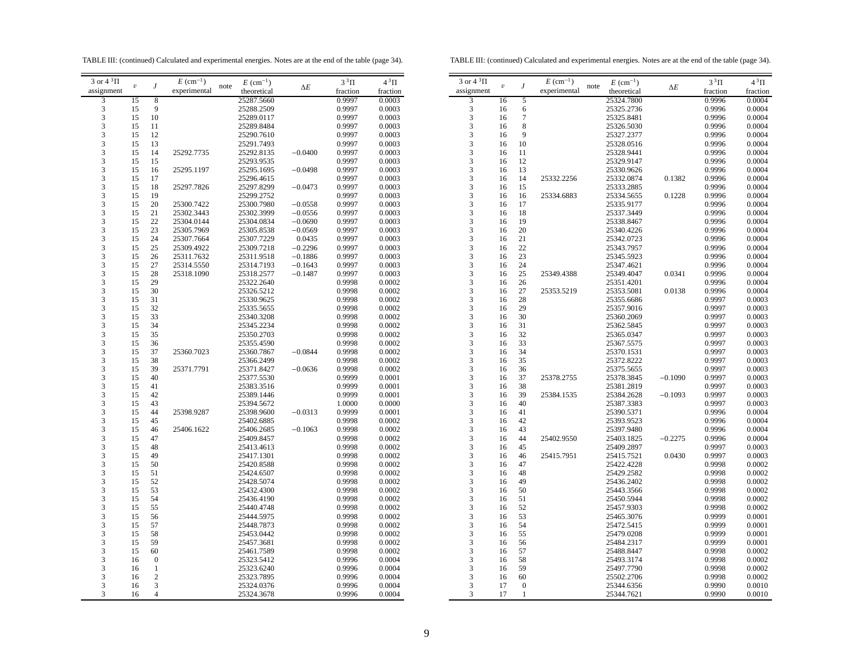TABLE III: (continued) Calculated and experimental energies. Notes are at the end of the table (page 34).

TABLE III: (continued) Calculated and experimental energies. Notes are at the end of the table (page 34).

| 3 or $4\sqrt[3]{11}$        | $\boldsymbol{\upsilon}$ | J                   | $E~(\text{cm}^{-1})$ | note | $E~(\text{cm}^{-1})$     | $\Delta E$ | $3^3\Pi$         | $4^3\Pi$         | 3 or $4\sqrt[3]{11}$ |
|-----------------------------|-------------------------|---------------------|----------------------|------|--------------------------|------------|------------------|------------------|----------------------|
| assignment                  |                         |                     | experimental         |      | theoretical              |            | fraction         | fraction         | assignment           |
| 3                           | 15                      | 8                   |                      |      | 25287.5660               |            | 0.9997           | 0.0003           | 3                    |
| $\ensuremath{\mathfrak{Z}}$ | 15                      | 9                   |                      |      | 25288.2509               |            | 0.9997           | 0.0003           | 3                    |
| 3                           | 15                      | 10                  |                      |      | 25289.0117               |            | 0.9997           | 0.0003           | 3                    |
| $\mathfrak{Z}$              | 15                      | 11                  |                      |      | 25289.8484               |            | 0.9997           | 0.0003           | 3                    |
| $\mathfrak{Z}$              | 15                      | 12                  |                      |      | 25290.7610               |            | 0.9997           | 0.0003           | 3                    |
| 3                           | 15                      | 13                  |                      |      | 25291.7493               |            | 0.9997           | 0.0003           | 3                    |
| 3                           | 15                      | 14                  | 25292.7735           |      | 25292.8135               | $-0.0400$  | 0.9997           | 0.0003           | 3                    |
| 3                           | 15                      | 15                  |                      |      | 25293.9535               |            | 0.9997           | 0.0003           | 3                    |
| 3                           | 15                      | 16                  | 25295.1197           |      | 25295.1695               | $-0.0498$  | 0.9997           | 0.0003           | 3                    |
| 3                           | 15                      | 17                  |                      |      | 25296.4615               |            | 0.9997           | 0.0003           | 3                    |
| $\ensuremath{\mathfrak{Z}}$ | 15                      | 18                  |                      |      |                          | $-0.0473$  |                  |                  | 3                    |
| 3                           | 15                      | 19                  | 25297.7826           |      | 25297.8299<br>25299.2752 |            | 0.9997<br>0.9997 | 0.0003<br>0.0003 | 3                    |
|                             |                         |                     |                      |      |                          |            |                  |                  |                      |
| $\ensuremath{\mathfrak{Z}}$ | 15                      | 20                  | 25300.7422           |      | 25300.7980               | $-0.0558$  | 0.9997           | 0.0003           | 3                    |
| 3                           | 15                      | 21                  | 25302.3443           |      | 25302.3999               | $-0.0556$  | 0.9997           | 0.0003           | 3                    |
| 3                           | 15                      | 22                  | 25304.0144           |      | 25304.0834               | $-0.0690$  | 0.9997           | 0.0003           | 3                    |
| 3                           | 15                      | 23                  | 25305.7969           |      | 25305.8538               | $-0.0569$  | 0.9997           | 0.0003           | 3                    |
| $\overline{\mathbf{3}}$     | 15                      | 24                  | 25307.7664           |      | 25307.7229               | 0.0435     | 0.9997           | 0.0003           | 3                    |
| 3                           | 15                      | 25                  | 25309.4922           |      | 25309.7218               | $-0.2296$  | 0.9997           | 0.0003           | 3                    |
| 3                           | 15                      | 26                  | 25311.7632           |      | 25311.9518               | $-0.1886$  | 0.9997           | 0.0003           | 3                    |
| 3                           | 15                      | 27                  | 25314.5550           |      | 25314.7193               | $-0.1643$  | 0.9997           | 0.0003           | 3                    |
| $\ensuremath{\mathfrak{Z}}$ | 15                      | 28                  | 25318.1090           |      | 25318.2577               | $-0.1487$  | 0.9997           | 0.0003           | 3                    |
| $\ensuremath{\mathfrak{Z}}$ | 15                      | 29                  |                      |      | 25322.2640               |            | 0.9998           | 0.0002           | 3                    |
| 3                           | 15                      | 30                  |                      |      | 25326.5212               |            | 0.9998           | 0.0002           | 3                    |
| 3                           | 15                      | 31                  |                      |      | 25330.9625               |            | 0.9998           | 0.0002           | 3                    |
| 3                           | 15                      | 32                  |                      |      | 25335.5655               |            | 0.9998           | 0.0002           | 3                    |
| 3                           | 15                      | 33                  |                      |      | 25340.3208               |            | 0.9998           | 0.0002           | 3                    |
| 3                           | 15                      | 34                  |                      |      | 25345.2234               |            | 0.9998           | 0.0002           | 3                    |
| 3                           | 15                      | 35                  |                      |      | 25350.2703               |            | 0.9998           | 0.0002           | 3                    |
| 3                           | 15                      | 36                  |                      |      | 25355.4590               |            | 0.9998           | 0.0002           | 3                    |
| $\ensuremath{\mathfrak{Z}}$ | 15                      | 37                  | 25360.7023           |      | 25360.7867               | $-0.0844$  | 0.9998           | 0.0002           | 3                    |
| 3                           | 15                      | 38                  |                      |      | 25366.2499               |            | 0.9998           | 0.0002           | 3                    |
| 3                           | 15                      | 39                  | 25371.7791           |      | 25371.8427               | $-0.0636$  | 0.9998           | 0.0002           | 3                    |
| 3                           | 15                      | 40                  |                      |      | 25377.5530               |            | 0.9999           | 0.0001           | 3                    |
| 3                           | 15                      | 41                  |                      |      |                          |            | 0.9999           | 0.0001           | 3                    |
| $\overline{\mathbf{3}}$     | 15                      | 42                  |                      |      | 25383.3516               |            |                  | 0.0001           | 3                    |
| 3                           |                         |                     |                      |      | 25389.1446               |            | 0.9999           |                  | 3                    |
|                             | 15                      | 43                  |                      |      | 25394.5672               |            | 1.0000           | 0.0000           |                      |
| 3                           | 15                      | 44                  | 25398.9287           |      | 25398.9600               | $-0.0313$  | 0.9999           | 0.0001           | 3                    |
| 3                           | 15                      | 45                  |                      |      | 25402.6885               |            | 0.9998           | 0.0002           | 3                    |
| $\sqrt{3}$                  | 15                      | 46                  | 25406.1622           |      | 25406.2685               | $-0.1063$  | 0.9998           | 0.0002           | 3                    |
| $\ensuremath{\mathfrak{Z}}$ | 15                      | 47                  |                      |      | 25409.8457               |            | 0.9998           | 0.0002           | 3                    |
| 3                           | 15                      | 48                  |                      |      | 25413.4613               |            | 0.9998           | 0.0002           | 3                    |
| 3                           | 15                      | 49                  |                      |      | 25417.1301               |            | 0.9998           | 0.0002           | 3                    |
| 3                           | 15                      | 50                  |                      |      | 25420.8588               |            | 0.9998           | 0.0002           | 3                    |
| 3                           | 15                      | 51                  |                      |      | 25424.6507               |            | 0.9998           | 0.0002           | 3                    |
| 3                           | 15                      | 52                  |                      |      | 25428.5074               |            | 0.9998           | 0.0002           | 3                    |
| 3                           | 15                      | 53                  |                      |      | 25432.4300               |            | 0.9998           | 0.0002           | 3                    |
| $\ensuremath{\mathfrak{Z}}$ | 15                      | 54                  |                      |      | 25436.4190               |            | 0.9998           | 0.0002           | 3                    |
| 3                           | 15                      | 55                  |                      |      | 25440.4748               |            | 0.9998           | 0.0002           | 3                    |
| $\ensuremath{\mathfrak{Z}}$ | 15                      | 56                  |                      |      | 25444.5975               |            | 0.9998           | 0.0002           | 3                    |
| 3                           | 15                      | 57                  |                      |      | 25448.7873               |            | 0.9998           | 0.0002           | 3                    |
| 3                           | 15                      | 58                  |                      |      | 25453.0442               |            | 0.9998           | 0.0002           | 3                    |
| 3                           | 15                      | 59                  |                      |      | 25457.3681               |            | 0.9998           | 0.0002           | 3                    |
| 3                           | 15                      | 60                  |                      |      | 25461.7589               |            | 0.9998           | 0.0002           | 3                    |
| 3                           | 16                      | $\boldsymbol{0}$    |                      |      | 25323.5412               |            | 0.9996           | 0.0004           | 3                    |
| $\ensuremath{\mathfrak{Z}}$ | 16                      | $\,1$               |                      |      | 25323.6240               |            | 0.9996           | 0.0004           | 3                    |
| 3                           | 16                      | $\sqrt{2}$          |                      |      | 25323.7895               |            | 0.9996           | 0.0004           | 3                    |
| 3                           |                         |                     |                      |      |                          |            |                  |                  | 3                    |
| 3                           | 16                      | 3<br>$\overline{4}$ |                      |      | 25324.0376               |            | 0.9996           | 0.0004           | 3                    |
|                             | 16                      |                     |                      |      | 25324.3678               |            | 0.9996           | 0.0004           |                      |
|                             |                         |                     |                      |      |                          |            |                  |                  |                      |

| 3 or $4^3\Pi$                | $\boldsymbol{v}$ |                  | $E~(\text{cm}^{-1})$ | $E~(\text{cm}^{-1})$<br>note |            | $3^3\Pi$         | $4^3\Pi$         |
|------------------------------|------------------|------------------|----------------------|------------------------------|------------|------------------|------------------|
| assignment                   |                  | J                | experimental         | theoretical                  | $\Delta E$ | fraction         | fraction         |
| 3                            | 16               | 5                |                      | 25324.7800                   |            | 0.9996           | 0.0004           |
| 3                            | 16               | 6                |                      | 25325.2736                   |            | 0.9996           | 0.0004           |
| $\overline{\mathbf{3}}$      | 16               | $\overline{7}$   |                      | 25325.8481                   |            | 0.9996           | 0.0004           |
| 3                            | 16               | 8                |                      | 25326.5030                   |            | 0.9996           | 0.0004           |
| 3                            | 16               | 9                |                      | 25327.2377                   |            |                  | 0.0004           |
|                              |                  |                  |                      |                              |            | 0.9996           |                  |
| 3<br>$\overline{\mathbf{3}}$ | 16               | 10               |                      | 25328.0516                   |            | 0.9996           | 0.0004           |
| $\overline{3}$               | 16               | 11               |                      | 25328.9441                   |            | 0.9996           | 0.0004           |
|                              | 16               | 12               |                      | 25329.9147                   |            | 0.9996           | 0.0004           |
| 3                            | 16               | 13               |                      | 25330.9626                   |            | 0.9996           | 0.0004           |
| 3                            | 16               | 14               | 25332.2256           | 25332.0874                   | 0.1382     | 0.9996           | 0.0004           |
| $\frac{3}{3}$                | 16               | 15               |                      | 25333.2885                   |            | 0.9996           | 0.0004           |
|                              | 16               | 16               | 25334.6883           | 25334.5655                   | 0.1228     | 0.9996           | 0.0004           |
| 3                            | 16               | 17               |                      | 25335.9177                   |            | 0.9996           | 0.0004           |
| 3                            | 16               | 18               |                      | 25337.3449                   |            | 0.9996           | 0.0004           |
| $\overline{3}$               | 16               | 19               |                      | 25338.8467                   |            | 0.9996           | 0.0004           |
| 3                            | 16               | 20               |                      | 25340.4226                   |            | 0.9996           | 0.0004           |
| $\frac{3}{3}$                | 16               | 21               |                      | 25342.0723                   |            | 0.9996           | 0.0004           |
|                              | 16               | 22               |                      | 25343.7957                   |            | 0.9996           | 0.0004           |
| $\overline{\mathbf{3}}$      | 16               | 23               |                      | 25345.5923                   |            | 0.9996           | 0.0004           |
| 3                            | 16               | 24               |                      | 25347.4621                   |            | 0.9996           | 0.0004           |
| 3                            | 16               | 25               | 25349.4388           | 25349.4047                   | 0.0341     | 0.9996           | 0.0004           |
|                              | 16               | 26               |                      | 25351.4201                   |            | 0.9996           | 0.0004           |
| $\frac{3}{3}$                | 16               | 27               | 25353.5219           | 25353.5081                   | 0.0138     | 0.9996           | 0.0004           |
| $\frac{1}{3}$                | 16               | 28               |                      | 25355.6686                   |            | 0.9997           | 0.0003           |
| 3                            | 16               | 29               |                      | 25357.9016                   |            | 0.9997           | 0.0003           |
| $\frac{1}{3}$                | 16               | 30               |                      | 25360.2069                   |            | 0.9997           | 0.0003           |
| $\overline{3}$               | 16               | 31               |                      | 25362.5845                   |            | 0.9997           | 0.0003           |
| 3                            | 16               | 32               |                      | 25365.0347                   |            |                  |                  |
| $\overline{\mathbf{3}}$      | 16               | 33               |                      | 25367.5575                   |            | 0.9997<br>0.9997 | 0.0003<br>0.0003 |
| $\overline{\mathbf{3}}$      |                  | 34               |                      |                              |            |                  |                  |
|                              | 16               |                  |                      | 25370.1531                   |            | 0.9997           | 0.0003           |
| 3                            | 16               | 35               |                      | 25372.8222                   |            | 0.9997           | 0.0003           |
| 3                            | 16               | 36               |                      | 25375.5655                   |            | 0.9997           | 0.0003           |
| $\frac{3}{3}$                | 16               | 37               | 25378.2755           | 25378.3845                   | $-0.1090$  | 0.9997           | 0.0003           |
|                              | 16               | 38               |                      | 25381.2819                   |            | 0.9997           | 0.0003           |
| $\frac{1}{3}$                | 16               | 39               | 25384.1535           | 25384.2628                   | $-0.1093$  | 0.9997           | 0.0003           |
| $\overline{3}$               | 16               | 40               |                      | 25387.3383                   |            | 0.9997           | 0.0003           |
| 3                            | 16               | 41               |                      | 25390.5371                   |            | 0.9996           | 0.0004           |
| $\overline{\mathbf{3}}$      | 16               | 42               |                      | 25393.9523                   |            | 0.9996           | 0.0004           |
| 3                            | 16               | 43               |                      | 25397.9480                   |            | 0.9996           | 0.0004           |
| 3                            | 16               | 44               | 25402.9550           | 25403.1825                   | $-0.2275$  | 0.9996           | 0.0004           |
| 3                            | 16               | 45               |                      | 25409.2897                   |            | 0.9997           | 0.0003           |
| $\frac{3}{3}$                | 16               | 46               | 25415.7951           | 25415.7521                   | 0.0430     | 0.9997           | 0.0003           |
|                              | 16               | 47               |                      | 25422.4228                   |            | 0.9998           | 0.0002           |
| $\overline{3}$               | 16               | 48               |                      | 25429.2582                   |            | 0.9998           | 0.0002           |
| 3                            | 16               | 49               |                      | 25436.2402                   |            | 0.9998           | 0.0002           |
| $\overline{\mathbf{3}}$      | 16               | 50               |                      | 25443.3566                   |            | 0.9998           | 0.0002           |
| $\overline{\mathbf{3}}$      | 16               | 51               |                      | 25450.5944                   |            | 0.9998           | 0.0002           |
| 3                            | 16               | 52               |                      | 25457.9303                   |            | 0.9998           | 0.0002           |
| $\overline{\mathbf{3}}$      | 16               | 53               |                      | 25465.3076                   |            | 0.9999           | 0.0001           |
| 3                            | 16               | 54               |                      | 25472.5415                   |            | 0.9999           | 0.0001           |
| 3                            | 16               | 55               |                      | 25479.0208                   |            | 0.9999           | 0.0001           |
| $\overline{\mathbf{3}}$      | 16               | 56               |                      | 25484.2317                   |            | 0.9999           | 0.0001           |
|                              | 16               | 57               |                      | 25488.8447                   |            | 0.9998           | 0.0002           |
| $\frac{3}{3}$                | 16               | 58               |                      | 25493.3174                   |            |                  | 0.0002           |
| $\overline{3}$               |                  |                  |                      |                              |            | 0.9998           |                  |
| 3                            | 16               | 59               |                      | 25497.7790                   |            | 0.9998           | 0.0002           |
|                              | 16               | 60               |                      | 25502.2706                   |            | 0.9998           | 0.0002           |
| 3                            | 17               | $\boldsymbol{0}$ |                      | 25344.6356                   |            | 0.9990           | 0.0010           |
| 3                            | 17               | 1                |                      | 25344.7621                   |            | 0.9990           | 0.0010           |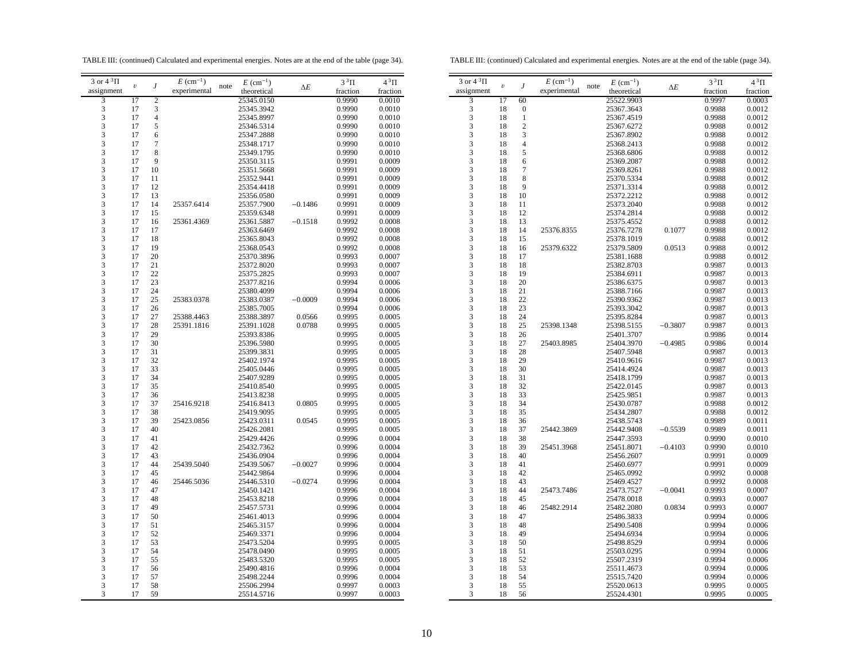TABLE III: (continued) Calculated and experimental energies. Notes are at the end of the table (page 34).

TABLE III: (continued) Calculated and experimental energies. Notes are at the end of the table (page 34).

| 3 or $4^3\Pi$                                   | $\upsilon$ | J                        | $E~(\text{cm}^{-1})$ | note | $E~(\text{cm}^{-1})$ | $\Delta E$ | $3^3\Pi$ | $4^3\Pi$ | 3 <sub>0</sub> |
|-------------------------------------------------|------------|--------------------------|----------------------|------|----------------------|------------|----------|----------|----------------|
| assignment                                      |            |                          | experimental         |      | theoretical          |            | fraction | fraction | assi           |
| 3                                               | 17         | 2                        |                      |      | 25345.0150           |            | 0.9990   | 0.0010   |                |
| 3                                               | 17         | 3                        |                      |      | 25345.3942           |            | 0.9990   | 0.0010   |                |
| 3                                               | 17         | $\overline{\mathcal{L}}$ |                      |      | 25345.8997           |            | 0.9990   | 0.0010   |                |
| 3                                               | 17         | 5                        |                      |      | 25346.5314           |            | 0.9990   | 0.0010   |                |
|                                                 | 17         | 6                        |                      |      | 25347.2888           |            | 0.9990   | 0.0010   |                |
| $\begin{array}{c} 3 \\ 3 \\ 3 \end{array}$      | 17         | $\boldsymbol{7}$         |                      |      | 25348.1717           |            | 0.9990   | 0.0010   |                |
|                                                 | 17         | 8                        |                      |      | 25349.1795           |            | 0.9990   | 0.0010   |                |
| 3                                               | 17         | 9                        |                      |      |                      |            |          |          |                |
|                                                 |            |                          |                      |      | 25350.3115           |            | 0.9991   | 0.0009   |                |
| 3                                               | 17         | 10                       |                      |      | 25351.5668           |            | 0.9991   | 0.0009   |                |
| 3                                               | 17         | 11                       |                      |      | 25352.9441           |            | 0.9991   | 0.0009   |                |
| 3                                               | 17         | 12                       |                      |      | 25354.4418           |            | 0.9991   | 0.0009   |                |
| 3                                               | 17         | 13                       |                      |      | 25356.0580           |            | 0.9991   | 0.0009   |                |
| $\begin{array}{c} 3 \\ 3 \\ 3 \\ 3 \end{array}$ | 17         | 14                       | 25357.6414           |      | 25357.7900           | $-0.1486$  | 0.9991   | 0.0009   |                |
|                                                 | 17         | 15                       |                      |      | 25359.6348           |            | 0.9991   | 0.0009   |                |
|                                                 | 17         | 16                       | 25361.4369           |      | 25361.5887           | $-0.1518$  | 0.9992   | 0.0008   |                |
|                                                 | 17         | 17                       |                      |      | 25363.6469           |            | 0.9992   | 0.0008   |                |
|                                                 | 17         | 18                       |                      |      | 25365.8043           |            | 0.9992   | 0.0008   |                |
| 3                                               | 17         | 19                       |                      |      | 25368.0543           |            | 0.9992   | 0.0008   |                |
| 3                                               | 17         | 20                       |                      |      | 25370.3896           |            | 0.9993   | 0.0007   |                |
| 3                                               | 17         | 21                       |                      |      | 25372.8020           |            | 0.9993   | 0.0007   |                |
| 3                                               | 17         | 22                       |                      |      |                      |            |          |          |                |
|                                                 |            |                          |                      |      | 25375.2825           |            | 0.9993   | 0.0007   |                |
| $\begin{array}{c} 3 \\ 3 \\ 3 \\ 3 \end{array}$ | 17         | 23                       |                      |      | 25377.8216           |            | 0.9994   | 0.0006   |                |
|                                                 | 17         | 24                       |                      |      | 25380.4099           |            | 0.9994   | 0.0006   |                |
|                                                 | 17         | 25                       | 25383.0378           |      | 25383.0387           | $-0.0009$  | 0.9994   | 0.0006   |                |
|                                                 | 17         | 26                       |                      |      | 25385.7005           |            | 0.9994   | 0.0006   |                |
|                                                 | 17         | 27                       | 25388.4463           |      | 25388.3897           | 0.0566     | 0.9995   | 0.0005   |                |
| 3                                               | 17         | 28                       | 25391.1816           |      | 25391.1028           | 0.0788     | 0.9995   | 0.0005   |                |
| 3                                               | 17         | 29                       |                      |      | 25393.8386           |            | 0.9995   | 0.0005   |                |
| 3                                               | 17         | 30                       |                      |      | 25396.5980           |            | 0.9995   | 0.0005   |                |
| 3                                               | 17         | 31                       |                      |      | 25399.3831           |            | 0.9995   | 0.0005   |                |
|                                                 | 17         | 32                       |                      |      | 25402.1974           |            | 0.9995   | 0.0005   |                |
| $\frac{3}{3}$                                   | 17         | 33                       |                      |      | 25405.0446           |            | 0.9995   | 0.0005   |                |
|                                                 | 17         | 34                       |                      |      | 25407.9289           |            | 0.9995   | 0.0005   |                |
| $\begin{array}{c} 3 \\ 3 \\ 3 \end{array}$      | 17         | 35                       |                      |      | 25410.8540           |            | 0.9995   | 0.0005   |                |
|                                                 | 17         | 36                       |                      |      |                      |            |          |          |                |
|                                                 |            |                          |                      |      | 25413.8238           |            | 0.9995   | 0.0005   |                |
| 3                                               | 17         | 37                       | 25416.9218           |      | 25416.8413           | 0.0805     | 0.9995   | 0.0005   |                |
| 3                                               | 17         | 38                       |                      |      | 25419.9095           |            | 0.9995   | 0.0005   |                |
| 3                                               | 17         | 39                       | 25423.0856           |      | 25423.0311           | 0.0545     | 0.9995   | 0.0005   |                |
| 3                                               | 17         | 40                       |                      |      | 25426.2081           |            | 0.9995   | 0.0005   |                |
| 3                                               | 17         | 41                       |                      |      | 25429.4426           |            | 0.9996   | 0.0004   |                |
| 3                                               | 17         | 42                       |                      |      | 25432.7362           |            | 0.9996   | 0.0004   |                |
|                                                 | 17         | 43                       |                      |      | 25436.0904           |            | 0.9996   | 0.0004   |                |
| $\frac{3}{3}$                                   | 17         | 44                       | 25439.5040           |      | 25439.5067           | $-0.0027$  | 0.9996   | 0.0004   |                |
| 3                                               | 17         | 45                       |                      |      | 25442.9864           |            | 0.9996   | 0.0004   |                |
| 3                                               | 17         | 46                       | 25446.5036           |      | 25446.5310           | $-0.0274$  | 0.9996   | 0.0004   |                |
| 3                                               | 17         | 47                       |                      |      | 25450.1421           |            | 0.9996   | 0.0004   |                |
| 3                                               | 17         | 48                       |                      |      | 25453.8218           |            | 0.9996   | 0.0004   |                |
| 3                                               | 17         | 49                       |                      |      | 25457.5731           |            | 0.9996   | 0.0004   |                |
|                                                 |            |                          |                      |      |                      |            |          |          |                |
| 3                                               | 17         | 50                       |                      |      | 25461.4013           |            | 0.9996   | 0.0004   |                |
| 3                                               | 17         | 51                       |                      |      | 25465.3157           |            | 0.9996   | 0.0004   |                |
| $\frac{3}{3}$                                   | 17         | 52                       |                      |      | 25469.3371           |            | 0.9996   | 0.0004   |                |
|                                                 | 17         | 53                       |                      |      | 25473.5204           |            | 0.9995   | 0.0005   |                |
| 3                                               | 17         | 54                       |                      |      | 25478.0490           |            | 0.9995   | 0.0005   |                |
| 3                                               | 17         | 55                       |                      |      | 25483.5320           |            | 0.9995   | 0.0005   |                |
| 3                                               | 17         | 56                       |                      |      | 25490.4816           |            | 0.9996   | 0.0004   |                |
| 3                                               | 17         | 57                       |                      |      | 25498.2244           |            | 0.9996   | 0.0004   |                |
| 3                                               | 17         | 58                       |                      |      | 25506.2994           |            | 0.9997   | 0.0003   |                |
| 3                                               | 17         | 59                       |                      |      | 25514.5716           |            | 0.9997   | 0.0003   |                |
|                                                 |            |                          |                      |      |                      |            |          |          |                |

| 3 or $4^3\Pi$           | $\boldsymbol{\mathit{v}}$ | $\boldsymbol{J}$ | $E~(\text{cm}^{-1})$ | note | $E~(\text{cm}^{-1})$ |            | $3^3\Pi$ | $4^3\Pi$ |
|-------------------------|---------------------------|------------------|----------------------|------|----------------------|------------|----------|----------|
| assignment              |                           |                  | experimental         |      | theoretical          | $\Delta E$ | fraction | fraction |
| $\overline{\mathbf{3}}$ | 17                        | 60               |                      |      | 25522.9903           |            | 0.9997   | 0.0003   |
| 3                       | 18                        | $\mathbf{0}$     |                      |      | 25367.3643           |            | 0.9988   | 0.0012   |
| 3                       | 18                        | $\mathbf{1}$     |                      |      | 25367.4519           |            | 0.9988   | 0.0012   |
| 3                       | 18                        | $\overline{c}$   |                      |      | 25367.6272           |            | 0.9988   | 0.0012   |
| 3                       | 18                        | 3                |                      |      | 25367.8902           |            | 0.9988   | 0.0012   |
|                         |                           |                  |                      |      |                      |            |          |          |
| 3                       | 18                        | $\overline{4}$   |                      |      | 25368.2413           |            | 0.9988   | 0.0012   |
| 3                       | 18                        | 5                |                      |      | 25368.6806           |            | 0.9988   | 0.0012   |
| 3                       | 18                        | 6                |                      |      | 25369.2087           |            | 0.9988   | 0.0012   |
| 3                       | 18                        | 7                |                      |      | 25369.8261           |            | 0.9988   | 0.0012   |
| 3                       | 18                        | 8                |                      |      | 25370.5334           |            | 0.9988   | 0.0012   |
| 3                       | 18                        | 9                |                      |      | 25371.3314           |            | 0.9988   | 0.0012   |
| 3                       | 18                        | 10               |                      |      | 25372.2212           |            | 0.9988   | 0.0012   |
| 3                       | 18                        | 11               |                      |      | 25373.2040           |            | 0.9988   | 0.0012   |
| 3                       | 18                        | 12               |                      |      | 25374.2814           |            | 0.9988   | 0.0012   |
| 3                       | 18                        | 13               |                      |      | 25375.4552           |            | 0.9988   | 0.0012   |
| 3                       | 18                        | 14               | 25376.8355           |      | 25376.7278           | 0.1077     | 0.9988   | 0.0012   |
| $\overline{3}$          | 18                        | 15               |                      |      | 25378.1019           |            | 0.9988   | 0.0012   |
| 3                       | 18                        | 16               | 25379.6322           |      | 25379.5809           | 0.0513     | 0.9988   | 0.0012   |
| 3                       | 18                        | 17               |                      |      | 25381.1688           |            | 0.9988   | 0.0012   |
| 3                       | 18                        | 18               |                      |      | 25382.8703           |            | 0.9987   | 0.0013   |
| 3                       | 18                        | 19               |                      |      | 25384.6911           |            |          | 0.0013   |
|                         |                           |                  |                      |      |                      |            | 0.9987   |          |
| 3                       | 18                        | 20               |                      |      | 25386.6375           |            | 0.9987   | 0.0013   |
| 3                       | 18                        | 21               |                      |      | 25388.7166           |            | 0.9987   | 0.0013   |
| 3                       | 18                        | 22               |                      |      | 25390.9362           |            | 0.9987   | 0.0013   |
| 3                       | 18                        | 23               |                      |      | 25393.3042           |            | 0.9987   | 0.0013   |
| 3                       | 18                        | 24               |                      |      | 25395.8284           |            | 0.9987   | 0.0013   |
| 3                       | 18                        | 25               | 25398.1348           |      | 25398.5155           | $-0.3807$  | 0.9987   | 0.0013   |
| 3                       | 18                        | 26               |                      |      | 25401.3707           |            | 0.9986   | 0.0014   |
| 3                       | 18                        | 27               | 25403.8985           |      | 25404.3970           | $-0.4985$  | 0.9986   | 0.0014   |
| 3                       | 18                        | 28               |                      |      | 25407.5948           |            | 0.9987   | 0.0013   |
| 3                       | 18                        | 29               |                      |      | 25410.9616           |            | 0.9987   | 0.0013   |
| 3                       | 18                        | 30               |                      |      | 25414.4924           |            | 0.9987   | 0.0013   |
| 3                       | 18                        | 31               |                      |      | 25418.1799           |            | 0.9987   | 0.0013   |
| 3                       | 18                        | 32               |                      |      | 25422.0145           |            | 0.9987   | 0.0013   |
| 3                       | 18                        | 33               |                      |      | 25425.9851           |            | 0.9987   | 0.0013   |
| 3                       | 18                        | 34               |                      |      | 25430.0787           |            | 0.9988   | 0.0012   |
| 3                       | 18                        | 35               |                      |      | 25434.2807           |            | 0.9988   | 0.0012   |
| 3                       | 18                        | 36               |                      |      | 25438.5743           |            | 0.9989   | 0.0011   |
| 3                       | 18                        | 37               | 25442.3869           |      | 25442.9408           | $-0.5539$  | 0.9989   | 0.0011   |
| 3                       |                           |                  |                      |      |                      |            |          |          |
|                         | 18                        | 38               |                      |      | 25447.3593           |            | 0.9990   | 0.0010   |
| 3                       | 18                        | 39<br>40         | 25451.3968           |      | 25451.8071           | $-0.4103$  | 0.9990   | 0.0010   |
| 3                       | 18                        |                  |                      |      | 25456.2607           |            | 0.9991   | 0.0009   |
| 3                       | 18                        | 41               |                      |      | 25460.6977           |            | 0.9991   | 0.0009   |
| 3                       | 18                        | 42               |                      |      | 25465.0992           |            | 0.9992   | 0.0008   |
| 3                       | 18                        | 43               |                      |      | 25469.4527           |            | 0.9992   | 0.0008   |
| 3                       | 18                        | 44               | 25473.7486           |      | 25473.7527           | $-0.0041$  | 0.9993   | 0.0007   |
| 3                       | 18                        | 45               |                      |      | 25478.0018           |            | 0.9993   | 0.0007   |
| 3                       | 18                        | 46               | 25482.2914           |      | 25482.2080           | 0.0834     | 0.9993   | 0.0007   |
| 3                       | 18                        | 47               |                      |      | 25486.3833           |            | 0.9994   | 0.0006   |
| 3                       | 18                        | 48               |                      |      | 25490.5408           |            | 0.9994   | 0.0006   |
| 3                       | 18                        | 49               |                      |      | 25494.6934           |            | 0.9994   | 0.0006   |
| 3                       | 18                        | 50               |                      |      | 25498.8529           |            | 0.9994   | 0.0006   |
| 3                       | 18                        | 51               |                      |      | 25503.0295           |            | 0.9994   | 0.0006   |
| 3                       | 18                        | 52               |                      |      | 25507.2319           |            | 0.9994   | 0.0006   |
| 3                       | 18                        | 53               |                      |      | 25511.4673           |            | 0.9994   | 0.0006   |
| 3                       | 18                        | 54               |                      |      | 25515.7420           |            | 0.9994   | 0.0006   |
| 3                       | 18                        | 55               |                      |      | 25520.0613           |            | 0.9995   | 0.0005   |
| 3                       | 18                        | 56               |                      |      |                      |            | 0.9995   |          |
|                         |                           |                  |                      |      | 25524.4301           |            |          | 0.0005   |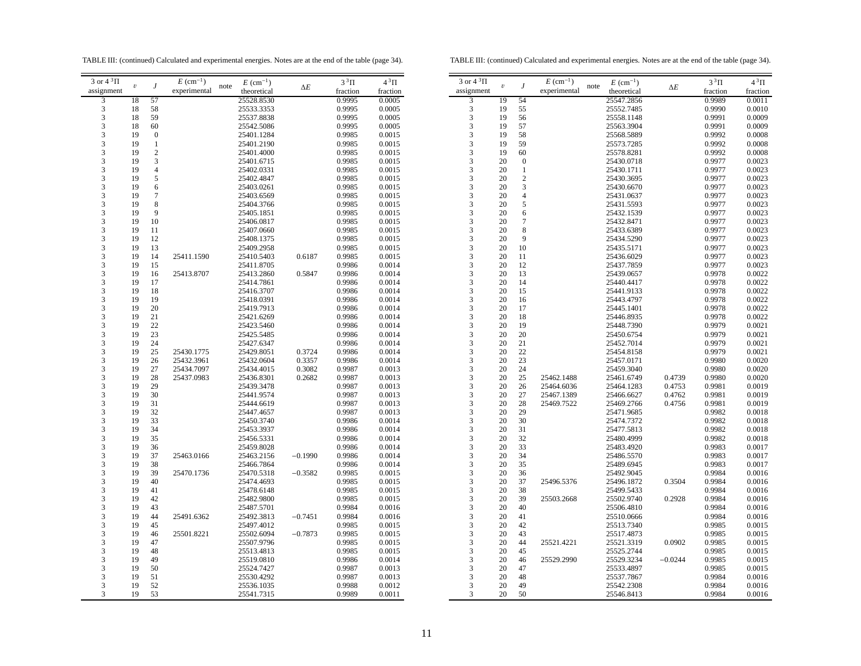TABLE III: (continued) Calculated and experimental energies. Notes are at the end of the table (page 34).

TABLE III: (continued) Calculated and experimental energies. Notes are at the end of the table (page 34).

| $3$ or $4~^3\Pi$ |                  |                  | $E~(\text{cm}^{-1})$ | $E~(\text{cm}^{-1})$ |            | $3^3\Pi$ | $4^3\Pi$ | $3$ or $4~^3\Pi$ |            |                  | $E~(\text{cm}^{-1})$ |
|------------------|------------------|------------------|----------------------|----------------------|------------|----------|----------|------------------|------------|------------------|----------------------|
| assignment       | $\boldsymbol{v}$ | $\boldsymbol{J}$ | experimental         | note<br>theoretical  | $\Delta E$ | fraction | fraction | assignment       | $\upsilon$ | $\boldsymbol{J}$ | experimer            |
| 3                | 18               | 57               |                      | 25528.8530           |            | 0.9995   | 0.0005   | 3                | 19         | 54               |                      |
| 3                | 18               | 58               |                      | 25533.3353           |            | 0.9995   | 0.0005   | 3                | 19         | 55               |                      |
| 3                | 18               | 59               |                      | 25537.8838           |            | 0.9995   | 0.0005   | 3                | 19         | 56               |                      |
| 3                | 18               | 60               |                      | 25542.5086           |            | 0.9995   | 0.0005   | 3                | 19         | 57               |                      |
| 3                | 19               | $\boldsymbol{0}$ |                      | 25401.1284           |            | 0.9985   | 0.0015   | 3                | 19         | 58               |                      |
| 3                | 19               | $\mathbf{1}$     |                      | 25401.2190           |            | 0.9985   | 0.0015   | 3                | 19         | 59               |                      |
| 3                | 19               | $\sqrt{2}$       |                      | 25401.4000           |            | 0.9985   | 0.0015   | 3                | 19         | 60               |                      |
| 3                | 19               | $\mathfrak{Z}$   |                      | 25401.6715           |            | 0.9985   | 0.0015   | 3                | 20         |                  |                      |
|                  |                  |                  |                      |                      |            |          |          |                  |            | $\boldsymbol{0}$ |                      |
| 3                | 19               | $\overline{4}$   |                      | 25402.0331           |            | 0.9985   | 0.0015   | 3                | 20         | 1                |                      |
| 3                | 19               | 5                |                      | 25402.4847           |            | 0.9985   | 0.0015   | 3                | 20         | $\overline{c}$   |                      |
| 3                | 19               | 6                |                      | 25403.0261           |            | 0.9985   | 0.0015   | 3                | 20         | 3                |                      |
| 3                | 19               | $\tau$           |                      | 25403.6569           |            | 0.9985   | 0.0015   | 3                | 20         | $\overline{4}$   |                      |
| 3                | 19               | 8                |                      | 25404.3766           |            | 0.9985   | 0.0015   | 3                | 20         | 5                |                      |
| 3                | 19               | 9                |                      | 25405.1851           |            | 0.9985   | 0.0015   | 3                | 20         | 6                |                      |
| 3                | 19               | 10               |                      | 25406.0817           |            | 0.9985   | 0.0015   | 3                | 20         | $\tau$           |                      |
| 3                | 19               | 11               |                      | 25407.0660           |            | 0.9985   | 0.0015   | 3                | 20         | $\,$ 8 $\,$      |                      |
| 3                | 19               | 12               |                      | 25408.1375           |            | 0.9985   | 0.0015   | 3                | 20         | 9                |                      |
| 3                | 19               | 13               |                      | 25409.2958           |            | 0.9985   | 0.0015   | 3                | 20         | 10               |                      |
| 3                | 19               | 14               | 25411.1590           | 25410.5403           | 0.6187     | 0.9985   | 0.0015   | 3                | 20         | 11               |                      |
| 3                | 19               | 15               |                      | 25411.8705           |            | 0.9986   | 0.0014   | 3                | 20         | 12               |                      |
| 3                | 19               | 16               | 25413.8707           | 25413.2860           | 0.5847     | 0.9986   | 0.0014   | 3                | 20         | 13               |                      |
| 3                | 19               | 17               |                      | 25414.7861           |            | 0.9986   | 0.0014   | 3                | 20         | 14               |                      |
| 3                | 19               | 18               |                      | 25416.3707           |            | 0.9986   | 0.0014   | 3                | 20         | 15               |                      |
| 3                | 19               | 19               |                      | 25418.0391           |            | 0.9986   | 0.0014   | 3                | 20         | 16               |                      |
| 3                | 19               | 20               |                      | 25419.7913           |            | 0.9986   | 0.0014   | 3                | 20         | 17               |                      |
| 3                | 19               | 21               |                      | 25421.6269           |            | 0.9986   | 0.0014   | 3                | 20         | 18               |                      |
| 3                | 19               | 22               |                      | 25423.5460           |            | 0.9986   | 0.0014   | 3                | 20         | 19               |                      |
| 3                | 19               | 23               |                      | 25425.5485           |            | 0.9986   | 0.0014   | 3                | 20         | 20               |                      |
| 3                | 19               | 24               |                      | 25427.6347           |            | 0.9986   | 0.0014   | 3                | 20         | 21               |                      |
| 3                | 19               | 25               | 25430.1775           | 25429.8051           | 0.3724     | 0.9986   | 0.0014   | 3                | 20         | 22               |                      |
| 3                | 19               | 26               | 25432.3961           | 25432.0604           | 0.3357     | 0.9986   | 0.0014   | 3                | 20         | 23               |                      |
| 3                | 19               | 27               | 25434.7097           | 25434.4015           | 0.3082     | 0.9987   | 0.0013   | 3                | 20         | 24               |                      |
| 3                | 19               | 28               | 25437.0983           | 25436.8301           | 0.2682     | 0.9987   | 0.0013   | 3                | 20         | 25               | 25462.14             |
| 3                | 19               | 29               |                      | 25439.3478           |            | 0.9987   | 0.0013   | 3                | 20         | 26               | 25464.60             |
| 3                | 19               | 30               |                      | 25441.9574           |            | 0.9987   | 0.0013   | 3                | 20         | 27               | 25467.13             |
| 3                | 19               | 31               |                      | 25444.6619           |            | 0.9987   | 0.0013   | 3                | 20         | 28               | 25469.75             |
|                  |                  |                  |                      |                      |            |          |          |                  |            |                  |                      |
| 3                | 19               | 32               |                      | 25447.4657           |            | 0.9987   | 0.0013   | 3                | 20         | 29               |                      |
| 3                | 19               | 33               |                      | 25450.3740           |            | 0.9986   | 0.0014   | 3                | 20         | 30               |                      |
| 3                | 19               | 34               |                      | 25453.3937           |            | 0.9986   | 0.0014   | 3                | 20         | 31               |                      |
| 3                | 19               | 35               |                      | 25456.5331           |            | 0.9986   | 0.0014   | 3                | 20         | 32               |                      |
| 3                | 19               | 36               |                      | 25459.8028           |            | 0.9986   | 0.0014   | 3                | 20         | 33               |                      |
| 3                | 19               | 37               | 25463.0166           | 25463.2156           | $-0.1990$  | 0.9986   | 0.0014   | 3                | 20         | 34               |                      |
| 3                | 19               | 38               |                      | 25466.7864           |            | 0.9986   | 0.0014   | 3                | 20         | 35               |                      |
| 3                | 19               | 39               | 25470.1736           | 25470.5318           | $-0.3582$  | 0.9985   | 0.0015   | 3                | 20         | 36               |                      |
| 3                | 19               | 40               |                      | 25474.4693           |            | 0.9985   | 0.0015   | 3                | 20         | 37               | 25496.53             |
| 3                | 19               | 41               |                      | 25478.6148           |            | 0.9985   | 0.0015   | 3                | 20         | 38               |                      |
| 3                | 19               | 42               |                      | 25482.9800           |            | 0.9985   | 0.0015   | 3                | 20         | 39               | 25503.26             |
| 3                | 19               | 43               |                      | 25487.5701           |            | 0.9984   | 0.0016   | 3                | 20         | 40               |                      |
| 3                | 19               | 44               | 25491.6362           | 25492.3813           | $-0.7451$  | 0.9984   | 0.0016   | 3                | 20         | 41               |                      |
| 3                | 19               | 45               |                      | 25497.4012           |            | 0.9985   | 0.0015   | 3                | 20         | 42               |                      |
| 3                | 19               | 46               | 25501.8221           | 25502.6094           | $-0.7873$  | 0.9985   | 0.0015   | 3                | 20         | 43               |                      |
| 3                | 19               | 47               |                      | 25507.9796           |            | 0.9985   | 0.0015   | 3                | 20         | 44               | 25521.42             |
| 3                | 19               | 48               |                      | 25513.4813           |            | 0.9985   | 0.0015   | 3                | 20         | 45               |                      |
| 3                | 19               | 49               |                      | 25519.0810           |            | 0.9986   | 0.0014   | 3                | 20         | 46               | 25529.29             |
| 3                | 19               | 50               |                      | 25524.7427           |            | 0.9987   | 0.0013   | 3                | 20         | 47               |                      |
| 3                | 19               | 51               |                      | 25530.4292           |            | 0.9987   | 0.0013   | $\mathfrak{Z}$   | 20         | 48               |                      |
| 3                | 19               | 52               |                      | 25536.1035           |            | 0.9988   | 0.0012   | 3                | 20         | 49               |                      |
| 3                | 19               | 53               |                      | 25541.7315           |            | 0.9989   | 0.0011   | 3                | 20         | 50               |                      |
|                  |                  |                  |                      |                      |            |          |          |                  |            |                  |                      |
|                  |                  |                  |                      |                      |            |          |          |                  |            |                  |                      |

| 3 or $4^3\Pi$           |                         |                  | $E~(\text{cm}^{-1})$ |      | $E~(\text{cm}^{-1})$ |            | $3^3\Pi$ | $4^3\Pi$ |
|-------------------------|-------------------------|------------------|----------------------|------|----------------------|------------|----------|----------|
| assignment              | $\boldsymbol{\upsilon}$ | J                | experimental         | note | theoretical          | $\Delta E$ | fraction | fraction |
| 3                       | 19                      | 54               |                      |      | 25547.2856           |            | 0.9989   | 0.0011   |
| 3                       | 19                      | 55               |                      |      | 25552.7485           |            | 0.9990   | 0.0010   |
|                         |                         |                  |                      |      |                      |            |          |          |
| 3                       | 19                      | 56               |                      |      | 25558.1148           |            | 0.9991   | 0.0009   |
| 3                       | 19                      | 57               |                      |      | 25563.3904           |            | 0.9991   | 0.0009   |
| 3                       | 19                      | 58               |                      |      | 25568.5889           |            | 0.9992   | 0.0008   |
| 3                       | 19                      | 59               |                      |      | 25573.7285           |            | 0.9992   | 0.0008   |
| 3                       | 19                      | 60               |                      |      | 25578.8281           |            | 0.9992   | 0.0008   |
| 3                       | 20                      | $\boldsymbol{0}$ |                      |      | 25430.0718           |            | 0.9977   | 0.0023   |
| 3                       | 20                      | $\mathbf{1}$     |                      |      | 25430.1711           |            | 0.9977   | 0.0023   |
| 3                       | 20                      | $\overline{c}$   |                      |      | 25430.3695           |            | 0.9977   | 0.0023   |
| 3                       | 20                      | 3                |                      |      | 25430.6670           |            | 0.9977   | 0.0023   |
| 3                       | 20                      | $\overline{4}$   |                      |      | 25431.0637           |            | 0.9977   | 0.0023   |
|                         | 20                      |                  |                      |      |                      |            |          |          |
| 3                       |                         | 5                |                      |      | 25431.5593           |            | 0.9977   | 0.0023   |
| 3                       | 20                      | 6                |                      |      | 25432.1539           |            | 0.9977   | 0.0023   |
| 3                       | 20                      | 7                |                      |      | 25432.8471           |            | 0.9977   | 0.0023   |
| 3                       | 20                      | 8                |                      |      | 25433.6389           |            | 0.9977   | 0.0023   |
| 3                       | 20                      | 9                |                      |      | 25434.5290           |            | 0.9977   | 0.0023   |
| 3                       | 20                      | 10               |                      |      | 25435.5171           |            | 0.9977   | 0.0023   |
| 3                       | 20                      | 11               |                      |      | 25436.6029           |            | 0.9977   | 0.0023   |
| 3                       | 20                      | 12               |                      |      | 25437.7859           |            | 0.9977   | 0.0023   |
| 3                       | 20                      | 13               |                      |      | 25439.0657           |            | 0.9978   | 0.0022   |
| 3                       | 20                      | 14               |                      |      | 25440.4417           |            | 0.9978   | 0.0022   |
| 3                       | 20                      | 15               |                      |      | 25441.9133           |            | 0.9978   | 0.0022   |
| 3                       | 20                      | 16               |                      |      | 25443.4797           |            |          | 0.0022   |
|                         |                         |                  |                      |      |                      |            | 0.9978   |          |
| 3                       | 20                      | 17               |                      |      | 25445.1401           |            | 0.9978   | 0.0022   |
| 3                       | 20                      | 18               |                      |      | 25446.8935           |            | 0.9978   | 0.0022   |
| 3                       | 20                      | 19               |                      |      | 25448.7390           |            | 0.9979   | 0.0021   |
| 3                       | 20                      | 20               |                      |      | 25450.6754           |            | 0.9979   | 0.0021   |
| 3                       | 20                      | 21               |                      |      | 25452.7014           |            | 0.9979   | 0.0021   |
| $\overline{\mathbf{3}}$ | 20                      | 22               |                      |      | 25454.8158           |            | 0.9979   | 0.0021   |
| 3                       | 20                      | 23               |                      |      | 25457.0171           |            | 0.9980   | 0.0020   |
| 3                       | 20                      | 24               |                      |      | 25459.3040           |            | 0.9980   | 0.0020   |
| 3                       | 20                      | 25               | 25462.1488           |      | 25461.6749           | 0.4739     | 0.9980   | 0.0020   |
| 3                       | 20                      | 26               | 25464.6036           |      | 25464.1283           | 0.4753     | 0.9981   | 0.0019   |
| 3                       | 20                      | 27               | 25467.1389           |      | 25466.6627           | 0.4762     | 0.9981   | 0.0019   |
| 3                       | 20                      | 28               | 25469.7522           |      | 25469.2766           | 0.4756     | 0.9981   | 0.0019   |
| 3                       |                         |                  |                      |      |                      |            |          |          |
|                         | 20                      | 29               |                      |      | 25471.9685           |            | 0.9982   | 0.0018   |
| 3                       | 20                      | 30               |                      |      | 25474.7372           |            | 0.9982   | 0.0018   |
| 3                       | 20                      | 31               |                      |      | 25477.5813           |            | 0.9982   | 0.0018   |
| 3                       | 20                      | 32               |                      |      | 25480.4999           |            | 0.9982   | 0.0018   |
| 3                       | 20                      | 33               |                      |      | 25483.4920           |            | 0.9983   | 0.0017   |
| 3                       | 20                      | 34               |                      |      | 25486.5570           |            | 0.9983   | 0.0017   |
| 3                       | 20                      | 35               |                      |      | 25489.6945           |            | 0.9983   | 0.0017   |
| $\overline{\mathbf{3}}$ | 20                      | 36               |                      |      | 25492.9045           |            | 0.9984   | 0.0016   |
| 3                       | 20                      | 37               | 25496.5376           |      | 25496.1872           | 0.3504     | 0.9984   | 0.0016   |
| 3                       | 20                      | 38               |                      |      | 25499.5433           |            | 0.9984   | 0.0016   |
| 3                       | 20                      | 39               | 25503.2668           |      | 25502.9740           | 0.2928     | 0.9984   | 0.0016   |
| 3                       | 20                      | 40               |                      |      | 25506.4810           |            | 0.9984   | 0.0016   |
| 3                       | 20                      | 41               |                      |      |                      |            |          |          |
|                         |                         |                  |                      |      | 25510.0666           |            | 0.9984   | 0.0016   |
| 3                       | 20                      | 42               |                      |      | 25513.7340           |            | 0.9985   | 0.0015   |
| 3                       | 20                      | 43               |                      |      | 25517.4873           |            | 0.9985   | 0.0015   |
| 3                       | 20                      | 44               | 25521.4221           |      | 25521.3319           | 0.0902     | 0.9985   | 0.0015   |
| 3                       | 20                      | 45               |                      |      | 25525.2744           |            | 0.9985   | 0.0015   |
| 3                       | 20                      | 46               | 25529.2990           |      | 25529.3234           | $-0.0244$  | 0.9985   | 0.0015   |
| 3                       | 20                      | 47               |                      |      | 25533.4897           |            | 0.9985   | 0.0015   |
| 3                       | 20                      | 48               |                      |      | 25537.7867           |            | 0.9984   | 0.0016   |
| 3                       | 20                      | 49               |                      |      | 25542.2308           |            | 0.9984   | 0.0016   |
| 3                       | 20                      | 50               |                      |      | 25546.8413           |            | 0.9984   | 0.0016   |
|                         |                         |                  |                      |      |                      |            |          |          |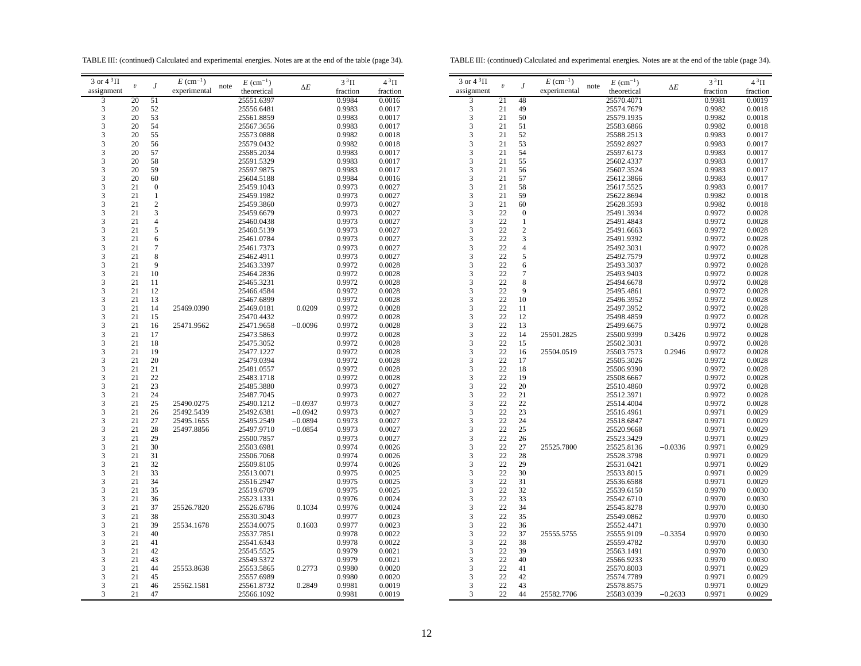TABLE III: (continued) Calculated and experimental energies. Notes are at the end of the table (page 34).

TABLE III: (continued) Calculated and experimental energies. Notes are at the end of the table (page 34).

| 3 or $4^3\Pi$                                   |                  |                  | $E~(\text{cm}^{-1})$ |      | $E~(\text{cm}^{-1})$ |            | $3^3\Pi$ | $4^3\Pi$ |
|-------------------------------------------------|------------------|------------------|----------------------|------|----------------------|------------|----------|----------|
| assignment                                      | $\boldsymbol{v}$ | $\boldsymbol{J}$ | experimental         | note | theoretical          | $\Delta E$ | fraction | fraction |
| 3                                               | 20               | 51               |                      |      | 25551.6397           |            | 0.9984   | 0.0016   |
| $\frac{3}{3}$                                   | 20               | 52               |                      |      | 25556.6481           |            | 0.9983   | 0.0017   |
|                                                 | 20               | 53               |                      |      | 25561.8859           |            | 0.9983   | 0.0017   |
| $\overline{3}$                                  | 20               | 54               |                      |      | 25567.3656           |            | 0.9983   | 0.0017   |
| 3                                               | 20               | 55               |                      |      | 25573.0888           |            | 0.9982   | 0.0018   |
|                                                 | 20               | 56               |                      |      | 25579.0432           |            | 0.9982   | 0.0018   |
| $\frac{3}{3}$                                   | 20               | 57               |                      |      | 25585.2034           |            | 0.9983   | 0.0017   |
| 3                                               | 20               | 58               |                      |      | 25591.5329           |            | 0.9983   | 0.0017   |
|                                                 | 20               | 59               |                      |      | 25597.9875           |            | 0.9983   | 0.0017   |
|                                                 | 20               | 60               |                      |      | 25604.5188           |            | 0.9984   | 0.0016   |
| $\begin{array}{c} 3 \\ 3 \\ 3 \\ 3 \end{array}$ | 21               | $\mathbf{0}$     |                      |      | 25459.1043           |            | 0.9973   | 0.0027   |
|                                                 | 21               | 1                |                      |      | 25459.1982           |            | 0.9973   | 0.0027   |
|                                                 | 21               | $\overline{c}$   |                      |      | 25459.3860           |            | 0.9973   | 0.0027   |
| $\begin{array}{c} 3 \\ 3 \\ 3 \\ 3 \end{array}$ | 21               | 3                |                      |      | 25459.6679           |            | 0.9973   | 0.0027   |
|                                                 | 21               | $\overline{4}$   |                      |      | 25460.0438           |            | 0.9973   | 0.0027   |
|                                                 | 21               | 5                |                      |      | 25460.5139           |            | 0.9973   | 0.0027   |
| $\overline{\mathbf{3}}$                         | 21               | 6                |                      |      | 25461.0784           |            | 0.9973   | 0.0027   |
|                                                 |                  | $\boldsymbol{7}$ |                      |      |                      |            |          |          |
| $\begin{array}{c} 3 \\ 3 \\ 3 \\ 3 \end{array}$ | 21               | 8                |                      |      | 25461.7373           |            | 0.9973   | 0.0027   |
|                                                 | 21               |                  |                      |      | 25462.4911           |            | 0.9973   | 0.0027   |
|                                                 | 21               | 9                |                      |      | 25463.3397           |            | 0.9972   | 0.0028   |
|                                                 | 21               | 10               |                      |      | 25464.2836           |            | 0.9972   | 0.0028   |
| 33333                                           | 21               | 11               |                      |      | 25465.3231           |            | 0.9972   | 0.0028   |
|                                                 | 21               | 12               |                      |      | 25466.4584           |            | 0.9972   | 0.0028   |
|                                                 | 21               | 13               |                      |      | 25467.6899           |            | 0.9972   | 0.0028   |
|                                                 | 21               | 14               | 25469.0390           |      | 25469.0181           | 0.0209     | 0.9972   | 0.0028   |
|                                                 | 21               | 15               |                      |      | 25470.4432           |            | 0.9972   | 0.0028   |
|                                                 | 21               | 16               | 25471.9562           |      | 25471.9658           | $-0.0096$  | 0.9972   | 0.0028   |
| $\frac{3}{3}$                                   | 21               | 17               |                      |      | 25473.5863           |            | 0.9972   | 0.0028   |
|                                                 | 21               | 18               |                      |      | 25475.3052           |            | 0.9972   | 0.0028   |
| 3                                               | 21               | 19               |                      |      | 25477.1227           |            | 0.9972   | 0.0028   |
| 33333                                           | 21               | 20               |                      |      | 25479.0394           |            | 0.9972   | 0.0028   |
|                                                 | 21               | 21               |                      |      | 25481.0557           |            | 0.9972   | 0.0028   |
|                                                 | 21               | 22               |                      |      | 25483.1718           |            | 0.9972   | 0.0028   |
|                                                 | 21               | 23               |                      |      | 25485.3880           |            | 0.9973   | 0.0027   |
|                                                 | 21               | 24               |                      |      | 25487.7045           |            | 0.9973   | 0.0027   |
|                                                 | 21               | 25               | 25490.0275           |      | 25490.1212           | $-0.0937$  | 0.9973   | 0.0027   |
|                                                 | 21               | 26               | 25492.5439           |      | 25492.6381           | $-0.0942$  | 0.9973   | 0.0027   |
| $\frac{3}{3}$                                   | 21               | 27               | 25495.1655           |      | 25495.2549           | $-0.0894$  | 0.9973   | 0.0027   |
| 3                                               | 21               | 28               | 25497.8856           |      | 25497.9710           | $-0.0854$  | 0.9973   | 0.0027   |
| 3                                               | 21               | 29               |                      |      | 25500.7857           |            | 0.9973   | 0.0027   |
|                                                 | 21               | 30               |                      |      | 25503.6981           |            | 0.9974   | 0.0026   |
| $\begin{array}{c} 3 \\ 3 \\ 3 \end{array}$      | 21               | 31               |                      |      | 25506.7068           |            | 0.9974   | 0.0026   |
|                                                 | 21               | 32               |                      |      | 25509.8105           |            | 0.9974   | 0.0026   |
|                                                 | 21               | 33               |                      |      | 25513.0071           |            | 0.9975   | 0.0025   |
| $\begin{array}{c} 3 \\ 3 \\ 3 \\ 3 \end{array}$ | 21               | 34               |                      |      | 25516.2947           |            | 0.9975   | 0.0025   |
|                                                 | 21               | 35               |                      |      | 25519.6709           |            | 0.9975   | 0.0025   |
|                                                 | 21               | 36               |                      |      | 25523.1331           |            | 0.9976   | 0.0024   |
|                                                 | 21               | 37               | 25526.7820           |      | 25526.6786           | 0.1034     | 0.9976   | 0.0024   |
| $\frac{3}{3}$                                   | 21               | 38               |                      |      | 25530.3043           |            | 0.9977   | 0.0023   |
|                                                 | 21               | 39               | 25534.1678           |      | 25534.0075           | 0.1603     | 0.9977   | 0.0023   |
| $\frac{3}{3}$                                   | 21               | 40               |                      |      | 25537.7851           |            | 0.9978   | 0.0022   |
| 3                                               |                  |                  |                      |      |                      |            |          |          |
|                                                 | 21               | 41               |                      |      | 25541.6343           |            | 0.9978   | 0.0022   |
| $\frac{3}{3}$                                   | 21               | 42               |                      |      | 25545.5525           |            | 0.9979   | 0.0021   |
|                                                 | 21               | 43               |                      |      | 25549.5372           |            | 0.9979   | 0.0021   |
| $\frac{3}{3}$                                   | 21               | 44               | 25553.8638           |      | 25553.5865           | 0.2773     | 0.9980   | 0.0020   |
|                                                 | 21               | 45               |                      |      | 25557.6989           |            | 0.9980   | 0.0020   |
| 3                                               | 21               | 46               | 25562.1581           |      | 25561.8732           | 0.2849     | 0.9981   | 0.0019   |
| 3                                               | 21               | 47               |                      |      | 25566.1092           |            | 0.9981   | 0.0019   |

| 3 or $4^3\Pi$           | $\boldsymbol{\mathit{v}}$ | J                | $E~(\text{cm}^{-1})$ | note | $E~(\text{cm}^{-1})$     | $\Delta E$ | $3^3\Pi$         | $4^3\Pi$         |
|-------------------------|---------------------------|------------------|----------------------|------|--------------------------|------------|------------------|------------------|
| assignment              |                           |                  | experimental         |      | theoretical              |            | fraction         | fraction         |
| $\overline{3}$          | 21                        | 48               |                      |      | 25570.4071               |            | 0.9981           | 0.0019           |
| 3                       | 21                        | 49               |                      |      | 25574.7679               |            | 0.9982           | 0.0018           |
| 3                       | 21                        | 50               |                      |      | 25579.1935               |            | 0.9982           | 0.0018           |
| 3                       | 21                        | 51               |                      |      | 25583.6866               |            | 0.9982           | 0.0018           |
| 3                       | 21                        | 52               |                      |      | 25588.2513               |            | 0.9983           | 0.0017           |
| 3                       | 21                        | 53               |                      |      | 25592.8927               |            | 0.9983           | 0.0017           |
| 3                       | 21                        | 54               |                      |      | 25597.6173               |            | 0.9983           | 0.0017           |
| 3                       | 21                        | 55               |                      |      | 25602.4337               |            | 0.9983           | 0.0017           |
| 3                       | 21                        | 56               |                      |      | 25607.3524               |            | 0.9983           | 0.0017           |
| 3                       | 21                        | 57               |                      |      | 25612.3866               |            | 0.9983           | 0.0017           |
| 3                       | 21                        | 58               |                      |      | 25617.5525               |            | 0.9983           | 0.0017           |
| 3                       | 21                        | 59               |                      |      | 25622.8694               |            | 0.9982           | 0.0018           |
| 3                       | 21                        | 60               |                      |      | 25628.3593               |            | 0.9982           | 0.0018           |
| 3                       | 22                        | $\boldsymbol{0}$ |                      |      | 25491.3934               |            | 0.9972           | 0.0028           |
| 3                       | 22                        | $\mathbf{1}$     |                      |      | 25491.4843               |            | 0.9972           | 0.0028           |
| 3                       | 22                        | $\overline{c}$   |                      |      | 25491.6663               |            | 0.9972           | 0.0028           |
| $\overline{\mathbf{3}}$ | 22                        | 3                |                      |      | 25491.9392               |            | 0.9972           | 0.0028           |
| 3                       | 22                        | $\overline{4}$   |                      |      | 25492.3031               |            | 0.9972           | 0.0028           |
| 3                       | 22                        | 5                |                      |      | 25492.7579               |            | 0.9972           | 0.0028           |
| 3                       | 22                        | 6                |                      |      | 25493.3037               |            | 0.9972           | 0.0028           |
| 3                       | 22                        | $\overline{7}$   |                      |      | 25493.9403               |            | 0.9972           | 0.0028           |
| 3                       | 22                        | 8                |                      |      | 25494.6678               |            | 0.9972           | 0.0028           |
| 3                       | 22                        | 9                |                      |      | 25495.4861               |            | 0.9972           | 0.0028           |
| $\frac{1}{3}$           | 22                        | 10               |                      |      | 25496.3952               |            | 0.9972           | 0.0028           |
| 3                       | 22                        |                  |                      |      |                          |            |                  |                  |
| 3                       | 22                        | 11<br>12         |                      |      | 25497.3952<br>25498.4859 |            | 0.9972<br>0.9972 | 0.0028<br>0.0028 |
| 3                       | 22                        | 13               |                      |      |                          |            |                  |                  |
|                         |                           | 14               |                      |      | 25499.6675               |            | 0.9972           | 0.0028           |
| 3                       | 22                        |                  | 25501.2825           |      | 25500.9399               | 0.3426     | 0.9972           | 0.0028           |
| 3                       | 22<br>22                  | 15               |                      |      | 25502.3031               |            | 0.9972           | 0.0028           |
| 3                       | 22                        | 16               | 25504.0519           |      | 25503.7573               | 0.2946     | 0.9972           | 0.0028           |
| 3<br>3                  | 22                        | 17               |                      |      | 25505.3026               |            | 0.9972           | 0.0028           |
|                         |                           | 18               |                      |      | 25506.9390               |            | 0.9972           | 0.0028           |
| 3                       | 22                        | 19               |                      |      | 25508.6667               |            | 0.9972           | 0.0028           |
| 3                       | 22                        | 20               |                      |      | 25510.4860               |            | 0.9972           | 0.0028           |
| 3                       | 22                        | 21               |                      |      | 25512.3971               |            | 0.9972           | 0.0028           |
| 3                       | 22                        | 22               |                      |      | 25514.4004               |            | 0.9972           | 0.0028           |
| 3                       | 22                        | 23               |                      |      | 25516.4961               |            | 0.9971           | 0.0029           |
| 3                       | 22                        | 24               |                      |      | 25518.6847               |            | 0.9971           | 0.0029           |
| 3                       | 22                        | 25               |                      |      | 25520.9668               |            | 0.9971           | 0.0029           |
| 3                       | 22                        | 26               |                      |      | 25523.3429               |            | 0.9971           | 0.0029           |
| 3                       | 22                        | 27               | 25525.7800           |      | 25525.8136               | $-0.0336$  | 0.9971           | 0.0029           |
| 3                       | 22                        | 28               |                      |      | 25528.3798               |            | 0.9971           | 0.0029           |
| 3                       | 22                        | 29               |                      |      | 25531.0421               |            | 0.9971           | 0.0029           |
| 3                       | 22                        | 30               |                      |      | 25533.8015               |            | 0.9971           | 0.0029           |
| 3                       | 22                        | 31               |                      |      | 25536.6588               |            | 0.9971           | 0.0029           |
| 3                       | 22                        | 32               |                      |      | 25539.6150               |            | 0.9970           | 0.0030           |
| 3                       | 22                        | 33               |                      |      | 25542.6710               |            | 0.9970           | 0.0030           |
| 3                       | 22                        | 34               |                      |      | 25545.8278               |            | 0.9970           | 0.0030           |
| 3                       | 22                        | 35               |                      |      | 25549.0862               |            | 0.9970           | 0.0030           |
| $\overline{\mathbf{3}}$ | 22                        | 36               |                      |      | 25552.4471               |            | 0.9970           | 0.0030           |
| 3                       | 22                        | 37               | 25555.5755           |      | 25555.9109               | $-0.3354$  | 0.9970           | 0.0030           |
| 3                       | 22                        | 38               |                      |      | 25559.4782               |            | 0.9970           | 0.0030           |
| 3                       | 22                        | 39               |                      |      | 25563.1491               |            | 0.9970           | 0.0030           |
| 3                       | 22                        | 40               |                      |      | 25566.9233               |            | 0.9970           | 0.0030           |
| 3                       | 22                        | 41               |                      |      | 25570.8003               |            | 0.9971           | 0.0029           |
| 3                       | 22                        | 42               |                      |      | 25574.7789               |            | 0.9971           | 0.0029           |
| 3                       | 22                        | 43               |                      |      | 25578.8575               |            | 0.9971           | 0.0029           |
| 3                       | 22                        | 44               | 25582.7706           |      | 25583.0339               | $-0.2633$  | 0.9971           | 0.0029           |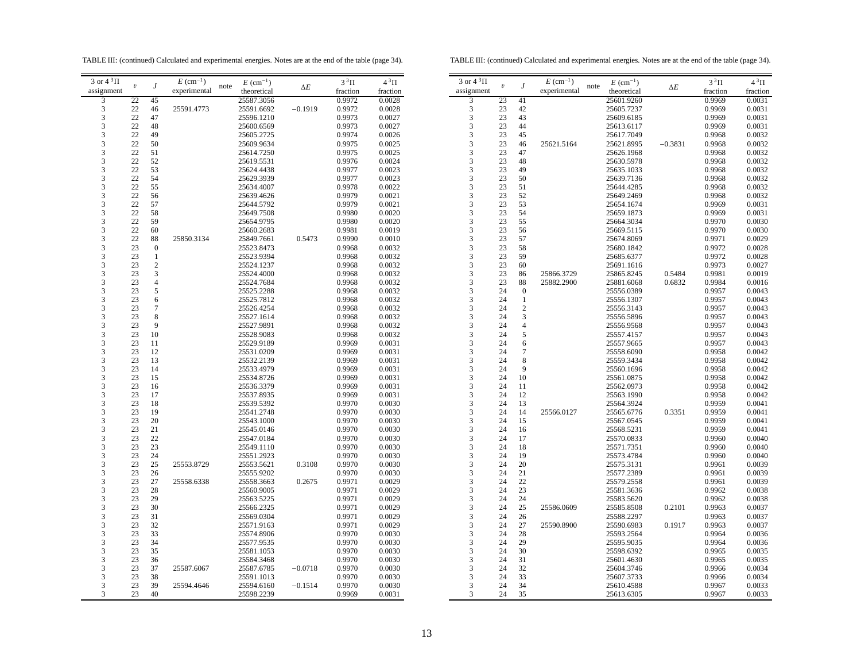TABLE III: (continued) Calculated and experimental energies. Notes are at the end of the table (page 34).

TABLE III: (continued) Calculated and experimental energies. Notes are at the end of the table (page 34).

| experimental<br>assignment<br>theoretical<br>fraction<br>fraction<br>0.9972<br>3<br>22<br>45<br>25587.3056<br>0.0028<br>$\frac{3}{3}$<br>22<br>25591.4773<br>25591.6692<br>$-0.1919$<br>0.9972<br>0.0028<br>46<br>22<br>47<br>25596.1210<br>0.9973<br>0.0027<br>22<br>48<br>0.0027<br>25600.6569<br>0.9973<br>$\begin{array}{c} 3 \\ 3 \\ 3 \\ 3 \end{array}$<br>22<br>49<br>25605.2725<br>0.9974<br>0.0026<br>22<br>50<br>25609.9634<br>0.9975<br>0.0025<br>22<br>51<br>25614.7250<br>0.9975<br>0.0025<br>22<br>52<br>0.0024<br>25619.5531<br>0.9976<br>$\begin{array}{c} 3 \\ 3 \\ 3 \\ 3 \end{array}$<br>22<br>53<br>0.0023<br>25624.4438<br>0.9977<br>22<br>54<br>25629.3939<br>0.9977<br>0.0023<br>22<br>55<br>25634.4007<br>0.0022<br>0.9978<br>22<br>56<br>0.9979<br>0.0021<br>25639.4626<br>22<br>57<br>25644.5792<br>0.9979<br>0.0021<br>22<br>58<br>25649.7508<br>0.9980<br>0.0020<br>22<br>59<br>25654.9795<br>0.9980<br>0.0020<br>22<br>60<br>25660.2683<br>0.9981<br>0.0019<br>22<br>0.0010<br>88<br>25850.3134<br>25849.7661<br>0.5473<br>0.9990<br>23<br>$\boldsymbol{0}$<br>25523.8473<br>0.9968<br>0.0032<br>23<br>1<br>25523.9394<br>0.9968<br>0.0032<br>23<br>$\overline{c}$<br>25524.1237<br>0.0032<br>0.9968<br>3<br>23<br>0.0032<br>25524.4000<br>0.9968<br>$\overline{4}$<br>23<br>0.0032<br>25524.7684<br>0.9968<br>23<br>5<br>25525.2288<br>0.9968<br>0.0032<br>23<br>6<br>0.0032<br>25525.7812<br>0.9968<br>$\overline{7}$<br>23<br>25526.4254<br>0.9968<br>0.0032<br>23<br>8<br>25527.1614<br>0.9968<br>0.0032<br>9<br>23<br>0.0032<br>25527.9891<br>0.9968<br>23<br>10<br>25528.9083<br>0.9968<br>0.0032<br>23<br>11<br>25529.9189<br>0.0031<br>0.9969<br>23<br>12<br>25531.0209<br>0.9969<br>0.0031<br>$\frac{3}{3}$<br>23<br>13<br>25532.2139<br>0.0031<br>0.9969<br>23<br>14<br>25533.4979<br>0.0031<br>0.9969<br>$\frac{3}{3}$<br>23<br>15<br>25534.8726<br>0.9969<br>0.0031<br>23<br>16<br>25536.3379<br>0.9969<br>0.0031<br>$\begin{array}{c} 3 \\ 3 \\ 3 \\ 3 \end{array}$<br>23<br>17<br>0.0031<br>25537.8935<br>0.9969<br>23<br>18<br>25539.5392<br>0.9970<br>0.0030<br>23<br>19<br>25541.2748<br>0.0030<br>0.9970<br>23<br>20<br>25543.1000<br>0.9970<br>0.0030<br>23<br>21<br>0.0030<br>25545.0146<br>0.9970<br>$\begin{array}{c} 3 \\ 3 \\ 3 \end{array}$<br>23<br>22<br>25547.0184<br>0.9970<br>0.0030<br>23<br>23<br>25549.1110<br>0.9970<br>0.0030<br>23<br>24<br>25551.2923<br>0.9970<br>0.0030<br>23<br>25<br>25553.8729<br>25553.5621<br>0.3108<br>0.0030<br>0.9970<br>$\begin{array}{c} 3 \\ 3 \\ 3 \end{array}$<br>23<br>25555.9202<br>26<br>0.9970<br>0.0030<br>23<br>27<br>25558.6338<br>25558.3663<br>0.2675<br>0.9971<br>0.0029<br>23<br>28<br>25560.9005<br>0.0029<br>0.9971<br>23<br>29<br>25563.5225<br>0.9971<br>0.0029<br>$\begin{array}{c} 3 \\ 3 \\ 3 \\ 3 \end{array}$<br>23<br>30<br>25566.2325<br>0.9971<br>0.0029<br>23<br>31<br>25569.0304<br>0.9971<br>0.0029<br>23<br>32<br>25571.9163<br>0.9971<br>0.0029<br>23<br>33<br>25574.8906<br>0.9970<br>0.0030<br>23<br>34<br>25577.9535<br>0.9970<br>0.0030<br>$\begin{array}{c} 3 \\ 3 \\ 3 \\ 3 \end{array}$<br>23<br>35<br>25581.1053<br>0.9970<br>0.0030<br>23<br>36<br>25584.3468<br>0.9970<br>0.0030<br>23<br>37<br>25587.6067<br>25587.6785<br>$-0.0718$<br>0.0030<br>0.9970<br>23<br>38<br>25591.1013<br>0.9970<br>0.0030<br>3<br>23<br>39<br>0.0030<br>25594.4646<br>25594.6160<br>$-0.1514$<br>0.9970<br>3<br>23<br>40<br>25598.2239<br>0.9969<br>0.0031 | 3 or $4^3\Pi$ |                         |                  | $E\ (\rm cm^{-1})$ |      | $E~(\text{cm}^{-1})$ |            | $3^3\Pi$ | $4^3\Pi$ |
|---------------------------------------------------------------------------------------------------------------------------------------------------------------------------------------------------------------------------------------------------------------------------------------------------------------------------------------------------------------------------------------------------------------------------------------------------------------------------------------------------------------------------------------------------------------------------------------------------------------------------------------------------------------------------------------------------------------------------------------------------------------------------------------------------------------------------------------------------------------------------------------------------------------------------------------------------------------------------------------------------------------------------------------------------------------------------------------------------------------------------------------------------------------------------------------------------------------------------------------------------------------------------------------------------------------------------------------------------------------------------------------------------------------------------------------------------------------------------------------------------------------------------------------------------------------------------------------------------------------------------------------------------------------------------------------------------------------------------------------------------------------------------------------------------------------------------------------------------------------------------------------------------------------------------------------------------------------------------------------------------------------------------------------------------------------------------------------------------------------------------------------------------------------------------------------------------------------------------------------------------------------------------------------------------------------------------------------------------------------------------------------------------------------------------------------------------------------------------------------------------------------------------------------------------------------------------------------------------------------------------------------------------------------------------------------------------------------------------------------------------------------------------------------------------------------------------------------------------------------------------------------------------------------------------------------------------------------------------------------------------------------------------------------------------------------------------------------------------------------------------------------------------------------------------------------------------------------------------------------------------------------------------------------------------------------------------------------------------------------------------------------------------------------------------------------------------------------------------------|---------------|-------------------------|------------------|--------------------|------|----------------------|------------|----------|----------|
|                                                                                                                                                                                                                                                                                                                                                                                                                                                                                                                                                                                                                                                                                                                                                                                                                                                                                                                                                                                                                                                                                                                                                                                                                                                                                                                                                                                                                                                                                                                                                                                                                                                                                                                                                                                                                                                                                                                                                                                                                                                                                                                                                                                                                                                                                                                                                                                                                                                                                                                                                                                                                                                                                                                                                                                                                                                                                                                                                                                                                                                                                                                                                                                                                                                                                                                                                                                                                                                                                 |               | $\boldsymbol{\upsilon}$ | $\boldsymbol{J}$ |                    | note |                      | $\Delta E$ |          |          |
|                                                                                                                                                                                                                                                                                                                                                                                                                                                                                                                                                                                                                                                                                                                                                                                                                                                                                                                                                                                                                                                                                                                                                                                                                                                                                                                                                                                                                                                                                                                                                                                                                                                                                                                                                                                                                                                                                                                                                                                                                                                                                                                                                                                                                                                                                                                                                                                                                                                                                                                                                                                                                                                                                                                                                                                                                                                                                                                                                                                                                                                                                                                                                                                                                                                                                                                                                                                                                                                                                 |               |                         |                  |                    |      |                      |            |          |          |
|                                                                                                                                                                                                                                                                                                                                                                                                                                                                                                                                                                                                                                                                                                                                                                                                                                                                                                                                                                                                                                                                                                                                                                                                                                                                                                                                                                                                                                                                                                                                                                                                                                                                                                                                                                                                                                                                                                                                                                                                                                                                                                                                                                                                                                                                                                                                                                                                                                                                                                                                                                                                                                                                                                                                                                                                                                                                                                                                                                                                                                                                                                                                                                                                                                                                                                                                                                                                                                                                                 |               |                         |                  |                    |      |                      |            |          |          |
|                                                                                                                                                                                                                                                                                                                                                                                                                                                                                                                                                                                                                                                                                                                                                                                                                                                                                                                                                                                                                                                                                                                                                                                                                                                                                                                                                                                                                                                                                                                                                                                                                                                                                                                                                                                                                                                                                                                                                                                                                                                                                                                                                                                                                                                                                                                                                                                                                                                                                                                                                                                                                                                                                                                                                                                                                                                                                                                                                                                                                                                                                                                                                                                                                                                                                                                                                                                                                                                                                 |               |                         |                  |                    |      |                      |            |          |          |
|                                                                                                                                                                                                                                                                                                                                                                                                                                                                                                                                                                                                                                                                                                                                                                                                                                                                                                                                                                                                                                                                                                                                                                                                                                                                                                                                                                                                                                                                                                                                                                                                                                                                                                                                                                                                                                                                                                                                                                                                                                                                                                                                                                                                                                                                                                                                                                                                                                                                                                                                                                                                                                                                                                                                                                                                                                                                                                                                                                                                                                                                                                                                                                                                                                                                                                                                                                                                                                                                                 |               |                         |                  |                    |      |                      |            |          |          |
|                                                                                                                                                                                                                                                                                                                                                                                                                                                                                                                                                                                                                                                                                                                                                                                                                                                                                                                                                                                                                                                                                                                                                                                                                                                                                                                                                                                                                                                                                                                                                                                                                                                                                                                                                                                                                                                                                                                                                                                                                                                                                                                                                                                                                                                                                                                                                                                                                                                                                                                                                                                                                                                                                                                                                                                                                                                                                                                                                                                                                                                                                                                                                                                                                                                                                                                                                                                                                                                                                 |               |                         |                  |                    |      |                      |            |          |          |
|                                                                                                                                                                                                                                                                                                                                                                                                                                                                                                                                                                                                                                                                                                                                                                                                                                                                                                                                                                                                                                                                                                                                                                                                                                                                                                                                                                                                                                                                                                                                                                                                                                                                                                                                                                                                                                                                                                                                                                                                                                                                                                                                                                                                                                                                                                                                                                                                                                                                                                                                                                                                                                                                                                                                                                                                                                                                                                                                                                                                                                                                                                                                                                                                                                                                                                                                                                                                                                                                                 |               |                         |                  |                    |      |                      |            |          |          |
|                                                                                                                                                                                                                                                                                                                                                                                                                                                                                                                                                                                                                                                                                                                                                                                                                                                                                                                                                                                                                                                                                                                                                                                                                                                                                                                                                                                                                                                                                                                                                                                                                                                                                                                                                                                                                                                                                                                                                                                                                                                                                                                                                                                                                                                                                                                                                                                                                                                                                                                                                                                                                                                                                                                                                                                                                                                                                                                                                                                                                                                                                                                                                                                                                                                                                                                                                                                                                                                                                 |               |                         |                  |                    |      |                      |            |          |          |
|                                                                                                                                                                                                                                                                                                                                                                                                                                                                                                                                                                                                                                                                                                                                                                                                                                                                                                                                                                                                                                                                                                                                                                                                                                                                                                                                                                                                                                                                                                                                                                                                                                                                                                                                                                                                                                                                                                                                                                                                                                                                                                                                                                                                                                                                                                                                                                                                                                                                                                                                                                                                                                                                                                                                                                                                                                                                                                                                                                                                                                                                                                                                                                                                                                                                                                                                                                                                                                                                                 |               |                         |                  |                    |      |                      |            |          |          |
|                                                                                                                                                                                                                                                                                                                                                                                                                                                                                                                                                                                                                                                                                                                                                                                                                                                                                                                                                                                                                                                                                                                                                                                                                                                                                                                                                                                                                                                                                                                                                                                                                                                                                                                                                                                                                                                                                                                                                                                                                                                                                                                                                                                                                                                                                                                                                                                                                                                                                                                                                                                                                                                                                                                                                                                                                                                                                                                                                                                                                                                                                                                                                                                                                                                                                                                                                                                                                                                                                 |               |                         |                  |                    |      |                      |            |          |          |
|                                                                                                                                                                                                                                                                                                                                                                                                                                                                                                                                                                                                                                                                                                                                                                                                                                                                                                                                                                                                                                                                                                                                                                                                                                                                                                                                                                                                                                                                                                                                                                                                                                                                                                                                                                                                                                                                                                                                                                                                                                                                                                                                                                                                                                                                                                                                                                                                                                                                                                                                                                                                                                                                                                                                                                                                                                                                                                                                                                                                                                                                                                                                                                                                                                                                                                                                                                                                                                                                                 |               |                         |                  |                    |      |                      |            |          |          |
|                                                                                                                                                                                                                                                                                                                                                                                                                                                                                                                                                                                                                                                                                                                                                                                                                                                                                                                                                                                                                                                                                                                                                                                                                                                                                                                                                                                                                                                                                                                                                                                                                                                                                                                                                                                                                                                                                                                                                                                                                                                                                                                                                                                                                                                                                                                                                                                                                                                                                                                                                                                                                                                                                                                                                                                                                                                                                                                                                                                                                                                                                                                                                                                                                                                                                                                                                                                                                                                                                 |               |                         |                  |                    |      |                      |            |          |          |
|                                                                                                                                                                                                                                                                                                                                                                                                                                                                                                                                                                                                                                                                                                                                                                                                                                                                                                                                                                                                                                                                                                                                                                                                                                                                                                                                                                                                                                                                                                                                                                                                                                                                                                                                                                                                                                                                                                                                                                                                                                                                                                                                                                                                                                                                                                                                                                                                                                                                                                                                                                                                                                                                                                                                                                                                                                                                                                                                                                                                                                                                                                                                                                                                                                                                                                                                                                                                                                                                                 |               |                         |                  |                    |      |                      |            |          |          |
|                                                                                                                                                                                                                                                                                                                                                                                                                                                                                                                                                                                                                                                                                                                                                                                                                                                                                                                                                                                                                                                                                                                                                                                                                                                                                                                                                                                                                                                                                                                                                                                                                                                                                                                                                                                                                                                                                                                                                                                                                                                                                                                                                                                                                                                                                                                                                                                                                                                                                                                                                                                                                                                                                                                                                                                                                                                                                                                                                                                                                                                                                                                                                                                                                                                                                                                                                                                                                                                                                 |               |                         |                  |                    |      |                      |            |          |          |
|                                                                                                                                                                                                                                                                                                                                                                                                                                                                                                                                                                                                                                                                                                                                                                                                                                                                                                                                                                                                                                                                                                                                                                                                                                                                                                                                                                                                                                                                                                                                                                                                                                                                                                                                                                                                                                                                                                                                                                                                                                                                                                                                                                                                                                                                                                                                                                                                                                                                                                                                                                                                                                                                                                                                                                                                                                                                                                                                                                                                                                                                                                                                                                                                                                                                                                                                                                                                                                                                                 |               |                         |                  |                    |      |                      |            |          |          |
|                                                                                                                                                                                                                                                                                                                                                                                                                                                                                                                                                                                                                                                                                                                                                                                                                                                                                                                                                                                                                                                                                                                                                                                                                                                                                                                                                                                                                                                                                                                                                                                                                                                                                                                                                                                                                                                                                                                                                                                                                                                                                                                                                                                                                                                                                                                                                                                                                                                                                                                                                                                                                                                                                                                                                                                                                                                                                                                                                                                                                                                                                                                                                                                                                                                                                                                                                                                                                                                                                 |               |                         |                  |                    |      |                      |            |          |          |
|                                                                                                                                                                                                                                                                                                                                                                                                                                                                                                                                                                                                                                                                                                                                                                                                                                                                                                                                                                                                                                                                                                                                                                                                                                                                                                                                                                                                                                                                                                                                                                                                                                                                                                                                                                                                                                                                                                                                                                                                                                                                                                                                                                                                                                                                                                                                                                                                                                                                                                                                                                                                                                                                                                                                                                                                                                                                                                                                                                                                                                                                                                                                                                                                                                                                                                                                                                                                                                                                                 |               |                         |                  |                    |      |                      |            |          |          |
|                                                                                                                                                                                                                                                                                                                                                                                                                                                                                                                                                                                                                                                                                                                                                                                                                                                                                                                                                                                                                                                                                                                                                                                                                                                                                                                                                                                                                                                                                                                                                                                                                                                                                                                                                                                                                                                                                                                                                                                                                                                                                                                                                                                                                                                                                                                                                                                                                                                                                                                                                                                                                                                                                                                                                                                                                                                                                                                                                                                                                                                                                                                                                                                                                                                                                                                                                                                                                                                                                 |               |                         |                  |                    |      |                      |            |          |          |
|                                                                                                                                                                                                                                                                                                                                                                                                                                                                                                                                                                                                                                                                                                                                                                                                                                                                                                                                                                                                                                                                                                                                                                                                                                                                                                                                                                                                                                                                                                                                                                                                                                                                                                                                                                                                                                                                                                                                                                                                                                                                                                                                                                                                                                                                                                                                                                                                                                                                                                                                                                                                                                                                                                                                                                                                                                                                                                                                                                                                                                                                                                                                                                                                                                                                                                                                                                                                                                                                                 |               |                         |                  |                    |      |                      |            |          |          |
|                                                                                                                                                                                                                                                                                                                                                                                                                                                                                                                                                                                                                                                                                                                                                                                                                                                                                                                                                                                                                                                                                                                                                                                                                                                                                                                                                                                                                                                                                                                                                                                                                                                                                                                                                                                                                                                                                                                                                                                                                                                                                                                                                                                                                                                                                                                                                                                                                                                                                                                                                                                                                                                                                                                                                                                                                                                                                                                                                                                                                                                                                                                                                                                                                                                                                                                                                                                                                                                                                 |               |                         |                  |                    |      |                      |            |          |          |
|                                                                                                                                                                                                                                                                                                                                                                                                                                                                                                                                                                                                                                                                                                                                                                                                                                                                                                                                                                                                                                                                                                                                                                                                                                                                                                                                                                                                                                                                                                                                                                                                                                                                                                                                                                                                                                                                                                                                                                                                                                                                                                                                                                                                                                                                                                                                                                                                                                                                                                                                                                                                                                                                                                                                                                                                                                                                                                                                                                                                                                                                                                                                                                                                                                                                                                                                                                                                                                                                                 |               |                         |                  |                    |      |                      |            |          |          |
|                                                                                                                                                                                                                                                                                                                                                                                                                                                                                                                                                                                                                                                                                                                                                                                                                                                                                                                                                                                                                                                                                                                                                                                                                                                                                                                                                                                                                                                                                                                                                                                                                                                                                                                                                                                                                                                                                                                                                                                                                                                                                                                                                                                                                                                                                                                                                                                                                                                                                                                                                                                                                                                                                                                                                                                                                                                                                                                                                                                                                                                                                                                                                                                                                                                                                                                                                                                                                                                                                 |               |                         |                  |                    |      |                      |            |          |          |
|                                                                                                                                                                                                                                                                                                                                                                                                                                                                                                                                                                                                                                                                                                                                                                                                                                                                                                                                                                                                                                                                                                                                                                                                                                                                                                                                                                                                                                                                                                                                                                                                                                                                                                                                                                                                                                                                                                                                                                                                                                                                                                                                                                                                                                                                                                                                                                                                                                                                                                                                                                                                                                                                                                                                                                                                                                                                                                                                                                                                                                                                                                                                                                                                                                                                                                                                                                                                                                                                                 |               |                         |                  |                    |      |                      |            |          |          |
|                                                                                                                                                                                                                                                                                                                                                                                                                                                                                                                                                                                                                                                                                                                                                                                                                                                                                                                                                                                                                                                                                                                                                                                                                                                                                                                                                                                                                                                                                                                                                                                                                                                                                                                                                                                                                                                                                                                                                                                                                                                                                                                                                                                                                                                                                                                                                                                                                                                                                                                                                                                                                                                                                                                                                                                                                                                                                                                                                                                                                                                                                                                                                                                                                                                                                                                                                                                                                                                                                 |               |                         |                  |                    |      |                      |            |          |          |
|                                                                                                                                                                                                                                                                                                                                                                                                                                                                                                                                                                                                                                                                                                                                                                                                                                                                                                                                                                                                                                                                                                                                                                                                                                                                                                                                                                                                                                                                                                                                                                                                                                                                                                                                                                                                                                                                                                                                                                                                                                                                                                                                                                                                                                                                                                                                                                                                                                                                                                                                                                                                                                                                                                                                                                                                                                                                                                                                                                                                                                                                                                                                                                                                                                                                                                                                                                                                                                                                                 |               |                         |                  |                    |      |                      |            |          |          |
|                                                                                                                                                                                                                                                                                                                                                                                                                                                                                                                                                                                                                                                                                                                                                                                                                                                                                                                                                                                                                                                                                                                                                                                                                                                                                                                                                                                                                                                                                                                                                                                                                                                                                                                                                                                                                                                                                                                                                                                                                                                                                                                                                                                                                                                                                                                                                                                                                                                                                                                                                                                                                                                                                                                                                                                                                                                                                                                                                                                                                                                                                                                                                                                                                                                                                                                                                                                                                                                                                 |               |                         |                  |                    |      |                      |            |          |          |
|                                                                                                                                                                                                                                                                                                                                                                                                                                                                                                                                                                                                                                                                                                                                                                                                                                                                                                                                                                                                                                                                                                                                                                                                                                                                                                                                                                                                                                                                                                                                                                                                                                                                                                                                                                                                                                                                                                                                                                                                                                                                                                                                                                                                                                                                                                                                                                                                                                                                                                                                                                                                                                                                                                                                                                                                                                                                                                                                                                                                                                                                                                                                                                                                                                                                                                                                                                                                                                                                                 |               |                         |                  |                    |      |                      |            |          |          |
|                                                                                                                                                                                                                                                                                                                                                                                                                                                                                                                                                                                                                                                                                                                                                                                                                                                                                                                                                                                                                                                                                                                                                                                                                                                                                                                                                                                                                                                                                                                                                                                                                                                                                                                                                                                                                                                                                                                                                                                                                                                                                                                                                                                                                                                                                                                                                                                                                                                                                                                                                                                                                                                                                                                                                                                                                                                                                                                                                                                                                                                                                                                                                                                                                                                                                                                                                                                                                                                                                 |               |                         |                  |                    |      |                      |            |          |          |
|                                                                                                                                                                                                                                                                                                                                                                                                                                                                                                                                                                                                                                                                                                                                                                                                                                                                                                                                                                                                                                                                                                                                                                                                                                                                                                                                                                                                                                                                                                                                                                                                                                                                                                                                                                                                                                                                                                                                                                                                                                                                                                                                                                                                                                                                                                                                                                                                                                                                                                                                                                                                                                                                                                                                                                                                                                                                                                                                                                                                                                                                                                                                                                                                                                                                                                                                                                                                                                                                                 |               |                         |                  |                    |      |                      |            |          |          |
|                                                                                                                                                                                                                                                                                                                                                                                                                                                                                                                                                                                                                                                                                                                                                                                                                                                                                                                                                                                                                                                                                                                                                                                                                                                                                                                                                                                                                                                                                                                                                                                                                                                                                                                                                                                                                                                                                                                                                                                                                                                                                                                                                                                                                                                                                                                                                                                                                                                                                                                                                                                                                                                                                                                                                                                                                                                                                                                                                                                                                                                                                                                                                                                                                                                                                                                                                                                                                                                                                 |               |                         |                  |                    |      |                      |            |          |          |
|                                                                                                                                                                                                                                                                                                                                                                                                                                                                                                                                                                                                                                                                                                                                                                                                                                                                                                                                                                                                                                                                                                                                                                                                                                                                                                                                                                                                                                                                                                                                                                                                                                                                                                                                                                                                                                                                                                                                                                                                                                                                                                                                                                                                                                                                                                                                                                                                                                                                                                                                                                                                                                                                                                                                                                                                                                                                                                                                                                                                                                                                                                                                                                                                                                                                                                                                                                                                                                                                                 |               |                         |                  |                    |      |                      |            |          |          |
|                                                                                                                                                                                                                                                                                                                                                                                                                                                                                                                                                                                                                                                                                                                                                                                                                                                                                                                                                                                                                                                                                                                                                                                                                                                                                                                                                                                                                                                                                                                                                                                                                                                                                                                                                                                                                                                                                                                                                                                                                                                                                                                                                                                                                                                                                                                                                                                                                                                                                                                                                                                                                                                                                                                                                                                                                                                                                                                                                                                                                                                                                                                                                                                                                                                                                                                                                                                                                                                                                 |               |                         |                  |                    |      |                      |            |          |          |
|                                                                                                                                                                                                                                                                                                                                                                                                                                                                                                                                                                                                                                                                                                                                                                                                                                                                                                                                                                                                                                                                                                                                                                                                                                                                                                                                                                                                                                                                                                                                                                                                                                                                                                                                                                                                                                                                                                                                                                                                                                                                                                                                                                                                                                                                                                                                                                                                                                                                                                                                                                                                                                                                                                                                                                                                                                                                                                                                                                                                                                                                                                                                                                                                                                                                                                                                                                                                                                                                                 |               |                         |                  |                    |      |                      |            |          |          |
|                                                                                                                                                                                                                                                                                                                                                                                                                                                                                                                                                                                                                                                                                                                                                                                                                                                                                                                                                                                                                                                                                                                                                                                                                                                                                                                                                                                                                                                                                                                                                                                                                                                                                                                                                                                                                                                                                                                                                                                                                                                                                                                                                                                                                                                                                                                                                                                                                                                                                                                                                                                                                                                                                                                                                                                                                                                                                                                                                                                                                                                                                                                                                                                                                                                                                                                                                                                                                                                                                 |               |                         |                  |                    |      |                      |            |          |          |
|                                                                                                                                                                                                                                                                                                                                                                                                                                                                                                                                                                                                                                                                                                                                                                                                                                                                                                                                                                                                                                                                                                                                                                                                                                                                                                                                                                                                                                                                                                                                                                                                                                                                                                                                                                                                                                                                                                                                                                                                                                                                                                                                                                                                                                                                                                                                                                                                                                                                                                                                                                                                                                                                                                                                                                                                                                                                                                                                                                                                                                                                                                                                                                                                                                                                                                                                                                                                                                                                                 |               |                         |                  |                    |      |                      |            |          |          |
|                                                                                                                                                                                                                                                                                                                                                                                                                                                                                                                                                                                                                                                                                                                                                                                                                                                                                                                                                                                                                                                                                                                                                                                                                                                                                                                                                                                                                                                                                                                                                                                                                                                                                                                                                                                                                                                                                                                                                                                                                                                                                                                                                                                                                                                                                                                                                                                                                                                                                                                                                                                                                                                                                                                                                                                                                                                                                                                                                                                                                                                                                                                                                                                                                                                                                                                                                                                                                                                                                 |               |                         |                  |                    |      |                      |            |          |          |
|                                                                                                                                                                                                                                                                                                                                                                                                                                                                                                                                                                                                                                                                                                                                                                                                                                                                                                                                                                                                                                                                                                                                                                                                                                                                                                                                                                                                                                                                                                                                                                                                                                                                                                                                                                                                                                                                                                                                                                                                                                                                                                                                                                                                                                                                                                                                                                                                                                                                                                                                                                                                                                                                                                                                                                                                                                                                                                                                                                                                                                                                                                                                                                                                                                                                                                                                                                                                                                                                                 |               |                         |                  |                    |      |                      |            |          |          |
|                                                                                                                                                                                                                                                                                                                                                                                                                                                                                                                                                                                                                                                                                                                                                                                                                                                                                                                                                                                                                                                                                                                                                                                                                                                                                                                                                                                                                                                                                                                                                                                                                                                                                                                                                                                                                                                                                                                                                                                                                                                                                                                                                                                                                                                                                                                                                                                                                                                                                                                                                                                                                                                                                                                                                                                                                                                                                                                                                                                                                                                                                                                                                                                                                                                                                                                                                                                                                                                                                 |               |                         |                  |                    |      |                      |            |          |          |
|                                                                                                                                                                                                                                                                                                                                                                                                                                                                                                                                                                                                                                                                                                                                                                                                                                                                                                                                                                                                                                                                                                                                                                                                                                                                                                                                                                                                                                                                                                                                                                                                                                                                                                                                                                                                                                                                                                                                                                                                                                                                                                                                                                                                                                                                                                                                                                                                                                                                                                                                                                                                                                                                                                                                                                                                                                                                                                                                                                                                                                                                                                                                                                                                                                                                                                                                                                                                                                                                                 |               |                         |                  |                    |      |                      |            |          |          |
|                                                                                                                                                                                                                                                                                                                                                                                                                                                                                                                                                                                                                                                                                                                                                                                                                                                                                                                                                                                                                                                                                                                                                                                                                                                                                                                                                                                                                                                                                                                                                                                                                                                                                                                                                                                                                                                                                                                                                                                                                                                                                                                                                                                                                                                                                                                                                                                                                                                                                                                                                                                                                                                                                                                                                                                                                                                                                                                                                                                                                                                                                                                                                                                                                                                                                                                                                                                                                                                                                 |               |                         |                  |                    |      |                      |            |          |          |
|                                                                                                                                                                                                                                                                                                                                                                                                                                                                                                                                                                                                                                                                                                                                                                                                                                                                                                                                                                                                                                                                                                                                                                                                                                                                                                                                                                                                                                                                                                                                                                                                                                                                                                                                                                                                                                                                                                                                                                                                                                                                                                                                                                                                                                                                                                                                                                                                                                                                                                                                                                                                                                                                                                                                                                                                                                                                                                                                                                                                                                                                                                                                                                                                                                                                                                                                                                                                                                                                                 |               |                         |                  |                    |      |                      |            |          |          |
|                                                                                                                                                                                                                                                                                                                                                                                                                                                                                                                                                                                                                                                                                                                                                                                                                                                                                                                                                                                                                                                                                                                                                                                                                                                                                                                                                                                                                                                                                                                                                                                                                                                                                                                                                                                                                                                                                                                                                                                                                                                                                                                                                                                                                                                                                                                                                                                                                                                                                                                                                                                                                                                                                                                                                                                                                                                                                                                                                                                                                                                                                                                                                                                                                                                                                                                                                                                                                                                                                 |               |                         |                  |                    |      |                      |            |          |          |
|                                                                                                                                                                                                                                                                                                                                                                                                                                                                                                                                                                                                                                                                                                                                                                                                                                                                                                                                                                                                                                                                                                                                                                                                                                                                                                                                                                                                                                                                                                                                                                                                                                                                                                                                                                                                                                                                                                                                                                                                                                                                                                                                                                                                                                                                                                                                                                                                                                                                                                                                                                                                                                                                                                                                                                                                                                                                                                                                                                                                                                                                                                                                                                                                                                                                                                                                                                                                                                                                                 |               |                         |                  |                    |      |                      |            |          |          |
|                                                                                                                                                                                                                                                                                                                                                                                                                                                                                                                                                                                                                                                                                                                                                                                                                                                                                                                                                                                                                                                                                                                                                                                                                                                                                                                                                                                                                                                                                                                                                                                                                                                                                                                                                                                                                                                                                                                                                                                                                                                                                                                                                                                                                                                                                                                                                                                                                                                                                                                                                                                                                                                                                                                                                                                                                                                                                                                                                                                                                                                                                                                                                                                                                                                                                                                                                                                                                                                                                 |               |                         |                  |                    |      |                      |            |          |          |
|                                                                                                                                                                                                                                                                                                                                                                                                                                                                                                                                                                                                                                                                                                                                                                                                                                                                                                                                                                                                                                                                                                                                                                                                                                                                                                                                                                                                                                                                                                                                                                                                                                                                                                                                                                                                                                                                                                                                                                                                                                                                                                                                                                                                                                                                                                                                                                                                                                                                                                                                                                                                                                                                                                                                                                                                                                                                                                                                                                                                                                                                                                                                                                                                                                                                                                                                                                                                                                                                                 |               |                         |                  |                    |      |                      |            |          |          |
|                                                                                                                                                                                                                                                                                                                                                                                                                                                                                                                                                                                                                                                                                                                                                                                                                                                                                                                                                                                                                                                                                                                                                                                                                                                                                                                                                                                                                                                                                                                                                                                                                                                                                                                                                                                                                                                                                                                                                                                                                                                                                                                                                                                                                                                                                                                                                                                                                                                                                                                                                                                                                                                                                                                                                                                                                                                                                                                                                                                                                                                                                                                                                                                                                                                                                                                                                                                                                                                                                 |               |                         |                  |                    |      |                      |            |          |          |
|                                                                                                                                                                                                                                                                                                                                                                                                                                                                                                                                                                                                                                                                                                                                                                                                                                                                                                                                                                                                                                                                                                                                                                                                                                                                                                                                                                                                                                                                                                                                                                                                                                                                                                                                                                                                                                                                                                                                                                                                                                                                                                                                                                                                                                                                                                                                                                                                                                                                                                                                                                                                                                                                                                                                                                                                                                                                                                                                                                                                                                                                                                                                                                                                                                                                                                                                                                                                                                                                                 |               |                         |                  |                    |      |                      |            |          |          |
|                                                                                                                                                                                                                                                                                                                                                                                                                                                                                                                                                                                                                                                                                                                                                                                                                                                                                                                                                                                                                                                                                                                                                                                                                                                                                                                                                                                                                                                                                                                                                                                                                                                                                                                                                                                                                                                                                                                                                                                                                                                                                                                                                                                                                                                                                                                                                                                                                                                                                                                                                                                                                                                                                                                                                                                                                                                                                                                                                                                                                                                                                                                                                                                                                                                                                                                                                                                                                                                                                 |               |                         |                  |                    |      |                      |            |          |          |
|                                                                                                                                                                                                                                                                                                                                                                                                                                                                                                                                                                                                                                                                                                                                                                                                                                                                                                                                                                                                                                                                                                                                                                                                                                                                                                                                                                                                                                                                                                                                                                                                                                                                                                                                                                                                                                                                                                                                                                                                                                                                                                                                                                                                                                                                                                                                                                                                                                                                                                                                                                                                                                                                                                                                                                                                                                                                                                                                                                                                                                                                                                                                                                                                                                                                                                                                                                                                                                                                                 |               |                         |                  |                    |      |                      |            |          |          |
|                                                                                                                                                                                                                                                                                                                                                                                                                                                                                                                                                                                                                                                                                                                                                                                                                                                                                                                                                                                                                                                                                                                                                                                                                                                                                                                                                                                                                                                                                                                                                                                                                                                                                                                                                                                                                                                                                                                                                                                                                                                                                                                                                                                                                                                                                                                                                                                                                                                                                                                                                                                                                                                                                                                                                                                                                                                                                                                                                                                                                                                                                                                                                                                                                                                                                                                                                                                                                                                                                 |               |                         |                  |                    |      |                      |            |          |          |
|                                                                                                                                                                                                                                                                                                                                                                                                                                                                                                                                                                                                                                                                                                                                                                                                                                                                                                                                                                                                                                                                                                                                                                                                                                                                                                                                                                                                                                                                                                                                                                                                                                                                                                                                                                                                                                                                                                                                                                                                                                                                                                                                                                                                                                                                                                                                                                                                                                                                                                                                                                                                                                                                                                                                                                                                                                                                                                                                                                                                                                                                                                                                                                                                                                                                                                                                                                                                                                                                                 |               |                         |                  |                    |      |                      |            |          |          |
|                                                                                                                                                                                                                                                                                                                                                                                                                                                                                                                                                                                                                                                                                                                                                                                                                                                                                                                                                                                                                                                                                                                                                                                                                                                                                                                                                                                                                                                                                                                                                                                                                                                                                                                                                                                                                                                                                                                                                                                                                                                                                                                                                                                                                                                                                                                                                                                                                                                                                                                                                                                                                                                                                                                                                                                                                                                                                                                                                                                                                                                                                                                                                                                                                                                                                                                                                                                                                                                                                 |               |                         |                  |                    |      |                      |            |          |          |
|                                                                                                                                                                                                                                                                                                                                                                                                                                                                                                                                                                                                                                                                                                                                                                                                                                                                                                                                                                                                                                                                                                                                                                                                                                                                                                                                                                                                                                                                                                                                                                                                                                                                                                                                                                                                                                                                                                                                                                                                                                                                                                                                                                                                                                                                                                                                                                                                                                                                                                                                                                                                                                                                                                                                                                                                                                                                                                                                                                                                                                                                                                                                                                                                                                                                                                                                                                                                                                                                                 |               |                         |                  |                    |      |                      |            |          |          |
|                                                                                                                                                                                                                                                                                                                                                                                                                                                                                                                                                                                                                                                                                                                                                                                                                                                                                                                                                                                                                                                                                                                                                                                                                                                                                                                                                                                                                                                                                                                                                                                                                                                                                                                                                                                                                                                                                                                                                                                                                                                                                                                                                                                                                                                                                                                                                                                                                                                                                                                                                                                                                                                                                                                                                                                                                                                                                                                                                                                                                                                                                                                                                                                                                                                                                                                                                                                                                                                                                 |               |                         |                  |                    |      |                      |            |          |          |
|                                                                                                                                                                                                                                                                                                                                                                                                                                                                                                                                                                                                                                                                                                                                                                                                                                                                                                                                                                                                                                                                                                                                                                                                                                                                                                                                                                                                                                                                                                                                                                                                                                                                                                                                                                                                                                                                                                                                                                                                                                                                                                                                                                                                                                                                                                                                                                                                                                                                                                                                                                                                                                                                                                                                                                                                                                                                                                                                                                                                                                                                                                                                                                                                                                                                                                                                                                                                                                                                                 |               |                         |                  |                    |      |                      |            |          |          |
|                                                                                                                                                                                                                                                                                                                                                                                                                                                                                                                                                                                                                                                                                                                                                                                                                                                                                                                                                                                                                                                                                                                                                                                                                                                                                                                                                                                                                                                                                                                                                                                                                                                                                                                                                                                                                                                                                                                                                                                                                                                                                                                                                                                                                                                                                                                                                                                                                                                                                                                                                                                                                                                                                                                                                                                                                                                                                                                                                                                                                                                                                                                                                                                                                                                                                                                                                                                                                                                                                 |               |                         |                  |                    |      |                      |            |          |          |
|                                                                                                                                                                                                                                                                                                                                                                                                                                                                                                                                                                                                                                                                                                                                                                                                                                                                                                                                                                                                                                                                                                                                                                                                                                                                                                                                                                                                                                                                                                                                                                                                                                                                                                                                                                                                                                                                                                                                                                                                                                                                                                                                                                                                                                                                                                                                                                                                                                                                                                                                                                                                                                                                                                                                                                                                                                                                                                                                                                                                                                                                                                                                                                                                                                                                                                                                                                                                                                                                                 |               |                         |                  |                    |      |                      |            |          |          |
|                                                                                                                                                                                                                                                                                                                                                                                                                                                                                                                                                                                                                                                                                                                                                                                                                                                                                                                                                                                                                                                                                                                                                                                                                                                                                                                                                                                                                                                                                                                                                                                                                                                                                                                                                                                                                                                                                                                                                                                                                                                                                                                                                                                                                                                                                                                                                                                                                                                                                                                                                                                                                                                                                                                                                                                                                                                                                                                                                                                                                                                                                                                                                                                                                                                                                                                                                                                                                                                                                 |               |                         |                  |                    |      |                      |            |          |          |
|                                                                                                                                                                                                                                                                                                                                                                                                                                                                                                                                                                                                                                                                                                                                                                                                                                                                                                                                                                                                                                                                                                                                                                                                                                                                                                                                                                                                                                                                                                                                                                                                                                                                                                                                                                                                                                                                                                                                                                                                                                                                                                                                                                                                                                                                                                                                                                                                                                                                                                                                                                                                                                                                                                                                                                                                                                                                                                                                                                                                                                                                                                                                                                                                                                                                                                                                                                                                                                                                                 |               |                         |                  |                    |      |                      |            |          |          |

| 3 or $4^3\Pi$           | $\boldsymbol{\mathit{v}}$ | J                | $E~(\text{cm}^{-1})$ | $E~(\text{cm}^{-1})$<br>note |            | $3^3\Pi$ | $4^3\Pi$ |
|-------------------------|---------------------------|------------------|----------------------|------------------------------|------------|----------|----------|
| assignment              |                           |                  | experimental         | theoretical                  | $\Delta E$ | fraction | fraction |
| $\overline{\mathbf{3}}$ | 23                        | 41               |                      | 25601.9260                   |            | 0.9969   | 0.0031   |
| 3                       | 23                        | 42               |                      | 25605.7237                   |            | 0.9969   | 0.0031   |
| 3                       | 23                        | 43               |                      | 25609.6185                   |            | 0.9969   | 0.0031   |
| 3                       | 23                        | 44               |                      | 25613.6117                   |            | 0.9969   | 0.0031   |
| 3                       | 23                        | 45               |                      | 25617.7049                   |            | 0.9968   | 0.0032   |
| 3                       | 23                        | 46               | 25621.5164           | 25621.8995                   | $-0.3831$  | 0.9968   | 0.0032   |
| 3                       | 23                        | 47               |                      | 25626.1968                   |            | 0.9968   | 0.0032   |
| 3                       | 23                        | 48               |                      | 25630.5978                   |            | 0.9968   | 0.0032   |
| 3                       | 23                        | 49               |                      | 25635.1033                   |            | 0.9968   | 0.0032   |
| 3                       | 23                        | 50               |                      | 25639.7136                   |            | 0.9968   | 0.0032   |
| 3                       | 23                        | 51               |                      | 25644.4285                   |            | 0.9968   | 0.0032   |
| 3                       | 23                        | 52               |                      | 25649.2469                   |            | 0.9968   | 0.0032   |
| 3                       | 23                        | 53               |                      | 25654.1674                   |            | 0.9969   | 0.0031   |
| 3                       | 23                        | 54               |                      | 25659.1873                   |            | 0.9969   | 0.0031   |
| 3                       | 23                        | 55               |                      | 25664.3034                   |            | 0.9970   | 0.0030   |
| 3                       | 23                        | 56               |                      | 25669.5115                   |            | 0.9970   | 0.0030   |
| 3                       | 23                        | 57               |                      | 25674.8069                   |            | 0.9971   | 0.0029   |
| 3                       | 23                        | 58               |                      | 25680.1842                   |            | 0.9972   | 0.0028   |
| 3                       | 23                        | 59               |                      | 25685.6377                   |            | 0.9972   | 0.0028   |
| 3                       | 23                        | 60               |                      | 25691.1616                   |            | 0.9973   | 0.0027   |
| 3                       | 23                        | 86               | 25866.3729           | 25865.8245                   | 0.5484     | 0.9981   | 0.0019   |
| 3                       | 23                        | 88               | 25882.2900           | 25881.6068                   | 0.6832     | 0.9984   | 0.0016   |
| 3                       | 24                        | $\boldsymbol{0}$ |                      |                              |            |          |          |
| 3                       | 24                        | $\mathbf{1}$     |                      | 25556.0389                   |            | 0.9957   | 0.0043   |
|                         | 24                        |                  |                      | 25556.1307                   |            | 0.9957   | 0.0043   |
| 3                       |                           | $\overline{c}$   |                      | 25556.3143                   |            | 0.9957   | 0.0043   |
| 3                       | 24                        | 3                |                      | 25556.5896                   |            | 0.9957   | 0.0043   |
| 3                       | 24                        | $\overline{4}$   |                      | 25556.9568                   |            | 0.9957   | 0.0043   |
| 3                       | 24                        | 5                |                      | 25557.4157                   |            | 0.9957   | 0.0043   |
| 3                       | 24                        | 6                |                      | 25557.9665                   |            | 0.9957   | 0.0043   |
| 3                       | 24                        | $\overline{7}$   |                      | 25558.6090                   |            | 0.9958   | 0.0042   |
| 3                       | 24                        | 8                |                      | 25559.3434                   |            | 0.9958   | 0.0042   |
| 3                       | 24                        | 9                |                      | 25560.1696                   |            | 0.9958   | 0.0042   |
| 3                       | 24                        | 10               |                      | 25561.0875                   |            | 0.9958   | 0.0042   |
| 3                       | 24                        | 11               |                      | 25562.0973                   |            | 0.9958   | 0.0042   |
| 3                       | 24                        | 12               |                      | 25563.1990                   |            | 0.9958   | 0.0042   |
| 3                       | 24                        | 13               |                      | 25564.3924                   |            | 0.9959   | 0.0041   |
| 3                       | 24                        | 14               | 25566.0127           | 25565.6776                   | 0.3351     | 0.9959   | 0.0041   |
| 3                       | 24                        | 15               |                      | 25567.0545                   |            | 0.9959   | 0.0041   |
| 3                       | 24                        | 16               |                      | 25568.5231                   |            | 0.9959   | 0.0041   |
| 3                       | 24                        | 17               |                      | 25570.0833                   |            | 0.9960   | 0.0040   |
| 3                       | 24                        | 18               |                      | 25571.7351                   |            | 0.9960   | 0.0040   |
| 3                       | 24                        | 19               |                      | 25573.4784                   |            | 0.9960   | 0.0040   |
| 3                       | 24                        | 20               |                      | 25575.3131                   |            | 0.9961   | 0.0039   |
| 3                       | 24                        | 21               |                      | 25577.2389                   |            | 0.9961   | 0.0039   |
| 3                       | 24                        | 22               |                      | 25579.2558                   |            | 0.9961   | 0.0039   |
| 3                       | 24                        | 23               |                      | 25581.3636                   |            | 0.9962   | 0.0038   |
| 3                       | 24                        | 24               |                      | 25583.5620                   |            | 0.9962   | 0.0038   |
| 3                       | 24                        | 25               | 25586.0609           | 25585.8508                   | 0.2101     | 0.9963   | 0.0037   |
| 3                       | 24                        | 26               |                      | 25588.2297                   |            | 0.9963   | 0.0037   |
| 3                       | 24                        | 27               | 25590.8900           | 25590.6983                   | 0.1917     | 0.9963   | 0.0037   |
| 3                       | 24                        | 28               |                      | 25593.2564                   |            | 0.9964   | 0.0036   |
| 3                       | 24                        | 29               |                      | 25595.9035                   |            | 0.9964   | 0.0036   |
| 3                       | 24                        | 30               |                      | 25598.6392                   |            | 0.9965   | 0.0035   |
| 3                       | 24                        | 31               |                      | 25601.4630                   |            | 0.9965   | 0.0035   |
| 3                       | 24                        | 32               |                      | 25604.3746                   |            | 0.9966   | 0.0034   |
| 3                       | 24                        | 33               |                      | 25607.3733                   |            | 0.9966   | 0.0034   |
| 3                       | 24                        | 34               |                      | 25610.4588                   |            | 0.9967   | 0.0033   |
| 3                       | 24                        | 35               |                      | 25613.6305                   |            | 0.9967   | 0.0033   |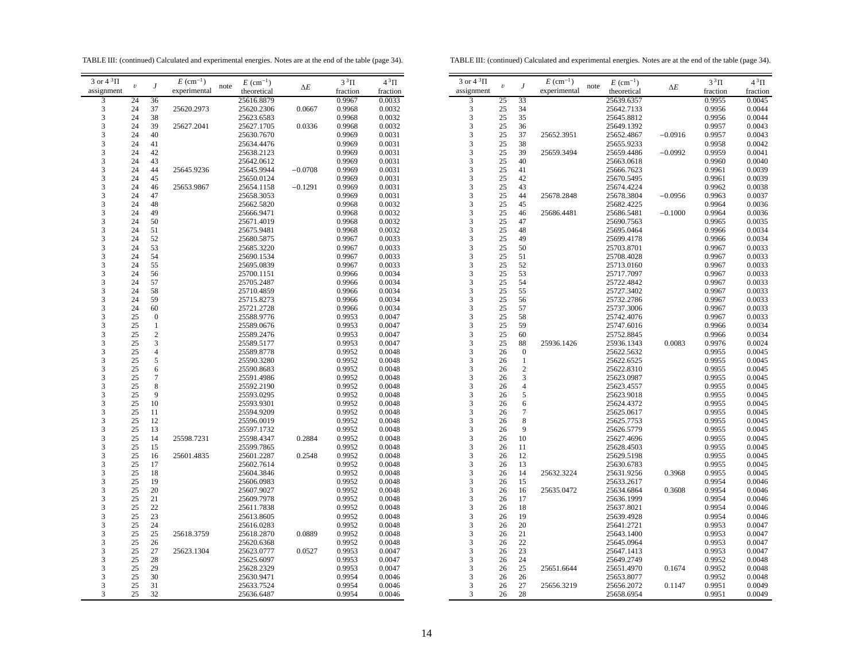TABLE III: (continued) Calculated and experimental energies. Notes are at the end of the table (page 34).

TABLE III: (continued) Calculated and experimental energies. Notes are at the end of the table (page 34).

| 3 or $4\sqrt[3]{1}$ |            |                | $E~(\text{cm}^{-1})$ |      | $E~(\text{cm}^{-1})$ |            | $3^3\Pi$ | $4^3\Pi$ | $3$ or $43\Pi$ |                  |                | $E~(\text{cm}^{-1})$ |      | $E$ (cm <sup>-1</sup> ) |            | $3^3\Pi$ | $4^3\Pi$ |
|---------------------|------------|----------------|----------------------|------|----------------------|------------|----------|----------|----------------|------------------|----------------|----------------------|------|-------------------------|------------|----------|----------|
| assignment          | $\upsilon$ |                | experimental         | note | theoretical          | $\Delta E$ | fraction | fraction | assignment     | $\boldsymbol{v}$ | J              | experimental         | note | theoretical             | $\Delta E$ | fraction | fraction |
| 3                   | 24         | 36             |                      |      | 25616.8879           |            | 0.9967   | 0.0033   | 3              | 25               | 33             |                      |      | 25639.6357              |            | 0.9955   | 0.0045   |
| 3                   | 24         | 37             | 25620.2973           |      | 25620.2306           | 0.0667     | 0.9968   | 0.0032   | 3              | 25               |                |                      |      |                         |            | 0.9956   | 0.0044   |
|                     |            |                |                      |      |                      |            |          |          |                |                  | 34             |                      |      | 25642.7133              |            |          |          |
| 3                   | 24         | 38             |                      |      | 25623.6583           |            | 0.9968   | 0.0032   | 3              | 25               | 35             |                      |      | 25645.8812              |            | 0.9956   | 0.0044   |
| 3                   | 24         | 39             | 25627.2041           |      | 25627.1705           | 0.0336     | 0.9968   | 0.0032   | 3              | 25               | 36             |                      |      | 25649.1392              |            | 0.9957   | 0.0043   |
| 3                   | 24         | 40             |                      |      | 25630.7670           |            | 0.9969   | 0.0031   | 3              | 25               | 37             | 25652.3951           |      | 25652.4867              | $-0.0916$  | 0.9957   | 0.0043   |
| 3                   | 24         | 41             |                      |      | 25634.4476           |            | 0.9969   | 0.0031   | 3              | 25               | 38             |                      |      | 25655.9233              |            | 0.9958   | 0.0042   |
| 3                   | 24         | 42             |                      |      | 25638.2123           |            | 0.9969   | 0.0031   | 3              | 25               | 39             | 25659.3494           |      | 25659.4486              | $-0.0992$  | 0.9959   | 0.0041   |
| 3                   | 24         | 43             |                      |      | 25642.0612           |            | 0.9969   | 0.0031   | 3              | 25               | 40             |                      |      | 25663.0618              |            | 0.9960   | 0.0040   |
| 3                   | 24         | 44             | 25645.9236           |      | 25645.9944           | $-0.0708$  | 0.9969   | 0.0031   | 3              | 25               | 41             |                      |      | 25666.7623              |            | 0.9961   | 0.0039   |
| 3                   | 24         | 45             |                      |      | 25650.0124           |            | 0.9969   | 0.0031   | 3              | 25               | 42             |                      |      | 25670.5495              |            | 0.9961   | 0.0039   |
| 3                   |            | 46             |                      |      | 25654.1158           | $-0.1291$  | 0.9969   | 0.0031   | 3              | 25               | 43             |                      |      |                         |            |          | 0.0038   |
| 3                   | 24         |                | 25653.9867           |      |                      |            |          |          | 3              |                  |                |                      |      | 25674.4224              |            | 0.9962   |          |
|                     | 24         | 47             |                      |      | 25658.3053           |            | 0.9969   | 0.0031   |                | 25               | 44             | 25678.2848           |      | 25678.3804              | $-0.0956$  | 0.9963   | 0.0037   |
| 3                   | 24         | 48             |                      |      | 25662.5820           |            | 0.9968   | 0.0032   | 3              | 25               | 45             |                      |      | 25682.4225              |            | 0.9964   | 0.0036   |
| 3                   | 24         | 49             |                      |      | 25666.9471           |            | 0.9968   | 0.0032   | 3              | 25               | 46             | 25686.4481           |      | 25686.5481              | $-0.1000$  | 0.9964   | 0.0036   |
| 3                   | 24         | 50             |                      |      | 25671.4019           |            | 0.9968   | 0.0032   | 3              | 25               | 47             |                      |      | 25690.7563              |            | 0.9965   | 0.0035   |
| 3                   | 24         | 51             |                      |      | 25675.9481           |            | 0.9968   | 0.0032   | 3              | 25               | 48             |                      |      | 25695.0464              |            | 0.9966   | 0.0034   |
| 3                   | 24         | 52             |                      |      | 25680.5875           |            | 0.9967   | 0.0033   | 3              | 25               | 49             |                      |      | 25699.4178              |            | 0.9966   | 0.0034   |
| 3                   | 24         | 53             |                      |      | 25685.3220           |            | 0.9967   | 0.0033   | 3              | 25               | 50             |                      |      | 25703.8701              |            | 0.9967   | 0.0033   |
| 3                   | 24         | 54             |                      |      | 25690.1534           |            | 0.9967   | 0.0033   | 3              | 25               | 51             |                      |      | 25708.4028              |            | 0.9967   | 0.0033   |
| 3                   | 24         | 55             |                      |      | 25695.0839           |            | 0.9967   | 0.0033   | $\mathfrak{Z}$ | 25               | 52             |                      |      | 25713.0160              |            | 0.9967   | 0.0033   |
| 3                   | 24         |                |                      |      |                      |            |          |          | 3              |                  |                |                      |      |                         |            |          |          |
|                     |            | 56             |                      |      | 25700.1151           |            | 0.9966   | 0.0034   |                | 25               | 53             |                      |      | 25717.7097              |            | 0.9967   | 0.0033   |
| 3                   | 24         | 57             |                      |      | 25705.2487           |            | 0.9966   | 0.0034   | 3              | 25               | 54             |                      |      | 25722.4842              |            | 0.9967   | 0.0033   |
| 3                   | 24         | 58             |                      |      | 25710.4859           |            | 0.9966   | 0.0034   | 3              | 25               | 55             |                      |      | 25727.3402              |            | 0.9967   | 0.0033   |
| 3                   | 24         | 59             |                      |      | 25715.8273           |            | 0.9966   | 0.0034   | 3              | 25               | 56             |                      |      | 25732.2786              |            | 0.9967   | 0.0033   |
| 3                   | 24         | 60             |                      |      | 25721.2728           |            | 0.9966   | 0.0034   | 3              | 25               | 57             |                      |      | 25737.3006              |            | 0.9967   | 0.0033   |
| 3                   | 25         | $\overline{0}$ |                      |      | 25588.9776           |            | 0.9953   | 0.0047   | 3              | 25               | 58             |                      |      | 25742.4076              |            | 0.9967   | 0.0033   |
| 3                   | 25         | 1              |                      |      | 25589.0676           |            | 0.9953   | 0.0047   | 3              | 25               | 59             |                      |      | 25747.6016              |            | 0.9966   | 0.0034   |
| 3                   | 25         | $\overline{c}$ |                      |      | 25589.2476           |            | 0.9953   | 0.0047   | 3              | 25               | 60             |                      |      | 25752.8845              |            | 0.9966   | 0.0034   |
| 3                   | 25         | 3              |                      |      | 25589.5177           |            | 0.9953   | 0.0047   | 3              | 25               | 88             | 25936.1426           |      | 25936.1343              | 0.0083     | 0.9976   | 0.0024   |
| 3                   |            | $\overline{4}$ |                      |      |                      |            |          |          | 3              |                  |                |                      |      |                         |            |          |          |
|                     | 25         |                |                      |      | 25589.8778           |            | 0.9952   | 0.0048   |                | 26               | $\mathbf{0}$   |                      |      | 25622.5632              |            | 0.9955   | 0.0045   |
| 3                   | 25         | 5              |                      |      | 25590.3280           |            | 0.9952   | 0.0048   | 3              | 26               | $\mathbf{1}$   |                      |      | 25622.6525              |            | 0.9955   | 0.0045   |
| 3                   | 25         | 6              |                      |      | 25590.8683           |            | 0.9952   | 0.0048   | 3              | 26               | $\overline{2}$ |                      |      | 25622.8310              |            | 0.9955   | 0.0045   |
| 3                   | 25         | $\overline{7}$ |                      |      | 25591.4986           |            | 0.9952   | 0.0048   | 3              | 26               | 3              |                      |      | 25623.0987              |            | 0.9955   | 0.0045   |
| 3                   | 25         | 8              |                      |      | 25592.2190           |            | 0.9952   | 0.0048   | 3              | 26               | $\overline{4}$ |                      |      | 25623.4557              |            | 0.9955   | 0.0045   |
| 3                   | 25         | 9              |                      |      | 25593.0295           |            | 0.9952   | 0.0048   | 3              | 26               | 5              |                      |      | 25623.9018              |            | 0.9955   | 0.0045   |
| 3                   | 25         | 10             |                      |      | 25593.9301           |            | 0.9952   | 0.0048   | 3              | 26               | 6              |                      |      | 25624.4372              |            | 0.9955   | 0.0045   |
| 3                   | 25         | 11             |                      |      | 25594.9209           |            | 0.9952   | 0.0048   | 3              | 26               | $\overline{7}$ |                      |      | 25625.0617              |            | 0.9955   | 0.0045   |
| 3                   | 25         | 12             |                      |      | 25596.0019           |            | 0.9952   | 0.0048   | 3              | 26               | 8              |                      |      | 25625.7753              |            | 0.9955   | 0.0045   |
| 3                   | 25         | 13             |                      |      | 25597.1732           |            | 0.9952   | 0.0048   | 3              | 26               | 9              |                      |      | 25626.5779              |            | 0.9955   | 0.0045   |
| 3                   |            |                |                      |      |                      |            |          |          | 3              |                  | 10             |                      |      |                         |            |          |          |
|                     | 25         | 14             | 25598.7231           |      | 25598.4347           | 0.2884     | 0.9952   | 0.0048   |                | 26               |                |                      |      | 25627.4696              |            | 0.9955   | 0.0045   |
| 3                   | 25         | 15             |                      |      | 25599.7865           |            | 0.9952   | 0.0048   | 3              | 26               | 11             |                      |      | 25628.4503              |            | 0.9955   | 0.0045   |
| 3                   | 25         | 16             | 25601.4835           |      | 25601.2287           | 0.2548     | 0.9952   | 0.0048   | 3              | 26               | 12             |                      |      | 25629.5198              |            | 0.9955   | 0.0045   |
| 3                   | 25         | 17             |                      |      | 25602.7614           |            | 0.9952   | 0.0048   | 3              | 26               | 13             |                      |      | 25630.6783              |            | 0.9955   | 0.0045   |
| 3                   | 25         | 18             |                      |      | 25604.3846           |            | 0.9952   | 0.0048   | 3              | 26               | 14             | 25632.3224           |      | 25631.9256              | 0.3968     | 0.9955   | 0.0045   |
| 3                   | 25         | 19             |                      |      | 25606.0983           |            | 0.9952   | 0.0048   | 3              | 26               | 15             |                      |      | 25633.2617              |            | 0.9954   | 0.0046   |
| 3                   | 25         | 20             |                      |      | 25607.9027           |            | 0.9952   | 0.0048   | 3              | 26               | 16             | 25635.0472           |      | 25634.6864              | 0.3608     | 0.9954   | 0.0046   |
| 3                   | 25         | 21             |                      |      | 25609.7978           |            | 0.9952   | 0.0048   | $\mathfrak{Z}$ | 26               | 17             |                      |      | 25636.1999              |            | 0.9954   | 0.0046   |
| 3                   | 25         | 22             |                      |      | 25611.7838           |            | 0.9952   | 0.0048   | 3              | 26               | 18             |                      |      | 25637.8021              |            | 0.9954   | 0.0046   |
| 3                   | 25         | 23             |                      |      | 25613.8605           |            | 0.9952   | 0.0048   | 3              | 26               | 19             |                      |      | 25639.4928              |            | 0.9954   | 0.0046   |
|                     |            | 24             |                      |      |                      |            |          |          | 3              |                  |                |                      |      |                         |            |          |          |
| 3                   | 25         |                |                      |      | 25616.0283           |            | 0.9952   | 0.0048   |                | 26               | 20             |                      |      | 25641.2721              |            | 0.9953   | 0.0047   |
| 3                   | 25         | 25             | 25618.3759           |      | 25618.2870           | 0.0889     | 0.9952   | 0.0048   | 3              | 26               | 21             |                      |      | 25643.1400              |            | 0.9953   | 0.0047   |
| 3                   | 25         | 26             |                      |      | 25620.6368           |            | 0.9952   | 0.0048   | 3              | 26               | 22             |                      |      | 25645.0964              |            | 0.9953   | 0.0047   |
| 3                   | 25         | 27             | 25623.1304           |      | 25623.0777           | 0.0527     | 0.9953   | 0.0047   | 3              | 26               | 23             |                      |      | 25647.1413              |            | 0.9953   | 0.0047   |
| 3                   | 25         | 28             |                      |      | 25625.6097           |            | 0.9953   | 0.0047   | 3              | 26               | 24             |                      |      | 25649.2749              |            | 0.9952   | 0.0048   |
| 3                   | 25         | 29             |                      |      | 25628.2329           |            | 0.9953   | 0.0047   | 3              | 26               | 25             | 25651.6644           |      | 25651.4970              | 0.1674     | 0.9952   | 0.0048   |
| 3                   | 25         | 30             |                      |      | 25630.9471           |            | 0.9954   | 0.0046   | 3              | 26               | 26             |                      |      | 25653.8077              |            | 0.9952   | 0.0048   |
| 3                   | 25         | 31             |                      |      | 25633.7524           |            | 0.9954   | 0.0046   | 3              | 26               | 27             | 25656.3219           |      | 25656.2072              | 0.1147     | 0.9951   | 0.0049   |
| 3                   | 25         | 32             |                      |      |                      |            | 0.9954   | 0.0046   | 3              | 26               | 28             |                      |      |                         |            | 0.9951   | 0.0049   |
|                     |            |                |                      |      | 25636.6487           |            |          |          |                |                  |                |                      |      | 25658.6954              |            |          |          |
|                     |            |                |                      |      |                      |            |          |          |                |                  |                |                      |      |                         |            |          |          |

| ∠∪<br>26<br>26 | رے<br>26<br>27 |  |
|----------------|----------------|--|
| 26             | 28             |  |
|                |                |  |
|                |                |  |
|                |                |  |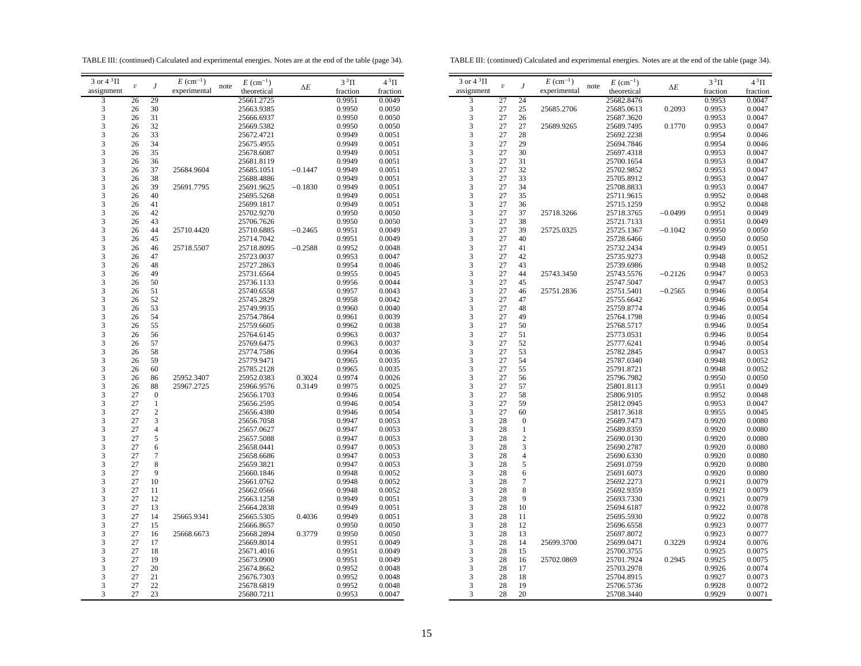TABLE III: (continued) Calculated and experimental energies. Notes are at the end of the table (page 34).

TABLE III: (continued) Calculated and experimental energies. Notes are at the end of the table (page 34).

| 3 or $4^3\Pi$           |                         |                  | $E \text{ (cm}^{-1})$ | $E~(\text{cm}^{-1})$ |            | $3^3\Pi$ | $4^3\Pi$ |    |
|-------------------------|-------------------------|------------------|-----------------------|----------------------|------------|----------|----------|----|
| assignment              | $\boldsymbol{\upsilon}$ | J                | experimental          | note<br>theoretical  | $\Delta E$ | fraction | fraction | as |
| 3                       | 26                      | 29               |                       | 25661.2725           |            | 0.9951   | 0.0049   |    |
| 3                       | 26                      | 30               |                       | 25663.9385           |            | 0.9950   | 0.0050   |    |
| 3                       | 26                      | 31               |                       | 25666.6937           |            | 0.9950   | 0.0050   |    |
| 3                       | 26                      | 32               |                       | 25669.5382           |            | 0.9950   | 0.0050   |    |
| 3                       | 26                      | 33               |                       | 25672.4721           |            | 0.9949   | 0.0051   |    |
| 3                       | 26                      | 34               |                       | 25675.4955           |            | 0.9949   | 0.0051   |    |
| 3                       | 26                      | 35               |                       | 25678.6087           |            | 0.9949   | 0.0051   |    |
| 3                       | 26                      | 36               |                       | 25681.8119           |            | 0.9949   | 0.0051   |    |
| 3                       | 26                      | 37               | 25684.9604            | 25685.1051           | $-0.1447$  | 0.9949   | 0.0051   |    |
| 3                       | 26                      | 38               |                       | 25688.4886           |            | 0.9949   | 0.0051   |    |
| 3                       | 26                      | 39               | 25691.7795            | 25691.9625           | $-0.1830$  | 0.9949   | 0.0051   |    |
| $\overline{\mathbf{3}}$ | 26                      | 40               |                       | 25695.5268           |            | 0.9949   | 0.0051   |    |
| 3                       | 26                      | 41               |                       | 25699.1817           |            | 0.9949   | 0.0051   |    |
| 3                       | 26                      | 42               |                       | 25702.9270           |            | 0.9950   | 0.0050   |    |
| 3                       | 26                      | 43               |                       | 25706.7626           |            | 0.9950   | 0.0050   |    |
| 3                       | 26                      | 44               | 25710.4420            | 25710.6885           | $-0.2465$  | 0.9951   | 0.0049   |    |
| 3                       | 26                      | 45               |                       | 25714.7042           |            | 0.9951   | 0.0049   |    |
| 3                       | 26                      | 46               | 25718.5507            | 25718.8095           | $-0.2588$  | 0.9952   | 0.0048   |    |
| 3                       | 26                      | 47               |                       | 25723.0037           |            | 0.9953   | 0.0047   |    |
| 3                       | 26                      | 48               |                       | 25727.2863           |            | 0.9954   | 0.0046   |    |
| 3                       | 26                      | 49               |                       | 25731.6564           |            | 0.9955   | 0.0045   |    |
| 3                       | 26                      | 50               |                       | 25736.1133           |            | 0.9956   | 0.0044   |    |
| 3                       | 26                      | 51               |                       | 25740.6558           |            | 0.9957   | 0.0043   |    |
| 3                       | 26                      | 52               |                       | 25745.2829           |            | 0.9958   | 0.0042   |    |
| 3                       | 26                      | 53               |                       | 25749.9935           |            | 0.9960   | 0.0040   |    |
| 3                       | 26                      | 54               |                       | 25754.7864           |            | 0.9961   | 0.0039   |    |
| 3                       | 26                      | 55               |                       | 25759.6605           |            | 0.9962   | 0.0038   |    |
| 3                       | 26                      | 56               |                       | 25764.6145           |            | 0.9963   | 0.0037   |    |
| $\frac{3}{3}$           | 26                      | 57               |                       | 25769.6475           |            | 0.9963   | 0.0037   |    |
|                         | 26                      | 58               |                       | 25774.7586           |            | 0.9964   | 0.0036   |    |
| 3                       | 26                      | 59               |                       | 25779.9471           |            | 0.9965   | 0.0035   |    |
| 3                       | 26                      | 60               |                       | 25785.2128           |            | 0.9965   | 0.0035   |    |
| 3                       | 26                      | 86               | 25952.3407            | 25952.0383           | 0.3024     | 0.9974   | 0.0026   |    |
| 3                       | 26                      | 88               | 25967.2725            | 25966.9576           | 0.3149     | 0.9975   | 0.0025   |    |
| 3                       | 27                      | $\boldsymbol{0}$ |                       | 25656.1703           |            | 0.9946   | 0.0054   |    |
| 3                       | 27                      | $\,1$            |                       | 25656.2595           |            | 0.9946   | 0.0054   |    |
| 3                       | 27                      | $\overline{c}$   |                       | 25656.4380           |            | 0.9946   | 0.0054   |    |
|                         | 27                      | $\mathfrak{Z}$   |                       | 25656.7058           |            | 0.9947   | 0.0053   |    |
| $\frac{3}{3}$           | 27                      | $\overline{4}$   |                       | 25657.0627           |            | 0.9947   | 0.0053   |    |
| 3                       | 27                      | 5                |                       | 25657.5088           |            | 0.9947   | 0.0053   |    |
| 3                       | 27                      | 6                |                       | 25658.0441           |            | 0.9947   | 0.0053   |    |
| 3                       | 27                      | $\tau$           |                       | 25658.6686           |            | 0.9947   | 0.0053   |    |
| 3                       | 27                      | 8                |                       | 25659.3821           |            | 0.9947   | 0.0053   |    |
| 3                       | 27                      | 9                |                       | 25660.1846           |            | 0.9948   | 0.0052   |    |
| 3                       | 27                      | 10               |                       | 25661.0762           |            | 0.9948   | 0.0052   |    |
| 3                       | 27                      | 11               |                       | 25662.0566           |            | 0.9948   | 0.0052   |    |
| 3                       | 27                      | 12               |                       | 25663.1258           |            | 0.9949   | 0.0051   |    |
| 3                       | 27                      | 13               |                       | 25664.2838           |            | 0.9949   | 0.0051   |    |
| 3                       | 27                      | 14               | 25665.9341            | 25665.5305           | 0.4036     | 0.9949   | 0.0051   |    |
| 3                       | 27                      | 15               |                       | 25666.8657           |            | 0.9950   | 0.0050   |    |
| 3                       | 27                      | 16               | 25668.6673            | 25668.2894           | 0.3779     | 0.9950   | 0.0050   |    |
| 3                       | 27                      | 17               |                       | 25669.8014           |            | 0.9951   | 0.0049   |    |
| 3                       | 27                      | 18               |                       | 25671.4016           |            | 0.9951   | 0.0049   |    |
| 3                       | 27                      | 19               |                       | 25673.0900           |            | 0.9951   | 0.0049   |    |
| 3                       | 27                      | 20               |                       | 25674.8662           |            | 0.9952   | 0.0048   |    |
| 3                       | 27                      | 21               |                       | 25676.7303           |            | 0.9952   | 0.0048   |    |
| 3                       | 27                      | 22               |                       | 25678.6819           |            | 0.9952   | 0.0048   |    |
| 3                       | 27                      | 23               |                       | 25680.7211           |            | 0.9953   | 0.0047   |    |
|                         |                         |                  |                       |                      |            |          |          |    |

| J<br>note<br>$\boldsymbol{\upsilon}$<br>$\Delta E$<br>assignment<br>experimental<br>theoretical<br>fraction<br>fraction<br>$\overline{\mathbf{3}}$<br>27<br>24<br>25682.8476<br>0.9953<br>0.0047<br>3<br>27<br>25<br>25685.2706<br>25685.0613<br>0.2093<br>0.9953<br>0.0047<br>3<br>27<br>26<br>25687.3620<br>0.9953<br>0.0047<br>3<br>27<br>27<br>25689.9265<br>0.1770<br>0.9953<br>25689.7495<br>0.0047<br>3<br>27<br>28<br>25692.2238<br>0.9954<br>0.0046<br>3<br>27<br>29<br>25694.7846<br>0.9954<br>0.0046<br>3<br>27<br>30<br>25697.4318<br>0.9953<br>0.0047<br>3<br>27<br>31<br>25700.1654<br>0.9953<br>0.0047<br>3<br>32<br>27<br>25702.9852<br>0.9953<br>0.0047<br>3<br>27<br>33<br>25705.8912<br>0.9953<br>0.0047<br>3<br>34<br>27<br>0.9953<br>25708.8833<br>0.0047<br>3<br>27<br>35<br>25711.9615<br>0.9952<br>0.0048<br>3<br>27<br>36<br>25715.1259<br>0.9952<br>0.0048<br>3<br>37<br>25718.3266<br>$-0.0499$<br>27<br>25718.3765<br>0.9951<br>0.0049<br>3<br>27<br>38<br>25721.7133<br>0.9951<br>0.0049<br>3<br>27<br>39<br>25725.0325<br>25725.1367<br>$-0.1042$<br>0.9950<br>0.0050<br>3<br>27<br>40<br>25728.6466<br>0.9950<br>0.0050<br>3<br>41<br>27<br>25732.2434<br>0.9949<br>0.0051<br>3<br>27<br>42<br>25735.9273<br>0.0052<br>0.9948<br>3<br>43<br>27<br>25739.6986<br>0.9948<br>0.0052<br>3<br>27<br>44<br>25743.3450<br>25743.5576<br>$-0.2126$<br>0.9947<br>0.0053<br>3<br>27<br>45<br>25747.5047<br>0.9947<br>0.0053<br>3<br>27<br>46<br>25751.2836<br>25751.5401<br>$-0.2565$<br>0.9946<br>0.0054<br>3<br>27<br>47<br>25755.6642<br>0.9946<br>0.0054<br>3<br>48<br>27<br>25759.8774<br>0.9946<br>0.0054<br>3<br>27<br>49<br>25764.1798<br>0.9946<br>0.0054<br>3<br>27<br>50<br>25768.5717<br>0.9946<br>0.0054<br>3<br>27<br>51<br>25773.0531<br>0.9946<br>0.0054<br>3<br>27<br>52<br>25777.6241<br>0.9946<br>0.0054<br>3<br>27<br>53<br>25782.2845<br>0.9947<br>0.0053<br>3<br>27<br>54<br>25787.0340<br>0.9948<br>0.0052<br>3<br>55<br>27<br>25791.8721<br>0.9948<br>0.0052<br>3<br>27<br>56<br>25796.7982<br>0.9950<br>0.0050<br>3<br>27<br>57<br>25801.8113<br>0.9951<br>0.0049<br>3<br>58<br>27<br>25806.9105<br>0.9952<br>0.0048<br>3<br>27<br>59<br>25812.0945<br>0.9953<br>0.0047<br>3<br>27<br>60<br>25817.3618<br>0.9955<br>0.0045<br>3<br>28<br>$\boldsymbol{0}$<br>25689.7473<br>0.9920<br>0.0080<br>3<br>28<br>$\mathbf{1}$<br>25689.8359<br>0.9920<br>0.0080<br>3<br>$\overline{c}$<br>28<br>25690.0130<br>0.9920<br>0.0080<br>3<br>3<br>28<br>25690.2787<br>0.9920<br>0.0080<br>3<br>28<br>4<br>25690.6330<br>0.9920<br>0.0080<br>3<br>5<br>28<br>25691.0759<br>0.9920<br>0.0080<br>3<br>28<br>6<br>25691.6073<br>0.9920<br>0.0080<br>3<br>7<br>28<br>25692.2273<br>0.9921<br>0.0079<br>3<br>8<br>28<br>25692.9359<br>0.9921<br>0.0079<br>3<br>9<br>28<br>25693.7330<br>0.9921<br>0.0079<br>3<br>10<br>28<br>25694.6187<br>0.9922<br>0.0078<br>3<br>28<br>11<br>25695.5930<br>0.9922<br>0.0078 |                      |    |    |                      |                      |          |          |
|-------------------------------------------------------------------------------------------------------------------------------------------------------------------------------------------------------------------------------------------------------------------------------------------------------------------------------------------------------------------------------------------------------------------------------------------------------------------------------------------------------------------------------------------------------------------------------------------------------------------------------------------------------------------------------------------------------------------------------------------------------------------------------------------------------------------------------------------------------------------------------------------------------------------------------------------------------------------------------------------------------------------------------------------------------------------------------------------------------------------------------------------------------------------------------------------------------------------------------------------------------------------------------------------------------------------------------------------------------------------------------------------------------------------------------------------------------------------------------------------------------------------------------------------------------------------------------------------------------------------------------------------------------------------------------------------------------------------------------------------------------------------------------------------------------------------------------------------------------------------------------------------------------------------------------------------------------------------------------------------------------------------------------------------------------------------------------------------------------------------------------------------------------------------------------------------------------------------------------------------------------------------------------------------------------------------------------------------------------------------------------------------------------------------------------------------------------------------------------------------------------------------------------------------------------------------------------------------------------------------------------------------------------------------------------------------------------------------------------------------------------------------------------------------------------------------------------------------------------------------------------------------------------------------------------------------|----------------------|----|----|----------------------|----------------------|----------|----------|
|                                                                                                                                                                                                                                                                                                                                                                                                                                                                                                                                                                                                                                                                                                                                                                                                                                                                                                                                                                                                                                                                                                                                                                                                                                                                                                                                                                                                                                                                                                                                                                                                                                                                                                                                                                                                                                                                                                                                                                                                                                                                                                                                                                                                                                                                                                                                                                                                                                                                                                                                                                                                                                                                                                                                                                                                                                                                                                                                           | 3 or $4\sqrt[3]{11}$ |    |    | $E~(\text{cm}^{-1})$ | $E~(\text{cm}^{-1})$ | $3^3\Pi$ | $4^3\Pi$ |
|                                                                                                                                                                                                                                                                                                                                                                                                                                                                                                                                                                                                                                                                                                                                                                                                                                                                                                                                                                                                                                                                                                                                                                                                                                                                                                                                                                                                                                                                                                                                                                                                                                                                                                                                                                                                                                                                                                                                                                                                                                                                                                                                                                                                                                                                                                                                                                                                                                                                                                                                                                                                                                                                                                                                                                                                                                                                                                                                           |                      |    |    |                      |                      |          |          |
|                                                                                                                                                                                                                                                                                                                                                                                                                                                                                                                                                                                                                                                                                                                                                                                                                                                                                                                                                                                                                                                                                                                                                                                                                                                                                                                                                                                                                                                                                                                                                                                                                                                                                                                                                                                                                                                                                                                                                                                                                                                                                                                                                                                                                                                                                                                                                                                                                                                                                                                                                                                                                                                                                                                                                                                                                                                                                                                                           |                      |    |    |                      |                      |          |          |
|                                                                                                                                                                                                                                                                                                                                                                                                                                                                                                                                                                                                                                                                                                                                                                                                                                                                                                                                                                                                                                                                                                                                                                                                                                                                                                                                                                                                                                                                                                                                                                                                                                                                                                                                                                                                                                                                                                                                                                                                                                                                                                                                                                                                                                                                                                                                                                                                                                                                                                                                                                                                                                                                                                                                                                                                                                                                                                                                           |                      |    |    |                      |                      |          |          |
|                                                                                                                                                                                                                                                                                                                                                                                                                                                                                                                                                                                                                                                                                                                                                                                                                                                                                                                                                                                                                                                                                                                                                                                                                                                                                                                                                                                                                                                                                                                                                                                                                                                                                                                                                                                                                                                                                                                                                                                                                                                                                                                                                                                                                                                                                                                                                                                                                                                                                                                                                                                                                                                                                                                                                                                                                                                                                                                                           |                      |    |    |                      |                      |          |          |
|                                                                                                                                                                                                                                                                                                                                                                                                                                                                                                                                                                                                                                                                                                                                                                                                                                                                                                                                                                                                                                                                                                                                                                                                                                                                                                                                                                                                                                                                                                                                                                                                                                                                                                                                                                                                                                                                                                                                                                                                                                                                                                                                                                                                                                                                                                                                                                                                                                                                                                                                                                                                                                                                                                                                                                                                                                                                                                                                           |                      |    |    |                      |                      |          |          |
|                                                                                                                                                                                                                                                                                                                                                                                                                                                                                                                                                                                                                                                                                                                                                                                                                                                                                                                                                                                                                                                                                                                                                                                                                                                                                                                                                                                                                                                                                                                                                                                                                                                                                                                                                                                                                                                                                                                                                                                                                                                                                                                                                                                                                                                                                                                                                                                                                                                                                                                                                                                                                                                                                                                                                                                                                                                                                                                                           |                      |    |    |                      |                      |          |          |
|                                                                                                                                                                                                                                                                                                                                                                                                                                                                                                                                                                                                                                                                                                                                                                                                                                                                                                                                                                                                                                                                                                                                                                                                                                                                                                                                                                                                                                                                                                                                                                                                                                                                                                                                                                                                                                                                                                                                                                                                                                                                                                                                                                                                                                                                                                                                                                                                                                                                                                                                                                                                                                                                                                                                                                                                                                                                                                                                           |                      |    |    |                      |                      |          |          |
|                                                                                                                                                                                                                                                                                                                                                                                                                                                                                                                                                                                                                                                                                                                                                                                                                                                                                                                                                                                                                                                                                                                                                                                                                                                                                                                                                                                                                                                                                                                                                                                                                                                                                                                                                                                                                                                                                                                                                                                                                                                                                                                                                                                                                                                                                                                                                                                                                                                                                                                                                                                                                                                                                                                                                                                                                                                                                                                                           |                      |    |    |                      |                      |          |          |
|                                                                                                                                                                                                                                                                                                                                                                                                                                                                                                                                                                                                                                                                                                                                                                                                                                                                                                                                                                                                                                                                                                                                                                                                                                                                                                                                                                                                                                                                                                                                                                                                                                                                                                                                                                                                                                                                                                                                                                                                                                                                                                                                                                                                                                                                                                                                                                                                                                                                                                                                                                                                                                                                                                                                                                                                                                                                                                                                           |                      |    |    |                      |                      |          |          |
|                                                                                                                                                                                                                                                                                                                                                                                                                                                                                                                                                                                                                                                                                                                                                                                                                                                                                                                                                                                                                                                                                                                                                                                                                                                                                                                                                                                                                                                                                                                                                                                                                                                                                                                                                                                                                                                                                                                                                                                                                                                                                                                                                                                                                                                                                                                                                                                                                                                                                                                                                                                                                                                                                                                                                                                                                                                                                                                                           |                      |    |    |                      |                      |          |          |
|                                                                                                                                                                                                                                                                                                                                                                                                                                                                                                                                                                                                                                                                                                                                                                                                                                                                                                                                                                                                                                                                                                                                                                                                                                                                                                                                                                                                                                                                                                                                                                                                                                                                                                                                                                                                                                                                                                                                                                                                                                                                                                                                                                                                                                                                                                                                                                                                                                                                                                                                                                                                                                                                                                                                                                                                                                                                                                                                           |                      |    |    |                      |                      |          |          |
|                                                                                                                                                                                                                                                                                                                                                                                                                                                                                                                                                                                                                                                                                                                                                                                                                                                                                                                                                                                                                                                                                                                                                                                                                                                                                                                                                                                                                                                                                                                                                                                                                                                                                                                                                                                                                                                                                                                                                                                                                                                                                                                                                                                                                                                                                                                                                                                                                                                                                                                                                                                                                                                                                                                                                                                                                                                                                                                                           |                      |    |    |                      |                      |          |          |
|                                                                                                                                                                                                                                                                                                                                                                                                                                                                                                                                                                                                                                                                                                                                                                                                                                                                                                                                                                                                                                                                                                                                                                                                                                                                                                                                                                                                                                                                                                                                                                                                                                                                                                                                                                                                                                                                                                                                                                                                                                                                                                                                                                                                                                                                                                                                                                                                                                                                                                                                                                                                                                                                                                                                                                                                                                                                                                                                           |                      |    |    |                      |                      |          |          |
|                                                                                                                                                                                                                                                                                                                                                                                                                                                                                                                                                                                                                                                                                                                                                                                                                                                                                                                                                                                                                                                                                                                                                                                                                                                                                                                                                                                                                                                                                                                                                                                                                                                                                                                                                                                                                                                                                                                                                                                                                                                                                                                                                                                                                                                                                                                                                                                                                                                                                                                                                                                                                                                                                                                                                                                                                                                                                                                                           |                      |    |    |                      |                      |          |          |
|                                                                                                                                                                                                                                                                                                                                                                                                                                                                                                                                                                                                                                                                                                                                                                                                                                                                                                                                                                                                                                                                                                                                                                                                                                                                                                                                                                                                                                                                                                                                                                                                                                                                                                                                                                                                                                                                                                                                                                                                                                                                                                                                                                                                                                                                                                                                                                                                                                                                                                                                                                                                                                                                                                                                                                                                                                                                                                                                           |                      |    |    |                      |                      |          |          |
|                                                                                                                                                                                                                                                                                                                                                                                                                                                                                                                                                                                                                                                                                                                                                                                                                                                                                                                                                                                                                                                                                                                                                                                                                                                                                                                                                                                                                                                                                                                                                                                                                                                                                                                                                                                                                                                                                                                                                                                                                                                                                                                                                                                                                                                                                                                                                                                                                                                                                                                                                                                                                                                                                                                                                                                                                                                                                                                                           |                      |    |    |                      |                      |          |          |
|                                                                                                                                                                                                                                                                                                                                                                                                                                                                                                                                                                                                                                                                                                                                                                                                                                                                                                                                                                                                                                                                                                                                                                                                                                                                                                                                                                                                                                                                                                                                                                                                                                                                                                                                                                                                                                                                                                                                                                                                                                                                                                                                                                                                                                                                                                                                                                                                                                                                                                                                                                                                                                                                                                                                                                                                                                                                                                                                           |                      |    |    |                      |                      |          |          |
|                                                                                                                                                                                                                                                                                                                                                                                                                                                                                                                                                                                                                                                                                                                                                                                                                                                                                                                                                                                                                                                                                                                                                                                                                                                                                                                                                                                                                                                                                                                                                                                                                                                                                                                                                                                                                                                                                                                                                                                                                                                                                                                                                                                                                                                                                                                                                                                                                                                                                                                                                                                                                                                                                                                                                                                                                                                                                                                                           |                      |    |    |                      |                      |          |          |
|                                                                                                                                                                                                                                                                                                                                                                                                                                                                                                                                                                                                                                                                                                                                                                                                                                                                                                                                                                                                                                                                                                                                                                                                                                                                                                                                                                                                                                                                                                                                                                                                                                                                                                                                                                                                                                                                                                                                                                                                                                                                                                                                                                                                                                                                                                                                                                                                                                                                                                                                                                                                                                                                                                                                                                                                                                                                                                                                           |                      |    |    |                      |                      |          |          |
|                                                                                                                                                                                                                                                                                                                                                                                                                                                                                                                                                                                                                                                                                                                                                                                                                                                                                                                                                                                                                                                                                                                                                                                                                                                                                                                                                                                                                                                                                                                                                                                                                                                                                                                                                                                                                                                                                                                                                                                                                                                                                                                                                                                                                                                                                                                                                                                                                                                                                                                                                                                                                                                                                                                                                                                                                                                                                                                                           |                      |    |    |                      |                      |          |          |
|                                                                                                                                                                                                                                                                                                                                                                                                                                                                                                                                                                                                                                                                                                                                                                                                                                                                                                                                                                                                                                                                                                                                                                                                                                                                                                                                                                                                                                                                                                                                                                                                                                                                                                                                                                                                                                                                                                                                                                                                                                                                                                                                                                                                                                                                                                                                                                                                                                                                                                                                                                                                                                                                                                                                                                                                                                                                                                                                           |                      |    |    |                      |                      |          |          |
|                                                                                                                                                                                                                                                                                                                                                                                                                                                                                                                                                                                                                                                                                                                                                                                                                                                                                                                                                                                                                                                                                                                                                                                                                                                                                                                                                                                                                                                                                                                                                                                                                                                                                                                                                                                                                                                                                                                                                                                                                                                                                                                                                                                                                                                                                                                                                                                                                                                                                                                                                                                                                                                                                                                                                                                                                                                                                                                                           |                      |    |    |                      |                      |          |          |
|                                                                                                                                                                                                                                                                                                                                                                                                                                                                                                                                                                                                                                                                                                                                                                                                                                                                                                                                                                                                                                                                                                                                                                                                                                                                                                                                                                                                                                                                                                                                                                                                                                                                                                                                                                                                                                                                                                                                                                                                                                                                                                                                                                                                                                                                                                                                                                                                                                                                                                                                                                                                                                                                                                                                                                                                                                                                                                                                           |                      |    |    |                      |                      |          |          |
|                                                                                                                                                                                                                                                                                                                                                                                                                                                                                                                                                                                                                                                                                                                                                                                                                                                                                                                                                                                                                                                                                                                                                                                                                                                                                                                                                                                                                                                                                                                                                                                                                                                                                                                                                                                                                                                                                                                                                                                                                                                                                                                                                                                                                                                                                                                                                                                                                                                                                                                                                                                                                                                                                                                                                                                                                                                                                                                                           |                      |    |    |                      |                      |          |          |
|                                                                                                                                                                                                                                                                                                                                                                                                                                                                                                                                                                                                                                                                                                                                                                                                                                                                                                                                                                                                                                                                                                                                                                                                                                                                                                                                                                                                                                                                                                                                                                                                                                                                                                                                                                                                                                                                                                                                                                                                                                                                                                                                                                                                                                                                                                                                                                                                                                                                                                                                                                                                                                                                                                                                                                                                                                                                                                                                           |                      |    |    |                      |                      |          |          |
|                                                                                                                                                                                                                                                                                                                                                                                                                                                                                                                                                                                                                                                                                                                                                                                                                                                                                                                                                                                                                                                                                                                                                                                                                                                                                                                                                                                                                                                                                                                                                                                                                                                                                                                                                                                                                                                                                                                                                                                                                                                                                                                                                                                                                                                                                                                                                                                                                                                                                                                                                                                                                                                                                                                                                                                                                                                                                                                                           |                      |    |    |                      |                      |          |          |
|                                                                                                                                                                                                                                                                                                                                                                                                                                                                                                                                                                                                                                                                                                                                                                                                                                                                                                                                                                                                                                                                                                                                                                                                                                                                                                                                                                                                                                                                                                                                                                                                                                                                                                                                                                                                                                                                                                                                                                                                                                                                                                                                                                                                                                                                                                                                                                                                                                                                                                                                                                                                                                                                                                                                                                                                                                                                                                                                           |                      |    |    |                      |                      |          |          |
|                                                                                                                                                                                                                                                                                                                                                                                                                                                                                                                                                                                                                                                                                                                                                                                                                                                                                                                                                                                                                                                                                                                                                                                                                                                                                                                                                                                                                                                                                                                                                                                                                                                                                                                                                                                                                                                                                                                                                                                                                                                                                                                                                                                                                                                                                                                                                                                                                                                                                                                                                                                                                                                                                                                                                                                                                                                                                                                                           |                      |    |    |                      |                      |          |          |
|                                                                                                                                                                                                                                                                                                                                                                                                                                                                                                                                                                                                                                                                                                                                                                                                                                                                                                                                                                                                                                                                                                                                                                                                                                                                                                                                                                                                                                                                                                                                                                                                                                                                                                                                                                                                                                                                                                                                                                                                                                                                                                                                                                                                                                                                                                                                                                                                                                                                                                                                                                                                                                                                                                                                                                                                                                                                                                                                           |                      |    |    |                      |                      |          |          |
|                                                                                                                                                                                                                                                                                                                                                                                                                                                                                                                                                                                                                                                                                                                                                                                                                                                                                                                                                                                                                                                                                                                                                                                                                                                                                                                                                                                                                                                                                                                                                                                                                                                                                                                                                                                                                                                                                                                                                                                                                                                                                                                                                                                                                                                                                                                                                                                                                                                                                                                                                                                                                                                                                                                                                                                                                                                                                                                                           |                      |    |    |                      |                      |          |          |
|                                                                                                                                                                                                                                                                                                                                                                                                                                                                                                                                                                                                                                                                                                                                                                                                                                                                                                                                                                                                                                                                                                                                                                                                                                                                                                                                                                                                                                                                                                                                                                                                                                                                                                                                                                                                                                                                                                                                                                                                                                                                                                                                                                                                                                                                                                                                                                                                                                                                                                                                                                                                                                                                                                                                                                                                                                                                                                                                           |                      |    |    |                      |                      |          |          |
|                                                                                                                                                                                                                                                                                                                                                                                                                                                                                                                                                                                                                                                                                                                                                                                                                                                                                                                                                                                                                                                                                                                                                                                                                                                                                                                                                                                                                                                                                                                                                                                                                                                                                                                                                                                                                                                                                                                                                                                                                                                                                                                                                                                                                                                                                                                                                                                                                                                                                                                                                                                                                                                                                                                                                                                                                                                                                                                                           |                      |    |    |                      |                      |          |          |
|                                                                                                                                                                                                                                                                                                                                                                                                                                                                                                                                                                                                                                                                                                                                                                                                                                                                                                                                                                                                                                                                                                                                                                                                                                                                                                                                                                                                                                                                                                                                                                                                                                                                                                                                                                                                                                                                                                                                                                                                                                                                                                                                                                                                                                                                                                                                                                                                                                                                                                                                                                                                                                                                                                                                                                                                                                                                                                                                           |                      |    |    |                      |                      |          |          |
|                                                                                                                                                                                                                                                                                                                                                                                                                                                                                                                                                                                                                                                                                                                                                                                                                                                                                                                                                                                                                                                                                                                                                                                                                                                                                                                                                                                                                                                                                                                                                                                                                                                                                                                                                                                                                                                                                                                                                                                                                                                                                                                                                                                                                                                                                                                                                                                                                                                                                                                                                                                                                                                                                                                                                                                                                                                                                                                                           |                      |    |    |                      |                      |          |          |
|                                                                                                                                                                                                                                                                                                                                                                                                                                                                                                                                                                                                                                                                                                                                                                                                                                                                                                                                                                                                                                                                                                                                                                                                                                                                                                                                                                                                                                                                                                                                                                                                                                                                                                                                                                                                                                                                                                                                                                                                                                                                                                                                                                                                                                                                                                                                                                                                                                                                                                                                                                                                                                                                                                                                                                                                                                                                                                                                           |                      |    |    |                      |                      |          |          |
|                                                                                                                                                                                                                                                                                                                                                                                                                                                                                                                                                                                                                                                                                                                                                                                                                                                                                                                                                                                                                                                                                                                                                                                                                                                                                                                                                                                                                                                                                                                                                                                                                                                                                                                                                                                                                                                                                                                                                                                                                                                                                                                                                                                                                                                                                                                                                                                                                                                                                                                                                                                                                                                                                                                                                                                                                                                                                                                                           |                      |    |    |                      |                      |          |          |
|                                                                                                                                                                                                                                                                                                                                                                                                                                                                                                                                                                                                                                                                                                                                                                                                                                                                                                                                                                                                                                                                                                                                                                                                                                                                                                                                                                                                                                                                                                                                                                                                                                                                                                                                                                                                                                                                                                                                                                                                                                                                                                                                                                                                                                                                                                                                                                                                                                                                                                                                                                                                                                                                                                                                                                                                                                                                                                                                           |                      |    |    |                      |                      |          |          |
|                                                                                                                                                                                                                                                                                                                                                                                                                                                                                                                                                                                                                                                                                                                                                                                                                                                                                                                                                                                                                                                                                                                                                                                                                                                                                                                                                                                                                                                                                                                                                                                                                                                                                                                                                                                                                                                                                                                                                                                                                                                                                                                                                                                                                                                                                                                                                                                                                                                                                                                                                                                                                                                                                                                                                                                                                                                                                                                                           |                      |    |    |                      |                      |          |          |
|                                                                                                                                                                                                                                                                                                                                                                                                                                                                                                                                                                                                                                                                                                                                                                                                                                                                                                                                                                                                                                                                                                                                                                                                                                                                                                                                                                                                                                                                                                                                                                                                                                                                                                                                                                                                                                                                                                                                                                                                                                                                                                                                                                                                                                                                                                                                                                                                                                                                                                                                                                                                                                                                                                                                                                                                                                                                                                                                           |                      |    |    |                      |                      |          |          |
|                                                                                                                                                                                                                                                                                                                                                                                                                                                                                                                                                                                                                                                                                                                                                                                                                                                                                                                                                                                                                                                                                                                                                                                                                                                                                                                                                                                                                                                                                                                                                                                                                                                                                                                                                                                                                                                                                                                                                                                                                                                                                                                                                                                                                                                                                                                                                                                                                                                                                                                                                                                                                                                                                                                                                                                                                                                                                                                                           |                      |    |    |                      |                      |          |          |
|                                                                                                                                                                                                                                                                                                                                                                                                                                                                                                                                                                                                                                                                                                                                                                                                                                                                                                                                                                                                                                                                                                                                                                                                                                                                                                                                                                                                                                                                                                                                                                                                                                                                                                                                                                                                                                                                                                                                                                                                                                                                                                                                                                                                                                                                                                                                                                                                                                                                                                                                                                                                                                                                                                                                                                                                                                                                                                                                           |                      |    |    |                      |                      |          |          |
|                                                                                                                                                                                                                                                                                                                                                                                                                                                                                                                                                                                                                                                                                                                                                                                                                                                                                                                                                                                                                                                                                                                                                                                                                                                                                                                                                                                                                                                                                                                                                                                                                                                                                                                                                                                                                                                                                                                                                                                                                                                                                                                                                                                                                                                                                                                                                                                                                                                                                                                                                                                                                                                                                                                                                                                                                                                                                                                                           |                      |    |    |                      |                      |          |          |
|                                                                                                                                                                                                                                                                                                                                                                                                                                                                                                                                                                                                                                                                                                                                                                                                                                                                                                                                                                                                                                                                                                                                                                                                                                                                                                                                                                                                                                                                                                                                                                                                                                                                                                                                                                                                                                                                                                                                                                                                                                                                                                                                                                                                                                                                                                                                                                                                                                                                                                                                                                                                                                                                                                                                                                                                                                                                                                                                           |                      |    |    |                      |                      |          |          |
|                                                                                                                                                                                                                                                                                                                                                                                                                                                                                                                                                                                                                                                                                                                                                                                                                                                                                                                                                                                                                                                                                                                                                                                                                                                                                                                                                                                                                                                                                                                                                                                                                                                                                                                                                                                                                                                                                                                                                                                                                                                                                                                                                                                                                                                                                                                                                                                                                                                                                                                                                                                                                                                                                                                                                                                                                                                                                                                                           |                      |    |    |                      |                      |          |          |
|                                                                                                                                                                                                                                                                                                                                                                                                                                                                                                                                                                                                                                                                                                                                                                                                                                                                                                                                                                                                                                                                                                                                                                                                                                                                                                                                                                                                                                                                                                                                                                                                                                                                                                                                                                                                                                                                                                                                                                                                                                                                                                                                                                                                                                                                                                                                                                                                                                                                                                                                                                                                                                                                                                                                                                                                                                                                                                                                           |                      |    |    |                      |                      |          |          |
|                                                                                                                                                                                                                                                                                                                                                                                                                                                                                                                                                                                                                                                                                                                                                                                                                                                                                                                                                                                                                                                                                                                                                                                                                                                                                                                                                                                                                                                                                                                                                                                                                                                                                                                                                                                                                                                                                                                                                                                                                                                                                                                                                                                                                                                                                                                                                                                                                                                                                                                                                                                                                                                                                                                                                                                                                                                                                                                                           |                      |    |    |                      |                      |          |          |
|                                                                                                                                                                                                                                                                                                                                                                                                                                                                                                                                                                                                                                                                                                                                                                                                                                                                                                                                                                                                                                                                                                                                                                                                                                                                                                                                                                                                                                                                                                                                                                                                                                                                                                                                                                                                                                                                                                                                                                                                                                                                                                                                                                                                                                                                                                                                                                                                                                                                                                                                                                                                                                                                                                                                                                                                                                                                                                                                           |                      |    |    |                      |                      |          |          |
|                                                                                                                                                                                                                                                                                                                                                                                                                                                                                                                                                                                                                                                                                                                                                                                                                                                                                                                                                                                                                                                                                                                                                                                                                                                                                                                                                                                                                                                                                                                                                                                                                                                                                                                                                                                                                                                                                                                                                                                                                                                                                                                                                                                                                                                                                                                                                                                                                                                                                                                                                                                                                                                                                                                                                                                                                                                                                                                                           |                      |    |    |                      |                      |          |          |
|                                                                                                                                                                                                                                                                                                                                                                                                                                                                                                                                                                                                                                                                                                                                                                                                                                                                                                                                                                                                                                                                                                                                                                                                                                                                                                                                                                                                                                                                                                                                                                                                                                                                                                                                                                                                                                                                                                                                                                                                                                                                                                                                                                                                                                                                                                                                                                                                                                                                                                                                                                                                                                                                                                                                                                                                                                                                                                                                           |                      |    |    |                      |                      |          |          |
|                                                                                                                                                                                                                                                                                                                                                                                                                                                                                                                                                                                                                                                                                                                                                                                                                                                                                                                                                                                                                                                                                                                                                                                                                                                                                                                                                                                                                                                                                                                                                                                                                                                                                                                                                                                                                                                                                                                                                                                                                                                                                                                                                                                                                                                                                                                                                                                                                                                                                                                                                                                                                                                                                                                                                                                                                                                                                                                                           |                      |    |    |                      |                      |          |          |
|                                                                                                                                                                                                                                                                                                                                                                                                                                                                                                                                                                                                                                                                                                                                                                                                                                                                                                                                                                                                                                                                                                                                                                                                                                                                                                                                                                                                                                                                                                                                                                                                                                                                                                                                                                                                                                                                                                                                                                                                                                                                                                                                                                                                                                                                                                                                                                                                                                                                                                                                                                                                                                                                                                                                                                                                                                                                                                                                           |                      |    |    |                      |                      |          |          |
|                                                                                                                                                                                                                                                                                                                                                                                                                                                                                                                                                                                                                                                                                                                                                                                                                                                                                                                                                                                                                                                                                                                                                                                                                                                                                                                                                                                                                                                                                                                                                                                                                                                                                                                                                                                                                                                                                                                                                                                                                                                                                                                                                                                                                                                                                                                                                                                                                                                                                                                                                                                                                                                                                                                                                                                                                                                                                                                                           | 3                    | 28 | 12 |                      | 25696.6558           | 0.9923   | 0.0077   |
| 3<br>13<br>28<br>25697.8072<br>0.9923<br>0.0077                                                                                                                                                                                                                                                                                                                                                                                                                                                                                                                                                                                                                                                                                                                                                                                                                                                                                                                                                                                                                                                                                                                                                                                                                                                                                                                                                                                                                                                                                                                                                                                                                                                                                                                                                                                                                                                                                                                                                                                                                                                                                                                                                                                                                                                                                                                                                                                                                                                                                                                                                                                                                                                                                                                                                                                                                                                                                           |                      |    |    |                      |                      |          |          |
| 3<br>28<br>14<br>25699.3700<br>25699.0471<br>0.3229<br>0.9924<br>0.0076                                                                                                                                                                                                                                                                                                                                                                                                                                                                                                                                                                                                                                                                                                                                                                                                                                                                                                                                                                                                                                                                                                                                                                                                                                                                                                                                                                                                                                                                                                                                                                                                                                                                                                                                                                                                                                                                                                                                                                                                                                                                                                                                                                                                                                                                                                                                                                                                                                                                                                                                                                                                                                                                                                                                                                                                                                                                   |                      |    |    |                      |                      |          |          |
| 3<br>28<br>15<br>25700.3755<br>0.9925<br>0.0075                                                                                                                                                                                                                                                                                                                                                                                                                                                                                                                                                                                                                                                                                                                                                                                                                                                                                                                                                                                                                                                                                                                                                                                                                                                                                                                                                                                                                                                                                                                                                                                                                                                                                                                                                                                                                                                                                                                                                                                                                                                                                                                                                                                                                                                                                                                                                                                                                                                                                                                                                                                                                                                                                                                                                                                                                                                                                           |                      |    |    |                      |                      |          |          |
| 3<br>28<br>16<br>25702.0869<br>0.2945<br>25701.7924<br>0.9925<br>0.0075                                                                                                                                                                                                                                                                                                                                                                                                                                                                                                                                                                                                                                                                                                                                                                                                                                                                                                                                                                                                                                                                                                                                                                                                                                                                                                                                                                                                                                                                                                                                                                                                                                                                                                                                                                                                                                                                                                                                                                                                                                                                                                                                                                                                                                                                                                                                                                                                                                                                                                                                                                                                                                                                                                                                                                                                                                                                   |                      |    |    |                      |                      |          |          |
| 3<br>28<br>17<br>0.9926<br>25703.2978<br>0.0074                                                                                                                                                                                                                                                                                                                                                                                                                                                                                                                                                                                                                                                                                                                                                                                                                                                                                                                                                                                                                                                                                                                                                                                                                                                                                                                                                                                                                                                                                                                                                                                                                                                                                                                                                                                                                                                                                                                                                                                                                                                                                                                                                                                                                                                                                                                                                                                                                                                                                                                                                                                                                                                                                                                                                                                                                                                                                           |                      |    |    |                      |                      |          |          |
| 3<br>28<br>18<br>25704.8915<br>0.9927<br>0.0073                                                                                                                                                                                                                                                                                                                                                                                                                                                                                                                                                                                                                                                                                                                                                                                                                                                                                                                                                                                                                                                                                                                                                                                                                                                                                                                                                                                                                                                                                                                                                                                                                                                                                                                                                                                                                                                                                                                                                                                                                                                                                                                                                                                                                                                                                                                                                                                                                                                                                                                                                                                                                                                                                                                                                                                                                                                                                           |                      |    |    |                      |                      |          |          |
| 3<br>19<br>28<br>25706.5736<br>0.9928<br>0.0072                                                                                                                                                                                                                                                                                                                                                                                                                                                                                                                                                                                                                                                                                                                                                                                                                                                                                                                                                                                                                                                                                                                                                                                                                                                                                                                                                                                                                                                                                                                                                                                                                                                                                                                                                                                                                                                                                                                                                                                                                                                                                                                                                                                                                                                                                                                                                                                                                                                                                                                                                                                                                                                                                                                                                                                                                                                                                           |                      |    |    |                      |                      |          |          |
| 3<br>28<br>20<br>25708.3440<br>0.9929<br>0.0071                                                                                                                                                                                                                                                                                                                                                                                                                                                                                                                                                                                                                                                                                                                                                                                                                                                                                                                                                                                                                                                                                                                                                                                                                                                                                                                                                                                                                                                                                                                                                                                                                                                                                                                                                                                                                                                                                                                                                                                                                                                                                                                                                                                                                                                                                                                                                                                                                                                                                                                                                                                                                                                                                                                                                                                                                                                                                           |                      |    |    |                      |                      |          |          |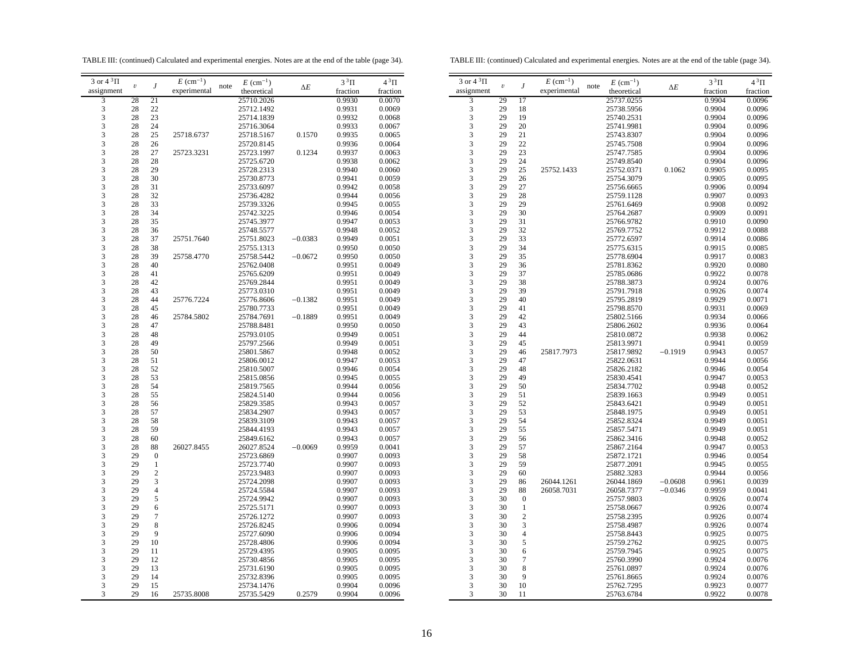TABLE III: (continued) Calculated and experimental energies. Notes are at the end of the table (page 34).

TABLE III: (continued) Calculated and experimental energies. Notes are at the end of the table (page 34).

| 3 or $4^3\Pi$                                   | $\boldsymbol{v}$ | J                                | $E~(\text{cm}^{-1})$ | note | $E~(\text{cm}^{-1})$     |            | $3^3\Pi$         | $4^3\Pi$         |
|-------------------------------------------------|------------------|----------------------------------|----------------------|------|--------------------------|------------|------------------|------------------|
| assignment                                      |                  |                                  | experimental         |      | theoretical              | $\Delta E$ | fraction         | fraction         |
| 3                                               | 28               | 21                               |                      |      | 25710.2026               |            | 0.9930           | 0.0070           |
| 3                                               | 28               | 22                               |                      |      | 25712.1492               |            | 0.9931           | 0.0069           |
| $\overline{\mathbf{3}}$                         | 28               | 23                               |                      |      | 25714.1839               |            | 0.9932           | 0.0068           |
| 3                                               | 28               | 24                               |                      |      | 25716.3064               |            | 0.9933           | 0.0067           |
| 3                                               | 28               | 25                               | 25718.6737           |      | 25718.5167               | 0.1570     | 0.9935           | 0.0065           |
| 3                                               | 28               | 26                               |                      |      | 25720.8145               |            | 0.9936           | 0.0064           |
| $\frac{3}{3}$                                   | 28               | 27                               | 25723.3231           |      | 25723.1997               | 0.1234     | 0.9937           | 0.0063           |
|                                                 | 28               | 28                               |                      |      | 25725.6720               |            | 0.9938           | 0.0062           |
|                                                 | 28               | 29                               |                      |      | 25728.2313               |            | 0.9940           | 0.0060           |
|                                                 | 28               | 30                               |                      |      | 25730.8773               |            | 0.9941           | 0.0059           |
| $\begin{array}{c} 3 \\ 3 \\ 3 \\ 3 \end{array}$ | 28               | 31                               |                      |      | 25733.6097               |            | 0.9942           | 0.0058           |
|                                                 | 28               | 32                               |                      |      | 25736.4282               |            | 0.9944           | 0.0056           |
| $\overline{\mathbf{3}}$                         | 28               | 33                               |                      |      | 25739.3326               |            | 0.9945           | 0.0055           |
| 3                                               | 28               | 34                               |                      |      | 25742.3225               |            | 0.9946           | 0.0054           |
| 3                                               | 28               | 35                               |                      |      | 25745.3977               |            | 0.9947           | 0.0053           |
| 3                                               | 28               | 36                               |                      |      | 25748.5577               |            | 0.9948           | 0.0052           |
| 3                                               | 28               | 37                               | 25751.7640           |      | 25751.8023               | $-0.0383$  | 0.9949           | 0.0051           |
|                                                 | 28               | 38                               |                      |      | 25755.1313               |            | 0.9950           | 0.0050           |
|                                                 | 28               | 39                               | 25758.4770           |      | 25758.5442               | $-0.0672$  | 0.9950           | 0.0050           |
|                                                 | 28               | 40                               |                      |      | 25762.0408               |            | 0.9951           | 0.0049           |
|                                                 | 28               | 41                               |                      |      | 25765.6209               |            | 0.9951           | 0.0049           |
| 333333                                          | 28               | 42                               |                      |      | 25769.2844               |            | 0.9951           | 0.0049           |
|                                                 | 28               | 43                               |                      |      | 25773.0310               |            | 0.9951           | 0.0049           |
|                                                 | 28               | 44                               | 25776.7224           |      | 25776.8606               | $-0.1382$  | 0.9951           | 0.0049           |
| $\frac{3}{3}$                                   | 28               | 45                               |                      |      | 25780.7733               |            | 0.9951           | 0.0049           |
|                                                 | 28               | 46                               | 25784.5802           |      | 25784.7691               | $-0.1889$  | 0.9951           | 0.0049           |
| 3                                               | 28               | 47                               |                      |      | 25788.8481               |            | 0.9950           | 0.0050           |
| 3                                               | 28               | 48                               |                      |      | 25793.0105               |            | 0.9949           | 0.0051           |
| $\frac{3}{3}$                                   | 28               | 49                               |                      |      | 25797.2566               |            | 0.9949           | 0.0051           |
|                                                 | 28               | 50                               |                      |      | 25801.5867               |            | 0.9948           | 0.0052           |
| 33333                                           | 28               | 51                               |                      |      | 25806.0012               |            | 0.9947           | 0.0053           |
|                                                 | 28               | 52                               |                      |      | 25810.5007               |            | 0.9946           | 0.0054           |
|                                                 | 28               | 53                               |                      |      | 25815.0856               |            | 0.9945           | 0.0055           |
|                                                 | 28               | 54                               |                      |      | 25819.7565               |            | 0.9944           | 0.0056           |
|                                                 | 28               | 55                               |                      |      | 25824.5140               |            | 0.9944           | 0.0056           |
|                                                 | 28               | 56                               |                      |      | 25829.3585               |            | 0.9943           | 0.0057           |
| $\frac{3}{3}$                                   | 28               | 57                               |                      |      | 25834.2907               |            | 0.9943           | 0.0057           |
|                                                 | 28               | 58                               |                      |      | 25839.3109               |            | 0.9943           | 0.0057           |
| 3                                               | 28               | 59                               |                      |      | 25844.4193               |            | 0.9943           | 0.0057           |
| 3                                               | 28<br>28         | 60                               |                      |      | 25849.6162               |            | 0.9943           | 0.0057           |
|                                                 | 29               | 88                               | 26027.8455           |      | 26027.8524               | $-0.0069$  | 0.9959           | 0.0041           |
|                                                 | 29               | $\boldsymbol{0}$<br>$\mathbf{1}$ |                      |      | 25723.6869               |            | 0.9907           | 0.0093<br>0.0093 |
|                                                 | 29               | $\boldsymbol{2}$                 |                      |      | 25723.7740               |            | 0.9907           |                  |
|                                                 | 29               | 3                                |                      |      | 25723.9483               |            | 0.9907           | 0.0093           |
|                                                 | 29               | $\overline{4}$                   |                      |      | 25724.2098<br>25724.5584 |            | 0.9907<br>0.9907 | 0.0093<br>0.0093 |
|                                                 | 29               | 5                                |                      |      | 25724.9942               |            | 0.9907           | 0.0093           |
|                                                 | 29               | 6                                |                      |      | 25725.5171               |            | 0.9907           | 0.0093           |
|                                                 | 29               | $\boldsymbol{7}$                 |                      |      | 25726.1272               |            | 0.9907           | 0.0093           |
|                                                 | 29               | 8                                |                      |      | 25726.8245               |            | 0.9906           | 0.0094           |
| 3                                               | 29               | 9                                |                      |      | 25727.6090               |            | 0.9906           | 0.0094           |
| 3                                               | 29               | 10                               |                      |      | 25728.4806               |            | 0.9906           | 0.0094           |
|                                                 | 29               | 11                               |                      |      | 25729.4395               |            | 0.9905           | 0.0095           |
|                                                 | 29               | 12                               |                      |      | 25730.4856               |            | 0.9905           | 0.0095           |
|                                                 | 29               | 13                               |                      |      | 25731.6190               |            | 0.9905           | 0.0095           |
| $\begin{array}{c} 3 \\ 3 \\ 3 \\ 3 \end{array}$ | 29               | 14                               |                      |      | 25732.8396               |            | 0.9905           | 0.0095           |
| 3                                               | 29               | 15                               |                      |      | 25734.1476               |            | 0.9904           | 0.0096           |
| 3                                               | 29               | 16                               | 25735.8008           |      | 25735.5429               | 0.2579     | 0.9904           | 0.0096           |
|                                                 |                  |                                  |                      |      |                          |            |                  |                  |

| 3 or $4^3\Pi$ | $\boldsymbol{\mathit{v}}$ | J                | $E~(\text{cm}^{-1})$ | note | $E~(\text{cm}^{-1})$ |            | $3^3\Pi$ | $4^3\Pi$ |
|---------------|---------------------------|------------------|----------------------|------|----------------------|------------|----------|----------|
| assignment    |                           |                  | experimental         |      | theoretical          | $\Delta E$ | fraction | fraction |
| 3             | 29                        | 17               |                      |      | 25737.0255           |            | 0.9904   | 0.0096   |
| 3             | 29                        | 18               |                      |      | 25738.5956           |            | 0.9904   | 0.0096   |
| 3             | 29                        | 19               |                      |      | 25740.2531           |            | 0.9904   | 0.0096   |
| 3             | 29                        | 20               |                      |      | 25741.9981           |            | 0.9904   | 0.0096   |
| 3             | 29                        | 21               |                      |      | 25743.8307           |            | 0.9904   | 0.0096   |
| 3             | 29                        | 22               |                      |      | 25745.7508           |            | 0.9904   | 0.0096   |
| 3             | 29                        | 23               |                      |      | 25747.7585           |            | 0.9904   | 0.0096   |
| 3             | 29                        | 24               |                      |      |                      |            |          |          |
|               |                           |                  |                      |      | 25749.8540           |            | 0.9904   | 0.0096   |
| 3             | 29                        | 25               | 25752.1433           |      | 25752.0371           | 0.1062     | 0.9905   | 0.0095   |
| 3             | 29                        | 26               |                      |      | 25754.3079           |            | 0.9905   | 0.0095   |
| 3             | 29                        | 27               |                      |      | 25756.6665           |            | 0.9906   | 0.0094   |
| 3             | 29                        | 28               |                      |      | 25759.1128           |            | 0.9907   | 0.0093   |
| 3             | 29                        | 29               |                      |      | 25761.6469           |            | 0.9908   | 0.0092   |
| 3             | 29                        | 30               |                      |      | 25764.2687           |            | 0.9909   | 0.0091   |
| 3             | 29                        | 31               |                      |      | 25766.9782           |            | 0.9910   | 0.0090   |
| 3             | 29                        | 32               |                      |      | 25769.7752           |            | 0.9912   | 0.0088   |
| 3             | 29                        | 33               |                      |      | 25772.6597           |            | 0.9914   | 0.0086   |
| 3             | 29                        | 34               |                      |      | 25775.6315           |            | 0.9915   | 0.0085   |
| 3             | 29                        | 35               |                      |      | 25778.6904           |            | 0.9917   | 0.0083   |
| 3             | 29                        | 36               |                      |      | 25781.8362           |            | 0.9920   | 0.0080   |
| 3             | 29                        | 37               |                      |      | 25785.0686           |            | 0.9922   | 0.0078   |
| 3             | 29                        | 38               |                      |      | 25788.3873           |            | 0.9924   | 0.0076   |
| 3             | 29                        | 39               |                      |      | 25791.7918           |            | 0.9926   | 0.0074   |
| 3             | 29                        | 40               |                      |      | 25795.2819           |            | 0.9929   | 0.0071   |
| 3             | 29                        | 41               |                      |      | 25798.8570           |            | 0.9931   | 0.0069   |
| 3             | 29                        | 42               |                      |      | 25802.5166           |            | 0.9934   | 0.0066   |
| 3             | 29                        | 43               |                      |      | 25806.2602           |            | 0.9936   | 0.0064   |
| 3             | 29                        | 44               |                      |      | 25810.0872           |            | 0.9938   | 0.0062   |
| 3             | 29                        | 45               |                      |      | 25813.9971           |            | 0.9941   | 0.0059   |
| 3             | 29                        | 46               | 25817.7973           |      | 25817.9892           | $-0.1919$  | 0.9943   | 0.0057   |
| 3             | 29                        | 47               |                      |      | 25822.0631           |            | 0.9944   | 0.0056   |
| 3             | 29                        | 48               |                      |      | 25826.2182           |            | 0.9946   | 0.0054   |
| 3             | 29                        | 49               |                      |      | 25830.4541           |            | 0.9947   | 0.0053   |
| 3             | 29                        | 50               |                      |      | 25834.7702           |            | 0.9948   | 0.0052   |
| 3             | 29                        | 51               |                      |      | 25839.1663           |            | 0.9949   | 0.0051   |
| 3             | 29                        | 52               |                      |      | 25843.6421           |            | 0.9949   | 0.0051   |
| 3             | 29                        | 53               |                      |      | 25848.1975           |            | 0.9949   | 0.0051   |
| 3             | 29                        | 54               |                      |      | 25852.8324           |            | 0.9949   | 0.0051   |
| 3             | 29                        | 55               |                      |      | 25857.5471           |            | 0.9949   | 0.0051   |
| 3             | 29                        | 56               |                      |      | 25862.3416           |            | 0.9948   | 0.0052   |
| 3             | 29                        | 57               |                      |      | 25867.2164           |            | 0.9947   | 0.0053   |
| 3             | 29                        | 58               |                      |      | 25872.1721           |            | 0.9946   | 0.0054   |
| 3             | 29                        | 59               |                      |      | 25877.2091           |            | 0.9945   | 0.0055   |
| 3             | 29                        | 60               |                      |      | 25882.3283           |            | 0.9944   | 0.0056   |
| 3             | 29                        | 86               | 26044.1261           |      | 26044.1869           | $-0.0608$  | 0.9961   | 0.0039   |
| 3             | 29                        | 88               | 26058.7031           |      | 26058.7377           | $-0.0346$  | 0.9959   | 0.0041   |
|               |                           |                  |                      |      |                      |            |          |          |
| 3             | 30                        | $\boldsymbol{0}$ |                      |      | 25757.9803           |            | 0.9926   | 0.0074   |
| 3             | 30                        | $\mathbf{1}$     |                      |      | 25758.0667           |            | 0.9926   | 0.0074   |
| 3             | 30                        | $\overline{c}$   |                      |      | 25758.2395           |            | 0.9926   | 0.0074   |
| 3             | 30                        | 3                |                      |      | 25758.4987           |            | 0.9926   | 0.0074   |
| 3             | 30                        | $\overline{4}$   |                      |      | 25758.8443           |            | 0.9925   | 0.0075   |
| 3             | 30                        | 5                |                      |      | 25759.2762           |            | 0.9925   | 0.0075   |
| 3             | 30                        | 6                |                      |      | 25759.7945           |            | 0.9925   | 0.0075   |
| 3             | 30                        | $\overline{7}$   |                      |      | 25760.3990           |            | 0.9924   | 0.0076   |
| 3             | 30                        | 8                |                      |      | 25761.0897           |            | 0.9924   | 0.0076   |
| 3             | 30                        | 9                |                      |      | 25761.8665           |            | 0.9924   | 0.0076   |
| 3             | 30                        | 10               |                      |      | 25762.7295           |            | 0.9923   | 0.0077   |
| 3             | 30                        | 11               |                      |      | 25763.6784           |            | 0.9922   | 0.0078   |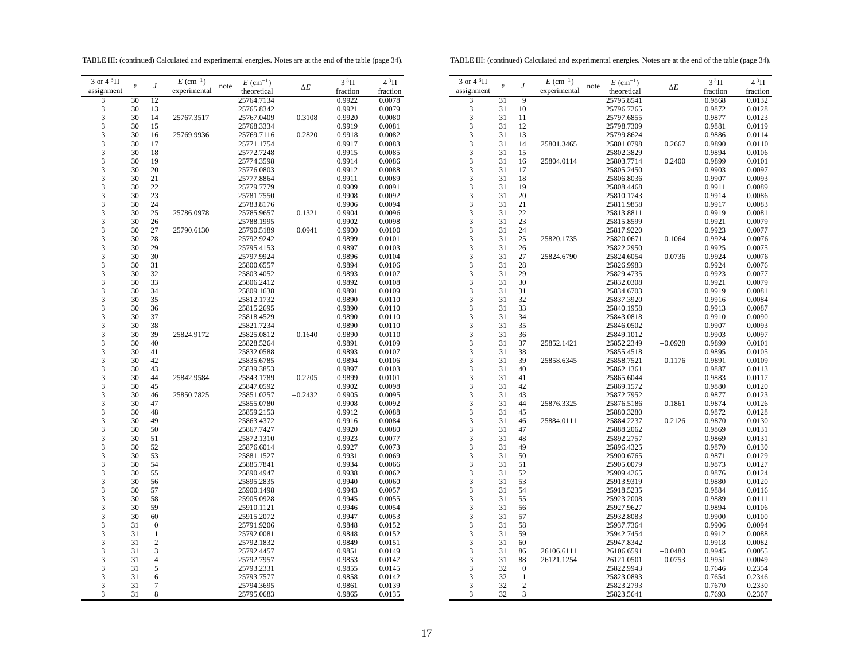TABLE III: (continued) Calculated and experimental energies. Notes are at the end of the table (page 34).

TABLE III: (continued) Calculated and experimental energies. Notes are at the end of the table (page 34).

| 3 or $4^3\Pi$                              |                         |                          | $E~(\text{cm}^{-1})$ |      | $E~(\text{cm}^{-1})$ |            | $3^3\Pi$ | $4^3\Pi$ |  |
|--------------------------------------------|-------------------------|--------------------------|----------------------|------|----------------------|------------|----------|----------|--|
| assignment                                 | $\boldsymbol{\upsilon}$ | J                        | experimental         | note | theoretical          | $\Delta E$ | fraction | fraction |  |
| 3                                          | 30                      | 12                       |                      |      | 25764.7134           |            | 0.9922   | 0.0078   |  |
|                                            | 30                      | 13                       |                      |      | 25765.8342           |            | 0.9921   | 0.0079   |  |
| $\frac{3}{3}$                              | 30                      | 14                       | 25767.3517           |      | 25767.0409           | 0.3108     | 0.9920   | 0.0080   |  |
| $\overline{\mathbf{3}}$                    | 30                      | 15                       |                      |      | 25768.3334           |            | 0.9919   | 0.0081   |  |
| 3                                          | 30                      | 16                       | 25769.9936           |      | 25769.7116           | 0.2820     | 0.9918   | 0.0082   |  |
| 3                                          | 30                      | 17                       |                      |      | 25771.1754           |            | 0.9917   | 0.0083   |  |
| 3                                          | 30                      | 18                       |                      |      | 25772.7248           |            | 0.9915   | 0.0085   |  |
| 3                                          | 30                      | 19                       |                      |      | 25774.3598           |            | 0.9914   | 0.0086   |  |
| 3                                          | 30                      | 20                       |                      |      | 25776.0803           |            | 0.9912   | 0.0088   |  |
|                                            | 30                      | 21                       |                      |      | 25777.8864           |            | 0.9911   | 0.0089   |  |
|                                            | 30                      | 22                       |                      |      | 25779.7779           |            | 0.9909   | 0.0091   |  |
| $\begin{array}{c} 3 \\ 3 \\ 3 \end{array}$ | 30                      | 23                       |                      |      | 25781.7550           |            | 0.9908   | 0.0092   |  |
| 3                                          | 30                      | 24                       |                      |      | 25783.8176           |            | 0.9906   | 0.0094   |  |
| 3                                          | 30                      | 25                       | 25786.0978           |      | 25785.9657           | 0.1321     | 0.9904   | 0.0096   |  |
| $\overline{\mathbf{3}}$                    | 30                      | 26                       |                      |      | 25788.1995           |            | 0.9902   | 0.0098   |  |
| 3                                          | 30                      | 27                       | 25790.6130           |      | 25790.5189           | 0.0941     | 0.9900   | 0.0100   |  |
| 3                                          | 30                      | 28                       |                      |      | 25792.9242           |            | 0.9899   | 0.0101   |  |
| 3                                          | 30                      | 29                       |                      |      | 25795.4153           |            | 0.9897   | 0.0103   |  |
| 3                                          | 30                      | 30                       |                      |      | 25797.9924           |            | 0.9896   | 0.0104   |  |
|                                            | 30                      | 31                       |                      |      | 25800.6557           |            | 0.9894   | 0.0106   |  |
| $\frac{3}{3}$                              | 30                      | 32                       |                      |      | 25803.4052           |            | 0.9893   | 0.0107   |  |
|                                            | 30                      | 33                       |                      |      | 25806.2412           |            | 0.9892   | 0.0108   |  |
| $\frac{3}{3}$                              | 30                      | 34                       |                      |      | 25809.1638           |            | 0.9891   | 0.0109   |  |
| 3                                          | 30                      | 35                       |                      |      | 25812.1732           |            | 0.9890   | 0.0110   |  |
| 3                                          | 30                      | 36                       |                      |      | 25815.2695           |            | 0.9890   | 0.0110   |  |
| 3                                          | 30                      | 37                       |                      |      | 25818.4529           |            | 0.9890   | 0.0110   |  |
| 3                                          | 30                      | 38                       |                      |      | 25821.7234           |            | 0.9890   | 0.0110   |  |
| 3                                          | 30                      | 39                       | 25824.9172           |      | 25825.0812           | $-0.1640$  | 0.9890   | 0.0110   |  |
|                                            | 30                      | 40                       |                      |      | 25828.5264           |            | 0.9891   | 0.0109   |  |
| $\frac{3}{3}$                              | 30                      | 41                       |                      |      | 25832.0588           |            | 0.9893   | 0.0107   |  |
|                                            | 30                      | 42                       |                      |      | 25835.6785           |            | 0.9894   | 0.0106   |  |
| $\frac{3}{3}$                              | 30                      | 43                       |                      |      | 25839.3853           |            | 0.9897   | 0.0103   |  |
|                                            | 30                      | 44                       | 25842.9584           |      | 25843.1789           | $-0.2205$  | 0.9899   | 0.0101   |  |
| $\frac{3}{3}$                              | 30                      | 45                       |                      |      | 25847.0592           |            | 0.9902   | 0.0098   |  |
| 3                                          | 30                      | 46                       | 25850.7825           |      | 25851.0257           | $-0.2432$  | 0.9905   | 0.0095   |  |
| 3                                          | 30                      | 47                       |                      |      | 25855.0780           |            | 0.9908   | 0.0092   |  |
| 3                                          | 30                      | 48                       |                      |      | 25859.2153           |            | 0.9912   | 0.0088   |  |
| 3                                          | 30                      | 49                       |                      |      | 25863.4372           |            | 0.9916   | 0.0084   |  |
| 3                                          | 30                      | 50                       |                      |      | 25867.7427           |            | 0.9920   | 0.0080   |  |
| 3                                          | 30                      | 51                       |                      |      | 25872.1310           |            | 0.9923   | 0.0077   |  |
| 3                                          | 30                      | 52                       |                      |      | 25876.6014           |            | 0.9927   | 0.0073   |  |
|                                            | 30                      | 53                       |                      |      | 25881.1527           |            | 0.9931   | 0.0069   |  |
| $\frac{3}{3}$                              | 30                      | 54                       |                      |      | 25885.7841           |            | 0.9934   | 0.0066   |  |
| $\overline{\mathbf{3}}$                    | 30                      | 55                       |                      |      | 25890.4947           |            | 0.9938   | 0.0062   |  |
| $\overline{\mathbf{3}}$                    | 30                      | 56                       |                      |      | 25895.2835           |            | 0.9940   | 0.0060   |  |
| 3                                          | 30                      | 57                       |                      |      | 25900.1498           |            | 0.9943   | 0.0057   |  |
| 3                                          | 30                      | 58                       |                      |      | 25905.0928           |            | 0.9945   | 0.0055   |  |
| 3                                          | 30                      | 59                       |                      |      | 25910.1121           |            | 0.9946   | 0.0054   |  |
| 3                                          | 30                      | 60                       |                      |      | 25915.2072           |            | 0.9947   | 0.0053   |  |
| 3                                          | 31                      | $\boldsymbol{0}$         |                      |      | 25791.9206           |            | 0.9848   | 0.0152   |  |
|                                            | 31                      | $\,1$                    |                      |      | 25792.0081           |            | 0.9848   | 0.0152   |  |
| $\frac{3}{3}$                              | 31                      | $\overline{2}$           |                      |      | 25792.1832           |            | 0.9849   | 0.0151   |  |
|                                            | 31                      | 3                        |                      |      | 25792.4457           |            | 0.9851   | 0.0149   |  |
| $\frac{3}{3}$                              | 31                      | $\overline{\mathcal{L}}$ |                      |      | 25792.7957           |            | 0.9853   | 0.0147   |  |
| 3                                          | 31                      | 5                        |                      |      | 25793.2331           |            | 0.9855   | 0.0145   |  |
| 3                                          | 31                      | 6                        |                      |      | 25793.7577           |            | 0.9858   | 0.0142   |  |
| $\overline{\mathbf{3}}$                    | 31                      | $\boldsymbol{7}$         |                      |      | 25794.3695           |            | 0.9861   | 0.0139   |  |
| 3                                          | 31                      | 8                        |                      |      | 25795.0683           |            | 0.9865   | 0.0135   |  |
|                                            |                         |                          |                      |      |                      |            |          |          |  |

| 3 or $4 \sqrt[3]{11}$   | $\boldsymbol{\upsilon}$ | J                | $E~(\text{cm}^{-1})$ | $E~(\text{cm}^{-1})$<br>note | $\Delta E$ | $3^3\Pi$ | $4^3\Pi$ |
|-------------------------|-------------------------|------------------|----------------------|------------------------------|------------|----------|----------|
| assignment              |                         |                  | experimental         | theoretical                  |            | fraction | fraction |
| 3                       | 31                      | $\overline{9}$   |                      | 25795.8541                   |            | 0.9868   | 0.0132   |
| 3                       | 31                      | 10               |                      | 25796.7265                   |            | 0.9872   | 0.0128   |
| $\overline{\mathbf{3}}$ | 31                      | 11               |                      | 25797.6855                   |            | 0.9877   | 0.0123   |
| 3                       | 31                      | 12               |                      | 25798.7309                   |            | 0.9881   | 0.0119   |
| 3                       | 31                      | 13               |                      | 25799.8624                   |            | 0.9886   | 0.0114   |
| 3                       | 31                      | 14               | 25801.3465           | 25801.0798                   | 0.2667     | 0.9890   | 0.0110   |
| 3                       | 31                      | 15               |                      | 25802.3829                   |            | 0.9894   | 0.0106   |
| 3                       | 31                      | 16               | 25804.0114           | 25803.7714                   | 0.2400     | 0.9899   | 0.0101   |
| 3                       | 31                      | 17               |                      | 25805.2450                   |            | 0.9903   | 0.0097   |
| 3                       | 31                      | 18               |                      | 25806.8036                   |            | 0.9907   | 0.0093   |
| 3                       | 31                      | 19               |                      | 25808.4468                   |            | 0.9911   | 0.0089   |
| 3                       | 31                      | 20               |                      | 25810.1743                   |            | 0.9914   | 0.0086   |
| 3                       | 31                      | 21               |                      | 25811.9858                   |            | 0.9917   | 0.0083   |
| 3                       | 31                      | 22               |                      | 25813.8811                   |            | 0.9919   | 0.0081   |
| 3                       | 31                      | 23               |                      | 25815.8599                   |            | 0.9921   | 0.0079   |
|                         | 31                      | 24               |                      | 25817.9220                   |            | 0.9923   | 0.0077   |
| $\frac{3}{3}$           |                         |                  |                      |                              |            |          |          |
| 3                       | 31<br>31                | 25               | 25820.1735           | 25820.0671                   | 0.1064     | 0.9924   | 0.0076   |
|                         |                         | 26               |                      | 25822.2950                   |            | 0.9925   | 0.0075   |
| 3                       | 31                      | 27               | 25824.6790           | 25824.6054                   | 0.0736     | 0.9924   | 0.0076   |
| 3                       | 31                      | 28               |                      | 25826.9983                   |            | 0.9924   | 0.0076   |
| $\overline{\mathbf{3}}$ | 31                      | 29               |                      | 25829.4735                   |            | 0.9923   | 0.0077   |
| 3                       | 31                      | 30               |                      | 25832.0308                   |            | 0.9921   | 0.0079   |
| 3                       | 31                      | 31               |                      | 25834.6703                   |            | 0.9919   | 0.0081   |
| 3                       | 31                      | 32               |                      | 25837.3920                   |            | 0.9916   | 0.0084   |
| $\frac{3}{3}$           | 31                      | 33               |                      | 25840.1958                   |            | 0.9913   | 0.0087   |
|                         | 31                      | 34               |                      | 25843.0818                   |            | 0.9910   | 0.0090   |
| 3                       | 31                      | 35               |                      | 25846.0502                   |            | 0.9907   | 0.0093   |
| 3                       | 31                      | 36               |                      | 25849.1012                   |            | 0.9903   | 0.0097   |
| $\overline{\mathbf{3}}$ | 31                      | 37               | 25852.1421           | 25852.2349                   | $-0.0928$  | 0.9899   | 0.0101   |
| 3                       | 31                      | 38               |                      | 25855.4518                   |            | 0.9895   | 0.0105   |
| 3                       | 31                      | 39               | 25858.6345           | 25858.7521                   | $-0.1176$  | 0.9891   | 0.0109   |
| 3                       | 31                      | 40               |                      | 25862.1361                   |            | 0.9887   | 0.0113   |
| 3                       | 31                      | 41               |                      | 25865.6044                   |            | 0.9883   | 0.0117   |
| $\overline{\mathbf{3}}$ | 31                      | 42               |                      | 25869.1572                   |            | 0.9880   | 0.0120   |
| 3                       | 31                      | 43               |                      | 25872.7952                   |            | 0.9877   | 0.0123   |
| 3                       | 31                      | 44               | 25876.3325           | 25876.5186                   | $-0.1861$  | 0.9874   | 0.0126   |
| 3                       | 31                      | 45               |                      | 25880.3280                   |            | 0.9872   | 0.0128   |
| 3                       | 31                      | 46               | 25884.0111           | 25884.2237                   | $-0.2126$  | 0.9870   | 0.0130   |
| 3                       | 31                      | 47               |                      | 25888.2062                   |            | 0.9869   | 0.0131   |
| 3                       | 31                      | 48               |                      | 25892.2757                   |            | 0.9869   | 0.0131   |
| 3                       | 31                      | 49               |                      | 25896.4325                   |            | 0.9870   | 0.0130   |
| 3                       | 31                      | 50               |                      | 25900.6765                   |            | 0.9871   | 0.0129   |
| 3                       | 31                      | 51               |                      | 25905.0079                   |            | 0.9873   | 0.0127   |
| 3                       | 31                      | 52               |                      | 25909.4265                   |            | 0.9876   | 0.0124   |
| 3                       | 31                      | 53               |                      | 25913.9319                   |            | 0.9880   | 0.0120   |
| $\overline{\mathbf{3}}$ | 31                      | 54               |                      | 25918.5235                   |            | 0.9884   | 0.0116   |
| 3                       | 31                      | 55               |                      | 25923.2008                   |            | 0.9889   | 0.0111   |
| $\overline{\mathbf{3}}$ | 31                      | 56               |                      | 25927.9627                   |            | 0.9894   | 0.0106   |
| 3                       | 31                      | 57               |                      | 25932.8083                   |            | 0.9900   |          |
| 3                       | 31                      | 58               |                      | 25937.7364                   |            | 0.9906   | 0.0100   |
| $\overline{3}$          |                         |                  |                      |                              |            |          | 0.0094   |
|                         | 31                      | 59               |                      | 25942.7454                   |            | 0.9912   | 0.0088   |
| 3                       | 31                      | 60               |                      | 25947.8342                   |            | 0.9918   | 0.0082   |
| 3                       | 31                      | 86               | 26106.6111           | 26106.6591                   | $-0.0480$  | 0.9945   | 0.0055   |
| 3                       | 31                      | 88               | 26121.1254           | 26121.0501                   | 0.0753     | 0.9951   | 0.0049   |
| $\overline{\mathbf{3}}$ | 32                      | $\boldsymbol{0}$ |                      | 25822.9943                   |            | 0.7646   | 0.2354   |
| $\overline{\mathbf{3}}$ | 32                      | $\mathbf{1}$     |                      | 25823.0893                   |            | 0.7654   | 0.2346   |
| 3                       | 32                      | $\overline{c}$   |                      | 25823.2793                   |            | 0.7670   | 0.2330   |
| 3                       | 32                      | 3                |                      | 25823.5641                   |            | 0.7693   | 0.2307   |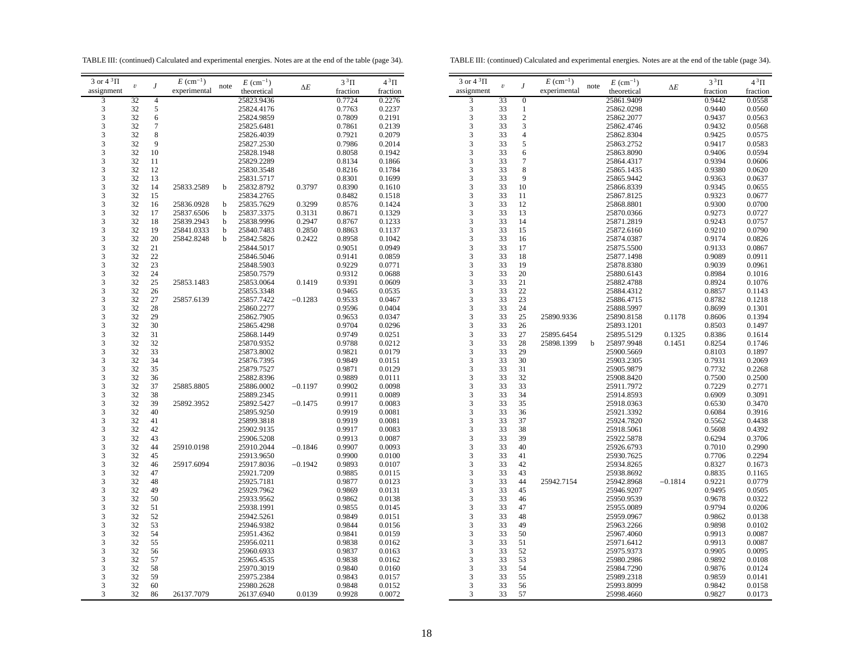TABLE III: (continued) Calculated and experimental energies. Notes are at the end of the table (page 34).

TABLE III: (continued) Calculated and experimental energies. Notes are at the end of the table (page 34).

| 3 or $4^3\Pi$                                   |                         |                | $E~(\text{cm}^{-1})$ |      | $E~(\text{cm}^{-1})$ |            | $3^3\Pi$ | $4^3\Pi$ |
|-------------------------------------------------|-------------------------|----------------|----------------------|------|----------------------|------------|----------|----------|
| assignment                                      | $\boldsymbol{\upsilon}$ | J              | experimental         | note | theoretical          | $\Delta E$ | fraction | fraction |
| 3                                               | 32                      | 4              |                      |      | 25823.9436           |            | 0.7724   | 0.2276   |
|                                                 | 32                      | 5              |                      |      | 25824.4176           |            | 0.7763   | 0.2237   |
| $\begin{array}{c} 3 \\ 3 \\ 3 \end{array}$      | 32                      | 6              |                      |      | 25824.9859           |            | 0.7809   | 0.2191   |
|                                                 | 32                      | $\overline{7}$ |                      |      | 25825.6481           |            | 0.7861   | 0.2139   |
| 3                                               | 32                      | 8              |                      |      | 25826.4039           |            | 0.7921   | 0.2079   |
|                                                 | 32                      | 9              |                      |      | 25827.2530           |            | 0.7986   | 0.2014   |
| $\begin{array}{c} 3 \\ 3 \\ 3 \end{array}$      | 32                      | 10             |                      |      | 25828.1948           |            | 0.8058   | 0.1942   |
|                                                 | 32                      | 11             |                      |      | 25829.2289           |            | 0.8134   | 0.1866   |
|                                                 | 32                      | 12             |                      |      | 25830.3548           |            | 0.8216   | 0.1784   |
|                                                 | 32                      | 13             |                      |      | 25831.5717           |            | 0.8301   | 0.1699   |
|                                                 | 32                      | 14             | 25833.2589           | b    | 25832.8792           | 0.3797     | 0.8390   | 0.1610   |
| $\begin{array}{c} 3 \\ 3 \\ 3 \\ 3 \end{array}$ | 32                      | 15             |                      |      | 25834.2765           |            | 0.8482   | 0.1518   |
|                                                 | 32                      | 16             | 25836.0928           | b    | 25835.7629           | 0.3299     | 0.8576   | 0.1424   |
| $\begin{array}{c} 3 \\ 3 \\ 3 \\ 3 \end{array}$ | 32                      | 17             | 25837.6506           | b    | 25837.3375           | 0.3131     | 0.8671   | 0.1329   |
|                                                 | 32                      | 18             | 25839.2943           | b    | 25838.9996           | 0.2947     | 0.8767   | 0.1233   |
|                                                 | 32                      | 19             | 25841.0333           | b    | 25840.7483           | 0.2850     | 0.8863   | 0.1137   |
|                                                 | 32                      | 20             | 25842.8248           | b    | 25842.5826           | 0.2422     | 0.8958   | 0.1042   |
|                                                 | 32                      | 21             |                      |      | 25844.5017           |            | 0.9051   | 0.0949   |
|                                                 | 32                      | 22             |                      |      | 25846.5046           |            | 0.9141   | 0.0859   |
| $\begin{array}{c} 3 \\ 3 \\ 3 \end{array}$      | 32                      | 23             |                      |      | 25848.5903           |            | 0.9229   | 0.0771   |
|                                                 | 32                      | 24             |                      |      | 25850.7579           |            | 0.9312   | 0.0688   |
|                                                 | 32                      | 25             | 25853.1483           |      | 25853.0064           | 0.1419     | 0.9391   | 0.0609   |
|                                                 | 32                      | 26             |                      |      | 25855.3348           |            | 0.9465   | 0.0535   |
| $3333$<br>$333$                                 | 32                      | 27             | 25857.6139           |      | 25857.7422           | $-0.1283$  | 0.9533   | 0.0467   |
|                                                 | 32                      | 28             |                      |      | 25860.2277           |            | 0.9596   | 0.0404   |
|                                                 | 32                      | 29             |                      |      | 25862.7905           |            | 0.9653   | 0.0347   |
|                                                 | 32                      | 30             |                      |      |                      |            | 0.9704   | 0.0296   |
|                                                 |                         |                |                      |      | 25865.4298           |            |          |          |
| $\begin{array}{c} 3 \\ 3 \\ 3 \end{array}$      | 32                      | 31             |                      |      | 25868.1449           |            | 0.9749   | 0.0251   |
|                                                 | 32                      | 32             |                      |      | 25870.9352           |            | 0.9788   | 0.0212   |
|                                                 | 32<br>32                | 33<br>34       |                      |      | 25873.8002           |            | 0.9821   | 0.0179   |
| $\frac{3}{3}$                                   | 32                      | 35             |                      |      | 25876.7395           |            | 0.9849   | 0.0151   |
|                                                 |                         |                |                      |      | 25879.7527           |            | 0.9871   | 0.0129   |
| $333333$<br>$333$                               | 32                      | 36             |                      |      | 25882.8396           |            | 0.9889   | 0.0111   |
|                                                 | 32                      | 37             | 25885.8805           |      | 25886.0002           | $-0.1197$  | 0.9902   | 0.0098   |
|                                                 | 32<br>32                | 38<br>39       |                      |      | 25889.2345           |            | 0.9911   | 0.0089   |
|                                                 |                         |                | 25892.3952           |      | 25892.5427           | $-0.1475$  | 0.9917   | 0.0083   |
|                                                 | 32                      | 40             |                      |      | 25895.9250           |            | 0.9919   | 0.0081   |
|                                                 | 32                      | 41             |                      |      | 25899.3818           |            | 0.9919   | 0.0081   |
|                                                 | 32                      | 42             |                      |      | 25902.9135           |            | 0.9917   | 0.0083   |
| $\begin{array}{c} 3 \\ 3 \\ 3 \end{array}$      | 32                      | 43             |                      |      | 25906.5208           |            | 0.9913   | 0.0087   |
|                                                 | 32                      | 44             | 25910.0198           |      | 25910.2044           | $-0.1846$  | 0.9907   | 0.0093   |
|                                                 | 32                      | 45             |                      |      | 25913.9650           |            | 0.9900   | 0.0100   |
|                                                 | 32                      | 46             | 25917.6094           |      | 25917.8036           | $-0.1942$  | 0.9893   | 0.0107   |
| $\begin{array}{c} 3 \\ 3 \\ 3 \\ 3 \end{array}$ | 32                      | 47             |                      |      | 25921.7209           |            | 0.9885   | 0.0115   |
|                                                 | 32                      | 48             |                      |      | 25925.7181           |            | 0.9877   | 0.0123   |
|                                                 | 32                      | 49             |                      |      | 25929.7962           |            | 0.9869   | 0.0131   |
|                                                 | 32                      | 50             |                      |      | 25933.9562           |            | 0.9862   | 0.0138   |
|                                                 | 32                      | 51             |                      |      | 25938.1991           |            | 0.9855   | 0.0145   |
| 33333333                                        | 32                      | 52             |                      |      | 25942.5261           |            | 0.9849   | 0.0151   |
|                                                 | 32                      | 53             |                      |      | 25946.9382           |            | 0.9844   | 0.0156   |
|                                                 | 32                      | 54             |                      |      | 25951.4362           |            | 0.9841   | 0.0159   |
|                                                 | 32                      | 55             |                      |      | 25956.0211           |            | 0.9838   | 0.0162   |
|                                                 | 32                      | 56             |                      |      | 25960.6933           |            | 0.9837   | 0.0163   |
|                                                 | 32                      | 57             |                      |      | 25965.4535           |            | 0.9838   | 0.0162   |
|                                                 | 32                      | 58             |                      |      | 25970.3019           |            | 0.9840   | 0.0160   |
|                                                 | 32                      | 59             |                      |      | 25975.2384           |            | 0.9843   | 0.0157   |
| 3                                               | 32                      | 60             |                      |      | 25980.2628           |            | 0.9848   | 0.0152   |
| 3                                               | 32                      | 86             | 26137.7079           |      | 26137.6940           | 0.0139     | 0.9928   | 0.0072   |

| 3 or $4^3\Pi$           | $\boldsymbol{\mathit{v}}$ | J              | $E~(\text{cm}^{-1})$ | note | $E~(\text{cm}^{-1})$ | $\Delta E$ | $3^3\Pi$ | $4^3\Pi$ |
|-------------------------|---------------------------|----------------|----------------------|------|----------------------|------------|----------|----------|
| assignment              |                           |                | experimental         |      | theoretical          |            | fraction | fraction |
| $\overline{\mathbf{3}}$ | 33                        | $\overline{0}$ |                      |      | 25861.9409           |            | 0.9442   | 0.0558   |
| 3                       | 33                        | $\mathbf{1}$   |                      |      | 25862.0298           |            | 0.9440   | 0.0560   |
| 3                       | 33                        | $\overline{c}$ |                      |      | 25862.2077           |            | 0.9437   | 0.0563   |
| 3                       | 33                        | 3              |                      |      | 25862.4746           |            | 0.9432   | 0.0568   |
| 3                       | 33                        | 4              |                      |      | 25862.8304           |            | 0.9425   | 0.0575   |
| 3                       | 33                        | 5              |                      |      | 25863.2752           |            | 0.9417   | 0.0583   |
| 3                       | 33                        | 6              |                      |      | 25863.8090           |            | 0.9406   | 0.0594   |
| 3                       | 33                        | 7              |                      |      | 25864.4317           |            | 0.9394   | 0.0606   |
| 3                       | 33                        | 8              |                      |      | 25865.1435           |            | 0.9380   | 0.0620   |
| 3                       | 33                        | 9              |                      |      | 25865.9442           |            | 0.9363   | 0.0637   |
| 3                       | 33                        | 10             |                      |      | 25866.8339           |            | 0.9345   | 0.0655   |
| 3                       | 33                        | 11             |                      |      | 25867.8125           |            | 0.9323   | 0.0677   |
| 3                       | 33                        | 12             |                      |      | 25868.8801           |            | 0.9300   | 0.0700   |
| 3                       | 33                        | 13             |                      |      | 25870.0366           |            | 0.9273   | 0.0727   |
| 3                       | 33                        | 14             |                      |      | 25871.2819           |            | 0.9243   | 0.0757   |
| 3                       | 33                        | 15             |                      |      | 25872.6160           |            | 0.9210   | 0.0790   |
| 3                       | 33                        | 16             |                      |      | 25874.0387           |            | 0.9174   | 0.0826   |
| 3                       | 33                        | 17             |                      |      | 25875.5500           |            | 0.9133   | 0.0867   |
| 3                       | 33                        | 18             |                      |      | 25877.1498           |            | 0.9089   | 0.0911   |
| 3                       | 33                        | 19             |                      |      | 25878.8380           |            | 0.9039   | 0.0961   |
| 3                       | 33                        | 20             |                      |      | 25880.6143           |            | 0.8984   | 0.1016   |
| 3                       | 33                        | 21             |                      |      | 25882.4788           |            | 0.8924   | 0.1076   |
| 3                       | 33                        | 22             |                      |      | 25884.4312           |            | 0.8857   | 0.1143   |
| 3                       | 33                        | 23             |                      |      | 25886.4715           |            | 0.8782   | 0.1218   |
| 3                       | 33                        | 24             |                      |      | 25888.5997           |            | 0.8699   | 0.1301   |
| 3                       | 33                        | 25             | 25890.9336           |      | 25890.8158           | 0.1178     | 0.8606   | 0.1394   |
| 3                       | 33                        | 26             |                      |      | 25893.1201           |            | 0.8503   | 0.1497   |
| 3                       | 33                        | 27             | 25895.6454           |      | 25895.5129           | 0.1325     | 0.8386   | 0.1614   |
| 3                       | 33                        | 28             | 25898.1399           | b    | 25897.9948           | 0.1451     | 0.8254   | 0.1746   |
| 3                       | 33                        | 29             |                      |      | 25900.5669           |            | 0.8103   | 0.1897   |
| 3                       | 33                        | 30             |                      |      | 25903.2305           |            | 0.7931   | 0.2069   |
| 3                       | 33                        | 31             |                      |      | 25905.9879           |            | 0.7732   | 0.2268   |
| 3                       | 33                        | 32             |                      |      | 25908.8420           |            | 0.7500   | 0.2500   |
| 3                       | 33                        | 33             |                      |      | 25911.7972           |            | 0.7229   | 0.2771   |
| 3                       | 33                        | 34             |                      |      | 25914.8593           |            | 0.6909   | 0.3091   |
| 3                       | 33                        | 35             |                      |      | 25918.0363           |            | 0.6530   | 0.3470   |
| 3                       | 33                        | 36             |                      |      | 25921.3392           |            | 0.6084   | 0.3916   |
| 3                       | 33                        | 37             |                      |      | 25924.7820           |            | 0.5562   | 0.4438   |
| 3                       | 33                        | 38             |                      |      | 25918.5061           |            | 0.5608   | 0.4392   |
| 3                       | 33                        | 39             |                      |      | 25922.5878           |            | 0.6294   | 0.3706   |
| 3                       | 33                        | 40             |                      |      | 25926.6793           |            | 0.7010   | 0.2990   |
| 3                       | 33                        | 41             |                      |      | 25930.7625           |            | 0.7706   | 0.2294   |
| 3                       | 33                        | 42             |                      |      | 25934.8265           |            | 0.8327   | 0.1673   |
| 3                       | 33                        | 43             |                      |      | 25938.8692           |            | 0.8835   | 0.1165   |
| 3                       | 33                        | 44             | 25942.7154           |      | 25942.8968           | $-0.1814$  | 0.9221   | 0.0779   |
| 3                       | 33                        | 45             |                      |      | 25946.9207           |            | 0.9495   | 0.0505   |
| 3                       | 33                        | 46             |                      |      | 25950.9539           |            | 0.9678   | 0.0322   |
| 3                       | 33                        | 47             |                      |      | 25955.0089           |            | 0.9794   | 0.0206   |
| 3                       | 33                        | 48             |                      |      | 25959.0967           |            | 0.9862   | 0.0138   |
| 3                       | 33                        | 49             |                      |      | 25963.2266           |            | 0.9898   | 0.0102   |
| 3                       | 33                        | 50             |                      |      | 25967.4060           |            | 0.9913   | 0.0087   |
| 3                       | 33                        | 51             |                      |      | 25971.6412           |            | 0.9913   | 0.0087   |
| 3                       | 33                        | 52             |                      |      | 25975.9373           |            | 0.9905   | 0.0095   |
| 3                       | 33                        | 53             |                      |      | 25980.2986           |            | 0.9892   | 0.0108   |
| 3                       | 33                        | 54             |                      |      | 25984.7290           |            | 0.9876   | 0.0124   |
| 3                       | 33                        | 55             |                      |      | 25989.2318           |            | 0.9859   | 0.0141   |
| 3                       | 33                        | 56             |                      |      | 25993.8099           |            | 0.9842   | 0.0158   |
| 3                       | 33                        | 57             |                      |      | 25998.4660           |            | 0.9827   | 0.0173   |
|                         |                           |                |                      |      |                      |            |          |          |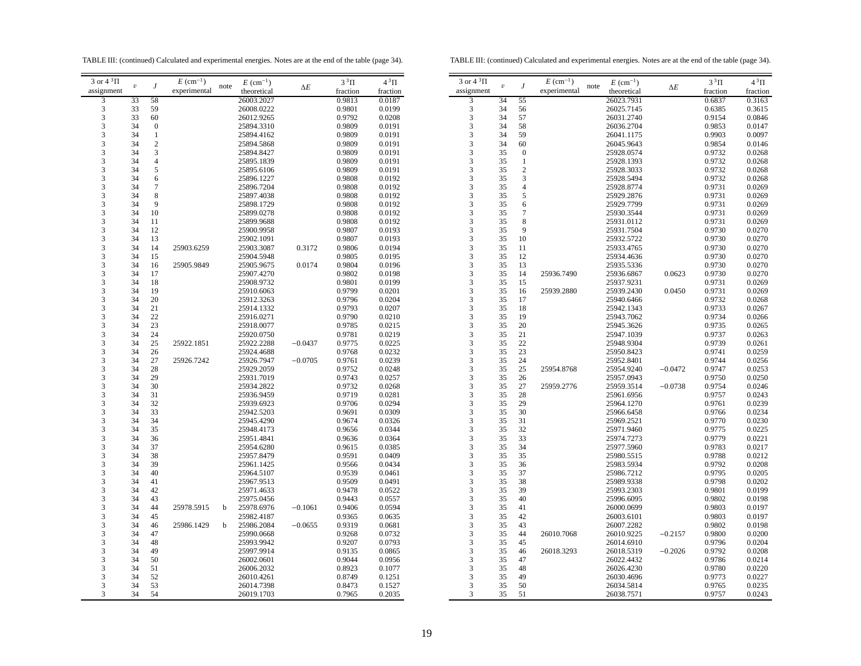TABLE III: (continued) Calculated and experimental energies. Notes are at the end of the table (page 34).

TABLE III: (continued) Calculated and experimental energies. Notes are at the end of the table (page 34).

| 3 or $4^3\Pi$                                   |                         |                  | $E~(\text{cm}^{-1})$ |      | $E~(\text{cm}^{-1})$ |            | $3^3\Pi$ | $4^3\Pi$ |
|-------------------------------------------------|-------------------------|------------------|----------------------|------|----------------------|------------|----------|----------|
| assignment                                      | $\boldsymbol{\upsilon}$ | J                | experimental         | note | theoretical          | $\Delta E$ | fraction | fraction |
| 3                                               | 33                      | 58               |                      |      | 26003.2027           |            | 0.9813   | 0.0187   |
| 3                                               | 33                      | 59               |                      |      | 26008.0222           |            | 0.9801   | 0.0199   |
| $\overline{\mathbf{3}}$                         | 33                      | 60               |                      |      | 26012.9265           |            | 0.9792   | 0.0208   |
| 3                                               | 34                      | $\boldsymbol{0}$ |                      |      | 25894.3310           |            | 0.9809   | 0.0191   |
| 3                                               | 34                      | $\mathbf{1}$     |                      |      | 25894.4162           |            | 0.9809   | 0.0191   |
| 3                                               | 34                      | $\overline{2}$   |                      |      | 25894.5868           |            | 0.9809   | 0.0191   |
|                                                 | 34                      | 3                |                      |      | 25894.8427           |            | 0.9809   | 0.0191   |
| $\frac{3}{3}$                                   | 34                      | $\overline{4}$   |                      |      | 25895.1839           |            | 0.9809   | 0.0191   |
|                                                 |                         |                  |                      |      |                      |            |          |          |
| $\begin{array}{c} 3 \\ 3 \\ 3 \\ 3 \end{array}$ | 34                      | 5                |                      |      | 25895.6106           |            | 0.9809   | 0.0191   |
|                                                 | 34                      | 6                |                      |      | 25896.1227           |            | 0.9808   | 0.0192   |
|                                                 | 34                      | 7                |                      |      | 25896.7204           |            | 0.9808   | 0.0192   |
|                                                 | 34                      | 8                |                      |      | 25897.4038           |            | 0.9808   | 0.0192   |
| 3                                               | 34                      | 9                |                      |      | 25898.1729           |            | 0.9808   | 0.0192   |
| 3                                               | 34                      | 10               |                      |      | 25899.0278           |            | 0.9808   | 0.0192   |
| 3                                               | 34                      | 11               |                      |      | 25899.9688           |            | 0.9808   | 0.0192   |
| 3                                               | 34                      | 12               |                      |      | 25900.9958           |            | 0.9807   | 0.0193   |
| 3                                               | 34                      | 13               |                      |      | 25902.1091           |            | 0.9807   | 0.0193   |
|                                                 | 34                      | 14               | 25903.6259           |      | 25903.3087           | 0.3172     | 0.9806   | 0.0194   |
| $3333$<br>$333$                                 | 34                      | 15               |                      |      | 25904.5948           |            | 0.9805   | 0.0195   |
|                                                 | 34                      | 16               | 25905.9849           |      | 25905.9675           | 0.0174     | 0.9804   | 0.0196   |
|                                                 | 34                      | 17               |                      |      | 25907.4270           |            | 0.9802   | 0.0198   |
|                                                 | 34                      | 18               |                      |      | 25908.9732           |            | 0.9801   | 0.0199   |
|                                                 | 34                      | 19               |                      |      | 25910.6063           |            | 0.9799   | 0.0201   |
| 3                                               | 34                      |                  |                      |      |                      |            |          |          |
|                                                 |                         | 20               |                      |      | 25912.3263           |            | 0.9796   | 0.0204   |
| 3                                               | 34                      | 21               |                      |      | 25914.1332           |            | 0.9793   | 0.0207   |
| 3                                               | 34                      | 22               |                      |      | 25916.0271           |            | 0.9790   | 0.0210   |
| 3                                               | 34                      | 23               |                      |      | 25918.0077           |            | 0.9785   | 0.0215   |
|                                                 | 34                      | 24               |                      |      | 25920.0750           |            | 0.9781   | 0.0219   |
| $\begin{array}{c} 3 \\ 3 \\ 3 \end{array}$      | 34                      | 25               | 25922.1851           |      | 25922.2288           | $-0.0437$  | 0.9775   | 0.0225   |
|                                                 | 34                      | 26               |                      |      | 25924.4688           |            | 0.9768   | 0.0232   |
| $\frac{3}{3}$                                   | 34                      | 27               | 25926.7242           |      | 25926.7947           | $-0.0705$  | 0.9761   | 0.0239   |
|                                                 | 34                      | 28               |                      |      | 25929.2059           |            | 0.9752   | 0.0248   |
|                                                 | 34                      | 29               |                      |      | 25931.7019           |            | 0.9743   | 0.0257   |
| $\frac{3}{3}$                                   | 34                      | 30               |                      |      | 25934.2822           |            | 0.9732   | 0.0268   |
| 3                                               | 34                      | 31               |                      |      | 25936.9459           |            | 0.9719   | 0.0281   |
| 3                                               | 34                      | 32               |                      |      | 25939.6923           |            | 0.9706   | 0.0294   |
| 3                                               | 34                      | 33               |                      |      | 25942.5203           |            | 0.9691   | 0.0309   |
|                                                 | 34                      | 34               |                      |      | 25945.4290           |            | 0.9674   | 0.0326   |
| $\frac{3}{3}$                                   | 34                      | 35               |                      |      | 25948.4173           |            | 0.9656   | 0.0344   |
|                                                 | 34                      | 36               |                      |      | 25951.4841           |            | 0.9636   | 0.0364   |
|                                                 | 34                      | 37               |                      |      | 25954.6280           |            | 0.9615   | 0.0385   |
| $\begin{array}{c} 3 \\ 3 \\ 3 \\ 3 \end{array}$ | 34                      | 38               |                      |      |                      |            |          |          |
|                                                 |                         |                  |                      |      | 25957.8479           |            | 0.9591   | 0.0409   |
|                                                 | 34                      | 39               |                      |      | 25961.1425           |            | 0.9566   | 0.0434   |
| 3                                               | 34                      | 40               |                      |      | 25964.5107           |            | 0.9539   | 0.0461   |
| 3                                               | 34                      | 41               |                      |      | 25967.9513           |            | 0.9509   | 0.0491   |
| 3                                               | 34                      | 42               |                      |      | 25971.4633           |            | 0.9478   | 0.0522   |
| 3                                               | 34                      | 43               |                      |      | 25975.0456           |            | 0.9443   | 0.0557   |
| 3                                               | 34                      | 44               | 25978.5915           | b    | 25978.6976           | $-0.1061$  | 0.9406   | 0.0594   |
|                                                 | 34                      | 45               |                      |      | 25982.4187           |            | 0.9365   | 0.0635   |
| $\frac{3}{3}$                                   | 34                      | 46               | 25986.1429           | b    | 25986.2084           | $-0.0655$  | 0.9319   | 0.0681   |
|                                                 | 34                      | 47               |                      |      | 25990.0668           |            | 0.9268   | 0.0732   |
| $\frac{3}{3}$                                   | 34                      | 48               |                      |      | 25993.9942           |            | 0.9207   | 0.0793   |
|                                                 | 34                      | 49               |                      |      | 25997.9914           |            | 0.9135   | 0.0865   |
| $\frac{3}{3}$                                   | 34                      | 50               |                      |      | 26002.0601           |            | 0.9044   | 0.0956   |
| 3                                               | 34                      | 51               |                      |      | 26006.2032           |            | 0.8923   | 0.1077   |
| 3                                               | 34                      | 52               |                      |      | 26010.4261           |            | 0.8749   | 0.1251   |
| 3                                               | 34                      | 53               |                      |      | 26014.7398           |            | 0.8473   | 0.1527   |
|                                                 | 34                      | 54               |                      |      | 26019.1703           |            | 0.7965   | 0.2035   |
| 3                                               |                         |                  |                      |      |                      |            |          |          |

| $E~(\text{cm}^{-1})$<br>note<br>$\boldsymbol{\mathit{v}}$<br>J<br>$\Delta E$<br>experimental<br>assignment<br>theoretical<br>fraction<br>fraction<br>$\overline{\mathbf{3}}$<br>34<br>55<br>26023.7931<br>0.6837<br>0.3163<br>3<br>34<br>56<br>26025.7145<br>0.6385<br>0.3615<br>3<br>34<br>57<br>26031.2740<br>0.9154<br>0.0846<br>3<br>34<br>58<br>0.9853<br>26036.2704<br>0.0147<br>3<br>34<br>59<br>26041.1175<br>0.9903<br>0.0097<br>$\overline{\mathbf{3}}$<br>34<br>60<br>26045.9643<br>0.9854<br>0.0146<br>3<br>35<br>$\boldsymbol{0}$<br>25928.0574<br>0.9732<br>0.0268<br>3<br>35<br>$\mathbf{1}$<br>25928.1393<br>0.9732<br>0.0268<br>3<br>$\overline{c}$<br>35<br>25928.3033<br>0.9732<br>0.0268<br>3<br>3<br>35<br>25928.5494<br>0.9732<br>0.0268<br>$\overline{\mathbf{3}}$<br>$\overline{\mathcal{L}}$<br>35<br>25928.8774<br>0.9731<br>0.0269<br>3<br>35<br>5<br>0.9731<br>25929.2876<br>0.0269<br>3<br>6<br>35<br>25929.7799<br>0.9731<br>0.0269<br>3<br>7<br>35<br>0.9731<br>25930.3544<br>0.0269<br>3<br>8<br>35<br>25931.0112<br>0.9731<br>0.0269<br>3<br>9<br>35<br>25931.7504<br>0.9730<br>0.0270<br>3<br>35<br>10<br>0.9730<br>25932.5722<br>0.0270<br>3<br>35<br>11<br>25933.4765<br>0.9730<br>0.0270<br>3<br>35<br>12<br>25934.4636<br>0.9730<br>0.0270<br>3<br>35<br>13<br>25935.5336<br>0.9730<br>0.0270<br>3<br>35<br>14<br>25936.7490<br>25936.6867<br>0.9730<br>0.0270<br>0.0623<br>3<br>35<br>15<br>25937.9231<br>0.9731<br>0.0269<br>3<br>35<br>16<br>25939.2430<br>0.0450<br>0.9731<br>25939.2880<br>0.0269<br>3<br>35<br>17<br>25940.6466<br>0.9732<br>0.0268<br>3<br>35<br>18<br>25942.1343<br>0.9733<br>0.0267<br>3<br>35<br>19<br>25943.7062<br>0.9734<br>0.0266<br>3<br>35<br>20<br>25945.3626<br>0.9735<br>0.0265<br>3<br>35<br>21<br>25947.1039<br>0.9737<br>0.0263<br>$\overline{\mathbf{3}}$<br>35<br>22<br>25948.9304<br>0.9739<br>0.0261<br>3<br>35<br>23<br>25950.8423<br>0.9741<br>0.0259<br>3<br>35<br>24<br>25952.8401<br>0.9744<br>0.0256<br>3<br>35<br>25<br>25954.8768<br>25954.9240<br>$-0.0472$<br>0.9747<br>0.0253<br>3<br>35<br>26<br>25957.0943<br>0.9750<br>0.0250<br>3<br>35<br>27<br>25959.2776<br>$-0.0738$<br>25959.3514<br>0.9754<br>0.0246<br>3<br>35<br>28<br>25961.6956<br>0.9757<br>0.0243<br>3<br>35<br>29<br>25964.1270<br>0.9761<br>0.0239<br>3<br>35<br>30<br>0.9766<br>25966.6458<br>0.0234<br>3<br>35<br>31<br>0.9770<br>0.0230<br>25969.2521<br>3<br>35<br>32<br>0.9775<br>0.0225<br>25971.9460<br>3<br>35<br>33<br>25974.7273<br>0.9779<br>0.0221<br>3<br>35<br>34<br>25977.5960<br>0.9783<br>0.0217<br>3<br>35<br>35<br>25980.5515<br>0.9788<br>0.0212<br>3<br>35<br>36<br>25983.5934<br>0.9792<br>0.0208<br>3<br>35<br>37<br>25986.7212<br>0.9795<br>0.0205<br>3<br>35<br>38<br>25989.9338<br>0.9798<br>0.0202<br>3<br>35<br>39<br>25993.2303<br>0.9801<br>0.0199<br>3<br>35<br>40<br>25996.6095<br>0.9802<br>0.0198<br>3<br>35<br>41<br>26000.0699<br>0.9803<br>0.0197<br>3<br>35<br>42<br>26003.6101<br>0.9803<br>0.0197<br>3<br>35<br>43<br>26007.2282<br>0.9802<br>0.0198<br>3<br>35<br>44<br>26010.7068<br>0.9800<br>26010.9225<br>$-0.2157$<br>0.0200<br>3<br>35<br>45<br>26014.6910<br>0.9796<br>0.0204<br>3<br>35<br>46<br>26018.3293<br>$-0.2026$<br>0.9792<br>0.0208<br>26018.5319<br>3<br>35<br>47<br>26022.4432<br>0.9786<br>0.0214<br>3<br>35<br>48<br>26026.4230<br>0.9780<br>0.0220<br>3<br>49<br>35<br>26030.4696<br>0.9773<br>0.0227<br>3<br>35<br>50<br>26034.5814<br>0.9765<br>0.0235 |                     |    |    |                      |            |          |          |
|--------------------------------------------------------------------------------------------------------------------------------------------------------------------------------------------------------------------------------------------------------------------------------------------------------------------------------------------------------------------------------------------------------------------------------------------------------------------------------------------------------------------------------------------------------------------------------------------------------------------------------------------------------------------------------------------------------------------------------------------------------------------------------------------------------------------------------------------------------------------------------------------------------------------------------------------------------------------------------------------------------------------------------------------------------------------------------------------------------------------------------------------------------------------------------------------------------------------------------------------------------------------------------------------------------------------------------------------------------------------------------------------------------------------------------------------------------------------------------------------------------------------------------------------------------------------------------------------------------------------------------------------------------------------------------------------------------------------------------------------------------------------------------------------------------------------------------------------------------------------------------------------------------------------------------------------------------------------------------------------------------------------------------------------------------------------------------------------------------------------------------------------------------------------------------------------------------------------------------------------------------------------------------------------------------------------------------------------------------------------------------------------------------------------------------------------------------------------------------------------------------------------------------------------------------------------------------------------------------------------------------------------------------------------------------------------------------------------------------------------------------------------------------------------------------------------------------------------------------------------------------------------------------------------------------------------------------------------------------------------------------------------------------------------------------------------------------------------------------------------------------------------------------------------------------------------------------------------------------------------------------------------------------------------------------------------------------------------------------------------------------------------------------------------------------------------------------------------------------------|---------------------|----|----|----------------------|------------|----------|----------|
|                                                                                                                                                                                                                                                                                                                                                                                                                                                                                                                                                                                                                                                                                                                                                                                                                                                                                                                                                                                                                                                                                                                                                                                                                                                                                                                                                                                                                                                                                                                                                                                                                                                                                                                                                                                                                                                                                                                                                                                                                                                                                                                                                                                                                                                                                                                                                                                                                                                                                                                                                                                                                                                                                                                                                                                                                                                                                                                                                                                                                                                                                                                                                                                                                                                                                                                                                                                                                                                                                      | 3 or $4\sqrt[3]{1}$ |    |    | $E~(\text{cm}^{-1})$ |            | $3^3\Pi$ | $4^3\Pi$ |
|                                                                                                                                                                                                                                                                                                                                                                                                                                                                                                                                                                                                                                                                                                                                                                                                                                                                                                                                                                                                                                                                                                                                                                                                                                                                                                                                                                                                                                                                                                                                                                                                                                                                                                                                                                                                                                                                                                                                                                                                                                                                                                                                                                                                                                                                                                                                                                                                                                                                                                                                                                                                                                                                                                                                                                                                                                                                                                                                                                                                                                                                                                                                                                                                                                                                                                                                                                                                                                                                                      |                     |    |    |                      |            |          |          |
|                                                                                                                                                                                                                                                                                                                                                                                                                                                                                                                                                                                                                                                                                                                                                                                                                                                                                                                                                                                                                                                                                                                                                                                                                                                                                                                                                                                                                                                                                                                                                                                                                                                                                                                                                                                                                                                                                                                                                                                                                                                                                                                                                                                                                                                                                                                                                                                                                                                                                                                                                                                                                                                                                                                                                                                                                                                                                                                                                                                                                                                                                                                                                                                                                                                                                                                                                                                                                                                                                      |                     |    |    |                      |            |          |          |
|                                                                                                                                                                                                                                                                                                                                                                                                                                                                                                                                                                                                                                                                                                                                                                                                                                                                                                                                                                                                                                                                                                                                                                                                                                                                                                                                                                                                                                                                                                                                                                                                                                                                                                                                                                                                                                                                                                                                                                                                                                                                                                                                                                                                                                                                                                                                                                                                                                                                                                                                                                                                                                                                                                                                                                                                                                                                                                                                                                                                                                                                                                                                                                                                                                                                                                                                                                                                                                                                                      |                     |    |    |                      |            |          |          |
|                                                                                                                                                                                                                                                                                                                                                                                                                                                                                                                                                                                                                                                                                                                                                                                                                                                                                                                                                                                                                                                                                                                                                                                                                                                                                                                                                                                                                                                                                                                                                                                                                                                                                                                                                                                                                                                                                                                                                                                                                                                                                                                                                                                                                                                                                                                                                                                                                                                                                                                                                                                                                                                                                                                                                                                                                                                                                                                                                                                                                                                                                                                                                                                                                                                                                                                                                                                                                                                                                      |                     |    |    |                      |            |          |          |
|                                                                                                                                                                                                                                                                                                                                                                                                                                                                                                                                                                                                                                                                                                                                                                                                                                                                                                                                                                                                                                                                                                                                                                                                                                                                                                                                                                                                                                                                                                                                                                                                                                                                                                                                                                                                                                                                                                                                                                                                                                                                                                                                                                                                                                                                                                                                                                                                                                                                                                                                                                                                                                                                                                                                                                                                                                                                                                                                                                                                                                                                                                                                                                                                                                                                                                                                                                                                                                                                                      |                     |    |    |                      |            |          |          |
|                                                                                                                                                                                                                                                                                                                                                                                                                                                                                                                                                                                                                                                                                                                                                                                                                                                                                                                                                                                                                                                                                                                                                                                                                                                                                                                                                                                                                                                                                                                                                                                                                                                                                                                                                                                                                                                                                                                                                                                                                                                                                                                                                                                                                                                                                                                                                                                                                                                                                                                                                                                                                                                                                                                                                                                                                                                                                                                                                                                                                                                                                                                                                                                                                                                                                                                                                                                                                                                                                      |                     |    |    |                      |            |          |          |
|                                                                                                                                                                                                                                                                                                                                                                                                                                                                                                                                                                                                                                                                                                                                                                                                                                                                                                                                                                                                                                                                                                                                                                                                                                                                                                                                                                                                                                                                                                                                                                                                                                                                                                                                                                                                                                                                                                                                                                                                                                                                                                                                                                                                                                                                                                                                                                                                                                                                                                                                                                                                                                                                                                                                                                                                                                                                                                                                                                                                                                                                                                                                                                                                                                                                                                                                                                                                                                                                                      |                     |    |    |                      |            |          |          |
|                                                                                                                                                                                                                                                                                                                                                                                                                                                                                                                                                                                                                                                                                                                                                                                                                                                                                                                                                                                                                                                                                                                                                                                                                                                                                                                                                                                                                                                                                                                                                                                                                                                                                                                                                                                                                                                                                                                                                                                                                                                                                                                                                                                                                                                                                                                                                                                                                                                                                                                                                                                                                                                                                                                                                                                                                                                                                                                                                                                                                                                                                                                                                                                                                                                                                                                                                                                                                                                                                      |                     |    |    |                      |            |          |          |
|                                                                                                                                                                                                                                                                                                                                                                                                                                                                                                                                                                                                                                                                                                                                                                                                                                                                                                                                                                                                                                                                                                                                                                                                                                                                                                                                                                                                                                                                                                                                                                                                                                                                                                                                                                                                                                                                                                                                                                                                                                                                                                                                                                                                                                                                                                                                                                                                                                                                                                                                                                                                                                                                                                                                                                                                                                                                                                                                                                                                                                                                                                                                                                                                                                                                                                                                                                                                                                                                                      |                     |    |    |                      |            |          |          |
|                                                                                                                                                                                                                                                                                                                                                                                                                                                                                                                                                                                                                                                                                                                                                                                                                                                                                                                                                                                                                                                                                                                                                                                                                                                                                                                                                                                                                                                                                                                                                                                                                                                                                                                                                                                                                                                                                                                                                                                                                                                                                                                                                                                                                                                                                                                                                                                                                                                                                                                                                                                                                                                                                                                                                                                                                                                                                                                                                                                                                                                                                                                                                                                                                                                                                                                                                                                                                                                                                      |                     |    |    |                      |            |          |          |
|                                                                                                                                                                                                                                                                                                                                                                                                                                                                                                                                                                                                                                                                                                                                                                                                                                                                                                                                                                                                                                                                                                                                                                                                                                                                                                                                                                                                                                                                                                                                                                                                                                                                                                                                                                                                                                                                                                                                                                                                                                                                                                                                                                                                                                                                                                                                                                                                                                                                                                                                                                                                                                                                                                                                                                                                                                                                                                                                                                                                                                                                                                                                                                                                                                                                                                                                                                                                                                                                                      |                     |    |    |                      |            |          |          |
|                                                                                                                                                                                                                                                                                                                                                                                                                                                                                                                                                                                                                                                                                                                                                                                                                                                                                                                                                                                                                                                                                                                                                                                                                                                                                                                                                                                                                                                                                                                                                                                                                                                                                                                                                                                                                                                                                                                                                                                                                                                                                                                                                                                                                                                                                                                                                                                                                                                                                                                                                                                                                                                                                                                                                                                                                                                                                                                                                                                                                                                                                                                                                                                                                                                                                                                                                                                                                                                                                      |                     |    |    |                      |            |          |          |
|                                                                                                                                                                                                                                                                                                                                                                                                                                                                                                                                                                                                                                                                                                                                                                                                                                                                                                                                                                                                                                                                                                                                                                                                                                                                                                                                                                                                                                                                                                                                                                                                                                                                                                                                                                                                                                                                                                                                                                                                                                                                                                                                                                                                                                                                                                                                                                                                                                                                                                                                                                                                                                                                                                                                                                                                                                                                                                                                                                                                                                                                                                                                                                                                                                                                                                                                                                                                                                                                                      |                     |    |    |                      |            |          |          |
|                                                                                                                                                                                                                                                                                                                                                                                                                                                                                                                                                                                                                                                                                                                                                                                                                                                                                                                                                                                                                                                                                                                                                                                                                                                                                                                                                                                                                                                                                                                                                                                                                                                                                                                                                                                                                                                                                                                                                                                                                                                                                                                                                                                                                                                                                                                                                                                                                                                                                                                                                                                                                                                                                                                                                                                                                                                                                                                                                                                                                                                                                                                                                                                                                                                                                                                                                                                                                                                                                      |                     |    |    |                      |            |          |          |
|                                                                                                                                                                                                                                                                                                                                                                                                                                                                                                                                                                                                                                                                                                                                                                                                                                                                                                                                                                                                                                                                                                                                                                                                                                                                                                                                                                                                                                                                                                                                                                                                                                                                                                                                                                                                                                                                                                                                                                                                                                                                                                                                                                                                                                                                                                                                                                                                                                                                                                                                                                                                                                                                                                                                                                                                                                                                                                                                                                                                                                                                                                                                                                                                                                                                                                                                                                                                                                                                                      |                     |    |    |                      |            |          |          |
|                                                                                                                                                                                                                                                                                                                                                                                                                                                                                                                                                                                                                                                                                                                                                                                                                                                                                                                                                                                                                                                                                                                                                                                                                                                                                                                                                                                                                                                                                                                                                                                                                                                                                                                                                                                                                                                                                                                                                                                                                                                                                                                                                                                                                                                                                                                                                                                                                                                                                                                                                                                                                                                                                                                                                                                                                                                                                                                                                                                                                                                                                                                                                                                                                                                                                                                                                                                                                                                                                      |                     |    |    |                      |            |          |          |
|                                                                                                                                                                                                                                                                                                                                                                                                                                                                                                                                                                                                                                                                                                                                                                                                                                                                                                                                                                                                                                                                                                                                                                                                                                                                                                                                                                                                                                                                                                                                                                                                                                                                                                                                                                                                                                                                                                                                                                                                                                                                                                                                                                                                                                                                                                                                                                                                                                                                                                                                                                                                                                                                                                                                                                                                                                                                                                                                                                                                                                                                                                                                                                                                                                                                                                                                                                                                                                                                                      |                     |    |    |                      |            |          |          |
|                                                                                                                                                                                                                                                                                                                                                                                                                                                                                                                                                                                                                                                                                                                                                                                                                                                                                                                                                                                                                                                                                                                                                                                                                                                                                                                                                                                                                                                                                                                                                                                                                                                                                                                                                                                                                                                                                                                                                                                                                                                                                                                                                                                                                                                                                                                                                                                                                                                                                                                                                                                                                                                                                                                                                                                                                                                                                                                                                                                                                                                                                                                                                                                                                                                                                                                                                                                                                                                                                      |                     |    |    |                      |            |          |          |
|                                                                                                                                                                                                                                                                                                                                                                                                                                                                                                                                                                                                                                                                                                                                                                                                                                                                                                                                                                                                                                                                                                                                                                                                                                                                                                                                                                                                                                                                                                                                                                                                                                                                                                                                                                                                                                                                                                                                                                                                                                                                                                                                                                                                                                                                                                                                                                                                                                                                                                                                                                                                                                                                                                                                                                                                                                                                                                                                                                                                                                                                                                                                                                                                                                                                                                                                                                                                                                                                                      |                     |    |    |                      |            |          |          |
|                                                                                                                                                                                                                                                                                                                                                                                                                                                                                                                                                                                                                                                                                                                                                                                                                                                                                                                                                                                                                                                                                                                                                                                                                                                                                                                                                                                                                                                                                                                                                                                                                                                                                                                                                                                                                                                                                                                                                                                                                                                                                                                                                                                                                                                                                                                                                                                                                                                                                                                                                                                                                                                                                                                                                                                                                                                                                                                                                                                                                                                                                                                                                                                                                                                                                                                                                                                                                                                                                      |                     |    |    |                      |            |          |          |
|                                                                                                                                                                                                                                                                                                                                                                                                                                                                                                                                                                                                                                                                                                                                                                                                                                                                                                                                                                                                                                                                                                                                                                                                                                                                                                                                                                                                                                                                                                                                                                                                                                                                                                                                                                                                                                                                                                                                                                                                                                                                                                                                                                                                                                                                                                                                                                                                                                                                                                                                                                                                                                                                                                                                                                                                                                                                                                                                                                                                                                                                                                                                                                                                                                                                                                                                                                                                                                                                                      |                     |    |    |                      |            |          |          |
|                                                                                                                                                                                                                                                                                                                                                                                                                                                                                                                                                                                                                                                                                                                                                                                                                                                                                                                                                                                                                                                                                                                                                                                                                                                                                                                                                                                                                                                                                                                                                                                                                                                                                                                                                                                                                                                                                                                                                                                                                                                                                                                                                                                                                                                                                                                                                                                                                                                                                                                                                                                                                                                                                                                                                                                                                                                                                                                                                                                                                                                                                                                                                                                                                                                                                                                                                                                                                                                                                      |                     |    |    |                      |            |          |          |
|                                                                                                                                                                                                                                                                                                                                                                                                                                                                                                                                                                                                                                                                                                                                                                                                                                                                                                                                                                                                                                                                                                                                                                                                                                                                                                                                                                                                                                                                                                                                                                                                                                                                                                                                                                                                                                                                                                                                                                                                                                                                                                                                                                                                                                                                                                                                                                                                                                                                                                                                                                                                                                                                                                                                                                                                                                                                                                                                                                                                                                                                                                                                                                                                                                                                                                                                                                                                                                                                                      |                     |    |    |                      |            |          |          |
|                                                                                                                                                                                                                                                                                                                                                                                                                                                                                                                                                                                                                                                                                                                                                                                                                                                                                                                                                                                                                                                                                                                                                                                                                                                                                                                                                                                                                                                                                                                                                                                                                                                                                                                                                                                                                                                                                                                                                                                                                                                                                                                                                                                                                                                                                                                                                                                                                                                                                                                                                                                                                                                                                                                                                                                                                                                                                                                                                                                                                                                                                                                                                                                                                                                                                                                                                                                                                                                                                      |                     |    |    |                      |            |          |          |
|                                                                                                                                                                                                                                                                                                                                                                                                                                                                                                                                                                                                                                                                                                                                                                                                                                                                                                                                                                                                                                                                                                                                                                                                                                                                                                                                                                                                                                                                                                                                                                                                                                                                                                                                                                                                                                                                                                                                                                                                                                                                                                                                                                                                                                                                                                                                                                                                                                                                                                                                                                                                                                                                                                                                                                                                                                                                                                                                                                                                                                                                                                                                                                                                                                                                                                                                                                                                                                                                                      |                     |    |    |                      |            |          |          |
|                                                                                                                                                                                                                                                                                                                                                                                                                                                                                                                                                                                                                                                                                                                                                                                                                                                                                                                                                                                                                                                                                                                                                                                                                                                                                                                                                                                                                                                                                                                                                                                                                                                                                                                                                                                                                                                                                                                                                                                                                                                                                                                                                                                                                                                                                                                                                                                                                                                                                                                                                                                                                                                                                                                                                                                                                                                                                                                                                                                                                                                                                                                                                                                                                                                                                                                                                                                                                                                                                      |                     |    |    |                      |            |          |          |
|                                                                                                                                                                                                                                                                                                                                                                                                                                                                                                                                                                                                                                                                                                                                                                                                                                                                                                                                                                                                                                                                                                                                                                                                                                                                                                                                                                                                                                                                                                                                                                                                                                                                                                                                                                                                                                                                                                                                                                                                                                                                                                                                                                                                                                                                                                                                                                                                                                                                                                                                                                                                                                                                                                                                                                                                                                                                                                                                                                                                                                                                                                                                                                                                                                                                                                                                                                                                                                                                                      |                     |    |    |                      |            |          |          |
|                                                                                                                                                                                                                                                                                                                                                                                                                                                                                                                                                                                                                                                                                                                                                                                                                                                                                                                                                                                                                                                                                                                                                                                                                                                                                                                                                                                                                                                                                                                                                                                                                                                                                                                                                                                                                                                                                                                                                                                                                                                                                                                                                                                                                                                                                                                                                                                                                                                                                                                                                                                                                                                                                                                                                                                                                                                                                                                                                                                                                                                                                                                                                                                                                                                                                                                                                                                                                                                                                      |                     |    |    |                      |            |          |          |
|                                                                                                                                                                                                                                                                                                                                                                                                                                                                                                                                                                                                                                                                                                                                                                                                                                                                                                                                                                                                                                                                                                                                                                                                                                                                                                                                                                                                                                                                                                                                                                                                                                                                                                                                                                                                                                                                                                                                                                                                                                                                                                                                                                                                                                                                                                                                                                                                                                                                                                                                                                                                                                                                                                                                                                                                                                                                                                                                                                                                                                                                                                                                                                                                                                                                                                                                                                                                                                                                                      |                     |    |    |                      |            |          |          |
|                                                                                                                                                                                                                                                                                                                                                                                                                                                                                                                                                                                                                                                                                                                                                                                                                                                                                                                                                                                                                                                                                                                                                                                                                                                                                                                                                                                                                                                                                                                                                                                                                                                                                                                                                                                                                                                                                                                                                                                                                                                                                                                                                                                                                                                                                                                                                                                                                                                                                                                                                                                                                                                                                                                                                                                                                                                                                                                                                                                                                                                                                                                                                                                                                                                                                                                                                                                                                                                                                      |                     |    |    |                      |            |          |          |
|                                                                                                                                                                                                                                                                                                                                                                                                                                                                                                                                                                                                                                                                                                                                                                                                                                                                                                                                                                                                                                                                                                                                                                                                                                                                                                                                                                                                                                                                                                                                                                                                                                                                                                                                                                                                                                                                                                                                                                                                                                                                                                                                                                                                                                                                                                                                                                                                                                                                                                                                                                                                                                                                                                                                                                                                                                                                                                                                                                                                                                                                                                                                                                                                                                                                                                                                                                                                                                                                                      |                     |    |    |                      |            |          |          |
|                                                                                                                                                                                                                                                                                                                                                                                                                                                                                                                                                                                                                                                                                                                                                                                                                                                                                                                                                                                                                                                                                                                                                                                                                                                                                                                                                                                                                                                                                                                                                                                                                                                                                                                                                                                                                                                                                                                                                                                                                                                                                                                                                                                                                                                                                                                                                                                                                                                                                                                                                                                                                                                                                                                                                                                                                                                                                                                                                                                                                                                                                                                                                                                                                                                                                                                                                                                                                                                                                      |                     |    |    |                      |            |          |          |
|                                                                                                                                                                                                                                                                                                                                                                                                                                                                                                                                                                                                                                                                                                                                                                                                                                                                                                                                                                                                                                                                                                                                                                                                                                                                                                                                                                                                                                                                                                                                                                                                                                                                                                                                                                                                                                                                                                                                                                                                                                                                                                                                                                                                                                                                                                                                                                                                                                                                                                                                                                                                                                                                                                                                                                                                                                                                                                                                                                                                                                                                                                                                                                                                                                                                                                                                                                                                                                                                                      |                     |    |    |                      |            |          |          |
|                                                                                                                                                                                                                                                                                                                                                                                                                                                                                                                                                                                                                                                                                                                                                                                                                                                                                                                                                                                                                                                                                                                                                                                                                                                                                                                                                                                                                                                                                                                                                                                                                                                                                                                                                                                                                                                                                                                                                                                                                                                                                                                                                                                                                                                                                                                                                                                                                                                                                                                                                                                                                                                                                                                                                                                                                                                                                                                                                                                                                                                                                                                                                                                                                                                                                                                                                                                                                                                                                      |                     |    |    |                      |            |          |          |
|                                                                                                                                                                                                                                                                                                                                                                                                                                                                                                                                                                                                                                                                                                                                                                                                                                                                                                                                                                                                                                                                                                                                                                                                                                                                                                                                                                                                                                                                                                                                                                                                                                                                                                                                                                                                                                                                                                                                                                                                                                                                                                                                                                                                                                                                                                                                                                                                                                                                                                                                                                                                                                                                                                                                                                                                                                                                                                                                                                                                                                                                                                                                                                                                                                                                                                                                                                                                                                                                                      |                     |    |    |                      |            |          |          |
|                                                                                                                                                                                                                                                                                                                                                                                                                                                                                                                                                                                                                                                                                                                                                                                                                                                                                                                                                                                                                                                                                                                                                                                                                                                                                                                                                                                                                                                                                                                                                                                                                                                                                                                                                                                                                                                                                                                                                                                                                                                                                                                                                                                                                                                                                                                                                                                                                                                                                                                                                                                                                                                                                                                                                                                                                                                                                                                                                                                                                                                                                                                                                                                                                                                                                                                                                                                                                                                                                      |                     |    |    |                      |            |          |          |
|                                                                                                                                                                                                                                                                                                                                                                                                                                                                                                                                                                                                                                                                                                                                                                                                                                                                                                                                                                                                                                                                                                                                                                                                                                                                                                                                                                                                                                                                                                                                                                                                                                                                                                                                                                                                                                                                                                                                                                                                                                                                                                                                                                                                                                                                                                                                                                                                                                                                                                                                                                                                                                                                                                                                                                                                                                                                                                                                                                                                                                                                                                                                                                                                                                                                                                                                                                                                                                                                                      |                     |    |    |                      |            |          |          |
|                                                                                                                                                                                                                                                                                                                                                                                                                                                                                                                                                                                                                                                                                                                                                                                                                                                                                                                                                                                                                                                                                                                                                                                                                                                                                                                                                                                                                                                                                                                                                                                                                                                                                                                                                                                                                                                                                                                                                                                                                                                                                                                                                                                                                                                                                                                                                                                                                                                                                                                                                                                                                                                                                                                                                                                                                                                                                                                                                                                                                                                                                                                                                                                                                                                                                                                                                                                                                                                                                      |                     |    |    |                      |            |          |          |
|                                                                                                                                                                                                                                                                                                                                                                                                                                                                                                                                                                                                                                                                                                                                                                                                                                                                                                                                                                                                                                                                                                                                                                                                                                                                                                                                                                                                                                                                                                                                                                                                                                                                                                                                                                                                                                                                                                                                                                                                                                                                                                                                                                                                                                                                                                                                                                                                                                                                                                                                                                                                                                                                                                                                                                                                                                                                                                                                                                                                                                                                                                                                                                                                                                                                                                                                                                                                                                                                                      |                     |    |    |                      |            |          |          |
|                                                                                                                                                                                                                                                                                                                                                                                                                                                                                                                                                                                                                                                                                                                                                                                                                                                                                                                                                                                                                                                                                                                                                                                                                                                                                                                                                                                                                                                                                                                                                                                                                                                                                                                                                                                                                                                                                                                                                                                                                                                                                                                                                                                                                                                                                                                                                                                                                                                                                                                                                                                                                                                                                                                                                                                                                                                                                                                                                                                                                                                                                                                                                                                                                                                                                                                                                                                                                                                                                      |                     |    |    |                      |            |          |          |
|                                                                                                                                                                                                                                                                                                                                                                                                                                                                                                                                                                                                                                                                                                                                                                                                                                                                                                                                                                                                                                                                                                                                                                                                                                                                                                                                                                                                                                                                                                                                                                                                                                                                                                                                                                                                                                                                                                                                                                                                                                                                                                                                                                                                                                                                                                                                                                                                                                                                                                                                                                                                                                                                                                                                                                                                                                                                                                                                                                                                                                                                                                                                                                                                                                                                                                                                                                                                                                                                                      |                     |    |    |                      |            |          |          |
|                                                                                                                                                                                                                                                                                                                                                                                                                                                                                                                                                                                                                                                                                                                                                                                                                                                                                                                                                                                                                                                                                                                                                                                                                                                                                                                                                                                                                                                                                                                                                                                                                                                                                                                                                                                                                                                                                                                                                                                                                                                                                                                                                                                                                                                                                                                                                                                                                                                                                                                                                                                                                                                                                                                                                                                                                                                                                                                                                                                                                                                                                                                                                                                                                                                                                                                                                                                                                                                                                      |                     |    |    |                      |            |          |          |
|                                                                                                                                                                                                                                                                                                                                                                                                                                                                                                                                                                                                                                                                                                                                                                                                                                                                                                                                                                                                                                                                                                                                                                                                                                                                                                                                                                                                                                                                                                                                                                                                                                                                                                                                                                                                                                                                                                                                                                                                                                                                                                                                                                                                                                                                                                                                                                                                                                                                                                                                                                                                                                                                                                                                                                                                                                                                                                                                                                                                                                                                                                                                                                                                                                                                                                                                                                                                                                                                                      |                     |    |    |                      |            |          |          |
|                                                                                                                                                                                                                                                                                                                                                                                                                                                                                                                                                                                                                                                                                                                                                                                                                                                                                                                                                                                                                                                                                                                                                                                                                                                                                                                                                                                                                                                                                                                                                                                                                                                                                                                                                                                                                                                                                                                                                                                                                                                                                                                                                                                                                                                                                                                                                                                                                                                                                                                                                                                                                                                                                                                                                                                                                                                                                                                                                                                                                                                                                                                                                                                                                                                                                                                                                                                                                                                                                      |                     |    |    |                      |            |          |          |
|                                                                                                                                                                                                                                                                                                                                                                                                                                                                                                                                                                                                                                                                                                                                                                                                                                                                                                                                                                                                                                                                                                                                                                                                                                                                                                                                                                                                                                                                                                                                                                                                                                                                                                                                                                                                                                                                                                                                                                                                                                                                                                                                                                                                                                                                                                                                                                                                                                                                                                                                                                                                                                                                                                                                                                                                                                                                                                                                                                                                                                                                                                                                                                                                                                                                                                                                                                                                                                                                                      |                     |    |    |                      |            |          |          |
|                                                                                                                                                                                                                                                                                                                                                                                                                                                                                                                                                                                                                                                                                                                                                                                                                                                                                                                                                                                                                                                                                                                                                                                                                                                                                                                                                                                                                                                                                                                                                                                                                                                                                                                                                                                                                                                                                                                                                                                                                                                                                                                                                                                                                                                                                                                                                                                                                                                                                                                                                                                                                                                                                                                                                                                                                                                                                                                                                                                                                                                                                                                                                                                                                                                                                                                                                                                                                                                                                      |                     |    |    |                      |            |          |          |
|                                                                                                                                                                                                                                                                                                                                                                                                                                                                                                                                                                                                                                                                                                                                                                                                                                                                                                                                                                                                                                                                                                                                                                                                                                                                                                                                                                                                                                                                                                                                                                                                                                                                                                                                                                                                                                                                                                                                                                                                                                                                                                                                                                                                                                                                                                                                                                                                                                                                                                                                                                                                                                                                                                                                                                                                                                                                                                                                                                                                                                                                                                                                                                                                                                                                                                                                                                                                                                                                                      |                     |    |    |                      |            |          |          |
|                                                                                                                                                                                                                                                                                                                                                                                                                                                                                                                                                                                                                                                                                                                                                                                                                                                                                                                                                                                                                                                                                                                                                                                                                                                                                                                                                                                                                                                                                                                                                                                                                                                                                                                                                                                                                                                                                                                                                                                                                                                                                                                                                                                                                                                                                                                                                                                                                                                                                                                                                                                                                                                                                                                                                                                                                                                                                                                                                                                                                                                                                                                                                                                                                                                                                                                                                                                                                                                                                      |                     |    |    |                      |            |          |          |
|                                                                                                                                                                                                                                                                                                                                                                                                                                                                                                                                                                                                                                                                                                                                                                                                                                                                                                                                                                                                                                                                                                                                                                                                                                                                                                                                                                                                                                                                                                                                                                                                                                                                                                                                                                                                                                                                                                                                                                                                                                                                                                                                                                                                                                                                                                                                                                                                                                                                                                                                                                                                                                                                                                                                                                                                                                                                                                                                                                                                                                                                                                                                                                                                                                                                                                                                                                                                                                                                                      |                     |    |    |                      |            |          |          |
|                                                                                                                                                                                                                                                                                                                                                                                                                                                                                                                                                                                                                                                                                                                                                                                                                                                                                                                                                                                                                                                                                                                                                                                                                                                                                                                                                                                                                                                                                                                                                                                                                                                                                                                                                                                                                                                                                                                                                                                                                                                                                                                                                                                                                                                                                                                                                                                                                                                                                                                                                                                                                                                                                                                                                                                                                                                                                                                                                                                                                                                                                                                                                                                                                                                                                                                                                                                                                                                                                      |                     |    |    |                      |            |          |          |
|                                                                                                                                                                                                                                                                                                                                                                                                                                                                                                                                                                                                                                                                                                                                                                                                                                                                                                                                                                                                                                                                                                                                                                                                                                                                                                                                                                                                                                                                                                                                                                                                                                                                                                                                                                                                                                                                                                                                                                                                                                                                                                                                                                                                                                                                                                                                                                                                                                                                                                                                                                                                                                                                                                                                                                                                                                                                                                                                                                                                                                                                                                                                                                                                                                                                                                                                                                                                                                                                                      |                     |    |    |                      |            |          |          |
|                                                                                                                                                                                                                                                                                                                                                                                                                                                                                                                                                                                                                                                                                                                                                                                                                                                                                                                                                                                                                                                                                                                                                                                                                                                                                                                                                                                                                                                                                                                                                                                                                                                                                                                                                                                                                                                                                                                                                                                                                                                                                                                                                                                                                                                                                                                                                                                                                                                                                                                                                                                                                                                                                                                                                                                                                                                                                                                                                                                                                                                                                                                                                                                                                                                                                                                                                                                                                                                                                      |                     |    |    |                      |            |          |          |
|                                                                                                                                                                                                                                                                                                                                                                                                                                                                                                                                                                                                                                                                                                                                                                                                                                                                                                                                                                                                                                                                                                                                                                                                                                                                                                                                                                                                                                                                                                                                                                                                                                                                                                                                                                                                                                                                                                                                                                                                                                                                                                                                                                                                                                                                                                                                                                                                                                                                                                                                                                                                                                                                                                                                                                                                                                                                                                                                                                                                                                                                                                                                                                                                                                                                                                                                                                                                                                                                                      |                     |    |    |                      |            |          |          |
|                                                                                                                                                                                                                                                                                                                                                                                                                                                                                                                                                                                                                                                                                                                                                                                                                                                                                                                                                                                                                                                                                                                                                                                                                                                                                                                                                                                                                                                                                                                                                                                                                                                                                                                                                                                                                                                                                                                                                                                                                                                                                                                                                                                                                                                                                                                                                                                                                                                                                                                                                                                                                                                                                                                                                                                                                                                                                                                                                                                                                                                                                                                                                                                                                                                                                                                                                                                                                                                                                      |                     |    |    |                      |            |          |          |
|                                                                                                                                                                                                                                                                                                                                                                                                                                                                                                                                                                                                                                                                                                                                                                                                                                                                                                                                                                                                                                                                                                                                                                                                                                                                                                                                                                                                                                                                                                                                                                                                                                                                                                                                                                                                                                                                                                                                                                                                                                                                                                                                                                                                                                                                                                                                                                                                                                                                                                                                                                                                                                                                                                                                                                                                                                                                                                                                                                                                                                                                                                                                                                                                                                                                                                                                                                                                                                                                                      |                     |    |    |                      |            |          |          |
|                                                                                                                                                                                                                                                                                                                                                                                                                                                                                                                                                                                                                                                                                                                                                                                                                                                                                                                                                                                                                                                                                                                                                                                                                                                                                                                                                                                                                                                                                                                                                                                                                                                                                                                                                                                                                                                                                                                                                                                                                                                                                                                                                                                                                                                                                                                                                                                                                                                                                                                                                                                                                                                                                                                                                                                                                                                                                                                                                                                                                                                                                                                                                                                                                                                                                                                                                                                                                                                                                      |                     |    |    |                      |            |          |          |
|                                                                                                                                                                                                                                                                                                                                                                                                                                                                                                                                                                                                                                                                                                                                                                                                                                                                                                                                                                                                                                                                                                                                                                                                                                                                                                                                                                                                                                                                                                                                                                                                                                                                                                                                                                                                                                                                                                                                                                                                                                                                                                                                                                                                                                                                                                                                                                                                                                                                                                                                                                                                                                                                                                                                                                                                                                                                                                                                                                                                                                                                                                                                                                                                                                                                                                                                                                                                                                                                                      |                     |    |    |                      |            |          |          |
|                                                                                                                                                                                                                                                                                                                                                                                                                                                                                                                                                                                                                                                                                                                                                                                                                                                                                                                                                                                                                                                                                                                                                                                                                                                                                                                                                                                                                                                                                                                                                                                                                                                                                                                                                                                                                                                                                                                                                                                                                                                                                                                                                                                                                                                                                                                                                                                                                                                                                                                                                                                                                                                                                                                                                                                                                                                                                                                                                                                                                                                                                                                                                                                                                                                                                                                                                                                                                                                                                      |                     |    |    |                      |            |          |          |
|                                                                                                                                                                                                                                                                                                                                                                                                                                                                                                                                                                                                                                                                                                                                                                                                                                                                                                                                                                                                                                                                                                                                                                                                                                                                                                                                                                                                                                                                                                                                                                                                                                                                                                                                                                                                                                                                                                                                                                                                                                                                                                                                                                                                                                                                                                                                                                                                                                                                                                                                                                                                                                                                                                                                                                                                                                                                                                                                                                                                                                                                                                                                                                                                                                                                                                                                                                                                                                                                                      | 3                   | 35 | 51 |                      | 26038.7571 | 0.9757   | 0.0243   |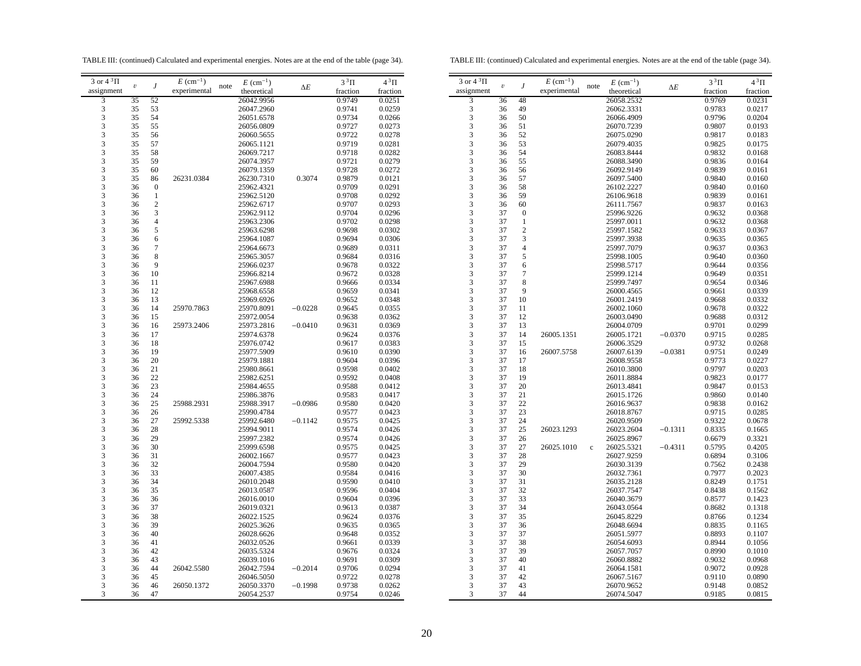TABLE III: (continued) Calculated and experimental energies. Notes are at the end of the table (page 34).

TABLE III: (continued) Calculated and experimental energies. Notes are at the end of the table (page 34).

| 3 or $4^3\Pi$           |                         |                  | $E \text{ (cm}^{-1})$ |      | $E~(\text{cm}^{-1})$ |            | $3^3\Pi$ | $4^3\Pi$ |
|-------------------------|-------------------------|------------------|-----------------------|------|----------------------|------------|----------|----------|
| assignment              | $\boldsymbol{\upsilon}$ | $\boldsymbol{J}$ | experimental          | note | theoretical          | $\Delta E$ | fraction | fraction |
| 3                       | 35                      | 52               |                       |      | 26042.9956           |            | 0.9749   | 0.0251   |
| $\overline{\mathbf{3}}$ | 35                      | 53               |                       |      | 26047.2960           |            | 0.9741   | 0.0259   |
| 3                       | 35                      | 54               |                       |      | 26051.6578           |            | 0.9734   | 0.0266   |
| 3                       | 35                      | 55               |                       |      | 26056.0809           |            | 0.9727   | 0.0273   |
| 3                       | 35                      | 56               |                       |      | 26060.5655           |            | 0.9722   | 0.0278   |
|                         | 35                      | 57               |                       |      | 26065.1121           |            | 0.9719   | 0.0281   |
| $\frac{3}{3}$           | 35                      | 58               |                       |      | 26069.7217           |            | 0.9718   | 0.0282   |
| 3                       | 35                      | 59               |                       |      | 26074.3957           |            | 0.9721   | 0.0279   |
| 3                       | 35                      | 60               |                       |      | 26079.1359           |            | 0.9728   | 0.0272   |
| 3                       | 35                      | 86               | 26231.0384            |      | 26230.7310           | 0.3074     | 0.9879   | 0.0121   |
| 3                       | 36                      | $\boldsymbol{0}$ |                       |      | 25962.4321           |            | 0.9709   | 0.0291   |
| 3                       | 36                      | $\mathbf{1}$     |                       |      | 25962.5120           |            | 0.9708   | 0.0292   |
|                         | 36                      | $\overline{c}$   |                       |      | 25962.6717           |            | 0.9707   | 0.0293   |
| 3                       |                         |                  |                       |      |                      |            |          |          |
| 3                       | 36                      | 3                |                       |      | 25962.9112           |            | 0.9704   | 0.0296   |
| $\frac{3}{3}$           | 36                      | $\overline{4}$   |                       |      | 25963.2306           |            | 0.9702   | 0.0298   |
|                         | 36                      | 5                |                       |      | 25963.6298           |            | 0.9698   | 0.0302   |
| $\frac{3}{3}$           | 36                      | 6                |                       |      | 25964.1087           |            | 0.9694   | 0.0306   |
|                         | 36                      | 7                |                       |      | 25964.6673           |            | 0.9689   | 0.0311   |
| 3                       | 36                      | 8                |                       |      | 25965.3057           |            | 0.9684   | 0.0316   |
| 3                       | 36                      | 9                |                       |      | 25966.0237           |            | 0.9678   | 0.0322   |
| 3                       | 36                      | 10               |                       |      | 25966.8214           |            | 0.9672   | 0.0328   |
| $\frac{3}{3}$           | 36                      | 11               |                       |      | 25967.6988           |            | 0.9666   | 0.0334   |
|                         | 36                      | 12               |                       |      | 25968.6558           |            | 0.9659   | 0.0341   |
| $\frac{3}{3}$           | 36                      | 13               |                       |      | 25969.6926           |            | 0.9652   | 0.0348   |
|                         | 36                      | 14               | 25970.7863            |      | 25970.8091           | $-0.0228$  | 0.9645   | 0.0355   |
| $\frac{3}{3}$           | 36                      | 15               |                       |      | 25972.0054           |            | 0.9638   | 0.0362   |
|                         | 36                      | 16               | 25973.2406            |      | 25973.2816           | $-0.0410$  | 0.9631   | 0.0369   |
|                         | 36                      | 17               |                       |      | 25974.6378           |            | 0.9624   | 0.0376   |
| $\frac{3}{3}$           | 36                      | 18               |                       |      | 25976.0742           |            | 0.9617   | 0.0383   |
| $\overline{\mathbf{3}}$ | 36                      | 19               |                       |      | 25977.5909           |            | 0.9610   | 0.0390   |
| 3                       | 36                      | 20               |                       |      | 25979.1881           |            | 0.9604   | 0.0396   |
| 3                       | 36                      | 21               |                       |      | 25980.8661           |            | 0.9598   | 0.0402   |
| 3                       | 36                      | 22               |                       |      | 25982.6251           |            | 0.9592   | 0.0408   |
| 3                       | 36                      | 23               |                       |      | 25984.4655           |            | 0.9588   | 0.0412   |
|                         | 36                      | 24               |                       |      | 25986.3876           |            | 0.9583   | 0.0417   |
| $\frac{3}{3}$           | 36                      | 25               | 25988.2931            |      | 25988.3917           | $-0.0986$  | 0.9580   | 0.0420   |
|                         | 36                      | 26               |                       |      | 25990.4784           |            | 0.9577   | 0.0423   |
| $\frac{3}{3}$           | 36                      | 27               | 25992.5338            |      | 25992.6480           | $-0.1142$  | 0.9575   | 0.0425   |
| 3                       | 36                      | 28               |                       |      | 25994.9011           |            | 0.9574   | 0.0426   |
| 3                       | 36                      | 29               |                       |      | 25997.2382           |            | 0.9574   | 0.0426   |
|                         | 36                      | 30               |                       |      | 25999.6598           |            | 0.9575   | 0.0425   |
| $\frac{3}{3}$           | 36                      | 31               |                       |      | 26002.1667           |            | 0.9577   | 0.0423   |
|                         |                         |                  |                       |      |                      |            |          |          |
| 3                       | 36                      | 32               |                       |      | 26004.7594           |            | 0.9580   | 0.0420   |
| 3                       | 36                      | 33               |                       |      | 26007.4385           |            | 0.9584   | 0.0416   |
| 3                       | 36                      | 34               |                       |      | 26010.2048           |            | 0.9590   | 0.0410   |
| $\frac{3}{3}$           | 36                      | 35               |                       |      | 26013.0587           |            | 0.9596   | 0.0404   |
|                         | 36                      | 36               |                       |      | 26016.0010           |            | 0.9604   | 0.0396   |
| $\frac{3}{3}$           | 36                      | 37               |                       |      | 26019.0321           |            | 0.9613   | 0.0387   |
|                         | 36                      | 38               |                       |      | 26022.1525           |            | 0.9624   | 0.0376   |
| $\frac{3}{3}$           | 36                      | 39               |                       |      | 26025.3626           |            | 0.9635   | 0.0365   |
|                         | 36                      | 40               |                       |      | 26028.6626           |            | 0.9648   | 0.0352   |
| 3                       | 36                      | 41               |                       |      | 26032.0526           |            | 0.9661   | 0.0339   |
| 3                       | 36                      | 42               |                       |      | 26035.5324           |            | 0.9676   | 0.0324   |
| 3                       | 36                      | 43               |                       |      | 26039.1016           |            | 0.9691   | 0.0309   |
| 3                       | 36                      | 44               | 26042.5580            |      | 26042.7594           | $-0.2014$  | 0.9706   | 0.0294   |
| 3                       | 36                      | 45               |                       |      | 26046.5050           |            | 0.9722   | 0.0278   |
| 3                       | 36                      | 46               | 26050.1372            |      | 26050.3370           | $-0.1998$  | 0.9738   | 0.0262   |
|                         | 36                      | 47               |                       |      | 26054.2537           |            | 0.9754   | 0.0246   |

| 3 or $4^3\Pi$           | $\boldsymbol{\upsilon}$ | J                | $E~(\text{cm}^{-1})$ | note        | $E~(\text{cm}^{-1})$ |            | $3^3\Pi$ | $4^3\Pi$ |
|-------------------------|-------------------------|------------------|----------------------|-------------|----------------------|------------|----------|----------|
| assignment              |                         |                  | experimental         |             | theoretical          | $\Delta E$ | fraction | fraction |
| 3                       | 36                      | 48               |                      |             | 26058.2532           |            | 0.9769   | 0.0231   |
| 3                       | 36                      | 49               |                      |             | 26062.3331           |            | 0.9783   | 0.0217   |
| 3                       | 36                      | 50               |                      |             | 26066.4909           |            | 0.9796   | 0.0204   |
| 3                       | 36                      | 51               |                      |             | 26070.7239           |            | 0.9807   | 0.0193   |
| 3                       | 36                      | 52               |                      |             | 26075.0290           |            | 0.9817   |          |
| 3                       | 36                      | 53               |                      |             |                      |            |          | 0.0183   |
|                         | 36                      | 54               |                      |             | 26079.4035           |            | 0.9825   | 0.0175   |
| 3                       |                         |                  |                      |             | 26083.8444           |            | 0.9832   | 0.0168   |
| 3                       | 36                      | 55               |                      |             | 26088.3490           |            | 0.9836   | 0.0164   |
| 3                       | 36                      | 56               |                      |             | 26092.9149           |            | 0.9839   | 0.0161   |
| 3                       | 36                      | 57               |                      |             | 26097.5400           |            | 0.9840   | 0.0160   |
| 3                       | 36                      | 58               |                      |             | 26102.2227           |            | 0.9840   | 0.0160   |
| 3                       | 36                      | 59               |                      |             | 26106.9618           |            | 0.9839   | 0.0161   |
| 3                       | 36                      | 60               |                      |             | 26111.7567           |            | 0.9837   | 0.0163   |
| 3                       | 37                      | $\boldsymbol{0}$ |                      |             | 25996.9226           |            | 0.9632   | 0.0368   |
| 3                       | 37                      | $\mathbf{1}$     |                      |             | 25997.0011           |            | 0.9632   | 0.0368   |
| 3                       | 37                      | $\overline{c}$   |                      |             | 25997.1582           |            | 0.9633   | 0.0367   |
| 3                       | 37                      | 3                |                      |             | 25997.3938           |            | 0.9635   | 0.0365   |
| 3                       | 37                      | 4                |                      |             | 25997.7079           |            | 0.9637   | 0.0363   |
| 3                       | 37                      | 5                |                      |             | 25998.1005           |            | 0.9640   | 0.0360   |
| 3                       | 37                      | 6                |                      |             | 25998.5717           |            | 0.9644   | 0.0356   |
| 3                       | 37                      | 7                |                      |             | 25999.1214           |            | 0.9649   | 0.0351   |
| 3                       | 37                      | 8                |                      |             | 25999.7497           |            | 0.9654   | 0.0346   |
| 3                       | 37                      | 9                |                      |             | 26000.4565           |            | 0.9661   | 0.0339   |
| 3                       | 37                      | 10               |                      |             | 26001.2419           |            | 0.9668   | 0.0332   |
| 3                       | 37                      | 11               |                      |             | 26002.1060           |            | 0.9678   | 0.0322   |
|                         | 37                      | 12               |                      |             | 26003.0490           |            | 0.9688   | 0.0312   |
| $\frac{3}{3}$           | 37                      | 13               |                      |             | 26004.0709           |            | 0.9701   | 0.0299   |
| 3                       | 37                      | 14               | 26005.1351           |             | 26005.1721           | $-0.0370$  | 0.9715   | 0.0285   |
| 3                       | 37                      |                  |                      |             |                      |            |          |          |
|                         | 37                      | 15<br>16         |                      |             | 26006.3529           |            | 0.9732   | 0.0268   |
| 3                       |                         |                  | 26007.5758           |             | 26007.6139           | $-0.0381$  | 0.9751   | 0.0249   |
| 3                       | 37                      | 17               |                      |             | 26008.9558           |            | 0.9773   | 0.0227   |
| 3                       | 37                      | 18               |                      |             | 26010.3800           |            | 0.9797   | 0.0203   |
| 3                       | 37                      | 19               |                      |             | 26011.8884           |            | 0.9823   | 0.0177   |
| 3                       | 37                      | 20               |                      |             | 26013.4841           |            | 0.9847   | 0.0153   |
| 3                       | 37                      | 21               |                      |             | 26015.1726           |            | 0.9860   | 0.0140   |
| 3                       | 37                      | 22               |                      |             | 26016.9637           |            | 0.9838   | 0.0162   |
| 3                       | 37                      | 23               |                      |             | 26018.8767           |            | 0.9715   | 0.0285   |
| 3                       | 37                      | 24               |                      |             | 26020.9509           |            | 0.9322   | 0.0678   |
| 3                       | 37                      | 25               | 26023.1293           |             | 26023.2604           | $-0.1311$  | 0.8335   | 0.1665   |
| 3                       | 37                      | 26               |                      |             | 26025.8967           |            | 0.6679   | 0.3321   |
| 3                       | 37                      | 27               | 26025.1010           | $\mathbf c$ | 26025.5321           | $-0.4311$  | 0.5795   | 0.4205   |
| 3                       | 37                      | 28               |                      |             | 26027.9259           |            | 0.6894   | 0.3106   |
| 3                       | 37                      | 29               |                      |             | 26030.3139           |            | 0.7562   | 0.2438   |
| 3                       | 37                      | 30               |                      |             | 26032.7361           |            | 0.7977   | 0.2023   |
| 3                       | 37                      | 31               |                      |             | 26035.2128           |            | 0.8249   | 0.1751   |
| 3                       | 37                      | 32               |                      |             | 26037.7547           |            | 0.8438   | 0.1562   |
| 3                       | 37                      | 33               |                      |             | 26040.3679           |            | 0.8577   | 0.1423   |
| 3                       | 37                      | 34               |                      |             | 26043.0564           |            | 0.8682   | 0.1318   |
| 3                       | 37                      | 35               |                      |             | 26045.8229           |            | 0.8766   | 0.1234   |
| $\frac{1}{3}$           | 37                      | 36               |                      |             | 26048.6694           |            | 0.8835   | 0.1165   |
| 3                       | 37                      | 37               |                      |             | 26051.5977           |            | 0.8893   | 0.1107   |
| 3                       | 37                      | 38               |                      |             | 26054.6093           |            | 0.8944   | 0.1056   |
| 3                       | 37                      | 39               |                      |             | 26057.7057           |            | 0.8990   | 0.1010   |
| $\overline{\mathbf{3}}$ | 37                      | 40               |                      |             | 26060.8882           |            | 0.9032   | 0.0968   |
| 3                       | 37                      | 41               |                      |             | 26064.1581           |            | 0.9072   | 0.0928   |
| 3                       | 37                      | 42               |                      |             |                      |            |          |          |
| 3                       | 37                      | 43               |                      |             | 26067.5167           |            | 0.9110   | 0.0890   |
|                         |                         |                  |                      |             | 26070.9652           |            | 0.9148   | 0.0852   |
| 3                       | 37                      | 44               |                      |             | 26074.5047           |            | 0.9185   | 0.0815   |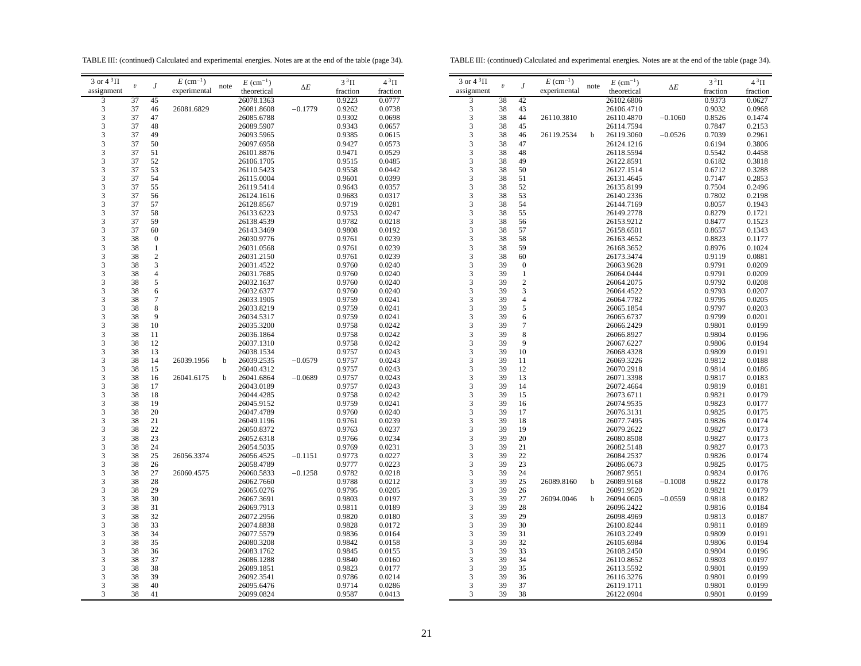TABLE III: (continued) Calculated and experimental energies. Notes are at the end of the table (page 34).

TABLE III: (continued) Calculated and experimental energies. Notes are at the end of the table (page 34).

| assignment<br>experimental<br>theoretical<br>fraction<br>fraction<br>0.9223<br>3<br>37<br>26078.1363<br>0.0777<br>45<br>3<br>37<br>26081.8608<br>0.9262<br>0.0738<br>46<br>26081.6829<br>$-0.1779$<br>3<br>37<br>0.9302<br>47<br>0.0698<br>26085.6788<br>3<br>37<br>48<br>26089.5907<br>0.9343<br>0.0657<br>3<br>37<br>49<br>26093.5965<br>0.9385<br>0.0615<br>3<br>37<br>50<br>26097.6958<br>0.9427<br>0.0573<br>3<br>37<br>51<br>26101.8876<br>0.9471<br>0.0529<br>3<br>37<br>52<br>26106.1705<br>0.9515<br>0.0485<br>3<br>37<br>53<br>26110.5423<br>0.9558<br>0.0442<br>3<br>37<br>54<br>0.9601<br>0.0399<br>26115.0004<br>3<br>37<br>55<br>0.9643<br>26119.5414<br>0.0357<br>3<br>37<br>56<br>0.9683<br>26124.1616<br>0.0317<br>3<br>37<br>57<br>26128.8567<br>0.9719<br>0.0281<br>3<br>37<br>58<br>0.9753<br>26133.6223<br>0.0247<br>3<br>37<br>59<br>26138.4539<br>0.9782<br>0.0218<br>3<br>37<br>60<br>26143.3469<br>0.9808<br>0.0192<br>3<br>38<br>$\boldsymbol{0}$<br>26030.9776<br>0.9761<br>0.0239<br>3<br>38<br>0.9761<br>1<br>26031.0568<br>0.0239<br>3<br>$\overline{c}$<br>38<br>0.9761<br>26031.2150<br>0.0239<br>3<br>3<br>38<br>0.9760<br>26031.4522<br>0.0240<br>3<br>38<br>$\overline{4}$<br>26031.7685<br>0.9760<br>0.0240<br>3<br>38<br>5<br>26032.1637<br>0.9760<br>0.0240<br>3<br>6<br>38<br>0.9760<br>0.0240<br>26032.6377<br>3<br>38<br>7<br>26033.1905<br>0.9759<br>0.0241<br>3<br>38<br>8<br>26033.8219<br>0.9759<br>0.0241<br>3<br>38<br>9<br>26034.5317<br>0.9759<br>0.0241<br>3<br>38<br>10<br>26035.3200<br>0.9758<br>0.0242<br>3<br>38<br>11<br>26036.1864<br>0.9758<br>0.0242<br>3<br>38<br>12<br>0.9758<br>26037.1310<br>0.0242<br>3<br>38<br>13<br>26038.1534<br>0.9757<br>0.0243<br>3<br>38<br>14<br>26039.1956<br>26039.2535<br>$-0.0579$<br>0.9757<br>0.0243<br>b<br>3<br>38<br>15<br>26040.4312<br>0.9757<br>0.0243<br>$\frac{3}{3}$<br>38<br>26041.6864<br>0.9757<br>0.0243<br>16<br>26041.6175<br>b<br>$-0.0689$<br>38<br>17<br>26043.0189<br>0.9757<br>0.0243<br>3<br>38<br>18<br>26044.4285<br>0.9758<br>0.0242<br>3<br>38<br>19<br>26045.9152<br>0.9759<br>0.0241<br>3<br>38<br>20<br>26047.4789<br>0.9760<br>0.0240<br>3<br>38<br>21<br>26049.1196<br>0.9761<br>0.0239<br>3<br>38<br>22<br>26050.8372<br>0.9763<br>0.0237<br>3<br>38<br>23<br>26052.6318<br>0.9766<br>0.0234<br>3<br>38<br>24<br>0.9769<br>0.0231<br>26054.5035<br>3<br>38<br>25<br>26056.3374<br>26056.4525<br>0.9773<br>0.0227<br>$-0.1151$<br>$\overline{\mathbf{3}}$<br>38<br>26<br>26058.4789<br>0.9777<br>0.0223<br>3<br>38<br>27<br>26060.4575<br>26060.5833<br>$-0.1258$<br>0.9782<br>0.0218<br>3<br>38<br>28<br>26062.7660<br>0.9788<br>0.0212<br>3<br>38<br>29<br>26065.0276<br>0.9795<br>0.0205<br>3<br>38<br>30<br>0.9803<br>0.0197<br>26067.3691<br>3<br>38<br>31<br>0.9811<br>26069.7913<br>0.0189<br>3<br>38<br>32<br>26072.2956<br>0.9820<br>0.0180<br>3<br>38<br>33<br>0.9828<br>26074.8838<br>0.0172<br>3<br>38<br>34<br>26077.5579<br>0.9836<br>0.0164<br>3<br>38<br>35<br>26080.3208<br>0.9842<br>0.0158<br>3<br>38<br>36<br>26083.1762<br>0.9845<br>0.0155<br>3<br>38<br>37<br>0.9840<br>0.0160<br>26086.1288<br>3<br>38<br>38<br>26089.1851<br>0.9823<br>0.0177<br>3<br>38<br>39<br>0.9786<br>26092.3541<br>0.0214<br>3<br>38<br>40<br>26095.6476<br>0.9714<br>0.0286<br>3<br>26099.0824<br>38<br>41<br>0.9587<br>0.0413 | 3 or $4^3\Pi$ |                         |   | $E \text{ (cm}^{-1})$ |      | $E~(\text{cm}^{-1})$ |            | $3^3\Pi$ | $4^3\Pi$ |    |
|--------------------------------------------------------------------------------------------------------------------------------------------------------------------------------------------------------------------------------------------------------------------------------------------------------------------------------------------------------------------------------------------------------------------------------------------------------------------------------------------------------------------------------------------------------------------------------------------------------------------------------------------------------------------------------------------------------------------------------------------------------------------------------------------------------------------------------------------------------------------------------------------------------------------------------------------------------------------------------------------------------------------------------------------------------------------------------------------------------------------------------------------------------------------------------------------------------------------------------------------------------------------------------------------------------------------------------------------------------------------------------------------------------------------------------------------------------------------------------------------------------------------------------------------------------------------------------------------------------------------------------------------------------------------------------------------------------------------------------------------------------------------------------------------------------------------------------------------------------------------------------------------------------------------------------------------------------------------------------------------------------------------------------------------------------------------------------------------------------------------------------------------------------------------------------------------------------------------------------------------------------------------------------------------------------------------------------------------------------------------------------------------------------------------------------------------------------------------------------------------------------------------------------------------------------------------------------------------------------------------------------------------------------------------------------------------------------------------------------------------------------------------------------------------------------------------------------------------------------------------------------------------------------------------------------------------------------------------------------------------------------------------------------------------------------------------------------------------------------------------------------------------------------------------------------------------------------------------------------------------------------------------------------------------------------------------------------------------------------------|---------------|-------------------------|---|-----------------------|------|----------------------|------------|----------|----------|----|
|                                                                                                                                                                                                                                                                                                                                                                                                                                                                                                                                                                                                                                                                                                                                                                                                                                                                                                                                                                                                                                                                                                                                                                                                                                                                                                                                                                                                                                                                                                                                                                                                                                                                                                                                                                                                                                                                                                                                                                                                                                                                                                                                                                                                                                                                                                                                                                                                                                                                                                                                                                                                                                                                                                                                                                                                                                                                                                                                                                                                                                                                                                                                                                                                                                                                                                                                                              |               | $\boldsymbol{\upsilon}$ | J |                       | note |                      | $\Delta E$ |          |          | a: |
|                                                                                                                                                                                                                                                                                                                                                                                                                                                                                                                                                                                                                                                                                                                                                                                                                                                                                                                                                                                                                                                                                                                                                                                                                                                                                                                                                                                                                                                                                                                                                                                                                                                                                                                                                                                                                                                                                                                                                                                                                                                                                                                                                                                                                                                                                                                                                                                                                                                                                                                                                                                                                                                                                                                                                                                                                                                                                                                                                                                                                                                                                                                                                                                                                                                                                                                                                              |               |                         |   |                       |      |                      |            |          |          |    |
|                                                                                                                                                                                                                                                                                                                                                                                                                                                                                                                                                                                                                                                                                                                                                                                                                                                                                                                                                                                                                                                                                                                                                                                                                                                                                                                                                                                                                                                                                                                                                                                                                                                                                                                                                                                                                                                                                                                                                                                                                                                                                                                                                                                                                                                                                                                                                                                                                                                                                                                                                                                                                                                                                                                                                                                                                                                                                                                                                                                                                                                                                                                                                                                                                                                                                                                                                              |               |                         |   |                       |      |                      |            |          |          |    |
|                                                                                                                                                                                                                                                                                                                                                                                                                                                                                                                                                                                                                                                                                                                                                                                                                                                                                                                                                                                                                                                                                                                                                                                                                                                                                                                                                                                                                                                                                                                                                                                                                                                                                                                                                                                                                                                                                                                                                                                                                                                                                                                                                                                                                                                                                                                                                                                                                                                                                                                                                                                                                                                                                                                                                                                                                                                                                                                                                                                                                                                                                                                                                                                                                                                                                                                                                              |               |                         |   |                       |      |                      |            |          |          |    |
|                                                                                                                                                                                                                                                                                                                                                                                                                                                                                                                                                                                                                                                                                                                                                                                                                                                                                                                                                                                                                                                                                                                                                                                                                                                                                                                                                                                                                                                                                                                                                                                                                                                                                                                                                                                                                                                                                                                                                                                                                                                                                                                                                                                                                                                                                                                                                                                                                                                                                                                                                                                                                                                                                                                                                                                                                                                                                                                                                                                                                                                                                                                                                                                                                                                                                                                                                              |               |                         |   |                       |      |                      |            |          |          |    |
|                                                                                                                                                                                                                                                                                                                                                                                                                                                                                                                                                                                                                                                                                                                                                                                                                                                                                                                                                                                                                                                                                                                                                                                                                                                                                                                                                                                                                                                                                                                                                                                                                                                                                                                                                                                                                                                                                                                                                                                                                                                                                                                                                                                                                                                                                                                                                                                                                                                                                                                                                                                                                                                                                                                                                                                                                                                                                                                                                                                                                                                                                                                                                                                                                                                                                                                                                              |               |                         |   |                       |      |                      |            |          |          |    |
|                                                                                                                                                                                                                                                                                                                                                                                                                                                                                                                                                                                                                                                                                                                                                                                                                                                                                                                                                                                                                                                                                                                                                                                                                                                                                                                                                                                                                                                                                                                                                                                                                                                                                                                                                                                                                                                                                                                                                                                                                                                                                                                                                                                                                                                                                                                                                                                                                                                                                                                                                                                                                                                                                                                                                                                                                                                                                                                                                                                                                                                                                                                                                                                                                                                                                                                                                              |               |                         |   |                       |      |                      |            |          |          |    |
|                                                                                                                                                                                                                                                                                                                                                                                                                                                                                                                                                                                                                                                                                                                                                                                                                                                                                                                                                                                                                                                                                                                                                                                                                                                                                                                                                                                                                                                                                                                                                                                                                                                                                                                                                                                                                                                                                                                                                                                                                                                                                                                                                                                                                                                                                                                                                                                                                                                                                                                                                                                                                                                                                                                                                                                                                                                                                                                                                                                                                                                                                                                                                                                                                                                                                                                                                              |               |                         |   |                       |      |                      |            |          |          |    |
|                                                                                                                                                                                                                                                                                                                                                                                                                                                                                                                                                                                                                                                                                                                                                                                                                                                                                                                                                                                                                                                                                                                                                                                                                                                                                                                                                                                                                                                                                                                                                                                                                                                                                                                                                                                                                                                                                                                                                                                                                                                                                                                                                                                                                                                                                                                                                                                                                                                                                                                                                                                                                                                                                                                                                                                                                                                                                                                                                                                                                                                                                                                                                                                                                                                                                                                                                              |               |                         |   |                       |      |                      |            |          |          |    |
|                                                                                                                                                                                                                                                                                                                                                                                                                                                                                                                                                                                                                                                                                                                                                                                                                                                                                                                                                                                                                                                                                                                                                                                                                                                                                                                                                                                                                                                                                                                                                                                                                                                                                                                                                                                                                                                                                                                                                                                                                                                                                                                                                                                                                                                                                                                                                                                                                                                                                                                                                                                                                                                                                                                                                                                                                                                                                                                                                                                                                                                                                                                                                                                                                                                                                                                                                              |               |                         |   |                       |      |                      |            |          |          |    |
|                                                                                                                                                                                                                                                                                                                                                                                                                                                                                                                                                                                                                                                                                                                                                                                                                                                                                                                                                                                                                                                                                                                                                                                                                                                                                                                                                                                                                                                                                                                                                                                                                                                                                                                                                                                                                                                                                                                                                                                                                                                                                                                                                                                                                                                                                                                                                                                                                                                                                                                                                                                                                                                                                                                                                                                                                                                                                                                                                                                                                                                                                                                                                                                                                                                                                                                                                              |               |                         |   |                       |      |                      |            |          |          |    |
|                                                                                                                                                                                                                                                                                                                                                                                                                                                                                                                                                                                                                                                                                                                                                                                                                                                                                                                                                                                                                                                                                                                                                                                                                                                                                                                                                                                                                                                                                                                                                                                                                                                                                                                                                                                                                                                                                                                                                                                                                                                                                                                                                                                                                                                                                                                                                                                                                                                                                                                                                                                                                                                                                                                                                                                                                                                                                                                                                                                                                                                                                                                                                                                                                                                                                                                                                              |               |                         |   |                       |      |                      |            |          |          |    |
|                                                                                                                                                                                                                                                                                                                                                                                                                                                                                                                                                                                                                                                                                                                                                                                                                                                                                                                                                                                                                                                                                                                                                                                                                                                                                                                                                                                                                                                                                                                                                                                                                                                                                                                                                                                                                                                                                                                                                                                                                                                                                                                                                                                                                                                                                                                                                                                                                                                                                                                                                                                                                                                                                                                                                                                                                                                                                                                                                                                                                                                                                                                                                                                                                                                                                                                                                              |               |                         |   |                       |      |                      |            |          |          |    |
|                                                                                                                                                                                                                                                                                                                                                                                                                                                                                                                                                                                                                                                                                                                                                                                                                                                                                                                                                                                                                                                                                                                                                                                                                                                                                                                                                                                                                                                                                                                                                                                                                                                                                                                                                                                                                                                                                                                                                                                                                                                                                                                                                                                                                                                                                                                                                                                                                                                                                                                                                                                                                                                                                                                                                                                                                                                                                                                                                                                                                                                                                                                                                                                                                                                                                                                                                              |               |                         |   |                       |      |                      |            |          |          |    |
|                                                                                                                                                                                                                                                                                                                                                                                                                                                                                                                                                                                                                                                                                                                                                                                                                                                                                                                                                                                                                                                                                                                                                                                                                                                                                                                                                                                                                                                                                                                                                                                                                                                                                                                                                                                                                                                                                                                                                                                                                                                                                                                                                                                                                                                                                                                                                                                                                                                                                                                                                                                                                                                                                                                                                                                                                                                                                                                                                                                                                                                                                                                                                                                                                                                                                                                                                              |               |                         |   |                       |      |                      |            |          |          |    |
|                                                                                                                                                                                                                                                                                                                                                                                                                                                                                                                                                                                                                                                                                                                                                                                                                                                                                                                                                                                                                                                                                                                                                                                                                                                                                                                                                                                                                                                                                                                                                                                                                                                                                                                                                                                                                                                                                                                                                                                                                                                                                                                                                                                                                                                                                                                                                                                                                                                                                                                                                                                                                                                                                                                                                                                                                                                                                                                                                                                                                                                                                                                                                                                                                                                                                                                                                              |               |                         |   |                       |      |                      |            |          |          |    |
|                                                                                                                                                                                                                                                                                                                                                                                                                                                                                                                                                                                                                                                                                                                                                                                                                                                                                                                                                                                                                                                                                                                                                                                                                                                                                                                                                                                                                                                                                                                                                                                                                                                                                                                                                                                                                                                                                                                                                                                                                                                                                                                                                                                                                                                                                                                                                                                                                                                                                                                                                                                                                                                                                                                                                                                                                                                                                                                                                                                                                                                                                                                                                                                                                                                                                                                                                              |               |                         |   |                       |      |                      |            |          |          |    |
|                                                                                                                                                                                                                                                                                                                                                                                                                                                                                                                                                                                                                                                                                                                                                                                                                                                                                                                                                                                                                                                                                                                                                                                                                                                                                                                                                                                                                                                                                                                                                                                                                                                                                                                                                                                                                                                                                                                                                                                                                                                                                                                                                                                                                                                                                                                                                                                                                                                                                                                                                                                                                                                                                                                                                                                                                                                                                                                                                                                                                                                                                                                                                                                                                                                                                                                                                              |               |                         |   |                       |      |                      |            |          |          |    |
|                                                                                                                                                                                                                                                                                                                                                                                                                                                                                                                                                                                                                                                                                                                                                                                                                                                                                                                                                                                                                                                                                                                                                                                                                                                                                                                                                                                                                                                                                                                                                                                                                                                                                                                                                                                                                                                                                                                                                                                                                                                                                                                                                                                                                                                                                                                                                                                                                                                                                                                                                                                                                                                                                                                                                                                                                                                                                                                                                                                                                                                                                                                                                                                                                                                                                                                                                              |               |                         |   |                       |      |                      |            |          |          |    |
|                                                                                                                                                                                                                                                                                                                                                                                                                                                                                                                                                                                                                                                                                                                                                                                                                                                                                                                                                                                                                                                                                                                                                                                                                                                                                                                                                                                                                                                                                                                                                                                                                                                                                                                                                                                                                                                                                                                                                                                                                                                                                                                                                                                                                                                                                                                                                                                                                                                                                                                                                                                                                                                                                                                                                                                                                                                                                                                                                                                                                                                                                                                                                                                                                                                                                                                                                              |               |                         |   |                       |      |                      |            |          |          |    |
|                                                                                                                                                                                                                                                                                                                                                                                                                                                                                                                                                                                                                                                                                                                                                                                                                                                                                                                                                                                                                                                                                                                                                                                                                                                                                                                                                                                                                                                                                                                                                                                                                                                                                                                                                                                                                                                                                                                                                                                                                                                                                                                                                                                                                                                                                                                                                                                                                                                                                                                                                                                                                                                                                                                                                                                                                                                                                                                                                                                                                                                                                                                                                                                                                                                                                                                                                              |               |                         |   |                       |      |                      |            |          |          |    |
|                                                                                                                                                                                                                                                                                                                                                                                                                                                                                                                                                                                                                                                                                                                                                                                                                                                                                                                                                                                                                                                                                                                                                                                                                                                                                                                                                                                                                                                                                                                                                                                                                                                                                                                                                                                                                                                                                                                                                                                                                                                                                                                                                                                                                                                                                                                                                                                                                                                                                                                                                                                                                                                                                                                                                                                                                                                                                                                                                                                                                                                                                                                                                                                                                                                                                                                                                              |               |                         |   |                       |      |                      |            |          |          |    |
|                                                                                                                                                                                                                                                                                                                                                                                                                                                                                                                                                                                                                                                                                                                                                                                                                                                                                                                                                                                                                                                                                                                                                                                                                                                                                                                                                                                                                                                                                                                                                                                                                                                                                                                                                                                                                                                                                                                                                                                                                                                                                                                                                                                                                                                                                                                                                                                                                                                                                                                                                                                                                                                                                                                                                                                                                                                                                                                                                                                                                                                                                                                                                                                                                                                                                                                                                              |               |                         |   |                       |      |                      |            |          |          |    |
|                                                                                                                                                                                                                                                                                                                                                                                                                                                                                                                                                                                                                                                                                                                                                                                                                                                                                                                                                                                                                                                                                                                                                                                                                                                                                                                                                                                                                                                                                                                                                                                                                                                                                                                                                                                                                                                                                                                                                                                                                                                                                                                                                                                                                                                                                                                                                                                                                                                                                                                                                                                                                                                                                                                                                                                                                                                                                                                                                                                                                                                                                                                                                                                                                                                                                                                                                              |               |                         |   |                       |      |                      |            |          |          |    |
|                                                                                                                                                                                                                                                                                                                                                                                                                                                                                                                                                                                                                                                                                                                                                                                                                                                                                                                                                                                                                                                                                                                                                                                                                                                                                                                                                                                                                                                                                                                                                                                                                                                                                                                                                                                                                                                                                                                                                                                                                                                                                                                                                                                                                                                                                                                                                                                                                                                                                                                                                                                                                                                                                                                                                                                                                                                                                                                                                                                                                                                                                                                                                                                                                                                                                                                                                              |               |                         |   |                       |      |                      |            |          |          |    |
|                                                                                                                                                                                                                                                                                                                                                                                                                                                                                                                                                                                                                                                                                                                                                                                                                                                                                                                                                                                                                                                                                                                                                                                                                                                                                                                                                                                                                                                                                                                                                                                                                                                                                                                                                                                                                                                                                                                                                                                                                                                                                                                                                                                                                                                                                                                                                                                                                                                                                                                                                                                                                                                                                                                                                                                                                                                                                                                                                                                                                                                                                                                                                                                                                                                                                                                                                              |               |                         |   |                       |      |                      |            |          |          |    |
|                                                                                                                                                                                                                                                                                                                                                                                                                                                                                                                                                                                                                                                                                                                                                                                                                                                                                                                                                                                                                                                                                                                                                                                                                                                                                                                                                                                                                                                                                                                                                                                                                                                                                                                                                                                                                                                                                                                                                                                                                                                                                                                                                                                                                                                                                                                                                                                                                                                                                                                                                                                                                                                                                                                                                                                                                                                                                                                                                                                                                                                                                                                                                                                                                                                                                                                                                              |               |                         |   |                       |      |                      |            |          |          |    |
|                                                                                                                                                                                                                                                                                                                                                                                                                                                                                                                                                                                                                                                                                                                                                                                                                                                                                                                                                                                                                                                                                                                                                                                                                                                                                                                                                                                                                                                                                                                                                                                                                                                                                                                                                                                                                                                                                                                                                                                                                                                                                                                                                                                                                                                                                                                                                                                                                                                                                                                                                                                                                                                                                                                                                                                                                                                                                                                                                                                                                                                                                                                                                                                                                                                                                                                                                              |               |                         |   |                       |      |                      |            |          |          |    |
|                                                                                                                                                                                                                                                                                                                                                                                                                                                                                                                                                                                                                                                                                                                                                                                                                                                                                                                                                                                                                                                                                                                                                                                                                                                                                                                                                                                                                                                                                                                                                                                                                                                                                                                                                                                                                                                                                                                                                                                                                                                                                                                                                                                                                                                                                                                                                                                                                                                                                                                                                                                                                                                                                                                                                                                                                                                                                                                                                                                                                                                                                                                                                                                                                                                                                                                                                              |               |                         |   |                       |      |                      |            |          |          |    |
|                                                                                                                                                                                                                                                                                                                                                                                                                                                                                                                                                                                                                                                                                                                                                                                                                                                                                                                                                                                                                                                                                                                                                                                                                                                                                                                                                                                                                                                                                                                                                                                                                                                                                                                                                                                                                                                                                                                                                                                                                                                                                                                                                                                                                                                                                                                                                                                                                                                                                                                                                                                                                                                                                                                                                                                                                                                                                                                                                                                                                                                                                                                                                                                                                                                                                                                                                              |               |                         |   |                       |      |                      |            |          |          |    |
|                                                                                                                                                                                                                                                                                                                                                                                                                                                                                                                                                                                                                                                                                                                                                                                                                                                                                                                                                                                                                                                                                                                                                                                                                                                                                                                                                                                                                                                                                                                                                                                                                                                                                                                                                                                                                                                                                                                                                                                                                                                                                                                                                                                                                                                                                                                                                                                                                                                                                                                                                                                                                                                                                                                                                                                                                                                                                                                                                                                                                                                                                                                                                                                                                                                                                                                                                              |               |                         |   |                       |      |                      |            |          |          |    |
|                                                                                                                                                                                                                                                                                                                                                                                                                                                                                                                                                                                                                                                                                                                                                                                                                                                                                                                                                                                                                                                                                                                                                                                                                                                                                                                                                                                                                                                                                                                                                                                                                                                                                                                                                                                                                                                                                                                                                                                                                                                                                                                                                                                                                                                                                                                                                                                                                                                                                                                                                                                                                                                                                                                                                                                                                                                                                                                                                                                                                                                                                                                                                                                                                                                                                                                                                              |               |                         |   |                       |      |                      |            |          |          |    |
|                                                                                                                                                                                                                                                                                                                                                                                                                                                                                                                                                                                                                                                                                                                                                                                                                                                                                                                                                                                                                                                                                                                                                                                                                                                                                                                                                                                                                                                                                                                                                                                                                                                                                                                                                                                                                                                                                                                                                                                                                                                                                                                                                                                                                                                                                                                                                                                                                                                                                                                                                                                                                                                                                                                                                                                                                                                                                                                                                                                                                                                                                                                                                                                                                                                                                                                                                              |               |                         |   |                       |      |                      |            |          |          |    |
|                                                                                                                                                                                                                                                                                                                                                                                                                                                                                                                                                                                                                                                                                                                                                                                                                                                                                                                                                                                                                                                                                                                                                                                                                                                                                                                                                                                                                                                                                                                                                                                                                                                                                                                                                                                                                                                                                                                                                                                                                                                                                                                                                                                                                                                                                                                                                                                                                                                                                                                                                                                                                                                                                                                                                                                                                                                                                                                                                                                                                                                                                                                                                                                                                                                                                                                                                              |               |                         |   |                       |      |                      |            |          |          |    |
|                                                                                                                                                                                                                                                                                                                                                                                                                                                                                                                                                                                                                                                                                                                                                                                                                                                                                                                                                                                                                                                                                                                                                                                                                                                                                                                                                                                                                                                                                                                                                                                                                                                                                                                                                                                                                                                                                                                                                                                                                                                                                                                                                                                                                                                                                                                                                                                                                                                                                                                                                                                                                                                                                                                                                                                                                                                                                                                                                                                                                                                                                                                                                                                                                                                                                                                                                              |               |                         |   |                       |      |                      |            |          |          |    |
|                                                                                                                                                                                                                                                                                                                                                                                                                                                                                                                                                                                                                                                                                                                                                                                                                                                                                                                                                                                                                                                                                                                                                                                                                                                                                                                                                                                                                                                                                                                                                                                                                                                                                                                                                                                                                                                                                                                                                                                                                                                                                                                                                                                                                                                                                                                                                                                                                                                                                                                                                                                                                                                                                                                                                                                                                                                                                                                                                                                                                                                                                                                                                                                                                                                                                                                                                              |               |                         |   |                       |      |                      |            |          |          |    |
|                                                                                                                                                                                                                                                                                                                                                                                                                                                                                                                                                                                                                                                                                                                                                                                                                                                                                                                                                                                                                                                                                                                                                                                                                                                                                                                                                                                                                                                                                                                                                                                                                                                                                                                                                                                                                                                                                                                                                                                                                                                                                                                                                                                                                                                                                                                                                                                                                                                                                                                                                                                                                                                                                                                                                                                                                                                                                                                                                                                                                                                                                                                                                                                                                                                                                                                                                              |               |                         |   |                       |      |                      |            |          |          |    |
|                                                                                                                                                                                                                                                                                                                                                                                                                                                                                                                                                                                                                                                                                                                                                                                                                                                                                                                                                                                                                                                                                                                                                                                                                                                                                                                                                                                                                                                                                                                                                                                                                                                                                                                                                                                                                                                                                                                                                                                                                                                                                                                                                                                                                                                                                                                                                                                                                                                                                                                                                                                                                                                                                                                                                                                                                                                                                                                                                                                                                                                                                                                                                                                                                                                                                                                                                              |               |                         |   |                       |      |                      |            |          |          |    |
|                                                                                                                                                                                                                                                                                                                                                                                                                                                                                                                                                                                                                                                                                                                                                                                                                                                                                                                                                                                                                                                                                                                                                                                                                                                                                                                                                                                                                                                                                                                                                                                                                                                                                                                                                                                                                                                                                                                                                                                                                                                                                                                                                                                                                                                                                                                                                                                                                                                                                                                                                                                                                                                                                                                                                                                                                                                                                                                                                                                                                                                                                                                                                                                                                                                                                                                                                              |               |                         |   |                       |      |                      |            |          |          |    |
|                                                                                                                                                                                                                                                                                                                                                                                                                                                                                                                                                                                                                                                                                                                                                                                                                                                                                                                                                                                                                                                                                                                                                                                                                                                                                                                                                                                                                                                                                                                                                                                                                                                                                                                                                                                                                                                                                                                                                                                                                                                                                                                                                                                                                                                                                                                                                                                                                                                                                                                                                                                                                                                                                                                                                                                                                                                                                                                                                                                                                                                                                                                                                                                                                                                                                                                                                              |               |                         |   |                       |      |                      |            |          |          |    |
|                                                                                                                                                                                                                                                                                                                                                                                                                                                                                                                                                                                                                                                                                                                                                                                                                                                                                                                                                                                                                                                                                                                                                                                                                                                                                                                                                                                                                                                                                                                                                                                                                                                                                                                                                                                                                                                                                                                                                                                                                                                                                                                                                                                                                                                                                                                                                                                                                                                                                                                                                                                                                                                                                                                                                                                                                                                                                                                                                                                                                                                                                                                                                                                                                                                                                                                                                              |               |                         |   |                       |      |                      |            |          |          |    |
|                                                                                                                                                                                                                                                                                                                                                                                                                                                                                                                                                                                                                                                                                                                                                                                                                                                                                                                                                                                                                                                                                                                                                                                                                                                                                                                                                                                                                                                                                                                                                                                                                                                                                                                                                                                                                                                                                                                                                                                                                                                                                                                                                                                                                                                                                                                                                                                                                                                                                                                                                                                                                                                                                                                                                                                                                                                                                                                                                                                                                                                                                                                                                                                                                                                                                                                                                              |               |                         |   |                       |      |                      |            |          |          |    |
|                                                                                                                                                                                                                                                                                                                                                                                                                                                                                                                                                                                                                                                                                                                                                                                                                                                                                                                                                                                                                                                                                                                                                                                                                                                                                                                                                                                                                                                                                                                                                                                                                                                                                                                                                                                                                                                                                                                                                                                                                                                                                                                                                                                                                                                                                                                                                                                                                                                                                                                                                                                                                                                                                                                                                                                                                                                                                                                                                                                                                                                                                                                                                                                                                                                                                                                                                              |               |                         |   |                       |      |                      |            |          |          |    |
|                                                                                                                                                                                                                                                                                                                                                                                                                                                                                                                                                                                                                                                                                                                                                                                                                                                                                                                                                                                                                                                                                                                                                                                                                                                                                                                                                                                                                                                                                                                                                                                                                                                                                                                                                                                                                                                                                                                                                                                                                                                                                                                                                                                                                                                                                                                                                                                                                                                                                                                                                                                                                                                                                                                                                                                                                                                                                                                                                                                                                                                                                                                                                                                                                                                                                                                                                              |               |                         |   |                       |      |                      |            |          |          |    |
|                                                                                                                                                                                                                                                                                                                                                                                                                                                                                                                                                                                                                                                                                                                                                                                                                                                                                                                                                                                                                                                                                                                                                                                                                                                                                                                                                                                                                                                                                                                                                                                                                                                                                                                                                                                                                                                                                                                                                                                                                                                                                                                                                                                                                                                                                                                                                                                                                                                                                                                                                                                                                                                                                                                                                                                                                                                                                                                                                                                                                                                                                                                                                                                                                                                                                                                                                              |               |                         |   |                       |      |                      |            |          |          |    |
|                                                                                                                                                                                                                                                                                                                                                                                                                                                                                                                                                                                                                                                                                                                                                                                                                                                                                                                                                                                                                                                                                                                                                                                                                                                                                                                                                                                                                                                                                                                                                                                                                                                                                                                                                                                                                                                                                                                                                                                                                                                                                                                                                                                                                                                                                                                                                                                                                                                                                                                                                                                                                                                                                                                                                                                                                                                                                                                                                                                                                                                                                                                                                                                                                                                                                                                                                              |               |                         |   |                       |      |                      |            |          |          |    |
|                                                                                                                                                                                                                                                                                                                                                                                                                                                                                                                                                                                                                                                                                                                                                                                                                                                                                                                                                                                                                                                                                                                                                                                                                                                                                                                                                                                                                                                                                                                                                                                                                                                                                                                                                                                                                                                                                                                                                                                                                                                                                                                                                                                                                                                                                                                                                                                                                                                                                                                                                                                                                                                                                                                                                                                                                                                                                                                                                                                                                                                                                                                                                                                                                                                                                                                                                              |               |                         |   |                       |      |                      |            |          |          |    |
|                                                                                                                                                                                                                                                                                                                                                                                                                                                                                                                                                                                                                                                                                                                                                                                                                                                                                                                                                                                                                                                                                                                                                                                                                                                                                                                                                                                                                                                                                                                                                                                                                                                                                                                                                                                                                                                                                                                                                                                                                                                                                                                                                                                                                                                                                                                                                                                                                                                                                                                                                                                                                                                                                                                                                                                                                                                                                                                                                                                                                                                                                                                                                                                                                                                                                                                                                              |               |                         |   |                       |      |                      |            |          |          |    |
|                                                                                                                                                                                                                                                                                                                                                                                                                                                                                                                                                                                                                                                                                                                                                                                                                                                                                                                                                                                                                                                                                                                                                                                                                                                                                                                                                                                                                                                                                                                                                                                                                                                                                                                                                                                                                                                                                                                                                                                                                                                                                                                                                                                                                                                                                                                                                                                                                                                                                                                                                                                                                                                                                                                                                                                                                                                                                                                                                                                                                                                                                                                                                                                                                                                                                                                                                              |               |                         |   |                       |      |                      |            |          |          |    |
|                                                                                                                                                                                                                                                                                                                                                                                                                                                                                                                                                                                                                                                                                                                                                                                                                                                                                                                                                                                                                                                                                                                                                                                                                                                                                                                                                                                                                                                                                                                                                                                                                                                                                                                                                                                                                                                                                                                                                                                                                                                                                                                                                                                                                                                                                                                                                                                                                                                                                                                                                                                                                                                                                                                                                                                                                                                                                                                                                                                                                                                                                                                                                                                                                                                                                                                                                              |               |                         |   |                       |      |                      |            |          |          |    |
|                                                                                                                                                                                                                                                                                                                                                                                                                                                                                                                                                                                                                                                                                                                                                                                                                                                                                                                                                                                                                                                                                                                                                                                                                                                                                                                                                                                                                                                                                                                                                                                                                                                                                                                                                                                                                                                                                                                                                                                                                                                                                                                                                                                                                                                                                                                                                                                                                                                                                                                                                                                                                                                                                                                                                                                                                                                                                                                                                                                                                                                                                                                                                                                                                                                                                                                                                              |               |                         |   |                       |      |                      |            |          |          |    |
|                                                                                                                                                                                                                                                                                                                                                                                                                                                                                                                                                                                                                                                                                                                                                                                                                                                                                                                                                                                                                                                                                                                                                                                                                                                                                                                                                                                                                                                                                                                                                                                                                                                                                                                                                                                                                                                                                                                                                                                                                                                                                                                                                                                                                                                                                                                                                                                                                                                                                                                                                                                                                                                                                                                                                                                                                                                                                                                                                                                                                                                                                                                                                                                                                                                                                                                                                              |               |                         |   |                       |      |                      |            |          |          |    |
|                                                                                                                                                                                                                                                                                                                                                                                                                                                                                                                                                                                                                                                                                                                                                                                                                                                                                                                                                                                                                                                                                                                                                                                                                                                                                                                                                                                                                                                                                                                                                                                                                                                                                                                                                                                                                                                                                                                                                                                                                                                                                                                                                                                                                                                                                                                                                                                                                                                                                                                                                                                                                                                                                                                                                                                                                                                                                                                                                                                                                                                                                                                                                                                                                                                                                                                                                              |               |                         |   |                       |      |                      |            |          |          |    |
|                                                                                                                                                                                                                                                                                                                                                                                                                                                                                                                                                                                                                                                                                                                                                                                                                                                                                                                                                                                                                                                                                                                                                                                                                                                                                                                                                                                                                                                                                                                                                                                                                                                                                                                                                                                                                                                                                                                                                                                                                                                                                                                                                                                                                                                                                                                                                                                                                                                                                                                                                                                                                                                                                                                                                                                                                                                                                                                                                                                                                                                                                                                                                                                                                                                                                                                                                              |               |                         |   |                       |      |                      |            |          |          |    |
|                                                                                                                                                                                                                                                                                                                                                                                                                                                                                                                                                                                                                                                                                                                                                                                                                                                                                                                                                                                                                                                                                                                                                                                                                                                                                                                                                                                                                                                                                                                                                                                                                                                                                                                                                                                                                                                                                                                                                                                                                                                                                                                                                                                                                                                                                                                                                                                                                                                                                                                                                                                                                                                                                                                                                                                                                                                                                                                                                                                                                                                                                                                                                                                                                                                                                                                                                              |               |                         |   |                       |      |                      |            |          |          |    |
|                                                                                                                                                                                                                                                                                                                                                                                                                                                                                                                                                                                                                                                                                                                                                                                                                                                                                                                                                                                                                                                                                                                                                                                                                                                                                                                                                                                                                                                                                                                                                                                                                                                                                                                                                                                                                                                                                                                                                                                                                                                                                                                                                                                                                                                                                                                                                                                                                                                                                                                                                                                                                                                                                                                                                                                                                                                                                                                                                                                                                                                                                                                                                                                                                                                                                                                                                              |               |                         |   |                       |      |                      |            |          |          |    |
|                                                                                                                                                                                                                                                                                                                                                                                                                                                                                                                                                                                                                                                                                                                                                                                                                                                                                                                                                                                                                                                                                                                                                                                                                                                                                                                                                                                                                                                                                                                                                                                                                                                                                                                                                                                                                                                                                                                                                                                                                                                                                                                                                                                                                                                                                                                                                                                                                                                                                                                                                                                                                                                                                                                                                                                                                                                                                                                                                                                                                                                                                                                                                                                                                                                                                                                                                              |               |                         |   |                       |      |                      |            |          |          |    |
|                                                                                                                                                                                                                                                                                                                                                                                                                                                                                                                                                                                                                                                                                                                                                                                                                                                                                                                                                                                                                                                                                                                                                                                                                                                                                                                                                                                                                                                                                                                                                                                                                                                                                                                                                                                                                                                                                                                                                                                                                                                                                                                                                                                                                                                                                                                                                                                                                                                                                                                                                                                                                                                                                                                                                                                                                                                                                                                                                                                                                                                                                                                                                                                                                                                                                                                                                              |               |                         |   |                       |      |                      |            |          |          |    |
|                                                                                                                                                                                                                                                                                                                                                                                                                                                                                                                                                                                                                                                                                                                                                                                                                                                                                                                                                                                                                                                                                                                                                                                                                                                                                                                                                                                                                                                                                                                                                                                                                                                                                                                                                                                                                                                                                                                                                                                                                                                                                                                                                                                                                                                                                                                                                                                                                                                                                                                                                                                                                                                                                                                                                                                                                                                                                                                                                                                                                                                                                                                                                                                                                                                                                                                                                              |               |                         |   |                       |      |                      |            |          |          |    |

| 3 or $4^3\Pi$ | $\upsilon$ | J                | $E~(\text{cm}^{-1})$ | note | $E~(\text{cm}^{-1})$ | $\Delta E$ | $3^3\Pi$ | $4^3\Pi$ |
|---------------|------------|------------------|----------------------|------|----------------------|------------|----------|----------|
| assignment    |            |                  | experimental         |      | theoretical          |            | fraction | fraction |
| 3             | 38         | 42               |                      |      | 26102.6806           |            | 0.9373   | 0.0627   |
| $\frac{3}{3}$ | 38         | 43               |                      |      | 26106.4710           |            | 0.9032   | 0.0968   |
|               | 38         | 44               | 26110.3810           |      | 26110.4870           | $-0.1060$  | 0.8526   | 0.1474   |
| 3             | 38         | 45               |                      |      | 26114.7594           |            | 0.7847   | 0.2153   |
| 3             | 38         | 46               | 26119.2534           | b    | 26119.3060           | $-0.0526$  | 0.7039   | 0.2961   |
| 3             | 38         | 47               |                      |      | 26124.1216           |            | 0.6194   | 0.3806   |
| 3             | 38         | 48               |                      |      | 26118.5594           |            | 0.5542   | 0.4458   |
| 3             | 38         | 49               |                      |      | 26122.8591           |            | 0.6182   | 0.3818   |
| 3             | 38         | 50               |                      |      | 26127.1514           |            | 0.6712   | 0.3288   |
| 3             | 38         | 51               |                      |      | 26131.4645           |            | 0.7147   | 0.2853   |
| 3             | 38         | 52               |                      |      | 26135.8199           |            | 0.7504   | 0.2496   |
| 3             | 38         | 53               |                      |      | 26140.2336           |            | 0.7802   | 0.2198   |
| 3             | 38         | 54               |                      |      | 26144.7169           |            | 0.8057   | 0.1943   |
| 3             | 38         | 55               |                      |      | 26149.2778           |            | 0.8279   | 0.1721   |
| 3             | 38         | 56               |                      |      | 26153.9212           |            | 0.8477   | 0.1523   |
| 3             | 38         | 57               |                      |      | 26158.6501           |            | 0.8657   | 0.1343   |
| 3             | 38         | 58               |                      |      | 26163.4652           |            | 0.8823   | 0.1177   |
| 3             | 38         | 59               |                      |      | 26168.3652           |            | 0.8976   | 0.1024   |
| 3             | 38         | 60               |                      |      | 26173.3474           |            | 0.9119   | 0.0881   |
| 3             | 39         | $\boldsymbol{0}$ |                      |      | 26063.9628           |            | 0.9791   | 0.0209   |
| 3             | 39         | $\,1$            |                      |      | 26064.0444           |            | 0.9791   | 0.0209   |
| 3             | 39         | $\overline{c}$   |                      |      | 26064.2075           |            | 0.9792   | 0.0208   |
| 3             | 39         | 3                |                      |      | 26064.4522           |            | 0.9793   | 0.0207   |
| 3             | 39         | 4                |                      |      | 26064.7782           |            | 0.9795   | 0.0205   |
| 3             | 39         | 5                |                      |      | 26065.1854           |            | 0.9797   | 0.0203   |
| 3             | 39         | 6                |                      |      | 26065.6737           |            | 0.9799   | 0.0201   |
| 3             | 39         | 7                |                      |      | 26066.2429           |            | 0.9801   | 0.0199   |
| 3             | 39         | 8                |                      |      | 26066.8927           |            | 0.9804   | 0.0196   |
| 3             | 39         | 9                |                      |      | 26067.6227           |            | 0.9806   | 0.0194   |
| 3             | 39         | 10               |                      |      | 26068.4328           |            | 0.9809   | 0.0191   |
| 3             | 39         | 11               |                      |      | 26069.3226           |            | 0.9812   | 0.0188   |
| 3             | 39         | 12               |                      |      | 26070.2918           |            | 0.9814   | 0.0186   |
| 3             | 39         | 13               |                      |      | 26071.3398           |            | 0.9817   | 0.0183   |
| 3             | 39         | 14               |                      |      | 26072.4664           |            | 0.9819   | 0.0181   |
| 3             | 39         | 15               |                      |      | 26073.6711           |            | 0.9821   | 0.0179   |
| 3             | 39         | 16               |                      |      | 26074.9535           |            | 0.9823   | 0.0177   |
| 3             | 39         | 17               |                      |      | 26076.3131           |            | 0.9825   | 0.0175   |
| 3             | 39         | 18               |                      |      | 26077.7495           |            | 0.9826   | 0.0174   |
| 3             | 39         | 19               |                      |      | 26079.2622           |            | 0.9827   | 0.0173   |
| 3             | 39         | 20               |                      |      | 26080.8508           |            | 0.9827   | 0.0173   |
| 3             | 39         | 21               |                      |      | 26082.5148           |            | 0.9827   | 0.0173   |
| 3             | 39         | 22               |                      |      | 26084.2537           |            | 0.9826   | 0.0174   |
| 3             | 39         | 23               |                      |      | 26086.0673           |            | 0.9825   | 0.0175   |
| 3             | 39         | 24               |                      |      | 26087.9551           |            | 0.9824   | 0.0176   |
| 3             | 39         | 25               | 26089.8160           | b    | 26089.9168           | $-0.1008$  | 0.9822   | 0.0178   |
| 3             | 39         | 26               |                      |      | 26091.9520           |            | 0.9821   | 0.0179   |
| 3             | 39         | 27               | 26094.0046           | b    | 26094.0605           | $-0.0559$  | 0.9818   | 0.0182   |
| 3             | 39         | 28               |                      |      | 26096.2422           |            | 0.9816   | 0.0184   |
| 3             | 39         | 29               |                      |      | 26098.4969           |            | 0.9813   | 0.0187   |
| 3             | 39         | 30               |                      |      | 26100.8244           |            | 0.9811   | 0.0189   |
| 3             | 39         | 31               |                      |      | 26103.2249           |            | 0.9809   | 0.0191   |
| 3             | 39         | 32               |                      |      | 26105.6984           |            | 0.9806   | 0.0194   |
| 3             | 39         | 33               |                      |      | 26108.2450           |            | 0.9804   | 0.0196   |
| 3             | 39         | 34               |                      |      | 26110.8652           |            | 0.9803   | 0.0197   |
| 3             | 39         | 35               |                      |      | 26113.5592           |            | 0.9801   | 0.0199   |
| 3             | 39         | 36               |                      |      | 26116.3276           |            | 0.9801   | 0.0199   |
| 3             | 39         | 37               |                      |      | 26119.1711           |            | 0.9801   | 0.0199   |
| 3             | 39         | 38               |                      |      | 26122.0904           |            | 0.9801   | 0.0199   |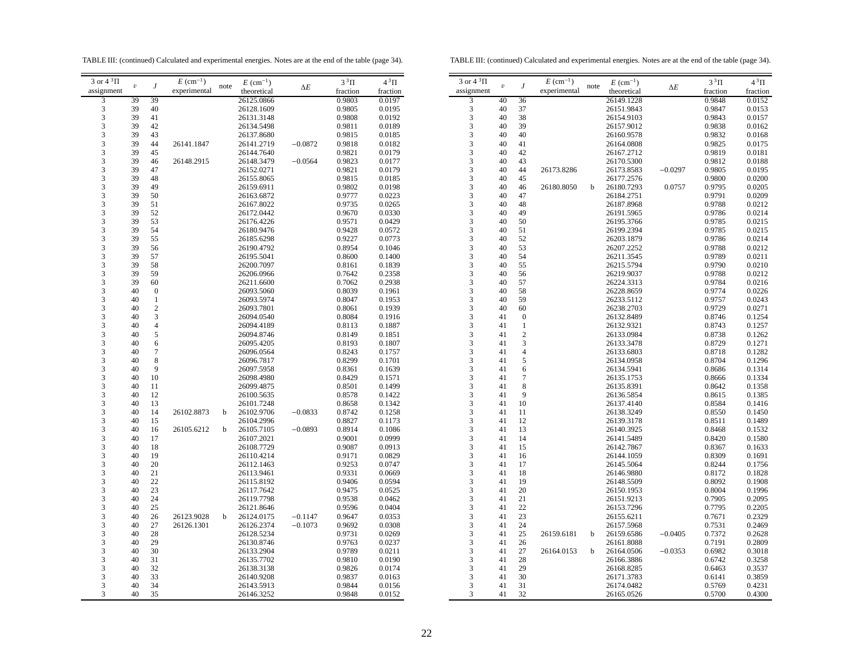TABLE III: (continued) Calculated and experimental energies. Notes are at the end of the table (page 34).

TABLE III: (continued) Calculated and experimental energies. Notes are at the end of the table (page 34).

| 3 or $4\sqrt[3]{11}$    |                         |                  | $E~(\text{cm}^{-1})$ |      | $E~(\text{cm}^{-1})$ |            | $3^3\Pi$ | $4^3\Pi$ |
|-------------------------|-------------------------|------------------|----------------------|------|----------------------|------------|----------|----------|
| assignment              | $\boldsymbol{\upsilon}$ | J                | experimental         | note | theoretical          | $\Delta E$ | fraction | fraction |
| 3                       | 39                      | 39               |                      |      | 26125.0866           |            | 0.9803   | 0.0197   |
| 3                       | 39                      | 40               |                      |      | 26128.1609           |            | 0.9805   | 0.0195   |
|                         | 39                      | 41               |                      |      | 26131.3148           |            | 0.9808   | 0.0192   |
| $\frac{3}{3}$           | 39                      | 42               |                      |      | 26134.5498           |            | 0.9811   | 0.0189   |
| 3                       | 39                      | 43               |                      |      | 26137.8680           |            | 0.9815   | 0.0185   |
| 3                       | 39                      | 44               | 26141.1847           |      | 26141.2719           | $-0.0872$  | 0.9818   | 0.0182   |
| 3                       | 39                      | 45               |                      |      | 26144.7640           |            | 0.9821   | 0.0179   |
| 3                       | 39                      | 46               | 26148.2915           |      | 26148.3479           | $-0.0564$  | 0.9823   | 0.0177   |
| 3                       | 39                      | 47               |                      |      | 26152.0271           |            | 0.9821   | 0.0179   |
|                         | 39                      |                  |                      |      |                      |            |          |          |
| 3                       |                         | 48               |                      |      | 26155.8065           |            | 0.9815   | 0.0185   |
| 3                       | 39                      | 49               |                      |      | 26159.6911           |            | 0.9802   | 0.0198   |
| 3                       | 39                      | 50               |                      |      | 26163.6872           |            | 0.9777   | 0.0223   |
| 3                       | 39                      | 51               |                      |      | 26167.8022           |            | 0.9735   | 0.0265   |
| $\frac{3}{3}$           | 39                      | 52               |                      |      | 26172.0442           |            | 0.9670   | 0.0330   |
|                         | 39                      | 53               |                      |      | 26176.4226           |            | 0.9571   | 0.0429   |
| $\frac{3}{3}$           | 39                      | 54               |                      |      | 26180.9476           |            | 0.9428   | 0.0572   |
|                         | 39                      | 55               |                      |      | 26185.6298           |            | 0.9227   | 0.0773   |
| $\overline{\mathbf{3}}$ | 39                      | 56               |                      |      | 26190.4792           |            | 0.8954   | 0.1046   |
| 3                       | 39                      | 57               |                      |      | 26195.5041           |            | 0.8600   | 0.1400   |
| 3                       | 39                      | 58               |                      |      | 26200.7097           |            | 0.8161   | 0.1839   |
| 3                       | 39                      | 59               |                      |      | 26206.0966           |            | 0.7642   | 0.2358   |
| 3                       | 39                      | 60               |                      |      | 26211.6600           |            | 0.7062   | 0.2938   |
|                         | 40                      | $\boldsymbol{0}$ |                      |      | 26093.5060           |            | 0.8039   | 0.1961   |
| $\frac{3}{3}$           | 40                      | $\,1$            |                      |      | 26093.5974           |            | 0.8047   | 0.1953   |
|                         | 40                      | $\overline{c}$   |                      |      | 26093.7801           |            | 0.8061   | 0.1939   |
| $\frac{3}{3}$           | 40                      | 3                |                      |      | 26094.0540           |            | 0.8084   | 0.1916   |
| 3                       | 40                      | 4                |                      |      | 26094.4189           |            | 0.8113   | 0.1887   |
| 3                       | 40                      | 5                |                      |      | 26094.8746           |            | 0.8149   | 0.1851   |
| 3                       | 40                      | 6                |                      |      | 26095.4205           |            | 0.8193   | 0.1807   |
| 3                       | 40                      | $\overline{7}$   |                      |      | 26096.0564           |            |          |          |
|                         |                         | 8                |                      |      |                      |            | 0.8243   | 0.1757   |
| 3                       | 40                      |                  |                      |      | 26096.7817           |            | 0.8299   | 0.1701   |
| 3                       | 40                      | 9                |                      |      | 26097.5958           |            | 0.8361   | 0.1639   |
| 3                       | 40                      | 10               |                      |      | 26098.4980           |            | 0.8429   | 0.1571   |
| $\frac{3}{3}$           | 40                      | 11               |                      |      | 26099.4875           |            | 0.8501   | 0.1499   |
|                         | 40                      | 12               |                      |      | 26100.5635           |            | 0.8578   | 0.1422   |
| 3                       | 40                      | 13               |                      |      | 26101.7248           |            | 0.8658   | 0.1342   |
| 3                       | 40                      | 14               | 26102.8873           | b    | 26102.9706           | $-0.0833$  | 0.8742   | 0.1258   |
| 3                       | 40                      | 15               |                      |      | 26104.2996           |            | 0.8827   | 0.1173   |
| 3                       | 40                      | 16               | 26105.6212           | b    | 26105.7105           | $-0.0893$  | 0.8914   | 0.1086   |
| 3                       | 40                      | 17               |                      |      | 26107.2021           |            | 0.9001   | 0.0999   |
| 3                       | 40                      | 18               |                      |      | 26108.7729           |            | 0.9087   | 0.0913   |
| 3                       | 40                      | 19               |                      |      | 26110.4214           |            | 0.9171   | 0.0829   |
|                         | 40                      | 20               |                      |      | 26112.1463           |            | 0.9253   | 0.0747   |
| $\frac{3}{3}$           | 40                      | 21               |                      |      | 26113.9461           |            | 0.9331   | 0.0669   |
|                         | 40                      | 22               |                      |      | 26115.8192           |            | 0.9406   | 0.0594   |
| $\frac{3}{3}$           | 40                      | 23               |                      |      | 26117.7642           |            | 0.9475   | 0.0525   |
| 3                       | 40                      | 24               |                      |      | 26119.7798           |            | 0.9538   | 0.0462   |
| 3                       | 40                      | 25               |                      |      | 26121.8646           |            | 0.9596   | 0.0404   |
| 3                       | 40                      | 26               | 26123.9028           | b    | 26124.0175           | $-0.1147$  | 0.9647   | 0.0353   |
| 3                       | 40                      | 27               |                      |      |                      |            |          |          |
|                         |                         | 28               | 26126.1301           |      | 26126.2374           | $-0.1073$  | 0.9692   | 0.0308   |
| 3                       | 40                      |                  |                      |      | 26128.5234           |            | 0.9731   | 0.0269   |
| 3                       | 40                      | 29               |                      |      | 26130.8746           |            | 0.9763   | 0.0237   |
| 3                       | 40                      | 30               |                      |      | 26133.2904           |            | 0.9789   | 0.0211   |
| 3                       | 40                      | 31               |                      |      | 26135.7702           |            | 0.9810   | 0.0190   |
| 3                       | 40                      | 32               |                      |      | 26138.3138           |            | 0.9826   | 0.0174   |
| 3                       | 40                      | 33               |                      |      | 26140.9208           |            | 0.9837   | 0.0163   |
| 3                       | 40                      | 34               |                      |      | 26143.5913           |            | 0.9844   | 0.0156   |
| 3                       | 40                      | 35               |                      |      | 26146.3252           |            | 0.9848   | 0.0152   |

| 3 or $4^3\Pi$                | $\boldsymbol{\upsilon}$ | $\boldsymbol{J}$    | $E~(\text{cm}^{-1})$ | note | $E~(\text{cm}^{-1})$ | $\Delta E$ | $3^3\Pi$ | $4^3\Pi$ |
|------------------------------|-------------------------|---------------------|----------------------|------|----------------------|------------|----------|----------|
| assignment                   |                         |                     | experimental         |      | theoretical          |            | fraction | fraction |
| 3                            | 40                      | 36                  |                      |      | 26149.1228           |            | 0.9848   | 0.0152   |
| 3                            | 40                      | 37                  |                      |      | 26151.9843           |            | 0.9847   | 0.0153   |
| 3                            | 40                      | 38                  |                      |      | 26154.9103           |            | 0.9843   | 0.0157   |
| 3                            | 40                      | 39                  |                      |      | 26157.9012           |            | 0.9838   | 0.0162   |
| 3                            | 40                      | 40                  |                      |      | 26160.9578           |            | 0.9832   | 0.0168   |
| 3                            | 40                      | 41                  |                      |      | 26164.0808           |            | 0.9825   | 0.0175   |
| 3                            | 40                      | 42                  |                      |      | 26167.2712           |            | 0.9819   | 0.0181   |
| 3                            | 40                      | 43                  |                      |      | 26170.5300           |            | 0.9812   | 0.0188   |
| 3                            | 40                      | 44                  | 26173.8286           |      | 26173.8583           | $-0.0297$  | 0.9805   | 0.0195   |
| 3                            | 40                      | 45                  |                      |      | 26177.2576           |            | 0.9800   | 0.0200   |
| 3                            | 40                      | 46                  | 26180.8050           | b    | 26180.7293           | 0.0757     | 0.9795   | 0.0205   |
| 3                            | 40                      | 47                  |                      |      | 26184.2751           |            | 0.9791   | 0.0209   |
| 3                            | 40                      | 48                  |                      |      | 26187.8968           |            | 0.9788   | 0.0212   |
| 3                            | 40                      | 49                  |                      |      | 26191.5965           |            | 0.9786   | 0.0214   |
| 3                            | 40                      | 50                  |                      |      | 26195.3766           |            | 0.9785   | 0.0215   |
| 3                            | 40                      | 51                  |                      |      | 26199.2394           |            | 0.9785   | 0.0215   |
| $\overline{\mathbf{3}}$      | 40                      | 52                  |                      |      | 26203.1879           |            | 0.9786   | 0.0214   |
| 3                            | 40                      | 53                  |                      |      | 26207.2252           |            | 0.9788   | 0.0212   |
| 3                            | 40                      | 54                  |                      |      | 26211.3545           |            | 0.9789   | 0.0211   |
| 3                            | 40                      | 55                  |                      |      | 26215.5794           |            | 0.9790   | 0.0210   |
| 3                            | 40                      | 56                  |                      |      | 26219.9037           |            | 0.9788   | 0.0212   |
| 3                            | 40                      | 57                  |                      |      | 26224.3313           |            | 0.9784   | 0.0216   |
| 3                            | 40                      | 58                  |                      |      | 26228.8659           |            | 0.9774   | 0.0226   |
| 3                            | 40                      | 59                  |                      |      | 26233.5112           |            | 0.9757   | 0.0243   |
| 3                            | 40                      | 60                  |                      |      | 26238.2703           |            | 0.9729   | 0.0271   |
|                              | 41                      | $\boldsymbol{0}$    |                      |      | 26132.8489           |            | 0.8746   | 0.1254   |
| $\frac{3}{3}$                | 41                      | $\mathbf{1}$        |                      |      | 26132.9321           |            | 0.8743   | 0.1257   |
| 3                            | 41                      |                     |                      |      | 26133.0984           |            |          |          |
| 3                            | 41                      | $\overline{c}$<br>3 |                      |      |                      |            | 0.8738   | 0.1262   |
| 3                            | 41                      | $\overline{4}$      |                      |      | 26133.3478           |            | 0.8729   | 0.1271   |
|                              | 41                      | 5                   |                      |      | 26133.6803           |            | 0.8718   | 0.1282   |
| $\overline{\mathbf{3}}$<br>3 | 41                      | 6                   |                      |      | 26134.0958           |            | 0.8704   | 0.1296   |
|                              |                         | 7                   |                      |      | 26134.5941           |            | 0.8686   | 0.1314   |
| 3                            | 41                      |                     |                      |      | 26135.1753           |            | 0.8666   | 0.1334   |
| 3                            | 41                      | 8<br>9              |                      |      | 26135.8391           |            | 0.8642   | 0.1358   |
| 3                            | 41                      |                     |                      |      | 26136.5854           |            | 0.8615   | 0.1385   |
| 3                            | 41                      | 10                  |                      |      | 26137.4140           |            | 0.8584   | 0.1416   |
| 3                            | 41                      | 11                  |                      |      | 26138.3249           |            | 0.8550   | 0.1450   |
| 3                            | 41                      | 12                  |                      |      | 26139.3178           |            | 0.8511   | 0.1489   |
| 3                            | 41                      | 13                  |                      |      | 26140.3925           |            | 0.8468   | 0.1532   |
| 3                            | 41                      | 14                  |                      |      | 26141.5489           |            | 0.8420   | 0.1580   |
| 3                            | 41                      | 15                  |                      |      | 26142.7867           |            | 0.8367   | 0.1633   |
| 3                            | 41                      | 16                  |                      |      | 26144.1059           |            | 0.8309   | 0.1691   |
| 3                            | 41                      | 17                  |                      |      | 26145.5064           |            | 0.8244   | 0.1756   |
| 3                            | 41                      | 18                  |                      |      | 26146.9880           |            | 0.8172   | 0.1828   |
| 3                            | 41                      | 19                  |                      |      | 26148.5509           |            | 0.8092   | 0.1908   |
| 3                            | 41                      | 20                  |                      |      | 26150.1953           |            | 0.8004   | 0.1996   |
| 3                            | 41                      | 21                  |                      |      | 26151.9213           |            | 0.7905   | 0.2095   |
| 3                            | 41                      | 22                  |                      |      | 26153.7296           |            | 0.7795   | 0.2205   |
| $\frac{3}{3}$                | 41                      | 23                  |                      |      | 26155.6211           |            | 0.7671   | 0.2329   |
|                              | 41                      | 24                  |                      |      | 26157.5968           |            | 0.7531   | 0.2469   |
| 3                            | 41                      | 25                  | 26159.6181           | b    | 26159.6586           | $-0.0405$  | 0.7372   | 0.2628   |
| 3                            | 41                      | 26                  |                      |      | 26161.8088           |            | 0.7191   | 0.2809   |
| 3                            | 41                      | 27                  | 26164.0153           | b    | 26164.0506           | $-0.0353$  | 0.6982   | 0.3018   |
| $\overline{\mathbf{3}}$      | 41                      | 28                  |                      |      | 26166.3886           |            | 0.6742   | 0.3258   |
| 3                            | 41                      | 29                  |                      |      | 26168.8285           |            | 0.6463   | 0.3537   |
| 3                            | 41                      | 30                  |                      |      | 26171.3783           |            | 0.6141   | 0.3859   |
| 3                            | 41                      | 31                  |                      |      | 26174.0482           |            | 0.5769   | 0.4231   |
| 3                            | 41                      | 32                  |                      |      | 26165.0526           |            | 0.5700   | 0.4300   |

 $\equiv$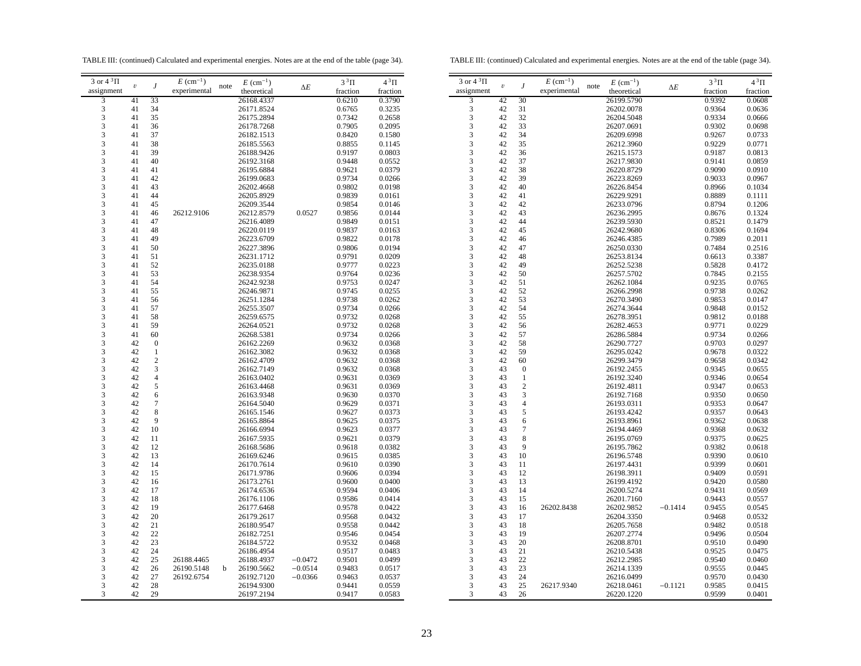TABLE III: (continued) Calculated and experimental energies. Notes are at the end of the table (page 34).

TABLE III: (continued) Calculated and experimental energies. Notes are at the end of the table (page 34).

| 3 or $4^3\Pi$               |                         |                           | $E~(\text{cm}^{-1})$ | note | $E~(\text{cm}^{-1})$     |            | $3^3\Pi$         | $4^3\Pi$         | 3 or $4^3\Pi$ |
|-----------------------------|-------------------------|---------------------------|----------------------|------|--------------------------|------------|------------------|------------------|---------------|
| assignment                  | $\boldsymbol{\upsilon}$ | J                         | experimental         |      | theoretical              | $\Delta E$ | fraction         | fraction         | assignment    |
| 3                           | 41                      | 33                        |                      |      | 26168.4337               |            | 0.6210           | 0.3790           | 3             |
| $\overline{\mathbf{3}}$     | 41                      | 34                        |                      |      | 26171.8524               |            | 0.6765           | 0.3235           | 3             |
| $\sqrt{3}$                  | 41                      | 35                        |                      |      | 26175.2894               |            | 0.7342           | 0.2658           | 3             |
| 3                           | 41                      | 36                        |                      |      | 26178.7268               |            | 0.7905           | 0.2095           | 3             |
| $\ensuremath{\mathfrak{Z}}$ | 41                      | 37                        |                      |      | 26182.1513               |            | 0.8420           | 0.1580           | 3             |
| 3                           | 41                      | 38                        |                      |      | 26185.5563               |            | 0.8855           | 0.1145           | 3             |
| 3                           | 41                      | 39                        |                      |      | 26188.9426               |            | 0.9197           | 0.0803           | 3             |
| 3                           | 41                      | 40                        |                      |      | 26192.3168               |            | 0.9448           | 0.0552           | 3             |
| 3                           | 41                      | 41                        |                      |      | 26195.6884               |            | 0.9621           | 0.0379           | 3             |
| 3                           | 41                      | 42                        |                      |      | 26199.0683               |            | 0.9734           | 0.0266           | 3             |
| 3                           | 41                      | 43                        |                      |      | 26202.4668               |            | 0.9802           | 0.0198           | 3             |
| 3                           | 41                      | 44                        |                      |      | 26205.8929               |            | 0.9839           | 0.0161           | 3             |
| 3                           | 41                      | 45                        |                      |      | 26209.3544               |            | 0.9854           | 0.0146           | 3             |
| $\sqrt{3}$                  | 41                      | 46                        | 26212.9106           |      | 26212.8579               | 0.0527     | 0.9856           | 0.0144           | 3             |
| 3                           | 41                      | 47                        |                      |      | 26216.4089               |            | 0.9849           | 0.0151           | 3             |
| $\ensuremath{\mathfrak{Z}}$ | 41                      | 48                        |                      |      | 26220.0119               |            | 0.9837           | 0.0163           | 3             |
| 3                           | 41                      | 49                        |                      |      | 26223.6709               |            | 0.9822           | 0.0178           | 3             |
| 3                           | 41                      | 50                        |                      |      | 26227.3896               |            | 0.9806           | 0.0194           | 3             |
| 3                           | 41                      | 51                        |                      |      | 26231.1712               |            | 0.9791           | 0.0209           | 3             |
| $\overline{\mathbf{3}}$     | 41                      | 52                        |                      |      | 26235.0188               |            | 0.9777           | 0.0223           | 3             |
| 3                           | 41                      | 53                        |                      |      | 26238.9354               |            | 0.9764           | 0.0236           | 3             |
| 3                           | 41                      | 54                        |                      |      | 26242.9238               |            | 0.9753           | 0.0247           | 3             |
| $\ensuremath{\mathfrak{Z}}$ | 41                      | 55                        |                      |      | 26246.9871               |            | 0.9745           | 0.0255           | 3             |
| $\ensuremath{\mathfrak{Z}}$ | 41                      | 56                        |                      |      | 26251.1284               |            | 0.9738           | 0.0262           | 3             |
| $\sqrt{3}$                  | 41                      | 57                        |                      |      | 26255.3507               |            | 0.9734           | 0.0266           | 3             |
| 3                           | 41                      | 58                        |                      |      | 26259.6575               |            | 0.9732           | 0.0268           | 3             |
| 3                           | 41                      | 59                        |                      |      | 26264.0521               |            | 0.9732           | 0.0268           | 3             |
| 3                           | 41                      | 60                        |                      |      | 26268.5381               |            | 0.9734           | 0.0266           | 3             |
| 3<br>3                      | 42<br>42                | $\boldsymbol{0}$<br>$\,1$ |                      |      | 26162.2269<br>26162.3082 |            | 0.9632<br>0.9632 | 0.0368<br>0.0368 | 3<br>3        |
| 3                           | 42                      | $\boldsymbol{2}$          |                      |      | 26162.4709               |            | 0.9632           | 0.0368           | 3             |
| 3                           | 42                      | 3                         |                      |      | 26162.7149               |            | 0.9632           | 0.0368           | 3             |
| 3                           | 42                      | $\overline{\mathcal{L}}$  |                      |      | 26163.0402               |            | 0.9631           | 0.0369           | 3             |
| 3                           | 42                      | 5                         |                      |      | 26163.4468               |            | 0.9631           | 0.0369           | 3             |
| $\ensuremath{\mathfrak{Z}}$ | 42                      | 6                         |                      |      | 26163.9348               |            | 0.9630           | 0.0370           | 3             |
| 3                           | 42                      | $\tau$                    |                      |      | 26164.5040               |            | 0.9629           | 0.0371           | 3             |
| $\ensuremath{\mathsf{3}}$   | 42                      | 8                         |                      |      | 26165.1546               |            | 0.9627           | 0.0373           | 3             |
| 3                           | 42                      | 9                         |                      |      | 26165.8864               |            | 0.9625           | 0.0375           | 3             |
| 3                           | 42                      | 10                        |                      |      | 26166.6994               |            | 0.9623           | 0.0377           | 3             |
| 3                           | 42                      | 11                        |                      |      | 26167.5935               |            | 0.9621           | 0.0379           | 3             |
| 3                           | 42                      | 12                        |                      |      | 26168.5686               |            | 0.9618           | 0.0382           | 3             |
| 3                           | 42                      | 13                        |                      |      | 26169.6246               |            | 0.9615           | 0.0385           | 3             |
| 3                           | 42                      | 14                        |                      |      | 26170.7614               |            | 0.9610           | 0.0390           | 3             |
| 3                           | 42                      | 15                        |                      |      | 26171.9786               |            | 0.9606           | 0.0394           | 3             |
| 3                           | 42                      | 16                        |                      |      | 26173.2761               |            | 0.9600           | 0.0400           | 3             |
| $\sqrt{3}$                  | 42                      | 17                        |                      |      | 26174.6536               |            | 0.9594           | 0.0406           | 3             |
| 3                           | 42                      | 18                        |                      |      | 26176.1106               |            | 0.9586           | 0.0414           | 3             |
| 3                           | 42                      | 19                        |                      |      | 26177.6468               |            | 0.9578           | 0.0422           | 3             |
| 3                           | 42                      | 20                        |                      |      | 26179.2617               |            | 0.9568           | 0.0432           | 3             |
| 3                           | 42                      | 21                        |                      |      | 26180.9547               |            | 0.9558           | 0.0442           | 3             |
| $\overline{\mathbf{3}}$     | 42                      | 22                        |                      |      | 26182.7251               |            | 0.9546           | 0.0454           | 3             |
| 3                           | 42                      | 23                        |                      |      | 26184.5722               |            | 0.9532           | 0.0468           | 3             |
| 3                           | 42                      | 24                        |                      |      | 26186.4954               |            | 0.9517           | 0.0483           | 3             |
| 3                           | 42                      | 25                        | 26188.4465           |      | 26188.4937               | $-0.0472$  | 0.9501           | 0.0499           | 3             |
| $\ensuremath{\mathfrak{Z}}$ | 42                      | 26                        | 26190.5148           | b    | 26190.5662               | $-0.0514$  | 0.9483           | 0.0517           | 3<br>3        |
| 3                           | 42                      | 27                        | 26192.6754           |      | 26192.7120               | $-0.0366$  | 0.9463           | 0.0537           |               |
| 3<br>3                      | 42<br>42                | 28<br>29                  |                      |      | 26194.9300<br>26197.2194 |            | 0.9441<br>0.9417 | 0.0559<br>0.0583 | 3<br>3        |
|                             |                         |                           |                      |      |                          |            |                  |                  |               |

| 3 or $4^3\Pi$<br>$E~(\text{cm}^{-1})$<br>J<br>$\boldsymbol{\upsilon}$ | $E~(\text{cm}^{-1})$<br>note | $\Delta E$ | $3^3\Pi$ | $4^3\Pi$ |
|-----------------------------------------------------------------------|------------------------------|------------|----------|----------|
|                                                                       |                              |            |          |          |
| assignment<br>experimental                                            | theoretical                  |            | fraction | fraction |
| $\overline{\mathbf{3}}$<br>30<br>42                                   | 26199.5790                   |            | 0.9392   | 0.0608   |
| 3<br>42<br>31                                                         | 26202.0078                   |            | 0.9364   | 0.0636   |
| 42<br>32                                                              | 26204.5048                   |            | 0.9334   | 0.0666   |
| $\frac{3}{3}$<br>42<br>33                                             | 26207.0691                   |            | 0.9302   | 0.0698   |
| 3<br>42<br>34                                                         | 26209.6998                   |            |          |          |
| 42<br>35                                                              |                              |            | 0.9267   | 0.0733   |
| 3                                                                     | 26212.3960                   |            | 0.9229   | 0.0771   |
| 3<br>42<br>36                                                         | 26215.1573                   |            | 0.9187   | 0.0813   |
| 3<br>42<br>37                                                         | 26217.9830                   |            | 0.9141   | 0.0859   |
| 3<br>42<br>38                                                         | 26220.8729                   |            | 0.9090   | 0.0910   |
| 3<br>42<br>39                                                         | 26223.8269                   |            | 0.9033   | 0.0967   |
| 3<br>40<br>42                                                         | 26226.8454                   |            | 0.8966   | 0.1034   |
| 3<br>42<br>41                                                         | 26229.9291                   |            | 0.8889   | 0.1111   |
| 3<br>42<br>42                                                         | 26233.0796                   |            | 0.8794   | 0.1206   |
| 3<br>42<br>43                                                         | 26236.2995                   |            | 0.8676   | 0.1324   |
| 3<br>44<br>42                                                         | 26239.5930                   |            | 0.8521   | 0.1479   |
| 3<br>42<br>45                                                         | 26242.9680                   |            | 0.8306   | 0.1694   |
| $\overline{\mathbf{3}}$<br>42<br>46                                   | 26246.4385                   |            | 0.7989   | 0.2011   |
| 3<br>42<br>47                                                         | 26250.0330                   |            | 0.7484   | 0.2516   |
| 3<br>42<br>48                                                         | 26253.8134                   |            | 0.6613   | 0.3387   |
| 3<br>42<br>49                                                         | 26252.5238                   |            | 0.5828   | 0.4172   |
| 3<br>42<br>50                                                         | 26257.5702                   |            | 0.7845   | 0.2155   |
| 3<br>42<br>51                                                         | 26262.1084                   |            | 0.9235   | 0.0765   |
| 3<br>42<br>52                                                         | 26266.2998                   |            | 0.9738   | 0.0262   |
| 3<br>53<br>42                                                         | 26270.3490                   |            | 0.9853   | 0.0147   |
| 54                                                                    |                              |            |          |          |
| 3<br>42                                                               | 26274.3644                   |            | 0.9848   | 0.0152   |
| $\frac{3}{3}$<br>42<br>55                                             | 26278.3951                   |            | 0.9812   | 0.0188   |
| 42<br>56                                                              | 26282.4653                   |            | 0.9771   | 0.0229   |
| 3<br>42<br>57                                                         | 26286.5884                   |            | 0.9734   | 0.0266   |
| 3<br>42<br>58                                                         | 26290.7727                   |            | 0.9703   | 0.0297   |
| 3<br>42<br>59                                                         | 26295.0242                   |            | 0.9678   | 0.0322   |
| $\overline{\mathbf{3}}$<br>42<br>60                                   | 26299.3479                   |            | 0.9658   | 0.0342   |
| 3<br>43<br>$\boldsymbol{0}$                                           | 26192.2455                   |            | 0.9345   | 0.0655   |
| 3<br>$\mathbf{1}$<br>43                                               | 26192.3240                   |            | 0.9346   | 0.0654   |
| 3<br>43<br>$\overline{c}$                                             | 26192.4811                   |            | 0.9347   | 0.0653   |
| 3<br>3<br>43                                                          | 26192.7168                   |            | 0.9350   | 0.0650   |
| 3<br>$\overline{4}$<br>43                                             | 26193.0311                   |            | 0.9353   | 0.0647   |
| 3<br>5<br>43                                                          | 26193.4242                   |            | 0.9357   | 0.0643   |
| 3<br>6<br>43                                                          | 26193.8961                   |            | 0.9362   | 0.0638   |
| 3<br>$\overline{7}$<br>43                                             | 26194.4469                   |            | 0.9368   | 0.0632   |
| $\overline{\mathbf{3}}$<br>8<br>43                                    | 26195.0769                   |            | 0.9375   | 0.0625   |
| 3<br>9<br>43                                                          | 26195.7862                   |            | 0.9382   | 0.0618   |
| 3<br>43<br>10                                                         | 26196.5748                   |            | 0.9390   | 0.0610   |
| 3<br>43<br>11                                                         | 26197.4431                   |            | 0.9399   | 0.0601   |
| 3<br>43<br>12                                                         | 26198.3911                   |            | 0.9409   | 0.0591   |
| 3<br>43<br>13                                                         | 26199.4192                   |            | 0.9420   | 0.0580   |
| 3<br>43<br>14                                                         | 26200.5274                   |            | 0.9431   | 0.0569   |
| 3<br>43<br>15                                                         | 26201.7160                   |            |          |          |
|                                                                       |                              |            | 0.9443   | 0.0557   |
| 3<br>43<br>16<br>26202.8438                                           | 26202.9852                   | $-0.1414$  | 0.9455   | 0.0545   |
| $\frac{3}{3}$<br>43<br>17                                             | 26204.3350                   |            | 0.9468   | 0.0532   |
| 43<br>18                                                              | 26205.7658                   |            | 0.9482   | 0.0518   |
| 3<br>43<br>19                                                         | 26207.2774                   |            | 0.9496   | 0.0504   |
| 3<br>43<br>20                                                         | 26208.8701                   |            | 0.9510   | 0.0490   |
| 3<br>43<br>21                                                         | 26210.5438                   |            | 0.9525   | 0.0475   |
| $\overline{\mathbf{3}}$<br>43<br>22                                   | 26212.2985                   |            | 0.9540   | 0.0460   |
| 3<br>43<br>23                                                         | 26214.1339                   |            | 0.9555   | 0.0445   |
| 3<br>24<br>43                                                         | 26216.0499                   |            | 0.9570   | 0.0430   |
| 3<br>43<br>25<br>26217.9340                                           | 26218.0461                   | $-0.1121$  | 0.9585   | 0.0415   |
| 3<br>43<br>26                                                         | 26220.1220                   |            | 0.9599   | 0.0401   |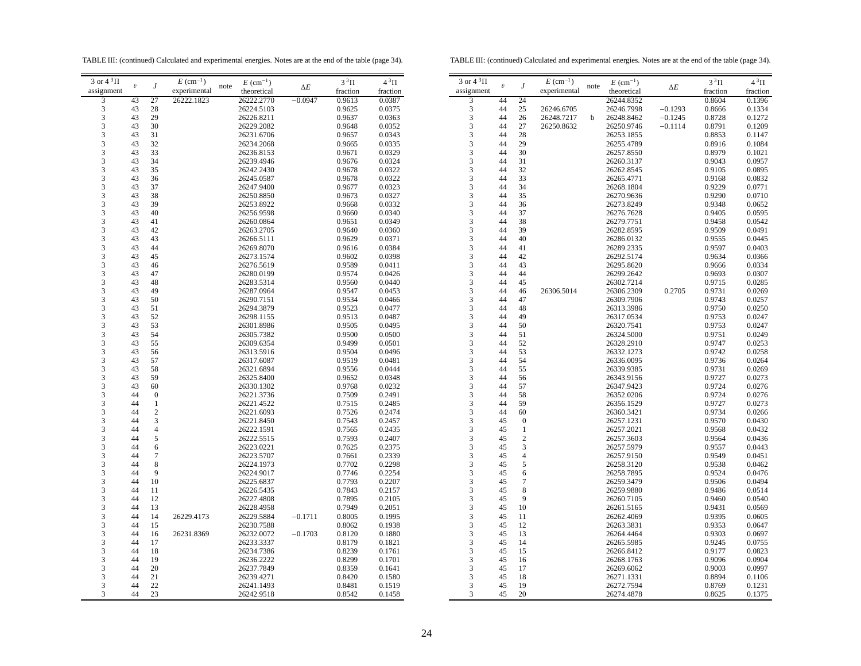TABLE III: (continued) Calculated and experimental energies. Notes are at the end of the table (page 34).

TABLE III: (continued) Calculated and experimental energies. Notes are at the end of the table (page 34).

| 3 or 4 $\rm{^3\Pi}$ |            |                  | $E~(\text{cm}^{-1})$ |      | $E~(\text{cm}^{-1})$ |            | $3^3\Pi$ | $4^3\Pi$ | $3$ or $4~^3\Pi$ |            |                 | $E~(\text{cm}^{-1})$ |      | $E~(\text{cm}^{-1})$ |           | $3^3\Pi$ | $4^3\Pi$ |
|---------------------|------------|------------------|----------------------|------|----------------------|------------|----------|----------|------------------|------------|-----------------|----------------------|------|----------------------|-----------|----------|----------|
| assignment          | $\upsilon$ |                  | experimental         | note | theoretical          | $\Delta E$ | fraction | fraction | assignment       | $\upsilon$ |                 | experimental         | note | theoretical          | ΔΕ        | fraction | fraction |
| 3                   | 43         | 27               | 26222.1823           |      | 26222.2770           | $-0.0947$  | 0.9613   | 0.0387   | 3                | 44         | 24              |                      |      | 26244.8352           |           | 0.8604   | 0.1396   |
|                     |            |                  |                      |      |                      |            |          |          |                  |            |                 |                      |      |                      |           |          |          |
| 3                   | 43         | 28               |                      |      | 26224.5103           |            | 0.9625   | 0.0375   | 3                | 44         | 25              | 26246.6705           |      | 26246.7998           | $-0.1293$ | 0.8666   | 0.1334   |
| 3                   | 43         | 29               |                      |      | 26226.8211           |            | 0.9637   | 0.0363   | 3                | 44         | 26              | 26248.7217           | b    | 26248.8462           | $-0.1245$ | 0.8728   | 0.1272   |
| 3                   | 43         | 30               |                      |      | 26229.2082           |            | 0.9648   | 0.0352   | 3                | 44         | 27              | 26250.8632           |      | 26250.9746           | $-0.1114$ | 0.8791   | 0.1209   |
| 3                   | 43         | 31               |                      |      | 26231.6706           |            | 0.9657   | 0.0343   | 3                | 44         | 28              |                      |      | 26253.1855           |           | 0.8853   | 0.1147   |
| 3                   | 43         | 32               |                      |      | 26234.2068           |            | 0.9665   | 0.0335   | 3                | 44         | 29              |                      |      | 26255.4789           |           | 0.8916   | 0.1084   |
| 3                   | 43         | 33               |                      |      | 26236.8153           |            | 0.9671   | 0.0329   | 3                | 44         | 30              |                      |      | 26257.8550           |           | 0.8979   | 0.1021   |
| 3                   | 43         | 34               |                      |      | 26239.4946           |            | 0.9676   | 0.0324   | 3                | 44         | 31              |                      |      | 26260.3137           |           | 0.9043   | 0.0957   |
| $\mathbf{3}$        | 43         | 35               |                      |      | 26242.2430           |            | 0.9678   | 0.0322   | 3                | 44         | 32              |                      |      | 26262.8545           |           | 0.9105   | 0.0895   |
| 3                   | 43         | 36               |                      |      | 26245.0587           |            | 0.9678   | 0.0322   | 3                | 44         | 33              |                      |      | 26265.4771           |           | 0.9168   | 0.0832   |
| 3                   | 43         | 37               |                      |      | 26247.9400           |            | 0.9677   | 0.0323   | 3                | 44         | 34              |                      |      | 26268.1804           |           | 0.9229   | 0.0771   |
| 3                   | 43         | 38               |                      |      | 26250.8850           |            | 0.9673   | 0.0327   | 3                | 44         | 35              |                      |      | 26270.9636           |           | 0.9290   | 0.0710   |
| 3                   | 43         |                  |                      |      |                      |            |          |          | 3                |            |                 |                      |      |                      |           |          |          |
|                     |            | 39               |                      |      | 26253.8922           |            | 0.9668   | 0.0332   |                  | 44         | 36              |                      |      | 26273.8249           |           | 0.9348   | 0.0652   |
| 3                   | 43         | 40               |                      |      | 26256.9598           |            | 0.9660   | 0.0340   | 3                | 44         | 37              |                      |      | 26276.7628           |           | 0.9405   | 0.0595   |
| 3                   | 43         | 41               |                      |      | 26260.0864           |            | 0.9651   | 0.0349   | 3                | 44         | 38              |                      |      | 26279.7751           |           | 0.9458   | 0.0542   |
| 3                   | 43         | 42               |                      |      | 26263.2705           |            | 0.9640   | 0.0360   | 3                | 44         | 39              |                      |      | 26282.8595           |           | 0.9509   | 0.0491   |
| 3                   | 43         | 43               |                      |      | 26266.5111           |            | 0.9629   | 0.0371   | 3                | 44         | 40              |                      |      | 26286.0132           |           | 0.9555   | 0.0445   |
| $\mathbf{3}$        | 43         | 44               |                      |      | 26269.8070           |            | 0.9616   | 0.0384   | 3                | 44         | 41              |                      |      | 26289.2335           |           | 0.9597   | 0.0403   |
| 3                   | 43         | 45               |                      |      | 26273.1574           |            | 0.9602   | 0.0398   | 3                | 44         | 42              |                      |      | 26292.5174           |           | 0.9634   | 0.0366   |
| 3                   | 43         | 46               |                      |      | 26276.5619           |            | 0.9589   | 0.0411   | 3                | 44         | 43              |                      |      | 26295.8620           |           | 0.9666   | 0.0334   |
| $\mathbf{3}$        | 43         | 47               |                      |      | 26280.0199           |            | 0.9574   | 0.0426   | 3                | 44         | 44              |                      |      | 26299.2642           |           | 0.9693   | 0.0307   |
| 3                   | 43         | 48               |                      |      | 26283.5314           |            | 0.9560   | 0.0440   | 3                | 44         | 45              |                      |      | 26302.7214           |           | 0.9715   | 0.0285   |
| 3                   | 43         | 49               |                      |      | 26287.0964           |            | 0.9547   | 0.0453   | 3                | 44         | 46              | 26306.5014           |      | 26306.2309           | 0.2705    | 0.9731   | 0.0269   |
| 3                   | 43         | 50               |                      |      | 26290.7151           |            | 0.9534   | 0.0466   | 3                | 44         | 47              |                      |      | 26309.7906           |           | 0.9743   | 0.0257   |
| 3                   | 43         | 51               |                      |      | 26294.3879           |            | 0.9523   | 0.0477   | 3                | 44         | 48              |                      |      | 26313.3986           |           | 0.9750   | 0.0250   |
|                     |            |                  |                      |      |                      |            |          |          |                  |            |                 |                      |      |                      |           |          |          |
| 3                   | 43         | 52               |                      |      | 26298.1155           |            | 0.9513   | 0.0487   | 3                | 44         | 49              |                      |      | 26317.0534           |           | 0.9753   | 0.0247   |
| 3                   | 43         | 53               |                      |      | 26301.8986           |            | 0.9505   | 0.0495   | 3                | 44         | 50              |                      |      | 26320.7541           |           | 0.9753   | 0.0247   |
| 3                   | 43         | 54               |                      |      | 26305.7382           |            | 0.9500   | 0.0500   | 3                | 44         | 51              |                      |      | 26324.5000           |           | 0.9751   | 0.0249   |
| 3                   | 43         | 55               |                      |      | 26309.6354           |            | 0.9499   | 0.0501   | 3                | 44         | 52              |                      |      | 26328.2910           |           | 0.9747   | 0.0253   |
| $\mathbf{3}$        | 43         | 56               |                      |      | 26313.5916           |            | 0.9504   | 0.0496   | 3                | 44         | 53              |                      |      | 26332.1273           |           | 0.9742   | 0.0258   |
| 3                   | 43         | 57               |                      |      | 26317.6087           |            | 0.9519   | 0.0481   | 3                | 44         | 54              |                      |      | 26336.0095           |           | 0.9736   | 0.0264   |
| 3                   | 43         | 58               |                      |      | 26321.6894           |            | 0.9556   | 0.0444   | 3                | 44         | 55              |                      |      | 26339.9385           |           | 0.9731   | 0.0269   |
| 3                   | 43         | 59               |                      |      | 26325.8400           |            | 0.9652   | 0.0348   | 3                | 44         | 56              |                      |      | 26343.9156           |           | 0.9727   | 0.0273   |
| 3                   | 43         | 60               |                      |      | 26330.1302           |            | 0.9768   | 0.0232   | 3                | 44         | 57              |                      |      | 26347.9423           |           | 0.9724   | 0.0276   |
| 3                   | 44         | $\boldsymbol{0}$ |                      |      | 26221.3736           |            | 0.7509   | 0.2491   | 3                | 44         | 58              |                      |      | 26352.0206           |           | 0.9724   | 0.0276   |
| 3                   | 44         | $\mathbf{1}$     |                      |      | 26221.4522           |            | 0.7515   | 0.2485   | 3                | 44         | 59              |                      |      | 26356.1529           |           | 0.9727   | 0.0273   |
| 3                   | 44         | $\overline{2}$   |                      |      | 26221.6093           |            | 0.7526   | 0.2474   | 3                | 44         | 60              |                      |      | 26360.3421           |           | 0.9734   | 0.0266   |
| 3                   | 44         | 3                |                      |      | 26221.8450           |            | 0.7543   | 0.2457   | 3                | 45         | $\bf{0}$        |                      |      | 26257.1231           |           | 0.9570   | 0.0430   |
| $\mathbf{3}$        | 44         | $\overline{4}$   |                      |      | 26222.1591           |            | 0.7565   | 0.2435   | 3                | 45         | $\mathbf{1}$    |                      |      | 26257.2021           |           | 0.9568   | 0.0432   |
|                     |            |                  |                      |      |                      |            |          |          |                  |            |                 |                      |      |                      |           |          |          |
| 3                   | 44         | 5                |                      |      | 26222.5515           |            | 0.7593   | 0.2407   | 3                | 45         | $\overline{c}$  |                      |      | 26257.3603           |           | 0.9564   | 0.0436   |
| 3                   | 44         | 6                |                      |      | 26223.0221           |            | 0.7625   | 0.2375   | 3                | 45         | 3               |                      |      | 26257.5979           |           | 0.9557   | 0.0443   |
| 3                   | 44         | $\overline{7}$   |                      |      | 26223.5707           |            | 0.7661   | 0.2339   | 3                | 45         | $\overline{4}$  |                      |      | 26257.9150           |           | 0.9549   | 0.0451   |
| 3                   | 44         | 8                |                      |      | 26224.1973           |            | 0.7702   | 0.2298   | 3                | 45         | 5               |                      |      | 26258.3120           |           | 0.9538   | 0.0462   |
| 3                   | 44         | 9                |                      |      | 26224.9017           |            | 0.7746   | 0.2254   | 3                | 45         | 6               |                      |      | 26258.7895           |           | 0.9524   | 0.0476   |
| 3                   | 44         | 10               |                      |      | 26225.6837           |            | 0.7793   | 0.2207   | 3                | 45         | $7\phantom{.0}$ |                      |      | 26259.3479           |           | 0.9506   | 0.0494   |
| 3                   | 44         | 11               |                      |      | 26226.5435           |            | 0.7843   | 0.2157   | 3                | 45         | 8               |                      |      | 26259.9880           |           | 0.9486   | 0.0514   |
| 3                   | 44         | 12               |                      |      | 26227.4808           |            | 0.7895   | 0.2105   | 3                | 45         | 9               |                      |      | 26260.7105           |           | 0.9460   | 0.0540   |
| $\mathbf{3}$        | 44         | 13               |                      |      | 26228.4958           |            | 0.7949   | 0.2051   | 3                | 45         | 10              |                      |      | 26261.5165           |           | 0.9431   | 0.0569   |
| 3                   | 44         | 14               | 26229.4173           |      | 26229.5884           | $-0.1711$  | 0.8005   | 0.1995   | 3                | 45         | 11              |                      |      | 26262.4069           |           | 0.9395   | 0.0605   |
| 3                   | 44         | 15               |                      |      | 26230.7588           |            | 0.8062   | 0.1938   | 3                | 45         | 12              |                      |      | 26263.3831           |           | 0.9353   | 0.0647   |
| 3                   | 44         | 16               | 26231.8369           |      | 26232.0072           | $-0.1703$  | 0.8120   | 0.1880   | 3                | 45         | 13              |                      |      | 26264.4464           |           | 0.9303   | 0.0697   |
| 3                   | 44         | 17               |                      |      |                      |            |          |          | 3                | 45         | 14              |                      |      |                      |           | 0.9245   | 0.0755   |
|                     |            |                  |                      |      | 26233.3337           |            | 0.8179   | 0.1821   |                  |            |                 |                      |      | 26265.5985           |           |          |          |
| 3                   | 44         | 18               |                      |      | 26234.7386           |            | 0.8239   | 0.1761   | 3                | 45         | 15              |                      |      | 26266.8412           |           | 0.9177   | 0.0823   |
| 3                   | 44         | 19               |                      |      | 26236.2222           |            | 0.8299   | 0.1701   | 3                | 45         | 16              |                      |      | 26268.1763           |           | 0.9096   | 0.0904   |
| 3                   | 44         | 20               |                      |      | 26237.7849           |            | 0.8359   | 0.1641   | 3                | 45         | 17              |                      |      | 26269.6062           |           | 0.9003   | 0.0997   |
| $\mathcal{R}$       | 44         | 21               |                      |      | 26239.4271           |            | 0.8420   | 0.1580   | 3                | 45         | 18              |                      |      | 26271.1331           |           | 0.8894   | 0.1106   |
| $\mathbf{3}$        | 44         | 22               |                      |      | 26241.1493           |            | 0.8481   | 0.1519   | $\mathbf{3}$     | 45         | 19              |                      |      | 26272.7594           |           | 0.8769   | 0.1231   |
| 3                   | 44         | 23               |                      |      | 26242.9518           |            | 0.8542   | 0.1458   | 3                | 45         | 20              |                      |      | 26274.4878           |           | 0.8625   | 0.1375   |
|                     |            |                  |                      |      |                      |            |          |          |                  |            |                 |                      |      |                      |           |          |          |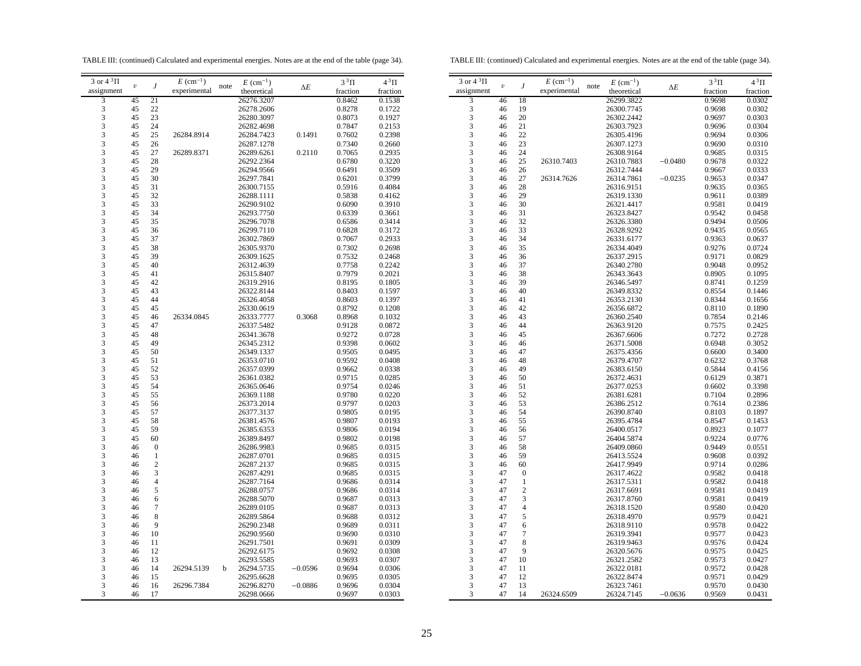TABLE III: (continued) Calculated and experimental energies. Notes are at the end of the table (page 34).

TABLE III: (continued) Calculated and experimental energies. Notes are at the end of the table (page 34).

| 3 or $4^3\Pi$ |                  |                         | $E~(\text{cm}^{-1})$ |      | $E~(\text{cm}^{-1})$ |            | $3^3\Pi$ | $4^3\Pi$ | 3 or $4^3\Pi$ |                         |                          |                |
|---------------|------------------|-------------------------|----------------------|------|----------------------|------------|----------|----------|---------------|-------------------------|--------------------------|----------------|
| assignment    | $\boldsymbol{v}$ | $\boldsymbol{J}$        | experimental         | note | theoretical          | $\Delta E$ | fraction | fraction | assignment    | $\boldsymbol{\upsilon}$ | J                        | e.             |
| 3             | 45               | 21                      |                      |      | 26276.3207           |            | 0.8462   | 0.1538   | 3             | 46                      | 18                       |                |
| 3             | 45               | 22                      |                      |      | 26278.2606           |            | 0.8278   | 0.1722   | 3             | 46                      | 19                       |                |
| 3             | 45               | 23                      |                      |      | 26280.3097           |            | 0.8073   | 0.1927   | 3             | 46                      | 20                       |                |
| 3             | 45               | 24                      |                      |      | 26282.4698           |            | 0.7847   | 0.2153   | 3             | 46                      | 21                       |                |
|               | 45               |                         |                      |      |                      |            |          |          | 3             | 46                      | 22                       |                |
| 3             |                  | 25                      | 26284.8914           |      | 26284.7423           | 0.1491     | 0.7602   | 0.2398   |               |                         |                          |                |
| 3             | 45               | 26                      |                      |      | 26287.1278           |            | 0.7340   | 0.2660   | 3             | 46                      | 23                       |                |
| 3             | 45               | 27                      | 26289.8371           |      | 26289.6261           | 0.2110     | 0.7065   | 0.2935   | 3             | 46                      | 24                       |                |
| 3             | 45               | 28                      |                      |      | 26292.2364           |            | 0.6780   | 0.3220   | 3             | 46                      | 25                       | 2              |
| 3             | 45               | 29                      |                      |      | 26294.9566           |            | 0.6491   | 0.3509   | 3             | 46                      | 26                       |                |
| 3             | 45               | 30                      |                      |      | 26297.7841           |            | 0.6201   | 0.3799   | 3             | 46                      | 27                       | $\overline{c}$ |
| 3             | 45               | 31                      |                      |      | 26300.7155           |            | 0.5916   | 0.4084   | 3             | 46                      | 28                       |                |
| 3             | 45               | 32                      |                      |      | 26288.1111           |            | 0.5838   | 0.4162   | 3             | 46                      | 29                       |                |
| 3             | 45               | 33                      |                      |      | 26290.9102           |            | 0.6090   | 0.3910   | 3             | 46                      | 30                       |                |
| 3             | 45               | 34                      |                      |      | 26293.7750           |            | 0.6339   | 0.3661   | 3             | 46                      | 31                       |                |
| 3             | 45               | 35                      |                      |      | 26296.7078           |            | 0.6586   | 0.3414   | 3             | 46                      | 32                       |                |
| 3             | 45               | 36                      |                      |      | 26299.7110           |            | 0.6828   | 0.3172   | 3             | 46                      | 33                       |                |
| 3             | 45               | 37                      |                      |      | 26302.7869           |            | 0.7067   | 0.2933   | 3             | 46                      | 34                       |                |
| 3             | 45               | 38                      |                      |      | 26305.9370           |            | 0.7302   | 0.2698   | 3             | 46                      | 35                       |                |
| 3             | 45               | 39                      |                      |      | 26309.1625           |            | 0.7532   | 0.2468   | 3             | 46                      | 36                       |                |
| 3             | 45               | 40                      |                      |      | 26312.4639           |            | 0.7758   | 0.2242   | 3             | 46                      | 37                       |                |
|               |                  |                         |                      |      |                      |            |          |          |               |                         |                          |                |
| 3             | 45               | 41                      |                      |      | 26315.8407           |            | 0.7979   | 0.2021   | 3             | 46                      | 38                       |                |
| 3             | 45               | 42                      |                      |      | 26319.2916           |            | 0.8195   | 0.1805   | 3             | 46                      | 39                       |                |
| 3             | 45               | 43                      |                      |      | 26322.8144           |            | 0.8403   | 0.1597   | 3             | 46                      | 40                       |                |
| 3             | 45               | 44                      |                      |      | 26326.4058           |            | 0.8603   | 0.1397   | 3             | 46                      | 41                       |                |
| 3             | 45               | 45                      |                      |      | 26330.0619           |            | 0.8792   | 0.1208   | 3             | 46                      | 42                       |                |
| 3             | 45               | 46                      | 26334.0845           |      | 26333.7777           | 0.3068     | 0.8968   | 0.1032   | 3             | 46                      | 43                       |                |
| 3             | 45               | 47                      |                      |      | 26337.5482           |            | 0.9128   | 0.0872   | 3             | 46                      | 44                       |                |
| 3             | 45               | 48                      |                      |      | 26341.3678           |            | 0.9272   | 0.0728   | 3             | 46                      | 45                       |                |
| 3             | 45               | 49                      |                      |      | 26345.2312           |            | 0.9398   | 0.0602   | 3             | 46                      | 46                       |                |
| 3             | 45               | 50                      |                      |      | 26349.1337           |            | 0.9505   | 0.0495   | 3             | 46                      | 47                       |                |
| 3             | 45               | 51                      |                      |      | 26353.0710           |            | 0.9592   | 0.0408   | 3             | 46                      | 48                       |                |
| 3             | 45               | 52                      |                      |      | 26357.0399           |            | 0.9662   | 0.0338   | 3             | 46                      | 49                       |                |
| 3             | 45               | 53                      |                      |      | 26361.0382           |            | 0.9715   | 0.0285   | 3             | 46                      | 50                       |                |
|               |                  | 54                      |                      |      |                      |            |          |          |               |                         |                          |                |
| 3             | 45               |                         |                      |      | 26365.0646           |            | 0.9754   | 0.0246   | 3             | 46                      | 51                       |                |
| 3             | 45               | 55                      |                      |      | 26369.1188           |            | 0.9780   | 0.0220   | 3             | 46                      | 52                       |                |
| 3             | 45               | 56                      |                      |      | 26373.2014           |            | 0.9797   | 0.0203   | 3             | 46                      | 53                       |                |
| 3             | 45               | 57                      |                      |      | 26377.3137           |            | 0.9805   | 0.0195   | 3             | 46                      | 54                       |                |
| 3             | 45               | 58                      |                      |      | 26381.4576           |            | 0.9807   | 0.0193   | 3             | 46                      | 55                       |                |
| 3             | 45               | 59                      |                      |      | 26385.6353           |            | 0.9806   | 0.0194   | 3             | 46                      | 56                       |                |
| 3             | 45               | 60                      |                      |      | 26389.8497           |            | 0.9802   | 0.0198   | 3             | 46                      | 57                       |                |
| 3             | 46               | $\boldsymbol{0}$        |                      |      | 26286.9983           |            | 0.9685   | 0.0315   | 3             | 46                      | 58                       |                |
| 3             | 46               | 1                       |                      |      | 26287.0701           |            | 0.9685   | 0.0315   | 3             | 46                      | 59                       |                |
| 3             | 46               | $\overline{c}$          |                      |      | 26287.2137           |            | 0.9685   | 0.0315   | 3             | 46                      | 60                       |                |
| 3             | 46               | 3                       |                      |      | 26287.4291           |            | 0.9685   | 0.0315   | 3             | 47                      | $\boldsymbol{0}$         |                |
| 3             | 46               | $\overline{\mathbf{4}}$ |                      |      | 26287.7164           |            | 0.9686   | 0.0314   | 3             | 47                      | $\mathbf{1}$             |                |
| 3             | 46               | 5                       |                      |      | 26288.0757           |            | 0.9686   | 0.0314   | 3             | 47                      | $\overline{c}$           |                |
| 3             | 46               | 6                       |                      |      | 26288.5070           |            | 0.9687   | 0.0313   | 3             | 47                      | 3                        |                |
| 3             | 46               | 7                       |                      |      | 26289.0105           |            | 0.9687   | 0.0313   | 3             | 47                      | $\overline{4}$           |                |
| 3             | 46               | 8                       |                      |      | 26289.5864           |            | 0.9688   | 0.0312   | 3             | 47                      | 5                        |                |
|               |                  | 9                       |                      |      |                      |            |          |          |               |                         |                          |                |
| 3             | 46               |                         |                      |      | 26290.2348           |            | 0.9689   | 0.0311   | 3             | 47                      | 6                        |                |
| 3             | 46               | 10                      |                      |      | 26290.9560           |            | 0.9690   | 0.0310   | 3             | 47                      | $\overline{\mathcal{I}}$ |                |
| 3             | 46               | 11                      |                      |      | 26291.7501           |            | 0.9691   | 0.0309   | 3             | 47                      | 8                        |                |
| 3             | 46               | 12                      |                      |      | 26292.6175           |            | 0.9692   | 0.0308   | 3             | 47                      | 9                        |                |
| 3             | 46               | 13                      |                      |      | 26293.5585           |            | 0.9693   | 0.0307   | 3             | 47                      | 10                       |                |
| 3             | 46               | 14                      | 26294.5139           | b    | 26294.5735           | $-0.0596$  | 0.9694   | 0.0306   | 3             | 47                      | 11                       |                |
| 3             | 46               | 15                      |                      |      | 26295.6628           |            | 0.9695   | 0.0305   | 3             | 47                      | 12                       |                |
| 3             | 46               | 16                      | 26296.7384           |      | 26296.8270           | $-0.0886$  | 0.9696   | 0.0304   | 3             | 47                      | 13                       |                |
| 3             | 46               | 17                      |                      |      | 26298.0666           |            | 0.9697   | 0.0303   | 3             | 47                      | 14                       | $\overline{c}$ |
|               |                  |                         |                      |      |                      |            |          |          |               |                         |                          |                |

| 3 or $4^3\Pi$ | $\boldsymbol{v}$ |                  | $E~(\text{cm}^{-1})$ | $E~(\text{cm}^{-1})$<br>note |            | $3^3\Pi$ | $4\,{}^{3}\Pi$ |
|---------------|------------------|------------------|----------------------|------------------------------|------------|----------|----------------|
| assignment    |                  | J                | experimental         | theoretical                  | $\Delta E$ | fraction | fraction       |
| 3             | 46               | 18               |                      | 26299.3822                   |            | 0.9698   | 0.0302         |
| 3             | 46               | 19               |                      | 26300.7745                   |            | 0.9698   | 0.0302         |
| 3             | 46               | 20               |                      | 26302.2442                   |            | 0.9697   | 0.0303         |
| 3             | 46               | 21               |                      | 26303.7923                   |            | 0.9696   | 0.0304         |
| 3             | 46               | 22               |                      | 26305.4196                   |            | 0.9694   | 0.0306         |
| 3             | 46               | 23               |                      | 26307.1273                   |            | 0.9690   | 0.0310         |
| 3             | 46               | 24               |                      | 26308.9164                   |            | 0.9685   | 0.0315         |
| 3             | 46               | 25               | 26310.7403           | 26310.7883                   | $-0.0480$  | 0.9678   | 0.0322         |
| 3             | 46               | 26               |                      | 26312.7444                   |            | 0.9667   | 0.0333         |
| 3             | 46               | 27               | 26314.7626           | 26314.7861                   | $-0.0235$  | 0.9653   | 0.0347         |
| 3             | 46               | 28               |                      | 26316.9151                   |            | 0.9635   | 0.0365         |
| 3             | 46               | 29               |                      | 26319.1330                   |            | 0.9611   | 0.0389         |
| 3             | 46               | 30               |                      | 26321.4417                   |            | 0.9581   | 0.0419         |
| 3             | 46               | 31               |                      | 26323.8427                   |            | 0.9542   | 0.0458         |
| 3             | 46               | 32               |                      | 26326.3380                   |            | 0.9494   | 0.0506         |
| 3             | 46               | 33               |                      |                              |            |          |                |
| 3             |                  | 34               |                      | 26328.9292                   |            | 0.9435   | 0.0565         |
| 3             | 46               | 35               |                      | 26331.6177                   |            | 0.9363   | 0.0637         |
| 3             | 46               | 36               |                      | 26334.4049                   |            | 0.9276   | 0.0724         |
|               | 46               |                  |                      | 26337.2915                   |            | 0.9171   | 0.0829         |
| 3             | 46               | 37               |                      | 26340.2780                   |            | 0.9048   | 0.0952         |
| 3             | 46               | 38               |                      | 26343.3643                   |            | 0.8905   | 0.1095         |
| 3             | 46               | 39               |                      | 26346.5497                   |            | 0.8741   | 0.1259         |
| 3             | 46               | 40               |                      | 26349.8332                   |            | 0.8554   | 0.1446         |
| 3             | 46               | 41               |                      | 26353.2130                   |            | 0.8344   | 0.1656         |
| 3             | 46               | 42               |                      | 26356.6872                   |            | 0.8110   | 0.1890         |
| 3             | 46               | 43               |                      | 26360.2540                   |            | 0.7854   | 0.2146         |
| 3             | 46               | 44               |                      | 26363.9120                   |            | 0.7575   | 0.2425         |
| 3             | 46               | 45               |                      | 26367.6606                   |            | 0.7272   | 0.2728         |
| 3             | 46               | 46               |                      | 26371.5008                   |            | 0.6948   | 0.3052         |
| 3             | 46               | 47               |                      | 26375.4356                   |            | 0.6600   | 0.3400         |
| 3             | 46               | 48               |                      | 26379.4707                   |            | 0.6232   | 0.3768         |
| 3             | 46               | 49               |                      | 26383.6150                   |            | 0.5844   | 0.4156         |
| 3             | 46               | 50               |                      | 26372.4631                   |            | 0.6129   | 0.3871         |
| 3             | 46               | 51               |                      | 26377.0253                   |            | 0.6602   | 0.3398         |
| 3             | 46               | 52               |                      | 26381.6281                   |            | 0.7104   | 0.2896         |
| 3             | 46               | 53               |                      | 26386.2512                   |            | 0.7614   | 0.2386         |
| 3             | 46               | 54               |                      | 26390.8740                   |            | 0.8103   | 0.1897         |
| 3             | 46               | 55               |                      | 26395.4784                   |            | 0.8547   | 0.1453         |
| 3             | 46               | 56               |                      | 26400.0517                   |            | 0.8923   | 0.1077         |
| 3             | 46               | 57               |                      | 26404.5874                   |            | 0.9224   | 0.0776         |
| 3             | 46               | 58               |                      | 26409.0860                   |            | 0.9449   | 0.0551         |
| 3             | 46               | 59               |                      | 26413.5524                   |            | 0.9608   | 0.0392         |
| 3             | 46               | 60               |                      | 26417.9949                   |            | 0.9714   | 0.0286         |
| 3             | 47               | $\boldsymbol{0}$ |                      | 26317.4622                   |            | 0.9582   | 0.0418         |
| 3             | 47               | $\mathbf{1}$     |                      | 26317.5311                   |            | 0.9582   | 0.0418         |
| 3             | 47               | $\overline{c}$   |                      | 26317.6691                   |            | 0.9581   | 0.0419         |
| 3             | 47               | 3                |                      | 26317.8760                   |            | 0.9581   | 0.0419         |
| 3             | 47               | 4                |                      | 26318.1520                   |            | 0.9580   | 0.0420         |
| 3             | 47               | 5                |                      | 26318.4970                   |            | 0.9579   | 0.0421         |
| 3             | 47               | 6                |                      | 26318.9110                   |            | 0.9578   | 0.0422         |
| 3             | 47               | 7                |                      | 26319.3941                   |            | 0.9577   | 0.0423         |
| 3             | 47               | 8                |                      | 26319.9463                   |            | 0.9576   | 0.0424         |
| 3             | 47               | 9                |                      | 26320.5676                   |            | 0.9575   | 0.0425         |
| 3             | 47               | 10               |                      | 26321.2582                   |            | 0.9573   | 0.0427         |
| 3             | 47               | 11               |                      | 26322.0181                   |            | 0.9572   | 0.0428         |
| 3             | 47               | 12               |                      | 26322.8474                   |            | 0.9571   | 0.0429         |
| 3             | 47               | 13               |                      | 26323.7461                   |            | 0.9570   | 0.0430         |
| 3             | 47               | 14               | 26324.6509           | 26324.7145                   | $-0.0636$  | 0.9569   | 0.0431         |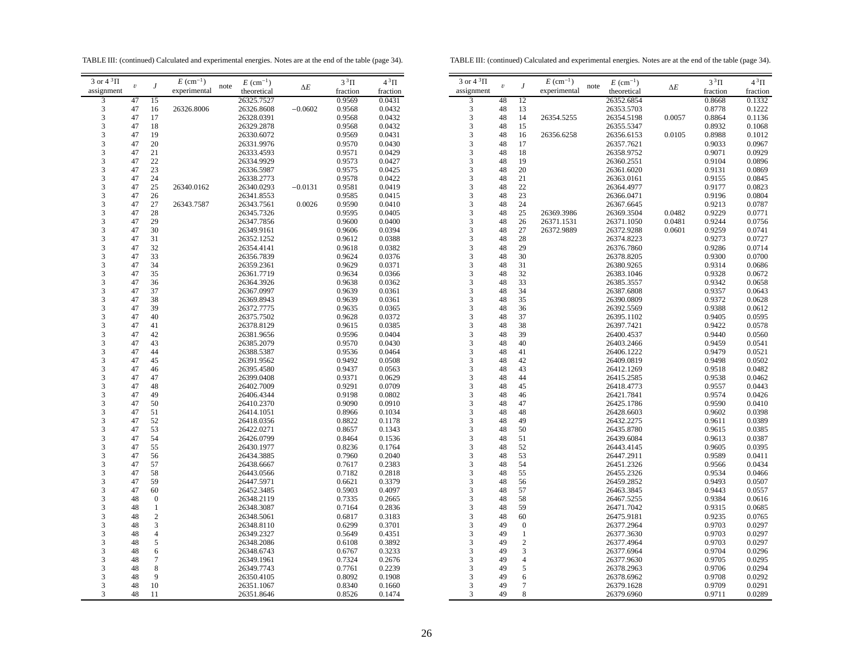TABLE III: (continued) Calculated and experimental energies. Notes are at the end of the table (page 34).

TABLE III: (continued) Calculated and experimental energies. Notes are at the end of the table (page 34).

| $E\ (\rm cm^{-1})$<br>$3$ or $4~^3\Pi$<br>$E~(\text{cm}^{-1})$<br>$3^3\Pi$<br>$4^3\Pi$<br>$E$ (cm <sup>-1</sup> )<br>$\boldsymbol{v}$<br>note<br>$\boldsymbol{\mathit{v}}$<br>$\boldsymbol{J}$<br>J<br>note<br>$\Delta E$<br>experimental<br>experimental<br>assignment<br>assignment<br>theoretical<br>fraction<br>fraction<br>3<br>47<br>15<br>26325.7527<br>0.9569<br>0.0431<br>3<br>48<br>12<br>2<br>$\mathfrak 3$<br>$\mathfrak{Z}$<br>47<br>26326.8006<br>26326.8608<br>$-0.0602$<br>0.9568<br>0.0432<br>48<br>13<br>$\overline{c}$<br>16<br>3<br>3<br>0.0432<br>48<br>14<br>47<br>17<br>26328.0391<br>0.9568<br>26354.5255<br>$\overline{2}$<br>3<br>47<br>3<br>18<br>26329.2878<br>0.9568<br>0.0432<br>48<br>15<br>$\overline{c}$<br>3<br>3<br>19<br>47<br>0.9569<br>0.0431<br>48<br>16<br>$\overline{2}$<br>26330.6072<br>26356.6258<br>3<br>3<br>47<br>20<br>0.9570<br>0.0430<br>48<br>26331.9976<br>17<br>3<br>21<br>3<br>48<br>47<br>26333.4593<br>0.9571<br>0.0429<br>18<br>3<br>47<br>22<br>26334.9929<br>0.9573<br>0.0427<br>3<br>48<br>19<br>3<br>3<br>47<br>23<br>0.9575<br>0.0425<br>48<br>20<br>26336.5987<br>24<br>3<br>21<br>3<br>47<br>26338.2773<br>0.9578<br>0.0422<br>48<br>3<br>$22\,$<br>3<br>47<br>25<br>26340.0162<br>26340.0293<br>$-0.0131$<br>0.9581<br>0.0419<br>48<br>3<br>3<br>48<br>23<br>47<br>26<br>26341.8553<br>0.9585<br>0.0415<br>3<br>3<br>$27\,$<br>0.0026<br>47<br>26343.7587<br>26343.7561<br>0.9590<br>0.0410<br>48<br>24<br>2<br>3<br>3<br>28<br>25<br>47<br>0.9595<br>0.0405<br>48<br>26369.3986<br>26345.7326<br>2<br>3<br>3<br>47<br>29<br>26347.7856<br>0.9600<br>0.0400<br>48<br>26<br>26371.1531<br>$\overline{c}$<br>3<br>3<br>30<br>48<br>27<br>47<br>26349.9161<br>0.9606<br>0.0394<br>$\overline{2}$<br>26372.9889<br>3<br>3<br>47<br>31<br>26352.1252<br>0.9612<br>0.0388<br>48<br>28<br>$\overline{c}$<br>3<br>29<br>3<br>47<br>32<br>0.9618<br>0.0382<br>48<br>$\overline{c}$<br>26354.4141<br>33<br>3<br>30<br>3<br>47<br>26356.7839<br>0.9624<br>0.0376<br>48<br>3<br>3<br>47<br>34<br>26359.2361<br>0.9629<br>0.0371<br>48<br>31<br>3<br>3<br>47<br>35<br>26361.7719<br>0.9634<br>0.0366<br>48<br>32<br>3<br>33<br>3<br>47<br>36<br>26364.3926<br>0.9638<br>0.0362<br>48<br>3<br>3<br>37<br>34<br>47<br>0.9639<br>48<br>26367.0997<br>0.0361<br>3<br>3<br>47<br>38<br>35<br>26369.8943<br>0.9639<br>0.0361<br>48<br>3<br>3<br>39<br>48<br>36<br>47<br>26372.7775<br>0.9635<br>0.0365<br>3<br>3<br>47<br>40<br>26375.7502<br>0.9628<br>0.0372<br>48<br>37<br>3<br>47<br>41<br>0.9615<br>3<br>48<br>38<br>26378.8129<br>0.0385<br>$\overline{c}$<br>3<br>3<br>47<br>42<br>0.9596<br>0.0404<br>39<br>$\overline{c}$<br>26381.9656<br>48<br>3<br>3<br>47<br>43<br>26385.2079<br>0.9570<br>0.0430<br>48<br>40<br>2<br>0.9536<br>3<br>48<br>41<br>3<br>47<br>44<br>26388.5387<br>0.0464<br>$\overline{c}$<br>3<br>3<br>47<br>45<br>26391.9562<br>0.9492<br>0.0508<br>48<br>42<br>$\overline{c}$<br>3<br>3<br>0.9437<br>48<br>43<br>$\overline{c}$<br>47<br>46<br>26395.4580<br>0.0563<br>3<br>3<br>47<br>44<br>47<br>26399.0408<br>0.9371<br>0.0629<br>48<br>3<br>3<br>47<br>48<br>26402.7009<br>0.9291<br>0.0709<br>48<br>45<br>3<br>3<br>47<br>49<br>26406.4344<br>0.9198<br>0.0802<br>48<br>46<br>3<br>47<br>50<br>0.9090<br>3<br>48<br>47<br>26410.2370<br>0.0910<br>3<br>47<br>51<br>3<br>48<br>26414.1051<br>0.8966<br>0.1034<br>48<br>3<br>3<br>47<br>52<br>26418.0356<br>0.8822<br>48<br>49<br>0.1178<br>53<br>3<br>3<br>47<br>26422.0271<br>0.8657<br>0.1343<br>48<br>50<br>3<br>47<br>54<br>3<br>51<br>26426.0799<br>0.8464<br>0.1536<br>48<br>3<br>3<br>47<br>55<br>26430.1977<br>0.8236<br>0.1764<br>48<br>52<br>$\overline{c}$<br>3<br>3<br>56<br>53<br>47<br>26434.3885<br>0.7960<br>0.2040<br>48<br>$\overline{c}$<br>3<br>3<br>57<br>48<br>54<br>47<br>0.7617<br>0.2383<br>$\overline{c}$<br>26438.6667<br>3<br>47<br>58<br>0.7182<br>0.2818<br>3<br>55<br>26443.0566<br>48<br>2<br>59<br>3<br>3<br>0.3379<br>48<br>56<br>$\overline{c}$<br>47<br>26447.5971<br>0.6621<br>3<br>60<br>0.5903<br>0.4097<br>3<br>57<br>47<br>26452.3485<br>48<br>$\overline{c}$<br>3<br>3<br>48<br>$\boldsymbol{0}$<br>26348.2119<br>0.7335<br>0.2665<br>48<br>58<br>3<br>$\mathbf{1}$<br>26348.3087<br>0.7164<br>0.2836<br>3<br>59<br>48<br>48<br>3<br>$\sqrt{2}$<br>3<br>48<br>26348.5061<br>0.6817<br>0.3183<br>48<br>60<br>3<br>3<br>3<br>26348.8110<br>0.6299<br>0.3701<br>49<br>48<br>$\boldsymbol{0}$<br>3<br>3<br>$\overline{4}$<br>48<br>26349.2327<br>0.5649<br>0.4351<br>49<br>$\mathbf{1}$<br>3<br>5<br>$\overline{c}$<br>3<br>48<br>26348.2086<br>0.6108<br>0.3892<br>49<br>3<br>3<br>3<br>0.6767<br>0.3233<br>48<br>6<br>26348.6743<br>49<br>3<br>3<br>$\tau$<br>$\overline{4}$<br>48<br>26349.1961<br>0.7324<br>0.2676<br>49<br>8<br>0.2239<br>3<br>5<br>3<br>48<br>26349.7743<br>0.7761<br>49<br>3<br>9<br>0.8092<br>0.1908<br>3<br>49<br>48<br>26350.4105<br>6<br>10<br>0.8340<br>$\tau$<br>3<br>48<br>26351.1067<br>0.1660<br>3<br>49<br>$\overline{c}$<br>$\overline{c}$<br>3<br>48<br>11<br>0.8526<br>0.1474<br>3<br>49<br>8<br>26351.8646 |                     |  |  |  |  |  |  |                |
|-----------------------------------------------------------------------------------------------------------------------------------------------------------------------------------------------------------------------------------------------------------------------------------------------------------------------------------------------------------------------------------------------------------------------------------------------------------------------------------------------------------------------------------------------------------------------------------------------------------------------------------------------------------------------------------------------------------------------------------------------------------------------------------------------------------------------------------------------------------------------------------------------------------------------------------------------------------------------------------------------------------------------------------------------------------------------------------------------------------------------------------------------------------------------------------------------------------------------------------------------------------------------------------------------------------------------------------------------------------------------------------------------------------------------------------------------------------------------------------------------------------------------------------------------------------------------------------------------------------------------------------------------------------------------------------------------------------------------------------------------------------------------------------------------------------------------------------------------------------------------------------------------------------------------------------------------------------------------------------------------------------------------------------------------------------------------------------------------------------------------------------------------------------------------------------------------------------------------------------------------------------------------------------------------------------------------------------------------------------------------------------------------------------------------------------------------------------------------------------------------------------------------------------------------------------------------------------------------------------------------------------------------------------------------------------------------------------------------------------------------------------------------------------------------------------------------------------------------------------------------------------------------------------------------------------------------------------------------------------------------------------------------------------------------------------------------------------------------------------------------------------------------------------------------------------------------------------------------------------------------------------------------------------------------------------------------------------------------------------------------------------------------------------------------------------------------------------------------------------------------------------------------------------------------------------------------------------------------------------------------------------------------------------------------------------------------------------------------------------------------------------------------------------------------------------------------------------------------------------------------------------------------------------------------------------------------------------------------------------------------------------------------------------------------------------------------------------------------------------------------------------------------------------------------------------------------------------------------------------------------------------------------------------------------------------------------------------------------------------------------------------------------------------------------------------------------------------------------------------------------------------------------------------------------------------------------------------------------------------------------------------------------------------------------------------------------------------------------------------------------------------------------------------------------------------------------------------------------------------------------------------------------------------------------------------------------------------------------------------------------------------------------------------------------------------------------------------------------------------------------|---------------------|--|--|--|--|--|--|----------------|
|                                                                                                                                                                                                                                                                                                                                                                                                                                                                                                                                                                                                                                                                                                                                                                                                                                                                                                                                                                                                                                                                                                                                                                                                                                                                                                                                                                                                                                                                                                                                                                                                                                                                                                                                                                                                                                                                                                                                                                                                                                                                                                                                                                                                                                                                                                                                                                                                                                                                                                                                                                                                                                                                                                                                                                                                                                                                                                                                                                                                                                                                                                                                                                                                                                                                                                                                                                                                                                                                                                                                                                                                                                                                                                                                                                                                                                                                                                                                                                                                                                                                                                                                                                                                                                                                                                                                                                                                                                                                                                                                                                                                                                                                                                                                                                                                                                                                                                                                                                                                                                                                                                                       | 3 or $4\sqrt[3]{1}$ |  |  |  |  |  |  |                |
|                                                                                                                                                                                                                                                                                                                                                                                                                                                                                                                                                                                                                                                                                                                                                                                                                                                                                                                                                                                                                                                                                                                                                                                                                                                                                                                                                                                                                                                                                                                                                                                                                                                                                                                                                                                                                                                                                                                                                                                                                                                                                                                                                                                                                                                                                                                                                                                                                                                                                                                                                                                                                                                                                                                                                                                                                                                                                                                                                                                                                                                                                                                                                                                                                                                                                                                                                                                                                                                                                                                                                                                                                                                                                                                                                                                                                                                                                                                                                                                                                                                                                                                                                                                                                                                                                                                                                                                                                                                                                                                                                                                                                                                                                                                                                                                                                                                                                                                                                                                                                                                                                                                       |                     |  |  |  |  |  |  |                |
|                                                                                                                                                                                                                                                                                                                                                                                                                                                                                                                                                                                                                                                                                                                                                                                                                                                                                                                                                                                                                                                                                                                                                                                                                                                                                                                                                                                                                                                                                                                                                                                                                                                                                                                                                                                                                                                                                                                                                                                                                                                                                                                                                                                                                                                                                                                                                                                                                                                                                                                                                                                                                                                                                                                                                                                                                                                                                                                                                                                                                                                                                                                                                                                                                                                                                                                                                                                                                                                                                                                                                                                                                                                                                                                                                                                                                                                                                                                                                                                                                                                                                                                                                                                                                                                                                                                                                                                                                                                                                                                                                                                                                                                                                                                                                                                                                                                                                                                                                                                                                                                                                                                       |                     |  |  |  |  |  |  |                |
|                                                                                                                                                                                                                                                                                                                                                                                                                                                                                                                                                                                                                                                                                                                                                                                                                                                                                                                                                                                                                                                                                                                                                                                                                                                                                                                                                                                                                                                                                                                                                                                                                                                                                                                                                                                                                                                                                                                                                                                                                                                                                                                                                                                                                                                                                                                                                                                                                                                                                                                                                                                                                                                                                                                                                                                                                                                                                                                                                                                                                                                                                                                                                                                                                                                                                                                                                                                                                                                                                                                                                                                                                                                                                                                                                                                                                                                                                                                                                                                                                                                                                                                                                                                                                                                                                                                                                                                                                                                                                                                                                                                                                                                                                                                                                                                                                                                                                                                                                                                                                                                                                                                       |                     |  |  |  |  |  |  |                |
|                                                                                                                                                                                                                                                                                                                                                                                                                                                                                                                                                                                                                                                                                                                                                                                                                                                                                                                                                                                                                                                                                                                                                                                                                                                                                                                                                                                                                                                                                                                                                                                                                                                                                                                                                                                                                                                                                                                                                                                                                                                                                                                                                                                                                                                                                                                                                                                                                                                                                                                                                                                                                                                                                                                                                                                                                                                                                                                                                                                                                                                                                                                                                                                                                                                                                                                                                                                                                                                                                                                                                                                                                                                                                                                                                                                                                                                                                                                                                                                                                                                                                                                                                                                                                                                                                                                                                                                                                                                                                                                                                                                                                                                                                                                                                                                                                                                                                                                                                                                                                                                                                                                       |                     |  |  |  |  |  |  |                |
|                                                                                                                                                                                                                                                                                                                                                                                                                                                                                                                                                                                                                                                                                                                                                                                                                                                                                                                                                                                                                                                                                                                                                                                                                                                                                                                                                                                                                                                                                                                                                                                                                                                                                                                                                                                                                                                                                                                                                                                                                                                                                                                                                                                                                                                                                                                                                                                                                                                                                                                                                                                                                                                                                                                                                                                                                                                                                                                                                                                                                                                                                                                                                                                                                                                                                                                                                                                                                                                                                                                                                                                                                                                                                                                                                                                                                                                                                                                                                                                                                                                                                                                                                                                                                                                                                                                                                                                                                                                                                                                                                                                                                                                                                                                                                                                                                                                                                                                                                                                                                                                                                                                       |                     |  |  |  |  |  |  |                |
|                                                                                                                                                                                                                                                                                                                                                                                                                                                                                                                                                                                                                                                                                                                                                                                                                                                                                                                                                                                                                                                                                                                                                                                                                                                                                                                                                                                                                                                                                                                                                                                                                                                                                                                                                                                                                                                                                                                                                                                                                                                                                                                                                                                                                                                                                                                                                                                                                                                                                                                                                                                                                                                                                                                                                                                                                                                                                                                                                                                                                                                                                                                                                                                                                                                                                                                                                                                                                                                                                                                                                                                                                                                                                                                                                                                                                                                                                                                                                                                                                                                                                                                                                                                                                                                                                                                                                                                                                                                                                                                                                                                                                                                                                                                                                                                                                                                                                                                                                                                                                                                                                                                       |                     |  |  |  |  |  |  |                |
|                                                                                                                                                                                                                                                                                                                                                                                                                                                                                                                                                                                                                                                                                                                                                                                                                                                                                                                                                                                                                                                                                                                                                                                                                                                                                                                                                                                                                                                                                                                                                                                                                                                                                                                                                                                                                                                                                                                                                                                                                                                                                                                                                                                                                                                                                                                                                                                                                                                                                                                                                                                                                                                                                                                                                                                                                                                                                                                                                                                                                                                                                                                                                                                                                                                                                                                                                                                                                                                                                                                                                                                                                                                                                                                                                                                                                                                                                                                                                                                                                                                                                                                                                                                                                                                                                                                                                                                                                                                                                                                                                                                                                                                                                                                                                                                                                                                                                                                                                                                                                                                                                                                       |                     |  |  |  |  |  |  |                |
|                                                                                                                                                                                                                                                                                                                                                                                                                                                                                                                                                                                                                                                                                                                                                                                                                                                                                                                                                                                                                                                                                                                                                                                                                                                                                                                                                                                                                                                                                                                                                                                                                                                                                                                                                                                                                                                                                                                                                                                                                                                                                                                                                                                                                                                                                                                                                                                                                                                                                                                                                                                                                                                                                                                                                                                                                                                                                                                                                                                                                                                                                                                                                                                                                                                                                                                                                                                                                                                                                                                                                                                                                                                                                                                                                                                                                                                                                                                                                                                                                                                                                                                                                                                                                                                                                                                                                                                                                                                                                                                                                                                                                                                                                                                                                                                                                                                                                                                                                                                                                                                                                                                       |                     |  |  |  |  |  |  | $\overline{c}$ |
|                                                                                                                                                                                                                                                                                                                                                                                                                                                                                                                                                                                                                                                                                                                                                                                                                                                                                                                                                                                                                                                                                                                                                                                                                                                                                                                                                                                                                                                                                                                                                                                                                                                                                                                                                                                                                                                                                                                                                                                                                                                                                                                                                                                                                                                                                                                                                                                                                                                                                                                                                                                                                                                                                                                                                                                                                                                                                                                                                                                                                                                                                                                                                                                                                                                                                                                                                                                                                                                                                                                                                                                                                                                                                                                                                                                                                                                                                                                                                                                                                                                                                                                                                                                                                                                                                                                                                                                                                                                                                                                                                                                                                                                                                                                                                                                                                                                                                                                                                                                                                                                                                                                       |                     |  |  |  |  |  |  | $\overline{c}$ |
|                                                                                                                                                                                                                                                                                                                                                                                                                                                                                                                                                                                                                                                                                                                                                                                                                                                                                                                                                                                                                                                                                                                                                                                                                                                                                                                                                                                                                                                                                                                                                                                                                                                                                                                                                                                                                                                                                                                                                                                                                                                                                                                                                                                                                                                                                                                                                                                                                                                                                                                                                                                                                                                                                                                                                                                                                                                                                                                                                                                                                                                                                                                                                                                                                                                                                                                                                                                                                                                                                                                                                                                                                                                                                                                                                                                                                                                                                                                                                                                                                                                                                                                                                                                                                                                                                                                                                                                                                                                                                                                                                                                                                                                                                                                                                                                                                                                                                                                                                                                                                                                                                                                       |                     |  |  |  |  |  |  | $\overline{c}$ |
|                                                                                                                                                                                                                                                                                                                                                                                                                                                                                                                                                                                                                                                                                                                                                                                                                                                                                                                                                                                                                                                                                                                                                                                                                                                                                                                                                                                                                                                                                                                                                                                                                                                                                                                                                                                                                                                                                                                                                                                                                                                                                                                                                                                                                                                                                                                                                                                                                                                                                                                                                                                                                                                                                                                                                                                                                                                                                                                                                                                                                                                                                                                                                                                                                                                                                                                                                                                                                                                                                                                                                                                                                                                                                                                                                                                                                                                                                                                                                                                                                                                                                                                                                                                                                                                                                                                                                                                                                                                                                                                                                                                                                                                                                                                                                                                                                                                                                                                                                                                                                                                                                                                       |                     |  |  |  |  |  |  | $\overline{2}$ |
|                                                                                                                                                                                                                                                                                                                                                                                                                                                                                                                                                                                                                                                                                                                                                                                                                                                                                                                                                                                                                                                                                                                                                                                                                                                                                                                                                                                                                                                                                                                                                                                                                                                                                                                                                                                                                                                                                                                                                                                                                                                                                                                                                                                                                                                                                                                                                                                                                                                                                                                                                                                                                                                                                                                                                                                                                                                                                                                                                                                                                                                                                                                                                                                                                                                                                                                                                                                                                                                                                                                                                                                                                                                                                                                                                                                                                                                                                                                                                                                                                                                                                                                                                                                                                                                                                                                                                                                                                                                                                                                                                                                                                                                                                                                                                                                                                                                                                                                                                                                                                                                                                                                       |                     |  |  |  |  |  |  | $\overline{c}$ |
|                                                                                                                                                                                                                                                                                                                                                                                                                                                                                                                                                                                                                                                                                                                                                                                                                                                                                                                                                                                                                                                                                                                                                                                                                                                                                                                                                                                                                                                                                                                                                                                                                                                                                                                                                                                                                                                                                                                                                                                                                                                                                                                                                                                                                                                                                                                                                                                                                                                                                                                                                                                                                                                                                                                                                                                                                                                                                                                                                                                                                                                                                                                                                                                                                                                                                                                                                                                                                                                                                                                                                                                                                                                                                                                                                                                                                                                                                                                                                                                                                                                                                                                                                                                                                                                                                                                                                                                                                                                                                                                                                                                                                                                                                                                                                                                                                                                                                                                                                                                                                                                                                                                       |                     |  |  |  |  |  |  | $\overline{c}$ |
|                                                                                                                                                                                                                                                                                                                                                                                                                                                                                                                                                                                                                                                                                                                                                                                                                                                                                                                                                                                                                                                                                                                                                                                                                                                                                                                                                                                                                                                                                                                                                                                                                                                                                                                                                                                                                                                                                                                                                                                                                                                                                                                                                                                                                                                                                                                                                                                                                                                                                                                                                                                                                                                                                                                                                                                                                                                                                                                                                                                                                                                                                                                                                                                                                                                                                                                                                                                                                                                                                                                                                                                                                                                                                                                                                                                                                                                                                                                                                                                                                                                                                                                                                                                                                                                                                                                                                                                                                                                                                                                                                                                                                                                                                                                                                                                                                                                                                                                                                                                                                                                                                                                       |                     |  |  |  |  |  |  | $\overline{c}$ |
|                                                                                                                                                                                                                                                                                                                                                                                                                                                                                                                                                                                                                                                                                                                                                                                                                                                                                                                                                                                                                                                                                                                                                                                                                                                                                                                                                                                                                                                                                                                                                                                                                                                                                                                                                                                                                                                                                                                                                                                                                                                                                                                                                                                                                                                                                                                                                                                                                                                                                                                                                                                                                                                                                                                                                                                                                                                                                                                                                                                                                                                                                                                                                                                                                                                                                                                                                                                                                                                                                                                                                                                                                                                                                                                                                                                                                                                                                                                                                                                                                                                                                                                                                                                                                                                                                                                                                                                                                                                                                                                                                                                                                                                                                                                                                                                                                                                                                                                                                                                                                                                                                                                       |                     |  |  |  |  |  |  |                |
|                                                                                                                                                                                                                                                                                                                                                                                                                                                                                                                                                                                                                                                                                                                                                                                                                                                                                                                                                                                                                                                                                                                                                                                                                                                                                                                                                                                                                                                                                                                                                                                                                                                                                                                                                                                                                                                                                                                                                                                                                                                                                                                                                                                                                                                                                                                                                                                                                                                                                                                                                                                                                                                                                                                                                                                                                                                                                                                                                                                                                                                                                                                                                                                                                                                                                                                                                                                                                                                                                                                                                                                                                                                                                                                                                                                                                                                                                                                                                                                                                                                                                                                                                                                                                                                                                                                                                                                                                                                                                                                                                                                                                                                                                                                                                                                                                                                                                                                                                                                                                                                                                                                       |                     |  |  |  |  |  |  |                |
|                                                                                                                                                                                                                                                                                                                                                                                                                                                                                                                                                                                                                                                                                                                                                                                                                                                                                                                                                                                                                                                                                                                                                                                                                                                                                                                                                                                                                                                                                                                                                                                                                                                                                                                                                                                                                                                                                                                                                                                                                                                                                                                                                                                                                                                                                                                                                                                                                                                                                                                                                                                                                                                                                                                                                                                                                                                                                                                                                                                                                                                                                                                                                                                                                                                                                                                                                                                                                                                                                                                                                                                                                                                                                                                                                                                                                                                                                                                                                                                                                                                                                                                                                                                                                                                                                                                                                                                                                                                                                                                                                                                                                                                                                                                                                                                                                                                                                                                                                                                                                                                                                                                       |                     |  |  |  |  |  |  |                |
|                                                                                                                                                                                                                                                                                                                                                                                                                                                                                                                                                                                                                                                                                                                                                                                                                                                                                                                                                                                                                                                                                                                                                                                                                                                                                                                                                                                                                                                                                                                                                                                                                                                                                                                                                                                                                                                                                                                                                                                                                                                                                                                                                                                                                                                                                                                                                                                                                                                                                                                                                                                                                                                                                                                                                                                                                                                                                                                                                                                                                                                                                                                                                                                                                                                                                                                                                                                                                                                                                                                                                                                                                                                                                                                                                                                                                                                                                                                                                                                                                                                                                                                                                                                                                                                                                                                                                                                                                                                                                                                                                                                                                                                                                                                                                                                                                                                                                                                                                                                                                                                                                                                       |                     |  |  |  |  |  |  |                |
|                                                                                                                                                                                                                                                                                                                                                                                                                                                                                                                                                                                                                                                                                                                                                                                                                                                                                                                                                                                                                                                                                                                                                                                                                                                                                                                                                                                                                                                                                                                                                                                                                                                                                                                                                                                                                                                                                                                                                                                                                                                                                                                                                                                                                                                                                                                                                                                                                                                                                                                                                                                                                                                                                                                                                                                                                                                                                                                                                                                                                                                                                                                                                                                                                                                                                                                                                                                                                                                                                                                                                                                                                                                                                                                                                                                                                                                                                                                                                                                                                                                                                                                                                                                                                                                                                                                                                                                                                                                                                                                                                                                                                                                                                                                                                                                                                                                                                                                                                                                                                                                                                                                       |                     |  |  |  |  |  |  |                |
|                                                                                                                                                                                                                                                                                                                                                                                                                                                                                                                                                                                                                                                                                                                                                                                                                                                                                                                                                                                                                                                                                                                                                                                                                                                                                                                                                                                                                                                                                                                                                                                                                                                                                                                                                                                                                                                                                                                                                                                                                                                                                                                                                                                                                                                                                                                                                                                                                                                                                                                                                                                                                                                                                                                                                                                                                                                                                                                                                                                                                                                                                                                                                                                                                                                                                                                                                                                                                                                                                                                                                                                                                                                                                                                                                                                                                                                                                                                                                                                                                                                                                                                                                                                                                                                                                                                                                                                                                                                                                                                                                                                                                                                                                                                                                                                                                                                                                                                                                                                                                                                                                                                       |                     |  |  |  |  |  |  |                |
|                                                                                                                                                                                                                                                                                                                                                                                                                                                                                                                                                                                                                                                                                                                                                                                                                                                                                                                                                                                                                                                                                                                                                                                                                                                                                                                                                                                                                                                                                                                                                                                                                                                                                                                                                                                                                                                                                                                                                                                                                                                                                                                                                                                                                                                                                                                                                                                                                                                                                                                                                                                                                                                                                                                                                                                                                                                                                                                                                                                                                                                                                                                                                                                                                                                                                                                                                                                                                                                                                                                                                                                                                                                                                                                                                                                                                                                                                                                                                                                                                                                                                                                                                                                                                                                                                                                                                                                                                                                                                                                                                                                                                                                                                                                                                                                                                                                                                                                                                                                                                                                                                                                       |                     |  |  |  |  |  |  |                |
|                                                                                                                                                                                                                                                                                                                                                                                                                                                                                                                                                                                                                                                                                                                                                                                                                                                                                                                                                                                                                                                                                                                                                                                                                                                                                                                                                                                                                                                                                                                                                                                                                                                                                                                                                                                                                                                                                                                                                                                                                                                                                                                                                                                                                                                                                                                                                                                                                                                                                                                                                                                                                                                                                                                                                                                                                                                                                                                                                                                                                                                                                                                                                                                                                                                                                                                                                                                                                                                                                                                                                                                                                                                                                                                                                                                                                                                                                                                                                                                                                                                                                                                                                                                                                                                                                                                                                                                                                                                                                                                                                                                                                                                                                                                                                                                                                                                                                                                                                                                                                                                                                                                       |                     |  |  |  |  |  |  | $\overline{c}$ |
|                                                                                                                                                                                                                                                                                                                                                                                                                                                                                                                                                                                                                                                                                                                                                                                                                                                                                                                                                                                                                                                                                                                                                                                                                                                                                                                                                                                                                                                                                                                                                                                                                                                                                                                                                                                                                                                                                                                                                                                                                                                                                                                                                                                                                                                                                                                                                                                                                                                                                                                                                                                                                                                                                                                                                                                                                                                                                                                                                                                                                                                                                                                                                                                                                                                                                                                                                                                                                                                                                                                                                                                                                                                                                                                                                                                                                                                                                                                                                                                                                                                                                                                                                                                                                                                                                                                                                                                                                                                                                                                                                                                                                                                                                                                                                                                                                                                                                                                                                                                                                                                                                                                       |                     |  |  |  |  |  |  | $\overline{c}$ |
|                                                                                                                                                                                                                                                                                                                                                                                                                                                                                                                                                                                                                                                                                                                                                                                                                                                                                                                                                                                                                                                                                                                                                                                                                                                                                                                                                                                                                                                                                                                                                                                                                                                                                                                                                                                                                                                                                                                                                                                                                                                                                                                                                                                                                                                                                                                                                                                                                                                                                                                                                                                                                                                                                                                                                                                                                                                                                                                                                                                                                                                                                                                                                                                                                                                                                                                                                                                                                                                                                                                                                                                                                                                                                                                                                                                                                                                                                                                                                                                                                                                                                                                                                                                                                                                                                                                                                                                                                                                                                                                                                                                                                                                                                                                                                                                                                                                                                                                                                                                                                                                                                                                       |                     |  |  |  |  |  |  | $\overline{c}$ |
|                                                                                                                                                                                                                                                                                                                                                                                                                                                                                                                                                                                                                                                                                                                                                                                                                                                                                                                                                                                                                                                                                                                                                                                                                                                                                                                                                                                                                                                                                                                                                                                                                                                                                                                                                                                                                                                                                                                                                                                                                                                                                                                                                                                                                                                                                                                                                                                                                                                                                                                                                                                                                                                                                                                                                                                                                                                                                                                                                                                                                                                                                                                                                                                                                                                                                                                                                                                                                                                                                                                                                                                                                                                                                                                                                                                                                                                                                                                                                                                                                                                                                                                                                                                                                                                                                                                                                                                                                                                                                                                                                                                                                                                                                                                                                                                                                                                                                                                                                                                                                                                                                                                       |                     |  |  |  |  |  |  | $\overline{c}$ |
|                                                                                                                                                                                                                                                                                                                                                                                                                                                                                                                                                                                                                                                                                                                                                                                                                                                                                                                                                                                                                                                                                                                                                                                                                                                                                                                                                                                                                                                                                                                                                                                                                                                                                                                                                                                                                                                                                                                                                                                                                                                                                                                                                                                                                                                                                                                                                                                                                                                                                                                                                                                                                                                                                                                                                                                                                                                                                                                                                                                                                                                                                                                                                                                                                                                                                                                                                                                                                                                                                                                                                                                                                                                                                                                                                                                                                                                                                                                                                                                                                                                                                                                                                                                                                                                                                                                                                                                                                                                                                                                                                                                                                                                                                                                                                                                                                                                                                                                                                                                                                                                                                                                       |                     |  |  |  |  |  |  | $\overline{c}$ |
|                                                                                                                                                                                                                                                                                                                                                                                                                                                                                                                                                                                                                                                                                                                                                                                                                                                                                                                                                                                                                                                                                                                                                                                                                                                                                                                                                                                                                                                                                                                                                                                                                                                                                                                                                                                                                                                                                                                                                                                                                                                                                                                                                                                                                                                                                                                                                                                                                                                                                                                                                                                                                                                                                                                                                                                                                                                                                                                                                                                                                                                                                                                                                                                                                                                                                                                                                                                                                                                                                                                                                                                                                                                                                                                                                                                                                                                                                                                                                                                                                                                                                                                                                                                                                                                                                                                                                                                                                                                                                                                                                                                                                                                                                                                                                                                                                                                                                                                                                                                                                                                                                                                       |                     |  |  |  |  |  |  | $\overline{c}$ |
|                                                                                                                                                                                                                                                                                                                                                                                                                                                                                                                                                                                                                                                                                                                                                                                                                                                                                                                                                                                                                                                                                                                                                                                                                                                                                                                                                                                                                                                                                                                                                                                                                                                                                                                                                                                                                                                                                                                                                                                                                                                                                                                                                                                                                                                                                                                                                                                                                                                                                                                                                                                                                                                                                                                                                                                                                                                                                                                                                                                                                                                                                                                                                                                                                                                                                                                                                                                                                                                                                                                                                                                                                                                                                                                                                                                                                                                                                                                                                                                                                                                                                                                                                                                                                                                                                                                                                                                                                                                                                                                                                                                                                                                                                                                                                                                                                                                                                                                                                                                                                                                                                                                       |                     |  |  |  |  |  |  | $\overline{c}$ |
|                                                                                                                                                                                                                                                                                                                                                                                                                                                                                                                                                                                                                                                                                                                                                                                                                                                                                                                                                                                                                                                                                                                                                                                                                                                                                                                                                                                                                                                                                                                                                                                                                                                                                                                                                                                                                                                                                                                                                                                                                                                                                                                                                                                                                                                                                                                                                                                                                                                                                                                                                                                                                                                                                                                                                                                                                                                                                                                                                                                                                                                                                                                                                                                                                                                                                                                                                                                                                                                                                                                                                                                                                                                                                                                                                                                                                                                                                                                                                                                                                                                                                                                                                                                                                                                                                                                                                                                                                                                                                                                                                                                                                                                                                                                                                                                                                                                                                                                                                                                                                                                                                                                       |                     |  |  |  |  |  |  | 2              |
|                                                                                                                                                                                                                                                                                                                                                                                                                                                                                                                                                                                                                                                                                                                                                                                                                                                                                                                                                                                                                                                                                                                                                                                                                                                                                                                                                                                                                                                                                                                                                                                                                                                                                                                                                                                                                                                                                                                                                                                                                                                                                                                                                                                                                                                                                                                                                                                                                                                                                                                                                                                                                                                                                                                                                                                                                                                                                                                                                                                                                                                                                                                                                                                                                                                                                                                                                                                                                                                                                                                                                                                                                                                                                                                                                                                                                                                                                                                                                                                                                                                                                                                                                                                                                                                                                                                                                                                                                                                                                                                                                                                                                                                                                                                                                                                                                                                                                                                                                                                                                                                                                                                       |                     |  |  |  |  |  |  |                |
|                                                                                                                                                                                                                                                                                                                                                                                                                                                                                                                                                                                                                                                                                                                                                                                                                                                                                                                                                                                                                                                                                                                                                                                                                                                                                                                                                                                                                                                                                                                                                                                                                                                                                                                                                                                                                                                                                                                                                                                                                                                                                                                                                                                                                                                                                                                                                                                                                                                                                                                                                                                                                                                                                                                                                                                                                                                                                                                                                                                                                                                                                                                                                                                                                                                                                                                                                                                                                                                                                                                                                                                                                                                                                                                                                                                                                                                                                                                                                                                                                                                                                                                                                                                                                                                                                                                                                                                                                                                                                                                                                                                                                                                                                                                                                                                                                                                                                                                                                                                                                                                                                                                       |                     |  |  |  |  |  |  |                |
|                                                                                                                                                                                                                                                                                                                                                                                                                                                                                                                                                                                                                                                                                                                                                                                                                                                                                                                                                                                                                                                                                                                                                                                                                                                                                                                                                                                                                                                                                                                                                                                                                                                                                                                                                                                                                                                                                                                                                                                                                                                                                                                                                                                                                                                                                                                                                                                                                                                                                                                                                                                                                                                                                                                                                                                                                                                                                                                                                                                                                                                                                                                                                                                                                                                                                                                                                                                                                                                                                                                                                                                                                                                                                                                                                                                                                                                                                                                                                                                                                                                                                                                                                                                                                                                                                                                                                                                                                                                                                                                                                                                                                                                                                                                                                                                                                                                                                                                                                                                                                                                                                                                       |                     |  |  |  |  |  |  |                |
|                                                                                                                                                                                                                                                                                                                                                                                                                                                                                                                                                                                                                                                                                                                                                                                                                                                                                                                                                                                                                                                                                                                                                                                                                                                                                                                                                                                                                                                                                                                                                                                                                                                                                                                                                                                                                                                                                                                                                                                                                                                                                                                                                                                                                                                                                                                                                                                                                                                                                                                                                                                                                                                                                                                                                                                                                                                                                                                                                                                                                                                                                                                                                                                                                                                                                                                                                                                                                                                                                                                                                                                                                                                                                                                                                                                                                                                                                                                                                                                                                                                                                                                                                                                                                                                                                                                                                                                                                                                                                                                                                                                                                                                                                                                                                                                                                                                                                                                                                                                                                                                                                                                       |                     |  |  |  |  |  |  |                |
|                                                                                                                                                                                                                                                                                                                                                                                                                                                                                                                                                                                                                                                                                                                                                                                                                                                                                                                                                                                                                                                                                                                                                                                                                                                                                                                                                                                                                                                                                                                                                                                                                                                                                                                                                                                                                                                                                                                                                                                                                                                                                                                                                                                                                                                                                                                                                                                                                                                                                                                                                                                                                                                                                                                                                                                                                                                                                                                                                                                                                                                                                                                                                                                                                                                                                                                                                                                                                                                                                                                                                                                                                                                                                                                                                                                                                                                                                                                                                                                                                                                                                                                                                                                                                                                                                                                                                                                                                                                                                                                                                                                                                                                                                                                                                                                                                                                                                                                                                                                                                                                                                                                       |                     |  |  |  |  |  |  |                |
|                                                                                                                                                                                                                                                                                                                                                                                                                                                                                                                                                                                                                                                                                                                                                                                                                                                                                                                                                                                                                                                                                                                                                                                                                                                                                                                                                                                                                                                                                                                                                                                                                                                                                                                                                                                                                                                                                                                                                                                                                                                                                                                                                                                                                                                                                                                                                                                                                                                                                                                                                                                                                                                                                                                                                                                                                                                                                                                                                                                                                                                                                                                                                                                                                                                                                                                                                                                                                                                                                                                                                                                                                                                                                                                                                                                                                                                                                                                                                                                                                                                                                                                                                                                                                                                                                                                                                                                                                                                                                                                                                                                                                                                                                                                                                                                                                                                                                                                                                                                                                                                                                                                       |                     |  |  |  |  |  |  |                |
|                                                                                                                                                                                                                                                                                                                                                                                                                                                                                                                                                                                                                                                                                                                                                                                                                                                                                                                                                                                                                                                                                                                                                                                                                                                                                                                                                                                                                                                                                                                                                                                                                                                                                                                                                                                                                                                                                                                                                                                                                                                                                                                                                                                                                                                                                                                                                                                                                                                                                                                                                                                                                                                                                                                                                                                                                                                                                                                                                                                                                                                                                                                                                                                                                                                                                                                                                                                                                                                                                                                                                                                                                                                                                                                                                                                                                                                                                                                                                                                                                                                                                                                                                                                                                                                                                                                                                                                                                                                                                                                                                                                                                                                                                                                                                                                                                                                                                                                                                                                                                                                                                                                       |                     |  |  |  |  |  |  |                |
|                                                                                                                                                                                                                                                                                                                                                                                                                                                                                                                                                                                                                                                                                                                                                                                                                                                                                                                                                                                                                                                                                                                                                                                                                                                                                                                                                                                                                                                                                                                                                                                                                                                                                                                                                                                                                                                                                                                                                                                                                                                                                                                                                                                                                                                                                                                                                                                                                                                                                                                                                                                                                                                                                                                                                                                                                                                                                                                                                                                                                                                                                                                                                                                                                                                                                                                                                                                                                                                                                                                                                                                                                                                                                                                                                                                                                                                                                                                                                                                                                                                                                                                                                                                                                                                                                                                                                                                                                                                                                                                                                                                                                                                                                                                                                                                                                                                                                                                                                                                                                                                                                                                       |                     |  |  |  |  |  |  | $\overline{c}$ |
|                                                                                                                                                                                                                                                                                                                                                                                                                                                                                                                                                                                                                                                                                                                                                                                                                                                                                                                                                                                                                                                                                                                                                                                                                                                                                                                                                                                                                                                                                                                                                                                                                                                                                                                                                                                                                                                                                                                                                                                                                                                                                                                                                                                                                                                                                                                                                                                                                                                                                                                                                                                                                                                                                                                                                                                                                                                                                                                                                                                                                                                                                                                                                                                                                                                                                                                                                                                                                                                                                                                                                                                                                                                                                                                                                                                                                                                                                                                                                                                                                                                                                                                                                                                                                                                                                                                                                                                                                                                                                                                                                                                                                                                                                                                                                                                                                                                                                                                                                                                                                                                                                                                       |                     |  |  |  |  |  |  | $\overline{c}$ |
|                                                                                                                                                                                                                                                                                                                                                                                                                                                                                                                                                                                                                                                                                                                                                                                                                                                                                                                                                                                                                                                                                                                                                                                                                                                                                                                                                                                                                                                                                                                                                                                                                                                                                                                                                                                                                                                                                                                                                                                                                                                                                                                                                                                                                                                                                                                                                                                                                                                                                                                                                                                                                                                                                                                                                                                                                                                                                                                                                                                                                                                                                                                                                                                                                                                                                                                                                                                                                                                                                                                                                                                                                                                                                                                                                                                                                                                                                                                                                                                                                                                                                                                                                                                                                                                                                                                                                                                                                                                                                                                                                                                                                                                                                                                                                                                                                                                                                                                                                                                                                                                                                                                       |                     |  |  |  |  |  |  | 2              |
|                                                                                                                                                                                                                                                                                                                                                                                                                                                                                                                                                                                                                                                                                                                                                                                                                                                                                                                                                                                                                                                                                                                                                                                                                                                                                                                                                                                                                                                                                                                                                                                                                                                                                                                                                                                                                                                                                                                                                                                                                                                                                                                                                                                                                                                                                                                                                                                                                                                                                                                                                                                                                                                                                                                                                                                                                                                                                                                                                                                                                                                                                                                                                                                                                                                                                                                                                                                                                                                                                                                                                                                                                                                                                                                                                                                                                                                                                                                                                                                                                                                                                                                                                                                                                                                                                                                                                                                                                                                                                                                                                                                                                                                                                                                                                                                                                                                                                                                                                                                                                                                                                                                       |                     |  |  |  |  |  |  | $\overline{c}$ |
|                                                                                                                                                                                                                                                                                                                                                                                                                                                                                                                                                                                                                                                                                                                                                                                                                                                                                                                                                                                                                                                                                                                                                                                                                                                                                                                                                                                                                                                                                                                                                                                                                                                                                                                                                                                                                                                                                                                                                                                                                                                                                                                                                                                                                                                                                                                                                                                                                                                                                                                                                                                                                                                                                                                                                                                                                                                                                                                                                                                                                                                                                                                                                                                                                                                                                                                                                                                                                                                                                                                                                                                                                                                                                                                                                                                                                                                                                                                                                                                                                                                                                                                                                                                                                                                                                                                                                                                                                                                                                                                                                                                                                                                                                                                                                                                                                                                                                                                                                                                                                                                                                                                       |                     |  |  |  |  |  |  | $\overline{c}$ |
|                                                                                                                                                                                                                                                                                                                                                                                                                                                                                                                                                                                                                                                                                                                                                                                                                                                                                                                                                                                                                                                                                                                                                                                                                                                                                                                                                                                                                                                                                                                                                                                                                                                                                                                                                                                                                                                                                                                                                                                                                                                                                                                                                                                                                                                                                                                                                                                                                                                                                                                                                                                                                                                                                                                                                                                                                                                                                                                                                                                                                                                                                                                                                                                                                                                                                                                                                                                                                                                                                                                                                                                                                                                                                                                                                                                                                                                                                                                                                                                                                                                                                                                                                                                                                                                                                                                                                                                                                                                                                                                                                                                                                                                                                                                                                                                                                                                                                                                                                                                                                                                                                                                       |                     |  |  |  |  |  |  | 2              |
|                                                                                                                                                                                                                                                                                                                                                                                                                                                                                                                                                                                                                                                                                                                                                                                                                                                                                                                                                                                                                                                                                                                                                                                                                                                                                                                                                                                                                                                                                                                                                                                                                                                                                                                                                                                                                                                                                                                                                                                                                                                                                                                                                                                                                                                                                                                                                                                                                                                                                                                                                                                                                                                                                                                                                                                                                                                                                                                                                                                                                                                                                                                                                                                                                                                                                                                                                                                                                                                                                                                                                                                                                                                                                                                                                                                                                                                                                                                                                                                                                                                                                                                                                                                                                                                                                                                                                                                                                                                                                                                                                                                                                                                                                                                                                                                                                                                                                                                                                                                                                                                                                                                       |                     |  |  |  |  |  |  | $\overline{c}$ |
|                                                                                                                                                                                                                                                                                                                                                                                                                                                                                                                                                                                                                                                                                                                                                                                                                                                                                                                                                                                                                                                                                                                                                                                                                                                                                                                                                                                                                                                                                                                                                                                                                                                                                                                                                                                                                                                                                                                                                                                                                                                                                                                                                                                                                                                                                                                                                                                                                                                                                                                                                                                                                                                                                                                                                                                                                                                                                                                                                                                                                                                                                                                                                                                                                                                                                                                                                                                                                                                                                                                                                                                                                                                                                                                                                                                                                                                                                                                                                                                                                                                                                                                                                                                                                                                                                                                                                                                                                                                                                                                                                                                                                                                                                                                                                                                                                                                                                                                                                                                                                                                                                                                       |                     |  |  |  |  |  |  | $\overline{c}$ |
|                                                                                                                                                                                                                                                                                                                                                                                                                                                                                                                                                                                                                                                                                                                                                                                                                                                                                                                                                                                                                                                                                                                                                                                                                                                                                                                                                                                                                                                                                                                                                                                                                                                                                                                                                                                                                                                                                                                                                                                                                                                                                                                                                                                                                                                                                                                                                                                                                                                                                                                                                                                                                                                                                                                                                                                                                                                                                                                                                                                                                                                                                                                                                                                                                                                                                                                                                                                                                                                                                                                                                                                                                                                                                                                                                                                                                                                                                                                                                                                                                                                                                                                                                                                                                                                                                                                                                                                                                                                                                                                                                                                                                                                                                                                                                                                                                                                                                                                                                                                                                                                                                                                       |                     |  |  |  |  |  |  |                |
|                                                                                                                                                                                                                                                                                                                                                                                                                                                                                                                                                                                                                                                                                                                                                                                                                                                                                                                                                                                                                                                                                                                                                                                                                                                                                                                                                                                                                                                                                                                                                                                                                                                                                                                                                                                                                                                                                                                                                                                                                                                                                                                                                                                                                                                                                                                                                                                                                                                                                                                                                                                                                                                                                                                                                                                                                                                                                                                                                                                                                                                                                                                                                                                                                                                                                                                                                                                                                                                                                                                                                                                                                                                                                                                                                                                                                                                                                                                                                                                                                                                                                                                                                                                                                                                                                                                                                                                                                                                                                                                                                                                                                                                                                                                                                                                                                                                                                                                                                                                                                                                                                                                       |                     |  |  |  |  |  |  |                |
|                                                                                                                                                                                                                                                                                                                                                                                                                                                                                                                                                                                                                                                                                                                                                                                                                                                                                                                                                                                                                                                                                                                                                                                                                                                                                                                                                                                                                                                                                                                                                                                                                                                                                                                                                                                                                                                                                                                                                                                                                                                                                                                                                                                                                                                                                                                                                                                                                                                                                                                                                                                                                                                                                                                                                                                                                                                                                                                                                                                                                                                                                                                                                                                                                                                                                                                                                                                                                                                                                                                                                                                                                                                                                                                                                                                                                                                                                                                                                                                                                                                                                                                                                                                                                                                                                                                                                                                                                                                                                                                                                                                                                                                                                                                                                                                                                                                                                                                                                                                                                                                                                                                       |                     |  |  |  |  |  |  |                |
|                                                                                                                                                                                                                                                                                                                                                                                                                                                                                                                                                                                                                                                                                                                                                                                                                                                                                                                                                                                                                                                                                                                                                                                                                                                                                                                                                                                                                                                                                                                                                                                                                                                                                                                                                                                                                                                                                                                                                                                                                                                                                                                                                                                                                                                                                                                                                                                                                                                                                                                                                                                                                                                                                                                                                                                                                                                                                                                                                                                                                                                                                                                                                                                                                                                                                                                                                                                                                                                                                                                                                                                                                                                                                                                                                                                                                                                                                                                                                                                                                                                                                                                                                                                                                                                                                                                                                                                                                                                                                                                                                                                                                                                                                                                                                                                                                                                                                                                                                                                                                                                                                                                       |                     |  |  |  |  |  |  |                |
|                                                                                                                                                                                                                                                                                                                                                                                                                                                                                                                                                                                                                                                                                                                                                                                                                                                                                                                                                                                                                                                                                                                                                                                                                                                                                                                                                                                                                                                                                                                                                                                                                                                                                                                                                                                                                                                                                                                                                                                                                                                                                                                                                                                                                                                                                                                                                                                                                                                                                                                                                                                                                                                                                                                                                                                                                                                                                                                                                                                                                                                                                                                                                                                                                                                                                                                                                                                                                                                                                                                                                                                                                                                                                                                                                                                                                                                                                                                                                                                                                                                                                                                                                                                                                                                                                                                                                                                                                                                                                                                                                                                                                                                                                                                                                                                                                                                                                                                                                                                                                                                                                                                       |                     |  |  |  |  |  |  |                |
|                                                                                                                                                                                                                                                                                                                                                                                                                                                                                                                                                                                                                                                                                                                                                                                                                                                                                                                                                                                                                                                                                                                                                                                                                                                                                                                                                                                                                                                                                                                                                                                                                                                                                                                                                                                                                                                                                                                                                                                                                                                                                                                                                                                                                                                                                                                                                                                                                                                                                                                                                                                                                                                                                                                                                                                                                                                                                                                                                                                                                                                                                                                                                                                                                                                                                                                                                                                                                                                                                                                                                                                                                                                                                                                                                                                                                                                                                                                                                                                                                                                                                                                                                                                                                                                                                                                                                                                                                                                                                                                                                                                                                                                                                                                                                                                                                                                                                                                                                                                                                                                                                                                       |                     |  |  |  |  |  |  |                |
|                                                                                                                                                                                                                                                                                                                                                                                                                                                                                                                                                                                                                                                                                                                                                                                                                                                                                                                                                                                                                                                                                                                                                                                                                                                                                                                                                                                                                                                                                                                                                                                                                                                                                                                                                                                                                                                                                                                                                                                                                                                                                                                                                                                                                                                                                                                                                                                                                                                                                                                                                                                                                                                                                                                                                                                                                                                                                                                                                                                                                                                                                                                                                                                                                                                                                                                                                                                                                                                                                                                                                                                                                                                                                                                                                                                                                                                                                                                                                                                                                                                                                                                                                                                                                                                                                                                                                                                                                                                                                                                                                                                                                                                                                                                                                                                                                                                                                                                                                                                                                                                                                                                       |                     |  |  |  |  |  |  |                |
|                                                                                                                                                                                                                                                                                                                                                                                                                                                                                                                                                                                                                                                                                                                                                                                                                                                                                                                                                                                                                                                                                                                                                                                                                                                                                                                                                                                                                                                                                                                                                                                                                                                                                                                                                                                                                                                                                                                                                                                                                                                                                                                                                                                                                                                                                                                                                                                                                                                                                                                                                                                                                                                                                                                                                                                                                                                                                                                                                                                                                                                                                                                                                                                                                                                                                                                                                                                                                                                                                                                                                                                                                                                                                                                                                                                                                                                                                                                                                                                                                                                                                                                                                                                                                                                                                                                                                                                                                                                                                                                                                                                                                                                                                                                                                                                                                                                                                                                                                                                                                                                                                                                       |                     |  |  |  |  |  |  | 2              |
|                                                                                                                                                                                                                                                                                                                                                                                                                                                                                                                                                                                                                                                                                                                                                                                                                                                                                                                                                                                                                                                                                                                                                                                                                                                                                                                                                                                                                                                                                                                                                                                                                                                                                                                                                                                                                                                                                                                                                                                                                                                                                                                                                                                                                                                                                                                                                                                                                                                                                                                                                                                                                                                                                                                                                                                                                                                                                                                                                                                                                                                                                                                                                                                                                                                                                                                                                                                                                                                                                                                                                                                                                                                                                                                                                                                                                                                                                                                                                                                                                                                                                                                                                                                                                                                                                                                                                                                                                                                                                                                                                                                                                                                                                                                                                                                                                                                                                                                                                                                                                                                                                                                       |                     |  |  |  |  |  |  | $\overline{c}$ |
|                                                                                                                                                                                                                                                                                                                                                                                                                                                                                                                                                                                                                                                                                                                                                                                                                                                                                                                                                                                                                                                                                                                                                                                                                                                                                                                                                                                                                                                                                                                                                                                                                                                                                                                                                                                                                                                                                                                                                                                                                                                                                                                                                                                                                                                                                                                                                                                                                                                                                                                                                                                                                                                                                                                                                                                                                                                                                                                                                                                                                                                                                                                                                                                                                                                                                                                                                                                                                                                                                                                                                                                                                                                                                                                                                                                                                                                                                                                                                                                                                                                                                                                                                                                                                                                                                                                                                                                                                                                                                                                                                                                                                                                                                                                                                                                                                                                                                                                                                                                                                                                                                                                       |                     |  |  |  |  |  |  | $\overline{c}$ |
|                                                                                                                                                                                                                                                                                                                                                                                                                                                                                                                                                                                                                                                                                                                                                                                                                                                                                                                                                                                                                                                                                                                                                                                                                                                                                                                                                                                                                                                                                                                                                                                                                                                                                                                                                                                                                                                                                                                                                                                                                                                                                                                                                                                                                                                                                                                                                                                                                                                                                                                                                                                                                                                                                                                                                                                                                                                                                                                                                                                                                                                                                                                                                                                                                                                                                                                                                                                                                                                                                                                                                                                                                                                                                                                                                                                                                                                                                                                                                                                                                                                                                                                                                                                                                                                                                                                                                                                                                                                                                                                                                                                                                                                                                                                                                                                                                                                                                                                                                                                                                                                                                                                       |                     |  |  |  |  |  |  | $\overline{c}$ |
|                                                                                                                                                                                                                                                                                                                                                                                                                                                                                                                                                                                                                                                                                                                                                                                                                                                                                                                                                                                                                                                                                                                                                                                                                                                                                                                                                                                                                                                                                                                                                                                                                                                                                                                                                                                                                                                                                                                                                                                                                                                                                                                                                                                                                                                                                                                                                                                                                                                                                                                                                                                                                                                                                                                                                                                                                                                                                                                                                                                                                                                                                                                                                                                                                                                                                                                                                                                                                                                                                                                                                                                                                                                                                                                                                                                                                                                                                                                                                                                                                                                                                                                                                                                                                                                                                                                                                                                                                                                                                                                                                                                                                                                                                                                                                                                                                                                                                                                                                                                                                                                                                                                       |                     |  |  |  |  |  |  | $\overline{c}$ |
|                                                                                                                                                                                                                                                                                                                                                                                                                                                                                                                                                                                                                                                                                                                                                                                                                                                                                                                                                                                                                                                                                                                                                                                                                                                                                                                                                                                                                                                                                                                                                                                                                                                                                                                                                                                                                                                                                                                                                                                                                                                                                                                                                                                                                                                                                                                                                                                                                                                                                                                                                                                                                                                                                                                                                                                                                                                                                                                                                                                                                                                                                                                                                                                                                                                                                                                                                                                                                                                                                                                                                                                                                                                                                                                                                                                                                                                                                                                                                                                                                                                                                                                                                                                                                                                                                                                                                                                                                                                                                                                                                                                                                                                                                                                                                                                                                                                                                                                                                                                                                                                                                                                       |                     |  |  |  |  |  |  | $\overline{c}$ |
|                                                                                                                                                                                                                                                                                                                                                                                                                                                                                                                                                                                                                                                                                                                                                                                                                                                                                                                                                                                                                                                                                                                                                                                                                                                                                                                                                                                                                                                                                                                                                                                                                                                                                                                                                                                                                                                                                                                                                                                                                                                                                                                                                                                                                                                                                                                                                                                                                                                                                                                                                                                                                                                                                                                                                                                                                                                                                                                                                                                                                                                                                                                                                                                                                                                                                                                                                                                                                                                                                                                                                                                                                                                                                                                                                                                                                                                                                                                                                                                                                                                                                                                                                                                                                                                                                                                                                                                                                                                                                                                                                                                                                                                                                                                                                                                                                                                                                                                                                                                                                                                                                                                       |                     |  |  |  |  |  |  | $\overline{c}$ |
|                                                                                                                                                                                                                                                                                                                                                                                                                                                                                                                                                                                                                                                                                                                                                                                                                                                                                                                                                                                                                                                                                                                                                                                                                                                                                                                                                                                                                                                                                                                                                                                                                                                                                                                                                                                                                                                                                                                                                                                                                                                                                                                                                                                                                                                                                                                                                                                                                                                                                                                                                                                                                                                                                                                                                                                                                                                                                                                                                                                                                                                                                                                                                                                                                                                                                                                                                                                                                                                                                                                                                                                                                                                                                                                                                                                                                                                                                                                                                                                                                                                                                                                                                                                                                                                                                                                                                                                                                                                                                                                                                                                                                                                                                                                                                                                                                                                                                                                                                                                                                                                                                                                       |                     |  |  |  |  |  |  | $\overline{c}$ |
|                                                                                                                                                                                                                                                                                                                                                                                                                                                                                                                                                                                                                                                                                                                                                                                                                                                                                                                                                                                                                                                                                                                                                                                                                                                                                                                                                                                                                                                                                                                                                                                                                                                                                                                                                                                                                                                                                                                                                                                                                                                                                                                                                                                                                                                                                                                                                                                                                                                                                                                                                                                                                                                                                                                                                                                                                                                                                                                                                                                                                                                                                                                                                                                                                                                                                                                                                                                                                                                                                                                                                                                                                                                                                                                                                                                                                                                                                                                                                                                                                                                                                                                                                                                                                                                                                                                                                                                                                                                                                                                                                                                                                                                                                                                                                                                                                                                                                                                                                                                                                                                                                                                       |                     |  |  |  |  |  |  | $\overline{c}$ |
|                                                                                                                                                                                                                                                                                                                                                                                                                                                                                                                                                                                                                                                                                                                                                                                                                                                                                                                                                                                                                                                                                                                                                                                                                                                                                                                                                                                                                                                                                                                                                                                                                                                                                                                                                                                                                                                                                                                                                                                                                                                                                                                                                                                                                                                                                                                                                                                                                                                                                                                                                                                                                                                                                                                                                                                                                                                                                                                                                                                                                                                                                                                                                                                                                                                                                                                                                                                                                                                                                                                                                                                                                                                                                                                                                                                                                                                                                                                                                                                                                                                                                                                                                                                                                                                                                                                                                                                                                                                                                                                                                                                                                                                                                                                                                                                                                                                                                                                                                                                                                                                                                                                       |                     |  |  |  |  |  |  | 2              |
|                                                                                                                                                                                                                                                                                                                                                                                                                                                                                                                                                                                                                                                                                                                                                                                                                                                                                                                                                                                                                                                                                                                                                                                                                                                                                                                                                                                                                                                                                                                                                                                                                                                                                                                                                                                                                                                                                                                                                                                                                                                                                                                                                                                                                                                                                                                                                                                                                                                                                                                                                                                                                                                                                                                                                                                                                                                                                                                                                                                                                                                                                                                                                                                                                                                                                                                                                                                                                                                                                                                                                                                                                                                                                                                                                                                                                                                                                                                                                                                                                                                                                                                                                                                                                                                                                                                                                                                                                                                                                                                                                                                                                                                                                                                                                                                                                                                                                                                                                                                                                                                                                                                       |                     |  |  |  |  |  |  |                |
|                                                                                                                                                                                                                                                                                                                                                                                                                                                                                                                                                                                                                                                                                                                                                                                                                                                                                                                                                                                                                                                                                                                                                                                                                                                                                                                                                                                                                                                                                                                                                                                                                                                                                                                                                                                                                                                                                                                                                                                                                                                                                                                                                                                                                                                                                                                                                                                                                                                                                                                                                                                                                                                                                                                                                                                                                                                                                                                                                                                                                                                                                                                                                                                                                                                                                                                                                                                                                                                                                                                                                                                                                                                                                                                                                                                                                                                                                                                                                                                                                                                                                                                                                                                                                                                                                                                                                                                                                                                                                                                                                                                                                                                                                                                                                                                                                                                                                                                                                                                                                                                                                                                       |                     |  |  |  |  |  |  |                |
|                                                                                                                                                                                                                                                                                                                                                                                                                                                                                                                                                                                                                                                                                                                                                                                                                                                                                                                                                                                                                                                                                                                                                                                                                                                                                                                                                                                                                                                                                                                                                                                                                                                                                                                                                                                                                                                                                                                                                                                                                                                                                                                                                                                                                                                                                                                                                                                                                                                                                                                                                                                                                                                                                                                                                                                                                                                                                                                                                                                                                                                                                                                                                                                                                                                                                                                                                                                                                                                                                                                                                                                                                                                                                                                                                                                                                                                                                                                                                                                                                                                                                                                                                                                                                                                                                                                                                                                                                                                                                                                                                                                                                                                                                                                                                                                                                                                                                                                                                                                                                                                                                                                       |                     |  |  |  |  |  |  |                |

| 3 or $4^3\Pi$ |                         |                  | $E~(\text{cm}^{-1})$ | $E~(\text{cm}^{-1})$     |            | $3^3\Pi$         | $4^3\Pi$         |
|---------------|-------------------------|------------------|----------------------|--------------------------|------------|------------------|------------------|
| assignment    | $\boldsymbol{\upsilon}$ | $\boldsymbol{J}$ | experimental         | note<br>theoretical      | $\Delta E$ | fraction         | fraction         |
| 3             | 48                      | 12               |                      | 26352.6854               |            | 0.8668           | 0.1332           |
| 3             | 48                      | 13               |                      | 26353.5703               |            | 0.8778           | 0.1222           |
| 3             | 48                      | 14               | 26354.5255           | 26354.5198               | 0.0057     | 0.8864           | 0.1136           |
| 3             | 48                      | 15               |                      | 26355.5347               |            | 0.8932           | 0.1068           |
| 3             | 48                      | 16               | 26356.6258           | 26356.6153               | 0.0105     | 0.8988           | 0.1012           |
| 3             | 48                      | 17               |                      | 26357.7621               |            | 0.9033           | 0.0967           |
| 3             | 48                      | 18               |                      | 26358.9752               |            | 0.9071           | 0.0929           |
| 3             | 48                      | 19               |                      | 26360.2551               |            | 0.9104           | 0.0896           |
| 3             | 48                      | 20               |                      | 26361.6020               |            | 0.9131           | 0.0869           |
| 3             | 48                      | 21               |                      | 26363.0161               |            | 0.9155           | 0.0845           |
| 3             | 48                      | 22               |                      | 26364.4977               |            | 0.9177           | 0.0823           |
| 3             | 48                      | 23               |                      | 26366.0471               |            | 0.9196           | 0.0804           |
| 3             | 48                      | 24               |                      | 26367.6645               |            | 0.9213           | 0.0787           |
| 3<br>3        | 48<br>48                | 25<br>26         | 26369.3986           | 26369.3504               | 0.0482     | 0.9229           | 0.0771           |
|               | 48                      |                  | 26371.1531           | 26371.1050               | 0.0481     | 0.9244           | 0.0756           |
| 3<br>3        | 48                      | 27<br>28         | 26372.9889           | 26372.9288<br>26374.8223 | 0.0601     | 0.9259<br>0.9273 | 0.0741<br>0.0727 |
| 3             | 48                      | 29               |                      | 26376.7860               |            | 0.9286           | 0.0714           |
| 3             | 48                      | 30               |                      | 26378.8205               |            | 0.9300           | 0.0700           |
| 3             | 48                      | 31               |                      | 26380.9265               |            | 0.9314           | 0.0686           |
| 3             | 48                      | 32               |                      | 26383.1046               |            | 0.9328           | 0.0672           |
| 3             | 48                      | 33               |                      | 26385.3557               |            | 0.9342           | 0.0658           |
| 3             | 48                      | 34               |                      | 26387.6808               |            | 0.9357           | 0.0643           |
| 3             | 48                      | 35               |                      | 26390.0809               |            | 0.9372           | 0.0628           |
| 3             | 48                      | 36               |                      | 26392.5569               |            | 0.9388           | 0.0612           |
| 3             | 48                      | 37               |                      | 26395.1102               |            | 0.9405           | 0.0595           |
| 3             | 48                      | 38               |                      | 26397.7421               |            | 0.9422           | 0.0578           |
| 3             | 48                      | 39               |                      | 26400.4537               |            | 0.9440           | 0.0560           |
| 3             | 48                      | 40               |                      | 26403.2466               |            | 0.9459           | 0.0541           |
| 3             | 48                      | 41               |                      | 26406.1222               |            | 0.9479           | 0.0521           |
| 3             | 48                      | 42               |                      | 26409.0819               |            | 0.9498           | 0.0502           |
| 3             | 48                      | 43               |                      | 26412.1269               |            | 0.9518           | 0.0482           |
| 3             | 48                      | 44               |                      | 26415.2585               |            | 0.9538           | 0.0462           |
| 3             | 48                      | 45               |                      | 26418.4773               |            | 0.9557           | 0.0443           |
| 3             | 48                      | 46               |                      | 26421.7841               |            | 0.9574           | 0.0426           |
| 3             | 48                      | 47               |                      | 26425.1786               |            | 0.9590           | 0.0410           |
| 3             | 48                      | 48               |                      | 26428.6603               |            | 0.9602           | 0.0398           |
| 3             | 48                      | 49<br>50         |                      | 26432.2275               |            | 0.9611           | 0.0389           |
| 3<br>3        | 48<br>48                | 51               |                      | 26435.8780<br>26439.6084 |            | 0.9615           | 0.0385           |
| 3             | 48                      | 52               |                      | 26443.4145               |            | 0.9613<br>0.9605 | 0.0387<br>0.0395 |
| 3             | 48                      | 53               |                      | 26447.2911               |            | 0.9589           | 0.0411           |
| 3             | 48                      | 54               |                      | 26451.2326               |            | 0.9566           | 0.0434           |
| 3             | 48                      | 55               |                      | 26455.2326               |            | 0.9534           | 0.0466           |
| 3             | 48                      | 56               |                      | 26459.2852               |            | 0.9493           | 0.0507           |
| 3             | 48                      | 57               |                      | 26463.3845               |            | 0.9443           | 0.0557           |
| 3             | 48                      | 58               |                      | 26467.5255               |            | 0.9384           | 0.0616           |
| 3             | 48                      | 59               |                      | 26471.7042               |            | 0.9315           | 0.0685           |
| 3             | 48                      | 60               |                      | 26475.9181               |            | 0.9235           | 0.0765           |
| 3             | 49                      | $\overline{0}$   |                      | 26377.2964               |            | 0.9703           | 0.0297           |
| 3             | 49                      | $\mathbf{1}$     |                      | 26377.3630               |            | 0.9703           | 0.0297           |
| 3             | 49                      | $\overline{c}$   |                      | 26377.4964               |            | 0.9703           | 0.0297           |
| 3             | 49                      | 3                |                      | 26377.6964               |            | 0.9704           | 0.0296           |
| 3             | 49                      | 4                |                      | 26377.9630               |            | 0.9705           | 0.0295           |
| 3             | 49                      | 5                |                      | 26378.2963               |            | 0.9706           | 0.0294           |
| 3             | 49                      | 6                |                      | 26378.6962               |            | 0.9708           | 0.0292           |
| 3             | 49                      | $\overline{7}$   |                      | 26379.1628               |            | 0.9709           | 0.0291           |
| 3             | 49                      | 8                |                      | 26379.6960               |            | 0.9711           | 0.0289           |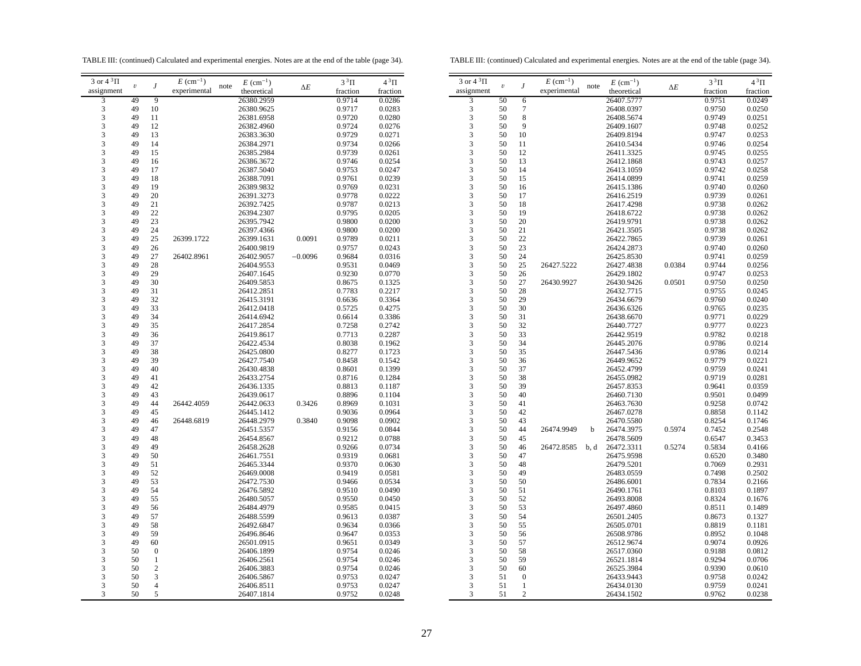TABLE III: (continued) Calculated and experimental energies. Notes are at the end of the table (page 34).

TABLE III: (continued) Calculated and experimental energies. Notes are at the end of the table (page 34).

| 3 or $4\sqrt[3]{1}$ |                         |                  | $E~(\text{cm}^{-1})$ |      | $E~(\text{cm}^{-1})$ |            | $3^3\Pi$ | $4^3\Pi$ | $3$ or $43$ $\Pi$ |                         |                  | $E$ (cm) |
|---------------------|-------------------------|------------------|----------------------|------|----------------------|------------|----------|----------|-------------------|-------------------------|------------------|----------|
| assignment          | $\boldsymbol{\upsilon}$ | J                | experimental         | note | theoretical          | $\Delta E$ | fraction | fraction | assignment        | $\boldsymbol{\upsilon}$ | J                | experim  |
| 3                   | 49                      | 9                |                      |      | 26380.2959           |            | 0.9714   | 0.0286   | 3                 | 50                      | 6                |          |
| 3                   | 49                      | 10               |                      |      | 26380.9625           |            | 0.9717   | 0.0283   | 3                 | 50                      | $\tau$           |          |
| 3                   | 49                      |                  |                      |      |                      |            | 0.9720   | 0.0280   | 3                 | 50                      | 8                |          |
|                     |                         | 11               |                      |      | 26381.6958           |            |          |          |                   | 50                      | 9                |          |
| 3                   | 49                      | 12               |                      |      | 26382.4960           |            | 0.9724   | 0.0276   | 3                 |                         |                  |          |
| 3                   | 49                      | 13               |                      |      | 26383.3630           |            | 0.9729   | 0.0271   | 3                 | 50                      | 10               |          |
| 3                   | 49                      | 14               |                      |      | 26384.2971           |            | 0.9734   | 0.0266   | 3                 | 50                      | 11               |          |
| 3                   | 49                      | 15               |                      |      | 26385.2984           |            | 0.9739   | 0.0261   | 3                 | 50                      | 12               |          |
| 3                   | 49                      | 16               |                      |      | 26386.3672           |            | 0.9746   | 0.0254   | 3                 | 50                      | 13               |          |
| 3                   | 49                      | 17               |                      |      | 26387.5040           |            | 0.9753   | 0.0247   | 3                 | 50                      | 14               |          |
| 3                   | 49                      | 18               |                      |      | 26388.7091           |            | 0.9761   | 0.0239   | 3                 | 50                      | 15               |          |
| 3                   | 49                      | 19               |                      |      | 26389.9832           |            | 0.9769   | 0.0231   | 3                 | 50                      | 16               |          |
| 3                   | 49                      | 20               |                      |      | 26391.3273           |            | 0.9778   | 0.0222   | 3                 | 50                      | 17               |          |
| 3                   | 49                      | 21               |                      |      | 26392.7425           |            | 0.9787   | 0.0213   | 3                 | 50                      | 18               |          |
| 3                   | 49                      | 22               |                      |      | 26394.2307           |            | 0.9795   | 0.0205   | 3                 | 50                      | 19               |          |
| 3                   | 49                      | 23               |                      |      | 26395.7942           |            | 0.9800   | 0.0200   | 3                 | 50                      | 20               |          |
| 3                   | 49                      | 24               |                      |      |                      |            | 0.9800   | 0.0200   | 3                 | 50                      | 21               |          |
|                     |                         |                  |                      |      | 26397.4366           |            |          |          |                   |                         |                  |          |
| 3                   | 49                      | 25               | 26399.1722           |      | 26399.1631           | 0.0091     | 0.9789   | 0.0211   | 3                 | 50                      | 22               |          |
| 3                   | 49                      | 26               |                      |      | 26400.9819           |            | 0.9757   | 0.0243   | 3                 | 50                      | 23               |          |
| 3                   | 49                      | 27               | 26402.8961           |      | 26402.9057           | $-0.0096$  | 0.9684   | 0.0316   | 3                 | 50                      | 24               |          |
| 3                   | 49                      | 28               |                      |      | 26404.9553           |            | 0.9531   | 0.0469   | 3                 | 50                      | 25               | 26427.5  |
| 3                   | 49                      | 29               |                      |      | 26407.1645           |            | 0.9230   | 0.0770   | 3                 | 50                      | 26               |          |
| 3                   | 49                      | 30               |                      |      | 26409.5853           |            | 0.8675   | 0.1325   | 3                 | 50                      | 27               | 26430.9  |
| 3                   | 49                      | 31               |                      |      | 26412.2851           |            | 0.7783   | 0.2217   | 3                 | 50                      | 28               |          |
| 3                   | 49                      | 32               |                      |      | 26415.3191           |            | 0.6636   | 0.3364   | 3                 | 50                      | 29               |          |
| 3                   | 49                      | 33               |                      |      | 26412.0418           |            | 0.5725   | 0.4275   | 3                 | 50                      | 30               |          |
| 3                   | 49                      | 34               |                      |      | 26414.6942           |            | 0.6614   | 0.3386   | 3                 | 50                      | 31               |          |
| 3                   | 49                      | 35               |                      |      | 26417.2854           |            | 0.7258   | 0.2742   | 3                 | 50                      | 32               |          |
| 3                   | 49                      | 36               |                      |      | 26419.8617           |            | 0.7713   | 0.2287   | 3                 | 50                      | 33               |          |
| 3                   | 49                      | 37               |                      |      | 26422.4534           |            | 0.8038   | 0.1962   | 3                 | 50                      | 34               |          |
| $\mathfrak{Z}$      | 49                      | 38               |                      |      | 26425.0800           |            | 0.8277   | 0.1723   | 3                 | 50                      | 35               |          |
| 3                   | 49                      | 39               |                      |      | 26427.7540           |            | 0.8458   | 0.1542   | 3                 | 50                      | 36               |          |
|                     |                         |                  |                      |      |                      |            |          |          |                   |                         |                  |          |
| 3                   | 49                      | 40               |                      |      | 26430.4838           |            | 0.8601   | 0.1399   | 3                 | 50                      | 37               |          |
| $\mathfrak{Z}$      | 49                      | 41               |                      |      | 26433.2754           |            | 0.8716   | 0.1284   | 3                 | 50                      | 38               |          |
| 3                   | 49                      | 42               |                      |      | 26436.1335           |            | 0.8813   | 0.1187   | 3                 | 50                      | 39               |          |
| 3                   | 49                      | 43               |                      |      | 26439.0617           |            | 0.8896   | 0.1104   | 3                 | 50                      | 40               |          |
| 3                   | 49                      | 44               | 26442.4059           |      | 26442.0633           | 0.3426     | 0.8969   | 0.1031   | 3                 | 50                      | 41               |          |
| 3                   | 49                      | 45               |                      |      | 26445.1412           |            | 0.9036   | 0.0964   | 3                 | 50                      | 42               |          |
| $\mathfrak{Z}$      | 49                      | 46               | 26448.6819           |      | 26448.2979           | 0.3840     | 0.9098   | 0.0902   | 3                 | 50                      | 43               |          |
| 3                   | 49                      | 47               |                      |      | 26451.5357           |            | 0.9156   | 0.0844   | 3                 | 50                      | 44               | 26474.9  |
| $\mathfrak{Z}$      | 49                      | 48               |                      |      | 26454.8567           |            | 0.9212   | 0.0788   | 3                 | 50                      | 45               |          |
| 3                   | 49                      | 49               |                      |      | 26458.2628           |            | 0.9266   | 0.0734   | 3                 | 50                      | 46               | 26472.8  |
| 3                   | 49                      | 50               |                      |      | 26461.7551           |            | 0.9319   | 0.0681   | 3                 | 50                      | 47               |          |
| 3                   | 49                      | 51               |                      |      | 26465.3344           |            | 0.9370   | 0.0630   | 3                 | 50                      | 48               |          |
| 3                   | 49                      | 52               |                      |      | 26469.0008           |            | 0.9419   | 0.0581   | 3                 | 50                      | 49               |          |
| 3                   | 49                      | 53               |                      |      | 26472.7530           |            | 0.9466   | 0.0534   | 3                 | 50                      | 50               |          |
| $\mathfrak{Z}$      | 49                      | 54               |                      |      | 26476.5892           |            | 0.9510   | 0.0490   | 3                 | 50                      | 51               |          |
| 3                   | 49                      | 55               |                      |      |                      |            |          | 0.0450   | 3                 | 50                      |                  |          |
|                     |                         |                  |                      |      | 26480.5057           |            | 0.9550   |          |                   |                         | 52               |          |
| $\mathfrak{Z}$      | 49                      | 56               |                      |      | 26484.4979           |            | 0.9585   | 0.0415   | 3                 | 50                      | 53               |          |
| 3                   | 49                      | 57               |                      |      | 26488.5599           |            | 0.9613   | 0.0387   | 3                 | 50                      | 54               |          |
| 3                   | 49                      | 58               |                      |      | 26492.6847           |            | 0.9634   | 0.0366   | 3                 | 50                      | 55               |          |
| 3                   | 49                      | 59               |                      |      | 26496.8646           |            | 0.9647   | 0.0353   | 3                 | 50                      | 56               |          |
| 3                   | 49                      | 60               |                      |      | 26501.0915           |            | 0.9651   | 0.0349   | 3                 | 50                      | 57               |          |
| 3                   | 50                      | $\boldsymbol{0}$ |                      |      | 26406.1899           |            | 0.9754   | 0.0246   | 3                 | 50                      | 58               |          |
| 3                   | 50                      | $\mathbf{1}$     |                      |      | 26406.2561           |            | 0.9754   | 0.0246   | 3                 | 50                      | 59               |          |
| 3                   | 50                      | $\boldsymbol{2}$ |                      |      | 26406.3883           |            | 0.9754   | 0.0246   | 3                 | 50                      | 60               |          |
| $\mathfrak{Z}$      | 50                      | 3                |                      |      | 26406.5867           |            | 0.9753   | 0.0247   | 3                 | 51                      | $\boldsymbol{0}$ |          |
| 3                   | 50                      | 4                |                      |      | 26406.8511           |            | 0.9753   | 0.0247   | 3                 | 51                      | $\mathbf{1}$     |          |
| 3                   | 50                      | 5                |                      |      | 26407.1814           |            | 0.9752   | 0.0248   | 3                 | 51                      | $\overline{c}$   |          |
|                     |                         |                  |                      |      |                      |            |          |          |                   |                         |                  |          |

| 3 or $4\sqrt[3]{1}$<br>$E~(\text{cm}^{-1})$<br>$3^3\Pi$<br>$4^3\Pi$<br>$E$ (cm <sup>-1</sup> )<br>J<br>$\boldsymbol{\upsilon}$<br>note<br>$\Delta E$<br>experimental<br>assignment<br>theoretical<br>fraction<br>fraction<br>3<br>50<br>26407.5777<br>0.9751<br>0.0249<br>6<br>3<br>50<br>7<br>26408.0397<br>0.9750<br>0.0250<br>3<br>8<br>50<br>26408.5674<br>0.9749<br>0.0251<br>3<br>9<br>50<br>26409.1607<br>0.9748<br>0.0252<br>3<br>50<br>10<br>26409.8194<br>0.9747<br>0.0253<br>3<br>50<br>11<br>26410.5434<br>0.9746<br>0.0254<br>3<br>12<br>26411.3325<br>50<br>0.9745<br>0.0255<br>3<br>50<br>13<br>26412.1868<br>0.9743<br>0.0257<br>3<br>26413.1059<br>50<br>14<br>0.9742<br>0.0258<br>3<br>50<br>15<br>26414.0899<br>0.9741<br>0.0259<br>3<br>50<br>16<br>26415.1386<br>0.0260<br>0.9740<br>3<br>50<br>17<br>26416.2519<br>0.9739<br>0.0261<br>3<br>50<br>18<br>26417.4298<br>0.9738<br>0.0262<br>3<br>19<br>50<br>26418.6722<br>0.9738<br>0.0262<br>3<br>50<br>20<br>26419.9791<br>0.9738<br>0.0262<br>3<br>21<br>50<br>26421.3505<br>0.9738<br>0.0262<br>3<br>50<br>22<br>26422.7865<br>0.9739<br>0.0261<br>3<br>23<br>26424.2873<br>50<br>0.9740<br>0.0260<br>3<br>50<br>24<br>26425.8530<br>0.9741<br>0.0259<br>3<br>50<br>25<br>26427.5222<br>0.0384<br>26427.4838<br>0.9744<br>0.0256<br>3<br>50<br>26429.1802<br>0.9747<br>26<br>0.0253<br>3<br>26430.9927<br>26430.9426<br>0.0501<br>50<br>27<br>0.9750<br>0.0250<br>3<br>50<br>28<br>26432.7715<br>0.9755<br>0.0245<br>3<br>29<br>50<br>26434.6679<br>0.9760<br>0.0240<br>3<br>50<br>30<br>26436.6326<br>0.9765<br>0.0235<br>3<br>50<br>31<br>26438.6670<br>0.9771<br>0.0229<br>3<br>32<br>50<br>26440.7727<br>0.9777<br>0.0223<br>3<br>33<br>50<br>26442.9519<br>0.9782<br>0.0218<br>3<br>34<br>50<br>26445.2076<br>0.9786<br>0.0214<br>3<br>35<br>50<br>26447.5436<br>0.9786<br>0.0214<br>3<br>50<br>36<br>26449.9652<br>0.9779<br>0.0221<br>3<br>50<br>37<br>26452.4799<br>0.0241<br>0.9759<br>3<br>50<br>38<br>26455.0982<br>0.9719<br>0.0281<br>3<br>39<br>50<br>26457.8353<br>0.9641<br>0.0359<br>3<br>40<br>50<br>26460.7130<br>0.9501<br>0.0499<br>3<br>50<br>41<br>0.0742<br>26463.7630<br>0.9258<br>3<br>42<br>50<br>26467.0278<br>0.8858<br>0.1142<br>3<br>50<br>43<br>26470.5580<br>0.8254<br>0.1746<br>3<br>44<br>26474.9949<br>26474.3975<br>0.5974<br>0.2548<br>50<br>b<br>0.7452<br>3<br>45<br>26478.5609<br>50<br>0.6547<br>0.3453<br>3<br>50<br>46<br>26472.8585<br>26472.3311<br>0.5274<br>0.5834<br>0.4166<br>b, d<br>3<br>50<br>47<br>26475.9598<br>0.3480<br>0.6520<br>3<br>50<br>48<br>26479.5201<br>0.2931<br>0.7069<br>3<br>50<br>49<br>26483.0559<br>0.2502<br>0.7498<br>3<br>50<br>50<br>26486.6001<br>0.7834<br>0.2166<br>3<br>50<br>51<br>26490.1761<br>0.8103<br>0.1897<br>3<br>50<br>52<br>26493.8008<br>0.8324<br>0.1676<br>3<br>50<br>53<br>26497.4860<br>0.8511<br>0.1489<br>3<br>54<br>26501.2405<br>50<br>0.8673<br>0.1327<br>3<br>55<br>50<br>26505.0701<br>0.8819<br>0.1181<br>3<br>50<br>56<br>26508.9786<br>0.8952<br>0.1048<br>3<br>57<br>50<br>26512.9674<br>0.9074<br>0.0926<br>3<br>50<br>58<br>26517.0360<br>0.9188<br>0.0812<br>3<br>50<br>59<br>26521.1814<br>0.9294<br>0.0706<br>3<br>60<br>50<br>26525.3984<br>0.9390<br>0.0610 |   |    |                  |  |            |        |        |
|---------------------------------------------------------------------------------------------------------------------------------------------------------------------------------------------------------------------------------------------------------------------------------------------------------------------------------------------------------------------------------------------------------------------------------------------------------------------------------------------------------------------------------------------------------------------------------------------------------------------------------------------------------------------------------------------------------------------------------------------------------------------------------------------------------------------------------------------------------------------------------------------------------------------------------------------------------------------------------------------------------------------------------------------------------------------------------------------------------------------------------------------------------------------------------------------------------------------------------------------------------------------------------------------------------------------------------------------------------------------------------------------------------------------------------------------------------------------------------------------------------------------------------------------------------------------------------------------------------------------------------------------------------------------------------------------------------------------------------------------------------------------------------------------------------------------------------------------------------------------------------------------------------------------------------------------------------------------------------------------------------------------------------------------------------------------------------------------------------------------------------------------------------------------------------------------------------------------------------------------------------------------------------------------------------------------------------------------------------------------------------------------------------------------------------------------------------------------------------------------------------------------------------------------------------------------------------------------------------------------------------------------------------------------------------------------------------------------------------------------------------------------------------------------------------------------------------------------------------------------------------------------------------------------------------------------------------------------------------------------------------------------------------------------------------------------------------------------------------------------------------------------------------------------------------------------------------------------------------------------------------|---|----|------------------|--|------------|--------|--------|
|                                                                                                                                                                                                                                                                                                                                                                                                                                                                                                                                                                                                                                                                                                                                                                                                                                                                                                                                                                                                                                                                                                                                                                                                                                                                                                                                                                                                                                                                                                                                                                                                                                                                                                                                                                                                                                                                                                                                                                                                                                                                                                                                                                                                                                                                                                                                                                                                                                                                                                                                                                                                                                                                                                                                                                                                                                                                                                                                                                                                                                                                                                                                                                                                                                                         |   |    |                  |  |            |        |        |
|                                                                                                                                                                                                                                                                                                                                                                                                                                                                                                                                                                                                                                                                                                                                                                                                                                                                                                                                                                                                                                                                                                                                                                                                                                                                                                                                                                                                                                                                                                                                                                                                                                                                                                                                                                                                                                                                                                                                                                                                                                                                                                                                                                                                                                                                                                                                                                                                                                                                                                                                                                                                                                                                                                                                                                                                                                                                                                                                                                                                                                                                                                                                                                                                                                                         |   |    |                  |  |            |        |        |
|                                                                                                                                                                                                                                                                                                                                                                                                                                                                                                                                                                                                                                                                                                                                                                                                                                                                                                                                                                                                                                                                                                                                                                                                                                                                                                                                                                                                                                                                                                                                                                                                                                                                                                                                                                                                                                                                                                                                                                                                                                                                                                                                                                                                                                                                                                                                                                                                                                                                                                                                                                                                                                                                                                                                                                                                                                                                                                                                                                                                                                                                                                                                                                                                                                                         |   |    |                  |  |            |        |        |
|                                                                                                                                                                                                                                                                                                                                                                                                                                                                                                                                                                                                                                                                                                                                                                                                                                                                                                                                                                                                                                                                                                                                                                                                                                                                                                                                                                                                                                                                                                                                                                                                                                                                                                                                                                                                                                                                                                                                                                                                                                                                                                                                                                                                                                                                                                                                                                                                                                                                                                                                                                                                                                                                                                                                                                                                                                                                                                                                                                                                                                                                                                                                                                                                                                                         |   |    |                  |  |            |        |        |
|                                                                                                                                                                                                                                                                                                                                                                                                                                                                                                                                                                                                                                                                                                                                                                                                                                                                                                                                                                                                                                                                                                                                                                                                                                                                                                                                                                                                                                                                                                                                                                                                                                                                                                                                                                                                                                                                                                                                                                                                                                                                                                                                                                                                                                                                                                                                                                                                                                                                                                                                                                                                                                                                                                                                                                                                                                                                                                                                                                                                                                                                                                                                                                                                                                                         |   |    |                  |  |            |        |        |
|                                                                                                                                                                                                                                                                                                                                                                                                                                                                                                                                                                                                                                                                                                                                                                                                                                                                                                                                                                                                                                                                                                                                                                                                                                                                                                                                                                                                                                                                                                                                                                                                                                                                                                                                                                                                                                                                                                                                                                                                                                                                                                                                                                                                                                                                                                                                                                                                                                                                                                                                                                                                                                                                                                                                                                                                                                                                                                                                                                                                                                                                                                                                                                                                                                                         |   |    |                  |  |            |        |        |
|                                                                                                                                                                                                                                                                                                                                                                                                                                                                                                                                                                                                                                                                                                                                                                                                                                                                                                                                                                                                                                                                                                                                                                                                                                                                                                                                                                                                                                                                                                                                                                                                                                                                                                                                                                                                                                                                                                                                                                                                                                                                                                                                                                                                                                                                                                                                                                                                                                                                                                                                                                                                                                                                                                                                                                                                                                                                                                                                                                                                                                                                                                                                                                                                                                                         |   |    |                  |  |            |        |        |
|                                                                                                                                                                                                                                                                                                                                                                                                                                                                                                                                                                                                                                                                                                                                                                                                                                                                                                                                                                                                                                                                                                                                                                                                                                                                                                                                                                                                                                                                                                                                                                                                                                                                                                                                                                                                                                                                                                                                                                                                                                                                                                                                                                                                                                                                                                                                                                                                                                                                                                                                                                                                                                                                                                                                                                                                                                                                                                                                                                                                                                                                                                                                                                                                                                                         |   |    |                  |  |            |        |        |
|                                                                                                                                                                                                                                                                                                                                                                                                                                                                                                                                                                                                                                                                                                                                                                                                                                                                                                                                                                                                                                                                                                                                                                                                                                                                                                                                                                                                                                                                                                                                                                                                                                                                                                                                                                                                                                                                                                                                                                                                                                                                                                                                                                                                                                                                                                                                                                                                                                                                                                                                                                                                                                                                                                                                                                                                                                                                                                                                                                                                                                                                                                                                                                                                                                                         |   |    |                  |  |            |        |        |
|                                                                                                                                                                                                                                                                                                                                                                                                                                                                                                                                                                                                                                                                                                                                                                                                                                                                                                                                                                                                                                                                                                                                                                                                                                                                                                                                                                                                                                                                                                                                                                                                                                                                                                                                                                                                                                                                                                                                                                                                                                                                                                                                                                                                                                                                                                                                                                                                                                                                                                                                                                                                                                                                                                                                                                                                                                                                                                                                                                                                                                                                                                                                                                                                                                                         |   |    |                  |  |            |        |        |
|                                                                                                                                                                                                                                                                                                                                                                                                                                                                                                                                                                                                                                                                                                                                                                                                                                                                                                                                                                                                                                                                                                                                                                                                                                                                                                                                                                                                                                                                                                                                                                                                                                                                                                                                                                                                                                                                                                                                                                                                                                                                                                                                                                                                                                                                                                                                                                                                                                                                                                                                                                                                                                                                                                                                                                                                                                                                                                                                                                                                                                                                                                                                                                                                                                                         |   |    |                  |  |            |        |        |
|                                                                                                                                                                                                                                                                                                                                                                                                                                                                                                                                                                                                                                                                                                                                                                                                                                                                                                                                                                                                                                                                                                                                                                                                                                                                                                                                                                                                                                                                                                                                                                                                                                                                                                                                                                                                                                                                                                                                                                                                                                                                                                                                                                                                                                                                                                                                                                                                                                                                                                                                                                                                                                                                                                                                                                                                                                                                                                                                                                                                                                                                                                                                                                                                                                                         |   |    |                  |  |            |        |        |
|                                                                                                                                                                                                                                                                                                                                                                                                                                                                                                                                                                                                                                                                                                                                                                                                                                                                                                                                                                                                                                                                                                                                                                                                                                                                                                                                                                                                                                                                                                                                                                                                                                                                                                                                                                                                                                                                                                                                                                                                                                                                                                                                                                                                                                                                                                                                                                                                                                                                                                                                                                                                                                                                                                                                                                                                                                                                                                                                                                                                                                                                                                                                                                                                                                                         |   |    |                  |  |            |        |        |
|                                                                                                                                                                                                                                                                                                                                                                                                                                                                                                                                                                                                                                                                                                                                                                                                                                                                                                                                                                                                                                                                                                                                                                                                                                                                                                                                                                                                                                                                                                                                                                                                                                                                                                                                                                                                                                                                                                                                                                                                                                                                                                                                                                                                                                                                                                                                                                                                                                                                                                                                                                                                                                                                                                                                                                                                                                                                                                                                                                                                                                                                                                                                                                                                                                                         |   |    |                  |  |            |        |        |
|                                                                                                                                                                                                                                                                                                                                                                                                                                                                                                                                                                                                                                                                                                                                                                                                                                                                                                                                                                                                                                                                                                                                                                                                                                                                                                                                                                                                                                                                                                                                                                                                                                                                                                                                                                                                                                                                                                                                                                                                                                                                                                                                                                                                                                                                                                                                                                                                                                                                                                                                                                                                                                                                                                                                                                                                                                                                                                                                                                                                                                                                                                                                                                                                                                                         |   |    |                  |  |            |        |        |
|                                                                                                                                                                                                                                                                                                                                                                                                                                                                                                                                                                                                                                                                                                                                                                                                                                                                                                                                                                                                                                                                                                                                                                                                                                                                                                                                                                                                                                                                                                                                                                                                                                                                                                                                                                                                                                                                                                                                                                                                                                                                                                                                                                                                                                                                                                                                                                                                                                                                                                                                                                                                                                                                                                                                                                                                                                                                                                                                                                                                                                                                                                                                                                                                                                                         |   |    |                  |  |            |        |        |
|                                                                                                                                                                                                                                                                                                                                                                                                                                                                                                                                                                                                                                                                                                                                                                                                                                                                                                                                                                                                                                                                                                                                                                                                                                                                                                                                                                                                                                                                                                                                                                                                                                                                                                                                                                                                                                                                                                                                                                                                                                                                                                                                                                                                                                                                                                                                                                                                                                                                                                                                                                                                                                                                                                                                                                                                                                                                                                                                                                                                                                                                                                                                                                                                                                                         |   |    |                  |  |            |        |        |
|                                                                                                                                                                                                                                                                                                                                                                                                                                                                                                                                                                                                                                                                                                                                                                                                                                                                                                                                                                                                                                                                                                                                                                                                                                                                                                                                                                                                                                                                                                                                                                                                                                                                                                                                                                                                                                                                                                                                                                                                                                                                                                                                                                                                                                                                                                                                                                                                                                                                                                                                                                                                                                                                                                                                                                                                                                                                                                                                                                                                                                                                                                                                                                                                                                                         |   |    |                  |  |            |        |        |
|                                                                                                                                                                                                                                                                                                                                                                                                                                                                                                                                                                                                                                                                                                                                                                                                                                                                                                                                                                                                                                                                                                                                                                                                                                                                                                                                                                                                                                                                                                                                                                                                                                                                                                                                                                                                                                                                                                                                                                                                                                                                                                                                                                                                                                                                                                                                                                                                                                                                                                                                                                                                                                                                                                                                                                                                                                                                                                                                                                                                                                                                                                                                                                                                                                                         |   |    |                  |  |            |        |        |
|                                                                                                                                                                                                                                                                                                                                                                                                                                                                                                                                                                                                                                                                                                                                                                                                                                                                                                                                                                                                                                                                                                                                                                                                                                                                                                                                                                                                                                                                                                                                                                                                                                                                                                                                                                                                                                                                                                                                                                                                                                                                                                                                                                                                                                                                                                                                                                                                                                                                                                                                                                                                                                                                                                                                                                                                                                                                                                                                                                                                                                                                                                                                                                                                                                                         |   |    |                  |  |            |        |        |
|                                                                                                                                                                                                                                                                                                                                                                                                                                                                                                                                                                                                                                                                                                                                                                                                                                                                                                                                                                                                                                                                                                                                                                                                                                                                                                                                                                                                                                                                                                                                                                                                                                                                                                                                                                                                                                                                                                                                                                                                                                                                                                                                                                                                                                                                                                                                                                                                                                                                                                                                                                                                                                                                                                                                                                                                                                                                                                                                                                                                                                                                                                                                                                                                                                                         |   |    |                  |  |            |        |        |
|                                                                                                                                                                                                                                                                                                                                                                                                                                                                                                                                                                                                                                                                                                                                                                                                                                                                                                                                                                                                                                                                                                                                                                                                                                                                                                                                                                                                                                                                                                                                                                                                                                                                                                                                                                                                                                                                                                                                                                                                                                                                                                                                                                                                                                                                                                                                                                                                                                                                                                                                                                                                                                                                                                                                                                                                                                                                                                                                                                                                                                                                                                                                                                                                                                                         |   |    |                  |  |            |        |        |
|                                                                                                                                                                                                                                                                                                                                                                                                                                                                                                                                                                                                                                                                                                                                                                                                                                                                                                                                                                                                                                                                                                                                                                                                                                                                                                                                                                                                                                                                                                                                                                                                                                                                                                                                                                                                                                                                                                                                                                                                                                                                                                                                                                                                                                                                                                                                                                                                                                                                                                                                                                                                                                                                                                                                                                                                                                                                                                                                                                                                                                                                                                                                                                                                                                                         |   |    |                  |  |            |        |        |
|                                                                                                                                                                                                                                                                                                                                                                                                                                                                                                                                                                                                                                                                                                                                                                                                                                                                                                                                                                                                                                                                                                                                                                                                                                                                                                                                                                                                                                                                                                                                                                                                                                                                                                                                                                                                                                                                                                                                                                                                                                                                                                                                                                                                                                                                                                                                                                                                                                                                                                                                                                                                                                                                                                                                                                                                                                                                                                                                                                                                                                                                                                                                                                                                                                                         |   |    |                  |  |            |        |        |
|                                                                                                                                                                                                                                                                                                                                                                                                                                                                                                                                                                                                                                                                                                                                                                                                                                                                                                                                                                                                                                                                                                                                                                                                                                                                                                                                                                                                                                                                                                                                                                                                                                                                                                                                                                                                                                                                                                                                                                                                                                                                                                                                                                                                                                                                                                                                                                                                                                                                                                                                                                                                                                                                                                                                                                                                                                                                                                                                                                                                                                                                                                                                                                                                                                                         |   |    |                  |  |            |        |        |
|                                                                                                                                                                                                                                                                                                                                                                                                                                                                                                                                                                                                                                                                                                                                                                                                                                                                                                                                                                                                                                                                                                                                                                                                                                                                                                                                                                                                                                                                                                                                                                                                                                                                                                                                                                                                                                                                                                                                                                                                                                                                                                                                                                                                                                                                                                                                                                                                                                                                                                                                                                                                                                                                                                                                                                                                                                                                                                                                                                                                                                                                                                                                                                                                                                                         |   |    |                  |  |            |        |        |
|                                                                                                                                                                                                                                                                                                                                                                                                                                                                                                                                                                                                                                                                                                                                                                                                                                                                                                                                                                                                                                                                                                                                                                                                                                                                                                                                                                                                                                                                                                                                                                                                                                                                                                                                                                                                                                                                                                                                                                                                                                                                                                                                                                                                                                                                                                                                                                                                                                                                                                                                                                                                                                                                                                                                                                                                                                                                                                                                                                                                                                                                                                                                                                                                                                                         |   |    |                  |  |            |        |        |
|                                                                                                                                                                                                                                                                                                                                                                                                                                                                                                                                                                                                                                                                                                                                                                                                                                                                                                                                                                                                                                                                                                                                                                                                                                                                                                                                                                                                                                                                                                                                                                                                                                                                                                                                                                                                                                                                                                                                                                                                                                                                                                                                                                                                                                                                                                                                                                                                                                                                                                                                                                                                                                                                                                                                                                                                                                                                                                                                                                                                                                                                                                                                                                                                                                                         |   |    |                  |  |            |        |        |
|                                                                                                                                                                                                                                                                                                                                                                                                                                                                                                                                                                                                                                                                                                                                                                                                                                                                                                                                                                                                                                                                                                                                                                                                                                                                                                                                                                                                                                                                                                                                                                                                                                                                                                                                                                                                                                                                                                                                                                                                                                                                                                                                                                                                                                                                                                                                                                                                                                                                                                                                                                                                                                                                                                                                                                                                                                                                                                                                                                                                                                                                                                                                                                                                                                                         |   |    |                  |  |            |        |        |
|                                                                                                                                                                                                                                                                                                                                                                                                                                                                                                                                                                                                                                                                                                                                                                                                                                                                                                                                                                                                                                                                                                                                                                                                                                                                                                                                                                                                                                                                                                                                                                                                                                                                                                                                                                                                                                                                                                                                                                                                                                                                                                                                                                                                                                                                                                                                                                                                                                                                                                                                                                                                                                                                                                                                                                                                                                                                                                                                                                                                                                                                                                                                                                                                                                                         |   |    |                  |  |            |        |        |
|                                                                                                                                                                                                                                                                                                                                                                                                                                                                                                                                                                                                                                                                                                                                                                                                                                                                                                                                                                                                                                                                                                                                                                                                                                                                                                                                                                                                                                                                                                                                                                                                                                                                                                                                                                                                                                                                                                                                                                                                                                                                                                                                                                                                                                                                                                                                                                                                                                                                                                                                                                                                                                                                                                                                                                                                                                                                                                                                                                                                                                                                                                                                                                                                                                                         |   |    |                  |  |            |        |        |
|                                                                                                                                                                                                                                                                                                                                                                                                                                                                                                                                                                                                                                                                                                                                                                                                                                                                                                                                                                                                                                                                                                                                                                                                                                                                                                                                                                                                                                                                                                                                                                                                                                                                                                                                                                                                                                                                                                                                                                                                                                                                                                                                                                                                                                                                                                                                                                                                                                                                                                                                                                                                                                                                                                                                                                                                                                                                                                                                                                                                                                                                                                                                                                                                                                                         |   |    |                  |  |            |        |        |
|                                                                                                                                                                                                                                                                                                                                                                                                                                                                                                                                                                                                                                                                                                                                                                                                                                                                                                                                                                                                                                                                                                                                                                                                                                                                                                                                                                                                                                                                                                                                                                                                                                                                                                                                                                                                                                                                                                                                                                                                                                                                                                                                                                                                                                                                                                                                                                                                                                                                                                                                                                                                                                                                                                                                                                                                                                                                                                                                                                                                                                                                                                                                                                                                                                                         |   |    |                  |  |            |        |        |
|                                                                                                                                                                                                                                                                                                                                                                                                                                                                                                                                                                                                                                                                                                                                                                                                                                                                                                                                                                                                                                                                                                                                                                                                                                                                                                                                                                                                                                                                                                                                                                                                                                                                                                                                                                                                                                                                                                                                                                                                                                                                                                                                                                                                                                                                                                                                                                                                                                                                                                                                                                                                                                                                                                                                                                                                                                                                                                                                                                                                                                                                                                                                                                                                                                                         |   |    |                  |  |            |        |        |
|                                                                                                                                                                                                                                                                                                                                                                                                                                                                                                                                                                                                                                                                                                                                                                                                                                                                                                                                                                                                                                                                                                                                                                                                                                                                                                                                                                                                                                                                                                                                                                                                                                                                                                                                                                                                                                                                                                                                                                                                                                                                                                                                                                                                                                                                                                                                                                                                                                                                                                                                                                                                                                                                                                                                                                                                                                                                                                                                                                                                                                                                                                                                                                                                                                                         |   |    |                  |  |            |        |        |
|                                                                                                                                                                                                                                                                                                                                                                                                                                                                                                                                                                                                                                                                                                                                                                                                                                                                                                                                                                                                                                                                                                                                                                                                                                                                                                                                                                                                                                                                                                                                                                                                                                                                                                                                                                                                                                                                                                                                                                                                                                                                                                                                                                                                                                                                                                                                                                                                                                                                                                                                                                                                                                                                                                                                                                                                                                                                                                                                                                                                                                                                                                                                                                                                                                                         |   |    |                  |  |            |        |        |
|                                                                                                                                                                                                                                                                                                                                                                                                                                                                                                                                                                                                                                                                                                                                                                                                                                                                                                                                                                                                                                                                                                                                                                                                                                                                                                                                                                                                                                                                                                                                                                                                                                                                                                                                                                                                                                                                                                                                                                                                                                                                                                                                                                                                                                                                                                                                                                                                                                                                                                                                                                                                                                                                                                                                                                                                                                                                                                                                                                                                                                                                                                                                                                                                                                                         |   |    |                  |  |            |        |        |
|                                                                                                                                                                                                                                                                                                                                                                                                                                                                                                                                                                                                                                                                                                                                                                                                                                                                                                                                                                                                                                                                                                                                                                                                                                                                                                                                                                                                                                                                                                                                                                                                                                                                                                                                                                                                                                                                                                                                                                                                                                                                                                                                                                                                                                                                                                                                                                                                                                                                                                                                                                                                                                                                                                                                                                                                                                                                                                                                                                                                                                                                                                                                                                                                                                                         |   |    |                  |  |            |        |        |
|                                                                                                                                                                                                                                                                                                                                                                                                                                                                                                                                                                                                                                                                                                                                                                                                                                                                                                                                                                                                                                                                                                                                                                                                                                                                                                                                                                                                                                                                                                                                                                                                                                                                                                                                                                                                                                                                                                                                                                                                                                                                                                                                                                                                                                                                                                                                                                                                                                                                                                                                                                                                                                                                                                                                                                                                                                                                                                                                                                                                                                                                                                                                                                                                                                                         |   |    |                  |  |            |        |        |
|                                                                                                                                                                                                                                                                                                                                                                                                                                                                                                                                                                                                                                                                                                                                                                                                                                                                                                                                                                                                                                                                                                                                                                                                                                                                                                                                                                                                                                                                                                                                                                                                                                                                                                                                                                                                                                                                                                                                                                                                                                                                                                                                                                                                                                                                                                                                                                                                                                                                                                                                                                                                                                                                                                                                                                                                                                                                                                                                                                                                                                                                                                                                                                                                                                                         |   |    |                  |  |            |        |        |
|                                                                                                                                                                                                                                                                                                                                                                                                                                                                                                                                                                                                                                                                                                                                                                                                                                                                                                                                                                                                                                                                                                                                                                                                                                                                                                                                                                                                                                                                                                                                                                                                                                                                                                                                                                                                                                                                                                                                                                                                                                                                                                                                                                                                                                                                                                                                                                                                                                                                                                                                                                                                                                                                                                                                                                                                                                                                                                                                                                                                                                                                                                                                                                                                                                                         |   |    |                  |  |            |        |        |
|                                                                                                                                                                                                                                                                                                                                                                                                                                                                                                                                                                                                                                                                                                                                                                                                                                                                                                                                                                                                                                                                                                                                                                                                                                                                                                                                                                                                                                                                                                                                                                                                                                                                                                                                                                                                                                                                                                                                                                                                                                                                                                                                                                                                                                                                                                                                                                                                                                                                                                                                                                                                                                                                                                                                                                                                                                                                                                                                                                                                                                                                                                                                                                                                                                                         |   |    |                  |  |            |        |        |
|                                                                                                                                                                                                                                                                                                                                                                                                                                                                                                                                                                                                                                                                                                                                                                                                                                                                                                                                                                                                                                                                                                                                                                                                                                                                                                                                                                                                                                                                                                                                                                                                                                                                                                                                                                                                                                                                                                                                                                                                                                                                                                                                                                                                                                                                                                                                                                                                                                                                                                                                                                                                                                                                                                                                                                                                                                                                                                                                                                                                                                                                                                                                                                                                                                                         |   |    |                  |  |            |        |        |
|                                                                                                                                                                                                                                                                                                                                                                                                                                                                                                                                                                                                                                                                                                                                                                                                                                                                                                                                                                                                                                                                                                                                                                                                                                                                                                                                                                                                                                                                                                                                                                                                                                                                                                                                                                                                                                                                                                                                                                                                                                                                                                                                                                                                                                                                                                                                                                                                                                                                                                                                                                                                                                                                                                                                                                                                                                                                                                                                                                                                                                                                                                                                                                                                                                                         |   |    |                  |  |            |        |        |
|                                                                                                                                                                                                                                                                                                                                                                                                                                                                                                                                                                                                                                                                                                                                                                                                                                                                                                                                                                                                                                                                                                                                                                                                                                                                                                                                                                                                                                                                                                                                                                                                                                                                                                                                                                                                                                                                                                                                                                                                                                                                                                                                                                                                                                                                                                                                                                                                                                                                                                                                                                                                                                                                                                                                                                                                                                                                                                                                                                                                                                                                                                                                                                                                                                                         |   |    |                  |  |            |        |        |
|                                                                                                                                                                                                                                                                                                                                                                                                                                                                                                                                                                                                                                                                                                                                                                                                                                                                                                                                                                                                                                                                                                                                                                                                                                                                                                                                                                                                                                                                                                                                                                                                                                                                                                                                                                                                                                                                                                                                                                                                                                                                                                                                                                                                                                                                                                                                                                                                                                                                                                                                                                                                                                                                                                                                                                                                                                                                                                                                                                                                                                                                                                                                                                                                                                                         |   |    |                  |  |            |        |        |
|                                                                                                                                                                                                                                                                                                                                                                                                                                                                                                                                                                                                                                                                                                                                                                                                                                                                                                                                                                                                                                                                                                                                                                                                                                                                                                                                                                                                                                                                                                                                                                                                                                                                                                                                                                                                                                                                                                                                                                                                                                                                                                                                                                                                                                                                                                                                                                                                                                                                                                                                                                                                                                                                                                                                                                                                                                                                                                                                                                                                                                                                                                                                                                                                                                                         |   |    |                  |  |            |        |        |
|                                                                                                                                                                                                                                                                                                                                                                                                                                                                                                                                                                                                                                                                                                                                                                                                                                                                                                                                                                                                                                                                                                                                                                                                                                                                                                                                                                                                                                                                                                                                                                                                                                                                                                                                                                                                                                                                                                                                                                                                                                                                                                                                                                                                                                                                                                                                                                                                                                                                                                                                                                                                                                                                                                                                                                                                                                                                                                                                                                                                                                                                                                                                                                                                                                                         |   |    |                  |  |            |        |        |
|                                                                                                                                                                                                                                                                                                                                                                                                                                                                                                                                                                                                                                                                                                                                                                                                                                                                                                                                                                                                                                                                                                                                                                                                                                                                                                                                                                                                                                                                                                                                                                                                                                                                                                                                                                                                                                                                                                                                                                                                                                                                                                                                                                                                                                                                                                                                                                                                                                                                                                                                                                                                                                                                                                                                                                                                                                                                                                                                                                                                                                                                                                                                                                                                                                                         |   |    |                  |  |            |        |        |
|                                                                                                                                                                                                                                                                                                                                                                                                                                                                                                                                                                                                                                                                                                                                                                                                                                                                                                                                                                                                                                                                                                                                                                                                                                                                                                                                                                                                                                                                                                                                                                                                                                                                                                                                                                                                                                                                                                                                                                                                                                                                                                                                                                                                                                                                                                                                                                                                                                                                                                                                                                                                                                                                                                                                                                                                                                                                                                                                                                                                                                                                                                                                                                                                                                                         |   |    |                  |  |            |        |        |
|                                                                                                                                                                                                                                                                                                                                                                                                                                                                                                                                                                                                                                                                                                                                                                                                                                                                                                                                                                                                                                                                                                                                                                                                                                                                                                                                                                                                                                                                                                                                                                                                                                                                                                                                                                                                                                                                                                                                                                                                                                                                                                                                                                                                                                                                                                                                                                                                                                                                                                                                                                                                                                                                                                                                                                                                                                                                                                                                                                                                                                                                                                                                                                                                                                                         |   |    |                  |  |            |        |        |
|                                                                                                                                                                                                                                                                                                                                                                                                                                                                                                                                                                                                                                                                                                                                                                                                                                                                                                                                                                                                                                                                                                                                                                                                                                                                                                                                                                                                                                                                                                                                                                                                                                                                                                                                                                                                                                                                                                                                                                                                                                                                                                                                                                                                                                                                                                                                                                                                                                                                                                                                                                                                                                                                                                                                                                                                                                                                                                                                                                                                                                                                                                                                                                                                                                                         |   |    |                  |  |            |        |        |
|                                                                                                                                                                                                                                                                                                                                                                                                                                                                                                                                                                                                                                                                                                                                                                                                                                                                                                                                                                                                                                                                                                                                                                                                                                                                                                                                                                                                                                                                                                                                                                                                                                                                                                                                                                                                                                                                                                                                                                                                                                                                                                                                                                                                                                                                                                                                                                                                                                                                                                                                                                                                                                                                                                                                                                                                                                                                                                                                                                                                                                                                                                                                                                                                                                                         |   |    |                  |  |            |        |        |
|                                                                                                                                                                                                                                                                                                                                                                                                                                                                                                                                                                                                                                                                                                                                                                                                                                                                                                                                                                                                                                                                                                                                                                                                                                                                                                                                                                                                                                                                                                                                                                                                                                                                                                                                                                                                                                                                                                                                                                                                                                                                                                                                                                                                                                                                                                                                                                                                                                                                                                                                                                                                                                                                                                                                                                                                                                                                                                                                                                                                                                                                                                                                                                                                                                                         |   |    |                  |  |            |        |        |
|                                                                                                                                                                                                                                                                                                                                                                                                                                                                                                                                                                                                                                                                                                                                                                                                                                                                                                                                                                                                                                                                                                                                                                                                                                                                                                                                                                                                                                                                                                                                                                                                                                                                                                                                                                                                                                                                                                                                                                                                                                                                                                                                                                                                                                                                                                                                                                                                                                                                                                                                                                                                                                                                                                                                                                                                                                                                                                                                                                                                                                                                                                                                                                                                                                                         |   |    |                  |  |            |        |        |
|                                                                                                                                                                                                                                                                                                                                                                                                                                                                                                                                                                                                                                                                                                                                                                                                                                                                                                                                                                                                                                                                                                                                                                                                                                                                                                                                                                                                                                                                                                                                                                                                                                                                                                                                                                                                                                                                                                                                                                                                                                                                                                                                                                                                                                                                                                                                                                                                                                                                                                                                                                                                                                                                                                                                                                                                                                                                                                                                                                                                                                                                                                                                                                                                                                                         |   |    |                  |  |            |        |        |
|                                                                                                                                                                                                                                                                                                                                                                                                                                                                                                                                                                                                                                                                                                                                                                                                                                                                                                                                                                                                                                                                                                                                                                                                                                                                                                                                                                                                                                                                                                                                                                                                                                                                                                                                                                                                                                                                                                                                                                                                                                                                                                                                                                                                                                                                                                                                                                                                                                                                                                                                                                                                                                                                                                                                                                                                                                                                                                                                                                                                                                                                                                                                                                                                                                                         |   |    |                  |  |            |        |        |
|                                                                                                                                                                                                                                                                                                                                                                                                                                                                                                                                                                                                                                                                                                                                                                                                                                                                                                                                                                                                                                                                                                                                                                                                                                                                                                                                                                                                                                                                                                                                                                                                                                                                                                                                                                                                                                                                                                                                                                                                                                                                                                                                                                                                                                                                                                                                                                                                                                                                                                                                                                                                                                                                                                                                                                                                                                                                                                                                                                                                                                                                                                                                                                                                                                                         | 3 | 51 | $\boldsymbol{0}$ |  | 26433.9443 | 0.9758 | 0.0242 |
| 3<br>$\mathbf{1}$<br>51<br>26434.0130<br>0.9759<br>0.0241                                                                                                                                                                                                                                                                                                                                                                                                                                                                                                                                                                                                                                                                                                                                                                                                                                                                                                                                                                                                                                                                                                                                                                                                                                                                                                                                                                                                                                                                                                                                                                                                                                                                                                                                                                                                                                                                                                                                                                                                                                                                                                                                                                                                                                                                                                                                                                                                                                                                                                                                                                                                                                                                                                                                                                                                                                                                                                                                                                                                                                                                                                                                                                                               |   |    |                  |  |            |        |        |
| 3<br>$\overline{c}$<br>51<br>0.9762<br>0.0238<br>26434.1502                                                                                                                                                                                                                                                                                                                                                                                                                                                                                                                                                                                                                                                                                                                                                                                                                                                                                                                                                                                                                                                                                                                                                                                                                                                                                                                                                                                                                                                                                                                                                                                                                                                                                                                                                                                                                                                                                                                                                                                                                                                                                                                                                                                                                                                                                                                                                                                                                                                                                                                                                                                                                                                                                                                                                                                                                                                                                                                                                                                                                                                                                                                                                                                             |   |    |                  |  |            |        |        |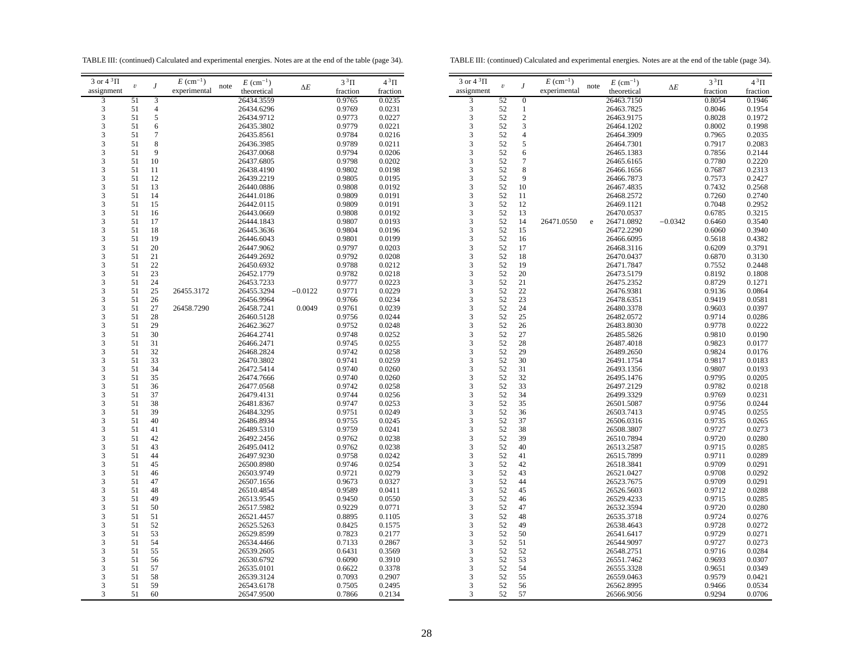TABLE III: (continued) Calculated and experimental energies. Notes are at the end of the table (page 34).

TABLE III: (continued) Calculated and experimental energies. Notes are at the end of the table (page 34).

| 3 or 4 $^3\Pi$ |                  |                | $E~(\text{cm}^{-1})$ |      | $E~(\text{cm}^{-1})$ |            | $3^3\Pi$ | $4^3\Pi$ | 3 or $4^3\Pi$  |            |                | $E~(\text{cm}^{-1})$ |      | $E~(\text{cm}^{-1})$ |            | $3^3\Pi$ | $4^3\Pi$ |
|----------------|------------------|----------------|----------------------|------|----------------------|------------|----------|----------|----------------|------------|----------------|----------------------|------|----------------------|------------|----------|----------|
| assignment     | $\boldsymbol{v}$ | $\overline{J}$ | experimental         | note | theoretical          | $\Delta E$ | fraction | fraction | assignment     | $\upsilon$ | $\overline{J}$ | experimental         | note | theoretical          | $\Delta E$ | fraction | fraction |
| 3              | 51               | $\overline{3}$ |                      |      | 26434.3559           |            | 0.9765   | 0.0235   | 3              | 52         | $\overline{0}$ |                      |      | 26463.7150           |            | 0.8054   | 0.1946   |
| 3              | 51               | $\overline{4}$ |                      |      | 26434.6296           |            | 0.9769   | 0.0231   | 3              | 52         | $\mathbf{1}$   |                      |      | 26463.7825           |            | 0.8046   | 0.1954   |
|                |                  |                |                      |      |                      |            |          |          |                |            |                |                      |      |                      |            |          |          |
| 3              | 51               | $\sqrt{5}$     |                      |      | 26434.9712           |            | 0.9773   | 0.0227   | 3              | 52         | $\sqrt{2}$     |                      |      | 26463.9175           |            | 0.8028   | 0.1972   |
| 3              | 51               | 6              |                      |      | 26435.3802           |            | 0.9779   | 0.0221   | 3              | 52         | 3              |                      |      | 26464.1202           |            | 0.8002   | 0.1998   |
| 3              | 51               | $\overline{7}$ |                      |      | 26435.8561           |            | 0.9784   | 0.0216   | 3              | 52         | $\overline{4}$ |                      |      | 26464.3909           |            | 0.7965   | 0.2035   |
| 3              | 51               | $\,$ 8 $\,$    |                      |      | 26436.3985           |            | 0.9789   | 0.0211   | 3              | 52         | 5              |                      |      | 26464.7301           |            | 0.7917   | 0.2083   |
| 3              | 51               | 9              |                      |      | 26437.0068           |            | 0.9794   | 0.0206   | 3              | 52         | 6              |                      |      | 26465.1383           |            | 0.7856   | 0.2144   |
| 3              | 51               | 10             |                      |      | 26437.6805           |            | 0.9798   | 0.0202   | 3              | 52         | $\overline{7}$ |                      |      | 26465.6165           |            | 0.7780   | 0.2220   |
| 3              | 51               | 11             |                      |      | 26438.4190           |            | 0.9802   | 0.0198   | 3              | 52         | 8              |                      |      | 26466.1656           |            | 0.7687   | 0.2313   |
| 3              | 51               | 12             |                      |      | 26439.2219           |            | 0.9805   | 0.0195   | 3              | 52         | $\overline{Q}$ |                      |      | 26466.7873           |            | 0.7573   | 0.2427   |
| 3              | 51               | 13             |                      |      | 26440.0886           |            | 0.9808   | 0.0192   | 3              | 52         | 10             |                      |      | 26467.4835           |            | 0.7432   | 0.2568   |
| 3              | 51               | 14             |                      |      | 26441.0186           |            | 0.9809   | 0.0191   | 3              | 52         | 11             |                      |      | 26468.2572           |            | 0.7260   | 0.2740   |
| 3              | 51               | 15             |                      |      | 26442.0115           |            | 0.9809   | 0.0191   | 3              | 52         | 12             |                      |      | 26469.1121           |            | 0.7048   | 0.2952   |
| 3              | 51               | 16             |                      |      | 26443.0669           |            | 0.9808   | 0.0192   | 3              | 52         | 13             |                      |      | 26470.0537           |            | 0.6785   | 0.3215   |
| 3              | 51               | 17             |                      |      | 26444.1843           |            | 0.9807   | 0.0193   | 3              | 52         | 14             | 26471.0550           |      | 26471.0892           | $-0.0342$  | 0.6460   | 0.3540   |
|                |                  |                |                      |      |                      |            |          |          |                |            |                |                      | e    |                      |            |          |          |
| 3              | 51               | 18             |                      |      | 26445.3636           |            | 0.9804   | 0.0196   | 3              | 52         | 15             |                      |      | 26472.2290           |            | 0.6060   | 0.3940   |
| 3              | 51               | 19             |                      |      | 26446.6043           |            | 0.9801   | 0.0199   | 3              | 52         | 16             |                      |      | 26466.6095           |            | 0.5618   | 0.4382   |
| 3              | 51               | 20             |                      |      | 26447.9062           |            | 0.9797   | 0.0203   | 3              | 52         | 17             |                      |      | 26468.3116           |            | 0.6209   | 0.3791   |
| 3              | 51               | 21             |                      |      | 26449.2692           |            | 0.9792   | 0.0208   | 3              | 52         | 18             |                      |      | 26470.0437           |            | 0.6870   | 0.3130   |
| 3              | 51               | 22             |                      |      | 26450.6932           |            | 0.9788   | 0.0212   | 3              | 52         | 19             |                      |      | 26471.7847           |            | 0.7552   | 0.2448   |
| 3              | 51               | 23             |                      |      | 26452.1779           |            | 0.9782   | 0.0218   | 3              | 52         | 20             |                      |      | 26473.5179           |            | 0.8192   | 0.1808   |
| 3              | 51               | 24             |                      |      | 26453.7233           |            | 0.9777   | 0.0223   | 3              | 52         | 21             |                      |      | 26475.2352           |            | 0.8729   | 0.1271   |
| 3              | 51               | 25             | 26455.3172           |      | 26455.3294           | $-0.0122$  | 0.9771   | 0.0229   | 3              | 52         | 22             |                      |      | 26476.9381           |            | 0.9136   | 0.0864   |
| 3              | 51               | 26             |                      |      | 26456.9964           |            | 0.9766   | 0.0234   | 3              | 52         | 23             |                      |      | 26478.6351           |            | 0.9419   | 0.0581   |
| 3              | 51               | 27             | 26458.7290           |      | 26458.7241           | 0.0049     | 0.9761   | 0.0239   | 3              | 52         | 24             |                      |      | 26480.3378           |            | 0.9603   | 0.0397   |
| 3              | 51               | 28             |                      |      | 26460.5128           |            | 0.9756   | 0.0244   | 3              | 52         | 25             |                      |      | 26482.0572           |            | 0.9714   | 0.0286   |
| 3              | 51               | 29             |                      |      | 26462.3627           |            | 0.9752   | 0.0248   | 3              | 52         | 26             |                      |      | 26483.8030           |            | 0.9778   | 0.0222   |
| 3              | 51               | 30             |                      |      | 26464.2741           |            | 0.9748   | 0.0252   | 3              | 52         | 27             |                      |      |                      |            | 0.9810   | 0.0190   |
| 3              |                  | 31             |                      |      |                      |            |          |          | 3              | 52         |                |                      |      | 26485.5826           |            |          |          |
|                | 51               |                |                      |      | 26466.2471           |            | 0.9745   | 0.0255   |                |            | 28             |                      |      | 26487.4018           |            | 0.9823   | 0.0177   |
| 3              | 51               | 32             |                      |      | 26468.2824           |            | 0.9742   | 0.0258   | 3              | 52         | 29             |                      |      | 26489.2650           |            | 0.9824   | 0.0176   |
| 3              | 51               | 33             |                      |      | 26470.3802           |            | 0.9741   | 0.0259   | 3              | 52         | 30             |                      |      | 26491.1754           |            | 0.9817   | 0.0183   |
| 3              | 51               | 34             |                      |      | 26472.5414           |            | 0.9740   | 0.0260   | 3              | 52         | 31             |                      |      | 26493.1356           |            | 0.9807   | 0.0193   |
| 3              | 51               | 35             |                      |      | 26474.7666           |            | 0.9740   | 0.0260   | 3              | 52         | 32             |                      |      | 26495.1476           |            | 0.9795   | 0.0205   |
| 3              | 51               | 36             |                      |      | 26477.0568           |            | 0.9742   | 0.0258   | 3              | 52         | 33             |                      |      | 26497.2129           |            | 0.9782   | 0.0218   |
| 3              | 51               | 37             |                      |      | 26479.4131           |            | 0.9744   | 0.0256   | 3              | 52         | 34             |                      |      | 26499.3329           |            | 0.9769   | 0.0231   |
| 3              | 51               | 38             |                      |      | 26481.8367           |            | 0.9747   | 0.0253   | 3              | 52         | 35             |                      |      | 26501.5087           |            | 0.9756   | 0.0244   |
| 3              | 51               | 39             |                      |      | 26484.3295           |            | 0.9751   | 0.0249   | $\overline{3}$ | 52         | 36             |                      |      | 26503.7413           |            | 0.9745   | 0.0255   |
| 3              | 51               | 40             |                      |      | 26486.8934           |            | 0.9755   | 0.0245   | 3              | 52         | 37             |                      |      | 26506.0316           |            | 0.9735   | 0.0265   |
| 3              | 51               | 41             |                      |      | 26489.5310           |            | 0.9759   | 0.0241   | 3              | 52         | 38             |                      |      | 26508.3807           |            | 0.9727   | 0.0273   |
| 3              | 51               | 42             |                      |      | 26492.2456           |            | 0.9762   | 0.0238   | 3              | 52         | 39             |                      |      | 26510.7894           |            | 0.9720   | 0.0280   |
| 3              | 51               | 43             |                      |      | 26495.0412           |            | 0.9762   | 0.0238   | 3              | 52         | 40             |                      |      | 26513.2587           |            | 0.9715   | 0.0285   |
| 3              | 51               | 44             |                      |      | 26497.9230           |            | 0.9758   | 0.0242   | 3              | 52         | 41             |                      |      | 26515.7899           |            | 0.9711   | 0.0289   |
|                |                  |                |                      |      |                      |            |          |          |                |            |                |                      |      |                      |            |          | 0.0291   |
| 3              | 51               | 45             |                      |      | 26500.8980           |            | 0.9746   | 0.0254   | 3              | 52         | 42             |                      |      | 26518.3841           |            | 0.9709   |          |
| 3              | 51               | 46             |                      |      | 26503.9749           |            | 0.9721   | 0.0279   | 3              | 52         | 43             |                      |      | 26521.0427           |            | 0.9708   | 0.0292   |
| 3              | 51               | 47             |                      |      | 26507.1656           |            | 0.9673   | 0.0327   | 3              | 52         | 44             |                      |      | 26523.7675           |            | 0.9709   | 0.0291   |
| 3              | 51               | 48             |                      |      | 26510.4854           |            | 0.9589   | 0.0411   | 3              | 52         | 45             |                      |      | 26526.5603           |            | 0.9712   | 0.0288   |
| 3              | 51               | 49             |                      |      | 26513.9545           |            | 0.9450   | 0.0550   | 3              | 52         | 46             |                      |      | 26529.4233           |            | 0.9715   | 0.0285   |
| 3              | 51               | 50             |                      |      | 26517.5982           |            | 0.9229   | 0.0771   | 3              | 52         | 47             |                      |      | 26532.3594           |            | 0.9720   | 0.0280   |
| 3              | 51               | 51             |                      |      | 26521.4457           |            | 0.8895   | 0.1105   | 3              | 52         | 48             |                      |      | 26535.3718           |            | 0.9724   | 0.0276   |
| 3              | 51               | 52             |                      |      | 26525.5263           |            | 0.8425   | 0.1575   | 3              | 52         | 49             |                      |      | 26538.4643           |            | 0.9728   | 0.0272   |
| 3              | 51               | 53             |                      |      | 26529.8599           |            | 0.7823   | 0.2177   | 3              | 52         | 50             |                      |      | 26541.6417           |            | 0.9729   | 0.0271   |
| 3              | 51               | 54             |                      |      | 26534.4466           |            | 0.7133   | 0.2867   | 3              | 52         | 51             |                      |      | 26544.9097           |            | 0.9727   | 0.0273   |
| 3              | 51               | 55             |                      |      | 26539.2605           |            | 0.6431   | 0.3569   | 3              | 52         | 52             |                      |      | 26548.2751           |            | 0.9716   | 0.0284   |
| 3              | 51               | 56             |                      |      | 26530.6792           |            | 0.6090   | 0.3910   | 3              | 52         | 53             |                      |      | 26551.7462           |            | 0.9693   | 0.0307   |
| 3              | 51               | 57             |                      |      |                      |            | 0.6622   | 0.3378   | 3              | 52         | 54             |                      |      |                      |            | 0.9651   | 0.0349   |
| 3              |                  |                |                      |      | 26535.0101           |            |          |          |                |            |                |                      |      | 26555.3328           |            |          |          |
|                | 51               | 58             |                      |      | 26539.3124           |            | 0.7093   | 0.2907   | 3              | 52         | 55             |                      |      | 26559.0463           |            | 0.9579   | 0.0421   |
| 3              | 51               | 59             |                      |      | 26543.6178           |            | 0.7505   | 0.2495   | 3              | 52         | 56             |                      |      | 26562.8995           |            | 0.9466   | 0.0534   |
| 3              | 51               | 60             |                      |      | 26547.9500           |            | 0.7866   | 0.2134   | 3              | 52         | 57             |                      |      | 26566.9056           |            | 0.9294   | 0.0706   |
|                |                  |                |                      |      |                      |            |          |          |                |            |                |                      |      |                      |            |          |          |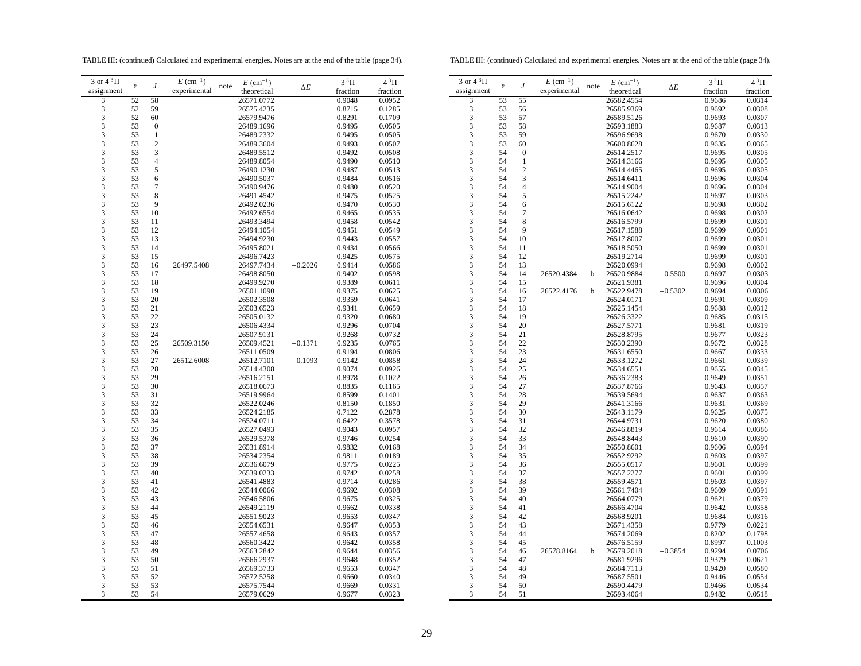TABLE III: (continued) Calculated and experimental energies. Notes are at the end of the table (page 34).

TABLE III: (continued) Calculated and experimental energies. Notes are at the end of the table (page 34).

| $3$ or $43$ $\Pi$ |                  |                  | $E~(\text{cm}^{-1})$ |      | $E~(\text{cm}^{-1})$     |            | $3^3\Pi$         | $4^3\Pi$         | 3 or $4^3\Pi$ |                         |                         |
|-------------------|------------------|------------------|----------------------|------|--------------------------|------------|------------------|------------------|---------------|-------------------------|-------------------------|
| assignment        | $\boldsymbol{v}$ | $\overline{J}$   | experimental         | note | theoretical              | $\Delta E$ | fraction         | fraction         | assignment    | $\boldsymbol{\upsilon}$ | J                       |
| 3                 | 52               | 58               |                      |      | 26571.0772               |            | 0.9048           | 0.0952           | 3             | 53                      | 55                      |
| 3                 | 52               | 59               |                      |      | 26575.4235               |            | 0.8715           | 0.1285           | 3             | 53                      | 56                      |
| 3                 | 52               | 60               |                      |      | 26579.9476               |            | 0.8291           | 0.1709           | 3             | 53                      | 57                      |
| 3                 | 53               | $\boldsymbol{0}$ |                      |      | 26489.1696               |            | 0.9495           | 0.0505           | 3             | 53                      | 58                      |
| 3                 | 53               | $\mathbf{1}$     |                      |      | 26489.2332               |            | 0.9495           | 0.0505           | 3             | 53                      | 59                      |
| 3                 | 53               | $\boldsymbol{2}$ |                      |      | 26489.3604               |            | 0.9493           | 0.0507           | 3             | 53                      | 60                      |
| 3                 | 53               | 3                |                      |      | 26489.5512               |            | 0.9492           | 0.0508           | 3             | 54                      | $\overline{0}$          |
| 3                 | 53               | $\overline{4}$   |                      |      | 26489.8054               |            | 0.9490           | 0.0510           | 3             | 54                      | 1                       |
| 3                 | 53               | 5                |                      |      | 26490.1230               |            | 0.9487           | 0.0513           | 3             | 54                      | $\overline{\mathbf{c}}$ |
| 3                 | 53               | 6                |                      |      | 26490.5037               |            | 0.9484           | 0.0516           | 3             | 54                      | 3                       |
| 3                 | 53               | $\overline{7}$   |                      |      | 26490.9476               |            | 0.9480           | 0.0520           | 3             | 54                      | 4                       |
| 3                 | 53               | 8                |                      |      | 26491.4542               |            | 0.9475           | 0.0525           | 3             | 54                      | 5                       |
| 3                 | 53               | 9                |                      |      | 26492.0236               |            | 0.9470           | 0.0530           | 3             | 54                      | 6                       |
| 3                 | 53               | 10               |                      |      | 26492.6554               |            | 0.9465           | 0.0535           | 3             | 54                      | 7                       |
| 3                 | 53               | 11               |                      |      | 26493.3494               |            | 0.9458           | 0.0542           | 3             | 54                      | 8                       |
| 3                 | 53               | 12               |                      |      | 26494.1054               |            | 0.9451           | 0.0549           | 3             | 54                      | 9                       |
| 3                 | 53               | 13               |                      |      | 26494.9230               |            | 0.9443           | 0.0557           | 3             | 54                      | 10                      |
| 3                 | 53               | 14               |                      |      | 26495.8021               |            | 0.9434           | 0.0566           | 3             | 54                      | 11                      |
| 3                 | 53               | 15               |                      |      | 26496.7423               |            | 0.9425           | 0.0575           | 3             | 54                      | 12                      |
| 3                 | 53               | 16               | 26497.5408           |      | 26497.7434               | $-0.2026$  | 0.9414           | 0.0586           | 3             | 54                      | 13                      |
| 3                 | 53               | 17               |                      |      | 26498.8050               |            | 0.9402           | 0.0598           | 3             | 54                      | 14                      |
| 3                 | 53               | 18               |                      |      | 26499.9270               |            | 0.9389           | 0.0611           | 3             | 54                      | 15                      |
| 3                 | 53               | 19               |                      |      | 26501.1090               |            | 0.9375           | 0.0625           | 3             | 54                      | 16                      |
| 3                 | 53               | 20               |                      |      | 26502.3508               |            | 0.9359           | 0.0641           | 3             | 54                      | 17                      |
| 3                 | 53               | 21               |                      |      | 26503.6523               |            | 0.9341           | 0.0659           | 3             | 54                      | 18                      |
| 3                 | 53               | 22               |                      |      | 26505.0132               |            | 0.9320           | 0.0680           | 3             | 54                      | 19                      |
| 3                 | 53               | 23               |                      |      | 26506.4334               |            | 0.9296           | 0.0704           | 3             | 54                      | 20                      |
| 3                 | 53               | 24               |                      |      | 26507.9131               |            | 0.9268           | 0.0732           | 3             | 54                      | 21                      |
| 3                 | 53               |                  | 26509.3150           |      |                          | $-0.1371$  | 0.9235           | 0.0765           | 3             | 54                      | 22                      |
| 3                 | 53               | 25<br>26         |                      |      | 26509.4521<br>26511.0509 |            | 0.9194           | 0.0806           | 3             | 54                      | 23                      |
| 3                 | 53               | 27               | 26512.6008           |      | 26512.7101               | $-0.1093$  | 0.9142           | 0.0858           | 3             | 54                      | 24                      |
| 3                 | 53               | 28               |                      |      | 26514.4308               |            | 0.9074           | 0.0926           | 3             | 54                      | 25                      |
| 3                 | 53               | 29               |                      |      | 26516.2151               |            | 0.8978           | 0.1022           | 3             | 54                      | 26                      |
| 3                 | 53               | 30               |                      |      | 26518.0673               |            | 0.8835           | 0.1165           | 3             | 54                      | 27                      |
| 3                 | 53               | 31               |                      |      | 26519.9964               |            | 0.8599           | 0.1401           | 3             | 54                      | 28                      |
| 3                 | 53               | 32               |                      |      | 26522.0246               |            | 0.8150           | 0.1850           | 3             | 54                      | 29                      |
| 3                 | 53               | 33               |                      |      | 26524.2185               |            | 0.7122           | 0.2878           | 3             | 54                      | 30                      |
| 3                 | 53               | 34               |                      |      |                          |            |                  | 0.3578           | 3             | 54                      |                         |
| 3                 | 53               | 35               |                      |      | 26524.0711<br>26527.0493 |            | 0.6422<br>0.9043 | 0.0957           | 3             | 54                      | 31<br>32                |
| 3                 | 53               | 36               |                      |      |                          |            |                  |                  | 3             | 54                      |                         |
| 3                 |                  |                  |                      |      | 26529.5378               |            | 0.9746           | 0.0254           | 3             |                         | 33                      |
| 3                 | 53<br>53         | 37<br>38         |                      |      | 26531.8914<br>26534.2354 |            | 0.9832<br>0.9811 | 0.0168<br>0.0189 | 3             | 54<br>54                | 34<br>35                |
| 3                 | 53               | 39               |                      |      | 26536.6079               |            |                  | 0.0225           | 3             | 54                      | 36                      |
| 3                 | 53               | 40               |                      |      | 26539.0233               |            | 0.9775<br>0.9742 | 0.0258           | 3             | 54                      |                         |
|                   |                  |                  |                      |      |                          |            |                  |                  |               | 54                      | 37                      |
| 3                 | 53               | 41               |                      |      | 26541.4883               |            | 0.9714           | 0.0286           | 3             | 54                      | 38                      |
| 3<br>3            | 53<br>53         | 42               |                      |      | 26544.0066               |            | 0.9692           | 0.0308           | 3<br>3        | 54                      | 39<br>40                |
|                   |                  | 43               |                      |      | 26546.5806               |            | 0.9675           | 0.0325           | 3             | 54                      |                         |
| 3<br>3            | 53<br>53         | 44               |                      |      | 26549.2119               |            | 0.9662           | 0.0338           | 3             | 54                      | 41                      |
| 3                 |                  | 45               |                      |      | 26551.9023               |            | 0.9653           | 0.0347           | 3             |                         | 42                      |
| 3                 | 53<br>53         | 46<br>47         |                      |      | 26554.6531<br>26557.4658 |            | 0.9647<br>0.9643 | 0.0353<br>0.0357 | 3             | 54<br>54                | 43<br>44                |
|                   |                  |                  |                      |      |                          |            |                  |                  |               |                         |                         |
| 3                 | 53               | 48               |                      |      | 26560.3422               |            | 0.9642           | 0.0358           | 3             | 54                      | 45                      |
| 3                 | 53               | 49               |                      |      | 26563.2842               |            | 0.9644           | 0.0356           | 3             | 54                      | 46                      |
| 3                 | 53               | 50               |                      |      | 26566.2937               |            | 0.9648           | 0.0352           | 3             | 54<br>54                | 47                      |
| 3                 | 53<br>53         | 51               |                      |      | 26569.3733               |            | 0.9653           | 0.0347           | 3<br>3        | 54                      | 48                      |
| 3                 |                  | 52               |                      |      | 26572.5258               |            | 0.9660           | 0.0340           |               |                         | 49                      |
| 3                 | 53               | 53               |                      |      | 26575.7544               |            | 0.9669           | 0.0331           | 3             | 54<br>54                | 50                      |
| 3                 | 53               | 54               |                      |      | 26579.0629               |            | 0.9677           | 0.0323           | 3             |                         | 51                      |
|                   |                  |                  |                      |      |                          |            |                  |                  |               |                         |                         |

| 3 or $4^3\Pi$                | $\boldsymbol{\upsilon}$ | $\boldsymbol{J}$ | $E~(\text{cm}^{-1})$ | note | $E~(\text{cm}^{-1})$     | $\Delta E$ | $3^3\Pi$         | $4^3\Pi$         |
|------------------------------|-------------------------|------------------|----------------------|------|--------------------------|------------|------------------|------------------|
| assignment                   |                         |                  | experimental         |      | theoretical              |            | fraction         | fraction         |
| $\overline{\mathbf{3}}$      | 53                      | 55               |                      |      | 26582.4554               |            | 0.9686           | 0.0314           |
| 3                            | 53                      | 56               |                      |      | 26585.9369               |            | 0.9692           | 0.0308           |
| 3                            | 53                      | 57               |                      |      | 26589.5126               |            | 0.9693           | 0.0307           |
| 3                            | 53                      | 58               |                      |      | 26593.1883               |            | 0.9687           | 0.0313           |
| 3                            | 53                      | 59               |                      |      | 26596.9698               |            | 0.9670           | 0.0330           |
| 3                            | 53                      | 60               |                      |      | 26600.8628               |            | 0.9635           | 0.0365           |
| 3                            | 54                      | $\boldsymbol{0}$ |                      |      | 26514.2517               |            | 0.9695           | 0.0305           |
| 3                            | 54                      | 1                |                      |      | 26514.3166               |            | 0.9695           | 0.0305           |
| 3                            | 54                      | $\overline{c}$   |                      |      | 26514.4465               |            | 0.9695           | 0.0305           |
| 3                            | 54                      | 3                |                      |      | 26514.6411               |            | 0.9696           | 0.0304           |
| 3                            | 54                      | $\overline{4}$   |                      |      | 26514.9004               |            | 0.9696           | 0.0304           |
| 3                            | 54                      | 5                |                      |      | 26515.2242               |            | 0.9697           | 0.0303           |
| 3                            | 54                      | 6                |                      |      | 26515.6122               |            | 0.9698           | 0.0302           |
| 3                            | 54                      | 7                |                      |      | 26516.0642               |            | 0.9698           | 0.0302           |
| 3                            | 54                      | 8                |                      |      | 26516.5799               |            | 0.9699           | 0.0301           |
| 3                            | 54                      | 9                |                      |      | 26517.1588               |            | 0.9699           | 0.0301           |
| 3                            | 54                      | 10               |                      |      | 26517.8007               |            | 0.9699           | 0.0301           |
| 3                            | 54                      | 11               |                      |      | 26518.5050               |            | 0.9699           | 0.0301           |
| 3                            | 54                      | 12               |                      |      | 26519.2714               |            | 0.9699           | 0.0301           |
| 3                            | 54                      | 13               |                      |      | 26520.0994               |            | 0.9698           | 0.0302           |
| 3                            | 54                      | 14               | 26520.4384           | b    | 26520.9884               | $-0.5500$  | 0.9697           | 0.0303           |
| 3                            | 54                      | 15               |                      |      | 26521.9381               |            | 0.9696           | 0.0304           |
| 3                            | 54                      | 16               | 26522.4176           | b    | 26522.9478               | $-0.5302$  | 0.9694           | 0.0306           |
| 3                            | 54                      | 17               |                      |      | 26524.0171               |            | 0.9691           | 0.0309           |
| 3                            | 54                      | 18               |                      |      | 26525.1454               |            | 0.9688           | 0.0312           |
| 3                            | 54                      | 19               |                      |      | 26526.3322               |            | 0.9685           | 0.0315           |
| 3                            | 54                      | 20               |                      |      | 26527.5771               |            | 0.9681           | 0.0319           |
| 3                            | 54                      | 21               |                      |      | 26528.8795               |            | 0.9677           | 0.0323           |
| 3                            | 54                      | 22               |                      |      |                          |            |                  |                  |
| 3                            | 54                      | 23               |                      |      | 26530.2390<br>26531.6550 |            | 0.9672<br>0.9667 | 0.0328<br>0.0333 |
| 3                            | 54                      | 24               |                      |      | 26533.1272               |            | 0.9661           | 0.0339           |
| 3                            | 54                      | 25               |                      |      |                          |            |                  |                  |
|                              | 54                      |                  |                      |      | 26534.6551               |            | 0.9655           | 0.0345           |
| 3                            | 54                      | 26<br>27         |                      |      | 26536.2383               |            | 0.9649           | 0.0351           |
| 3                            |                         |                  |                      |      | 26537.8766               |            | 0.9643           | 0.0357           |
| 3<br>$\overline{\mathbf{3}}$ | 54                      | 28               |                      |      | 26539.5694               |            | 0.9637           | 0.0363           |
|                              | 54                      | 29               |                      |      | 26541.3166               |            | 0.9631           | 0.0369           |
| 3                            | 54                      | 30               |                      |      | 26543.1179               |            | 0.9625           | 0.0375           |
| 3                            | 54                      | 31               |                      |      | 26544.9731               |            | 0.9620           | 0.0380           |
| 3                            | 54                      | 32               |                      |      | 26546.8819               |            | 0.9614           | 0.0386           |
| 3                            | 54                      | 33               |                      |      | 26548.8443               |            | 0.9610           | 0.0390           |
| 3                            | 54                      | 34               |                      |      | 26550.8601               |            | 0.9606           | 0.0394           |
| 3                            | 54                      | 35               |                      |      | 26552.9292               |            | 0.9603           | 0.0397           |
| 3                            | 54                      | 36               |                      |      | 26555.0517               |            | 0.9601           | 0.0399           |
| 3                            | 54                      | 37               |                      |      | 26557.2277               |            | 0.9601           | 0.0399           |
| 3                            | 54                      | 38               |                      |      | 26559.4571               |            | 0.9603           | 0.0397           |
| 3                            | 54                      | 39               |                      |      | 26561.7404               |            | 0.9609           | 0.0391           |
| 3                            | 54                      | 40               |                      |      | 26564.0779               |            | 0.9621           | 0.0379           |
| 3                            | 54                      | 41               |                      |      | 26566.4704               |            | 0.9642           | 0.0358           |
| 3                            | 54                      | 42               |                      |      | 26568.9201               |            | 0.9684           | 0.0316           |
| 3                            | 54                      | 43               |                      |      | 26571.4358               |            | 0.9779           | 0.0221           |
| 3                            | 54                      | 44               |                      |      | 26574.2069               |            | 0.8202           | 0.1798           |
| 3                            | 54                      | 45               |                      |      | 26576.5159               |            | 0.8997           | 0.1003           |
| 3                            | 54                      | 46               | 26578.8164           | b    | 26579.2018               | $-0.3854$  | 0.9294           | 0.0706           |
| $\overline{3}$               | 54                      | 47               |                      |      | 26581.9296               |            | 0.9379           | 0.0621           |
| 3                            | 54                      | 48               |                      |      | 26584.7113               |            | 0.9420           | 0.0580           |
| 3                            | 54                      | 49               |                      |      | 26587.5501               |            | 0.9446           | 0.0554           |
| 3                            | 54                      | 50               |                      |      | 26590.4479               |            | 0.9466           | 0.0534           |
| 3                            | 54                      | 51               |                      |      | 26593.4064               |            | 0.9482           | 0.0518           |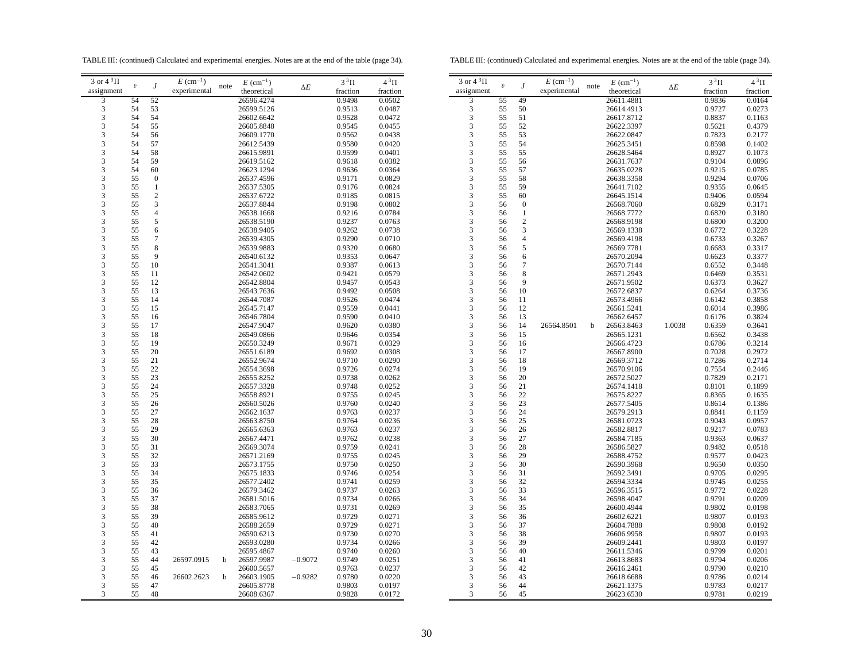TABLE III: (continued) Calculated and experimental energies. Notes are at the end of the table (page 34).

TABLE III: (continued) Calculated and experimental energies. Notes are at the end of the table (page 34).

| 3 or $4^3\Pi$ |                         |                  | $E~(\text{cm}^{-1})$ |      | $E~(\text{cm}^{-1})$     |            | $3^3\Pi$         | $4^3\Pi$         | 3 or $4^3\Pi$ |                         |                       |
|---------------|-------------------------|------------------|----------------------|------|--------------------------|------------|------------------|------------------|---------------|-------------------------|-----------------------|
| assignment    | $\boldsymbol{\upsilon}$ | $\boldsymbol{J}$ | experimental         | note | theoretical              | $\Delta E$ | fraction         | fraction         | assignment    | $\boldsymbol{\upsilon}$ | $\boldsymbol{J}$      |
| 3             | 54                      | 52               |                      |      | 26596.4274               |            | 0.9498           | 0.0502           | 3             | 55                      | 49                    |
| 3             | 54                      | 53               |                      |      | 26599.5126               |            | 0.9513           | 0.0487           | 3             | 55                      | 50                    |
| 3             | 54                      | 54               |                      |      | 26602.6642               |            | 0.9528           | 0.0472           | 3             | 55                      | 51                    |
| 3             | 54                      | 55               |                      |      | 26605.8848               |            | 0.9545           | 0.0455           | 3             | 55                      | 52                    |
| 3             | 54                      | 56               |                      |      | 26609.1770               |            | 0.9562           | 0.0438           | 3             | 55                      | 53                    |
| 3             | 54                      | 57               |                      |      | 26612.5439               |            | 0.9580           | 0.0420           | 3             | 55                      | 54                    |
| 3             | 54                      | 58               |                      |      | 26615.9891               |            | 0.9599           | 0.0401           | 3             | 55                      | 55                    |
| 3             | 54                      | 59               |                      |      | 26619.5162               |            | 0.9618           | 0.0382           | 3             | 55                      | 56                    |
| 3             | 54                      | 60               |                      |      | 26623.1294               |            | 0.9636           | 0.0364           | 3             | 55                      | 57                    |
| 3             | 55                      | $\boldsymbol{0}$ |                      |      | 26537.4596               |            | 0.9171           | 0.0829           | 3             | 55                      | 58                    |
| 3             | 55                      | 1                |                      |      | 26537.5305               |            | 0.9176           | 0.0824           | 3             | 55                      | 59                    |
| 3             | 55                      | $\overline{c}$   |                      |      | 26537.6722               |            | 0.9185           | 0.0815           | 3             | 55                      | 60                    |
| 3             | 55                      | 3                |                      |      | 26537.8844               |            | 0.9198           | 0.0802           | 3             | 56                      | $\mathbf{0}$          |
| 3             | 55                      | $\overline{4}$   |                      |      | 26538.1668               |            | 0.9216           | 0.0784           | 3             | 56                      | 1                     |
| 3             | 55                      | 5                |                      |      | 26538.5190               |            | 0.9237           | 0.0763           | 3             | 56                      | $\overline{2}$        |
| 3             | 55                      | 6                |                      |      | 26538.9405               |            | 0.9262           | 0.0738           | 3             | 56                      | 3                     |
| 3             | 55                      | 7                |                      |      | 26539.4305               |            | 0.9290           | 0.0710           | 3             | 56                      | $\overline{4}$        |
| 3             | 55                      | 8                |                      |      | 26539.9883               |            | 0.9320           | 0.0680           | 3             | 56                      | 5                     |
| 3<br>3        | 55                      | 9                |                      |      | 26540.6132               |            | 0.9353           | 0.0647           | 3<br>3        | 56                      | 6                     |
| 3             | 55                      | 10<br>11         |                      |      | 26541.3041<br>26542.0602 |            | 0.9387<br>0.9421 | 0.0613           | 3             | 56                      | $\boldsymbol{7}$<br>8 |
| 3             | 55<br>55                | 12               |                      |      | 26542.8804               |            | 0.9457           | 0.0579<br>0.0543 | 3             | 56<br>56                | 9                     |
| 3             | 55                      | 13               |                      |      | 26543.7636               |            | 0.9492           | 0.0508           | 3             | 56                      | 10                    |
| 3             | 55                      | 14               |                      |      | 26544.7087               |            | 0.9526           | 0.0474           | 3             | 56                      | 11                    |
| 3             | 55                      | 15               |                      |      | 26545.7147               |            | 0.9559           | 0.0441           | 3             | 56                      | 12                    |
| 3             | 55                      | 16               |                      |      | 26546.7804               |            | 0.9590           | 0.0410           | 3             | 56                      | 13                    |
| 3             | 55                      | 17               |                      |      | 26547.9047               |            | 0.9620           | 0.0380           | 3             | 56                      | 14                    |
| 3             | 55                      | 18               |                      |      | 26549.0866               |            | 0.9646           | 0.0354           | 3             | 56                      | 15                    |
| 3             | 55                      | 19               |                      |      | 26550.3249               |            | 0.9671           | 0.0329           | 3             | 56                      | 16                    |
| 3             | 55                      | 20               |                      |      | 26551.6189               |            | 0.9692           | 0.0308           | 3             | 56                      | 17                    |
| 3             | 55                      | 21               |                      |      | 26552.9674               |            | 0.9710           | 0.0290           | 3             | 56                      | 18                    |
| 3             | 55                      | 22               |                      |      | 26554.3698               |            | 0.9726           | 0.0274           | 3             | 56                      | 19                    |
| 3             | 55                      | 23               |                      |      | 26555.8252               |            | 0.9738           | 0.0262           | 3             | 56                      | 20                    |
| 3             | 55                      | 24               |                      |      | 26557.3328               |            | 0.9748           | 0.0252           | 3             | 56                      | 21                    |
| 3             | 55                      | 25               |                      |      | 26558.8921               |            | 0.9755           | 0.0245           | 3             | 56                      | 22                    |
| 3             | 55                      | 26               |                      |      | 26560.5026               |            | 0.9760           | 0.0240           | 3             | 56                      | 23                    |
| 3             | 55                      | 27               |                      |      | 26562.1637               |            | 0.9763           | 0.0237           | 3             | 56                      | 24                    |
| 3             | 55                      | 28               |                      |      | 26563.8750               |            | 0.9764           | 0.0236           | 3             | 56                      | 25                    |
| 3             | 55                      | 29               |                      |      | 26565.6363               |            | 0.9763           | 0.0237           | 3             | 56                      | 26                    |
| 3             | 55                      | 30               |                      |      | 26567.4471               |            | 0.9762           | 0.0238           | 3             | 56                      | 27                    |
| 3             | 55                      | 31               |                      |      | 26569.3074               |            | 0.9759           | 0.0241           | 3             | 56                      | 28                    |
| 3             | 55                      | 32               |                      |      | 26571.2169               |            | 0.9755           | 0.0245           | 3             | 56                      | 29                    |
| 3             | 55                      | 33               |                      |      | 26573.1755               |            | 0.9750           | 0.0250           | 3             | 56                      | 30                    |
| 3             | 55                      | 34               |                      |      | 26575.1833               |            | 0.9746           | 0.0254           | 3             | 56                      | 31                    |
| 3             | 55                      | 35               |                      |      | 26577.2402               |            | 0.9741           | 0.0259           | 3             | 56                      | 32                    |
| 3             | 55                      | 36               |                      |      | 26579.3462               |            | 0.9737           | 0.0263           | 3             | 56                      | 33                    |
| 3             | 55                      | 37               |                      |      | 26581.5016               |            | 0.9734           | 0.0266           | 3             | 56                      | 34                    |
| 3             | 55                      | 38               |                      |      | 26583.7065               |            | 0.9731           | 0.0269           | 3             | 56                      | 35                    |
| 3             | 55                      | 39               |                      |      | 26585.9612               |            | 0.9729           | 0.0271           | 3             | 56                      | 36                    |
| 3             | 55                      | 40               |                      |      | 26588.2659               |            | 0.9729           | 0.0271           | 3             | 56                      | 37                    |
| 3             | 55                      | 41               |                      |      | 26590.6213               |            | 0.9730           | 0.0270           | 3             | 56                      | 38                    |
| 3             | 55                      | 42               |                      |      | 26593.0280               |            | 0.9734           | 0.0266           | 3             | 56                      | 39                    |
| 3             | 55                      | 43               |                      |      | 26595.4867               |            | 0.9740           | 0.0260           | 3             | 56                      | 40                    |
| 3             | 55                      | 44               | 26597.0915           | b    | 26597.9987               | $-0.9072$  | 0.9749           | 0.0251           | 3             | 56                      | 41                    |
| 3<br>3        | 55                      | 45               |                      |      | 26600.5657               |            | 0.9763           | 0.0237           | 3<br>3        | 56                      | 42                    |
| 3             | 55<br>55                | 46<br>47         | 26602.2623           | b    | 26603.1905<br>26605.8778 | $-0.9282$  | 0.9780<br>0.9803 | 0.0220<br>0.0197 | 3             | 56<br>56                | 43<br>44              |
| 3             | 55                      | 48               |                      |      | 26608.6367               |            | 0.9828           | 0.0172           | 3             | 56                      | 45                    |
|               |                         |                  |                      |      |                          |            |                  |                  |               |                         |                       |

| 3 or $4^3\Pi$ | $\boldsymbol{\mathit{v}}$ | J                | $E~(\text{cm}^{-1})$ | note | $E~(\text{cm}^{-1})$ | $\Delta E$ | $3^3\Pi$ | $4^3\Pi$ |
|---------------|---------------------------|------------------|----------------------|------|----------------------|------------|----------|----------|
| assignment    |                           |                  | experimental         |      | theoretical          |            | fraction | fraction |
| 3             | 55                        | 49               |                      |      | 26611.4881           |            | 0.9836   | 0.0164   |
| 3             | 55                        | 50               |                      |      | 26614.4913           |            | 0.9727   | 0.0273   |
| 3             | 55                        | 51               |                      |      | 26617.8712           |            | 0.8837   | 0.1163   |
| 3             | 55                        | 52               |                      |      | 26622.3397           |            | 0.5621   | 0.4379   |
| 3             | 55                        | 53               |                      |      | 26622.0847           |            | 0.7823   | 0.2177   |
| 3             | 55                        | 54               |                      |      | 26625.3451           |            | 0.8598   | 0.1402   |
| 3             | 55                        | 55               |                      |      | 26628.5464           |            | 0.8927   | 0.1073   |
| 3             | 55                        | 56               |                      |      | 26631.7637           |            | 0.9104   | 0.0896   |
| 3             | 55                        | 57               |                      |      | 26635.0228           |            | 0.9215   | 0.0785   |
| 3             | 55                        | 58               |                      |      | 26638.3358           |            | 0.9294   | 0.0706   |
| 3             | 55                        | 59               |                      |      | 26641.7102           |            | 0.9355   | 0.0645   |
| 3             | 55                        | 60               |                      |      | 26645.1514           |            | 0.9406   | 0.0594   |
| 3             | 56                        | $\boldsymbol{0}$ |                      |      | 26568.7060           |            | 0.6829   | 0.3171   |
| 3             | 56                        | $\mathbf{1}$     |                      |      | 26568.7772           |            | 0.6820   | 0.3180   |
| 3             | 56                        | $\overline{2}$   |                      |      | 26568.9198           |            | 0.6800   | 0.3200   |
| 3             | 56                        | 3                |                      |      | 26569.1338           |            | 0.6772   | 0.3228   |
| 3             | 56                        | $\overline{4}$   |                      |      | 26569.4198           |            | 0.6733   | 0.3267   |
| 3             | 56                        | 5                |                      |      | 26569.7781           |            | 0.6683   | 0.3317   |
| 3             | 56                        | 6                |                      |      | 26570.2094           |            | 0.6623   | 0.3377   |
| 3             | 56                        | $\overline{7}$   |                      |      | 26570.7144           |            | 0.6552   | 0.3448   |
| 3             | 56                        | 8                |                      |      | 26571.2943           |            | 0.6469   | 0.3531   |
| 3             | 56                        | 9                |                      |      | 26571.9502           |            | 0.6373   | 0.3627   |
| 3             | 56                        | 10               |                      |      | 26572.6837           |            | 0.6264   | 0.3736   |
| 3             | 56                        | 11               |                      |      | 26573.4966           |            | 0.6142   | 0.3858   |
| 3             | 56                        | 12               |                      |      | 26561.5241           |            | 0.6014   | 0.3986   |
| 3             | 56                        | 13               |                      |      | 26562.6457           |            | 0.6176   | 0.3824   |
| 3             | 56                        | 14               | 26564.8501           | b    | 26563.8463           | 1.0038     | 0.6359   | 0.3641   |
| 3             | 56                        | 15               |                      |      | 26565.1231           |            | 0.6562   | 0.3438   |
| 3             | 56                        | 16               |                      |      | 26566.4723           |            | 0.6786   | 0.3214   |
| 3             | 56                        | 17               |                      |      | 26567.8900           |            | 0.7028   | 0.2972   |
| 3             | 56                        | 18               |                      |      | 26569.3712           |            | 0.7286   | 0.2714   |
| 3             | 56                        | 19               |                      |      | 26570.9106           |            | 0.7554   | 0.2446   |
| 3             | 56                        | 20               |                      |      | 26572.5027           |            | 0.7829   | 0.2171   |
| 3             | 56                        | 21               |                      |      | 26574.1418           |            | 0.8101   | 0.1899   |
| 3             | 56                        | 22               |                      |      | 26575.8227           |            | 0.8365   | 0.1635   |
| 3             | 56                        | 23               |                      |      | 26577.5405           |            | 0.8614   | 0.1386   |
| 3             | 56                        | 24               |                      |      | 26579.2913           |            | 0.8841   | 0.1159   |
| 3             | 56                        | 25               |                      |      | 26581.0723           |            | 0.9043   | 0.0957   |
| 3             | 56                        | 26               |                      |      | 26582.8817           |            | 0.9217   | 0.0783   |
| 3             | 56                        | 27               |                      |      | 26584.7185           |            | 0.9363   | 0.0637   |
| 3             | 56                        | 28               |                      |      | 26586.5827           |            | 0.9482   | 0.0518   |
| 3             | 56                        | 29               |                      |      | 26588.4752           |            | 0.9577   | 0.0423   |
| 3             | 56                        | 30               |                      |      | 26590.3968           |            | 0.9650   | 0.0350   |
| 3             | 56                        | 31               |                      |      | 26592.3491           |            | 0.9705   | 0.0295   |
| 3             | 56                        | 32               |                      |      | 26594.3334           |            | 0.9745   | 0.0255   |
| 3             | 56                        | 33               |                      |      | 26596.3515           |            | 0.9772   | 0.0228   |
| 3             | 56                        | 34               |                      |      | 26598.4047           |            | 0.9791   | 0.0209   |
| 3             | 56                        | 35               |                      |      | 26600.4944           |            | 0.9802   | 0.0198   |
| 3             | 56                        | 36               |                      |      | 26602.6221           |            | 0.9807   | 0.0193   |
| 3             | 56                        | 37               |                      |      | 26604.7888           |            | 0.9808   | 0.0192   |
| 3             | 56                        | 38               |                      |      | 26606.9958           |            | 0.9807   | 0.0193   |
| 3             | 56                        | 39               |                      |      | 26609.2441           |            | 0.9803   | 0.0197   |
| 3             | 56                        | 40               |                      |      | 26611.5346           |            | 0.9799   | 0.0201   |
| 3             | 56                        | 41               |                      |      | 26613.8683           |            | 0.9794   | 0.0206   |
| 3             | 56                        | 42               |                      |      | 26616.2461           |            | 0.9790   | 0.0210   |
| 3             | 56                        | 43               |                      |      | 26618.6688           |            | 0.9786   | 0.0214   |
| 3             | 56                        | 44               |                      |      | 26621.1375           |            | 0.9783   | 0.0217   |
| 3             | 56                        | 45               |                      |      | 26623.6530           |            | 0.9781   | 0.0219   |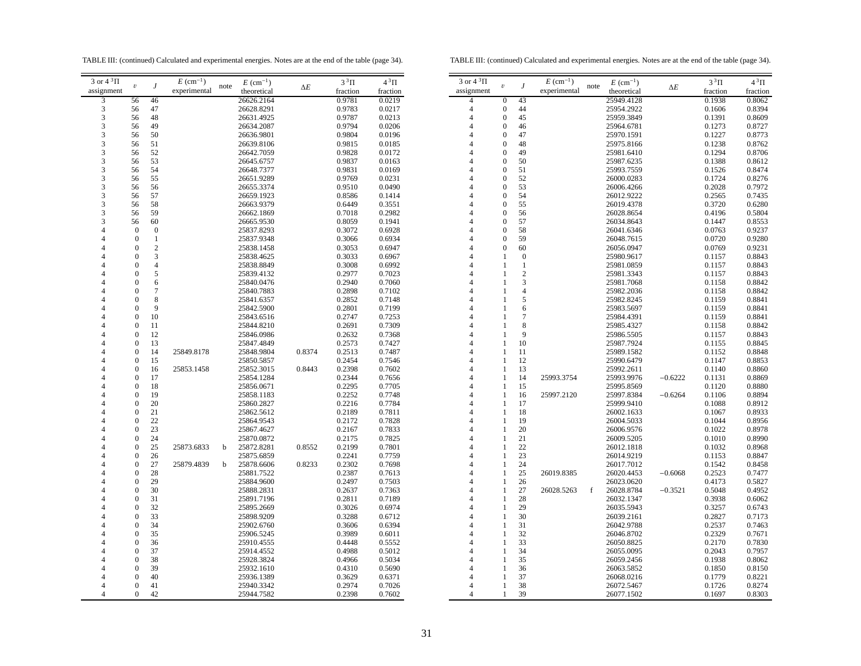TABLE III: (continued) Calculated and experimental energies. Notes are at the end of the table (page 34).

TABLE III: (continued) Calculated and experimental energies. Notes are at the end of the table (page 34).

| 3 or $4^3\Pi$  |                         |                | $E~(\text{cm}^{-1})$ |             | $E~(\text{cm}^{-1})$ |        | $3^3\Pi$ | $4^3\Pi$ | $3$ or $4~^3\Pi$ |                         |                | $E~(\text{cm}^{-1})$ |      | $E~(\text{cm}^{-1})$ |           | $3^3\Pi$ | $4^3\Pi$ |
|----------------|-------------------------|----------------|----------------------|-------------|----------------------|--------|----------|----------|------------------|-------------------------|----------------|----------------------|------|----------------------|-----------|----------|----------|
| assignment     | $\boldsymbol{\upsilon}$ |                | experimental         | note        | theoretical          | ΔΕ     | fraction | fraction | assignment       | $\boldsymbol{\upsilon}$ |                | experimental         | note | theoretical          | ΔΕ        | fraction | fraction |
| 3              | 56                      | 46             |                      |             | 26626.2164           |        | 0.9781   | 0.0219   | $\overline{4}$   | $\theta$                | 43             |                      |      | 25949.4128           |           | 0.1938   | 0.8062   |
| 3              | 56                      | 47             |                      |             | 26628.8291           |        | 0.9783   | 0.0217   | $\overline{4}$   | $\overline{0}$          | 44             |                      |      | 25954.2922           |           | 0.1606   | 0.8394   |
| 3              |                         |                |                      |             |                      |        |          |          | $\Delta$         | $\Omega$                |                |                      |      |                      |           |          |          |
|                | 56                      | 48             |                      |             | 26631.4925           |        | 0.9787   | 0.0213   |                  |                         | 45             |                      |      | 25959.3849           |           | 0.1391   | 0.8609   |
| 3              | 56                      | 49             |                      |             | 26634.2087           |        | 0.9794   | 0.0206   | $\overline{A}$   | $\theta$                | 46             |                      |      | 25964.6781           |           | 0.1273   | 0.8727   |
| 3              | 56                      | 50             |                      |             | 26636.9801           |        | 0.9804   | 0.0196   | Δ                | $\Omega$                | 47             |                      |      | 25970.1591           |           | 0.1227   | 0.8773   |
| 3              | 56                      | 51             |                      |             | 26639.8106           |        | 0.9815   | 0.0185   |                  | $\Omega$                | 48             |                      |      | 25975.8166           |           | 0.1238   | 0.8762   |
| $\mathcal{R}$  | 56                      | 52             |                      |             | 26642.7059           |        | 0.9828   | 0.0172   |                  |                         | 49             |                      |      | 25981.6410           |           | 0.1294   | 0.8706   |
| 3              | 56                      | 53             |                      |             | 26645.6757           |        | 0.9837   | 0.0163   |                  | $\theta$                | 50             |                      |      | 25987.6235           |           | 0.1388   | 0.8612   |
| $\mathcal{R}$  | 56                      | 54             |                      |             | 26648.7377           |        | 0.9831   | 0.0169   |                  | $\Omega$                | 51             |                      |      | 25993.7559           |           | 0.1526   | 0.8474   |
| 3              | 56                      | 55             |                      |             | 26651.9289           |        | 0.9769   | 0.0231   |                  | $\Omega$                | 52             |                      |      | 26000.0283           |           | 0.1724   | 0.8276   |
| 3              | 56                      | 56             |                      |             | 26655.3374           |        | 0.9510   | 0.0490   | 4                | $\Omega$                | 53             |                      |      | 26006.4266           |           | 0.2028   | 0.7972   |
| 3              | 56                      | 57             |                      |             | 26659.1923           |        | 0.8586   | 0.1414   | $\Lambda$        | $\Omega$                | 54             |                      |      | 26012.9222           |           | 0.2565   | 0.7435   |
| 3              | 56                      | 58             |                      |             | 26663.9379           |        | 0.6449   | 0.3551   | $\overline{A}$   | $\Omega$                | 55             |                      |      | 26019.4378           |           | 0.3720   | 0.6280   |
| 3              | 56                      | 59             |                      |             | 26662.1869           |        | 0.7018   | 0.2982   | Δ                | $\Omega$                | 56             |                      |      | 26028.8654           |           | 0.4196   | 0.5804   |
| 3              | 56                      | 60             |                      |             |                      |        | 0.8059   | 0.1941   |                  | $\Omega$                | 57             |                      |      |                      |           | 0.1447   | 0.8553   |
|                |                         |                |                      |             | 26665.9530           |        |          |          |                  | $\Omega$                |                |                      |      | 26034.8643           |           |          |          |
|                | $\Omega$                | $\Omega$       |                      |             | 25837.8293           |        | 0.3072   | 0.6928   | $\Delta$         |                         | 58             |                      |      | 26041.6346           |           | 0.0763   | 0.9237   |
|                | $\mathbf{0}$            | $\mathbf{1}$   |                      |             | 25837.9348           |        | 0.3066   | 0.6934   |                  | $\Omega$                | 59             |                      |      | 26048.7615           |           | 0.0720   | 0.9280   |
|                | $\mathbf{0}$            | $\overline{c}$ |                      |             | 25838.1458           |        | 0.3053   | 0.6947   |                  |                         | 60             |                      |      | 26056.0947           |           | 0.0769   | 0.9231   |
|                | $\Omega$                | 3              |                      |             | 25838.4625           |        | 0.3033   | 0.6967   |                  |                         | $\mathbf{0}$   |                      |      | 25980.9617           |           | 0.1157   | 0.8843   |
|                | $\mathbf{0}$            | $\overline{4}$ |                      |             | 25838.8849           |        | 0.3008   | 0.6992   | 4                |                         | $\overline{1}$ |                      |      | 25981.0859           |           | 0.1157   | 0.8843   |
|                | $\theta$                | 5              |                      |             | 25839.4132           |        | 0.2977   | 0.7023   |                  |                         | $\overline{c}$ |                      |      | 25981.3343           |           | 0.1157   | 0.8843   |
|                | $\Omega$                | 6              |                      |             | 25840.0476           |        | 0.2940   | 0.7060   | Δ                |                         | 3              |                      |      | 25981.7068           |           | 0.1158   | 0.8842   |
|                | $\Omega$                | 7              |                      |             | 25840.7883           |        | 0.2898   | 0.7102   |                  |                         | $\overline{4}$ |                      |      | 25982.2036           |           | 0.1158   | 0.8842   |
|                | $\mathbf{0}$            | 8              |                      |             | 25841.6357           |        | 0.2852   | 0.7148   |                  |                         | 5              |                      |      | 25982.8245           |           | 0.1159   | 0.8841   |
|                | $\Omega$                | 9              |                      |             | 25842.5900           |        | 0.2801   | 0.7199   |                  |                         | 6              |                      |      | 25983.5697           |           | 0.1159   | 0.8841   |
|                | $\mathbf{0}$            | 10             |                      |             | 25843.6516           |        | 0.2747   | 0.7253   |                  |                         | $\overline{7}$ |                      |      | 25984.4391           |           | 0.1159   | 0.8841   |
|                | $\Omega$                | 11             |                      |             | 25844.8210           |        | 0.2691   | 0.7309   |                  |                         | 8              |                      |      | 25985.4327           |           | 0.1158   | 0.8842   |
|                | $\Omega$                | 12             |                      |             | 25846.0986           |        | 0.2632   | 0.7368   |                  |                         | 9              |                      |      | 25986.5505           |           | 0.1157   | 0.8843   |
|                | $\Omega$                | 13             |                      |             |                      |        |          |          | $\Delta$         |                         | 10             |                      |      |                      |           |          | 0.8845   |
|                |                         |                |                      |             | 25847.4849           |        | 0.2573   | 0.7427   |                  |                         |                |                      |      | 25987.7924           |           | 0.1155   |          |
|                | $\theta$                | 14             | 25849.8178           |             | 25848.9804           | 0.8374 | 0.2513   | 0.7487   | Δ                |                         | 11             |                      |      | 25989.1582           |           | 0.1152   | 0.8848   |
|                | $\Omega$                | 15             |                      |             | 25850.5857           |        | 0.2454   | 0.7546   | $\overline{4}$   |                         | 12             |                      |      | 25990.6479           |           | 0.1147   | 0.8853   |
|                | $\Omega$                | 16             | 25853.1458           |             | 25852.3015           | 0.8443 | 0.2398   | 0.7602   | $\Delta$         |                         | 13             |                      |      | 25992.2611           |           | 0.1140   | 0.8860   |
|                | $\mathbf{0}$            | 17             |                      |             | 25854.1284           |        | 0.2344   | 0.7656   | 4                | 1                       | 14             | 25993.3754           |      | 25993.9976           | $-0.6222$ | 0.1131   | 0.8869   |
|                | $\mathbf{0}$            | 18             |                      |             | 25856.0671           |        | 0.2295   | 0.7705   | Δ                |                         | 15             |                      |      | 25995.8569           |           | 0.1120   | 0.8880   |
|                | $\mathbf{0}$            | 19             |                      |             | 25858.1183           |        | 0.2252   | 0.7748   |                  |                         | 16             | 25997.2120           |      | 25997.8384           | $-0.6264$ | 0.1106   | 0.8894   |
|                | $\Omega$                | 20             |                      |             | 25860.2827           |        | 0.2216   | 0.7784   |                  |                         | 17             |                      |      | 25999.9410           |           | 0.1088   | 0.8912   |
|                | $\mathbf{0}$            | 21             |                      |             | 25862.5612           |        | 0.2189   | 0.7811   |                  | 1                       | 18             |                      |      | 26002.1633           |           | 0.1067   | 0.8933   |
|                | $\Omega$                | 22             |                      |             | 25864.9543           |        | 0.2172   | 0.7828   | $\overline{A}$   |                         | 19             |                      |      | 26004.5033           |           | 0.1044   | 0.8956   |
|                | $\theta$                | 23             |                      |             | 25867.4627           |        | 0.2167   | 0.7833   | Δ                |                         | 20             |                      |      | 26006.9576           |           | 0.1022   | 0.8978   |
|                | $\mathbf{0}$            | 24             |                      |             | 25870.0872           |        | 0.2175   | 0.7825   | Δ                |                         | 21             |                      |      | 26009.5205           |           | 0.1010   | 0.8990   |
|                | $\Omega$                | 25             | 25873.6833           | $\mathbf b$ | 25872.8281           | 0.8552 | 0.2199   | 0.7801   | $\Lambda$        |                         | 22             |                      |      | 26012.1818           |           | 0.1032   | 0.8968   |
|                | $\mathbf{0}$            | 26             |                      |             | 25875.6859           |        | 0.2241   | 0.7759   | 4                | 1                       | 23             |                      |      | 26014.9219           |           | 0.1153   | 0.8847   |
|                |                         |                |                      |             |                      |        |          |          | Δ                |                         |                |                      |      |                      |           |          |          |
|                | $\mathbf{0}$            | 27             | 25879.4839           | b           | 25878.6606           | 0.8233 | 0.2302   | 0.7698   |                  |                         | 24             |                      |      | 26017.7012           |           | 0.1542   | 0.8458   |
|                | $\Omega$                | 28             |                      |             | 25881.7522           |        | 0.2387   | 0.7613   |                  | 1                       | 25             | 26019.8385           |      | 26020.4453           | $-0.6068$ | 0.2523   | 0.7477   |
|                | $\Omega$                | 29             |                      |             | 25884.9600           |        | 0.2497   | 0.7503   |                  |                         | 26             |                      |      | 26023.0620           |           | 0.4173   | 0.5827   |
|                | $\mathbf{0}$            | 30             |                      |             | 25888.2831           |        | 0.2637   | 0.7363   |                  | -1                      | 27             | 26028.5263           | f    | 26028.8784           | $-0.3521$ | 0.5048   | 0.4952   |
|                | $\Omega$                | 31             |                      |             | 25891.7196           |        | 0.2811   | 0.7189   | $\Delta$         |                         | 28             |                      |      | 26032.1347           |           | 0.3938   | 0.6062   |
|                | $\theta$                | 32             |                      |             | 25895.2669           |        | 0.3026   | 0.6974   |                  |                         | 29             |                      |      | 26035.5943           |           | 0.3257   | 0.6743   |
|                | $\mathbf{0}$            | 33             |                      |             | 25898.9209           |        | 0.3288   | 0.6712   | 4                |                         | 30             |                      |      | 26039.2161           |           | 0.2827   | 0.7173   |
|                | $\Omega$                | 34             |                      |             | 25902.6760           |        | 0.3606   | 0.6394   | $\Lambda$        |                         | 31             |                      |      | 26042.9788           |           | 0.2537   | 0.7463   |
|                | $\mathbf{0}$            | 35             |                      |             | 25906.5245           |        | 0.3989   | 0.6011   | $\overline{A}$   |                         | 32             |                      |      | 26046.8702           |           | 0.2329   | 0.7671   |
|                | $\Omega$                | 36             |                      |             | 25910.4555           |        | 0.4448   | 0.5552   | Δ                |                         | 33             |                      |      | 26050.8825           |           | 0.2170   | 0.7830   |
|                | $\Omega$                | 37             |                      |             | 25914.4552           |        | 0.4988   | 0.5012   |                  |                         | 34             |                      |      | 26055.0095           |           | 0.2043   | 0.7957   |
|                | $\Omega$                | 38             |                      |             | 25928.3824           |        | 0.4966   | 0.5034   |                  |                         | 35             |                      |      | 26059.2456           |           | 0.1938   | 0.8062   |
|                | $\Omega$                | 39             |                      |             | 25932.1610           |        | 0.4310   | 0.5690   |                  |                         | 36             |                      |      | 26063.5852           |           | 0.1850   | 0.8150   |
|                | $\Omega$                | 40             |                      |             |                      |        |          |          | Δ                |                         | 37             |                      |      |                      |           | 0.1779   | 0.8221   |
|                |                         |                |                      |             | 25936.1389           |        | 0.3629   | 0.6371   |                  |                         |                |                      |      | 26068.0216           |           |          |          |
|                | $\mathbf{0}$            | 41             |                      |             | 25940.3342           |        | 0.2974   | 0.7026   |                  | -1                      | 38             |                      |      | 26072.5467           |           | 0.1726   | 0.8274   |
| $\overline{A}$ | $\overline{0}$          | 42             |                      |             | 25944.7582           |        | 0.2398   | 0.7602   | 4                | 1                       | 39             |                      |      | 26077.1502           |           | 0.1697   | 0.8303   |
|                |                         |                |                      |             |                      |        |          |          |                  |                         |                |                      |      |                      |           |          |          |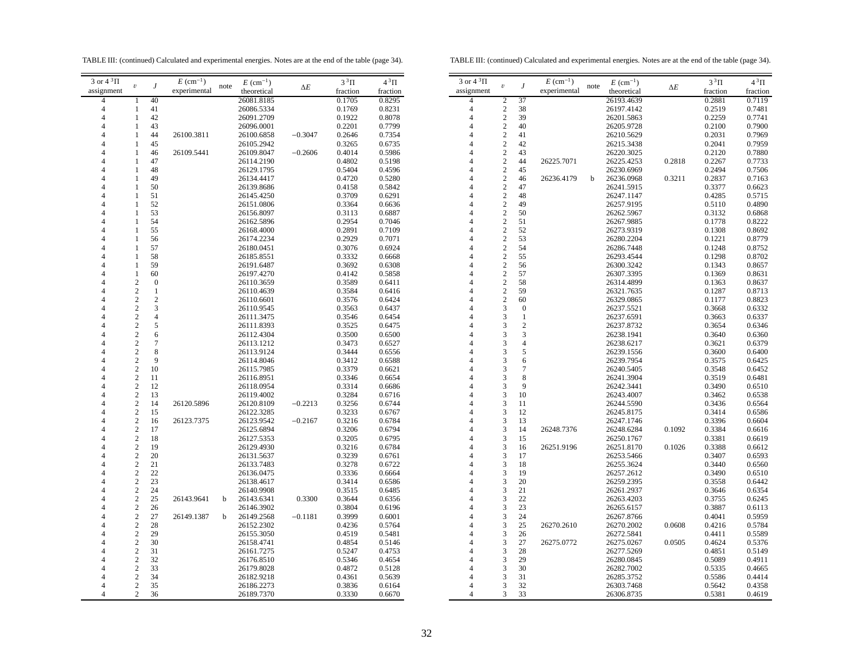TABLE III: (continued) Calculated and experimental energies. Notes are at the end of the table (page 34).

TABLE III: (continued) Calculated and experimental energies. Notes are at the end of the table (page 34).

| 3 or $4\sqrt[3]{11}$ | $\boldsymbol{\upsilon}$            |                     | $E~(\text{cm}^{-1})$ | note | $E~(\text{cm}^{-1})$     |            | $3^3\Pi$         | $4^3\Pi$         |  |
|----------------------|------------------------------------|---------------------|----------------------|------|--------------------------|------------|------------------|------------------|--|
| assignment           |                                    | J                   | experimental         |      | theoretical              | $\Delta E$ | fraction         | fraction         |  |
| 4                    | 1                                  | 40                  |                      |      | 26081.8185               |            | 0.1705           | 0.8295           |  |
| 4                    | $\mathbf{1}$                       | 41                  |                      |      | 26086.5334               |            | 0.1769           | 0.8231           |  |
| $\overline{4}$       | 1                                  | 42                  |                      |      | 26091.2709               |            | 0.1922           | 0.8078           |  |
| 4                    | 1                                  | 43                  |                      |      | 26096.0001               |            | 0.2201           | 0.7799           |  |
| $\overline{4}$       | 1                                  | 44                  | 26100.3811           |      | 26100.6858               | $-0.3047$  | 0.2646           | 0.7354           |  |
| 4                    | 1                                  | 45                  |                      |      | 26105.2942               |            | 0.3265           | 0.6735           |  |
| 4                    | 1                                  | 46                  | 26109.5441           |      | 26109.8047               | $-0.2606$  | 0.4014           | 0.5986           |  |
| $\overline{4}$       | 1                                  | 47                  |                      |      | 26114.2190               |            | 0.4802           | 0.5198           |  |
| $\overline{4}$       | $\mathbf{1}$                       | 48                  |                      |      | 26129.1795               |            | 0.5404           | 0.4596           |  |
| 4                    | $\mathbf{1}$                       | 49                  |                      |      | 26134.4417               |            | 0.4720           | 0.5280           |  |
| $\overline{4}$       | 1                                  | 50                  |                      |      | 26139.8686               |            | 0.4158           | 0.5842           |  |
| 4                    | 1                                  | 51                  |                      |      | 26145.4250               |            | 0.3709           | 0.6291           |  |
| $\overline{4}$       | 1                                  | 52                  |                      |      | 26151.0806               |            | 0.3364           | 0.6636           |  |
| 4                    | 1                                  | 53                  |                      |      | 26156.8097               |            | 0.3113           | 0.6887           |  |
| 4                    | 1                                  | 54                  |                      |      | 26162.5896               |            | 0.2954           | 0.7046           |  |
| $\overline{4}$       | 1                                  | 55                  |                      |      | 26168.4000               |            | 0.2891           | 0.7109           |  |
| 4                    | 1                                  | 56                  |                      |      | 26174.2234               |            | 0.2929           | 0.7071           |  |
| 4                    | 1                                  | 57                  |                      |      | 26180.0451               |            | 0.3076           | 0.6924           |  |
| $\overline{4}$       | $\mathbf{1}$                       | 58                  |                      |      | 26185.8551               |            | 0.3332           | 0.6668           |  |
| 4                    | 1                                  | 59                  |                      |      | 26191.6487               |            | 0.3692           | 0.6308           |  |
| 4                    | $\mathbf{1}$                       | 60                  |                      |      | 26197.4270               |            | 0.4142           | 0.5858           |  |
| $\overline{4}$       | $\overline{c}$                     | $\boldsymbol{0}$    |                      |      | 26110.3659               |            | 0.3589           | 0.6411           |  |
| 4                    | $\overline{c}$                     | 1                   |                      |      | 26110.4639               |            | 0.3584           | 0.6416           |  |
| $\overline{4}$       | $\overline{c}$                     | $\overline{2}$      |                      |      | 26110.6601               |            | 0.3576           | 0.6424           |  |
| 4                    | $\overline{c}$                     | 3                   |                      |      | 26110.9545               |            | 0.3563           | 0.6437           |  |
| 4                    | $\overline{c}$                     | $\overline{4}$      |                      |      | 26111.3475               |            | 0.3546           | 0.6454           |  |
| $\overline{4}$       | $\overline{c}$                     | 5                   |                      |      | 26111.8393               |            | 0.3525           | 0.6475           |  |
| $\overline{4}$       | $\overline{c}$<br>$\overline{c}$   | 6<br>$\overline{7}$ |                      |      | 26112.4304               |            | 0.3500<br>0.3473 | 0.6500           |  |
| 4<br>$\overline{4}$  | $\overline{c}$                     | 8                   |                      |      | 26113.1212<br>26113.9124 |            | 0.3444           | 0.6527<br>0.6556 |  |
| 4                    | $\overline{\mathbf{c}}$            | 9                   |                      |      | 26114.8046               |            | 0.3412           | 0.6588           |  |
| 4                    | $\overline{\mathbf{c}}$            | 10                  |                      |      | 26115.7985               |            | 0.3379           | 0.6621           |  |
| $\overline{4}$       | $\overline{c}$                     | 11                  |                      |      | 26116.8951               |            | 0.3346           | 0.6654           |  |
| 4                    | $\overline{c}$                     | 12                  |                      |      | 26118.0954               |            | 0.3314           | 0.6686           |  |
| $\overline{4}$       | $\overline{c}$                     | 13                  |                      |      | 26119.4002               |            | 0.3284           | 0.6716           |  |
| 4                    | $\boldsymbol{2}$                   | 14                  | 26120.5896           |      | 26120.8109               | $-0.2213$  | 0.3256           | 0.6744           |  |
| 4                    | $\overline{2}$                     | 15                  |                      |      | 26122.3285               |            | 0.3233           | 0.6767           |  |
| $\overline{4}$       | $\overline{c}$                     | 16                  | 26123.7375           |      | 26123.9542               | $-0.2167$  | 0.3216           | 0.6784           |  |
| $\overline{4}$       | $\overline{c}$                     | 17                  |                      |      | 26125.6894               |            | 0.3206           | 0.6794           |  |
| $\overline{4}$       | $\overline{c}$                     | 18                  |                      |      | 26127.5353               |            | 0.3205           | 0.6795           |  |
| $\overline{4}$       | $\overline{c}$                     | 19                  |                      |      | 26129.4930               |            | 0.3216           | 0.6784           |  |
| 4                    | $\boldsymbol{2}$                   | 20                  |                      |      | 26131.5637               |            | 0.3239           | 0.6761           |  |
| $\overline{4}$       | $\boldsymbol{2}$                   | 21                  |                      |      | 26133.7483               |            | 0.3278           | 0.6722           |  |
| $\overline{4}$       | $\overline{c}$                     | 22                  |                      |      | 26136.0475               |            | 0.3336           | 0.6664           |  |
| 4                    | $\overline{c}$                     | 23                  |                      |      | 26138.4617               |            | 0.3414           | 0.6586           |  |
| $\overline{4}$       | $\overline{c}$                     | 24                  |                      |      | 26140.9908               |            | 0.3515           | 0.6485           |  |
| 4                    | $\boldsymbol{2}$                   | 25                  | 26143.9641           | b    | 26143.6341               | 0.3300     | 0.3644           | 0.6356           |  |
| 4                    | $\overline{2}$                     | 26                  |                      |      | 26146.3902               |            | 0.3804           | 0.6196           |  |
| $\overline{4}$       | $\overline{c}$                     | 27                  | 26149.1387           | b    | 26149.2568               | $-0.1181$  | 0.3999           | 0.6001           |  |
| $\overline{4}$       | $\overline{c}$                     | 28                  |                      |      | 26152.2302               |            | 0.4236           | 0.5764           |  |
| 4                    | $\overline{c}$                     | 29                  |                      |      | 26155.3050               |            | 0.4519           | 0.5481           |  |
| $\overline{4}$       | $\overline{c}$                     | 30                  |                      |      | 26158.4741               |            | 0.4854           | 0.5146           |  |
| 4                    | $\overline{\mathbf{c}}$            | 31                  |                      |      | 26161.7275               |            | 0.5247           | 0.4753           |  |
| 4<br>$\overline{4}$  | $\boldsymbol{2}$<br>$\overline{c}$ | 32<br>33            |                      |      | 26176.8510               |            | 0.5346           | 0.4654           |  |
| 4                    | $\overline{2}$                     | 34                  |                      |      | 26179.8028               |            | 0.4872           | 0.5128           |  |
| $\overline{4}$       | $\overline{2}$                     | 35                  |                      |      | 26182.9218<br>26186.2273 |            | 0.4361           | 0.5639<br>0.6164 |  |
| 4                    | $\overline{c}$                     | 36                  |                      |      | 26189.7370               |            | 0.3836<br>0.3330 | 0.6670           |  |
|                      |                                    |                     |                      |      |                          |            |                  |                  |  |

| 3 or $4^3\Pi$  | $\boldsymbol{\mathit{v}}$ | J                | $E~(\text{cm}^{-1})$ | note | $E~(\text{cm}^{-1})$ | $\Delta E$ | $3^3\Pi$ | $4^3\Pi$ |
|----------------|---------------------------|------------------|----------------------|------|----------------------|------------|----------|----------|
| assignment     |                           |                  | experimental         |      | theoretical          |            | fraction | fraction |
| 4              | $\overline{c}$            | 37               |                      |      | 26193.4639           |            | 0.2881   | 0.7119   |
| $\overline{4}$ | $\overline{c}$            | 38               |                      |      | 26197.4142           |            | 0.2519   | 0.7481   |
| 4              | $\overline{c}$            | 39               |                      |      | 26201.5863           |            | 0.2259   | 0.7741   |
| $\overline{4}$ | $\overline{c}$            | 40               |                      |      | 26205.9728           |            | 0.2100   | 0.7900   |
| 4              | $\overline{c}$            | 41               |                      |      | 26210.5629           |            | 0.2031   | 0.7969   |
| 4              | $\overline{c}$            | 42               |                      |      | 26215.3438           |            | 0.2041   | 0.7959   |
| 4              | $\overline{c}$            | 43               |                      |      | 26220.3025           |            | 0.2120   | 0.7880   |
| 4              | $\overline{c}$            | 44               | 26225.7071           |      | 26225.4253           | 0.2818     | 0.2267   | 0.7733   |
| 4              | $\overline{c}$            | 45               |                      |      | 26230.6969           |            | 0.2494   | 0.7506   |
| 4              | $\overline{c}$            | 46               | 26236.4179           | b    | 26236.0968           | 0.3211     | 0.2837   | 0.7163   |
| 4              | $\overline{2}$            | 47               |                      |      | 26241.5915           |            | 0.3377   | 0.6623   |
| 4              | $\overline{c}$            | 48               |                      |      | 26247.1147           |            | 0.4285   | 0.5715   |
| 4              | $\overline{c}$            | 49               |                      |      | 26257.9195           |            | 0.5110   | 0.4890   |
| 4              | $\overline{c}$            | 50               |                      |      | 26262.5967           |            | 0.3132   | 0.6868   |
| 4              | $\overline{c}$            | 51               |                      |      | 26267.9885           |            | 0.1778   | 0.8222   |
| 4              | $\overline{c}$            | 52               |                      |      | 26273.9319           |            | 0.1308   | 0.8692   |
| 4              | $\overline{c}$            | 53               |                      |      | 26280.2204           |            | 0.1221   | 0.8779   |
| 4              | $\overline{c}$            | 54               |                      |      | 26286.7448           |            | 0.1248   | 0.8752   |
| 4              | $\overline{c}$            | 55               |                      |      | 26293.4544           |            | 0.1298   | 0.8702   |
| $\overline{4}$ | $\overline{c}$            | 56               |                      |      | 26300.3242           |            | 0.1343   | 0.8657   |
| 4              | $\overline{c}$            | 57               |                      |      | 26307.3395           |            | 0.1369   | 0.8631   |
| 4              | $\overline{c}$            | 58               |                      |      | 26314.4899           |            | 0.1363   | 0.8637   |
| 4              | $\overline{c}$            | 59               |                      |      | 26321.7635           |            | 0.1287   | 0.8713   |
| 4              | $\overline{c}$            | 60               |                      |      | 26329.0865           |            | 0.1177   | 0.8823   |
| 4              | 3                         | $\boldsymbol{0}$ |                      |      | 26237.5521           |            | 0.3668   | 0.6332   |
| 4              | 3                         | $\mathbf{1}$     |                      |      | 26237.6591           |            | 0.3663   | 0.6337   |
| 4              | 3                         | $\overline{c}$   |                      |      | 26237.8732           |            | 0.3654   | 0.6346   |
| 4              | 3                         | 3                |                      |      | 26238.1941           |            | 0.3640   | 0.6360   |
| 4              | 3                         | $\overline{4}$   |                      |      | 26238.6217           |            | 0.3621   | 0.6379   |
| 4              | 3                         | 5                |                      |      | 26239.1556           |            | 0.3600   | 0.6400   |
| $\overline{4}$ | 3                         | 6                |                      |      | 26239.7954           |            | 0.3575   | 0.6425   |
| 4              | 3                         | 7                |                      |      | 26240.5405           |            | 0.3548   | 0.6452   |
| 4              | 3                         | 8                |                      |      | 26241.3904           |            | 0.3519   | 0.6481   |
| 4              | 3                         | 9                |                      |      | 26242.3441           |            | 0.3490   | 0.6510   |
| 4              | 3                         | 10               |                      |      | 26243.4007           |            | 0.3462   | 0.6538   |
| 4              | 3                         | 11               |                      |      | 26244.5590           |            | 0.3436   | 0.6564   |
| 4              | 3                         | 12               |                      |      | 26245.8175           |            | 0.3414   | 0.6586   |
| $\overline{4}$ | 3                         | 13               |                      |      | 26247.1746           |            | 0.3396   | 0.6604   |
| 4              | 3                         | 14               | 26248.7376           |      | 26248.6284           | 0.1092     | 0.3384   | 0.6616   |
| 4              | 3                         | 15               |                      |      | 26250.1767           |            | 0.3381   | 0.6619   |
| 4              | 3                         | 16               | 26251.9196           |      | 26251.8170           | 0.1026     | 0.3388   | 0.6612   |
| 4              | 3                         | 17               |                      |      | 26253.5466           |            | 0.3407   | 0.6593   |
| 4              | 3                         | 18               |                      |      | 26255.3624           |            | 0.3440   | 0.6560   |
| 4              | 3                         | 19               |                      |      | 26257.2612           |            | 0.3490   | 0.6510   |
| $\overline{4}$ | 3                         | 20               |                      |      | 26259.2395           |            | 0.3558   | 0.6442   |
| 4              | 3                         | 21               |                      |      | 26261.2937           |            | 0.3646   | 0.6354   |
| 4              | 3                         | 22               |                      |      | 26263.4203           |            | 0.3755   | 0.6245   |
| 4              | 3                         | 23               |                      |      | 26265.6157           |            | 0.3887   | 0.6113   |
| $\overline{4}$ | 3                         | 24               |                      |      | 26267.8766           |            | 0.4041   | 0.5959   |
| 4              | 3                         | 25               | 26270.2610           |      | 26270.2002           | 0.0608     | 0.4216   | 0.5784   |
| $\overline{4}$ | 3                         | 26               |                      |      | 26272.5841           |            | 0.4411   | 0.5589   |
| $\overline{4}$ | 3                         | 27               | 26275.0772           |      | 26275.0267           | 0.0505     | 0.4624   | 0.5376   |
| 4              | 3                         | 28               |                      |      | 26277.5269           |            | 0.4851   | 0.5149   |
| 4              | 3                         | 29               |                      |      | 26280.0845           |            | 0.5089   | 0.4911   |
| 4              | 3                         | 30               |                      |      | 26282.7002           |            | 0.5335   | 0.4665   |
| 4              | 3                         | 31               |                      |      | 26285.3752           |            | 0.5586   | 0.4414   |
| 4              | 3                         | 32               |                      |      | 26303.7468           |            | 0.5642   | 0.4358   |
| 4              | 3                         | 33               |                      |      | 26306.8735           |            | 0.5381   | 0.4619   |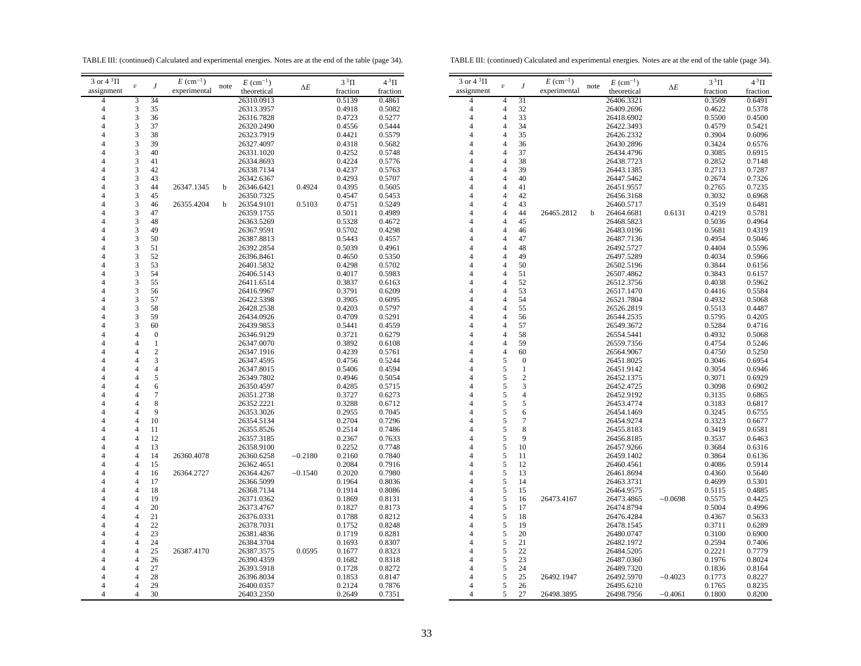TABLE III: (continued) Calculated and experimental energies. Notes are at the end of the table (page 34).

TABLE III: (continued) Calculated and experimental energies. Notes are at the end of the table (page 34).

 $4^3\Pi$  $frac{1}{0.6491}$ 

| 3 or $4^3\Pi$<br>$3$ or $43\Pi$<br>$E~(\text{cm}^{-1})$<br>$4^3\Pi$<br>$E~(\text{cm}^{-1})$<br>$3^3\Pi$<br>$3^3\Pi$<br>$E~(\text{cm}^{-1})$<br>$E~(\text{cm}^{-1})$<br>$\upsilon$<br>$\boldsymbol{J}$<br>note<br>$\upsilon$<br>J<br>note<br>$\Delta E$<br>$\Delta E$<br>assignment<br>experimental<br>experimental<br>assignment<br>theoretical<br>fraction<br>theoretical<br>fraction<br>fraction<br>34<br>31<br>0.3509<br>26310.0913<br>0.5139<br>0.4861<br>26406.3321<br>3<br>$\overline{4}$<br>$\overline{4}$<br>3<br>0.4918<br>0.5082<br>32<br>0.4622<br>35<br>26313.3957<br>$\overline{4}$<br>26409.2696<br>$\overline{4}$<br>$\overline{A}$<br>33<br>0.5500<br>3<br>36<br>26316.7828<br>0.4723<br>0.5277<br>$\overline{4}$<br>26418.6902<br>Δ<br>Δ<br>37<br>26320.2490<br>0.4556<br>0.5444<br>34<br>26422.3493<br>0.4579<br>3<br>$\overline{4}$<br>$\Delta$<br>4<br>38<br>26323.7919<br>0.4421<br>0.5579<br>35<br>0.3904<br>3<br>26426.2332<br>$\overline{4}$<br>Δ<br>0.3424<br>3<br>39<br>26327.4097<br>0.4318<br>0.5682<br>36<br>26430.2896<br>$\overline{4}$<br>4<br>$\Lambda$<br>0.3085<br>3<br>40<br>26331.1020<br>0.4252<br>0.5748<br>37<br>26434.4796<br>$\Delta$<br>38<br>0.2852<br>3<br>41<br>26334.8693<br>0.4224<br>0.5776<br>$\overline{4}$<br>26438.7723<br>0.2713<br>3<br>42<br>26338.7134<br>0.4237<br>0.5763<br>39<br>26443.1385<br>$\overline{4}$<br>40<br>0.2674<br>3<br>43<br>26342.6367<br>0.4293<br>0.5707<br>$\overline{4}$<br>26447.5462<br>0.2765<br>0.4924<br>0.4395<br>3<br>44<br>26347.1345<br>26346.6421<br>0.5605<br>41<br>26451.9557<br>b<br>$\overline{4}$<br>42<br>0.3032<br>3<br>45<br>0.4547<br>$\overline{4}$<br>26350.7325<br>0.5453<br>26456.3168<br>0.3519<br>26354.9101<br>0.5103<br>0.4751<br>0.5249<br>43<br>26460.5717<br>3<br>46<br>26355.4204<br>$\overline{4}$<br>b<br>47<br>26359.1755<br>0.4989<br>26465.2812<br>0.6131<br>0.4219<br>3<br>0.5011<br>$\overline{4}$<br>44<br>26464.6681<br>b<br>0.5036<br>3<br>48<br>26363.5269<br>0.5328<br>0.4672<br>$\overline{4}$<br>45<br>26468.5823<br>4<br>Δ<br>3<br>49<br>26367.9591<br>0.5702<br>0.4298<br>$\overline{4}$<br>46<br>26483.0196<br>0.5681<br>$\boldsymbol{\Lambda}$<br>50<br>26387.8813<br>0.5443<br>0.4557<br>47<br>0.4954<br>3<br>$\overline{4}$<br>26487.7136<br>0.4404<br>3<br>51<br>26392.2854<br>0.5039<br>0.4961<br>48<br>26492.5727<br>$\overline{4}$<br>52<br>0.4034<br>3<br>0.5350<br>49<br>26497.5289<br>26396.8461<br>0.4650<br>$\overline{4}$<br>0.3844<br>53<br>26401.5832<br>0.4298<br>50<br>3<br>0.5702<br>26502.5196<br>$\overline{4}$<br>3<br>54<br>51<br>0.3843<br>26406.5143<br>0.4017<br>0.5983<br>$\overline{4}$<br>26507.4862<br>0.4038<br>3<br>55<br>26411.6514<br>0.3837<br>0.6163<br>52<br>26512.3756<br>$\overline{4}$<br>56<br>26416.9967<br>0.3791<br>0.6209<br>53<br>26517.1470<br>0.4416<br>3<br>$\Delta$<br>57<br>26422.5398<br>0.3905<br>54<br>26521.7804<br>0.4932<br>3<br>0.6095<br>$\overline{4}$<br>4<br>Δ<br>58<br>26428.2538<br>55<br>0.5513<br>3<br>0.4203<br>0.5797<br>$\overline{4}$<br>26526.2819<br>4<br>59<br>26434.0926<br>0.4709<br>0.5291<br>56<br>26544.2535<br>0.5795<br>3<br>$\overline{4}$<br>57<br>0.5284<br>3<br>60<br>26439.9853<br>0.5441<br>0.4559<br>26549.3672<br>$\overline{4}$<br>58<br>0.4932<br>$\theta$<br>26346.9129<br>0.3721<br>0.6279<br>26554.5441<br>$\overline{\mathcal{A}}$<br>$\overline{4}$<br>0.4754<br>26347.0070<br>0.3892<br>0.6108<br>59<br>26559.7356<br>$\overline{4}$<br>$\overline{4}$<br>1<br>$\mathfrak{D}$<br>0.4239<br>60<br>0.4750<br>26347.1916<br>0.5761<br>$\overline{4}$<br>26564.9067<br>$\overline{4}$<br>26347.4595<br>0.4756<br>0.5244<br>0.3046<br>3<br>5<br>26451.8025<br>$\Omega$<br>4<br>$\overline{4}$<br>0.3054<br>26347.8015<br>0.5406<br>0.4594<br>5<br>26451.9142<br>$\overline{A}$<br>4<br>5<br>26349.7802<br>0.4946<br>0.5054<br>$\sqrt{5}$<br>$\overline{2}$<br>26452.1375<br>0.3071<br>$\overline{4}$<br>Δ<br>$\Lambda$<br>0.4285<br>0.3098<br>26350.4597<br>0.5715<br>5<br>3<br>26452.4725<br>6<br>$\overline{4}$<br>7<br>26351.2738<br>0.3727<br>0.6273<br>5<br>26452.9192<br>0.3135<br>$\overline{4}$<br>26352.2221<br>5<br>26453.4774<br>0.3183<br>8<br>0.3288<br>0.6712<br>$\overline{2}$<br>0.7045<br>5<br>0.3245<br>9<br>26353.3026<br>0.2955<br>26454.1469<br>$\Delta$<br>6<br>10<br>0.2704<br>0.3323<br>26354.5134<br>0.7296<br>5<br>$\overline{7}$<br>26454.9274<br>$\overline{4}$<br>5<br>8<br>0.3419<br>11<br>26355.8526<br>0.2514<br>0.7486<br>26455.8183<br>$\overline{4}$<br>26357.3185<br>0.2367<br>0.7633<br>5<br>26456.8185<br>0.3537<br>12<br>$\mathbf{Q}$<br>$\overline{4}$<br>0.2252<br>10<br>0.3684<br>13<br>0.7748<br>5<br>26457.9266<br>26358.9100<br>$\overline{4}$<br>0.3864<br>14<br>26360.4078<br>26360.6258<br>$-0.2180$<br>0.2160<br>0.7840<br>5<br>11<br>26459.1402<br>$\overline{4}$<br>$\Lambda$<br>4<br>0.2084<br>0.7916<br>$\sqrt{5}$<br>12<br>0.4086<br>15<br>26362.4651<br>26460.4561<br>$\overline{4}$<br>13<br>16<br>26364.2727<br>26364.4267<br>$-0.1540$<br>0.2020<br>0.7980<br>5<br>26461.8694<br>0.4360<br>$\overline{4}$<br>17<br>26366.5099<br>0.1964<br>0.8036<br>5<br>14<br>26463.3731<br>0.4699<br>$\overline{4}$<br>18<br>5<br>15<br>0.5115<br>26368.7134<br>0.1914<br>0.8086<br>26464.9575<br>$\overline{4}$<br>19<br>26371.0362<br>5<br>0.5575<br>0.1869<br>0.8131<br>16<br>26473.4167<br>26473.4865<br>$\overline{4}$<br>$-0.0698$<br>20<br>5<br>0.5004<br>26373.4767<br>0.1827<br>0.8173<br>17<br>26474.8794<br>$\overline{4}$<br>0.4367<br>21<br>26376.0331<br>0.1788<br>0.8212<br>5<br>18<br>26476.4284<br>Δ<br>$\overline{4}$<br>Δ<br>22<br>0.8248<br>5<br>19<br>0.3711<br>26378.7031<br>0.1752<br>26478.1545<br>$\overline{4}$<br>20<br>0.3100<br>23<br>26381.4836<br>0.1719<br>0.8281<br>5<br>26480.0747<br>$\overline{4}$<br>Δ<br>21<br>0.2594<br>24<br>26384.3704<br>0.1693<br>0.8307<br>5<br>26482.1972<br>$\overline{4}$<br>Δ<br>0.2221<br>25<br>26387.3575<br>0.8323<br>22<br>26387.4170<br>0.0595<br>0.1677<br>5<br>26484.5205<br>$\overline{4}$<br>23<br>0.1976<br>26<br>26390.4359<br>0.1682<br>0.8318<br>5<br>26487.0360<br>$\overline{\mathcal{A}}$<br>27<br>26393.5918<br>5<br>24<br>0.1836<br>4<br>0.1728<br>0.8272<br>26489.7320<br>28<br>26396.8034<br>0.1853<br>5<br>25<br>0.1773<br>0.8147<br>26492.1947<br>26492.5970<br>$-0.4023$<br>$\overline{4}$<br>29<br>5<br>26<br>26400.0357<br>0.2124<br>0.7876<br>26495.6210<br>0.1765<br>$\overline{4}$<br>$\overline{4}$<br>27<br>30<br>26403.2350<br>0.2649<br>0.7351<br>5<br>26498.3895<br>26498.7956<br>$-0.4061$<br>0.1800<br>$\overline{4}$<br>$\overline{4}$<br>4 |  |  |  |  |  |  |  |  |  |          |
|------------------------------------------------------------------------------------------------------------------------------------------------------------------------------------------------------------------------------------------------------------------------------------------------------------------------------------------------------------------------------------------------------------------------------------------------------------------------------------------------------------------------------------------------------------------------------------------------------------------------------------------------------------------------------------------------------------------------------------------------------------------------------------------------------------------------------------------------------------------------------------------------------------------------------------------------------------------------------------------------------------------------------------------------------------------------------------------------------------------------------------------------------------------------------------------------------------------------------------------------------------------------------------------------------------------------------------------------------------------------------------------------------------------------------------------------------------------------------------------------------------------------------------------------------------------------------------------------------------------------------------------------------------------------------------------------------------------------------------------------------------------------------------------------------------------------------------------------------------------------------------------------------------------------------------------------------------------------------------------------------------------------------------------------------------------------------------------------------------------------------------------------------------------------------------------------------------------------------------------------------------------------------------------------------------------------------------------------------------------------------------------------------------------------------------------------------------------------------------------------------------------------------------------------------------------------------------------------------------------------------------------------------------------------------------------------------------------------------------------------------------------------------------------------------------------------------------------------------------------------------------------------------------------------------------------------------------------------------------------------------------------------------------------------------------------------------------------------------------------------------------------------------------------------------------------------------------------------------------------------------------------------------------------------------------------------------------------------------------------------------------------------------------------------------------------------------------------------------------------------------------------------------------------------------------------------------------------------------------------------------------------------------------------------------------------------------------------------------------------------------------------------------------------------------------------------------------------------------------------------------------------------------------------------------------------------------------------------------------------------------------------------------------------------------------------------------------------------------------------------------------------------------------------------------------------------------------------------------------------------------------------------------------------------------------------------------------------------------------------------------------------------------------------------------------------------------------------------------------------------------------------------------------------------------------------------------------------------------------------------------------------------------------------------------------------------------------------------------------------------------------------------------------------------------------------------------------------------------------------------------------------------------------------------------------------------------------------------------------------------------------------------------------------------------------------------------------------------------------------------------------------------------------------------------------------------------------------------------------------------------------------------------------------------------------------------------------------------------------------------------------------------------------------------------------------------------------------------------------------------------------------------------------------------------------------------------------------------------------------------------------------------------------------------------------------------------------------------------------------------------------------------------------------------------------------------------------------------------------------------------------------------------------------------------------------------------------------------------------------------------------------------------------------------------------------------------------------------------------------------------------------------------------------------------------------------------------------------------------------------------------------------------------------------------------------------------------------------------------------------------------------------------------------------------------------------------------------------------------------------------------------------------------------------------------------------------------------------------------------------|--|--|--|--|--|--|--|--|--|----------|
|                                                                                                                                                                                                                                                                                                                                                                                                                                                                                                                                                                                                                                                                                                                                                                                                                                                                                                                                                                                                                                                                                                                                                                                                                                                                                                                                                                                                                                                                                                                                                                                                                                                                                                                                                                                                                                                                                                                                                                                                                                                                                                                                                                                                                                                                                                                                                                                                                                                                                                                                                                                                                                                                                                                                                                                                                                                                                                                                                                                                                                                                                                                                                                                                                                                                                                                                                                                                                                                                                                                                                                                                                                                                                                                                                                                                                                                                                                                                                                                                                                                                                                                                                                                                                                                                                                                                                                                                                                                                                                                                                                                                                                                                                                                                                                                                                                                                                                                                                                                                                                                                                                                                                                                                                                                                                                                                                                                                                                                                                                                                                                                                                                                                                                                                                                                                                                                                                                                                                                                                                                                                                                                                                                                                                                                                                                                                                                                                                                                                                                                                                                                                                        |  |  |  |  |  |  |  |  |  | $4^3\Pi$ |
|                                                                                                                                                                                                                                                                                                                                                                                                                                                                                                                                                                                                                                                                                                                                                                                                                                                                                                                                                                                                                                                                                                                                                                                                                                                                                                                                                                                                                                                                                                                                                                                                                                                                                                                                                                                                                                                                                                                                                                                                                                                                                                                                                                                                                                                                                                                                                                                                                                                                                                                                                                                                                                                                                                                                                                                                                                                                                                                                                                                                                                                                                                                                                                                                                                                                                                                                                                                                                                                                                                                                                                                                                                                                                                                                                                                                                                                                                                                                                                                                                                                                                                                                                                                                                                                                                                                                                                                                                                                                                                                                                                                                                                                                                                                                                                                                                                                                                                                                                                                                                                                                                                                                                                                                                                                                                                                                                                                                                                                                                                                                                                                                                                                                                                                                                                                                                                                                                                                                                                                                                                                                                                                                                                                                                                                                                                                                                                                                                                                                                                                                                                                                                        |  |  |  |  |  |  |  |  |  | fraction |
|                                                                                                                                                                                                                                                                                                                                                                                                                                                                                                                                                                                                                                                                                                                                                                                                                                                                                                                                                                                                                                                                                                                                                                                                                                                                                                                                                                                                                                                                                                                                                                                                                                                                                                                                                                                                                                                                                                                                                                                                                                                                                                                                                                                                                                                                                                                                                                                                                                                                                                                                                                                                                                                                                                                                                                                                                                                                                                                                                                                                                                                                                                                                                                                                                                                                                                                                                                                                                                                                                                                                                                                                                                                                                                                                                                                                                                                                                                                                                                                                                                                                                                                                                                                                                                                                                                                                                                                                                                                                                                                                                                                                                                                                                                                                                                                                                                                                                                                                                                                                                                                                                                                                                                                                                                                                                                                                                                                                                                                                                                                                                                                                                                                                                                                                                                                                                                                                                                                                                                                                                                                                                                                                                                                                                                                                                                                                                                                                                                                                                                                                                                                                                        |  |  |  |  |  |  |  |  |  | 0.6491   |
|                                                                                                                                                                                                                                                                                                                                                                                                                                                                                                                                                                                                                                                                                                                                                                                                                                                                                                                                                                                                                                                                                                                                                                                                                                                                                                                                                                                                                                                                                                                                                                                                                                                                                                                                                                                                                                                                                                                                                                                                                                                                                                                                                                                                                                                                                                                                                                                                                                                                                                                                                                                                                                                                                                                                                                                                                                                                                                                                                                                                                                                                                                                                                                                                                                                                                                                                                                                                                                                                                                                                                                                                                                                                                                                                                                                                                                                                                                                                                                                                                                                                                                                                                                                                                                                                                                                                                                                                                                                                                                                                                                                                                                                                                                                                                                                                                                                                                                                                                                                                                                                                                                                                                                                                                                                                                                                                                                                                                                                                                                                                                                                                                                                                                                                                                                                                                                                                                                                                                                                                                                                                                                                                                                                                                                                                                                                                                                                                                                                                                                                                                                                                                        |  |  |  |  |  |  |  |  |  | 0.5378   |
|                                                                                                                                                                                                                                                                                                                                                                                                                                                                                                                                                                                                                                                                                                                                                                                                                                                                                                                                                                                                                                                                                                                                                                                                                                                                                                                                                                                                                                                                                                                                                                                                                                                                                                                                                                                                                                                                                                                                                                                                                                                                                                                                                                                                                                                                                                                                                                                                                                                                                                                                                                                                                                                                                                                                                                                                                                                                                                                                                                                                                                                                                                                                                                                                                                                                                                                                                                                                                                                                                                                                                                                                                                                                                                                                                                                                                                                                                                                                                                                                                                                                                                                                                                                                                                                                                                                                                                                                                                                                                                                                                                                                                                                                                                                                                                                                                                                                                                                                                                                                                                                                                                                                                                                                                                                                                                                                                                                                                                                                                                                                                                                                                                                                                                                                                                                                                                                                                                                                                                                                                                                                                                                                                                                                                                                                                                                                                                                                                                                                                                                                                                                                                        |  |  |  |  |  |  |  |  |  |          |
|                                                                                                                                                                                                                                                                                                                                                                                                                                                                                                                                                                                                                                                                                                                                                                                                                                                                                                                                                                                                                                                                                                                                                                                                                                                                                                                                                                                                                                                                                                                                                                                                                                                                                                                                                                                                                                                                                                                                                                                                                                                                                                                                                                                                                                                                                                                                                                                                                                                                                                                                                                                                                                                                                                                                                                                                                                                                                                                                                                                                                                                                                                                                                                                                                                                                                                                                                                                                                                                                                                                                                                                                                                                                                                                                                                                                                                                                                                                                                                                                                                                                                                                                                                                                                                                                                                                                                                                                                                                                                                                                                                                                                                                                                                                                                                                                                                                                                                                                                                                                                                                                                                                                                                                                                                                                                                                                                                                                                                                                                                                                                                                                                                                                                                                                                                                                                                                                                                                                                                                                                                                                                                                                                                                                                                                                                                                                                                                                                                                                                                                                                                                                                        |  |  |  |  |  |  |  |  |  | 0.4500   |
|                                                                                                                                                                                                                                                                                                                                                                                                                                                                                                                                                                                                                                                                                                                                                                                                                                                                                                                                                                                                                                                                                                                                                                                                                                                                                                                                                                                                                                                                                                                                                                                                                                                                                                                                                                                                                                                                                                                                                                                                                                                                                                                                                                                                                                                                                                                                                                                                                                                                                                                                                                                                                                                                                                                                                                                                                                                                                                                                                                                                                                                                                                                                                                                                                                                                                                                                                                                                                                                                                                                                                                                                                                                                                                                                                                                                                                                                                                                                                                                                                                                                                                                                                                                                                                                                                                                                                                                                                                                                                                                                                                                                                                                                                                                                                                                                                                                                                                                                                                                                                                                                                                                                                                                                                                                                                                                                                                                                                                                                                                                                                                                                                                                                                                                                                                                                                                                                                                                                                                                                                                                                                                                                                                                                                                                                                                                                                                                                                                                                                                                                                                                                                        |  |  |  |  |  |  |  |  |  | 0.5421   |
|                                                                                                                                                                                                                                                                                                                                                                                                                                                                                                                                                                                                                                                                                                                                                                                                                                                                                                                                                                                                                                                                                                                                                                                                                                                                                                                                                                                                                                                                                                                                                                                                                                                                                                                                                                                                                                                                                                                                                                                                                                                                                                                                                                                                                                                                                                                                                                                                                                                                                                                                                                                                                                                                                                                                                                                                                                                                                                                                                                                                                                                                                                                                                                                                                                                                                                                                                                                                                                                                                                                                                                                                                                                                                                                                                                                                                                                                                                                                                                                                                                                                                                                                                                                                                                                                                                                                                                                                                                                                                                                                                                                                                                                                                                                                                                                                                                                                                                                                                                                                                                                                                                                                                                                                                                                                                                                                                                                                                                                                                                                                                                                                                                                                                                                                                                                                                                                                                                                                                                                                                                                                                                                                                                                                                                                                                                                                                                                                                                                                                                                                                                                                                        |  |  |  |  |  |  |  |  |  | 0.6096   |
|                                                                                                                                                                                                                                                                                                                                                                                                                                                                                                                                                                                                                                                                                                                                                                                                                                                                                                                                                                                                                                                                                                                                                                                                                                                                                                                                                                                                                                                                                                                                                                                                                                                                                                                                                                                                                                                                                                                                                                                                                                                                                                                                                                                                                                                                                                                                                                                                                                                                                                                                                                                                                                                                                                                                                                                                                                                                                                                                                                                                                                                                                                                                                                                                                                                                                                                                                                                                                                                                                                                                                                                                                                                                                                                                                                                                                                                                                                                                                                                                                                                                                                                                                                                                                                                                                                                                                                                                                                                                                                                                                                                                                                                                                                                                                                                                                                                                                                                                                                                                                                                                                                                                                                                                                                                                                                                                                                                                                                                                                                                                                                                                                                                                                                                                                                                                                                                                                                                                                                                                                                                                                                                                                                                                                                                                                                                                                                                                                                                                                                                                                                                                                        |  |  |  |  |  |  |  |  |  | 0.6576   |
|                                                                                                                                                                                                                                                                                                                                                                                                                                                                                                                                                                                                                                                                                                                                                                                                                                                                                                                                                                                                                                                                                                                                                                                                                                                                                                                                                                                                                                                                                                                                                                                                                                                                                                                                                                                                                                                                                                                                                                                                                                                                                                                                                                                                                                                                                                                                                                                                                                                                                                                                                                                                                                                                                                                                                                                                                                                                                                                                                                                                                                                                                                                                                                                                                                                                                                                                                                                                                                                                                                                                                                                                                                                                                                                                                                                                                                                                                                                                                                                                                                                                                                                                                                                                                                                                                                                                                                                                                                                                                                                                                                                                                                                                                                                                                                                                                                                                                                                                                                                                                                                                                                                                                                                                                                                                                                                                                                                                                                                                                                                                                                                                                                                                                                                                                                                                                                                                                                                                                                                                                                                                                                                                                                                                                                                                                                                                                                                                                                                                                                                                                                                                                        |  |  |  |  |  |  |  |  |  | 0.6915   |
|                                                                                                                                                                                                                                                                                                                                                                                                                                                                                                                                                                                                                                                                                                                                                                                                                                                                                                                                                                                                                                                                                                                                                                                                                                                                                                                                                                                                                                                                                                                                                                                                                                                                                                                                                                                                                                                                                                                                                                                                                                                                                                                                                                                                                                                                                                                                                                                                                                                                                                                                                                                                                                                                                                                                                                                                                                                                                                                                                                                                                                                                                                                                                                                                                                                                                                                                                                                                                                                                                                                                                                                                                                                                                                                                                                                                                                                                                                                                                                                                                                                                                                                                                                                                                                                                                                                                                                                                                                                                                                                                                                                                                                                                                                                                                                                                                                                                                                                                                                                                                                                                                                                                                                                                                                                                                                                                                                                                                                                                                                                                                                                                                                                                                                                                                                                                                                                                                                                                                                                                                                                                                                                                                                                                                                                                                                                                                                                                                                                                                                                                                                                                                        |  |  |  |  |  |  |  |  |  | 0.7148   |
|                                                                                                                                                                                                                                                                                                                                                                                                                                                                                                                                                                                                                                                                                                                                                                                                                                                                                                                                                                                                                                                                                                                                                                                                                                                                                                                                                                                                                                                                                                                                                                                                                                                                                                                                                                                                                                                                                                                                                                                                                                                                                                                                                                                                                                                                                                                                                                                                                                                                                                                                                                                                                                                                                                                                                                                                                                                                                                                                                                                                                                                                                                                                                                                                                                                                                                                                                                                                                                                                                                                                                                                                                                                                                                                                                                                                                                                                                                                                                                                                                                                                                                                                                                                                                                                                                                                                                                                                                                                                                                                                                                                                                                                                                                                                                                                                                                                                                                                                                                                                                                                                                                                                                                                                                                                                                                                                                                                                                                                                                                                                                                                                                                                                                                                                                                                                                                                                                                                                                                                                                                                                                                                                                                                                                                                                                                                                                                                                                                                                                                                                                                                                                        |  |  |  |  |  |  |  |  |  | 0.7287   |
|                                                                                                                                                                                                                                                                                                                                                                                                                                                                                                                                                                                                                                                                                                                                                                                                                                                                                                                                                                                                                                                                                                                                                                                                                                                                                                                                                                                                                                                                                                                                                                                                                                                                                                                                                                                                                                                                                                                                                                                                                                                                                                                                                                                                                                                                                                                                                                                                                                                                                                                                                                                                                                                                                                                                                                                                                                                                                                                                                                                                                                                                                                                                                                                                                                                                                                                                                                                                                                                                                                                                                                                                                                                                                                                                                                                                                                                                                                                                                                                                                                                                                                                                                                                                                                                                                                                                                                                                                                                                                                                                                                                                                                                                                                                                                                                                                                                                                                                                                                                                                                                                                                                                                                                                                                                                                                                                                                                                                                                                                                                                                                                                                                                                                                                                                                                                                                                                                                                                                                                                                                                                                                                                                                                                                                                                                                                                                                                                                                                                                                                                                                                                                        |  |  |  |  |  |  |  |  |  | 0.7326   |
|                                                                                                                                                                                                                                                                                                                                                                                                                                                                                                                                                                                                                                                                                                                                                                                                                                                                                                                                                                                                                                                                                                                                                                                                                                                                                                                                                                                                                                                                                                                                                                                                                                                                                                                                                                                                                                                                                                                                                                                                                                                                                                                                                                                                                                                                                                                                                                                                                                                                                                                                                                                                                                                                                                                                                                                                                                                                                                                                                                                                                                                                                                                                                                                                                                                                                                                                                                                                                                                                                                                                                                                                                                                                                                                                                                                                                                                                                                                                                                                                                                                                                                                                                                                                                                                                                                                                                                                                                                                                                                                                                                                                                                                                                                                                                                                                                                                                                                                                                                                                                                                                                                                                                                                                                                                                                                                                                                                                                                                                                                                                                                                                                                                                                                                                                                                                                                                                                                                                                                                                                                                                                                                                                                                                                                                                                                                                                                                                                                                                                                                                                                                                                        |  |  |  |  |  |  |  |  |  | 0.7235   |
|                                                                                                                                                                                                                                                                                                                                                                                                                                                                                                                                                                                                                                                                                                                                                                                                                                                                                                                                                                                                                                                                                                                                                                                                                                                                                                                                                                                                                                                                                                                                                                                                                                                                                                                                                                                                                                                                                                                                                                                                                                                                                                                                                                                                                                                                                                                                                                                                                                                                                                                                                                                                                                                                                                                                                                                                                                                                                                                                                                                                                                                                                                                                                                                                                                                                                                                                                                                                                                                                                                                                                                                                                                                                                                                                                                                                                                                                                                                                                                                                                                                                                                                                                                                                                                                                                                                                                                                                                                                                                                                                                                                                                                                                                                                                                                                                                                                                                                                                                                                                                                                                                                                                                                                                                                                                                                                                                                                                                                                                                                                                                                                                                                                                                                                                                                                                                                                                                                                                                                                                                                                                                                                                                                                                                                                                                                                                                                                                                                                                                                                                                                                                                        |  |  |  |  |  |  |  |  |  | 0.6968   |
|                                                                                                                                                                                                                                                                                                                                                                                                                                                                                                                                                                                                                                                                                                                                                                                                                                                                                                                                                                                                                                                                                                                                                                                                                                                                                                                                                                                                                                                                                                                                                                                                                                                                                                                                                                                                                                                                                                                                                                                                                                                                                                                                                                                                                                                                                                                                                                                                                                                                                                                                                                                                                                                                                                                                                                                                                                                                                                                                                                                                                                                                                                                                                                                                                                                                                                                                                                                                                                                                                                                                                                                                                                                                                                                                                                                                                                                                                                                                                                                                                                                                                                                                                                                                                                                                                                                                                                                                                                                                                                                                                                                                                                                                                                                                                                                                                                                                                                                                                                                                                                                                                                                                                                                                                                                                                                                                                                                                                                                                                                                                                                                                                                                                                                                                                                                                                                                                                                                                                                                                                                                                                                                                                                                                                                                                                                                                                                                                                                                                                                                                                                                                                        |  |  |  |  |  |  |  |  |  | 0.6481   |
|                                                                                                                                                                                                                                                                                                                                                                                                                                                                                                                                                                                                                                                                                                                                                                                                                                                                                                                                                                                                                                                                                                                                                                                                                                                                                                                                                                                                                                                                                                                                                                                                                                                                                                                                                                                                                                                                                                                                                                                                                                                                                                                                                                                                                                                                                                                                                                                                                                                                                                                                                                                                                                                                                                                                                                                                                                                                                                                                                                                                                                                                                                                                                                                                                                                                                                                                                                                                                                                                                                                                                                                                                                                                                                                                                                                                                                                                                                                                                                                                                                                                                                                                                                                                                                                                                                                                                                                                                                                                                                                                                                                                                                                                                                                                                                                                                                                                                                                                                                                                                                                                                                                                                                                                                                                                                                                                                                                                                                                                                                                                                                                                                                                                                                                                                                                                                                                                                                                                                                                                                                                                                                                                                                                                                                                                                                                                                                                                                                                                                                                                                                                                                        |  |  |  |  |  |  |  |  |  |          |
|                                                                                                                                                                                                                                                                                                                                                                                                                                                                                                                                                                                                                                                                                                                                                                                                                                                                                                                                                                                                                                                                                                                                                                                                                                                                                                                                                                                                                                                                                                                                                                                                                                                                                                                                                                                                                                                                                                                                                                                                                                                                                                                                                                                                                                                                                                                                                                                                                                                                                                                                                                                                                                                                                                                                                                                                                                                                                                                                                                                                                                                                                                                                                                                                                                                                                                                                                                                                                                                                                                                                                                                                                                                                                                                                                                                                                                                                                                                                                                                                                                                                                                                                                                                                                                                                                                                                                                                                                                                                                                                                                                                                                                                                                                                                                                                                                                                                                                                                                                                                                                                                                                                                                                                                                                                                                                                                                                                                                                                                                                                                                                                                                                                                                                                                                                                                                                                                                                                                                                                                                                                                                                                                                                                                                                                                                                                                                                                                                                                                                                                                                                                                                        |  |  |  |  |  |  |  |  |  | 0.5781   |
|                                                                                                                                                                                                                                                                                                                                                                                                                                                                                                                                                                                                                                                                                                                                                                                                                                                                                                                                                                                                                                                                                                                                                                                                                                                                                                                                                                                                                                                                                                                                                                                                                                                                                                                                                                                                                                                                                                                                                                                                                                                                                                                                                                                                                                                                                                                                                                                                                                                                                                                                                                                                                                                                                                                                                                                                                                                                                                                                                                                                                                                                                                                                                                                                                                                                                                                                                                                                                                                                                                                                                                                                                                                                                                                                                                                                                                                                                                                                                                                                                                                                                                                                                                                                                                                                                                                                                                                                                                                                                                                                                                                                                                                                                                                                                                                                                                                                                                                                                                                                                                                                                                                                                                                                                                                                                                                                                                                                                                                                                                                                                                                                                                                                                                                                                                                                                                                                                                                                                                                                                                                                                                                                                                                                                                                                                                                                                                                                                                                                                                                                                                                                                        |  |  |  |  |  |  |  |  |  | 0.4964   |
|                                                                                                                                                                                                                                                                                                                                                                                                                                                                                                                                                                                                                                                                                                                                                                                                                                                                                                                                                                                                                                                                                                                                                                                                                                                                                                                                                                                                                                                                                                                                                                                                                                                                                                                                                                                                                                                                                                                                                                                                                                                                                                                                                                                                                                                                                                                                                                                                                                                                                                                                                                                                                                                                                                                                                                                                                                                                                                                                                                                                                                                                                                                                                                                                                                                                                                                                                                                                                                                                                                                                                                                                                                                                                                                                                                                                                                                                                                                                                                                                                                                                                                                                                                                                                                                                                                                                                                                                                                                                                                                                                                                                                                                                                                                                                                                                                                                                                                                                                                                                                                                                                                                                                                                                                                                                                                                                                                                                                                                                                                                                                                                                                                                                                                                                                                                                                                                                                                                                                                                                                                                                                                                                                                                                                                                                                                                                                                                                                                                                                                                                                                                                                        |  |  |  |  |  |  |  |  |  | 0.4319   |
|                                                                                                                                                                                                                                                                                                                                                                                                                                                                                                                                                                                                                                                                                                                                                                                                                                                                                                                                                                                                                                                                                                                                                                                                                                                                                                                                                                                                                                                                                                                                                                                                                                                                                                                                                                                                                                                                                                                                                                                                                                                                                                                                                                                                                                                                                                                                                                                                                                                                                                                                                                                                                                                                                                                                                                                                                                                                                                                                                                                                                                                                                                                                                                                                                                                                                                                                                                                                                                                                                                                                                                                                                                                                                                                                                                                                                                                                                                                                                                                                                                                                                                                                                                                                                                                                                                                                                                                                                                                                                                                                                                                                                                                                                                                                                                                                                                                                                                                                                                                                                                                                                                                                                                                                                                                                                                                                                                                                                                                                                                                                                                                                                                                                                                                                                                                                                                                                                                                                                                                                                                                                                                                                                                                                                                                                                                                                                                                                                                                                                                                                                                                                                        |  |  |  |  |  |  |  |  |  | 0.5046   |
|                                                                                                                                                                                                                                                                                                                                                                                                                                                                                                                                                                                                                                                                                                                                                                                                                                                                                                                                                                                                                                                                                                                                                                                                                                                                                                                                                                                                                                                                                                                                                                                                                                                                                                                                                                                                                                                                                                                                                                                                                                                                                                                                                                                                                                                                                                                                                                                                                                                                                                                                                                                                                                                                                                                                                                                                                                                                                                                                                                                                                                                                                                                                                                                                                                                                                                                                                                                                                                                                                                                                                                                                                                                                                                                                                                                                                                                                                                                                                                                                                                                                                                                                                                                                                                                                                                                                                                                                                                                                                                                                                                                                                                                                                                                                                                                                                                                                                                                                                                                                                                                                                                                                                                                                                                                                                                                                                                                                                                                                                                                                                                                                                                                                                                                                                                                                                                                                                                                                                                                                                                                                                                                                                                                                                                                                                                                                                                                                                                                                                                                                                                                                                        |  |  |  |  |  |  |  |  |  | 0.5596   |
|                                                                                                                                                                                                                                                                                                                                                                                                                                                                                                                                                                                                                                                                                                                                                                                                                                                                                                                                                                                                                                                                                                                                                                                                                                                                                                                                                                                                                                                                                                                                                                                                                                                                                                                                                                                                                                                                                                                                                                                                                                                                                                                                                                                                                                                                                                                                                                                                                                                                                                                                                                                                                                                                                                                                                                                                                                                                                                                                                                                                                                                                                                                                                                                                                                                                                                                                                                                                                                                                                                                                                                                                                                                                                                                                                                                                                                                                                                                                                                                                                                                                                                                                                                                                                                                                                                                                                                                                                                                                                                                                                                                                                                                                                                                                                                                                                                                                                                                                                                                                                                                                                                                                                                                                                                                                                                                                                                                                                                                                                                                                                                                                                                                                                                                                                                                                                                                                                                                                                                                                                                                                                                                                                                                                                                                                                                                                                                                                                                                                                                                                                                                                                        |  |  |  |  |  |  |  |  |  | 0.5966   |
|                                                                                                                                                                                                                                                                                                                                                                                                                                                                                                                                                                                                                                                                                                                                                                                                                                                                                                                                                                                                                                                                                                                                                                                                                                                                                                                                                                                                                                                                                                                                                                                                                                                                                                                                                                                                                                                                                                                                                                                                                                                                                                                                                                                                                                                                                                                                                                                                                                                                                                                                                                                                                                                                                                                                                                                                                                                                                                                                                                                                                                                                                                                                                                                                                                                                                                                                                                                                                                                                                                                                                                                                                                                                                                                                                                                                                                                                                                                                                                                                                                                                                                                                                                                                                                                                                                                                                                                                                                                                                                                                                                                                                                                                                                                                                                                                                                                                                                                                                                                                                                                                                                                                                                                                                                                                                                                                                                                                                                                                                                                                                                                                                                                                                                                                                                                                                                                                                                                                                                                                                                                                                                                                                                                                                                                                                                                                                                                                                                                                                                                                                                                                                        |  |  |  |  |  |  |  |  |  | 0.6156   |
|                                                                                                                                                                                                                                                                                                                                                                                                                                                                                                                                                                                                                                                                                                                                                                                                                                                                                                                                                                                                                                                                                                                                                                                                                                                                                                                                                                                                                                                                                                                                                                                                                                                                                                                                                                                                                                                                                                                                                                                                                                                                                                                                                                                                                                                                                                                                                                                                                                                                                                                                                                                                                                                                                                                                                                                                                                                                                                                                                                                                                                                                                                                                                                                                                                                                                                                                                                                                                                                                                                                                                                                                                                                                                                                                                                                                                                                                                                                                                                                                                                                                                                                                                                                                                                                                                                                                                                                                                                                                                                                                                                                                                                                                                                                                                                                                                                                                                                                                                                                                                                                                                                                                                                                                                                                                                                                                                                                                                                                                                                                                                                                                                                                                                                                                                                                                                                                                                                                                                                                                                                                                                                                                                                                                                                                                                                                                                                                                                                                                                                                                                                                                                        |  |  |  |  |  |  |  |  |  | 0.6157   |
|                                                                                                                                                                                                                                                                                                                                                                                                                                                                                                                                                                                                                                                                                                                                                                                                                                                                                                                                                                                                                                                                                                                                                                                                                                                                                                                                                                                                                                                                                                                                                                                                                                                                                                                                                                                                                                                                                                                                                                                                                                                                                                                                                                                                                                                                                                                                                                                                                                                                                                                                                                                                                                                                                                                                                                                                                                                                                                                                                                                                                                                                                                                                                                                                                                                                                                                                                                                                                                                                                                                                                                                                                                                                                                                                                                                                                                                                                                                                                                                                                                                                                                                                                                                                                                                                                                                                                                                                                                                                                                                                                                                                                                                                                                                                                                                                                                                                                                                                                                                                                                                                                                                                                                                                                                                                                                                                                                                                                                                                                                                                                                                                                                                                                                                                                                                                                                                                                                                                                                                                                                                                                                                                                                                                                                                                                                                                                                                                                                                                                                                                                                                                                        |  |  |  |  |  |  |  |  |  | 0.5962   |
|                                                                                                                                                                                                                                                                                                                                                                                                                                                                                                                                                                                                                                                                                                                                                                                                                                                                                                                                                                                                                                                                                                                                                                                                                                                                                                                                                                                                                                                                                                                                                                                                                                                                                                                                                                                                                                                                                                                                                                                                                                                                                                                                                                                                                                                                                                                                                                                                                                                                                                                                                                                                                                                                                                                                                                                                                                                                                                                                                                                                                                                                                                                                                                                                                                                                                                                                                                                                                                                                                                                                                                                                                                                                                                                                                                                                                                                                                                                                                                                                                                                                                                                                                                                                                                                                                                                                                                                                                                                                                                                                                                                                                                                                                                                                                                                                                                                                                                                                                                                                                                                                                                                                                                                                                                                                                                                                                                                                                                                                                                                                                                                                                                                                                                                                                                                                                                                                                                                                                                                                                                                                                                                                                                                                                                                                                                                                                                                                                                                                                                                                                                                                                        |  |  |  |  |  |  |  |  |  | 0.5584   |
|                                                                                                                                                                                                                                                                                                                                                                                                                                                                                                                                                                                                                                                                                                                                                                                                                                                                                                                                                                                                                                                                                                                                                                                                                                                                                                                                                                                                                                                                                                                                                                                                                                                                                                                                                                                                                                                                                                                                                                                                                                                                                                                                                                                                                                                                                                                                                                                                                                                                                                                                                                                                                                                                                                                                                                                                                                                                                                                                                                                                                                                                                                                                                                                                                                                                                                                                                                                                                                                                                                                                                                                                                                                                                                                                                                                                                                                                                                                                                                                                                                                                                                                                                                                                                                                                                                                                                                                                                                                                                                                                                                                                                                                                                                                                                                                                                                                                                                                                                                                                                                                                                                                                                                                                                                                                                                                                                                                                                                                                                                                                                                                                                                                                                                                                                                                                                                                                                                                                                                                                                                                                                                                                                                                                                                                                                                                                                                                                                                                                                                                                                                                                                        |  |  |  |  |  |  |  |  |  | 0.5068   |
|                                                                                                                                                                                                                                                                                                                                                                                                                                                                                                                                                                                                                                                                                                                                                                                                                                                                                                                                                                                                                                                                                                                                                                                                                                                                                                                                                                                                                                                                                                                                                                                                                                                                                                                                                                                                                                                                                                                                                                                                                                                                                                                                                                                                                                                                                                                                                                                                                                                                                                                                                                                                                                                                                                                                                                                                                                                                                                                                                                                                                                                                                                                                                                                                                                                                                                                                                                                                                                                                                                                                                                                                                                                                                                                                                                                                                                                                                                                                                                                                                                                                                                                                                                                                                                                                                                                                                                                                                                                                                                                                                                                                                                                                                                                                                                                                                                                                                                                                                                                                                                                                                                                                                                                                                                                                                                                                                                                                                                                                                                                                                                                                                                                                                                                                                                                                                                                                                                                                                                                                                                                                                                                                                                                                                                                                                                                                                                                                                                                                                                                                                                                                                        |  |  |  |  |  |  |  |  |  |          |
|                                                                                                                                                                                                                                                                                                                                                                                                                                                                                                                                                                                                                                                                                                                                                                                                                                                                                                                                                                                                                                                                                                                                                                                                                                                                                                                                                                                                                                                                                                                                                                                                                                                                                                                                                                                                                                                                                                                                                                                                                                                                                                                                                                                                                                                                                                                                                                                                                                                                                                                                                                                                                                                                                                                                                                                                                                                                                                                                                                                                                                                                                                                                                                                                                                                                                                                                                                                                                                                                                                                                                                                                                                                                                                                                                                                                                                                                                                                                                                                                                                                                                                                                                                                                                                                                                                                                                                                                                                                                                                                                                                                                                                                                                                                                                                                                                                                                                                                                                                                                                                                                                                                                                                                                                                                                                                                                                                                                                                                                                                                                                                                                                                                                                                                                                                                                                                                                                                                                                                                                                                                                                                                                                                                                                                                                                                                                                                                                                                                                                                                                                                                                                        |  |  |  |  |  |  |  |  |  | 0.4487   |
|                                                                                                                                                                                                                                                                                                                                                                                                                                                                                                                                                                                                                                                                                                                                                                                                                                                                                                                                                                                                                                                                                                                                                                                                                                                                                                                                                                                                                                                                                                                                                                                                                                                                                                                                                                                                                                                                                                                                                                                                                                                                                                                                                                                                                                                                                                                                                                                                                                                                                                                                                                                                                                                                                                                                                                                                                                                                                                                                                                                                                                                                                                                                                                                                                                                                                                                                                                                                                                                                                                                                                                                                                                                                                                                                                                                                                                                                                                                                                                                                                                                                                                                                                                                                                                                                                                                                                                                                                                                                                                                                                                                                                                                                                                                                                                                                                                                                                                                                                                                                                                                                                                                                                                                                                                                                                                                                                                                                                                                                                                                                                                                                                                                                                                                                                                                                                                                                                                                                                                                                                                                                                                                                                                                                                                                                                                                                                                                                                                                                                                                                                                                                                        |  |  |  |  |  |  |  |  |  | 0.4205   |
|                                                                                                                                                                                                                                                                                                                                                                                                                                                                                                                                                                                                                                                                                                                                                                                                                                                                                                                                                                                                                                                                                                                                                                                                                                                                                                                                                                                                                                                                                                                                                                                                                                                                                                                                                                                                                                                                                                                                                                                                                                                                                                                                                                                                                                                                                                                                                                                                                                                                                                                                                                                                                                                                                                                                                                                                                                                                                                                                                                                                                                                                                                                                                                                                                                                                                                                                                                                                                                                                                                                                                                                                                                                                                                                                                                                                                                                                                                                                                                                                                                                                                                                                                                                                                                                                                                                                                                                                                                                                                                                                                                                                                                                                                                                                                                                                                                                                                                                                                                                                                                                                                                                                                                                                                                                                                                                                                                                                                                                                                                                                                                                                                                                                                                                                                                                                                                                                                                                                                                                                                                                                                                                                                                                                                                                                                                                                                                                                                                                                                                                                                                                                                        |  |  |  |  |  |  |  |  |  | 0.4716   |
|                                                                                                                                                                                                                                                                                                                                                                                                                                                                                                                                                                                                                                                                                                                                                                                                                                                                                                                                                                                                                                                                                                                                                                                                                                                                                                                                                                                                                                                                                                                                                                                                                                                                                                                                                                                                                                                                                                                                                                                                                                                                                                                                                                                                                                                                                                                                                                                                                                                                                                                                                                                                                                                                                                                                                                                                                                                                                                                                                                                                                                                                                                                                                                                                                                                                                                                                                                                                                                                                                                                                                                                                                                                                                                                                                                                                                                                                                                                                                                                                                                                                                                                                                                                                                                                                                                                                                                                                                                                                                                                                                                                                                                                                                                                                                                                                                                                                                                                                                                                                                                                                                                                                                                                                                                                                                                                                                                                                                                                                                                                                                                                                                                                                                                                                                                                                                                                                                                                                                                                                                                                                                                                                                                                                                                                                                                                                                                                                                                                                                                                                                                                                                        |  |  |  |  |  |  |  |  |  | 0.5068   |
|                                                                                                                                                                                                                                                                                                                                                                                                                                                                                                                                                                                                                                                                                                                                                                                                                                                                                                                                                                                                                                                                                                                                                                                                                                                                                                                                                                                                                                                                                                                                                                                                                                                                                                                                                                                                                                                                                                                                                                                                                                                                                                                                                                                                                                                                                                                                                                                                                                                                                                                                                                                                                                                                                                                                                                                                                                                                                                                                                                                                                                                                                                                                                                                                                                                                                                                                                                                                                                                                                                                                                                                                                                                                                                                                                                                                                                                                                                                                                                                                                                                                                                                                                                                                                                                                                                                                                                                                                                                                                                                                                                                                                                                                                                                                                                                                                                                                                                                                                                                                                                                                                                                                                                                                                                                                                                                                                                                                                                                                                                                                                                                                                                                                                                                                                                                                                                                                                                                                                                                                                                                                                                                                                                                                                                                                                                                                                                                                                                                                                                                                                                                                                        |  |  |  |  |  |  |  |  |  | 0.5246   |
|                                                                                                                                                                                                                                                                                                                                                                                                                                                                                                                                                                                                                                                                                                                                                                                                                                                                                                                                                                                                                                                                                                                                                                                                                                                                                                                                                                                                                                                                                                                                                                                                                                                                                                                                                                                                                                                                                                                                                                                                                                                                                                                                                                                                                                                                                                                                                                                                                                                                                                                                                                                                                                                                                                                                                                                                                                                                                                                                                                                                                                                                                                                                                                                                                                                                                                                                                                                                                                                                                                                                                                                                                                                                                                                                                                                                                                                                                                                                                                                                                                                                                                                                                                                                                                                                                                                                                                                                                                                                                                                                                                                                                                                                                                                                                                                                                                                                                                                                                                                                                                                                                                                                                                                                                                                                                                                                                                                                                                                                                                                                                                                                                                                                                                                                                                                                                                                                                                                                                                                                                                                                                                                                                                                                                                                                                                                                                                                                                                                                                                                                                                                                                        |  |  |  |  |  |  |  |  |  | 0.5250   |
|                                                                                                                                                                                                                                                                                                                                                                                                                                                                                                                                                                                                                                                                                                                                                                                                                                                                                                                                                                                                                                                                                                                                                                                                                                                                                                                                                                                                                                                                                                                                                                                                                                                                                                                                                                                                                                                                                                                                                                                                                                                                                                                                                                                                                                                                                                                                                                                                                                                                                                                                                                                                                                                                                                                                                                                                                                                                                                                                                                                                                                                                                                                                                                                                                                                                                                                                                                                                                                                                                                                                                                                                                                                                                                                                                                                                                                                                                                                                                                                                                                                                                                                                                                                                                                                                                                                                                                                                                                                                                                                                                                                                                                                                                                                                                                                                                                                                                                                                                                                                                                                                                                                                                                                                                                                                                                                                                                                                                                                                                                                                                                                                                                                                                                                                                                                                                                                                                                                                                                                                                                                                                                                                                                                                                                                                                                                                                                                                                                                                                                                                                                                                                        |  |  |  |  |  |  |  |  |  | 0.6954   |
|                                                                                                                                                                                                                                                                                                                                                                                                                                                                                                                                                                                                                                                                                                                                                                                                                                                                                                                                                                                                                                                                                                                                                                                                                                                                                                                                                                                                                                                                                                                                                                                                                                                                                                                                                                                                                                                                                                                                                                                                                                                                                                                                                                                                                                                                                                                                                                                                                                                                                                                                                                                                                                                                                                                                                                                                                                                                                                                                                                                                                                                                                                                                                                                                                                                                                                                                                                                                                                                                                                                                                                                                                                                                                                                                                                                                                                                                                                                                                                                                                                                                                                                                                                                                                                                                                                                                                                                                                                                                                                                                                                                                                                                                                                                                                                                                                                                                                                                                                                                                                                                                                                                                                                                                                                                                                                                                                                                                                                                                                                                                                                                                                                                                                                                                                                                                                                                                                                                                                                                                                                                                                                                                                                                                                                                                                                                                                                                                                                                                                                                                                                                                                        |  |  |  |  |  |  |  |  |  | 0.6946   |
|                                                                                                                                                                                                                                                                                                                                                                                                                                                                                                                                                                                                                                                                                                                                                                                                                                                                                                                                                                                                                                                                                                                                                                                                                                                                                                                                                                                                                                                                                                                                                                                                                                                                                                                                                                                                                                                                                                                                                                                                                                                                                                                                                                                                                                                                                                                                                                                                                                                                                                                                                                                                                                                                                                                                                                                                                                                                                                                                                                                                                                                                                                                                                                                                                                                                                                                                                                                                                                                                                                                                                                                                                                                                                                                                                                                                                                                                                                                                                                                                                                                                                                                                                                                                                                                                                                                                                                                                                                                                                                                                                                                                                                                                                                                                                                                                                                                                                                                                                                                                                                                                                                                                                                                                                                                                                                                                                                                                                                                                                                                                                                                                                                                                                                                                                                                                                                                                                                                                                                                                                                                                                                                                                                                                                                                                                                                                                                                                                                                                                                                                                                                                                        |  |  |  |  |  |  |  |  |  | 0.6929   |
|                                                                                                                                                                                                                                                                                                                                                                                                                                                                                                                                                                                                                                                                                                                                                                                                                                                                                                                                                                                                                                                                                                                                                                                                                                                                                                                                                                                                                                                                                                                                                                                                                                                                                                                                                                                                                                                                                                                                                                                                                                                                                                                                                                                                                                                                                                                                                                                                                                                                                                                                                                                                                                                                                                                                                                                                                                                                                                                                                                                                                                                                                                                                                                                                                                                                                                                                                                                                                                                                                                                                                                                                                                                                                                                                                                                                                                                                                                                                                                                                                                                                                                                                                                                                                                                                                                                                                                                                                                                                                                                                                                                                                                                                                                                                                                                                                                                                                                                                                                                                                                                                                                                                                                                                                                                                                                                                                                                                                                                                                                                                                                                                                                                                                                                                                                                                                                                                                                                                                                                                                                                                                                                                                                                                                                                                                                                                                                                                                                                                                                                                                                                                                        |  |  |  |  |  |  |  |  |  | 0.6902   |
|                                                                                                                                                                                                                                                                                                                                                                                                                                                                                                                                                                                                                                                                                                                                                                                                                                                                                                                                                                                                                                                                                                                                                                                                                                                                                                                                                                                                                                                                                                                                                                                                                                                                                                                                                                                                                                                                                                                                                                                                                                                                                                                                                                                                                                                                                                                                                                                                                                                                                                                                                                                                                                                                                                                                                                                                                                                                                                                                                                                                                                                                                                                                                                                                                                                                                                                                                                                                                                                                                                                                                                                                                                                                                                                                                                                                                                                                                                                                                                                                                                                                                                                                                                                                                                                                                                                                                                                                                                                                                                                                                                                                                                                                                                                                                                                                                                                                                                                                                                                                                                                                                                                                                                                                                                                                                                                                                                                                                                                                                                                                                                                                                                                                                                                                                                                                                                                                                                                                                                                                                                                                                                                                                                                                                                                                                                                                                                                                                                                                                                                                                                                                                        |  |  |  |  |  |  |  |  |  | 0.6865   |
|                                                                                                                                                                                                                                                                                                                                                                                                                                                                                                                                                                                                                                                                                                                                                                                                                                                                                                                                                                                                                                                                                                                                                                                                                                                                                                                                                                                                                                                                                                                                                                                                                                                                                                                                                                                                                                                                                                                                                                                                                                                                                                                                                                                                                                                                                                                                                                                                                                                                                                                                                                                                                                                                                                                                                                                                                                                                                                                                                                                                                                                                                                                                                                                                                                                                                                                                                                                                                                                                                                                                                                                                                                                                                                                                                                                                                                                                                                                                                                                                                                                                                                                                                                                                                                                                                                                                                                                                                                                                                                                                                                                                                                                                                                                                                                                                                                                                                                                                                                                                                                                                                                                                                                                                                                                                                                                                                                                                                                                                                                                                                                                                                                                                                                                                                                                                                                                                                                                                                                                                                                                                                                                                                                                                                                                                                                                                                                                                                                                                                                                                                                                                                        |  |  |  |  |  |  |  |  |  | 0.6817   |
|                                                                                                                                                                                                                                                                                                                                                                                                                                                                                                                                                                                                                                                                                                                                                                                                                                                                                                                                                                                                                                                                                                                                                                                                                                                                                                                                                                                                                                                                                                                                                                                                                                                                                                                                                                                                                                                                                                                                                                                                                                                                                                                                                                                                                                                                                                                                                                                                                                                                                                                                                                                                                                                                                                                                                                                                                                                                                                                                                                                                                                                                                                                                                                                                                                                                                                                                                                                                                                                                                                                                                                                                                                                                                                                                                                                                                                                                                                                                                                                                                                                                                                                                                                                                                                                                                                                                                                                                                                                                                                                                                                                                                                                                                                                                                                                                                                                                                                                                                                                                                                                                                                                                                                                                                                                                                                                                                                                                                                                                                                                                                                                                                                                                                                                                                                                                                                                                                                                                                                                                                                                                                                                                                                                                                                                                                                                                                                                                                                                                                                                                                                                                                        |  |  |  |  |  |  |  |  |  |          |
|                                                                                                                                                                                                                                                                                                                                                                                                                                                                                                                                                                                                                                                                                                                                                                                                                                                                                                                                                                                                                                                                                                                                                                                                                                                                                                                                                                                                                                                                                                                                                                                                                                                                                                                                                                                                                                                                                                                                                                                                                                                                                                                                                                                                                                                                                                                                                                                                                                                                                                                                                                                                                                                                                                                                                                                                                                                                                                                                                                                                                                                                                                                                                                                                                                                                                                                                                                                                                                                                                                                                                                                                                                                                                                                                                                                                                                                                                                                                                                                                                                                                                                                                                                                                                                                                                                                                                                                                                                                                                                                                                                                                                                                                                                                                                                                                                                                                                                                                                                                                                                                                                                                                                                                                                                                                                                                                                                                                                                                                                                                                                                                                                                                                                                                                                                                                                                                                                                                                                                                                                                                                                                                                                                                                                                                                                                                                                                                                                                                                                                                                                                                                                        |  |  |  |  |  |  |  |  |  | 0.6755   |
|                                                                                                                                                                                                                                                                                                                                                                                                                                                                                                                                                                                                                                                                                                                                                                                                                                                                                                                                                                                                                                                                                                                                                                                                                                                                                                                                                                                                                                                                                                                                                                                                                                                                                                                                                                                                                                                                                                                                                                                                                                                                                                                                                                                                                                                                                                                                                                                                                                                                                                                                                                                                                                                                                                                                                                                                                                                                                                                                                                                                                                                                                                                                                                                                                                                                                                                                                                                                                                                                                                                                                                                                                                                                                                                                                                                                                                                                                                                                                                                                                                                                                                                                                                                                                                                                                                                                                                                                                                                                                                                                                                                                                                                                                                                                                                                                                                                                                                                                                                                                                                                                                                                                                                                                                                                                                                                                                                                                                                                                                                                                                                                                                                                                                                                                                                                                                                                                                                                                                                                                                                                                                                                                                                                                                                                                                                                                                                                                                                                                                                                                                                                                                        |  |  |  |  |  |  |  |  |  | 0.6677   |
|                                                                                                                                                                                                                                                                                                                                                                                                                                                                                                                                                                                                                                                                                                                                                                                                                                                                                                                                                                                                                                                                                                                                                                                                                                                                                                                                                                                                                                                                                                                                                                                                                                                                                                                                                                                                                                                                                                                                                                                                                                                                                                                                                                                                                                                                                                                                                                                                                                                                                                                                                                                                                                                                                                                                                                                                                                                                                                                                                                                                                                                                                                                                                                                                                                                                                                                                                                                                                                                                                                                                                                                                                                                                                                                                                                                                                                                                                                                                                                                                                                                                                                                                                                                                                                                                                                                                                                                                                                                                                                                                                                                                                                                                                                                                                                                                                                                                                                                                                                                                                                                                                                                                                                                                                                                                                                                                                                                                                                                                                                                                                                                                                                                                                                                                                                                                                                                                                                                                                                                                                                                                                                                                                                                                                                                                                                                                                                                                                                                                                                                                                                                                                        |  |  |  |  |  |  |  |  |  | 0.6581   |
|                                                                                                                                                                                                                                                                                                                                                                                                                                                                                                                                                                                                                                                                                                                                                                                                                                                                                                                                                                                                                                                                                                                                                                                                                                                                                                                                                                                                                                                                                                                                                                                                                                                                                                                                                                                                                                                                                                                                                                                                                                                                                                                                                                                                                                                                                                                                                                                                                                                                                                                                                                                                                                                                                                                                                                                                                                                                                                                                                                                                                                                                                                                                                                                                                                                                                                                                                                                                                                                                                                                                                                                                                                                                                                                                                                                                                                                                                                                                                                                                                                                                                                                                                                                                                                                                                                                                                                                                                                                                                                                                                                                                                                                                                                                                                                                                                                                                                                                                                                                                                                                                                                                                                                                                                                                                                                                                                                                                                                                                                                                                                                                                                                                                                                                                                                                                                                                                                                                                                                                                                                                                                                                                                                                                                                                                                                                                                                                                                                                                                                                                                                                                                        |  |  |  |  |  |  |  |  |  | 0.6463   |
|                                                                                                                                                                                                                                                                                                                                                                                                                                                                                                                                                                                                                                                                                                                                                                                                                                                                                                                                                                                                                                                                                                                                                                                                                                                                                                                                                                                                                                                                                                                                                                                                                                                                                                                                                                                                                                                                                                                                                                                                                                                                                                                                                                                                                                                                                                                                                                                                                                                                                                                                                                                                                                                                                                                                                                                                                                                                                                                                                                                                                                                                                                                                                                                                                                                                                                                                                                                                                                                                                                                                                                                                                                                                                                                                                                                                                                                                                                                                                                                                                                                                                                                                                                                                                                                                                                                                                                                                                                                                                                                                                                                                                                                                                                                                                                                                                                                                                                                                                                                                                                                                                                                                                                                                                                                                                                                                                                                                                                                                                                                                                                                                                                                                                                                                                                                                                                                                                                                                                                                                                                                                                                                                                                                                                                                                                                                                                                                                                                                                                                                                                                                                                        |  |  |  |  |  |  |  |  |  | 0.6316   |
|                                                                                                                                                                                                                                                                                                                                                                                                                                                                                                                                                                                                                                                                                                                                                                                                                                                                                                                                                                                                                                                                                                                                                                                                                                                                                                                                                                                                                                                                                                                                                                                                                                                                                                                                                                                                                                                                                                                                                                                                                                                                                                                                                                                                                                                                                                                                                                                                                                                                                                                                                                                                                                                                                                                                                                                                                                                                                                                                                                                                                                                                                                                                                                                                                                                                                                                                                                                                                                                                                                                                                                                                                                                                                                                                                                                                                                                                                                                                                                                                                                                                                                                                                                                                                                                                                                                                                                                                                                                                                                                                                                                                                                                                                                                                                                                                                                                                                                                                                                                                                                                                                                                                                                                                                                                                                                                                                                                                                                                                                                                                                                                                                                                                                                                                                                                                                                                                                                                                                                                                                                                                                                                                                                                                                                                                                                                                                                                                                                                                                                                                                                                                                        |  |  |  |  |  |  |  |  |  | 0.6136   |
|                                                                                                                                                                                                                                                                                                                                                                                                                                                                                                                                                                                                                                                                                                                                                                                                                                                                                                                                                                                                                                                                                                                                                                                                                                                                                                                                                                                                                                                                                                                                                                                                                                                                                                                                                                                                                                                                                                                                                                                                                                                                                                                                                                                                                                                                                                                                                                                                                                                                                                                                                                                                                                                                                                                                                                                                                                                                                                                                                                                                                                                                                                                                                                                                                                                                                                                                                                                                                                                                                                                                                                                                                                                                                                                                                                                                                                                                                                                                                                                                                                                                                                                                                                                                                                                                                                                                                                                                                                                                                                                                                                                                                                                                                                                                                                                                                                                                                                                                                                                                                                                                                                                                                                                                                                                                                                                                                                                                                                                                                                                                                                                                                                                                                                                                                                                                                                                                                                                                                                                                                                                                                                                                                                                                                                                                                                                                                                                                                                                                                                                                                                                                                        |  |  |  |  |  |  |  |  |  | 0.5914   |
|                                                                                                                                                                                                                                                                                                                                                                                                                                                                                                                                                                                                                                                                                                                                                                                                                                                                                                                                                                                                                                                                                                                                                                                                                                                                                                                                                                                                                                                                                                                                                                                                                                                                                                                                                                                                                                                                                                                                                                                                                                                                                                                                                                                                                                                                                                                                                                                                                                                                                                                                                                                                                                                                                                                                                                                                                                                                                                                                                                                                                                                                                                                                                                                                                                                                                                                                                                                                                                                                                                                                                                                                                                                                                                                                                                                                                                                                                                                                                                                                                                                                                                                                                                                                                                                                                                                                                                                                                                                                                                                                                                                                                                                                                                                                                                                                                                                                                                                                                                                                                                                                                                                                                                                                                                                                                                                                                                                                                                                                                                                                                                                                                                                                                                                                                                                                                                                                                                                                                                                                                                                                                                                                                                                                                                                                                                                                                                                                                                                                                                                                                                                                                        |  |  |  |  |  |  |  |  |  | 0.5640   |
|                                                                                                                                                                                                                                                                                                                                                                                                                                                                                                                                                                                                                                                                                                                                                                                                                                                                                                                                                                                                                                                                                                                                                                                                                                                                                                                                                                                                                                                                                                                                                                                                                                                                                                                                                                                                                                                                                                                                                                                                                                                                                                                                                                                                                                                                                                                                                                                                                                                                                                                                                                                                                                                                                                                                                                                                                                                                                                                                                                                                                                                                                                                                                                                                                                                                                                                                                                                                                                                                                                                                                                                                                                                                                                                                                                                                                                                                                                                                                                                                                                                                                                                                                                                                                                                                                                                                                                                                                                                                                                                                                                                                                                                                                                                                                                                                                                                                                                                                                                                                                                                                                                                                                                                                                                                                                                                                                                                                                                                                                                                                                                                                                                                                                                                                                                                                                                                                                                                                                                                                                                                                                                                                                                                                                                                                                                                                                                                                                                                                                                                                                                                                                        |  |  |  |  |  |  |  |  |  | 0.5301   |
|                                                                                                                                                                                                                                                                                                                                                                                                                                                                                                                                                                                                                                                                                                                                                                                                                                                                                                                                                                                                                                                                                                                                                                                                                                                                                                                                                                                                                                                                                                                                                                                                                                                                                                                                                                                                                                                                                                                                                                                                                                                                                                                                                                                                                                                                                                                                                                                                                                                                                                                                                                                                                                                                                                                                                                                                                                                                                                                                                                                                                                                                                                                                                                                                                                                                                                                                                                                                                                                                                                                                                                                                                                                                                                                                                                                                                                                                                                                                                                                                                                                                                                                                                                                                                                                                                                                                                                                                                                                                                                                                                                                                                                                                                                                                                                                                                                                                                                                                                                                                                                                                                                                                                                                                                                                                                                                                                                                                                                                                                                                                                                                                                                                                                                                                                                                                                                                                                                                                                                                                                                                                                                                                                                                                                                                                                                                                                                                                                                                                                                                                                                                                                        |  |  |  |  |  |  |  |  |  | 0.4885   |
|                                                                                                                                                                                                                                                                                                                                                                                                                                                                                                                                                                                                                                                                                                                                                                                                                                                                                                                                                                                                                                                                                                                                                                                                                                                                                                                                                                                                                                                                                                                                                                                                                                                                                                                                                                                                                                                                                                                                                                                                                                                                                                                                                                                                                                                                                                                                                                                                                                                                                                                                                                                                                                                                                                                                                                                                                                                                                                                                                                                                                                                                                                                                                                                                                                                                                                                                                                                                                                                                                                                                                                                                                                                                                                                                                                                                                                                                                                                                                                                                                                                                                                                                                                                                                                                                                                                                                                                                                                                                                                                                                                                                                                                                                                                                                                                                                                                                                                                                                                                                                                                                                                                                                                                                                                                                                                                                                                                                                                                                                                                                                                                                                                                                                                                                                                                                                                                                                                                                                                                                                                                                                                                                                                                                                                                                                                                                                                                                                                                                                                                                                                                                                        |  |  |  |  |  |  |  |  |  | 0.4425   |
|                                                                                                                                                                                                                                                                                                                                                                                                                                                                                                                                                                                                                                                                                                                                                                                                                                                                                                                                                                                                                                                                                                                                                                                                                                                                                                                                                                                                                                                                                                                                                                                                                                                                                                                                                                                                                                                                                                                                                                                                                                                                                                                                                                                                                                                                                                                                                                                                                                                                                                                                                                                                                                                                                                                                                                                                                                                                                                                                                                                                                                                                                                                                                                                                                                                                                                                                                                                                                                                                                                                                                                                                                                                                                                                                                                                                                                                                                                                                                                                                                                                                                                                                                                                                                                                                                                                                                                                                                                                                                                                                                                                                                                                                                                                                                                                                                                                                                                                                                                                                                                                                                                                                                                                                                                                                                                                                                                                                                                                                                                                                                                                                                                                                                                                                                                                                                                                                                                                                                                                                                                                                                                                                                                                                                                                                                                                                                                                                                                                                                                                                                                                                                        |  |  |  |  |  |  |  |  |  | 0.4996   |
|                                                                                                                                                                                                                                                                                                                                                                                                                                                                                                                                                                                                                                                                                                                                                                                                                                                                                                                                                                                                                                                                                                                                                                                                                                                                                                                                                                                                                                                                                                                                                                                                                                                                                                                                                                                                                                                                                                                                                                                                                                                                                                                                                                                                                                                                                                                                                                                                                                                                                                                                                                                                                                                                                                                                                                                                                                                                                                                                                                                                                                                                                                                                                                                                                                                                                                                                                                                                                                                                                                                                                                                                                                                                                                                                                                                                                                                                                                                                                                                                                                                                                                                                                                                                                                                                                                                                                                                                                                                                                                                                                                                                                                                                                                                                                                                                                                                                                                                                                                                                                                                                                                                                                                                                                                                                                                                                                                                                                                                                                                                                                                                                                                                                                                                                                                                                                                                                                                                                                                                                                                                                                                                                                                                                                                                                                                                                                                                                                                                                                                                                                                                                                        |  |  |  |  |  |  |  |  |  | 0.5633   |
|                                                                                                                                                                                                                                                                                                                                                                                                                                                                                                                                                                                                                                                                                                                                                                                                                                                                                                                                                                                                                                                                                                                                                                                                                                                                                                                                                                                                                                                                                                                                                                                                                                                                                                                                                                                                                                                                                                                                                                                                                                                                                                                                                                                                                                                                                                                                                                                                                                                                                                                                                                                                                                                                                                                                                                                                                                                                                                                                                                                                                                                                                                                                                                                                                                                                                                                                                                                                                                                                                                                                                                                                                                                                                                                                                                                                                                                                                                                                                                                                                                                                                                                                                                                                                                                                                                                                                                                                                                                                                                                                                                                                                                                                                                                                                                                                                                                                                                                                                                                                                                                                                                                                                                                                                                                                                                                                                                                                                                                                                                                                                                                                                                                                                                                                                                                                                                                                                                                                                                                                                                                                                                                                                                                                                                                                                                                                                                                                                                                                                                                                                                                                                        |  |  |  |  |  |  |  |  |  |          |
|                                                                                                                                                                                                                                                                                                                                                                                                                                                                                                                                                                                                                                                                                                                                                                                                                                                                                                                                                                                                                                                                                                                                                                                                                                                                                                                                                                                                                                                                                                                                                                                                                                                                                                                                                                                                                                                                                                                                                                                                                                                                                                                                                                                                                                                                                                                                                                                                                                                                                                                                                                                                                                                                                                                                                                                                                                                                                                                                                                                                                                                                                                                                                                                                                                                                                                                                                                                                                                                                                                                                                                                                                                                                                                                                                                                                                                                                                                                                                                                                                                                                                                                                                                                                                                                                                                                                                                                                                                                                                                                                                                                                                                                                                                                                                                                                                                                                                                                                                                                                                                                                                                                                                                                                                                                                                                                                                                                                                                                                                                                                                                                                                                                                                                                                                                                                                                                                                                                                                                                                                                                                                                                                                                                                                                                                                                                                                                                                                                                                                                                                                                                                                        |  |  |  |  |  |  |  |  |  | 0.6289   |
|                                                                                                                                                                                                                                                                                                                                                                                                                                                                                                                                                                                                                                                                                                                                                                                                                                                                                                                                                                                                                                                                                                                                                                                                                                                                                                                                                                                                                                                                                                                                                                                                                                                                                                                                                                                                                                                                                                                                                                                                                                                                                                                                                                                                                                                                                                                                                                                                                                                                                                                                                                                                                                                                                                                                                                                                                                                                                                                                                                                                                                                                                                                                                                                                                                                                                                                                                                                                                                                                                                                                                                                                                                                                                                                                                                                                                                                                                                                                                                                                                                                                                                                                                                                                                                                                                                                                                                                                                                                                                                                                                                                                                                                                                                                                                                                                                                                                                                                                                                                                                                                                                                                                                                                                                                                                                                                                                                                                                                                                                                                                                                                                                                                                                                                                                                                                                                                                                                                                                                                                                                                                                                                                                                                                                                                                                                                                                                                                                                                                                                                                                                                                                        |  |  |  |  |  |  |  |  |  | 0.6900   |
|                                                                                                                                                                                                                                                                                                                                                                                                                                                                                                                                                                                                                                                                                                                                                                                                                                                                                                                                                                                                                                                                                                                                                                                                                                                                                                                                                                                                                                                                                                                                                                                                                                                                                                                                                                                                                                                                                                                                                                                                                                                                                                                                                                                                                                                                                                                                                                                                                                                                                                                                                                                                                                                                                                                                                                                                                                                                                                                                                                                                                                                                                                                                                                                                                                                                                                                                                                                                                                                                                                                                                                                                                                                                                                                                                                                                                                                                                                                                                                                                                                                                                                                                                                                                                                                                                                                                                                                                                                                                                                                                                                                                                                                                                                                                                                                                                                                                                                                                                                                                                                                                                                                                                                                                                                                                                                                                                                                                                                                                                                                                                                                                                                                                                                                                                                                                                                                                                                                                                                                                                                                                                                                                                                                                                                                                                                                                                                                                                                                                                                                                                                                                                        |  |  |  |  |  |  |  |  |  | 0.7406   |
|                                                                                                                                                                                                                                                                                                                                                                                                                                                                                                                                                                                                                                                                                                                                                                                                                                                                                                                                                                                                                                                                                                                                                                                                                                                                                                                                                                                                                                                                                                                                                                                                                                                                                                                                                                                                                                                                                                                                                                                                                                                                                                                                                                                                                                                                                                                                                                                                                                                                                                                                                                                                                                                                                                                                                                                                                                                                                                                                                                                                                                                                                                                                                                                                                                                                                                                                                                                                                                                                                                                                                                                                                                                                                                                                                                                                                                                                                                                                                                                                                                                                                                                                                                                                                                                                                                                                                                                                                                                                                                                                                                                                                                                                                                                                                                                                                                                                                                                                                                                                                                                                                                                                                                                                                                                                                                                                                                                                                                                                                                                                                                                                                                                                                                                                                                                                                                                                                                                                                                                                                                                                                                                                                                                                                                                                                                                                                                                                                                                                                                                                                                                                                        |  |  |  |  |  |  |  |  |  | 0.7779   |
|                                                                                                                                                                                                                                                                                                                                                                                                                                                                                                                                                                                                                                                                                                                                                                                                                                                                                                                                                                                                                                                                                                                                                                                                                                                                                                                                                                                                                                                                                                                                                                                                                                                                                                                                                                                                                                                                                                                                                                                                                                                                                                                                                                                                                                                                                                                                                                                                                                                                                                                                                                                                                                                                                                                                                                                                                                                                                                                                                                                                                                                                                                                                                                                                                                                                                                                                                                                                                                                                                                                                                                                                                                                                                                                                                                                                                                                                                                                                                                                                                                                                                                                                                                                                                                                                                                                                                                                                                                                                                                                                                                                                                                                                                                                                                                                                                                                                                                                                                                                                                                                                                                                                                                                                                                                                                                                                                                                                                                                                                                                                                                                                                                                                                                                                                                                                                                                                                                                                                                                                                                                                                                                                                                                                                                                                                                                                                                                                                                                                                                                                                                                                                        |  |  |  |  |  |  |  |  |  | 0.8024   |
|                                                                                                                                                                                                                                                                                                                                                                                                                                                                                                                                                                                                                                                                                                                                                                                                                                                                                                                                                                                                                                                                                                                                                                                                                                                                                                                                                                                                                                                                                                                                                                                                                                                                                                                                                                                                                                                                                                                                                                                                                                                                                                                                                                                                                                                                                                                                                                                                                                                                                                                                                                                                                                                                                                                                                                                                                                                                                                                                                                                                                                                                                                                                                                                                                                                                                                                                                                                                                                                                                                                                                                                                                                                                                                                                                                                                                                                                                                                                                                                                                                                                                                                                                                                                                                                                                                                                                                                                                                                                                                                                                                                                                                                                                                                                                                                                                                                                                                                                                                                                                                                                                                                                                                                                                                                                                                                                                                                                                                                                                                                                                                                                                                                                                                                                                                                                                                                                                                                                                                                                                                                                                                                                                                                                                                                                                                                                                                                                                                                                                                                                                                                                                        |  |  |  |  |  |  |  |  |  | 0.8164   |
|                                                                                                                                                                                                                                                                                                                                                                                                                                                                                                                                                                                                                                                                                                                                                                                                                                                                                                                                                                                                                                                                                                                                                                                                                                                                                                                                                                                                                                                                                                                                                                                                                                                                                                                                                                                                                                                                                                                                                                                                                                                                                                                                                                                                                                                                                                                                                                                                                                                                                                                                                                                                                                                                                                                                                                                                                                                                                                                                                                                                                                                                                                                                                                                                                                                                                                                                                                                                                                                                                                                                                                                                                                                                                                                                                                                                                                                                                                                                                                                                                                                                                                                                                                                                                                                                                                                                                                                                                                                                                                                                                                                                                                                                                                                                                                                                                                                                                                                                                                                                                                                                                                                                                                                                                                                                                                                                                                                                                                                                                                                                                                                                                                                                                                                                                                                                                                                                                                                                                                                                                                                                                                                                                                                                                                                                                                                                                                                                                                                                                                                                                                                                                        |  |  |  |  |  |  |  |  |  | 0.8227   |
|                                                                                                                                                                                                                                                                                                                                                                                                                                                                                                                                                                                                                                                                                                                                                                                                                                                                                                                                                                                                                                                                                                                                                                                                                                                                                                                                                                                                                                                                                                                                                                                                                                                                                                                                                                                                                                                                                                                                                                                                                                                                                                                                                                                                                                                                                                                                                                                                                                                                                                                                                                                                                                                                                                                                                                                                                                                                                                                                                                                                                                                                                                                                                                                                                                                                                                                                                                                                                                                                                                                                                                                                                                                                                                                                                                                                                                                                                                                                                                                                                                                                                                                                                                                                                                                                                                                                                                                                                                                                                                                                                                                                                                                                                                                                                                                                                                                                                                                                                                                                                                                                                                                                                                                                                                                                                                                                                                                                                                                                                                                                                                                                                                                                                                                                                                                                                                                                                                                                                                                                                                                                                                                                                                                                                                                                                                                                                                                                                                                                                                                                                                                                                        |  |  |  |  |  |  |  |  |  | 0.8235   |
|                                                                                                                                                                                                                                                                                                                                                                                                                                                                                                                                                                                                                                                                                                                                                                                                                                                                                                                                                                                                                                                                                                                                                                                                                                                                                                                                                                                                                                                                                                                                                                                                                                                                                                                                                                                                                                                                                                                                                                                                                                                                                                                                                                                                                                                                                                                                                                                                                                                                                                                                                                                                                                                                                                                                                                                                                                                                                                                                                                                                                                                                                                                                                                                                                                                                                                                                                                                                                                                                                                                                                                                                                                                                                                                                                                                                                                                                                                                                                                                                                                                                                                                                                                                                                                                                                                                                                                                                                                                                                                                                                                                                                                                                                                                                                                                                                                                                                                                                                                                                                                                                                                                                                                                                                                                                                                                                                                                                                                                                                                                                                                                                                                                                                                                                                                                                                                                                                                                                                                                                                                                                                                                                                                                                                                                                                                                                                                                                                                                                                                                                                                                                                        |  |  |  |  |  |  |  |  |  | 0.8200   |
|                                                                                                                                                                                                                                                                                                                                                                                                                                                                                                                                                                                                                                                                                                                                                                                                                                                                                                                                                                                                                                                                                                                                                                                                                                                                                                                                                                                                                                                                                                                                                                                                                                                                                                                                                                                                                                                                                                                                                                                                                                                                                                                                                                                                                                                                                                                                                                                                                                                                                                                                                                                                                                                                                                                                                                                                                                                                                                                                                                                                                                                                                                                                                                                                                                                                                                                                                                                                                                                                                                                                                                                                                                                                                                                                                                                                                                                                                                                                                                                                                                                                                                                                                                                                                                                                                                                                                                                                                                                                                                                                                                                                                                                                                                                                                                                                                                                                                                                                                                                                                                                                                                                                                                                                                                                                                                                                                                                                                                                                                                                                                                                                                                                                                                                                                                                                                                                                                                                                                                                                                                                                                                                                                                                                                                                                                                                                                                                                                                                                                                                                                                                                                        |  |  |  |  |  |  |  |  |  |          |

| 4                        | 4              | 32             |            |   | 26409.2696 |           | 0.4622 | 0.5378 |
|--------------------------|----------------|----------------|------------|---|------------|-----------|--------|--------|
| 4                        | 4              | 33             |            |   | 26418.6902 |           | 0.5500 | 0.4500 |
| 4                        | 4              | 34             |            |   | 26422.3493 |           | 0.4579 | 0.5421 |
| 4                        | $\overline{4}$ | 35             |            |   | 26426.2332 |           | 0.3904 | 0.6096 |
| 4                        | $\overline{4}$ | 36             |            |   | 26430.2896 |           | 0.3424 | 0.6576 |
| 4                        | $\overline{4}$ | 37             |            |   | 26434.4796 |           | 0.3085 | 0.6915 |
| 4                        | $\overline{4}$ | 38             |            |   | 26438.7723 |           | 0.2852 | 0.7148 |
| $\overline{4}$           | $\overline{4}$ | 39             |            |   | 26443.1385 |           | 0.2713 | 0.7287 |
| 4                        | $\overline{4}$ | 40             |            |   | 26447.5462 |           | 0.2674 | 0.7326 |
| 4                        | $\overline{4}$ | 41             |            |   | 26451.9557 |           | 0.2765 | 0.7235 |
| 4                        | $\overline{4}$ | 42             |            |   | 26456.3168 |           | 0.3032 | 0.6968 |
| 4                        | $\overline{4}$ | 43             |            |   | 26460.5717 |           | 0.3519 | 0.6481 |
| 4                        | $\overline{4}$ | 44             | 26465.2812 | h | 26464.6681 | 0.6131    | 0.4219 | 0.5781 |
| 4                        | $\overline{4}$ | 45             |            |   | 26468.5823 |           | 0.5036 | 0.4964 |
| 4                        | $\overline{4}$ | 46             |            |   | 26483.0196 |           | 0.5681 | 0.4319 |
| $\overline{\mathcal{L}}$ | $\overline{4}$ | 47             |            |   | 26487.7136 |           | 0.4954 | 0.5046 |
| $\overline{4}$           | $\overline{4}$ | 48             |            |   | 26492.5727 |           | 0.4404 | 0.5596 |
| 4                        | $\overline{4}$ | 49             |            |   | 26497.5289 |           | 0.4034 | 0.5966 |
| 4                        | $\overline{4}$ | 50             |            |   | 26502.5196 |           | 0.3844 | 0.6156 |
| 4                        | $\overline{4}$ | 51             |            |   | 26507.4862 |           | 0.3843 | 0.6157 |
| 4                        | $\overline{4}$ | 52             |            |   | 26512.3756 |           | 0.4038 | 0.5962 |
| 4                        | $\overline{4}$ | 53             |            |   | 26517.1470 |           | 0.4416 | 0.5584 |
| 4                        | $\overline{4}$ | 54             |            |   | 26521.7804 |           | 0.4932 | 0.5068 |
| 4                        | $\overline{4}$ | 55             |            |   | 26526.2819 |           | 0.5513 | 0.4487 |
| $\overline{4}$           | $\overline{4}$ | 56             |            |   | 26544.2535 |           | 0.5795 | 0.4205 |
| 4                        | 4              | 57             |            |   | 26549.3672 |           | 0.5284 | 0.4716 |
| 4                        | $\overline{4}$ | 58             |            |   | 26554.5441 |           | 0.4932 | 0.5068 |
| 4                        | $\overline{4}$ | 59             |            |   | 26559.7356 |           | 0.4754 | 0.5246 |
| 4                        | $\overline{4}$ | 60             |            |   | 26564.9067 |           | 0.4750 | 0.5250 |
| 4                        | 5              | $\overline{0}$ |            |   | 26451.8025 |           | 0.3046 | 0.6954 |
| 4                        | 5              | 1              |            |   | 26451.9142 |           | 0.3054 | 0.6946 |
| $\overline{\mathcal{L}}$ | 5              | $\overline{c}$ |            |   | 26452.1375 |           | 0.3071 | 0.6929 |
| $\overline{4}$           | 5              | 3              |            |   | 26452.4725 |           | 0.3098 | 0.6902 |
| 4                        | 5              | $\overline{4}$ |            |   | 26452.9192 |           | 0.3135 | 0.6865 |
| 4                        | 5              | 5              |            |   | 26453.4774 |           | 0.3183 | 0.6817 |
| 4                        | 5              | 6              |            |   | 26454.1469 |           | 0.3245 | 0.6755 |
| 4                        | 5              | $\overline{7}$ |            |   | 26454.9274 |           | 0.3323 | 0.6677 |
| 4                        | 5              | 8              |            |   | 26455.8183 |           | 0.3419 | 0.6581 |
| $\overline{4}$           | 5              | 9              |            |   | 26456.8185 |           | 0.3537 | 0.6463 |
| 4                        | 5              | 10             |            |   | 26457.9266 |           | 0.3684 | 0.6316 |
| $\overline{4}$           | 5              | 11             |            |   | 26459.1402 |           | 0.3864 | 0.6136 |
| 4                        | 5              | 12             |            |   | 26460.4561 |           | 0.4086 | 0.5914 |
| 4                        | 5              | 13             |            |   | 26461.8694 |           | 0.4360 | 0.5640 |
| 4                        | 5              | 14             |            |   | 26463.3731 |           | 0.4699 | 0.5301 |
| 4                        | 5              | 15             |            |   | 26464.9575 |           | 0.5115 | 0.4885 |
| 4                        | 5              | 16             | 26473.4167 |   | 26473.4865 | $-0.0698$ | 0.5575 | 0.4425 |
| $\overline{4}$           | 5              | 17             |            |   | 26474.8794 |           | 0.5004 | 0.4996 |
| $\overline{\mathcal{L}}$ | 5              | 18             |            |   | 26476.4284 |           | 0.4367 | 0.5633 |
| $\overline{4}$           | 5              | 19             |            |   | 26478.1545 |           | 0.3711 | 0.6289 |
| 4                        | 5              | 20             |            |   | 26480.0747 |           | 0.3100 | 0.6900 |
| 4                        | 5              | 21             |            |   | 26482.1972 |           | 0.2594 | 0.7406 |
| 4                        | 5              | 22             |            |   | 26484.5205 |           | 0.2221 | 0.7779 |
| 4                        | 5              | 23             |            |   | 26487.0360 |           | 0.1976 | 0.8024 |
| 4                        | 5              | 24             |            |   | 26489.7320 |           | 0.1836 | 0.8164 |
| 4                        | 5              | 25             | 26492.1947 |   | 26492.5970 | $-0.4023$ | 0.1773 | 0.8227 |
| 4                        | 5              | 26             |            |   | 26495.6210 |           | 0.1765 | 0.8235 |
| $\overline{4}$           | 5              | 27             |            |   | 26498.7956 | $-0.4061$ | 0.1800 | 0.8200 |
|                          |                |                | 26498.3895 |   |            |           |        |        |